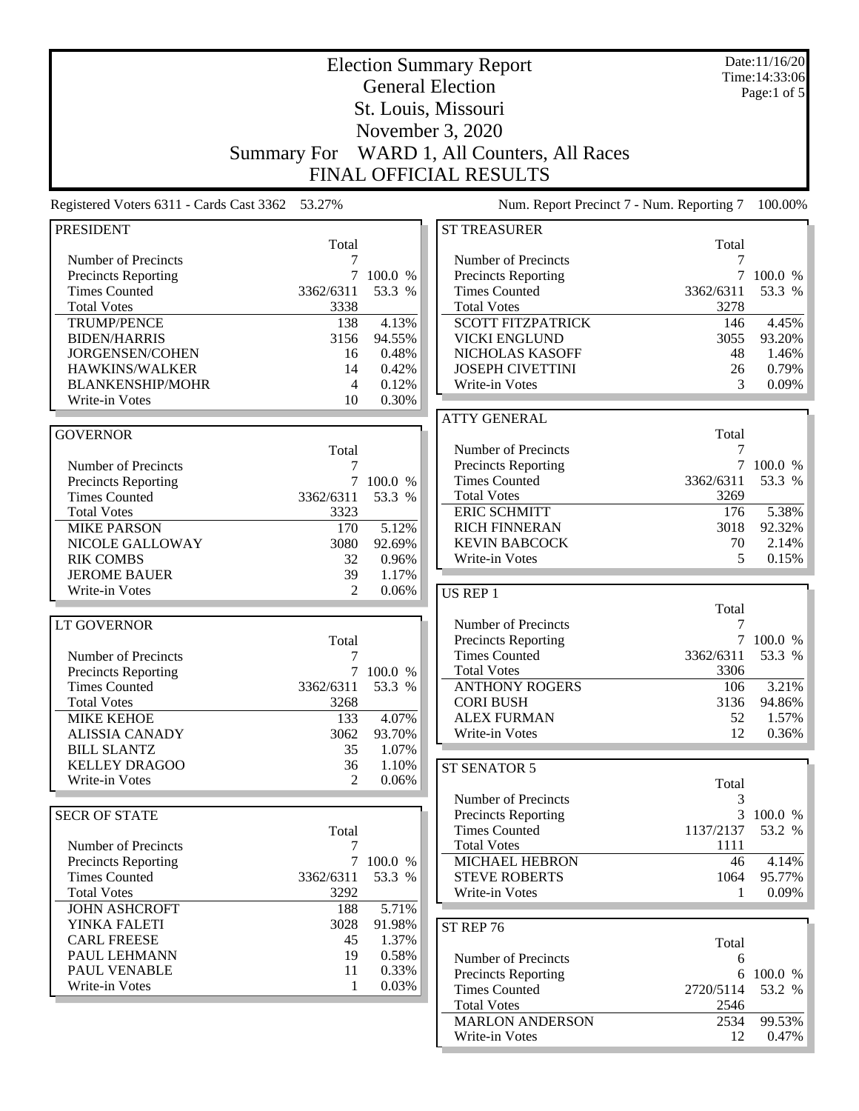|                                                    |                      |                     | <b>Election Summary Report</b>                     |              | Date:11/16/20<br>Time: 14:33:06 |
|----------------------------------------------------|----------------------|---------------------|----------------------------------------------------|--------------|---------------------------------|
|                                                    |                      |                     | <b>General Election</b>                            |              | Page:1 of 5                     |
|                                                    |                      |                     | St. Louis, Missouri                                |              |                                 |
|                                                    |                      |                     |                                                    |              |                                 |
|                                                    |                      |                     | November 3, 2020                                   |              |                                 |
|                                                    | <b>Summary For</b>   |                     | WARD 1, All Counters, All Races                    |              |                                 |
|                                                    |                      |                     | <b>FINAL OFFICIAL RESULTS</b>                      |              |                                 |
| Registered Voters 6311 - Cards Cast 3362 53.27%    |                      |                     | Num. Report Precinct 7 - Num. Reporting 7          |              | 100.00%                         |
| <b>PRESIDENT</b>                                   |                      |                     | <b>ST TREASURER</b>                                |              |                                 |
| Number of Precincts                                | Total<br>7           |                     | Number of Precincts                                | Total        |                                 |
| <b>Precincts Reporting</b>                         | 7                    | 100.0 %             | Precincts Reporting                                | 7            | 100.0 %                         |
| <b>Times Counted</b>                               | 3362/6311            | 53.3 %              | <b>Times Counted</b>                               | 3362/6311    | 53.3 %                          |
| <b>Total Votes</b>                                 | 3338                 |                     | <b>Total Votes</b>                                 | 3278         |                                 |
| <b>TRUMP/PENCE</b>                                 | 138                  | 4.13%               | <b>SCOTT FITZPATRICK</b>                           | 146          | 4.45%                           |
| <b>BIDEN/HARRIS</b>                                | 3156                 | 94.55%              | <b>VICKI ENGLUND</b>                               | 3055         | 93.20%                          |
| JORGENSEN/COHEN                                    | 16                   | 0.48%               | NICHOLAS KASOFF                                    | 48           | 1.46%                           |
| HAWKINS/WALKER                                     | 14                   | 0.42%               | <b>JOSEPH CIVETTINI</b>                            | 26           | 0.79%                           |
| <b>BLANKENSHIP/MOHR</b>                            | 4                    | 0.12%               | Write-in Votes                                     | 3            | 0.09%                           |
| Write-in Votes                                     | 10                   | 0.30%               |                                                    |              |                                 |
|                                                    |                      |                     | <b>ATTY GENERAL</b>                                |              |                                 |
| <b>GOVERNOR</b>                                    |                      |                     |                                                    | Total        |                                 |
|                                                    | Total                |                     | Number of Precincts                                | 7            |                                 |
| Number of Precincts                                | 7                    |                     | <b>Precincts Reporting</b>                         |              | 7 100.0 %                       |
| Precincts Reporting                                | 7                    | 100.0 %             | <b>Times Counted</b>                               | 3362/6311    | 53.3 %                          |
| <b>Times Counted</b>                               | 3362/6311            | 53.3 %              | <b>Total Votes</b>                                 | 3269         |                                 |
| <b>Total Votes</b>                                 | 3323                 |                     | <b>ERIC SCHMITT</b>                                | 176          | 5.38%                           |
| <b>MIKE PARSON</b>                                 | 170                  | 5.12%               | <b>RICH FINNERAN</b>                               | 3018         | 92.32%                          |
| NICOLE GALLOWAY                                    | 3080                 | 92.69%              | <b>KEVIN BABCOCK</b>                               | 70           | 2.14%                           |
| <b>RIK COMBS</b>                                   | 32                   | 0.96%               | Write-in Votes                                     | 5            | 0.15%                           |
| <b>JEROME BAUER</b>                                | 39                   | 1.17%               |                                                    |              |                                 |
| Write-in Votes                                     | $\mathfrak{D}$       | 0.06%               | US REP 1                                           |              |                                 |
|                                                    |                      |                     |                                                    | Total        |                                 |
| <b>LT GOVERNOR</b>                                 |                      |                     | Number of Precincts                                | 7            |                                 |
|                                                    | Total                |                     | Precincts Reporting                                | $\tau$       | 100.0 %                         |
| Number of Precincts                                | 7                    |                     | <b>Times Counted</b>                               | 3362/6311    | 53.3 %                          |
| <b>Precincts Reporting</b>                         |                      | 7 100.0 %           | <b>Total Votes</b>                                 | 3306         |                                 |
| <b>Times Counted</b>                               | 3362/6311            | 53.3 %              | <b>ANTHONY ROGERS</b>                              | 106          | 3.21%                           |
| <b>Total Votes</b>                                 | 3268                 |                     | <b>CORI BUSH</b>                                   | 3136         | 94.86%                          |
| <b>MIKE KEHOE</b>                                  | 133                  | 4.07%               | <b>ALEX FURMAN</b>                                 | 52           | 1.57%                           |
| <b>ALISSIA CANADY</b>                              | 3062                 | 93.70%              | Write-in Votes                                     | 12           | 0.36%                           |
| <b>BILL SLANTZ</b><br><b>KELLEY DRAGOO</b>         | 35                   | 1.07%               |                                                    |              |                                 |
| Write-in Votes                                     | 36<br>$\mathfrak{D}$ | 1.10%<br>0.06%      | ST SENATOR 5                                       |              |                                 |
|                                                    |                      |                     |                                                    | Total        |                                 |
|                                                    |                      |                     | Number of Precincts                                | 3            |                                 |
| <b>SECR OF STATE</b>                               |                      |                     | Precincts Reporting                                |              | 3 100.0 %                       |
|                                                    | Total                |                     | <b>Times Counted</b>                               | 1137/2137    | 53.2 %                          |
| Number of Precincts                                | 7                    |                     | <b>Total Votes</b>                                 | 1111         |                                 |
| <b>Precincts Reporting</b><br><b>Times Counted</b> |                      | 7 100.0 %<br>53.3 % | <b>MICHAEL HEBRON</b><br><b>STEVE ROBERTS</b>      | 46           | 4.14%                           |
| <b>Total Votes</b>                                 | 3362/6311<br>3292    |                     | Write-in Votes                                     | 1064<br>1    | 95.77%<br>0.09%                 |
| <b>JOHN ASHCROFT</b>                               | 188                  | 5.71%               |                                                    |              |                                 |
| YINKA FALETI                                       | 3028                 | 91.98%              |                                                    |              |                                 |
| <b>CARL FREESE</b>                                 | 45                   | 1.37%               | ST REP 76                                          |              |                                 |
| PAUL LEHMANN                                       | 19                   | 0.58%               |                                                    | Total        |                                 |
| PAUL VENABLE                                       | 11                   | 0.33%               | Number of Precincts                                | 6            |                                 |
| Write-in Votes                                     | 1                    | 0.03%               | <b>Precincts Reporting</b><br><b>Times Counted</b> |              | 6 100.0 %                       |
|                                                    |                      |                     |                                                    | 2720/5114    | 53.2 %                          |
|                                                    |                      |                     | <b>Total Votes</b><br><b>MARLON ANDERSON</b>       | 2546<br>2534 | 99.53%                          |
|                                                    |                      |                     | Write-in Votes                                     | 12           | $0.47\%$                        |
|                                                    |                      |                     |                                                    |              |                                 |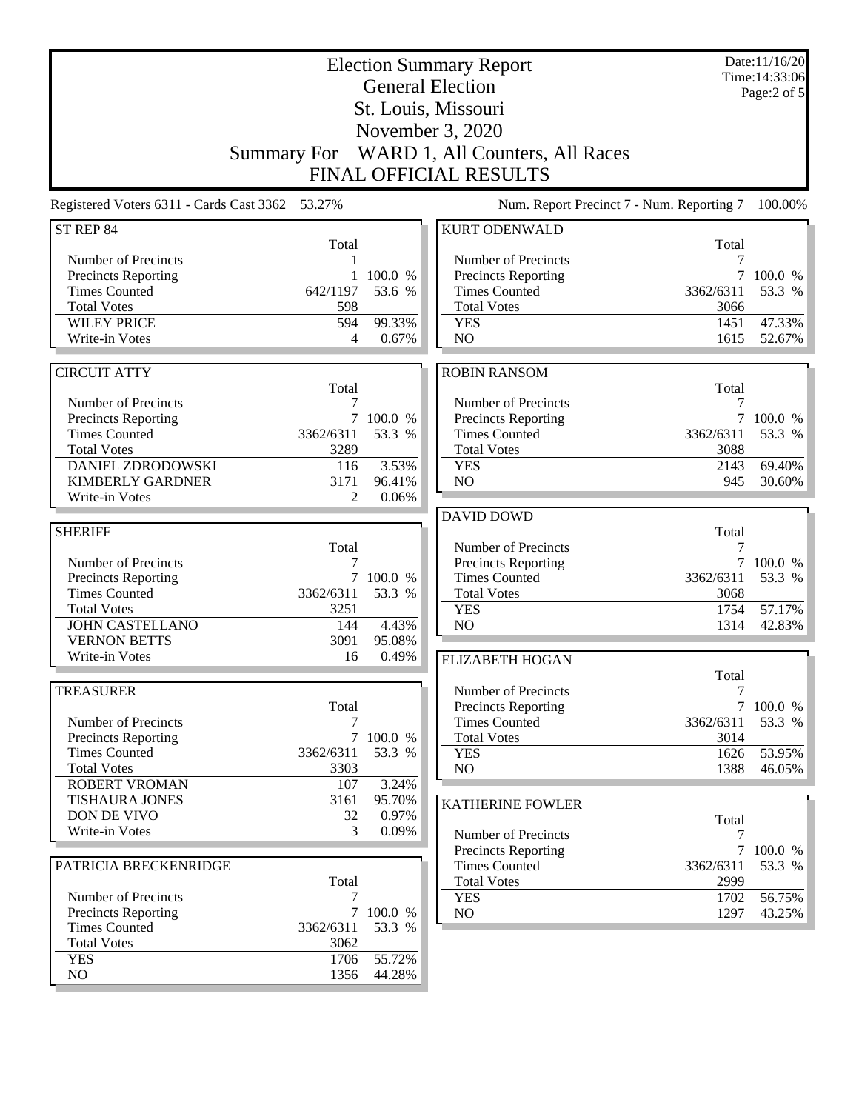| <b>Election Summary Report</b><br><b>General Election</b><br>St. Louis, Missouri<br>November 3, 2020<br>WARD 1, All Counters, All Races<br><b>Summary For</b> |                     |                   |                                                                            |              | Date:11/16/20<br>Time: 14:33:06<br>Page:2 of 5 |
|---------------------------------------------------------------------------------------------------------------------------------------------------------------|---------------------|-------------------|----------------------------------------------------------------------------|--------------|------------------------------------------------|
| Registered Voters 6311 - Cards Cast 3362 53.27%                                                                                                               |                     |                   | <b>FINAL OFFICIAL RESULTS</b><br>Num. Report Precinct 7 - Num. Reporting 7 |              | 100.00%                                        |
|                                                                                                                                                               |                     |                   |                                                                            |              |                                                |
| ST REP 84                                                                                                                                                     | Total               |                   | <b>KURT ODENWALD</b>                                                       | Total        |                                                |
| Number of Precincts                                                                                                                                           | 1                   |                   | Number of Precincts                                                        | 7            |                                                |
| Precincts Reporting                                                                                                                                           | 1                   | 100.0 %           | <b>Precincts Reporting</b>                                                 | 7            | 100.0 %                                        |
| <b>Times Counted</b>                                                                                                                                          | 642/1197            | 53.6 %            | <b>Times Counted</b>                                                       | 3362/6311    | 53.3 %                                         |
| <b>Total Votes</b><br><b>WILEY PRICE</b>                                                                                                                      | 598<br>594          | 99.33%            | <b>Total Votes</b><br><b>YES</b>                                           | 3066<br>1451 | 47.33%                                         |
| Write-in Votes                                                                                                                                                | 4                   | 0.67%             | NO                                                                         | 1615         | 52.67%                                         |
|                                                                                                                                                               |                     |                   |                                                                            |              |                                                |
| <b>CIRCUIT ATTY</b>                                                                                                                                           |                     |                   | <b>ROBIN RANSOM</b>                                                        |              |                                                |
|                                                                                                                                                               | Total               |                   |                                                                            | Total        |                                                |
| Number of Precincts<br>Precincts Reporting                                                                                                                    | 7<br>7              | 100.0 %           | Number of Precincts<br>Precincts Reporting                                 | 7<br>7       | 100.0 %                                        |
| <b>Times Counted</b>                                                                                                                                          | 3362/6311           | 53.3 %            | <b>Times Counted</b>                                                       | 3362/6311    | 53.3 %                                         |
| <b>Total Votes</b>                                                                                                                                            | 3289                |                   | <b>Total Votes</b>                                                         | 3088         |                                                |
| <b>DANIEL ZDRODOWSKI</b>                                                                                                                                      | 116                 | 3.53%             | <b>YES</b>                                                                 | 2143         | 69.40%                                         |
| <b>KIMBERLY GARDNER</b>                                                                                                                                       | 3171                | 96.41%            | NO                                                                         | 945          | 30.60%                                         |
| Write-in Votes                                                                                                                                                | 2                   | 0.06%             |                                                                            |              |                                                |
| <b>SHERIFF</b>                                                                                                                                                |                     |                   | <b>DAVID DOWD</b>                                                          |              |                                                |
|                                                                                                                                                               | Total               |                   | Number of Precincts                                                        | Total<br>7   |                                                |
| Number of Precincts                                                                                                                                           | 7                   |                   | Precincts Reporting                                                        | 7            | 100.0 %                                        |
| Precincts Reporting                                                                                                                                           | 7                   | 100.0 %           | <b>Times Counted</b>                                                       | 3362/6311    | 53.3 %                                         |
| <b>Times Counted</b>                                                                                                                                          | 3362/6311           | 53.3 %            | <b>Total Votes</b>                                                         | 3068         |                                                |
| <b>Total Votes</b>                                                                                                                                            | 3251                |                   | <b>YES</b>                                                                 | 1754         | 57.17%                                         |
| <b>JOHN CASTELLANO</b><br><b>VERNON BETTS</b>                                                                                                                 | 144<br>3091         | 4.43%<br>95.08%   | NO                                                                         | 1314         | 42.83%                                         |
| Write-in Votes                                                                                                                                                | 16                  | 0.49%             | <b>ELIZABETH HOGAN</b>                                                     |              |                                                |
|                                                                                                                                                               |                     |                   |                                                                            | Total        |                                                |
| <b>TREASURER</b>                                                                                                                                              |                     |                   | Number of Precincts                                                        | 7            |                                                |
|                                                                                                                                                               | Total               |                   | <b>Precincts Reporting</b>                                                 |              | 7100.0%                                        |
| Number of Precincts                                                                                                                                           | 7                   |                   | <b>Times Counted</b>                                                       | 3362/6311    | 53.3 %                                         |
| <b>Precincts Reporting</b><br><b>Times Counted</b>                                                                                                            | $\tau$<br>3362/6311 | 100.0 %<br>53.3 % | <b>Total Votes</b><br><b>YES</b>                                           | 3014<br>1626 | 53.95%                                         |
| <b>Total Votes</b>                                                                                                                                            | 3303                |                   | NO                                                                         | 1388         | 46.05%                                         |
| <b>ROBERT VROMAN</b>                                                                                                                                          | 107                 | 3.24%             |                                                                            |              |                                                |
| TISHAURA JONES                                                                                                                                                | 3161                | 95.70%            | <b>KATHERINE FOWLER</b>                                                    |              |                                                |
| DON DE VIVO                                                                                                                                                   | 32                  | 0.97%             |                                                                            | Total        |                                                |
| Write-in Votes                                                                                                                                                | 3                   | 0.09%             | Number of Precincts                                                        | 7            |                                                |
| PATRICIA BRECKENRIDGE                                                                                                                                         |                     |                   | Precincts Reporting<br><b>Times Counted</b>                                | 3362/6311    | 7 100.0 %<br>53.3 %                            |
|                                                                                                                                                               | Total               |                   | <b>Total Votes</b>                                                         | 2999         |                                                |
| Number of Precincts                                                                                                                                           | 7                   |                   | <b>YES</b>                                                                 | 1702         | 56.75%                                         |
| Precincts Reporting                                                                                                                                           | $7\overline{ }$     | 100.0 %           | NO                                                                         | 1297         | 43.25%                                         |
| <b>Times Counted</b>                                                                                                                                          | 3362/6311           | 53.3 %            |                                                                            |              |                                                |
| <b>Total Votes</b><br><b>YES</b>                                                                                                                              | 3062<br>1706        | 55.72%            |                                                                            |              |                                                |
| $\rm NO$                                                                                                                                                      | 1356                | 44.28%            |                                                                            |              |                                                |
|                                                                                                                                                               |                     |                   |                                                                            |              |                                                |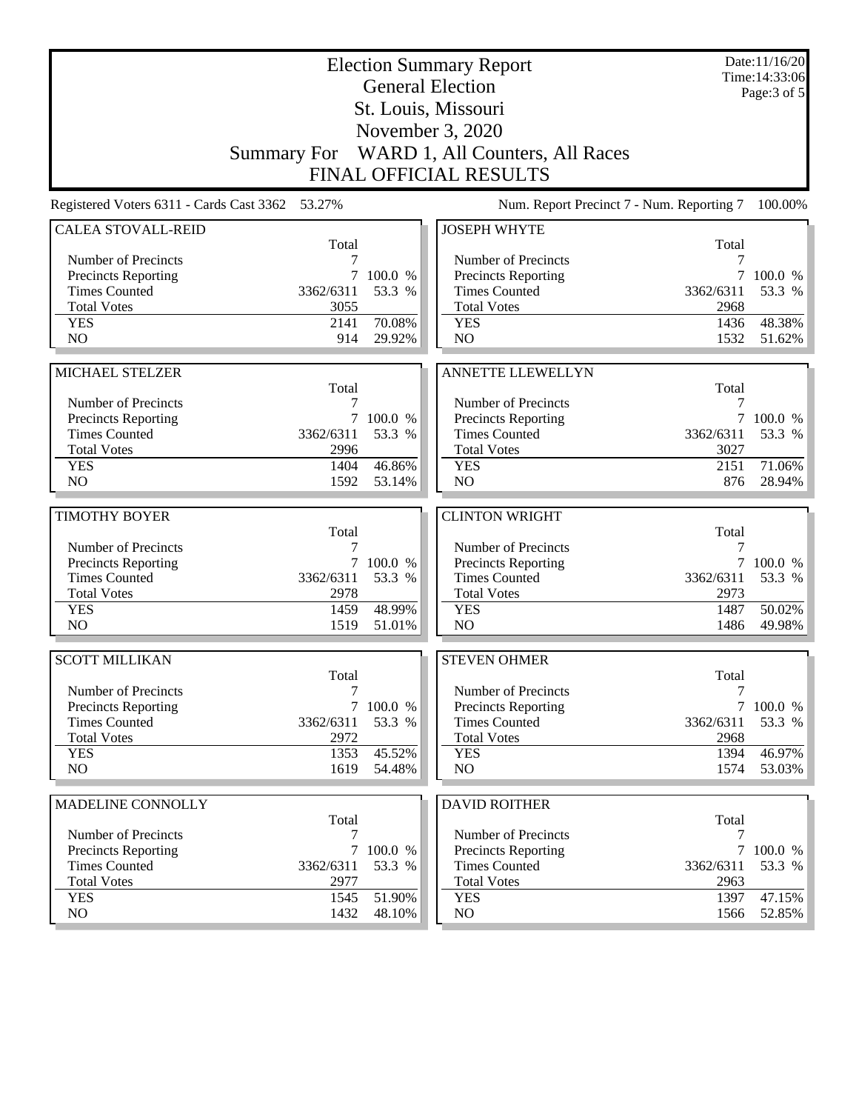|                                                 | <b>Election Summary Report</b><br><b>General Election</b> |                  |                                           |              | Date:11/16/20<br>Time: 14:33:06 |
|-------------------------------------------------|-----------------------------------------------------------|------------------|-------------------------------------------|--------------|---------------------------------|
|                                                 |                                                           |                  | St. Louis, Missouri                       |              | Page: $3$ of $5$                |
|                                                 |                                                           |                  | November 3, 2020                          |              |                                 |
|                                                 | <b>Summary For</b>                                        |                  | WARD 1, All Counters, All Races           |              |                                 |
|                                                 |                                                           |                  | <b>FINAL OFFICIAL RESULTS</b>             |              |                                 |
|                                                 |                                                           |                  |                                           |              |                                 |
| Registered Voters 6311 - Cards Cast 3362 53.27% |                                                           |                  | Num. Report Precinct 7 - Num. Reporting 7 |              | 100.00%                         |
| <b>CALEA STOVALL-REID</b>                       | Total                                                     |                  | <b>JOSEPH WHYTE</b>                       | Total        |                                 |
| Number of Precincts                             |                                                           |                  | Number of Precincts                       | 7            |                                 |
| <b>Precincts Reporting</b>                      | 7                                                         | 100.0 %          | <b>Precincts Reporting</b>                | 7            | 100.0 %                         |
| <b>Times Counted</b>                            | 3362/6311                                                 | 53.3 %           | <b>Times Counted</b>                      | 3362/6311    | 53.3 %                          |
| <b>Total Votes</b>                              | 3055                                                      |                  | <b>Total Votes</b>                        | 2968         |                                 |
| <b>YES</b>                                      | 2141                                                      | 70.08%           | <b>YES</b>                                | 1436         | 48.38%                          |
| N <sub>O</sub>                                  | 914                                                       | 29.92%           | N <sub>O</sub>                            | 1532         | 51.62%                          |
|                                                 |                                                           |                  |                                           |              |                                 |
| MICHAEL STELZER                                 |                                                           |                  | <b>ANNETTE LLEWELLYN</b>                  |              |                                 |
|                                                 | Total                                                     |                  |                                           | Total        |                                 |
| Number of Precincts                             | 7                                                         |                  | Number of Precincts                       | 7            |                                 |
| <b>Precincts Reporting</b>                      | $\tau$                                                    | 100.0 %          | <b>Precincts Reporting</b>                | 7            | 100.0 %                         |
| <b>Times Counted</b>                            | 3362/6311                                                 | 53.3 %           | <b>Times Counted</b>                      | 3362/6311    | 53.3 %                          |
| <b>Total Votes</b>                              | 2996                                                      |                  | <b>Total Votes</b>                        | 3027         |                                 |
| <b>YES</b><br>NO                                | 1404<br>1592                                              | 46.86%<br>53.14% | <b>YES</b><br>NO                          | 2151<br>876  | 71.06%<br>28.94%                |
|                                                 |                                                           |                  |                                           |              |                                 |
| <b>TIMOTHY BOYER</b>                            |                                                           |                  | <b>CLINTON WRIGHT</b>                     |              |                                 |
|                                                 | Total                                                     |                  |                                           | Total        |                                 |
| Number of Precincts                             | 7                                                         |                  | Number of Precincts                       | 7            |                                 |
| <b>Precincts Reporting</b>                      |                                                           | 7 100.0 %        | Precincts Reporting                       | 7            | 100.0 %                         |
| <b>Times Counted</b>                            | 3362/6311                                                 | 53.3 %           | <b>Times Counted</b>                      | 3362/6311    | 53.3 %                          |
| <b>Total Votes</b>                              | 2978                                                      |                  | <b>Total Votes</b>                        | 2973         |                                 |
| <b>YES</b>                                      | 1459                                                      | 48.99%           | <b>YES</b>                                | 1487         | 50.02%                          |
| N <sub>O</sub>                                  | 1519                                                      | 51.01%           | NO                                        | 1486         | 49.98%                          |
| <b>SCOTT MILLIKAN</b>                           |                                                           |                  | <b>STEVEN OHMER</b>                       |              |                                 |
|                                                 | Total                                                     |                  |                                           | Total        |                                 |
| Number of Precincts                             | 7                                                         |                  | Number of Precincts                       | 7            |                                 |
| <b>Precincts Reporting</b>                      |                                                           | 7 100.0 %        | <b>Precincts Reporting</b>                |              | 7 100.0 %                       |
| <b>Times Counted</b>                            |                                                           |                  |                                           |              |                                 |
|                                                 | 3362/6311                                                 | 53.3 %           | <b>Times Counted</b>                      | 3362/6311    | 53.3 %                          |
| <b>Total Votes</b>                              | 2972                                                      |                  | <b>Total Votes</b>                        | 2968         |                                 |
| <b>YES</b>                                      | 1353                                                      | 45.52%           | <b>YES</b>                                | 1394         | 46.97%                          |
| NO                                              | 1619                                                      | 54.48%           | NO                                        | 1574         | 53.03%                          |
|                                                 |                                                           |                  |                                           |              |                                 |
| MADELINE CONNOLLY                               |                                                           |                  | <b>DAVID ROITHER</b>                      |              |                                 |
| Number of Precincts                             | Total<br>7                                                |                  | Number of Precincts                       | Total<br>7   |                                 |
| Precincts Reporting                             | $\tau$                                                    | 100.0 %          | <b>Precincts Reporting</b>                |              | 7 100.0 %                       |
| <b>Times Counted</b>                            | 3362/6311                                                 | 53.3 %           | <b>Times Counted</b>                      | 3362/6311    | 53.3 %                          |
| <b>Total Votes</b>                              | 2977                                                      |                  | <b>Total Votes</b>                        | 2963         |                                 |
| <b>YES</b><br>NO                                | 1545<br>1432                                              | 51.90%<br>48.10% | <b>YES</b><br>NO                          | 1397<br>1566 | 47.15%<br>52.85%                |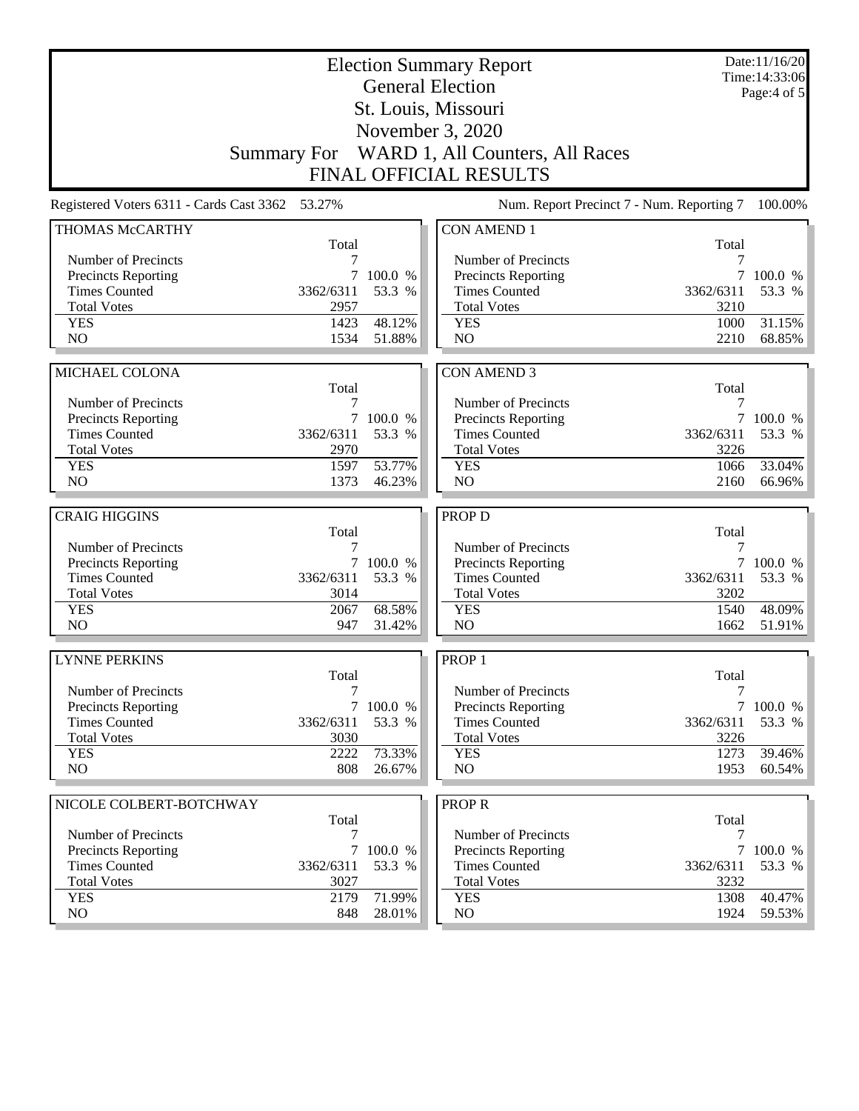| St. Louis, Missouri                                                                                                                                      | Date:11/16/20<br>Time: 14:33:06<br>Page:4 of 5 |  |  |  |
|----------------------------------------------------------------------------------------------------------------------------------------------------------|------------------------------------------------|--|--|--|
|                                                                                                                                                          |                                                |  |  |  |
| November 3, 2020                                                                                                                                         |                                                |  |  |  |
| WARD 1, All Counters, All Races<br><b>Summary For</b>                                                                                                    |                                                |  |  |  |
| <b>FINAL OFFICIAL RESULTS</b>                                                                                                                            |                                                |  |  |  |
| Registered Voters 6311 - Cards Cast 3362 53.27%<br>Num. Report Precinct 7 - Num. Reporting 7                                                             | 100.00%                                        |  |  |  |
| <b>CON AMEND 1</b><br>THOMAS McCARTHY<br>Total                                                                                                           |                                                |  |  |  |
| Total<br>Number of Precincts<br>Number of Precincts<br>7<br>7                                                                                            |                                                |  |  |  |
| <b>Precincts Reporting</b><br>100.0 %<br>Precincts Reporting                                                                                             | 100.0 %                                        |  |  |  |
| <b>Times Counted</b><br>3362/6311<br>53.3 %<br><b>Times Counted</b><br>3362/6311                                                                         | 53.3 %                                         |  |  |  |
| <b>Total Votes</b><br>2957<br><b>Total Votes</b><br>3210                                                                                                 |                                                |  |  |  |
| 48.12%<br><b>YES</b><br>1423<br><b>YES</b><br>1000                                                                                                       | 31.15%                                         |  |  |  |
| N <sub>O</sub><br>1534<br>51.88%<br>N <sub>O</sub><br>2210                                                                                               | 68.85%                                         |  |  |  |
|                                                                                                                                                          |                                                |  |  |  |
| MICHAEL COLONA<br><b>CON AMEND 3</b>                                                                                                                     |                                                |  |  |  |
| Total<br>Total                                                                                                                                           |                                                |  |  |  |
| Number of Precincts<br>Number of Precincts<br>7<br>7                                                                                                     |                                                |  |  |  |
| Precincts Reporting<br>7<br>100.0 %<br>Precincts Reporting<br>$\tau$<br><b>Times Counted</b><br>3362/6311<br>53.3 %<br><b>Times Counted</b><br>3362/6311 | 100.0 %<br>53.3 %                              |  |  |  |
| <b>Total Votes</b><br>2970<br><b>Total Votes</b><br>3226                                                                                                 |                                                |  |  |  |
| 53.77%<br><b>YES</b><br>1597<br><b>YES</b><br>1066                                                                                                       | 33.04%                                         |  |  |  |
| N <sub>O</sub><br>1373<br>46.23%<br>N <sub>O</sub><br>2160                                                                                               | 66.96%                                         |  |  |  |
|                                                                                                                                                          |                                                |  |  |  |
| <b>CRAIG HIGGINS</b><br><b>PROP D</b>                                                                                                                    |                                                |  |  |  |
| Total<br>Total<br>Number of Precincts<br>Number of Precincts<br>7<br>7                                                                                   |                                                |  |  |  |
| Precincts Reporting<br>100.0 %<br>Precincts Reporting<br>7<br>7                                                                                          | 100.0 %                                        |  |  |  |
| <b>Times Counted</b><br>3362/6311<br>53.3 %<br><b>Times Counted</b><br>3362/6311                                                                         | 53.3 %                                         |  |  |  |
| <b>Total Votes</b><br><b>Total Votes</b><br>3202<br>3014                                                                                                 |                                                |  |  |  |
| <b>YES</b><br>68.58%<br>1540<br>2067<br><b>YES</b>                                                                                                       | 48.09%                                         |  |  |  |
| NO<br>NO<br>947<br>31.42%<br>1662                                                                                                                        | 51.91%                                         |  |  |  |
|                                                                                                                                                          |                                                |  |  |  |
| <b>LYNNE PERKINS</b><br>PROP <sub>1</sub>                                                                                                                |                                                |  |  |  |
| Total<br>Total<br>Number of Precincts                                                                                                                    |                                                |  |  |  |
| Number of Precincts<br>7<br>7<br>7 100.0 %<br>Precincts Reporting<br><b>Precincts Reporting</b>                                                          | 7 100.0 %                                      |  |  |  |
| <b>Times Counted</b><br>53.3 %<br><b>Times Counted</b><br>3362/6311<br>3362/6311                                                                         | 53.3 %                                         |  |  |  |
| <b>Total Votes</b><br><b>Total Votes</b><br>3226<br>3030                                                                                                 |                                                |  |  |  |
|                                                                                                                                                          | 39.46%                                         |  |  |  |
| 2222<br>1273                                                                                                                                             |                                                |  |  |  |
| 73.33%<br><b>YES</b><br><b>YES</b><br>NO<br>NO<br>808<br>26.67%<br>1953                                                                                  |                                                |  |  |  |
|                                                                                                                                                          |                                                |  |  |  |
| <b>PROPR</b><br>NICOLE COLBERT-BOTCHWAY                                                                                                                  |                                                |  |  |  |
| Total<br>Total                                                                                                                                           |                                                |  |  |  |
| Number of Precincts<br>Number of Precincts<br>7<br>7<br>7                                                                                                |                                                |  |  |  |
| <b>Precincts Reporting</b><br>7 100.0 %<br><b>Precincts Reporting</b><br><b>Times Counted</b><br>53.3 %<br><b>Times Counted</b><br>3362/6311             | $60.54\%$<br>100.0 %                           |  |  |  |
| 3362/6311<br><b>Total Votes</b><br>3027<br><b>Total Votes</b><br>3232                                                                                    | 53.3 %                                         |  |  |  |
| <b>YES</b><br>2179<br>71.99%<br>1308<br><b>YES</b><br>NO<br>NO                                                                                           | 40.47%                                         |  |  |  |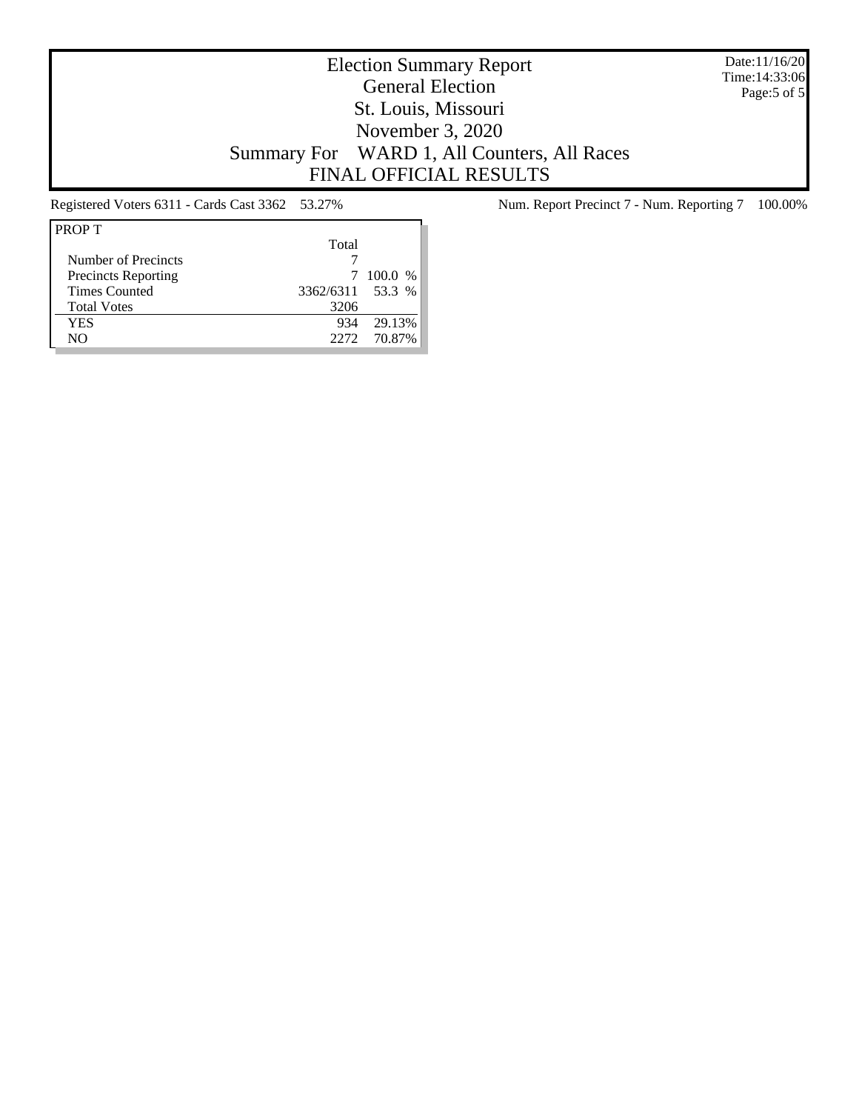Date:11/16/20 Time:14:33:06 Page:5 of 5

# Election Summary Report General Election St. Louis, Missouri November 3, 2020 Summary For WARD 1, All Counters, All Races FINAL OFFICIAL RESULTS

| <b>PROPT</b>               |                  |             |
|----------------------------|------------------|-------------|
|                            | Total            |             |
| Number of Precincts        |                  |             |
| <b>Precincts Reporting</b> | 7                | $100.0\%$   |
| <b>Times Counted</b>       | 3362/6311 53.3 % |             |
| <b>Total Votes</b>         | 3206             |             |
| YES                        | 934              | 29.13%      |
| NΟ                         |                  | 2272 70.87% |

Registered Voters 6311 - Cards Cast 3362 53.27% Num. Report Precinct 7 - Num. Reporting 7 100.00%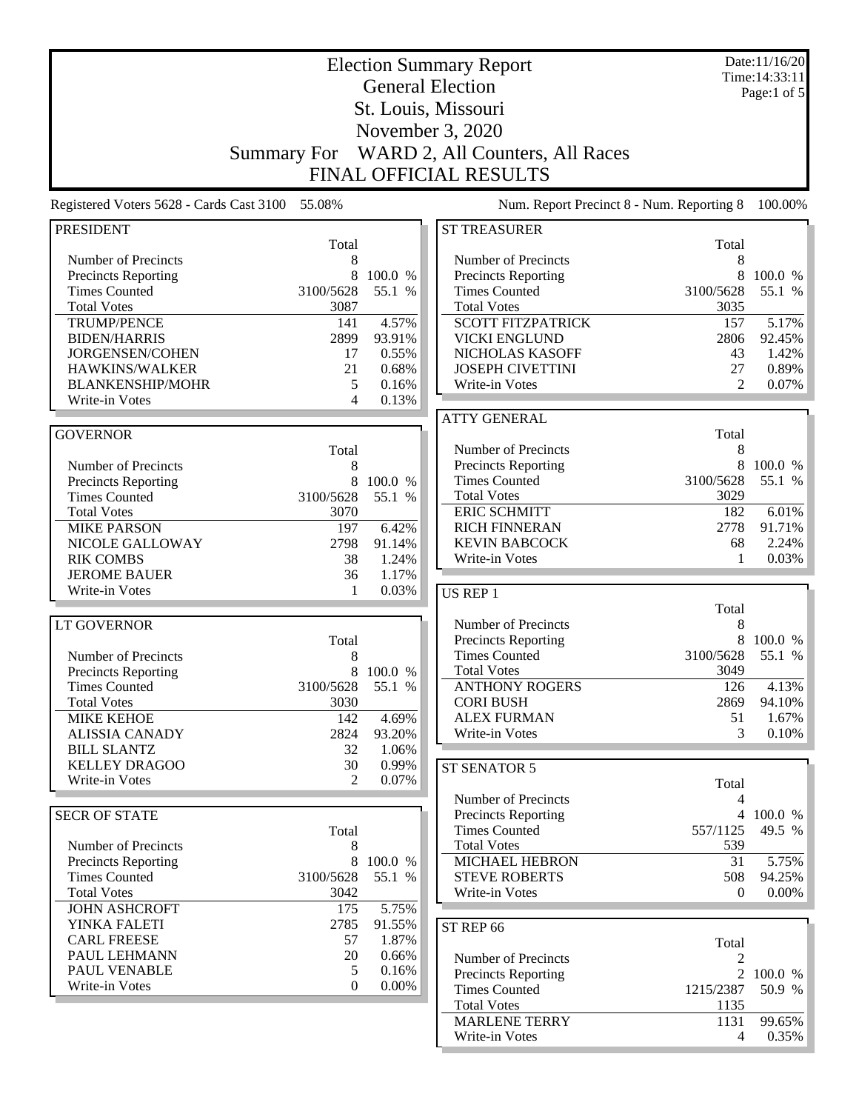|                                                    |                    |                 | <b>Election Summary Report</b>                    |                  | Date:11/16/20<br>Time: 14:33:11 |
|----------------------------------------------------|--------------------|-----------------|---------------------------------------------------|------------------|---------------------------------|
|                                                    |                    |                 | <b>General Election</b>                           |                  | Page:1 of $5$                   |
|                                                    |                    |                 | St. Louis, Missouri                               |                  |                                 |
|                                                    |                    |                 | November 3, 2020                                  |                  |                                 |
|                                                    |                    |                 |                                                   |                  |                                 |
|                                                    | <b>Summary For</b> |                 | WARD 2, All Counters, All Races                   |                  |                                 |
|                                                    |                    |                 | <b>FINAL OFFICIAL RESULTS</b>                     |                  |                                 |
| Registered Voters 5628 - Cards Cast 3100           | 55.08%             |                 | Num. Report Precinct 8 - Num. Reporting 8         |                  | 100.00%                         |
| <b>PRESIDENT</b>                                   |                    |                 | <b>ST TREASURER</b>                               |                  |                                 |
|                                                    | Total              |                 |                                                   | Total            |                                 |
| Number of Precincts<br><b>Precincts Reporting</b>  | 8<br>8             | 100.0 %         | Number of Precincts<br><b>Precincts Reporting</b> | 8<br>8           | 100.0 %                         |
| <b>Times Counted</b>                               | 3100/5628          | 55.1 %          | <b>Times Counted</b>                              | 3100/5628        | 55.1 %                          |
| <b>Total Votes</b>                                 | 3087               |                 | <b>Total Votes</b>                                | 3035             |                                 |
| <b>TRUMP/PENCE</b>                                 | 141                | 4.57%           | <b>SCOTT FITZPATRICK</b>                          | 157              | 5.17%                           |
| <b>BIDEN/HARRIS</b>                                | 2899               | 93.91%          | <b>VICKI ENGLUND</b>                              | 2806             | 92.45%                          |
| JORGENSEN/COHEN                                    | 17                 | 0.55%           | NICHOLAS KASOFF                                   | 43               | 1.42%                           |
| HAWKINS/WALKER                                     | 21                 | 0.68%           | <b>JOSEPH CIVETTINI</b>                           | 27               | 0.89%                           |
| <b>BLANKENSHIP/MOHR</b>                            | 5                  | 0.16%           | Write-in Votes                                    | $\overline{2}$   | 0.07%                           |
| Write-in Votes                                     | 4                  | 0.13%           |                                                   |                  |                                 |
|                                                    |                    |                 | <b>ATTY GENERAL</b>                               |                  |                                 |
| <b>GOVERNOR</b>                                    |                    |                 |                                                   | Total            |                                 |
|                                                    | Total              |                 | Number of Precincts                               | 8<br>8           |                                 |
| Number of Precincts                                | 8<br>8             | 100.0 %         | Precincts Reporting<br><b>Times Counted</b>       | 3100/5628        | 100.0 %<br>55.1 %               |
| <b>Precincts Reporting</b><br><b>Times Counted</b> | 3100/5628          | 55.1 %          | <b>Total Votes</b>                                | 3029             |                                 |
| <b>Total Votes</b>                                 | 3070               |                 | <b>ERIC SCHMITT</b>                               | 182              | 6.01%                           |
| <b>MIKE PARSON</b>                                 | 197                | 6.42%           | <b>RICH FINNERAN</b>                              | 2778             | 91.71%                          |
| NICOLE GALLOWAY                                    | 2798               | 91.14%          | <b>KEVIN BABCOCK</b>                              | 68               | 2.24%                           |
| <b>RIK COMBS</b>                                   | 38                 | 1.24%           | Write-in Votes                                    | 1                | 0.03%                           |
| <b>JEROME BAUER</b>                                | 36                 | 1.17%           |                                                   |                  |                                 |
| Write-in Votes                                     | 1                  | 0.03%           | US REP 1                                          |                  |                                 |
|                                                    |                    |                 |                                                   | Total            |                                 |
| <b>LT GOVERNOR</b>                                 |                    |                 | Number of Precincts                               | 8                |                                 |
|                                                    | Total              |                 | <b>Precincts Reporting</b>                        | 8                | 100.0 %                         |
| Number of Precincts                                | 8                  |                 | <b>Times Counted</b>                              | 3100/5628        | 55.1 %                          |
| <b>Precincts Reporting</b>                         | 8                  | 100.0 %         | <b>Total Votes</b>                                | 3049             |                                 |
| <b>Times Counted</b>                               | 3100/5628          | 55.1 %          | <b>ANTHONY ROGERS</b>                             | 126              | 4.13%                           |
| <b>Total Votes</b>                                 | 3030               |                 | <b>CORI BUSH</b>                                  | 2869             | 94.10%                          |
| <b>MIKE KEHOE</b>                                  | 142                | 4.69%<br>93.20% | <b>ALEX FURMAN</b><br>Write-in Votes              | 51<br>3          | 1.67%<br>0.10%                  |
| <b>ALISSIA CANADY</b><br><b>BILL SLANTZ</b>        | 2824<br>32         | 1.06%           |                                                   |                  |                                 |
| <b>KELLEY DRAGOO</b>                               | 30                 | 0.99%           |                                                   |                  |                                 |
| Write-in Votes                                     | $\mathfrak{D}$     | 0.07%           | ST SENATOR 5                                      | Total            |                                 |
|                                                    |                    |                 | Number of Precincts                               | 4                |                                 |
| <b>SECR OF STATE</b>                               |                    |                 | <b>Precincts Reporting</b>                        | $\overline{4}$   | 100.0 %                         |
|                                                    | Total              |                 | <b>Times Counted</b>                              | 557/1125         | 49.5 %                          |
| Number of Precincts                                | 8                  |                 | <b>Total Votes</b>                                | 539              |                                 |
| <b>Precincts Reporting</b>                         |                    | 8 100.0 %       | MICHAEL HEBRON                                    | 31               | 5.75%                           |
| <b>Times Counted</b>                               | 3100/5628          | 55.1 %          | <b>STEVE ROBERTS</b>                              | 508              | 94.25%                          |
| <b>Total Votes</b>                                 | 3042               |                 | Write-in Votes                                    | $\boldsymbol{0}$ | $0.00\%$                        |
| <b>JOHN ASHCROFT</b>                               | 175                | 5.75%           |                                                   |                  |                                 |
| YINKA FALETI                                       | 2785               | 91.55%          | ST REP 66                                         |                  |                                 |
| <b>CARL FREESE</b>                                 | 57                 | 1.87%           |                                                   | Total            |                                 |
| PAUL LEHMANN                                       | 20                 | 0.66%           | Number of Precincts                               | 2                |                                 |
| PAUL VENABLE                                       | 5                  | 0.16%           | <b>Precincts Reporting</b>                        | 2                | 100.0 %                         |
| Write-in Votes                                     | $\Omega$           | $0.00\%$        | <b>Times Counted</b>                              | 1215/2387        | 50.9 %                          |
|                                                    |                    |                 | <b>Total Votes</b>                                | 1135             |                                 |
|                                                    |                    |                 | <b>MARLENE TERRY</b>                              | 1131             | 99.65%                          |
|                                                    |                    |                 | Write-in Votes                                    | 4                | $0.35\%$                        |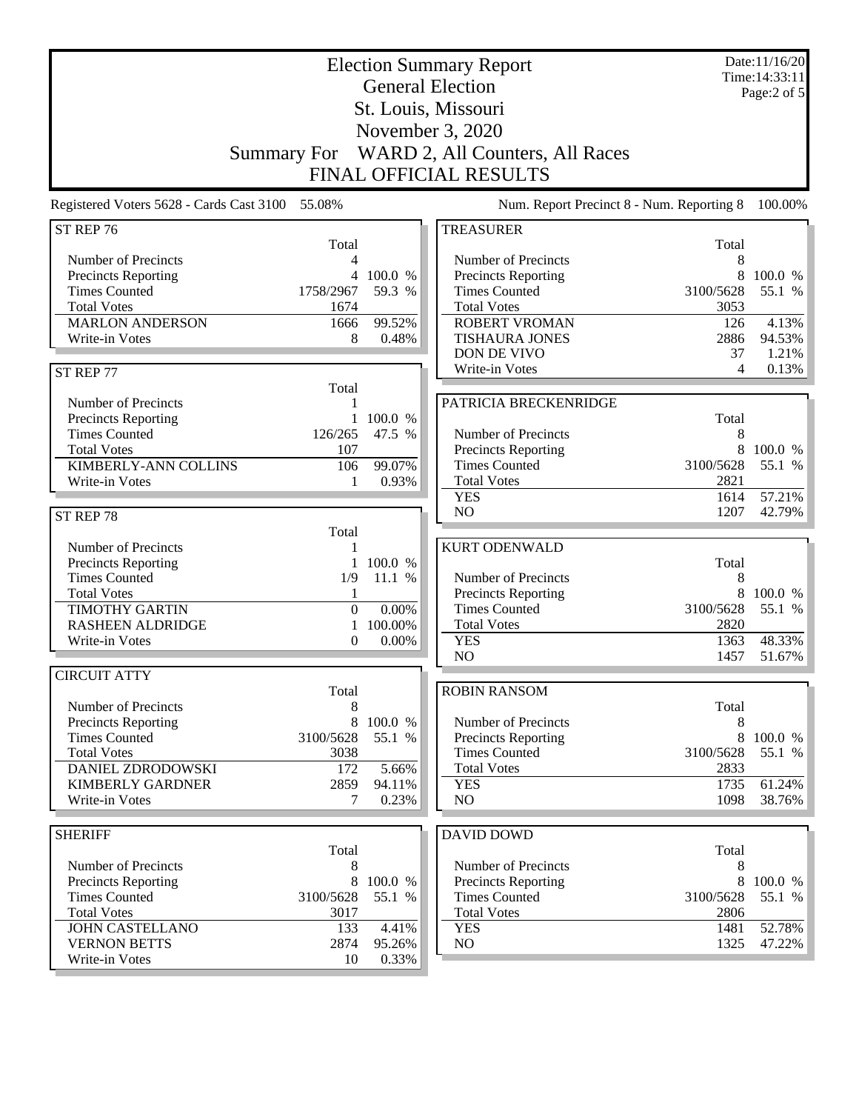|                                                              |                 | <b>Election Summary Report</b><br><b>General Election</b> |              | Date:11/16/20<br>Time: 14:33:11<br>Page:2 of 5 |
|--------------------------------------------------------------|-----------------|-----------------------------------------------------------|--------------|------------------------------------------------|
|                                                              |                 | St. Louis, Missouri                                       |              |                                                |
|                                                              |                 | November 3, 2020                                          |              |                                                |
| <b>Summary For</b>                                           |                 | WARD 2, All Counters, All Races                           |              |                                                |
|                                                              |                 | <b>FINAL OFFICIAL RESULTS</b>                             |              |                                                |
|                                                              |                 |                                                           |              |                                                |
| Registered Voters 5628 - Cards Cast 3100 55.08%              |                 | Num. Report Precinct 8 - Num. Reporting 8                 |              | 100.00%                                        |
| ST REP 76<br>Total                                           |                 | <b>TREASURER</b>                                          | Total        |                                                |
| Number of Precincts<br>4                                     |                 | Number of Precincts                                       | 8            |                                                |
| 4<br><b>Precincts Reporting</b>                              | 100.0 %         | <b>Precincts Reporting</b>                                | 8            | 100.0 %                                        |
| <b>Times Counted</b><br>1758/2967                            | 59.3 %          | <b>Times Counted</b>                                      | 3100/5628    | 55.1 %                                         |
| <b>Total Votes</b><br>1674                                   |                 | <b>Total Votes</b>                                        | 3053         |                                                |
| <b>MARLON ANDERSON</b><br>1666                               | 99.52%          | <b>ROBERT VROMAN</b>                                      | 126          | 4.13%<br>94.53%                                |
| Write-in Votes<br>8                                          | 0.48%           | <b>TISHAURA JONES</b><br>DON DE VIVO                      | 2886<br>37   | 1.21%                                          |
| ST REP 77                                                    |                 | Write-in Votes                                            | 4            | 0.13%                                          |
| Total                                                        |                 |                                                           |              |                                                |
| Number of Precincts<br>1                                     |                 | PATRICIA BRECKENRIDGE                                     |              |                                                |
| Precincts Reporting                                          | 1 100.0 %       |                                                           | Total        |                                                |
| 126/265<br><b>Times Counted</b><br><b>Total Votes</b><br>107 | 47.5 %          | Number of Precincts                                       | 8<br>8       | 100.0 %                                        |
| <b>KIMBERLY-ANN COLLINS</b><br>106                           | 99.07%          | Precincts Reporting<br><b>Times Counted</b>               | 3100/5628    | 55.1 %                                         |
| Write-in Votes<br>1                                          | 0.93%           | <b>Total Votes</b>                                        | 2821         |                                                |
|                                                              |                 | <b>YES</b>                                                | 1614         | 57.21%                                         |
| ST REP 78                                                    |                 | N <sub>O</sub>                                            | 1207         | 42.79%                                         |
| Total                                                        |                 |                                                           |              |                                                |
| Number of Precincts                                          |                 | <b>KURT ODENWALD</b>                                      |              |                                                |
| <b>Precincts Reporting</b>                                   | 1 100.0 %       |                                                           | Total        |                                                |
| <b>Times Counted</b><br>1/9<br><b>Total Votes</b><br>1       | 11.1 %          | Number of Precincts<br><b>Precincts Reporting</b>         | 8<br>8       | 100.0 %                                        |
| <b>TIMOTHY GARTIN</b><br>$\boldsymbol{0}$                    | 0.00%           | <b>Times Counted</b>                                      | 3100/5628    | 55.1 %                                         |
| <b>RASHEEN ALDRIDGE</b><br>1                                 | 100.00%         | <b>Total Votes</b>                                        | 2820         |                                                |
| Write-in Votes<br>$\theta$                                   | 0.00%           | <b>YES</b>                                                | 1363         | 48.33%                                         |
|                                                              |                 | N <sub>O</sub>                                            | 1457         | 51.67%                                         |
| <b>CIRCUIT ATTY</b>                                          |                 |                                                           |              |                                                |
| Total                                                        |                 | <b>ROBIN RANSOM</b>                                       |              |                                                |
| Number of Precincts<br>8<br>8                                | 100.0 %         | Number of Precincts                                       | Total<br>8   |                                                |
| Precincts Reporting<br><b>Times Counted</b><br>3100/5628     | 55.1 %          | Precincts Reporting                                       | 8            | 100.0 %                                        |
| <b>Total Votes</b><br>3038                                   |                 | <b>Times Counted</b>                                      | 3100/5628    | 55.1 %                                         |
| DANIEL ZDRODOWSKI<br>172                                     | 5.66%           | <b>Total Votes</b>                                        | 2833         |                                                |
| <b>KIMBERLY GARDNER</b><br>2859                              | 94.11%          | <b>YES</b>                                                | 1735         | 61.24%                                         |
| Write-in Votes<br>7                                          | 0.23%           | NO.                                                       | 1098         | 38.76%                                         |
|                                                              |                 |                                                           |              |                                                |
| <b>SHERIFF</b><br>Total                                      |                 | DAVID DOWD                                                | Total        |                                                |
| Number of Precincts<br>8                                     |                 | Number of Precincts                                       | 8            |                                                |
| 8<br>Precincts Reporting                                     | 100.0 %         | Precincts Reporting                                       | 8            | 100.0 %                                        |
| <b>Times Counted</b><br>3100/5628                            | 55.1 %          | <b>Times Counted</b>                                      | 3100/5628    | 55.1 %                                         |
| <b>Total Votes</b><br>3017                                   |                 | <b>Total Votes</b>                                        | 2806         |                                                |
| <b>JOHN CASTELLANO</b><br>133<br><b>VERNON BETTS</b><br>2874 | 4.41%<br>95.26% | <b>YES</b><br>NO                                          | 1481<br>1325 | 52.78%<br>47.22%                               |
| Write-in Votes<br>10                                         | 0.33%           |                                                           |              |                                                |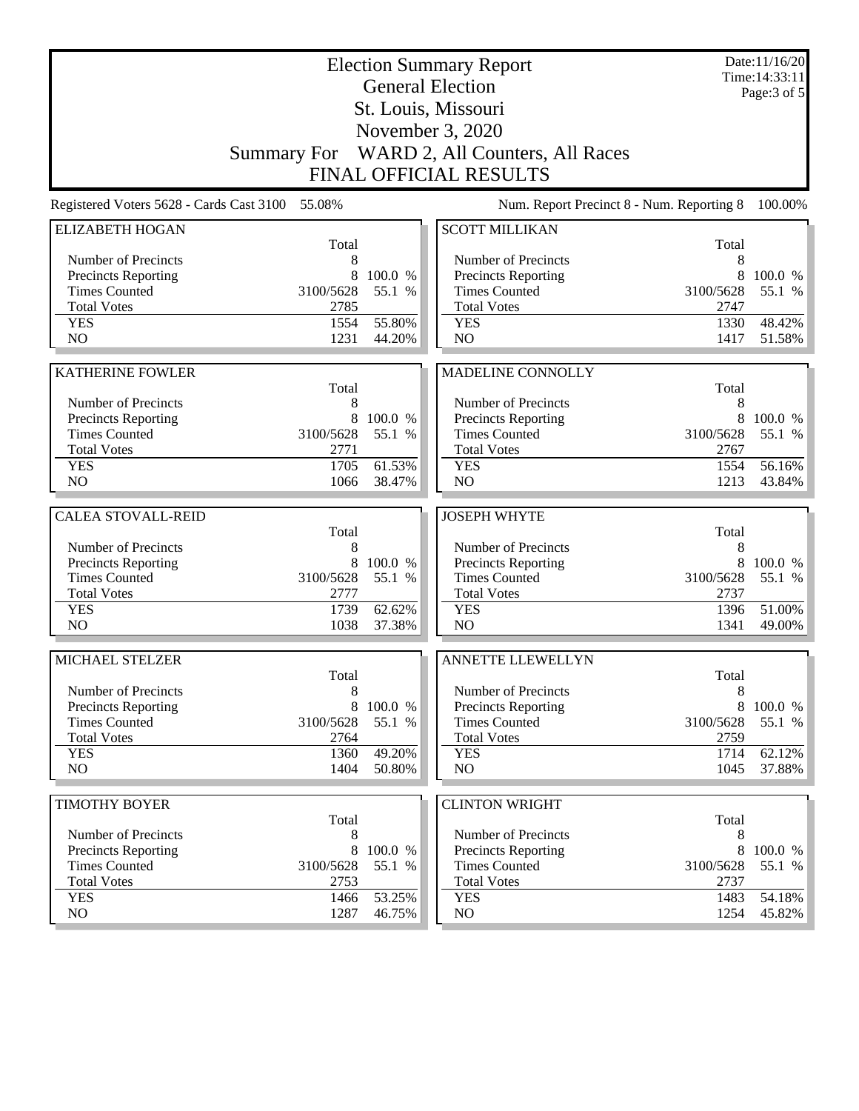|                                          |                    |         | <b>Election Summary Report</b><br><b>General Election</b> |           | Date:11/16/20<br>Time: 14:33:11<br>Page: 3 of 5 |
|------------------------------------------|--------------------|---------|-----------------------------------------------------------|-----------|-------------------------------------------------|
|                                          |                    |         | St. Louis, Missouri                                       |           |                                                 |
|                                          |                    |         | November 3, 2020                                          |           |                                                 |
|                                          | <b>Summary For</b> |         | WARD 2, All Counters, All Races                           |           |                                                 |
|                                          |                    |         | <b>FINAL OFFICIAL RESULTS</b>                             |           |                                                 |
|                                          |                    |         |                                                           |           |                                                 |
| Registered Voters 5628 - Cards Cast 3100 | 55.08%             |         | Num. Report Precinct 8 - Num. Reporting 8                 |           | 100.00%                                         |
| <b>ELIZABETH HOGAN</b>                   | Total              |         | <b>SCOTT MILLIKAN</b>                                     | Total     |                                                 |
| Number of Precincts                      | 8                  |         | Number of Precincts                                       | 8         |                                                 |
| <b>Precincts Reporting</b>               | 8                  | 100.0 % | <b>Precincts Reporting</b>                                | 8         | 100.0 %                                         |
| <b>Times Counted</b>                     | 3100/5628          | 55.1 %  | <b>Times Counted</b>                                      | 3100/5628 | 55.1 %                                          |
| <b>Total Votes</b>                       | 2785               |         | <b>Total Votes</b>                                        | 2747      |                                                 |
| <b>YES</b>                               | 1554               | 55.80%  | <b>YES</b>                                                | 1330      | 48.42%                                          |
| NO                                       | 1231               | 44.20%  | NO                                                        | 1417      | 51.58%                                          |
| <b>KATHERINE FOWLER</b>                  |                    |         |                                                           |           |                                                 |
|                                          | Total              |         | MADELINE CONNOLLY                                         | Total     |                                                 |
| Number of Precincts                      | 8                  |         | Number of Precincts                                       | 8         |                                                 |
| Precincts Reporting                      | 8                  | 100.0 % | Precincts Reporting                                       | 8         | 100.0 %                                         |
| <b>Times Counted</b>                     | 3100/5628          | 55.1 %  | <b>Times Counted</b>                                      | 3100/5628 | 55.1 %                                          |
| <b>Total Votes</b>                       | 2771               |         | <b>Total Votes</b>                                        | 2767      |                                                 |
| <b>YES</b>                               | 1705               | 61.53%  | <b>YES</b>                                                | 1554      | 56.16%                                          |
| N <sub>O</sub>                           | 1066               | 38.47%  | NO                                                        | 1213      | 43.84%                                          |
|                                          |                    |         |                                                           |           |                                                 |
| <b>CALEA STOVALL-REID</b>                | Total              |         | <b>JOSEPH WHYTE</b>                                       | Total     |                                                 |
| Number of Precincts                      | 8                  |         | Number of Precincts                                       | 8         |                                                 |
| Precincts Reporting                      | 8                  | 100.0 % | Precincts Reporting                                       | 8         | 100.0 %                                         |
| <b>Times Counted</b>                     | 3100/5628          | 55.1 %  | <b>Times Counted</b>                                      | 3100/5628 | 55.1 %                                          |
| <b>Total Votes</b>                       | 2777               |         | <b>Total Votes</b>                                        | 2737      |                                                 |
| <b>YES</b>                               | 1739               | 62.62%  | <b>YES</b>                                                | 1396      | 51.00%                                          |
| N <sub>O</sub>                           | 1038               | 37.38%  | NO                                                        | 1341      | 49.00%                                          |
|                                          |                    |         |                                                           |           |                                                 |
| MICHAEL STELZER                          | Total              |         | <b>ANNETTE LLEWELLYN</b>                                  | Total     |                                                 |
| Number of Precincts                      | 8                  |         | Number of Precincts                                       | 8         |                                                 |
| Precincts Reporting                      | 8                  | 100.0 % | Precincts Reporting                                       | 8         | 100.0 %                                         |
| <b>Times Counted</b>                     | 3100/5628          | 55.1 %  | <b>Times Counted</b>                                      | 3100/5628 | 55.1 %                                          |
| <b>Total Votes</b>                       | 2764               |         | <b>Total Votes</b>                                        | 2759      |                                                 |
| <b>YES</b>                               | 1360               | 49.20%  | <b>YES</b>                                                | 1714      | 62.12%                                          |
| NO                                       | 1404               | 50.80%  | NO                                                        | 1045      | 37.88%                                          |
| <b>TIMOTHY BOYER</b>                     |                    |         | <b>CLINTON WRIGHT</b>                                     |           |                                                 |
|                                          | Total              |         |                                                           | Total     |                                                 |
| Number of Precincts                      | 8                  |         | Number of Precincts                                       | 8         |                                                 |
| <b>Precincts Reporting</b>               | 8                  | 100.0 % | Precincts Reporting                                       | 8         | 100.0 %                                         |
| <b>Times Counted</b>                     | 3100/5628          | 55.1 %  | <b>Times Counted</b>                                      | 3100/5628 | 55.1 %                                          |
| <b>Total Votes</b>                       | 2753               |         | <b>Total Votes</b>                                        | 2737      |                                                 |
| <b>YES</b>                               | 1466               | 53.25%  | <b>YES</b>                                                | 1483      | 54.18%                                          |
| NO                                       | 1287               | 46.75%  | NO                                                        | 1254      | 45.82%                                          |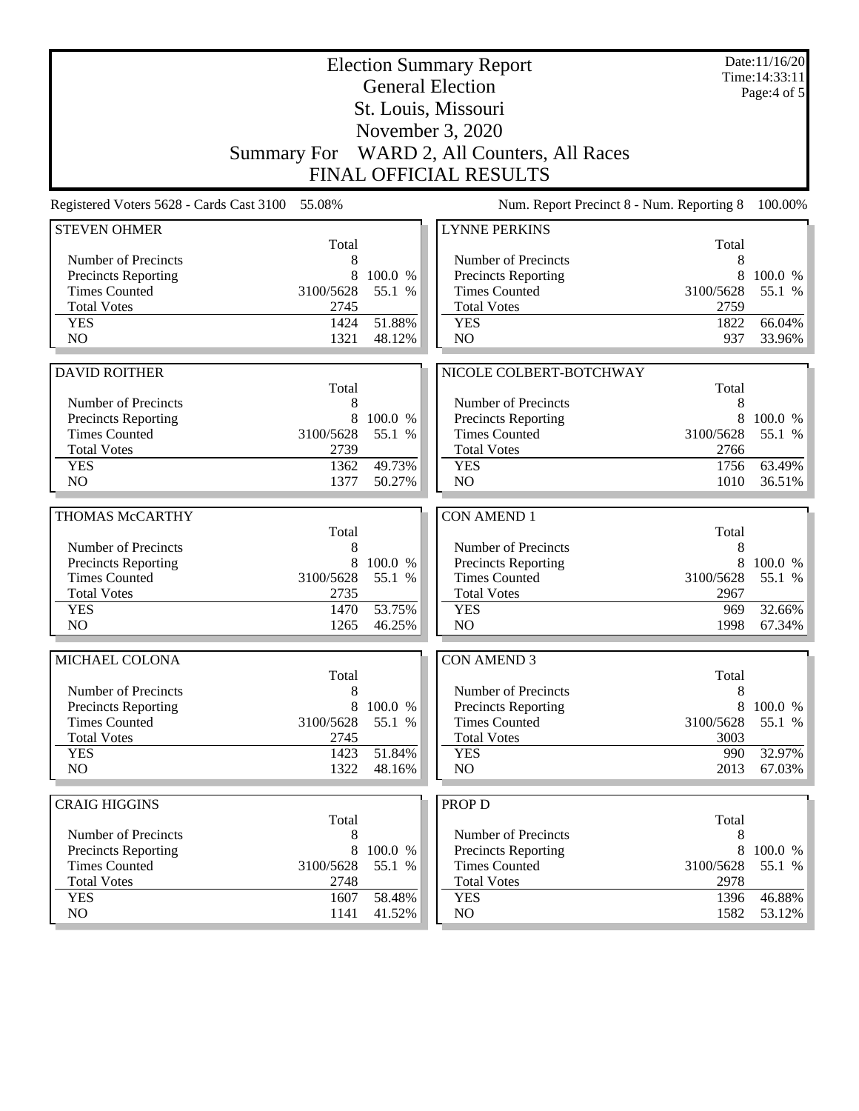|                                          |                    |         | <b>Election Summary Report</b><br><b>General Election</b> |              | Date:11/16/20<br>Time: 14:33:11 |
|------------------------------------------|--------------------|---------|-----------------------------------------------------------|--------------|---------------------------------|
|                                          |                    |         | St. Louis, Missouri                                       |              | Page: $4$ of $5$                |
|                                          |                    |         | November 3, 2020                                          |              |                                 |
|                                          | <b>Summary For</b> |         | WARD 2, All Counters, All Races                           |              |                                 |
|                                          |                    |         | <b>FINAL OFFICIAL RESULTS</b>                             |              |                                 |
|                                          |                    |         |                                                           |              |                                 |
| Registered Voters 5628 - Cards Cast 3100 | 55.08%             |         | Num. Report Precinct 8 - Num. Reporting 8                 |              | 100.00%                         |
| <b>STEVEN OHMER</b>                      | Total              |         | <b>LYNNE PERKINS</b>                                      | Total        |                                 |
| Number of Precincts                      | 8                  |         | Number of Precincts                                       | 8            |                                 |
| <b>Precincts Reporting</b>               | 8                  | 100.0 % | <b>Precincts Reporting</b>                                | 8            | 100.0 %                         |
| <b>Times Counted</b>                     | 3100/5628          | 55.1 %  | <b>Times Counted</b>                                      | 3100/5628    | 55.1 %                          |
| <b>Total Votes</b>                       | 2745               |         | <b>Total Votes</b>                                        | 2759         |                                 |
| <b>YES</b>                               | 1424               | 51.88%  | <b>YES</b>                                                | 1822         | 66.04%                          |
| NO                                       | 1321               | 48.12%  | NO                                                        | 937          | 33.96%                          |
|                                          |                    |         |                                                           |              |                                 |
| <b>DAVID ROITHER</b>                     |                    |         | NICOLE COLBERT-BOTCHWAY                                   |              |                                 |
|                                          | Total              |         |                                                           | Total        |                                 |
| Number of Precincts                      | 8                  |         | Number of Precincts                                       | 8            |                                 |
| Precincts Reporting                      | 8                  | 100.0 % | Precincts Reporting                                       | 8            | 100.0 %                         |
| <b>Times Counted</b>                     | 3100/5628          | 55.1 %  | <b>Times Counted</b>                                      | 3100/5628    | 55.1 %                          |
| <b>Total Votes</b><br><b>YES</b>         | 2739<br>1362       | 49.73%  | <b>Total Votes</b><br><b>YES</b>                          | 2766<br>1756 | 63.49%                          |
| N <sub>O</sub>                           | 1377               | 50.27%  | NO                                                        | 1010         | 36.51%                          |
|                                          |                    |         |                                                           |              |                                 |
| THOMAS McCARTHY                          |                    |         | <b>CON AMEND 1</b>                                        |              |                                 |
|                                          | Total              |         |                                                           | Total        |                                 |
| Number of Precincts                      | 8                  |         | Number of Precincts                                       | 8            |                                 |
| <b>Precincts Reporting</b>               | 8                  | 100.0 % | Precincts Reporting                                       | 8            | 100.0 %                         |
| <b>Times Counted</b>                     | 3100/5628          | 55.1 %  | <b>Times Counted</b>                                      | 3100/5628    | 55.1 %                          |
| <b>Total Votes</b>                       | 2735               |         | <b>Total Votes</b>                                        | 2967         |                                 |
| <b>YES</b>                               | 1470               | 53.75%  | <b>YES</b>                                                | 969          | 32.66%                          |
| N <sub>O</sub>                           | 1265               | 46.25%  | NO                                                        | 1998         | 67.34%                          |
| MICHAEL COLONA                           |                    |         | <b>CON AMEND 3</b>                                        |              |                                 |
|                                          | Total              |         |                                                           | Total        |                                 |
| Number of Precincts                      | 8                  |         | Number of Precincts                                       | 8            |                                 |
| <b>Precincts Reporting</b>               | 8                  | 100.0 % | Precincts Reporting                                       | 8            | 100.0 %                         |
| <b>Times Counted</b>                     | 3100/5628          | 55.1 %  | <b>Times Counted</b>                                      | 3100/5628    | 55.1 %                          |
| <b>Total Votes</b>                       | 2745               |         | <b>Total Votes</b>                                        | 3003         |                                 |
| <b>YES</b>                               | 1423               | 51.84%  | <b>YES</b>                                                | 990          | 32.97%                          |
| NO                                       | 1322               | 48.16%  | NO                                                        | 2013         | $67.03\%$                       |
|                                          |                    |         |                                                           |              |                                 |
| <b>CRAIG HIGGINS</b>                     | Total              |         | <b>PROP D</b>                                             | Total        |                                 |
| Number of Precincts                      | 8                  |         | Number of Precincts                                       | 8            |                                 |
| <b>Precincts Reporting</b>               | 8                  | 100.0 % | <b>Precincts Reporting</b>                                | 8            | 100.0 %                         |
| <b>Times Counted</b>                     | 3100/5628          | 55.1 %  | <b>Times Counted</b>                                      | 3100/5628    | 55.1 %                          |
| <b>Total Votes</b>                       | 2748               |         | <b>Total Votes</b>                                        | 2978         |                                 |
| <b>YES</b>                               | 1607               | 58.48%  | <b>YES</b>                                                | 1396         | 46.88%                          |
| NO                                       | 1141               | 41.52%  | NO                                                        | 1582         | 53.12%                          |
|                                          |                    |         |                                                           |              |                                 |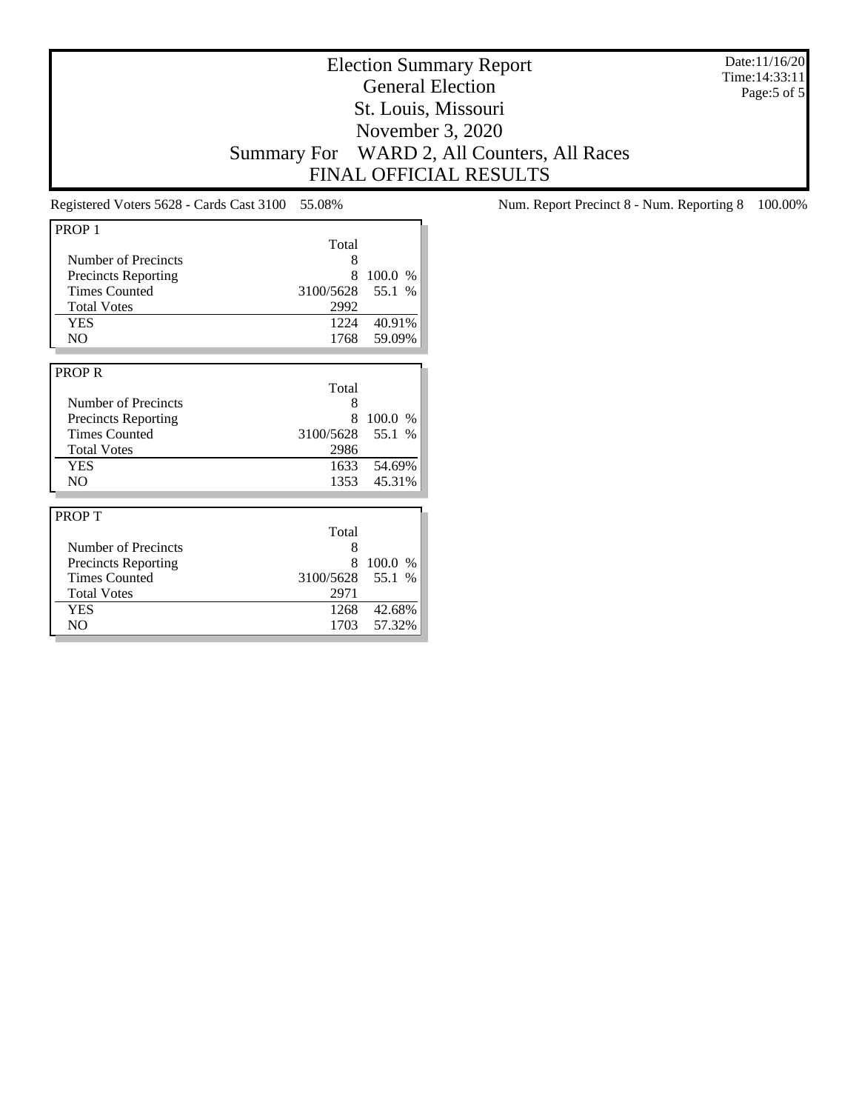Date:11/16/20 Time:14:33:11 Page:5 of 5

# Election Summary Report General Election St. Louis, Missouri November 3, 2020 Summary For WARD 2, All Counters, All Races FINAL OFFICIAL RESULTS

| PROP <sub>1</sub>          |                  |             |
|----------------------------|------------------|-------------|
|                            | Total            |             |
| Number of Precincts        | 8                |             |
|                            | 8                |             |
| <b>Precincts Reporting</b> |                  | 100.0 %     |
| <b>Times Counted</b>       | 3100/5628        | 55.1 %      |
| <b>Total Votes</b>         | 2992             |             |
| <b>YES</b>                 |                  | 1224 40.91% |
| N <sub>O</sub>             | 1768             | 59.09%      |
|                            |                  |             |
| <b>PROPR</b>               |                  |             |
|                            | Total            |             |
| <b>Number of Precincts</b> | 8                |             |
| <b>Precincts Reporting</b> | 8                | 100.0 %     |
| <b>Times Counted</b>       | 3100/5628        | 55.1 %      |
| <b>Total Votes</b>         | 2986             |             |
| <b>YES</b>                 |                  | 1633 54.69% |
| N <sub>O</sub>             | 1353             | 45.31%      |
|                            |                  |             |
|                            |                  |             |
| <b>PROPT</b>               |                  |             |
|                            | Total            |             |
| Number of Precincts        | 8                |             |
| <b>Precincts Reporting</b> | 8                | 100.0 %     |
| <b>Times Counted</b>       | 3100/5628 55.1 % |             |
| <b>Total Votes</b>         | 2971             |             |
| YES                        | 1268             | 42.68%      |

NO 1703 57.32%

Registered Voters 5628 - Cards Cast 3100 55.08% Num. Report Precinct 8 - Num. Reporting 8 100.00%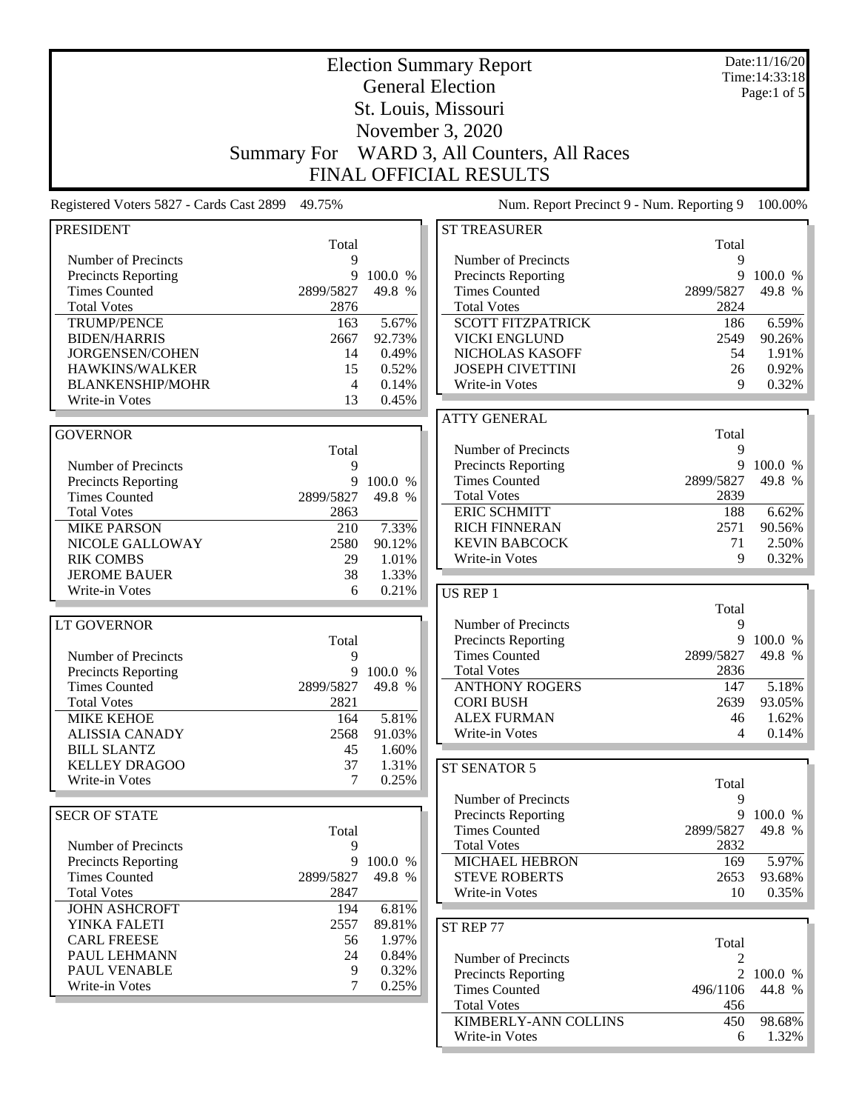|                                            |                    |                | <b>Election Summary Report</b>             |                | Date:11/16/20<br>Time: 14:33:18 |
|--------------------------------------------|--------------------|----------------|--------------------------------------------|----------------|---------------------------------|
|                                            |                    |                | <b>General Election</b>                    |                | Page:1 of $5$                   |
|                                            |                    |                | St. Louis, Missouri                        |                |                                 |
|                                            |                    |                | November 3, 2020                           |                |                                 |
|                                            |                    |                |                                            |                |                                 |
|                                            | <b>Summary For</b> |                | WARD 3, All Counters, All Races            |                |                                 |
|                                            |                    |                | <b>FINAL OFFICIAL RESULTS</b>              |                |                                 |
| Registered Voters 5827 - Cards Cast 2899   | 49.75%             |                | Num. Report Precinct 9 - Num. Reporting 9  |                | 100.00%                         |
| <b>PRESIDENT</b>                           |                    |                | <b>ST TREASURER</b>                        |                |                                 |
|                                            | Total              |                |                                            | Total          |                                 |
| Number of Precincts<br>Precincts Reporting | 9<br>9             | 100.0 %        | Number of Precincts<br>Precincts Reporting | 9<br>9         | 100.0 %                         |
| <b>Times Counted</b>                       | 2899/5827          | 49.8 %         | <b>Times Counted</b>                       | 2899/5827      | 49.8 %                          |
| <b>Total Votes</b>                         | 2876               |                | <b>Total Votes</b>                         | 2824           |                                 |
| <b>TRUMP/PENCE</b>                         | 163                | 5.67%          | <b>SCOTT FITZPATRICK</b>                   | 186            | 6.59%                           |
| <b>BIDEN/HARRIS</b>                        | 2667               | 92.73%         | <b>VICKI ENGLUND</b>                       | 2549           | 90.26%                          |
| JORGENSEN/COHEN                            | 14                 | 0.49%          | NICHOLAS KASOFF                            | 54             | 1.91%                           |
| HAWKINS/WALKER                             | 15                 | 0.52%          | <b>JOSEPH CIVETTINI</b>                    | 26             | 0.92%                           |
| <b>BLANKENSHIP/MOHR</b>                    | 4                  | 0.14%          | Write-in Votes                             | 9              | 0.32%                           |
| Write-in Votes                             | 13                 | 0.45%          |                                            |                |                                 |
|                                            |                    |                | <b>ATTY GENERAL</b>                        |                |                                 |
| <b>GOVERNOR</b>                            |                    |                |                                            | Total          |                                 |
|                                            | Total              |                | Number of Precincts                        | 9              |                                 |
| Number of Precincts                        | 9                  |                | Precincts Reporting                        | 9              | 100.0 %                         |
| <b>Precincts Reporting</b>                 | 9                  | 100.0 %        | <b>Times Counted</b>                       | 2899/5827      | 49.8 %                          |
| <b>Times Counted</b>                       | 2899/5827          | 49.8 %         | <b>Total Votes</b>                         | 2839           |                                 |
| <b>Total Votes</b>                         | 2863               |                | <b>ERIC SCHMITT</b>                        | 188            | 6.62%                           |
| <b>MIKE PARSON</b>                         | 210                | 7.33%          | <b>RICH FINNERAN</b>                       | 2571           | 90.56%                          |
| NICOLE GALLOWAY                            | 2580               | 90.12%         | <b>KEVIN BABCOCK</b>                       | 71             | 2.50%                           |
| <b>RIK COMBS</b>                           | 29                 | 1.01%          | Write-in Votes                             | 9              | 0.32%                           |
| <b>JEROME BAUER</b><br>Write-in Votes      | 38<br>6            | 1.33%<br>0.21% |                                            |                |                                 |
|                                            |                    |                | US REP 1                                   |                |                                 |
| <b>LT GOVERNOR</b>                         |                    |                | Number of Precincts                        | Total<br>9     |                                 |
|                                            | Total              |                | Precincts Reporting                        | 9              | 100.0 %                         |
| Number of Precincts                        | 9                  |                | <b>Times Counted</b>                       | 2899/5827      | 49.8 %                          |
| <b>Precincts Reporting</b>                 |                    | 9 100.0 %      | <b>Total Votes</b>                         | 2836           |                                 |
| <b>Times Counted</b>                       | 2899/5827          | 49.8 %         | <b>ANTHONY ROGERS</b>                      | 147            | 5.18%                           |
| <b>Total Votes</b>                         | 2821               |                | <b>CORI BUSH</b>                           | 2639           | 93.05%                          |
| <b>MIKE KEHOE</b>                          | 164                | 5.81%          | <b>ALEX FURMAN</b>                         | 46             | 1.62%                           |
| <b>ALISSIA CANADY</b>                      | 2568               | 91.03%         | Write-in Votes                             | 4              | 0.14%                           |
| <b>BILL SLANTZ</b>                         | 45                 | 1.60%          |                                            |                |                                 |
| <b>KELLEY DRAGOO</b>                       | 37                 | 1.31%          | ST SENATOR 5                               |                |                                 |
| Write-in Votes                             | 7                  | 0.25%          |                                            | Total          |                                 |
|                                            |                    |                | Number of Precincts                        | 9              |                                 |
| <b>SECR OF STATE</b>                       |                    |                | <b>Precincts Reporting</b>                 | 9              | 100.0 %                         |
|                                            | Total              |                | <b>Times Counted</b>                       | 2899/5827      | 49.8 %                          |
| Number of Precincts                        | 9                  |                | <b>Total Votes</b>                         | 2832           |                                 |
| <b>Precincts Reporting</b>                 | 9                  | 100.0 %        | MICHAEL HEBRON                             | 169            | 5.97%                           |
| <b>Times Counted</b>                       | 2899/5827          | 49.8 %         | <b>STEVE ROBERTS</b>                       | 2653           | 93.68%                          |
| <b>Total Votes</b>                         | 2847               |                | Write-in Votes                             | 10             | 0.35%                           |
| <b>JOHN ASHCROFT</b>                       | 194                | 6.81%          |                                            |                |                                 |
| YINKA FALETI                               | 2557               | 89.81%         | ST REP 77                                  |                |                                 |
| <b>CARL FREESE</b>                         | 56                 | 1.97%          |                                            | Total          |                                 |
| PAUL LEHMANN                               | 24                 | 0.84%          | Number of Precincts                        | 2              |                                 |
| PAUL VENABLE                               | 9<br>7             | 0.32%          | <b>Precincts Reporting</b>                 | $\overline{2}$ | 100.0 %                         |
| Write-in Votes                             |                    | 0.25%          | <b>Times Counted</b>                       | 496/1106       | 44.8 %                          |
|                                            |                    |                | <b>Total Votes</b>                         | 456            |                                 |
|                                            |                    |                | KIMBERLY-ANN COLLINS                       | 450            | 98.68%                          |
|                                            |                    |                | Write-in Votes                             | 6              | 1.32%                           |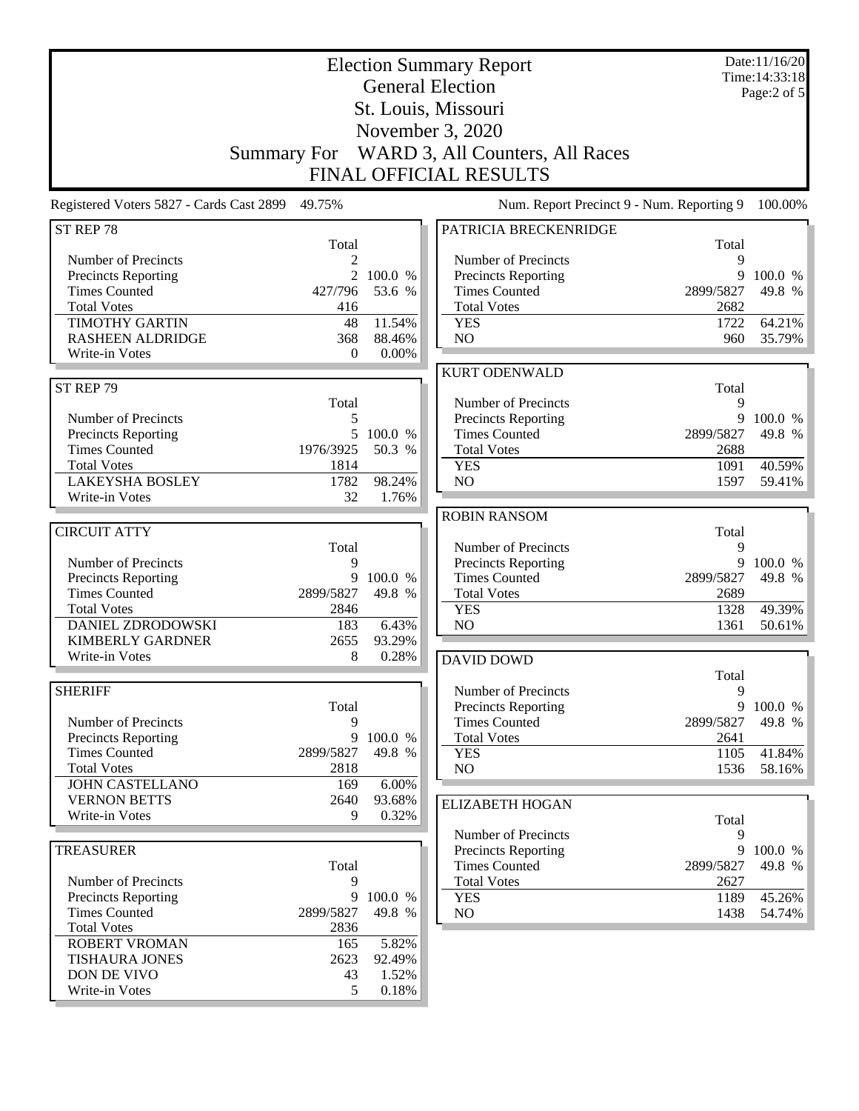| <b>Election Summary Report</b><br><b>General Election</b> |                |                   |                                             | Date:11/16/20<br>Time: 14:33:18<br>Page:2 of 5 |                   |
|-----------------------------------------------------------|----------------|-------------------|---------------------------------------------|------------------------------------------------|-------------------|
|                                                           |                |                   | St. Louis, Missouri                         |                                                |                   |
|                                                           |                |                   | November 3, 2020                            |                                                |                   |
|                                                           | Summary For    |                   | WARD 3, All Counters, All Races             |                                                |                   |
|                                                           |                |                   | <b>FINAL OFFICIAL RESULTS</b>               |                                                |                   |
| Registered Voters 5827 - Cards Cast 2899 49.75%           |                |                   | Num. Report Precinct 9 - Num. Reporting 9   |                                                | 100.00%           |
| ST REP 78                                                 |                |                   | PATRICIA BRECKENRIDGE                       |                                                |                   |
|                                                           | Total          |                   |                                             | Total                                          |                   |
| Number of Precincts                                       | 2              |                   | Number of Precincts                         | 9                                              |                   |
| <b>Precincts Reporting</b><br><b>Times Counted</b>        | 2<br>427/796   | 100.0 %<br>53.6 % | Precincts Reporting<br><b>Times Counted</b> | 9<br>2899/5827                                 | 100.0 %<br>49.8 % |
| <b>Total Votes</b>                                        | 416            |                   | <b>Total Votes</b>                          | 2682                                           |                   |
| <b>TIMOTHY GARTIN</b>                                     | 48             | 11.54%            | <b>YES</b>                                  | 1722                                           | 64.21%            |
| <b>RASHEEN ALDRIDGE</b>                                   | 368            | 88.46%            | NO                                          | 960                                            | 35.79%            |
| Write-in Votes                                            | $\overline{0}$ | $0.00\%$          |                                             |                                                |                   |
|                                                           |                |                   | <b>KURT ODENWALD</b>                        |                                                |                   |
| ST REP 79                                                 |                |                   |                                             | Total                                          |                   |
|                                                           | Total          |                   | Number of Precincts                         | 9                                              |                   |
| Number of Precincts                                       | 5              |                   | <b>Precincts Reporting</b>                  | 9                                              | 100.0 %           |
| <b>Precincts Reporting</b>                                | 5              | 100.0 %           | <b>Times Counted</b>                        | 2899/5827                                      | 49.8 %            |
| <b>Times Counted</b>                                      | 1976/3925      | 50.3 %            | <b>Total Votes</b>                          | 2688                                           |                   |
| <b>Total Votes</b>                                        | 1814           |                   | <b>YES</b>                                  | 1091                                           | 40.59%            |
| <b>LAKEYSHA BOSLEY</b>                                    | 1782           | 98.24%            | NO                                          | 1597                                           | 59.41%            |
| Write-in Votes                                            | 32             | 1.76%             |                                             |                                                |                   |
|                                                           |                |                   | <b>ROBIN RANSOM</b>                         |                                                |                   |
| <b>CIRCUIT ATTY</b>                                       | Total          |                   | Number of Precincts                         | Total<br>9                                     |                   |
| Number of Precincts                                       | 9              |                   | Precincts Reporting                         | 9                                              | 100.0 %           |
| <b>Precincts Reporting</b>                                | 9              | 100.0 %           | <b>Times Counted</b>                        | 2899/5827                                      | 49.8 %            |
| <b>Times Counted</b>                                      | 2899/5827      | 49.8 %            | <b>Total Votes</b>                          | 2689                                           |                   |
| <b>Total Votes</b>                                        | 2846           |                   | <b>YES</b>                                  | 1328                                           | 49.39%            |
| <b>DANIEL ZDRODOWSKI</b>                                  | 183            | 6.43%             | NO                                          | 1361                                           | 50.61%            |
| <b>KIMBERLY GARDNER</b>                                   | 2655           | 93.29%            |                                             |                                                |                   |
| Write-in Votes                                            | 8              | 0.28%             | <b>DAVID DOWD</b>                           |                                                |                   |
|                                                           |                |                   |                                             | Total                                          |                   |
| <b>SHERIFF</b>                                            |                |                   | Number of Precincts                         | 9                                              |                   |
|                                                           | Total          |                   | Precincts Reporting                         |                                                | 9 100.0 %         |
| Number of Precincts                                       | 9              |                   | <b>Times Counted</b>                        | 2899/5827                                      | 49.8 %            |
| <b>Precincts Reporting</b><br><b>Times Counted</b>        | 9<br>2899/5827 | 100.0 %<br>49.8 % | <b>Total Votes</b><br><b>YES</b>            | 2641                                           |                   |
| <b>Total Votes</b>                                        | 2818           |                   | NO.                                         | 1105<br>1536                                   | 41.84%<br>58.16%  |
| <b>JOHN CASTELLANO</b>                                    | 169            | 6.00%             |                                             |                                                |                   |
| <b>VERNON BETTS</b>                                       | 2640           | 93.68%            | <b>ELIZABETH HOGAN</b>                      |                                                |                   |
| Write-in Votes                                            | 9              | 0.32%             |                                             | Total                                          |                   |
|                                                           |                |                   | Number of Precincts                         | 9                                              |                   |
| <b>TREASURER</b>                                          |                |                   | <b>Precincts Reporting</b>                  | 9                                              | 100.0 %           |
|                                                           | Total          |                   | <b>Times Counted</b>                        | 2899/5827                                      | 49.8 %            |
| Number of Precincts                                       | 9              |                   | <b>Total Votes</b>                          | 2627                                           |                   |
| Precincts Reporting                                       | 9              | 100.0 %           | <b>YES</b>                                  | 1189                                           | 45.26%            |
| <b>Times Counted</b>                                      | 2899/5827      | 49.8 %            | NO                                          | 1438                                           | 54.74%            |
| <b>Total Votes</b>                                        | 2836           |                   |                                             |                                                |                   |
| ROBERT VROMAN                                             | 165            | 5.82%             |                                             |                                                |                   |
| <b>TISHAURA JONES</b>                                     | 2623           | 92.49%            |                                             |                                                |                   |
| DON DE VIVO<br>Write-in Votes                             | 43<br>5        | 1.52%<br>0.18%    |                                             |                                                |                   |
|                                                           |                |                   |                                             |                                                |                   |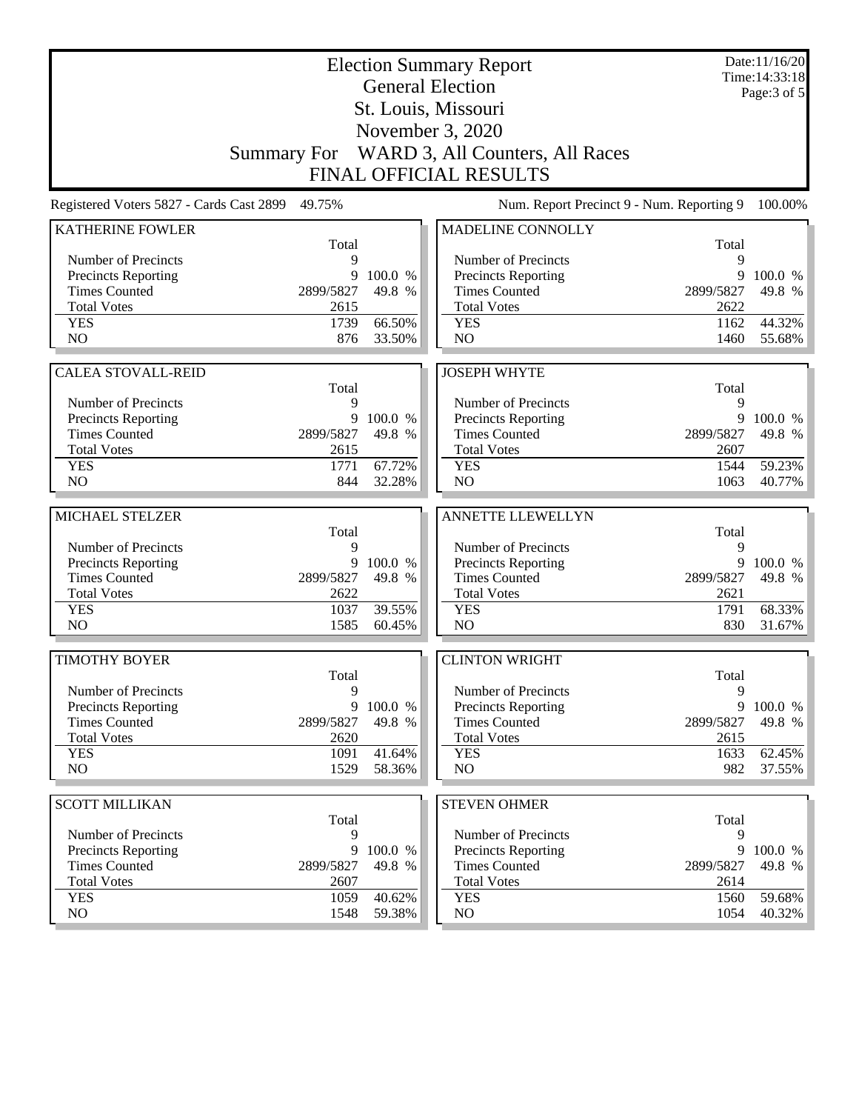| <b>Election Summary Report</b>           |              |                  |                                             |              | Date:11/16/20<br>Time: 14:33:18 |
|------------------------------------------|--------------|------------------|---------------------------------------------|--------------|---------------------------------|
| <b>General Election</b>                  |              |                  |                                             |              | Page: 3 of 5                    |
|                                          |              |                  | St. Louis, Missouri                         |              |                                 |
|                                          |              |                  | November 3, 2020                            |              |                                 |
|                                          |              |                  | Summary For WARD 3, All Counters, All Races |              |                                 |
|                                          |              |                  | <b>FINAL OFFICIAL RESULTS</b>               |              |                                 |
| Registered Voters 5827 - Cards Cast 2899 | 49.75%       |                  | Num. Report Precinct 9 - Num. Reporting 9   |              | 100.00%                         |
| <b>KATHERINE FOWLER</b>                  |              |                  | MADELINE CONNOLLY                           |              |                                 |
| Number of Precincts                      | Total<br>9   |                  | Number of Precincts                         | Total<br>9   |                                 |
| <b>Precincts Reporting</b>               | 9            | 100.0 %          | Precincts Reporting                         | 9            | 100.0 %                         |
| <b>Times Counted</b>                     | 2899/5827    | 49.8 %           | <b>Times Counted</b>                        | 2899/5827    | 49.8 %                          |
| <b>Total Votes</b>                       | 2615         |                  | <b>Total Votes</b>                          | 2622         |                                 |
| <b>YES</b>                               | 1739         | 66.50%           | <b>YES</b>                                  | 1162         | 44.32%                          |
| NO                                       | 876          | 33.50%           | NO                                          | 1460         | 55.68%                          |
|                                          |              |                  |                                             |              |                                 |
| <b>CALEA STOVALL-REID</b>                |              |                  | <b>JOSEPH WHYTE</b>                         |              |                                 |
| Number of Precincts                      | Total<br>9   |                  | Number of Precincts                         | Total<br>9   |                                 |
| <b>Precincts Reporting</b>               | 9            | 100.0 %          | Precincts Reporting                         | 9            | 100.0 %                         |
| <b>Times Counted</b>                     | 2899/5827    | 49.8 %           | <b>Times Counted</b>                        | 2899/5827    | 49.8 %                          |
| <b>Total Votes</b>                       | 2615         |                  | <b>Total Votes</b>                          | 2607         |                                 |
| <b>YES</b>                               | 1771         | 67.72%           | <b>YES</b>                                  | 1544         | 59.23%                          |
| NO                                       | 844          | 32.28%           | NO                                          | 1063         | 40.77%                          |
|                                          |              |                  |                                             |              |                                 |
| MICHAEL STELZER                          | Total        |                  | <b>ANNETTE LLEWELLYN</b>                    | Total        |                                 |
| Number of Precincts                      | 9            |                  | Number of Precincts                         | 9            |                                 |
| <b>Precincts Reporting</b>               |              | 9 100.0 %        | Precincts Reporting                         | 9            | 100.0 %                         |
| <b>Times Counted</b>                     | 2899/5827    | 49.8 %           | <b>Times Counted</b>                        | 2899/5827    | 49.8 %                          |
| <b>Total Votes</b>                       | 2622         |                  | <b>Total Votes</b>                          | 2621         |                                 |
| <b>YES</b>                               | 1037         | 39.55%           | <b>YES</b>                                  | 1791         | 68.33%                          |
| N <sub>O</sub>                           | 1585         | 60.45%           | N <sub>O</sub>                              | 830          | 31.67%                          |
| <b>TIMOTHY BOYER</b>                     |              |                  | <b>CLINTON WRIGHT</b>                       |              |                                 |
|                                          | Total        |                  |                                             | Total        |                                 |
| Number of Precincts                      | 9            |                  | Number of Precincts                         | 9            |                                 |
| <b>Precincts Reporting</b>               | 9            | 100.0 %          | Precincts Reporting                         | 9            | 100.0 %                         |
| <b>Times Counted</b>                     | 2899/5827    | 49.8 %           | <b>Times Counted</b>                        | 2899/5827    | 49.8 %                          |
| <b>Total Votes</b><br><b>YES</b>         | 2620<br>1091 | 41.64%           | <b>Total Votes</b><br><b>YES</b>            | 2615<br>1633 |                                 |
| NO                                       | 1529         | 58.36%           | NO                                          | 982          | 62.45%<br>37.55%                |
|                                          |              |                  |                                             |              |                                 |
| <b>SCOTT MILLIKAN</b>                    |              |                  | <b>STEVEN OHMER</b>                         |              |                                 |
|                                          | Total        |                  |                                             | Total        |                                 |
| Number of Precincts                      | 9            |                  | Number of Precincts                         | 9            |                                 |
| <b>Precincts Reporting</b>               | 9            | 100.0 %          | Precincts Reporting                         | 9            | 100.0 %                         |
| <b>Times Counted</b>                     | 2899/5827    | 49.8 %           | <b>Times Counted</b>                        | 2899/5827    | 49.8 %                          |
| <b>Total Votes</b>                       | 2607         |                  | <b>Total Votes</b>                          | 2614         |                                 |
| <b>YES</b><br>NO                         | 1059<br>1548 | 40.62%<br>59.38% | <b>YES</b><br>NO.                           | 1560<br>1054 | 59.68%<br>40.32%                |
|                                          |              |                  |                                             |              |                                 |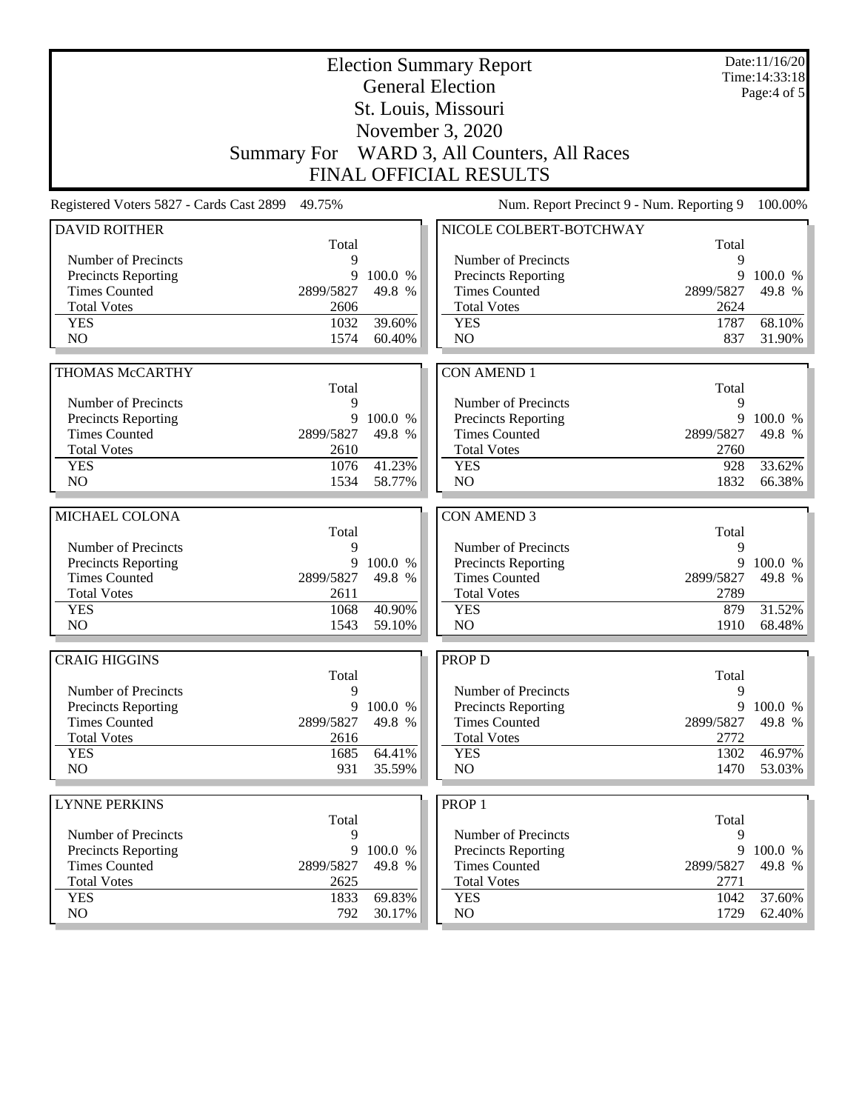|                                                   | Date:11/16/20<br><b>Election Summary Report</b><br>Time: 14:33:18<br><b>General Election</b> |           |                                                   |                   |                  |
|---------------------------------------------------|----------------------------------------------------------------------------------------------|-----------|---------------------------------------------------|-------------------|------------------|
|                                                   |                                                                                              |           |                                                   |                   | Page: $4$ of $5$ |
|                                                   |                                                                                              |           | St. Louis, Missouri                               |                   |                  |
|                                                   |                                                                                              |           | November 3, 2020                                  |                   |                  |
|                                                   |                                                                                              |           | Summary For WARD 3, All Counters, All Races       |                   |                  |
|                                                   |                                                                                              |           | <b>FINAL OFFICIAL RESULTS</b>                     |                   |                  |
| Registered Voters 5827 - Cards Cast 2899          | 49.75%                                                                                       |           | Num. Report Precinct 9 - Num. Reporting 9         |                   | 100.00%          |
| <b>DAVID ROITHER</b>                              |                                                                                              |           | NICOLE COLBERT-BOTCHWAY                           |                   |                  |
|                                                   | Total                                                                                        |           |                                                   | Total             |                  |
| Number of Precincts<br><b>Precincts Reporting</b> | 9<br>9                                                                                       | 100.0 %   | Number of Precincts<br><b>Precincts Reporting</b> | 9<br>9            | 100.0 %          |
| <b>Times Counted</b>                              | 2899/5827                                                                                    | 49.8 %    | <b>Times Counted</b>                              | 2899/5827         | 49.8 %           |
| <b>Total Votes</b>                                | 2606                                                                                         |           | <b>Total Votes</b>                                | 2624              |                  |
| <b>YES</b>                                        | 1032                                                                                         | 39.60%    | <b>YES</b>                                        | 1787              | 68.10%           |
| N <sub>O</sub>                                    | 1574                                                                                         | 60.40%    | NO                                                | 837               | 31.90%           |
|                                                   |                                                                                              |           |                                                   |                   |                  |
| THOMAS McCARTHY                                   |                                                                                              |           | <b>CON AMEND 1</b>                                |                   |                  |
|                                                   | Total                                                                                        |           |                                                   | Total             |                  |
| Number of Precincts                               | 9                                                                                            |           | Number of Precincts                               | 9                 |                  |
| <b>Precincts Reporting</b>                        | 9                                                                                            | 100.0 %   | Precincts Reporting                               | 9                 | 100.0 %          |
| <b>Times Counted</b><br><b>Total Votes</b>        | 2899/5827                                                                                    | 49.8 %    | <b>Times Counted</b>                              | 2899/5827         | 49.8 %           |
| <b>YES</b>                                        | 2610<br>1076                                                                                 | 41.23%    | <b>Total Votes</b><br><b>YES</b>                  | 2760<br>928       | 33.62%           |
| NO                                                | 1534                                                                                         | 58.77%    | NO                                                | 1832              | 66.38%           |
|                                                   |                                                                                              |           |                                                   |                   |                  |
| MICHAEL COLONA                                    |                                                                                              |           | <b>CON AMEND 3</b>                                |                   |                  |
|                                                   | Total                                                                                        |           |                                                   | Total             |                  |
| Number of Precincts                               | 9                                                                                            |           | Number of Precincts                               | 9                 |                  |
| <b>Precincts Reporting</b>                        | 9                                                                                            | 100.0 %   | Precincts Reporting                               | 9                 | 100.0 %          |
| <b>Times Counted</b>                              | 2899/5827                                                                                    | 49.8 %    | <b>Times Counted</b>                              | 2899/5827         | 49.8 %           |
| <b>Total Votes</b>                                | 2611                                                                                         |           | <b>Total Votes</b>                                | 2789              |                  |
| <b>YES</b>                                        | 1068<br>1543                                                                                 | 40.90%    | <b>YES</b><br>NO                                  | 879               | 31.52%           |
| N <sub>O</sub>                                    |                                                                                              | 59.10%    |                                                   | 1910              | 68.48%           |
| <b>CRAIG HIGGINS</b>                              |                                                                                              |           | <b>PROP D</b>                                     |                   |                  |
|                                                   | Total                                                                                        |           |                                                   | Total             |                  |
| Number of Precincts                               | 9                                                                                            |           | Number of Precincts                               | 9                 |                  |
| <b>Precincts Reporting</b>                        |                                                                                              | 9 100.0 % | <b>Precincts Reporting</b>                        | 9                 | 100.0 %          |
| <b>Times Counted</b><br><b>Total Votes</b>        | 2899/5827                                                                                    | 49.8 %    | <b>Times Counted</b><br><b>Total Votes</b>        | 2899/5827<br>2772 | 49.8 %           |
| <b>YES</b>                                        | 2616<br>1685                                                                                 | 64.41%    | <b>YES</b>                                        | 1302              | 46.97%           |
| NO.                                               | 931                                                                                          | 35.59%    | NO                                                | 1470              | 53.03%           |
|                                                   |                                                                                              |           |                                                   |                   |                  |
| <b>LYNNE PERKINS</b>                              |                                                                                              |           | PROP <sub>1</sub>                                 |                   |                  |
|                                                   | Total                                                                                        |           |                                                   | Total             |                  |
| Number of Precincts                               | 9                                                                                            |           | Number of Precincts                               | 9                 |                  |
| Precincts Reporting                               | 9                                                                                            | 100.0 %   | Precincts Reporting                               | 9                 | 100.0 %          |
| <b>Times Counted</b>                              | 2899/5827                                                                                    | 49.8 %    | <b>Times Counted</b>                              | 2899/5827         | 49.8 %           |
| <b>Total Votes</b>                                | 2625<br>1833                                                                                 | 69.83%    | <b>Total Votes</b><br><b>YES</b>                  | 2771<br>1042      | 37.60%           |
| <b>YES</b>                                        |                                                                                              |           |                                                   |                   |                  |
| NO.                                               | 792                                                                                          | 30.17%    | NO.                                               | 1729              | $62.40\%$        |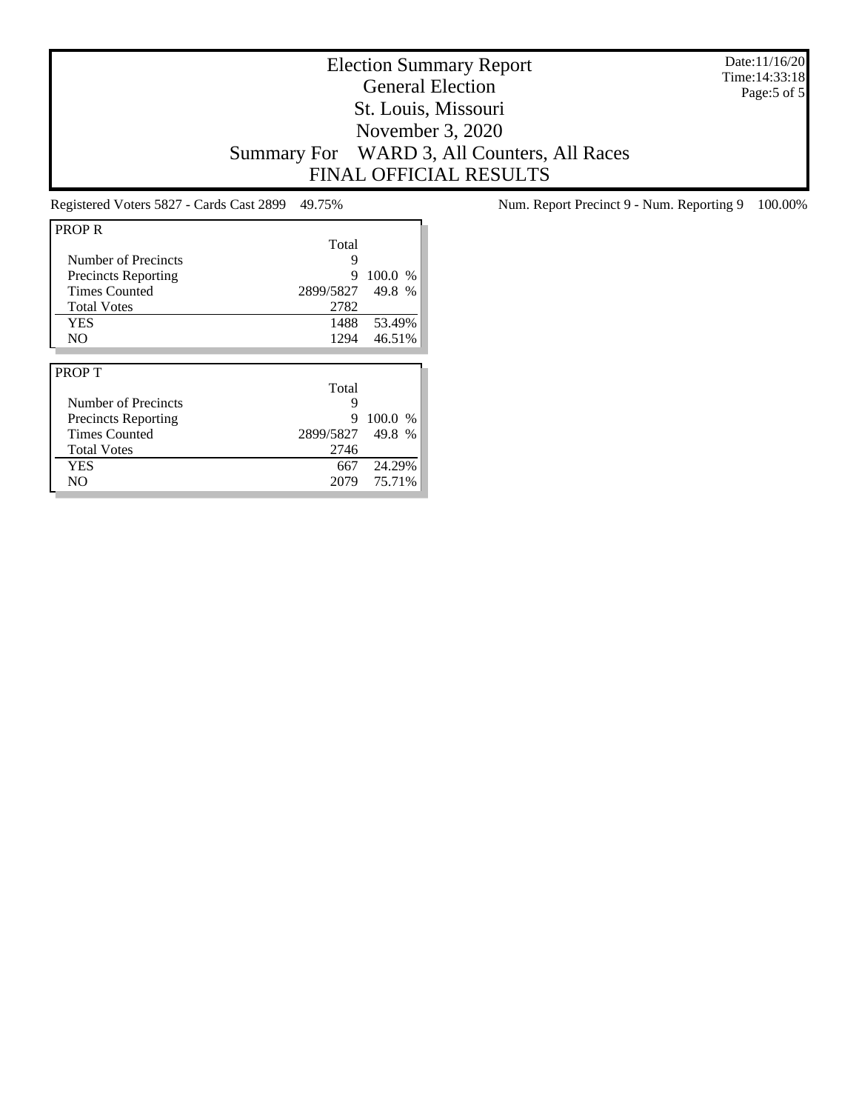Date:11/16/20 Time:14:33:18 Page:5 of 5

### Election Summary Report General Election St. Louis, Missouri November 3, 2020 Summary For WARD 3, All Counters, All Races FINAL OFFICIAL RESULTS

| <b>PROPR</b>               |           |         |
|----------------------------|-----------|---------|
|                            | Total     |         |
| Number of Precincts        | 9         |         |
| <b>Precincts Reporting</b> | 9         | 100.0 % |
| <b>Times Counted</b>       | 2899/5827 | 49.8 %  |
| <b>Total Votes</b>         | 2782      |         |
| <b>YES</b>                 | 1488      | 53.49%  |
| N <sub>O</sub>             | 1294      | 46.51%  |
|                            |           |         |
|                            |           |         |
| <b>PROPT</b>               |           |         |
|                            | Total     |         |
| Number of Precincts        | 9         |         |
| <b>Precincts Reporting</b> | 9         | 100.0%  |
| <b>Times Counted</b>       | 2899/5827 | 49.8 %  |
| <b>Total Votes</b>         | 2746      |         |
| <b>YES</b>                 | 667       | 24.29%  |

Registered Voters 5827 - Cards Cast 2899 49.75% Num. Report Precinct 9 - Num. Reporting 9 100.00%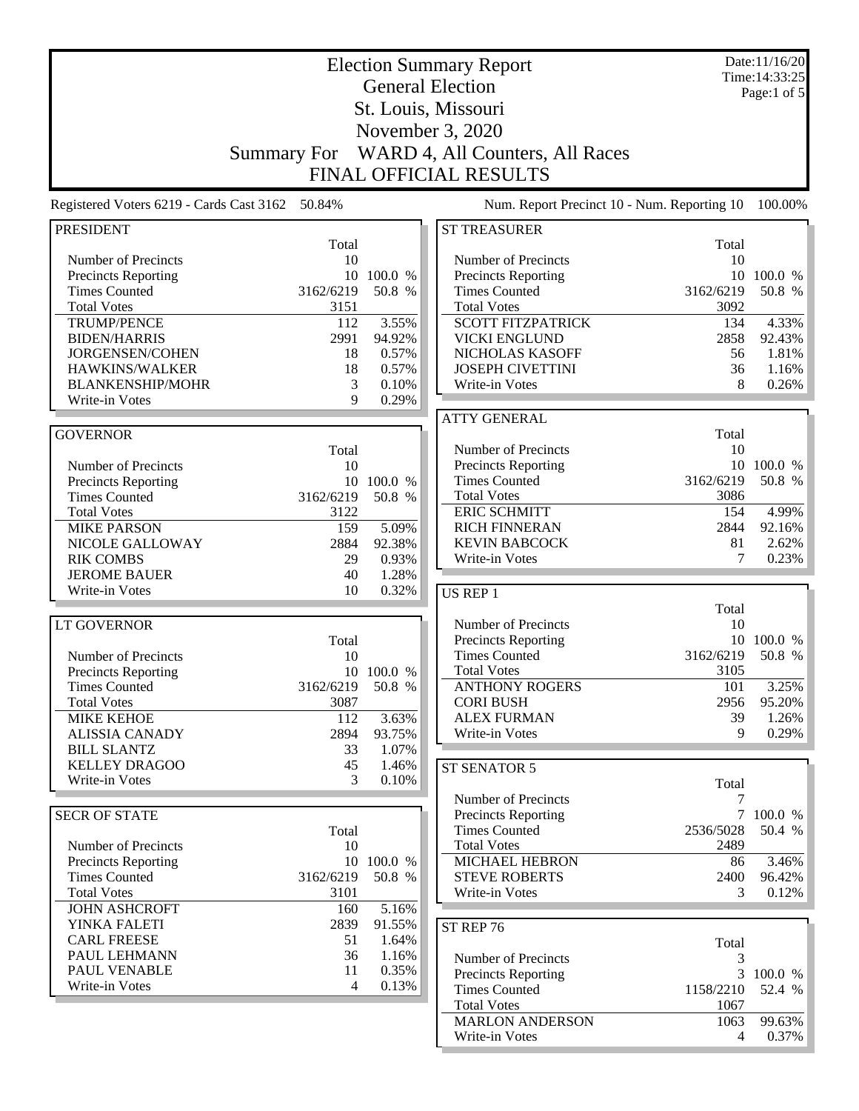|                                                    | Date:11/16/20<br><b>Election Summary Report</b> |                      |                                                   |                |                                 |
|----------------------------------------------------|-------------------------------------------------|----------------------|---------------------------------------------------|----------------|---------------------------------|
|                                                    |                                                 |                      | <b>General Election</b>                           |                | Time: 14:33:25<br>Page:1 of $5$ |
|                                                    |                                                 |                      | St. Louis, Missouri                               |                |                                 |
|                                                    |                                                 |                      |                                                   |                |                                 |
|                                                    |                                                 |                      | November 3, 2020                                  |                |                                 |
|                                                    | <b>Summary For</b>                              |                      | WARD 4, All Counters, All Races                   |                |                                 |
|                                                    |                                                 |                      | <b>FINAL OFFICIAL RESULTS</b>                     |                |                                 |
| Registered Voters 6219 - Cards Cast 3162           | 50.84%                                          |                      | Num. Report Precinct 10 - Num. Reporting 10       |                | 100.00%                         |
| <b>PRESIDENT</b>                                   |                                                 |                      | <b>ST TREASURER</b>                               |                |                                 |
|                                                    | Total                                           |                      |                                                   | Total          |                                 |
| Number of Precincts<br><b>Precincts Reporting</b>  | 10<br>10                                        | 100.0 %              | Number of Precincts<br><b>Precincts Reporting</b> | 10<br>10       | 100.0 %                         |
| <b>Times Counted</b>                               | 3162/6219                                       | 50.8 %               | <b>Times Counted</b>                              | 3162/6219      | 50.8 %                          |
| <b>Total Votes</b>                                 | 3151                                            |                      | <b>Total Votes</b>                                | 3092           |                                 |
| <b>TRUMP/PENCE</b>                                 | 112                                             | 3.55%                | <b>SCOTT FITZPATRICK</b>                          | 134            | 4.33%                           |
| <b>BIDEN/HARRIS</b>                                | 2991                                            | 94.92%               | <b>VICKI ENGLUND</b>                              | 2858           | 92.43%                          |
| JORGENSEN/COHEN                                    | 18                                              | 0.57%                | NICHOLAS KASOFF                                   | 56             | 1.81%                           |
| HAWKINS/WALKER                                     | 18                                              | 0.57%                | <b>JOSEPH CIVETTINI</b>                           | 36             | 1.16%                           |
| <b>BLANKENSHIP/MOHR</b>                            | 3                                               | 0.10%                | Write-in Votes                                    | 8              | 0.26%                           |
| Write-in Votes                                     | 9                                               | 0.29%                |                                                   |                |                                 |
|                                                    |                                                 |                      | <b>ATTY GENERAL</b>                               |                |                                 |
| <b>GOVERNOR</b>                                    |                                                 |                      |                                                   | Total          |                                 |
|                                                    | Total                                           |                      | Number of Precincts                               | 10             |                                 |
| Number of Precincts                                | 10                                              |                      | Precincts Reporting<br><b>Times Counted</b>       | 3162/6219      | 10 100.0 %<br>50.8 %            |
| <b>Precincts Reporting</b><br><b>Times Counted</b> | 3162/6219                                       | 10 100.0 %<br>50.8 % | <b>Total Votes</b>                                | 3086           |                                 |
| <b>Total Votes</b>                                 | 3122                                            |                      | <b>ERIC SCHMITT</b>                               | 154            | 4.99%                           |
| <b>MIKE PARSON</b>                                 | 159                                             | $\overline{5.09\%}$  | <b>RICH FINNERAN</b>                              | 2844           | 92.16%                          |
| NICOLE GALLOWAY                                    | 2884                                            | 92.38%               | <b>KEVIN BABCOCK</b>                              | 81             | 2.62%                           |
| <b>RIK COMBS</b>                                   | 29                                              | 0.93%                | Write-in Votes                                    | 7              | 0.23%                           |
| <b>JEROME BAUER</b>                                | 40                                              | 1.28%                |                                                   |                |                                 |
| Write-in Votes                                     | 10                                              | 0.32%                | US REP 1                                          |                |                                 |
|                                                    |                                                 |                      |                                                   | Total          |                                 |
| <b>LT GOVERNOR</b>                                 |                                                 |                      | Number of Precincts                               | 10             |                                 |
|                                                    | Total                                           |                      | <b>Precincts Reporting</b>                        |                | 10 100.0 %                      |
| Number of Precincts                                | 10                                              |                      | <b>Times Counted</b>                              | 3162/6219      | 50.8 %                          |
| <b>Precincts Reporting</b>                         |                                                 | 10 100.0 %           | <b>Total Votes</b>                                | 3105           |                                 |
| <b>Times Counted</b>                               | 3162/6219                                       | 50.8 %               | <b>ANTHONY ROGERS</b>                             | 101            | 3.25%                           |
| <b>Total Votes</b>                                 | 3087                                            |                      | <b>CORI BUSH</b>                                  | 2956           | 95.20%                          |
| <b>MIKE KEHOE</b>                                  | 112                                             | 3.63%                | <b>ALEX FURMAN</b>                                | 39             | 1.26%                           |
| <b>ALISSIA CANADY</b>                              | 2894                                            | 93.75%               | Write-in Votes                                    | 9              | 0.29%                           |
| <b>BILL SLANTZ</b><br><b>KELLEY DRAGOO</b>         | 33<br>45                                        | 1.07%<br>1.46%       |                                                   |                |                                 |
| Write-in Votes                                     | 3                                               | 0.10%                | ST SENATOR 5                                      | Total          |                                 |
|                                                    |                                                 |                      | Number of Precincts                               | 7              |                                 |
| <b>SECR OF STATE</b>                               |                                                 |                      | <b>Precincts Reporting</b>                        |                | 7 100.0 %                       |
|                                                    | Total                                           |                      | <b>Times Counted</b>                              | 2536/5028      | 50.4 %                          |
| Number of Precincts                                | 10                                              |                      | <b>Total Votes</b>                                | 2489           |                                 |
| <b>Precincts Reporting</b>                         |                                                 | 10 100.0 %           | MICHAEL HEBRON                                    | 86             | 3.46%                           |
| <b>Times Counted</b>                               | 3162/6219                                       | 50.8 %               | <b>STEVE ROBERTS</b>                              | 2400           | 96.42%                          |
| <b>Total Votes</b>                                 | 3101                                            |                      | Write-in Votes                                    | 3              | 0.12%                           |
| <b>JOHN ASHCROFT</b>                               | 160                                             | 5.16%                |                                                   |                |                                 |
| YINKA FALETI                                       | 2839                                            | 91.55%               | ST REP 76                                         |                |                                 |
| <b>CARL FREESE</b>                                 | 51                                              | 1.64%                |                                                   | Total          |                                 |
| PAUL LEHMANN                                       | 36                                              | 1.16%                | Number of Precincts                               | 3              |                                 |
| PAUL VENABLE                                       | 11                                              | 0.35%                | <b>Precincts Reporting</b>                        | 3              | 100.0 %                         |
| Write-in Votes                                     | 4                                               | 0.13%                | <b>Times Counted</b>                              | 1158/2210      | 52.4 %                          |
|                                                    |                                                 |                      | <b>Total Votes</b>                                | 1067           |                                 |
|                                                    |                                                 |                      | <b>MARLON ANDERSON</b>                            | 1063           | 99.63%                          |
|                                                    |                                                 |                      | Write-in Votes                                    | $\overline{4}$ | $0.37\%$                        |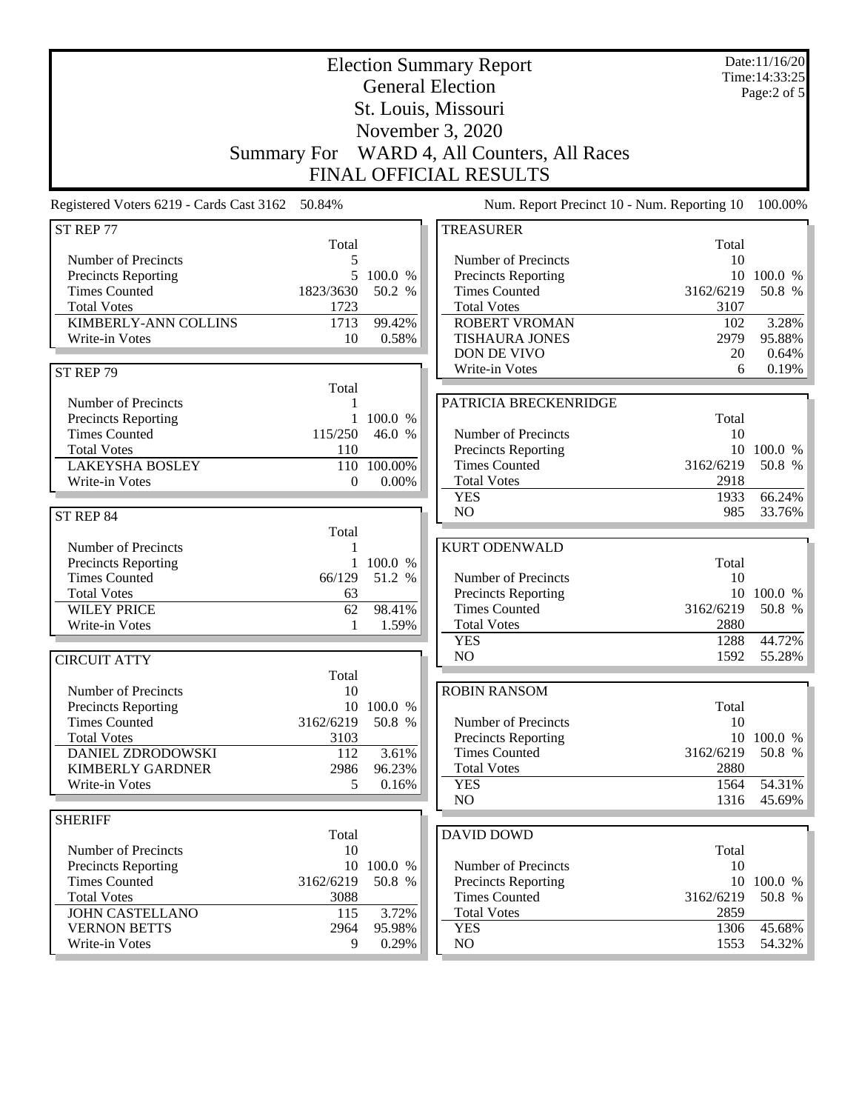| <b>Election Summary Report</b><br><b>General Election</b><br>St. Louis, Missouri |              |                 |                                             |                                             | Date:11/16/20<br>Time: 14:33:25<br>Page:2 of 5 |
|----------------------------------------------------------------------------------|--------------|-----------------|---------------------------------------------|---------------------------------------------|------------------------------------------------|
|                                                                                  |              |                 | November 3, 2020                            |                                             |                                                |
| <b>Summary For</b>                                                               |              |                 | WARD 4, All Counters, All Races             |                                             |                                                |
|                                                                                  |              |                 | <b>FINAL OFFICIAL RESULTS</b>               |                                             |                                                |
| Registered Voters 6219 - Cards Cast 3162 50.84%                                  |              |                 |                                             | Num. Report Precinct 10 - Num. Reporting 10 | 100.00%                                        |
| ST REP 77                                                                        |              |                 | <b>TREASURER</b>                            |                                             |                                                |
| Number of Precincts                                                              | Total<br>5   |                 | Number of Precincts                         | Total<br>10                                 |                                                |
| Precincts Reporting                                                              | 5            | 100.0 %         | Precincts Reporting                         | 10                                          | 100.0 %                                        |
| <b>Times Counted</b>                                                             | 1823/3630    | 50.2 %          | <b>Times Counted</b>                        | 3162/6219                                   | 50.8 %                                         |
| <b>Total Votes</b>                                                               | 1723         |                 | <b>Total Votes</b>                          | 3107                                        |                                                |
| <b>KIMBERLY-ANN COLLINS</b>                                                      | 1713         | 99.42%          | <b>ROBERT VROMAN</b>                        | 102                                         | 3.28%                                          |
| Write-in Votes                                                                   | 10           | 0.58%           | <b>TISHAURA JONES</b>                       | 2979                                        | 95.88%                                         |
|                                                                                  |              |                 | DON DE VIVO                                 | 20                                          | $0.64\%$                                       |
| ST REP 79                                                                        |              |                 | Write-in Votes                              | 6                                           | 0.19%                                          |
|                                                                                  | Total        |                 |                                             |                                             |                                                |
| Number of Precincts<br>Precincts Reporting                                       | 1<br>1       | 100.0 %         | PATRICIA BRECKENRIDGE                       | Total                                       |                                                |
| <b>Times Counted</b>                                                             | 115/250      | 46.0 %          | Number of Precincts                         | 10                                          |                                                |
| <b>Total Votes</b>                                                               | 110          |                 | Precincts Reporting                         |                                             | 10 100.0 %                                     |
| <b>LAKEYSHA BOSLEY</b>                                                           | 110          | 100.00%         | <b>Times Counted</b>                        | 3162/6219                                   | 50.8 %                                         |
| Write-in Votes                                                                   | $\Omega$     | $0.00\%$        | <b>Total Votes</b>                          | 2918                                        |                                                |
|                                                                                  |              |                 | <b>YES</b>                                  | 1933                                        | 66.24%                                         |
| ST REP 84                                                                        |              |                 | <b>NO</b>                                   | 985                                         | 33.76%                                         |
|                                                                                  | Total        |                 |                                             |                                             |                                                |
| Number of Precincts                                                              | 1            |                 | <b>KURT ODENWALD</b>                        |                                             |                                                |
| Precincts Reporting                                                              | $\mathbf{1}$ | 100.0 %         |                                             | Total                                       |                                                |
| <b>Times Counted</b>                                                             | 66/129       | 51.2 %          | Number of Precincts                         | 10                                          |                                                |
| <b>Total Votes</b><br><b>WILEY PRICE</b>                                         | 63           |                 | Precincts Reporting<br><b>Times Counted</b> | 3162/6219                                   | 10 100.0 %                                     |
| Write-in Votes                                                                   | 62<br>1      | 98.41%<br>1.59% | <b>Total Votes</b>                          | 2880                                        | 50.8 %                                         |
|                                                                                  |              |                 | <b>YES</b>                                  | 1288                                        | 44.72%                                         |
| <b>CIRCUIT ATTY</b>                                                              |              |                 | N <sub>O</sub>                              | 1592                                        | 55.28%                                         |
|                                                                                  | Total        |                 |                                             |                                             |                                                |
| Number of Precincts                                                              | 10           |                 | <b>ROBIN RANSOM</b>                         |                                             |                                                |
| Precincts Reporting                                                              |              | 10 100.0 %      |                                             | Total                                       |                                                |
| <b>Times Counted</b>                                                             | 3162/6219    | 50.8 %          | Number of Precincts                         | 10                                          |                                                |
| <b>Total Votes</b>                                                               | 3103         |                 | Precincts Reporting                         | 10                                          | 100.0 %                                        |
| <b>DANIEL ZDRODOWSKI</b>                                                         | 112          | 3.61%           | <b>Times Counted</b>                        | 3162/6219                                   | 50.8 %                                         |
| <b>KIMBERLY GARDNER</b>                                                          | 2986         | 96.23%          | <b>Total Votes</b>                          | 2880                                        |                                                |
| Write-in Votes                                                                   | 5            | 0.16%           | <b>YES</b><br>N <sub>O</sub>                | 1564<br>1316                                | 54.31%<br>45.69%                               |
| <b>SHERIFF</b>                                                                   |              |                 |                                             |                                             |                                                |
|                                                                                  | Total        |                 | <b>DAVID DOWD</b>                           |                                             |                                                |
| Number of Precincts                                                              | 10           |                 |                                             | Total                                       |                                                |
| Precincts Reporting                                                              | 10           | 100.0 %         | Number of Precincts                         | 10                                          |                                                |
| <b>Times Counted</b>                                                             | 3162/6219    | 50.8 %          | Precincts Reporting                         | 10                                          | 100.0 %                                        |
| <b>Total Votes</b>                                                               | 3088         |                 | <b>Times Counted</b>                        | 3162/6219                                   | 50.8 %                                         |
| <b>JOHN CASTELLANO</b>                                                           | 115          | 3.72%           | <b>Total Votes</b>                          | 2859                                        |                                                |
| <b>VERNON BETTS</b>                                                              | 2964         | 95.98%          | <b>YES</b>                                  | 1306                                        | 45.68%                                         |
| Write-in Votes                                                                   | 9            | 0.29%           | NO                                          | 1553                                        | 54.32%                                         |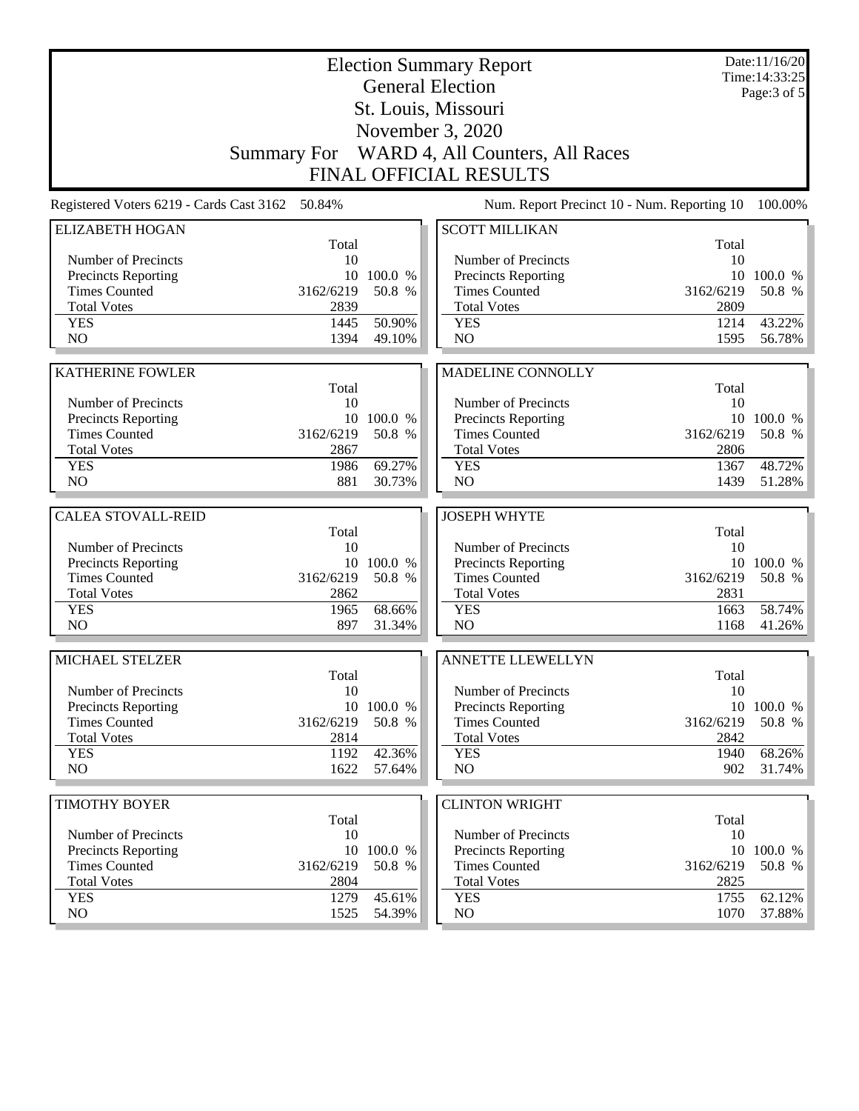|                                             |                    | <b>Election Summary Report</b><br><b>General Election</b> |                                             | Date:11/16/20<br>Time: 14:33:25<br>Page: 3 of 5 |                      |
|---------------------------------------------|--------------------|-----------------------------------------------------------|---------------------------------------------|-------------------------------------------------|----------------------|
|                                             |                    |                                                           | St. Louis, Missouri                         |                                                 |                      |
|                                             |                    |                                                           | November 3, 2020                            |                                                 |                      |
|                                             | <b>Summary For</b> |                                                           | WARD 4, All Counters, All Races             |                                                 |                      |
|                                             |                    |                                                           | <b>FINAL OFFICIAL RESULTS</b>               |                                                 |                      |
| Registered Voters 6219 - Cards Cast 3162    | 50.84%             |                                                           | Num. Report Precinct 10 - Num. Reporting 10 |                                                 | 100.00%              |
| <b>ELIZABETH HOGAN</b>                      |                    |                                                           | <b>SCOTT MILLIKAN</b>                       |                                                 |                      |
| Number of Precincts                         | Total<br>10        |                                                           | Number of Precincts                         | Total<br>10                                     |                      |
| <b>Precincts Reporting</b>                  |                    | 10 100.0 %                                                | <b>Precincts Reporting</b>                  | 10                                              | 100.0 %              |
| <b>Times Counted</b>                        | 3162/6219          | 50.8 %                                                    | <b>Times Counted</b>                        | 3162/6219                                       | 50.8 %               |
| <b>Total Votes</b>                          | 2839               |                                                           | <b>Total Votes</b>                          | 2809                                            |                      |
| <b>YES</b>                                  | 1445               | 50.90%                                                    | <b>YES</b>                                  | 1214                                            | 43.22%               |
| NO                                          | 1394               | 49.10%                                                    | NO                                          | 1595                                            | 56.78%               |
|                                             |                    |                                                           |                                             |                                                 |                      |
| <b>KATHERINE FOWLER</b>                     |                    |                                                           | MADELINE CONNOLLY                           |                                                 |                      |
|                                             | Total              |                                                           |                                             | Total                                           |                      |
| Number of Precincts                         | 10                 | 10 100.0 %                                                | Number of Precincts                         | 10<br>10                                        | 100.0 %              |
| Precincts Reporting<br><b>Times Counted</b> | 3162/6219          | 50.8 %                                                    | Precincts Reporting<br><b>Times Counted</b> | 3162/6219                                       | 50.8 %               |
| <b>Total Votes</b>                          | 2867               |                                                           | <b>Total Votes</b>                          | 2806                                            |                      |
| <b>YES</b>                                  | 1986               | 69.27%                                                    | <b>YES</b>                                  | 1367                                            | 48.72%               |
| N <sub>O</sub>                              | 881                | 30.73%                                                    | NO                                          | 1439                                            | 51.28%               |
|                                             |                    |                                                           |                                             |                                                 |                      |
| <b>CALEA STOVALL-REID</b>                   |                    |                                                           | <b>JOSEPH WHYTE</b>                         |                                                 |                      |
|                                             | Total              |                                                           |                                             | Total                                           |                      |
| Number of Precincts                         | 10                 |                                                           | Number of Precincts                         | 10                                              |                      |
| Precincts Reporting<br><b>Times Counted</b> | 3162/6219          | 10 100.0 %<br>50.8 %                                      | Precincts Reporting<br><b>Times Counted</b> | 3162/6219                                       | 10 100.0 %<br>50.8 % |
| <b>Total Votes</b>                          | 2862               |                                                           | <b>Total Votes</b>                          | 2831                                            |                      |
| <b>YES</b>                                  | 1965               | 68.66%                                                    | <b>YES</b>                                  | 1663                                            | 58.74%               |
| N <sub>O</sub>                              | 897                | 31.34%                                                    | NO                                          | 1168                                            | 41.26%               |
|                                             |                    |                                                           |                                             |                                                 |                      |
| MICHAEL STELZER                             | Total              |                                                           | <b>ANNETTE LLEWELLYN</b>                    | Total                                           |                      |
| Number of Precincts                         | 10                 |                                                           | Number of Precincts                         | 10                                              |                      |
| Precincts Reporting                         |                    | 10 100.0 %                                                | Precincts Reporting                         |                                                 | 10 100.0 %           |
| <b>Times Counted</b>                        | 3162/6219          | 50.8 %                                                    | <b>Times Counted</b>                        | 3162/6219                                       | 50.8 %               |
| <b>Total Votes</b>                          | 2814               |                                                           | <b>Total Votes</b>                          | 2842                                            |                      |
| <b>YES</b>                                  | 1192               | 42.36%                                                    | <b>YES</b>                                  | 1940                                            | 68.26%               |
| NO                                          | 1622               | 57.64%                                                    | NO                                          | 902                                             | 31.74%               |
| <b>TIMOTHY BOYER</b>                        |                    |                                                           | <b>CLINTON WRIGHT</b>                       |                                                 |                      |
|                                             | Total              |                                                           |                                             | Total                                           |                      |
| Number of Precincts                         | 10                 |                                                           | Number of Precincts                         | 10                                              |                      |
| <b>Precincts Reporting</b>                  |                    | 10 100.0 %                                                | <b>Precincts Reporting</b>                  |                                                 | 10 100.0 %           |
| <b>Times Counted</b>                        | 3162/6219          | 50.8 %                                                    | <b>Times Counted</b>                        | 3162/6219                                       | 50.8 %               |
| <b>Total Votes</b>                          | 2804               |                                                           | <b>Total Votes</b>                          | 2825                                            |                      |
| <b>YES</b>                                  | 1279               | 45.61%                                                    | <b>YES</b>                                  | 1755                                            | 62.12%               |
| NO                                          | 1525               | 54.39%                                                    | NO.                                         | 1070                                            | 37.88%               |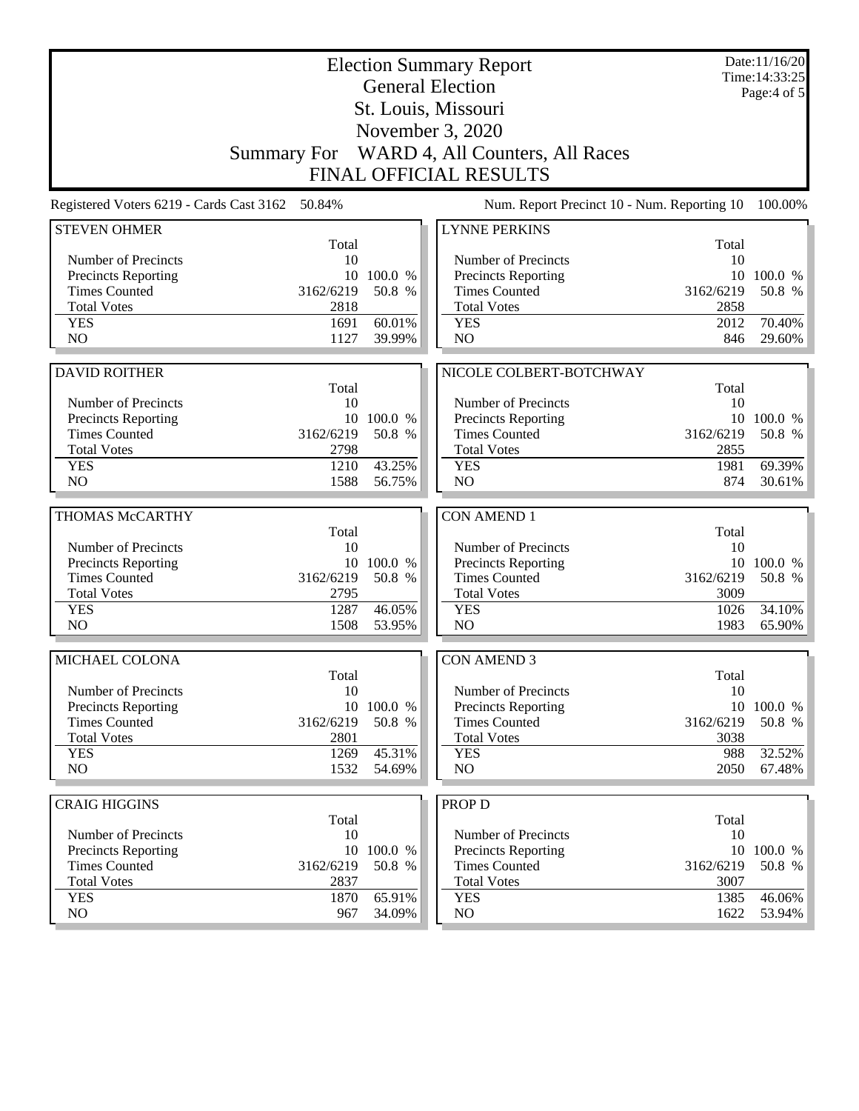| Page: $4$ of $5$<br>St. Louis, Missouri<br>November 3, 2020<br>WARD 4, All Counters, All Races<br><b>Summary For</b><br><b>FINAL OFFICIAL RESULTS</b><br>Registered Voters 6219 - Cards Cast 3162 50.84%<br>Num. Report Precinct 10 - Num. Reporting 10<br><b>STEVEN OHMER</b><br><b>LYNNE PERKINS</b><br>Total<br>Total<br>Number of Precincts<br>10<br>Number of Precincts<br>10<br>Precincts Reporting<br>10<br>100.0 %<br><b>Precincts Reporting</b><br>10<br>100.0 %<br><b>Times Counted</b><br>3162/6219<br>50.8 %<br><b>Times Counted</b><br>3162/6219<br>50.8 %<br>2858<br><b>Total Votes</b><br>2818<br><b>Total Votes</b><br>60.01%<br><b>YES</b><br>1691<br><b>YES</b><br>2012<br>70.40%<br>NO<br>NO<br>1127<br>39.99%<br>846<br>29.60%<br>NICOLE COLBERT-BOTCHWAY<br><b>DAVID ROITHER</b><br>Total<br>Total<br>Number of Precincts<br>Number of Precincts<br>10<br>10<br>Precincts Reporting<br>10 100.0 %<br>Precincts Reporting<br>10 100.0 %<br><b>Times Counted</b><br>3162/6219<br>50.8 %<br><b>Times Counted</b><br>3162/6219<br>50.8 %<br><b>Total Votes</b><br>2798<br><b>Total Votes</b><br>2855<br><b>YES</b><br>1210<br>43.25%<br>1981<br>69.39%<br><b>YES</b><br>NO<br>1588<br>56.75%<br>N <sub>O</sub><br>874<br>30.61%<br>THOMAS McCARTHY<br><b>CON AMEND 1</b><br>Total<br>Total<br>Number of Precincts<br>Number of Precincts<br>10<br>10<br><b>Precincts Reporting</b><br>10 100.0 %<br>Precincts Reporting<br>10 100.0 %<br><b>Times Counted</b><br>3162/6219<br>50.8 %<br><b>Times Counted</b><br>3162/6219<br>50.8 %<br><b>Total Votes</b><br>2795<br><b>Total Votes</b><br>3009<br><b>YES</b><br>1287<br>46.05%<br><b>YES</b><br>34.10%<br>1026<br>NO<br>N <sub>O</sub><br>1508<br>53.95%<br>1983<br>65.90%<br>MICHAEL COLONA<br><b>CON AMEND 3</b><br>Total<br>Total<br>Number of Precincts<br>Number of Precincts<br>10<br>10<br>10 100.0 %<br>Precincts Reporting<br>Precincts Reporting<br><b>Times Counted</b><br>3162/6219<br>50.8 %<br><b>Times Counted</b><br>3162/6219<br><b>Total Votes</b><br>2801<br><b>Total Votes</b><br>3038<br>45.31%<br>32.52%<br><b>YES</b><br>1269<br><b>YES</b><br>988<br>NO<br>NO<br>2050<br>1532<br>54.69%<br><b>CRAIG HIGGINS</b><br><b>PROP D</b><br>Total<br>Total<br>Number of Precincts<br>10<br>Number of Precincts<br>10<br><b>Precincts Reporting</b><br>10 100.0 %<br><b>Precincts Reporting</b><br>10 100.0 %<br><b>Times Counted</b><br>50.8 %<br><b>Times Counted</b><br>50.8 %<br>3162/6219<br>3162/6219<br><b>Total Votes</b><br>2837<br><b>Total Votes</b><br>3007<br>65.91%<br><b>YES</b><br>1870<br><b>YES</b><br>1385<br>46.06%<br>$\rm NO$<br>NO<br>1622<br>967<br>34.09% | <b>Election Summary Report</b><br><b>General Election</b> |  |  |  |  | Date:11/16/20<br>Time: 14:33:25 |
|---------------------------------------------------------------------------------------------------------------------------------------------------------------------------------------------------------------------------------------------------------------------------------------------------------------------------------------------------------------------------------------------------------------------------------------------------------------------------------------------------------------------------------------------------------------------------------------------------------------------------------------------------------------------------------------------------------------------------------------------------------------------------------------------------------------------------------------------------------------------------------------------------------------------------------------------------------------------------------------------------------------------------------------------------------------------------------------------------------------------------------------------------------------------------------------------------------------------------------------------------------------------------------------------------------------------------------------------------------------------------------------------------------------------------------------------------------------------------------------------------------------------------------------------------------------------------------------------------------------------------------------------------------------------------------------------------------------------------------------------------------------------------------------------------------------------------------------------------------------------------------------------------------------------------------------------------------------------------------------------------------------------------------------------------------------------------------------------------------------------------------------------------------------------------------------------------------------------------------------------------------------------------------------------------------------------------------------------------------------------------------------------------------------------------------------------------------------------------------------------------------------------------------------------------------------------------------------------------------------------------------------------------------------------|-----------------------------------------------------------|--|--|--|--|---------------------------------|
| 50.8 %                                                                                                                                                                                                                                                                                                                                                                                                                                                                                                                                                                                                                                                                                                                                                                                                                                                                                                                                                                                                                                                                                                                                                                                                                                                                                                                                                                                                                                                                                                                                                                                                                                                                                                                                                                                                                                                                                                                                                                                                                                                                                                                                                                                                                                                                                                                                                                                                                                                                                                                                                                                                                                                              |                                                           |  |  |  |  |                                 |
| 100.00%                                                                                                                                                                                                                                                                                                                                                                                                                                                                                                                                                                                                                                                                                                                                                                                                                                                                                                                                                                                                                                                                                                                                                                                                                                                                                                                                                                                                                                                                                                                                                                                                                                                                                                                                                                                                                                                                                                                                                                                                                                                                                                                                                                                                                                                                                                                                                                                                                                                                                                                                                                                                                                                             |                                                           |  |  |  |  |                                 |
|                                                                                                                                                                                                                                                                                                                                                                                                                                                                                                                                                                                                                                                                                                                                                                                                                                                                                                                                                                                                                                                                                                                                                                                                                                                                                                                                                                                                                                                                                                                                                                                                                                                                                                                                                                                                                                                                                                                                                                                                                                                                                                                                                                                                                                                                                                                                                                                                                                                                                                                                                                                                                                                                     |                                                           |  |  |  |  |                                 |
|                                                                                                                                                                                                                                                                                                                                                                                                                                                                                                                                                                                                                                                                                                                                                                                                                                                                                                                                                                                                                                                                                                                                                                                                                                                                                                                                                                                                                                                                                                                                                                                                                                                                                                                                                                                                                                                                                                                                                                                                                                                                                                                                                                                                                                                                                                                                                                                                                                                                                                                                                                                                                                                                     |                                                           |  |  |  |  |                                 |
|                                                                                                                                                                                                                                                                                                                                                                                                                                                                                                                                                                                                                                                                                                                                                                                                                                                                                                                                                                                                                                                                                                                                                                                                                                                                                                                                                                                                                                                                                                                                                                                                                                                                                                                                                                                                                                                                                                                                                                                                                                                                                                                                                                                                                                                                                                                                                                                                                                                                                                                                                                                                                                                                     |                                                           |  |  |  |  |                                 |
| 10 100.0 %<br>67.48%<br>53.94%                                                                                                                                                                                                                                                                                                                                                                                                                                                                                                                                                                                                                                                                                                                                                                                                                                                                                                                                                                                                                                                                                                                                                                                                                                                                                                                                                                                                                                                                                                                                                                                                                                                                                                                                                                                                                                                                                                                                                                                                                                                                                                                                                                                                                                                                                                                                                                                                                                                                                                                                                                                                                                      |                                                           |  |  |  |  |                                 |
|                                                                                                                                                                                                                                                                                                                                                                                                                                                                                                                                                                                                                                                                                                                                                                                                                                                                                                                                                                                                                                                                                                                                                                                                                                                                                                                                                                                                                                                                                                                                                                                                                                                                                                                                                                                                                                                                                                                                                                                                                                                                                                                                                                                                                                                                                                                                                                                                                                                                                                                                                                                                                                                                     |                                                           |  |  |  |  |                                 |
|                                                                                                                                                                                                                                                                                                                                                                                                                                                                                                                                                                                                                                                                                                                                                                                                                                                                                                                                                                                                                                                                                                                                                                                                                                                                                                                                                                                                                                                                                                                                                                                                                                                                                                                                                                                                                                                                                                                                                                                                                                                                                                                                                                                                                                                                                                                                                                                                                                                                                                                                                                                                                                                                     |                                                           |  |  |  |  |                                 |
|                                                                                                                                                                                                                                                                                                                                                                                                                                                                                                                                                                                                                                                                                                                                                                                                                                                                                                                                                                                                                                                                                                                                                                                                                                                                                                                                                                                                                                                                                                                                                                                                                                                                                                                                                                                                                                                                                                                                                                                                                                                                                                                                                                                                                                                                                                                                                                                                                                                                                                                                                                                                                                                                     |                                                           |  |  |  |  |                                 |
|                                                                                                                                                                                                                                                                                                                                                                                                                                                                                                                                                                                                                                                                                                                                                                                                                                                                                                                                                                                                                                                                                                                                                                                                                                                                                                                                                                                                                                                                                                                                                                                                                                                                                                                                                                                                                                                                                                                                                                                                                                                                                                                                                                                                                                                                                                                                                                                                                                                                                                                                                                                                                                                                     |                                                           |  |  |  |  |                                 |
|                                                                                                                                                                                                                                                                                                                                                                                                                                                                                                                                                                                                                                                                                                                                                                                                                                                                                                                                                                                                                                                                                                                                                                                                                                                                                                                                                                                                                                                                                                                                                                                                                                                                                                                                                                                                                                                                                                                                                                                                                                                                                                                                                                                                                                                                                                                                                                                                                                                                                                                                                                                                                                                                     |                                                           |  |  |  |  |                                 |
|                                                                                                                                                                                                                                                                                                                                                                                                                                                                                                                                                                                                                                                                                                                                                                                                                                                                                                                                                                                                                                                                                                                                                                                                                                                                                                                                                                                                                                                                                                                                                                                                                                                                                                                                                                                                                                                                                                                                                                                                                                                                                                                                                                                                                                                                                                                                                                                                                                                                                                                                                                                                                                                                     |                                                           |  |  |  |  |                                 |
|                                                                                                                                                                                                                                                                                                                                                                                                                                                                                                                                                                                                                                                                                                                                                                                                                                                                                                                                                                                                                                                                                                                                                                                                                                                                                                                                                                                                                                                                                                                                                                                                                                                                                                                                                                                                                                                                                                                                                                                                                                                                                                                                                                                                                                                                                                                                                                                                                                                                                                                                                                                                                                                                     |                                                           |  |  |  |  |                                 |
|                                                                                                                                                                                                                                                                                                                                                                                                                                                                                                                                                                                                                                                                                                                                                                                                                                                                                                                                                                                                                                                                                                                                                                                                                                                                                                                                                                                                                                                                                                                                                                                                                                                                                                                                                                                                                                                                                                                                                                                                                                                                                                                                                                                                                                                                                                                                                                                                                                                                                                                                                                                                                                                                     |                                                           |  |  |  |  |                                 |
|                                                                                                                                                                                                                                                                                                                                                                                                                                                                                                                                                                                                                                                                                                                                                                                                                                                                                                                                                                                                                                                                                                                                                                                                                                                                                                                                                                                                                                                                                                                                                                                                                                                                                                                                                                                                                                                                                                                                                                                                                                                                                                                                                                                                                                                                                                                                                                                                                                                                                                                                                                                                                                                                     |                                                           |  |  |  |  |                                 |
|                                                                                                                                                                                                                                                                                                                                                                                                                                                                                                                                                                                                                                                                                                                                                                                                                                                                                                                                                                                                                                                                                                                                                                                                                                                                                                                                                                                                                                                                                                                                                                                                                                                                                                                                                                                                                                                                                                                                                                                                                                                                                                                                                                                                                                                                                                                                                                                                                                                                                                                                                                                                                                                                     |                                                           |  |  |  |  |                                 |
|                                                                                                                                                                                                                                                                                                                                                                                                                                                                                                                                                                                                                                                                                                                                                                                                                                                                                                                                                                                                                                                                                                                                                                                                                                                                                                                                                                                                                                                                                                                                                                                                                                                                                                                                                                                                                                                                                                                                                                                                                                                                                                                                                                                                                                                                                                                                                                                                                                                                                                                                                                                                                                                                     |                                                           |  |  |  |  |                                 |
|                                                                                                                                                                                                                                                                                                                                                                                                                                                                                                                                                                                                                                                                                                                                                                                                                                                                                                                                                                                                                                                                                                                                                                                                                                                                                                                                                                                                                                                                                                                                                                                                                                                                                                                                                                                                                                                                                                                                                                                                                                                                                                                                                                                                                                                                                                                                                                                                                                                                                                                                                                                                                                                                     |                                                           |  |  |  |  |                                 |
|                                                                                                                                                                                                                                                                                                                                                                                                                                                                                                                                                                                                                                                                                                                                                                                                                                                                                                                                                                                                                                                                                                                                                                                                                                                                                                                                                                                                                                                                                                                                                                                                                                                                                                                                                                                                                                                                                                                                                                                                                                                                                                                                                                                                                                                                                                                                                                                                                                                                                                                                                                                                                                                                     |                                                           |  |  |  |  |                                 |
|                                                                                                                                                                                                                                                                                                                                                                                                                                                                                                                                                                                                                                                                                                                                                                                                                                                                                                                                                                                                                                                                                                                                                                                                                                                                                                                                                                                                                                                                                                                                                                                                                                                                                                                                                                                                                                                                                                                                                                                                                                                                                                                                                                                                                                                                                                                                                                                                                                                                                                                                                                                                                                                                     |                                                           |  |  |  |  |                                 |
|                                                                                                                                                                                                                                                                                                                                                                                                                                                                                                                                                                                                                                                                                                                                                                                                                                                                                                                                                                                                                                                                                                                                                                                                                                                                                                                                                                                                                                                                                                                                                                                                                                                                                                                                                                                                                                                                                                                                                                                                                                                                                                                                                                                                                                                                                                                                                                                                                                                                                                                                                                                                                                                                     |                                                           |  |  |  |  |                                 |
|                                                                                                                                                                                                                                                                                                                                                                                                                                                                                                                                                                                                                                                                                                                                                                                                                                                                                                                                                                                                                                                                                                                                                                                                                                                                                                                                                                                                                                                                                                                                                                                                                                                                                                                                                                                                                                                                                                                                                                                                                                                                                                                                                                                                                                                                                                                                                                                                                                                                                                                                                                                                                                                                     |                                                           |  |  |  |  |                                 |
|                                                                                                                                                                                                                                                                                                                                                                                                                                                                                                                                                                                                                                                                                                                                                                                                                                                                                                                                                                                                                                                                                                                                                                                                                                                                                                                                                                                                                                                                                                                                                                                                                                                                                                                                                                                                                                                                                                                                                                                                                                                                                                                                                                                                                                                                                                                                                                                                                                                                                                                                                                                                                                                                     |                                                           |  |  |  |  |                                 |
|                                                                                                                                                                                                                                                                                                                                                                                                                                                                                                                                                                                                                                                                                                                                                                                                                                                                                                                                                                                                                                                                                                                                                                                                                                                                                                                                                                                                                                                                                                                                                                                                                                                                                                                                                                                                                                                                                                                                                                                                                                                                                                                                                                                                                                                                                                                                                                                                                                                                                                                                                                                                                                                                     |                                                           |  |  |  |  |                                 |
|                                                                                                                                                                                                                                                                                                                                                                                                                                                                                                                                                                                                                                                                                                                                                                                                                                                                                                                                                                                                                                                                                                                                                                                                                                                                                                                                                                                                                                                                                                                                                                                                                                                                                                                                                                                                                                                                                                                                                                                                                                                                                                                                                                                                                                                                                                                                                                                                                                                                                                                                                                                                                                                                     |                                                           |  |  |  |  |                                 |
|                                                                                                                                                                                                                                                                                                                                                                                                                                                                                                                                                                                                                                                                                                                                                                                                                                                                                                                                                                                                                                                                                                                                                                                                                                                                                                                                                                                                                                                                                                                                                                                                                                                                                                                                                                                                                                                                                                                                                                                                                                                                                                                                                                                                                                                                                                                                                                                                                                                                                                                                                                                                                                                                     |                                                           |  |  |  |  |                                 |
|                                                                                                                                                                                                                                                                                                                                                                                                                                                                                                                                                                                                                                                                                                                                                                                                                                                                                                                                                                                                                                                                                                                                                                                                                                                                                                                                                                                                                                                                                                                                                                                                                                                                                                                                                                                                                                                                                                                                                                                                                                                                                                                                                                                                                                                                                                                                                                                                                                                                                                                                                                                                                                                                     |                                                           |  |  |  |  |                                 |
|                                                                                                                                                                                                                                                                                                                                                                                                                                                                                                                                                                                                                                                                                                                                                                                                                                                                                                                                                                                                                                                                                                                                                                                                                                                                                                                                                                                                                                                                                                                                                                                                                                                                                                                                                                                                                                                                                                                                                                                                                                                                                                                                                                                                                                                                                                                                                                                                                                                                                                                                                                                                                                                                     |                                                           |  |  |  |  |                                 |
|                                                                                                                                                                                                                                                                                                                                                                                                                                                                                                                                                                                                                                                                                                                                                                                                                                                                                                                                                                                                                                                                                                                                                                                                                                                                                                                                                                                                                                                                                                                                                                                                                                                                                                                                                                                                                                                                                                                                                                                                                                                                                                                                                                                                                                                                                                                                                                                                                                                                                                                                                                                                                                                                     |                                                           |  |  |  |  |                                 |
|                                                                                                                                                                                                                                                                                                                                                                                                                                                                                                                                                                                                                                                                                                                                                                                                                                                                                                                                                                                                                                                                                                                                                                                                                                                                                                                                                                                                                                                                                                                                                                                                                                                                                                                                                                                                                                                                                                                                                                                                                                                                                                                                                                                                                                                                                                                                                                                                                                                                                                                                                                                                                                                                     |                                                           |  |  |  |  |                                 |
|                                                                                                                                                                                                                                                                                                                                                                                                                                                                                                                                                                                                                                                                                                                                                                                                                                                                                                                                                                                                                                                                                                                                                                                                                                                                                                                                                                                                                                                                                                                                                                                                                                                                                                                                                                                                                                                                                                                                                                                                                                                                                                                                                                                                                                                                                                                                                                                                                                                                                                                                                                                                                                                                     |                                                           |  |  |  |  |                                 |
|                                                                                                                                                                                                                                                                                                                                                                                                                                                                                                                                                                                                                                                                                                                                                                                                                                                                                                                                                                                                                                                                                                                                                                                                                                                                                                                                                                                                                                                                                                                                                                                                                                                                                                                                                                                                                                                                                                                                                                                                                                                                                                                                                                                                                                                                                                                                                                                                                                                                                                                                                                                                                                                                     |                                                           |  |  |  |  |                                 |
|                                                                                                                                                                                                                                                                                                                                                                                                                                                                                                                                                                                                                                                                                                                                                                                                                                                                                                                                                                                                                                                                                                                                                                                                                                                                                                                                                                                                                                                                                                                                                                                                                                                                                                                                                                                                                                                                                                                                                                                                                                                                                                                                                                                                                                                                                                                                                                                                                                                                                                                                                                                                                                                                     |                                                           |  |  |  |  |                                 |
|                                                                                                                                                                                                                                                                                                                                                                                                                                                                                                                                                                                                                                                                                                                                                                                                                                                                                                                                                                                                                                                                                                                                                                                                                                                                                                                                                                                                                                                                                                                                                                                                                                                                                                                                                                                                                                                                                                                                                                                                                                                                                                                                                                                                                                                                                                                                                                                                                                                                                                                                                                                                                                                                     |                                                           |  |  |  |  |                                 |
|                                                                                                                                                                                                                                                                                                                                                                                                                                                                                                                                                                                                                                                                                                                                                                                                                                                                                                                                                                                                                                                                                                                                                                                                                                                                                                                                                                                                                                                                                                                                                                                                                                                                                                                                                                                                                                                                                                                                                                                                                                                                                                                                                                                                                                                                                                                                                                                                                                                                                                                                                                                                                                                                     |                                                           |  |  |  |  |                                 |
|                                                                                                                                                                                                                                                                                                                                                                                                                                                                                                                                                                                                                                                                                                                                                                                                                                                                                                                                                                                                                                                                                                                                                                                                                                                                                                                                                                                                                                                                                                                                                                                                                                                                                                                                                                                                                                                                                                                                                                                                                                                                                                                                                                                                                                                                                                                                                                                                                                                                                                                                                                                                                                                                     |                                                           |  |  |  |  |                                 |
|                                                                                                                                                                                                                                                                                                                                                                                                                                                                                                                                                                                                                                                                                                                                                                                                                                                                                                                                                                                                                                                                                                                                                                                                                                                                                                                                                                                                                                                                                                                                                                                                                                                                                                                                                                                                                                                                                                                                                                                                                                                                                                                                                                                                                                                                                                                                                                                                                                                                                                                                                                                                                                                                     |                                                           |  |  |  |  |                                 |
|                                                                                                                                                                                                                                                                                                                                                                                                                                                                                                                                                                                                                                                                                                                                                                                                                                                                                                                                                                                                                                                                                                                                                                                                                                                                                                                                                                                                                                                                                                                                                                                                                                                                                                                                                                                                                                                                                                                                                                                                                                                                                                                                                                                                                                                                                                                                                                                                                                                                                                                                                                                                                                                                     |                                                           |  |  |  |  |                                 |
|                                                                                                                                                                                                                                                                                                                                                                                                                                                                                                                                                                                                                                                                                                                                                                                                                                                                                                                                                                                                                                                                                                                                                                                                                                                                                                                                                                                                                                                                                                                                                                                                                                                                                                                                                                                                                                                                                                                                                                                                                                                                                                                                                                                                                                                                                                                                                                                                                                                                                                                                                                                                                                                                     |                                                           |  |  |  |  |                                 |
|                                                                                                                                                                                                                                                                                                                                                                                                                                                                                                                                                                                                                                                                                                                                                                                                                                                                                                                                                                                                                                                                                                                                                                                                                                                                                                                                                                                                                                                                                                                                                                                                                                                                                                                                                                                                                                                                                                                                                                                                                                                                                                                                                                                                                                                                                                                                                                                                                                                                                                                                                                                                                                                                     |                                                           |  |  |  |  |                                 |
|                                                                                                                                                                                                                                                                                                                                                                                                                                                                                                                                                                                                                                                                                                                                                                                                                                                                                                                                                                                                                                                                                                                                                                                                                                                                                                                                                                                                                                                                                                                                                                                                                                                                                                                                                                                                                                                                                                                                                                                                                                                                                                                                                                                                                                                                                                                                                                                                                                                                                                                                                                                                                                                                     |                                                           |  |  |  |  |                                 |
|                                                                                                                                                                                                                                                                                                                                                                                                                                                                                                                                                                                                                                                                                                                                                                                                                                                                                                                                                                                                                                                                                                                                                                                                                                                                                                                                                                                                                                                                                                                                                                                                                                                                                                                                                                                                                                                                                                                                                                                                                                                                                                                                                                                                                                                                                                                                                                                                                                                                                                                                                                                                                                                                     |                                                           |  |  |  |  |                                 |
|                                                                                                                                                                                                                                                                                                                                                                                                                                                                                                                                                                                                                                                                                                                                                                                                                                                                                                                                                                                                                                                                                                                                                                                                                                                                                                                                                                                                                                                                                                                                                                                                                                                                                                                                                                                                                                                                                                                                                                                                                                                                                                                                                                                                                                                                                                                                                                                                                                                                                                                                                                                                                                                                     |                                                           |  |  |  |  |                                 |
|                                                                                                                                                                                                                                                                                                                                                                                                                                                                                                                                                                                                                                                                                                                                                                                                                                                                                                                                                                                                                                                                                                                                                                                                                                                                                                                                                                                                                                                                                                                                                                                                                                                                                                                                                                                                                                                                                                                                                                                                                                                                                                                                                                                                                                                                                                                                                                                                                                                                                                                                                                                                                                                                     |                                                           |  |  |  |  |                                 |
|                                                                                                                                                                                                                                                                                                                                                                                                                                                                                                                                                                                                                                                                                                                                                                                                                                                                                                                                                                                                                                                                                                                                                                                                                                                                                                                                                                                                                                                                                                                                                                                                                                                                                                                                                                                                                                                                                                                                                                                                                                                                                                                                                                                                                                                                                                                                                                                                                                                                                                                                                                                                                                                                     |                                                           |  |  |  |  |                                 |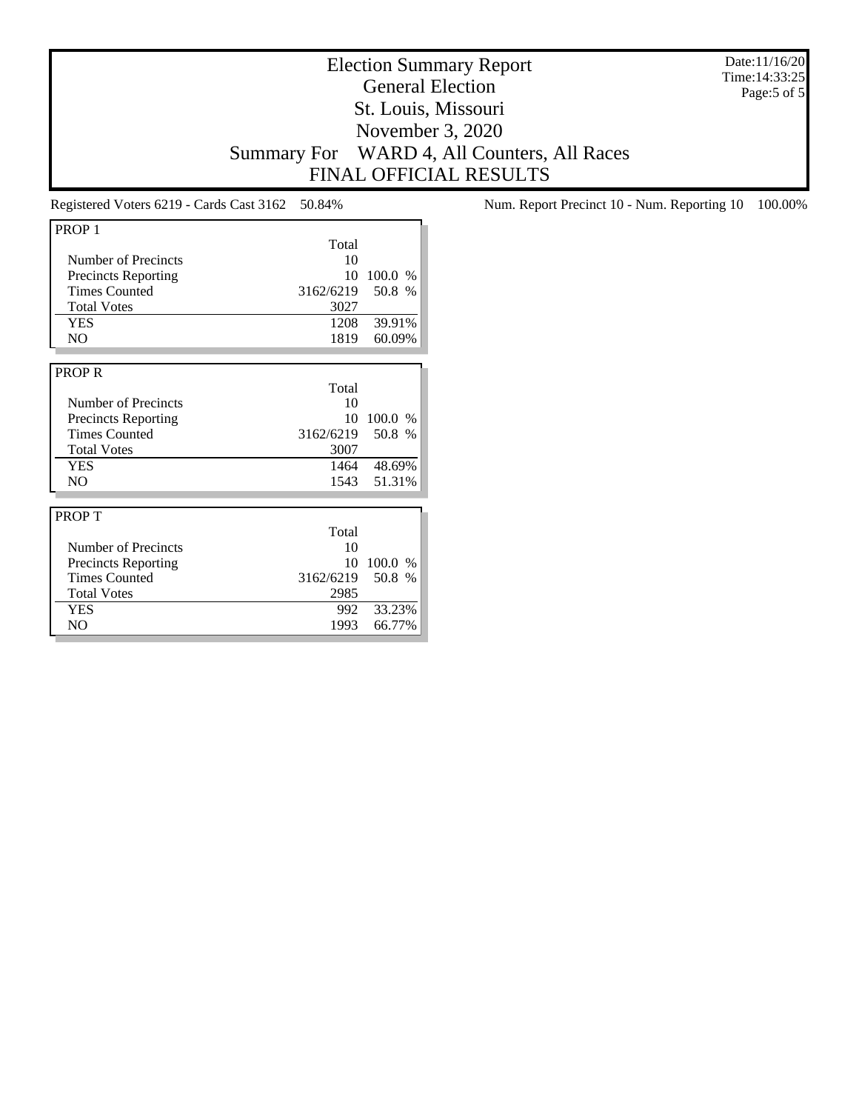Date:11/16/20 Time:14:33:25 Page:5 of 5

### Election Summary Report General Election St. Louis, Missouri November 3, 2020 Summary For WARD 4, All Counters, All Races FINAL OFFICIAL RESULTS

| PROP <sub>1</sub>          |                  |               |
|----------------------------|------------------|---------------|
|                            | Total            |               |
| Number of Precincts        | 10               |               |
| <b>Precincts Reporting</b> | 10               | 100.0 %       |
| <b>Times Counted</b>       | 3162/6219 50.8 % |               |
| <b>Total Votes</b>         | 3027             |               |
| <b>YES</b>                 | 1208             | 39.91%        |
| N <sub>O</sub>             | 1819             | 60.09%        |
|                            |                  |               |
| <b>PROPR</b>               |                  |               |
|                            | Total            |               |
| Number of Precincts        | 10               |               |
| <b>Precincts Reporting</b> | 10               | 100.0 %       |
| <b>Times Counted</b>       | 3162/6219 50.8 % |               |
| <b>Total Votes</b>         | 3007             |               |
| <b>YES</b>                 |                  | 1464 48.69%   |
| N <sub>O</sub>             | 1543             | 51.31%        |
|                            |                  |               |
| <b>PROPT</b>               |                  |               |
|                            | Total            |               |
| Number of Precincts        | 10               |               |
| <b>Precincts Reporting</b> | 10               | 100.0<br>$\%$ |
| <b>Times Counted</b>       | 3162/6219        | 50.8 %        |
| <b>Total Votes</b>         | 2985             |               |
| <b>YES</b>                 | 992              | 33.23%        |
| N <sub>O</sub>             | 1993             | 66.77%        |

Registered Voters 6219 - Cards Cast 3162 50.84% Num. Report Precinct 10 - Num. Reporting 10 100.00%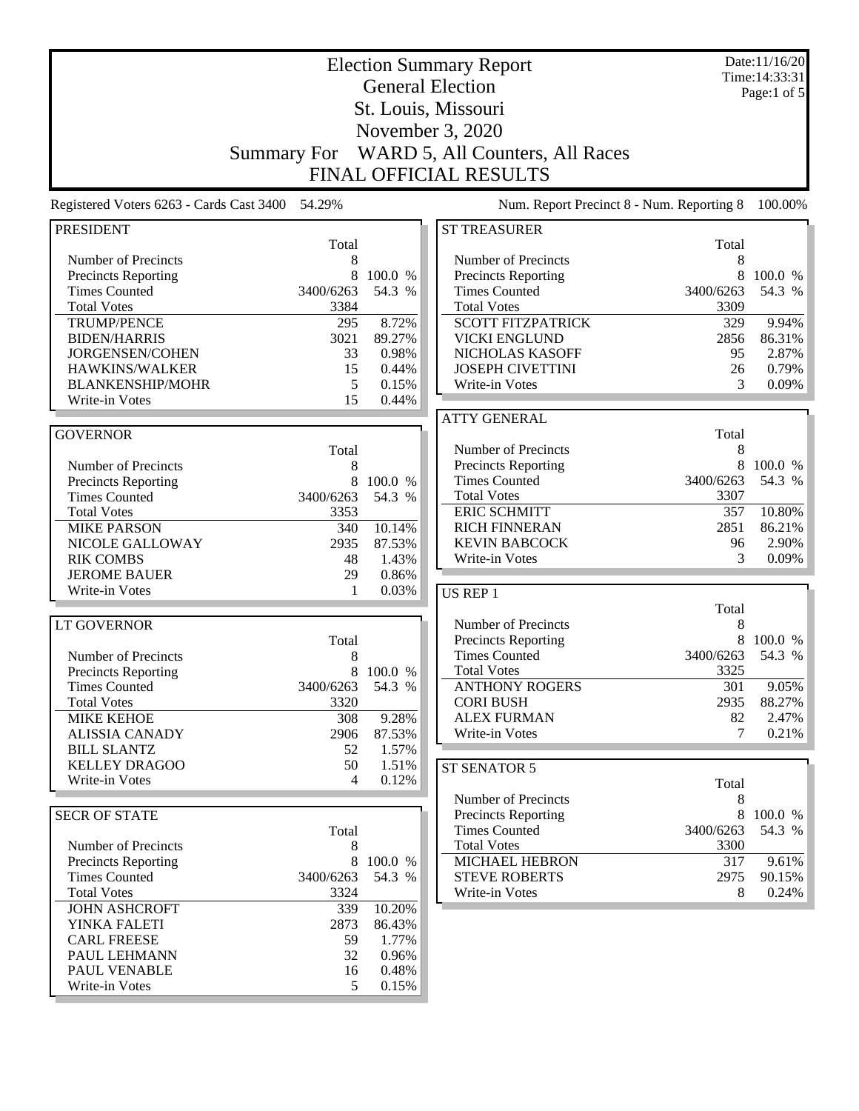|                                            | <b>Election Summary Report</b> |                  |                                              |             |                                 |
|--------------------------------------------|--------------------------------|------------------|----------------------------------------------|-------------|---------------------------------|
|                                            |                                |                  | <b>General Election</b>                      |             | Time: 14:33:31<br>Page:1 of $5$ |
|                                            |                                |                  | St. Louis, Missouri                          |             |                                 |
|                                            |                                |                  | November 3, 2020                             |             |                                 |
|                                            | <b>Summary For</b>             |                  | WARD 5, All Counters, All Races              |             |                                 |
|                                            |                                |                  | <b>FINAL OFFICIAL RESULTS</b>                |             |                                 |
| Registered Voters 6263 - Cards Cast 3400   | 54.29%                         |                  | Num. Report Precinct 8 - Num. Reporting 8    |             | 100.00%                         |
| <b>PRESIDENT</b>                           | Total                          |                  | <b>ST TREASURER</b>                          | Total       |                                 |
| Number of Precincts                        | 8                              |                  | Number of Precincts                          | 8           |                                 |
| <b>Precincts Reporting</b>                 | 8                              | 100.0 %          | <b>Precincts Reporting</b>                   | 8           | 100.0 %                         |
| <b>Times Counted</b>                       | 3400/6263                      | 54.3 %           | <b>Times Counted</b>                         | 3400/6263   | 54.3 %                          |
| <b>Total Votes</b>                         | 3384                           |                  | <b>Total Votes</b>                           | 3309        |                                 |
| <b>TRUMP/PENCE</b>                         | 295                            | 8.72%            | <b>SCOTT FITZPATRICK</b>                     | 329<br>2856 | 9.94%                           |
| <b>BIDEN/HARRIS</b><br>JORGENSEN/COHEN     | 3021<br>33                     | 89.27%<br>0.98%  | <b>VICKI ENGLUND</b><br>NICHOLAS KASOFF      | 95          | 86.31%<br>2.87%                 |
| HAWKINS/WALKER                             | 15                             | 0.44%            | <b>JOSEPH CIVETTINI</b>                      | 26          | 0.79%                           |
| <b>BLANKENSHIP/MOHR</b>                    | 5                              | 0.15%            | Write-in Votes                               | 3           | 0.09%                           |
| Write-in Votes                             | 15                             | 0.44%            |                                              |             |                                 |
|                                            |                                |                  | <b>ATTY GENERAL</b>                          |             |                                 |
| <b>GOVERNOR</b>                            |                                |                  |                                              | Total       |                                 |
|                                            | Total                          |                  | Number of Precincts                          | 8           |                                 |
| Number of Precincts                        | 8                              |                  | <b>Precincts Reporting</b>                   | 8           | 100.0 %                         |
| Precincts Reporting                        | 8                              | 100.0 %          | <b>Times Counted</b>                         | 3400/6263   | 54.3 %                          |
| <b>Times Counted</b>                       | 3400/6263                      | 54.3 %           | <b>Total Votes</b>                           | 3307        |                                 |
| <b>Total Votes</b>                         | 3353                           |                  | <b>ERIC SCHMITT</b>                          | 357         | 10.80%<br>86.21%                |
| <b>MIKE PARSON</b><br>NICOLE GALLOWAY      | 340<br>2935                    | 10.14%<br>87.53% | <b>RICH FINNERAN</b><br><b>KEVIN BABCOCK</b> | 2851<br>96  | 2.90%                           |
| <b>RIK COMBS</b>                           | 48                             | 1.43%            | Write-in Votes                               | 3           | 0.09%                           |
| <b>JEROME BAUER</b>                        | 29                             | 0.86%            |                                              |             |                                 |
| Write-in Votes                             | 1                              | 0.03%            | US REP 1                                     |             |                                 |
|                                            |                                |                  |                                              | Total       |                                 |
| <b>LT GOVERNOR</b>                         |                                |                  | Number of Precincts                          | 8           |                                 |
|                                            | Total                          |                  | <b>Precincts Reporting</b>                   | 8           | 100.0 %                         |
| Number of Precincts                        | 8                              |                  | <b>Times Counted</b>                         | 3400/6263   | 54.3 %                          |
| <b>Precincts Reporting</b>                 | 8                              | 100.0 %          | <b>Total Votes</b>                           | 3325        |                                 |
| <b>Times Counted</b>                       | 3400/6263                      | 54.3 %           | <b>ANTHONY ROGERS</b>                        | 301         | 9.05%                           |
| <b>Total Votes</b><br><b>MIKE KEHOE</b>    | 3320<br>308                    | 9.28%            | <b>CORI BUSH</b><br><b>ALEX FURMAN</b>       | 2935<br>82  | 88.27%<br>2.47%                 |
| <b>ALISSIA CANADY</b>                      | 2906                           | 87.53%           | Write-in Votes                               | 7           | 0.21%                           |
| <b>BILL SLANTZ</b>                         | 52                             | 1.57%            |                                              |             |                                 |
| <b>KELLEY DRAGOO</b>                       | 50                             | 1.51%            | ST SENATOR 5                                 |             |                                 |
| Write-in Votes                             | 4                              | 0.12%            |                                              | Total       |                                 |
|                                            |                                |                  | Number of Precincts                          | 8           |                                 |
| <b>SECR OF STATE</b>                       |                                |                  | <b>Precincts Reporting</b>                   | 8           | 100.0 %                         |
|                                            | Total                          |                  | <b>Times Counted</b>                         | 3400/6263   | 54.3 %                          |
| Number of Precincts                        | 8                              |                  | <b>Total Votes</b>                           | 3300        |                                 |
| <b>Precincts Reporting</b>                 | 8                              | 100.0 %          | MICHAEL HEBRON                               | 317         | 9.61%                           |
| <b>Times Counted</b>                       | 3400/6263                      | 54.3 %           | <b>STEVE ROBERTS</b>                         | 2975        | 90.15%                          |
| <b>Total Votes</b><br><b>JOHN ASHCROFT</b> | 3324<br>339                    |                  | Write-in Votes                               | 8           | 0.24%                           |
| YINKA FALETI                               | 2873                           | 10.20%<br>86.43% |                                              |             |                                 |
| <b>CARL FREESE</b>                         | 59                             | 1.77%            |                                              |             |                                 |
| PAUL LEHMANN                               | 32                             | 0.96%            |                                              |             |                                 |
| PAUL VENABLE                               | 16                             | 0.48%            |                                              |             |                                 |
| Write-in Votes                             | 5                              | 0.15%            |                                              |             |                                 |
|                                            |                                |                  |                                              |             |                                 |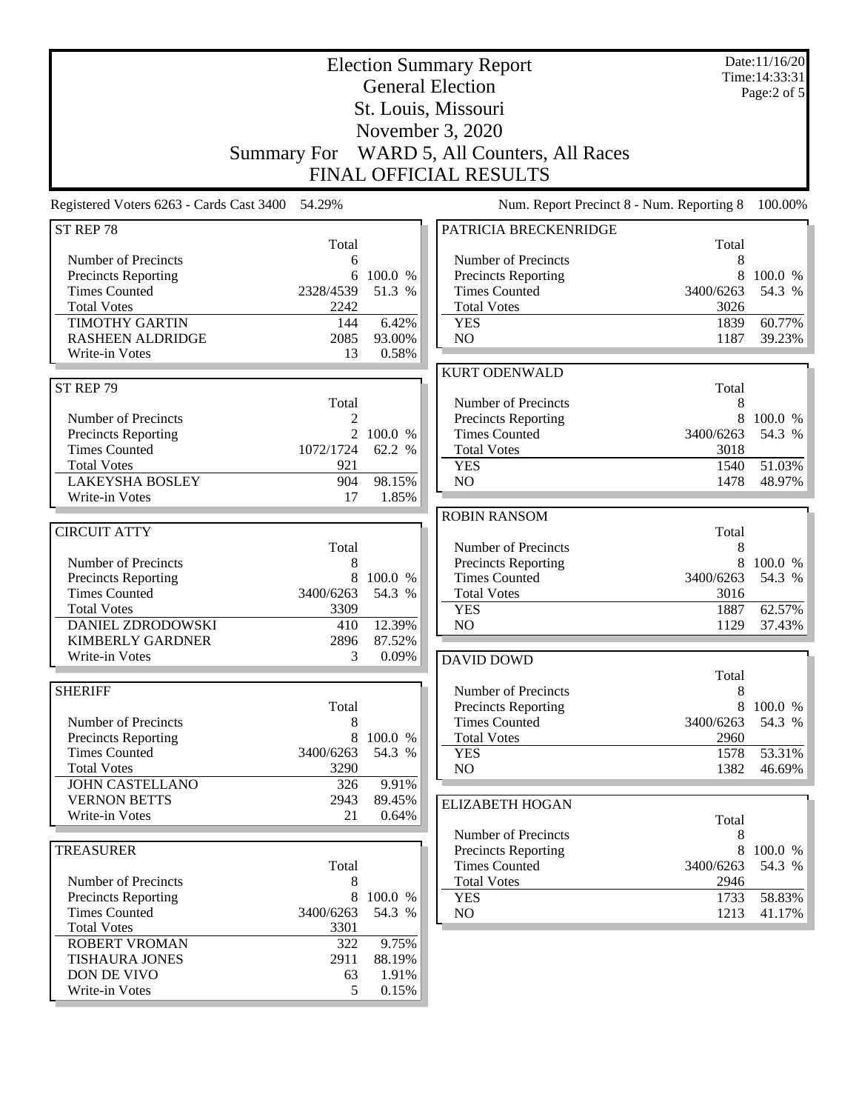|                                                   | <b>Election Summary Report</b><br><b>General Election</b><br>St. Louis, Missouri<br>November 3, 2020<br>WARD 5, All Counters, All Races<br><b>Summary For</b> |                     |                                                                            |                   | Date:11/16/20<br>Time: 14:33:31<br>Page:2 of 5 |
|---------------------------------------------------|---------------------------------------------------------------------------------------------------------------------------------------------------------------|---------------------|----------------------------------------------------------------------------|-------------------|------------------------------------------------|
| Registered Voters 6263 - Cards Cast 3400          | 54.29%                                                                                                                                                        |                     | <b>FINAL OFFICIAL RESULTS</b><br>Num. Report Precinct 8 - Num. Reporting 8 |                   | 100.00%                                        |
|                                                   |                                                                                                                                                               |                     |                                                                            |                   |                                                |
| ST REP 78                                         | Total                                                                                                                                                         |                     | PATRICIA BRECKENRIDGE                                                      | Total             |                                                |
| Number of Precincts                               | 6                                                                                                                                                             |                     | Number of Precincts                                                        | 8                 |                                                |
| <b>Precincts Reporting</b>                        | 6                                                                                                                                                             | 100.0 %             | <b>Precincts Reporting</b>                                                 | 8                 | 100.0 %                                        |
| <b>Times Counted</b>                              | 2328/4539                                                                                                                                                     | 51.3 %              | <b>Times Counted</b>                                                       | 3400/6263         | 54.3 %                                         |
| <b>Total Votes</b>                                | 2242                                                                                                                                                          |                     | <b>Total Votes</b>                                                         | 3026              |                                                |
| <b>TIMOTHY GARTIN</b>                             | 144                                                                                                                                                           | 6.42%               | <b>YES</b>                                                                 | 1839              | 60.77%                                         |
| <b>RASHEEN ALDRIDGE</b>                           | 2085                                                                                                                                                          | 93.00%              | N <sub>O</sub>                                                             | 1187              | 39.23%                                         |
| Write-in Votes                                    | 13                                                                                                                                                            | 0.58%               |                                                                            |                   |                                                |
| ST REP 79                                         |                                                                                                                                                               |                     | <b>KURT ODENWALD</b>                                                       | Total             |                                                |
|                                                   | Total                                                                                                                                                         |                     | Number of Precincts                                                        | 8                 |                                                |
| Number of Precincts                               | 2                                                                                                                                                             |                     | <b>Precincts Reporting</b>                                                 | 8                 | 100.0 %                                        |
| Precincts Reporting                               |                                                                                                                                                               | 2 100.0 %           | <b>Times Counted</b>                                                       | 3400/6263         | 54.3 %                                         |
| <b>Times Counted</b>                              | 1072/1724                                                                                                                                                     | 62.2 %              | <b>Total Votes</b>                                                         | 3018              |                                                |
| <b>Total Votes</b>                                | 921                                                                                                                                                           |                     | <b>YES</b>                                                                 | 1540              | 51.03%                                         |
| <b>LAKEYSHA BOSLEY</b>                            | 904                                                                                                                                                           | 98.15%              | NO                                                                         | 1478              | 48.97%                                         |
| Write-in Votes                                    | 17                                                                                                                                                            | 1.85%               |                                                                            |                   |                                                |
|                                                   |                                                                                                                                                               |                     | <b>ROBIN RANSOM</b>                                                        |                   |                                                |
| <b>CIRCUIT ATTY</b>                               |                                                                                                                                                               |                     |                                                                            | Total             |                                                |
| Number of Precincts                               | Total<br>8                                                                                                                                                    |                     | Number of Precincts<br><b>Precincts Reporting</b>                          | 8<br>8            | 100.0 %                                        |
| <b>Precincts Reporting</b>                        | 8                                                                                                                                                             | 100.0 %             | <b>Times Counted</b>                                                       | 3400/6263         | 54.3 %                                         |
| <b>Times Counted</b>                              | 3400/6263                                                                                                                                                     | 54.3 %              | <b>Total Votes</b>                                                         | 3016              |                                                |
| <b>Total Votes</b>                                | 3309                                                                                                                                                          |                     | <b>YES</b>                                                                 | 1887              | 62.57%                                         |
| <b>DANIEL ZDRODOWSKI</b>                          | 410                                                                                                                                                           | 12.39%              | N <sub>O</sub>                                                             | 1129              | 37.43%                                         |
| <b>KIMBERLY GARDNER</b>                           | 2896                                                                                                                                                          | 87.52%              |                                                                            |                   |                                                |
| Write-in Votes                                    | 3                                                                                                                                                             | 0.09%               | <b>DAVID DOWD</b>                                                          |                   |                                                |
|                                                   |                                                                                                                                                               |                     |                                                                            | Total             |                                                |
| <b>SHERIFF</b>                                    |                                                                                                                                                               |                     | Number of Precincts                                                        | 8                 |                                                |
|                                                   | Total                                                                                                                                                         |                     | <b>Precincts Reporting</b>                                                 | 8                 | 100.0 %                                        |
| Number of Precincts<br><b>Precincts Reporting</b> | 8<br>8                                                                                                                                                        | 100.0 %             | <b>Times Counted</b><br><b>Total Votes</b>                                 | 3400/6263<br>2960 | 54.3 %                                         |
| <b>Times Counted</b>                              | 3400/6263                                                                                                                                                     | 54.3 %              | <b>YES</b>                                                                 | 1578              | 53.31%                                         |
| <b>Total Votes</b>                                | 3290                                                                                                                                                          |                     | NO                                                                         | 1382              | 46.69%                                         |
| <b>JOHN CASTELLANO</b>                            | 326                                                                                                                                                           | 9.91%               |                                                                            |                   |                                                |
| <b>VERNON BETTS</b>                               | 2943                                                                                                                                                          | 89.45%              | <b>ELIZABETH HOGAN</b>                                                     |                   |                                                |
| Write-in Votes                                    | 21                                                                                                                                                            | 0.64%               |                                                                            | Total             |                                                |
|                                                   |                                                                                                                                                               |                     | Number of Precincts                                                        | 8                 |                                                |
| <b>TREASURER</b>                                  |                                                                                                                                                               |                     | <b>Precincts Reporting</b>                                                 | 8                 | 100.0 %                                        |
|                                                   | Total                                                                                                                                                         |                     | <b>Times Counted</b>                                                       | 3400/6263         | 54.3 %                                         |
| Number of Precincts                               | 8                                                                                                                                                             |                     | <b>Total Votes</b>                                                         | 2946              |                                                |
| Precincts Reporting<br><b>Times Counted</b>       | 3400/6263                                                                                                                                                     | 8 100.0 %<br>54.3 % | <b>YES</b><br>NO <sub>1</sub>                                              | 1733<br>1213      | 58.83%<br>41.17%                               |
| <b>Total Votes</b>                                | 3301                                                                                                                                                          |                     |                                                                            |                   |                                                |
| <b>ROBERT VROMAN</b>                              | 322                                                                                                                                                           | 9.75%               |                                                                            |                   |                                                |
| <b>TISHAURA JONES</b>                             | 2911                                                                                                                                                          | 88.19%              |                                                                            |                   |                                                |
| DON DE VIVO                                       | 63                                                                                                                                                            | 1.91%               |                                                                            |                   |                                                |
| Write-in Votes                                    | 5                                                                                                                                                             | 0.15%               |                                                                            |                   |                                                |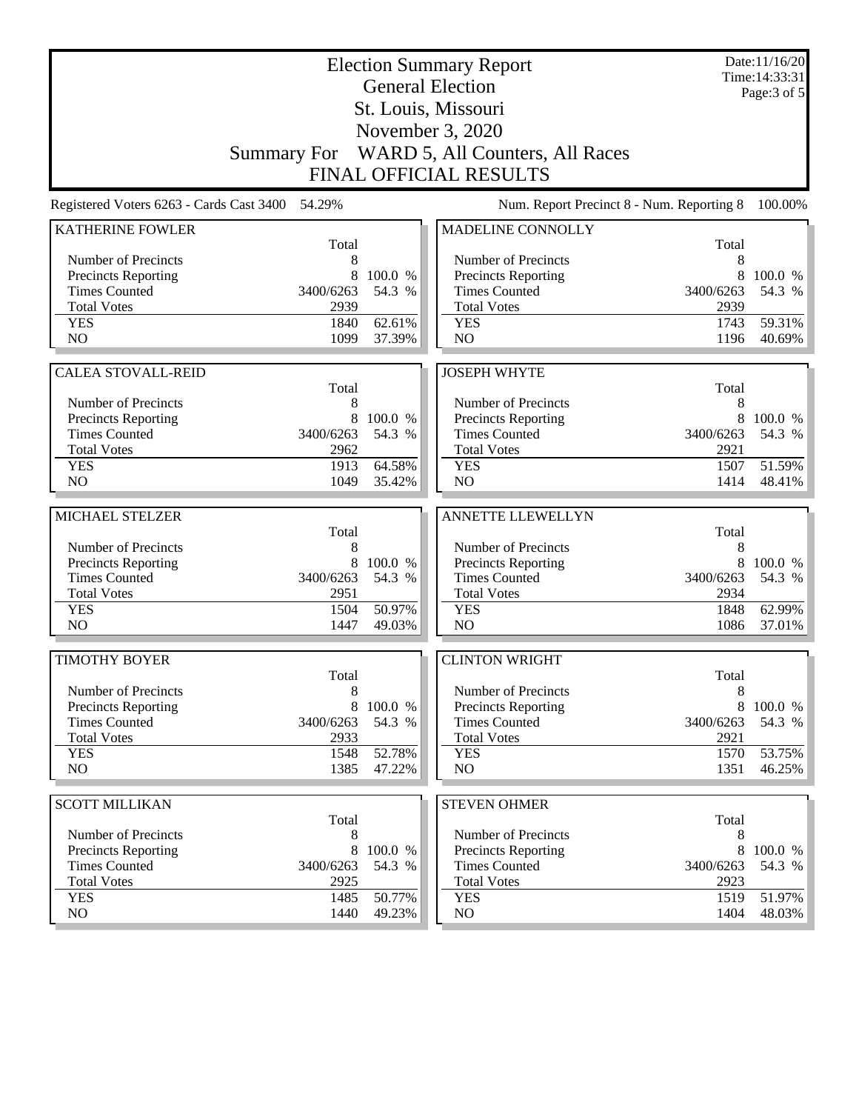|                                                 |                   |         | <b>Election Summary Report</b>              |                   | Date:11/16/20<br>Time: 14:33:31 |
|-------------------------------------------------|-------------------|---------|---------------------------------------------|-------------------|---------------------------------|
|                                                 |                   |         | <b>General Election</b>                     |                   | Page: $3$ of $5$                |
|                                                 |                   |         | St. Louis, Missouri                         |                   |                                 |
|                                                 |                   |         | November 3, 2020                            |                   |                                 |
|                                                 |                   |         | Summary For WARD 5, All Counters, All Races |                   |                                 |
|                                                 |                   |         | <b>FINAL OFFICIAL RESULTS</b>               |                   |                                 |
| Registered Voters 6263 - Cards Cast 3400 54.29% |                   |         | Num. Report Precinct 8 - Num. Reporting 8   |                   | 100.00%                         |
| <b>KATHERINE FOWLER</b>                         |                   |         | MADELINE CONNOLLY                           |                   |                                 |
|                                                 | Total             |         |                                             | Total             |                                 |
| Number of Precincts                             | 8                 |         | Number of Precincts                         | 8                 |                                 |
| Precincts Reporting                             | 8                 | 100.0 % | Precincts Reporting                         | 8                 | 100.0 %                         |
| <b>Times Counted</b><br><b>Total Votes</b>      | 3400/6263<br>2939 | 54.3 %  | <b>Times Counted</b><br><b>Total Votes</b>  | 3400/6263<br>2939 | 54.3 %                          |
| <b>YES</b>                                      | 1840              | 62.61%  | <b>YES</b>                                  | 1743              | 59.31%                          |
| NO                                              | 1099              | 37.39%  | NO                                          | 1196              | 40.69%                          |
|                                                 |                   |         |                                             |                   |                                 |
| <b>CALEA STOVALL-REID</b>                       |                   |         | <b>JOSEPH WHYTE</b>                         |                   |                                 |
|                                                 | Total             |         |                                             | Total             |                                 |
| Number of Precincts                             | 8                 |         | Number of Precincts                         | 8                 |                                 |
| <b>Precincts Reporting</b>                      | 8                 | 100.0 % | Precincts Reporting                         | 8                 | 100.0 %                         |
| <b>Times Counted</b>                            | 3400/6263         | 54.3 %  | <b>Times Counted</b>                        | 3400/6263         | 54.3 %                          |
| <b>Total Votes</b>                              | 2962              |         | <b>Total Votes</b>                          | 2921              |                                 |
| <b>YES</b>                                      | 1913              | 64.58%  | <b>YES</b>                                  | 1507              | 51.59%                          |
| NO                                              | 1049              | 35.42%  | NO                                          | 1414              | 48.41%                          |
|                                                 |                   |         |                                             |                   |                                 |
| MICHAEL STELZER                                 |                   |         | ANNETTE LLEWELLYN                           |                   |                                 |
| Number of Precincts                             | Total<br>8        |         | Number of Precincts                         | Total<br>8        |                                 |
| Precincts Reporting                             | 8                 | 100.0 % | Precincts Reporting                         | 8                 | 100.0 %                         |
| <b>Times Counted</b>                            | 3400/6263         | 54.3 %  | <b>Times Counted</b>                        | 3400/6263         | 54.3 %                          |
| <b>Total Votes</b>                              | 2951              |         | <b>Total Votes</b>                          | 2934              |                                 |
| <b>YES</b>                                      | 1504              | 50.97%  | <b>YES</b>                                  | 1848              | 62.99%                          |
| N <sub>O</sub>                                  | 1447              | 49.03%  | N <sub>O</sub>                              | 1086              | 37.01%                          |
|                                                 |                   |         |                                             |                   |                                 |
| <b>TIMOTHY BOYER</b>                            |                   |         | <b>CLINTON WRIGHT</b>                       |                   |                                 |
|                                                 | Total             |         |                                             | Total             |                                 |
| Number of Precincts                             | 8                 |         | Number of Precincts                         | 8                 |                                 |
| <b>Precincts Reporting</b>                      | 8                 | 100.0 % | <b>Precincts Reporting</b>                  | 8                 | 100.0 %                         |
| <b>Times Counted</b>                            | 3400/6263         | 54.3 %  | <b>Times Counted</b>                        | 3400/6263         | 54.3 %                          |
| <b>Total Votes</b>                              | 2933              |         | <b>Total Votes</b>                          | 2921              |                                 |
| <b>YES</b><br>NO.                               | 1548<br>1385      | 52.78%  | <b>YES</b><br>NO                            | 1570<br>1351      | 53.75%<br>46.25%                |
|                                                 |                   | 47.22%  |                                             |                   |                                 |
| <b>SCOTT MILLIKAN</b>                           |                   |         | <b>STEVEN OHMER</b>                         |                   |                                 |
|                                                 | Total             |         |                                             | Total             |                                 |
| Number of Precincts                             | 8                 |         | Number of Precincts                         | 8                 |                                 |
| <b>Precincts Reporting</b>                      | 8                 | 100.0 % | <b>Precincts Reporting</b>                  | 8                 | 100.0 %                         |
| <b>Times Counted</b>                            | 3400/6263         | 54.3 %  | <b>Times Counted</b>                        | 3400/6263         | 54.3 %                          |
| <b>Total Votes</b>                              | 2925              |         | <b>Total Votes</b>                          | 2923              |                                 |
| <b>YES</b>                                      | 1485              | 50.77%  | <b>YES</b>                                  | 1519              | 51.97%                          |
| NO                                              | 1440              | 49.23%  | NO                                          | 1404              | 48.03%                          |
|                                                 |                   |         |                                             |                   |                                 |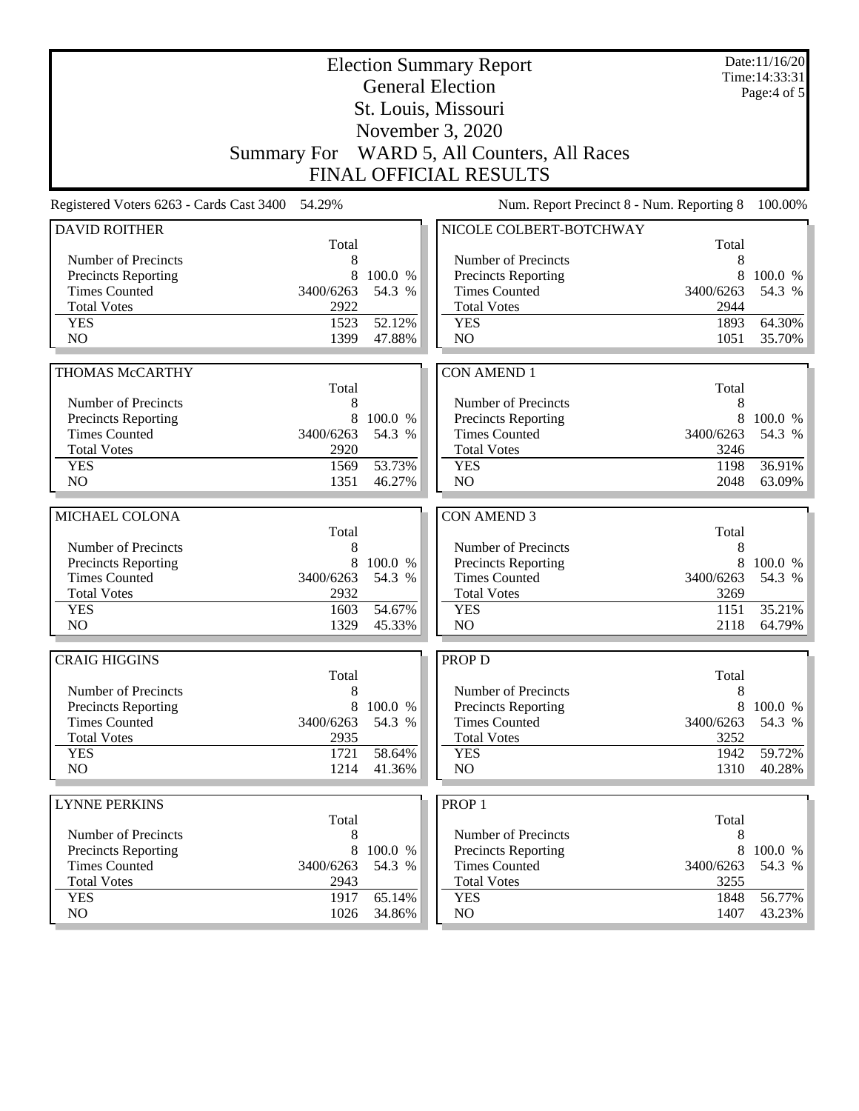| <b>Election Summary Report</b><br><b>General Election</b> |                    |         |                                                    |                   | Date:11/16/20<br>Time: 14:33:31 |
|-----------------------------------------------------------|--------------------|---------|----------------------------------------------------|-------------------|---------------------------------|
| St. Louis, Missouri                                       |                    |         |                                                    |                   | Page:4 of 5                     |
|                                                           |                    |         |                                                    |                   |                                 |
|                                                           |                    |         | November 3, 2020                                   |                   |                                 |
|                                                           | <b>Summary For</b> |         | WARD 5, All Counters, All Races                    |                   |                                 |
|                                                           |                    |         | <b>FINAL OFFICIAL RESULTS</b>                      |                   |                                 |
| Registered Voters 6263 - Cards Cast 3400                  | 54.29%             |         | Num. Report Precinct 8 - Num. Reporting 8          |                   | 100.00%                         |
| <b>DAVID ROITHER</b>                                      | Total              |         | NICOLE COLBERT-BOTCHWAY                            | Total             |                                 |
| Number of Precincts                                       | 8                  |         | Number of Precincts                                | 8                 |                                 |
| <b>Precincts Reporting</b>                                | 8                  | 100.0 % | <b>Precincts Reporting</b>                         | 8                 | 100.0 %                         |
| <b>Times Counted</b>                                      | 3400/6263          | 54.3 %  | <b>Times Counted</b>                               | 3400/6263         | 54.3 %                          |
| <b>Total Votes</b>                                        | 2922               |         | <b>Total Votes</b>                                 | 2944              |                                 |
| <b>YES</b>                                                | 1523               | 52.12%  | <b>YES</b>                                         | 1893              | 64.30%                          |
| N <sub>O</sub>                                            | 1399               | 47.88%  | N <sub>O</sub>                                     | 1051              | 35.70%                          |
| <b>THOMAS McCARTHY</b>                                    |                    |         | <b>CON AMEND 1</b>                                 |                   |                                 |
|                                                           | Total              |         |                                                    | Total             |                                 |
| Number of Precincts                                       | 8                  |         | Number of Precincts                                | 8                 |                                 |
| Precincts Reporting                                       | 8                  | 100.0 % | Precincts Reporting                                | 8                 | 100.0 %                         |
| <b>Times Counted</b>                                      | 3400/6263          | 54.3 %  | <b>Times Counted</b>                               | 3400/6263         | 54.3 %                          |
| <b>Total Votes</b>                                        | 2920               |         | <b>Total Votes</b>                                 | 3246              |                                 |
| <b>YES</b>                                                | 1569               | 53.73%  | <b>YES</b>                                         | 1198              | 36.91%                          |
| NO                                                        | 1351               | 46.27%  | NO                                                 | 2048              | 63.09%                          |
| MICHAEL COLONA                                            |                    |         | <b>CON AMEND 3</b>                                 |                   |                                 |
|                                                           | Total              |         |                                                    | Total             |                                 |
| Number of Precincts                                       | 8                  |         | Number of Precincts                                | 8                 |                                 |
| <b>Precincts Reporting</b>                                | 8                  | 100.0 % | Precincts Reporting                                | 8                 | 100.0 %                         |
| <b>Times Counted</b>                                      | 3400/6263          | 54.3 %  | <b>Times Counted</b>                               | 3400/6263         | 54.3 %                          |
| <b>Total Votes</b>                                        | 2932               |         | <b>Total Votes</b>                                 | 3269              |                                 |
| <b>YES</b>                                                | 1603               | 54.67%  | <b>YES</b>                                         | 1151              | 35.21%                          |
| N <sub>O</sub>                                            | 1329               | 45.33%  | NO                                                 | 2118              | 64.79%                          |
| <b>CRAIG HIGGINS</b>                                      |                    |         | <b>PROP D</b>                                      |                   |                                 |
|                                                           | Total              |         |                                                    | Total             |                                 |
| Number of Precincts                                       | 8                  |         | Number of Precincts                                | 8                 |                                 |
| <b>Precincts Reporting</b>                                | 8                  | 100.0 % | Precincts Reporting                                | 8                 | 100.0 %                         |
| <b>Times Counted</b><br><b>Total Votes</b>                | 3400/6263<br>2935  | 54.3 %  | <b>Times Counted</b><br><b>Total Votes</b>         | 3400/6263<br>3252 | 54.3 %                          |
| <b>YES</b>                                                | 1721               | 58.64%  | <b>YES</b>                                         | 1942              | 59.72%                          |
| NO.                                                       | 1214               | 41.36%  | NO                                                 | 1310              | $40.28\%$                       |
|                                                           |                    |         |                                                    |                   |                                 |
| <b>LYNNE PERKINS</b>                                      |                    |         | PROP <sub>1</sub>                                  |                   |                                 |
|                                                           | Total              |         |                                                    | Total             |                                 |
| Number of Precincts<br><b>Precincts Reporting</b>         | 8<br>8             | 100.0 % | Number of Precincts                                | 8<br>8            | 100.0 %                         |
| <b>Times Counted</b>                                      | 3400/6263          | 54.3 %  | <b>Precincts Reporting</b><br><b>Times Counted</b> | 3400/6263         | 54.3 %                          |
| <b>Total Votes</b>                                        | 2943               |         | <b>Total Votes</b>                                 | 3255              |                                 |
| <b>YES</b>                                                | 1917               | 65.14%  | <b>YES</b>                                         | 1848              | 56.77%                          |
| NO.                                                       | 1026               | 34.86%  | NO.                                                | 1407              | 43.23%                          |
|                                                           |                    |         |                                                    |                   |                                 |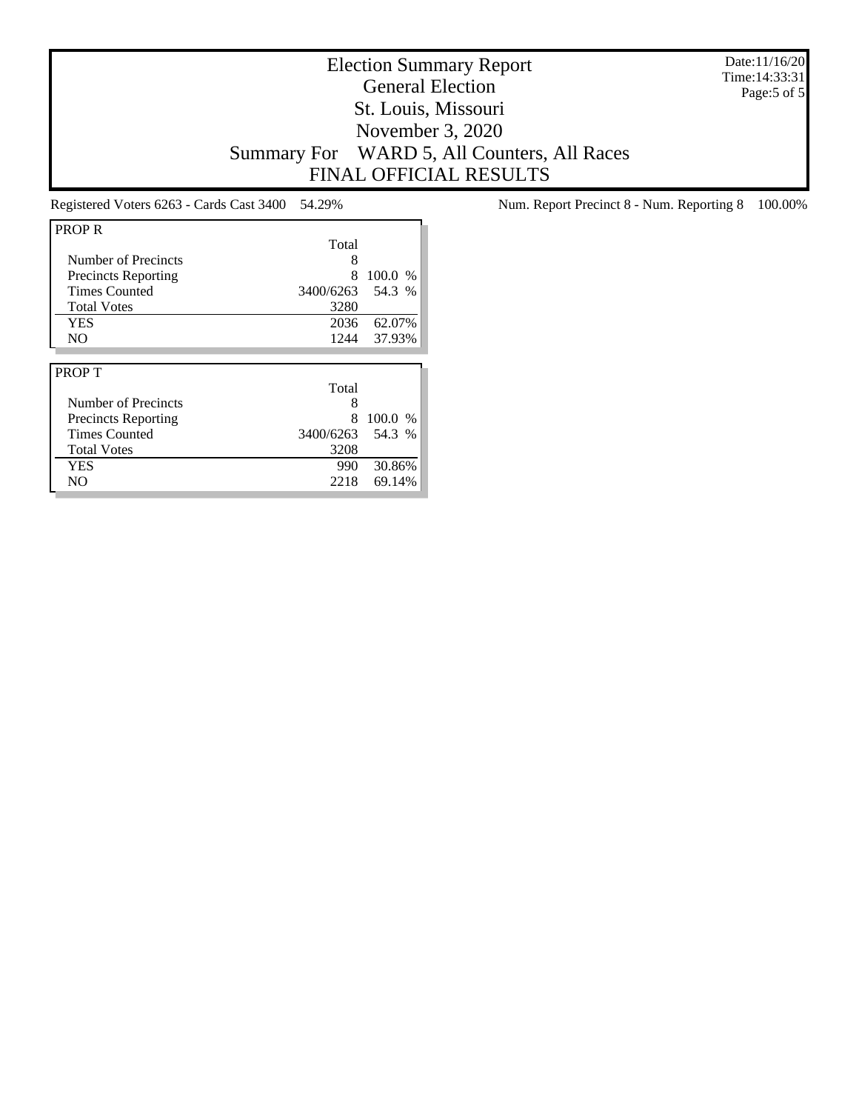Date:11/16/20 Time:14:33:31 Page:5 of 5

# Election Summary Report General Election St. Louis, Missouri November 3, 2020 Summary For WARD 5, All Counters, All Races FINAL OFFICIAL RESULTS

| <b>PROP R</b>              |           |         |
|----------------------------|-----------|---------|
|                            | Total     |         |
| Number of Precincts        | 8         |         |
| <b>Precincts Reporting</b> | 8         | 100.0 % |
| <b>Times Counted</b>       | 3400/6263 | 54.3 %  |
| <b>Total Votes</b>         | 3280      |         |
| <b>YES</b>                 | 2036      | 62.07%  |
| N <sub>O</sub>             | 1244      | 37.93%  |
|                            |           |         |
|                            |           |         |
| <b>PROPT</b>               |           |         |
|                            | Total     |         |
| Number of Precincts        | 8         |         |
| <b>Precincts Reporting</b> | 8         | 100.0%  |
| <b>Times Counted</b>       | 3400/6263 | 54.3 %  |
| <b>Total Votes</b>         | 3208      |         |
| <b>YES</b>                 | 990       | 30.86%  |

Registered Voters 6263 - Cards Cast 3400 54.29% Num. Report Precinct 8 - Num. Reporting 8 100.00%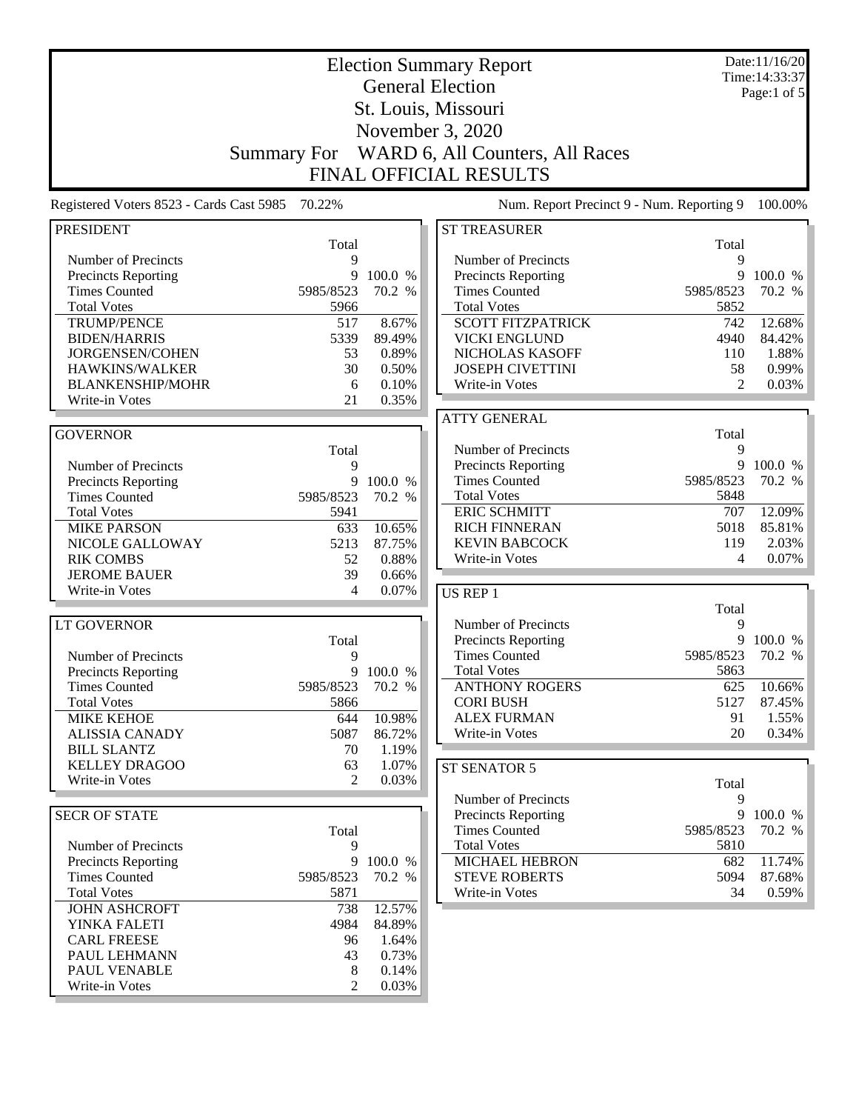| <b>Election Summary Report</b>                     |                    |                   |                                                  |                | Date:11/16/20<br>Time: 14:33:37 |
|----------------------------------------------------|--------------------|-------------------|--------------------------------------------------|----------------|---------------------------------|
|                                                    |                    |                   | <b>General Election</b>                          |                | Page:1 of $5$                   |
|                                                    |                    |                   | St. Louis, Missouri                              |                |                                 |
|                                                    |                    |                   | November 3, 2020                                 |                |                                 |
|                                                    | <b>Summary For</b> |                   | WARD 6, All Counters, All Races                  |                |                                 |
|                                                    |                    |                   | <b>FINAL OFFICIAL RESULTS</b>                    |                |                                 |
| Registered Voters 8523 - Cards Cast 5985           | 70.22%             |                   | Num. Report Precinct 9 - Num. Reporting 9        |                | 100.00%                         |
| <b>PRESIDENT</b>                                   |                    |                   | <b>ST TREASURER</b>                              |                |                                 |
|                                                    | Total              |                   |                                                  | Total          |                                 |
| Number of Precincts                                | 9                  |                   | Number of Precincts                              | 9              |                                 |
| <b>Precincts Reporting</b>                         | 9                  | 100.0 %           | Precincts Reporting                              | 9              | 100.0 %                         |
| <b>Times Counted</b>                               | 5985/8523          | 70.2 %            | <b>Times Counted</b>                             | 5985/8523      | 70.2 %                          |
| <b>Total Votes</b>                                 | 5966               |                   | <b>Total Votes</b>                               | 5852           |                                 |
| <b>TRUMP/PENCE</b><br><b>BIDEN/HARRIS</b>          | 517<br>5339        | 8.67%<br>89.49%   | <b>SCOTT FITZPATRICK</b><br><b>VICKI ENGLUND</b> | 742<br>4940    | 12.68%<br>84.42%                |
| JORGENSEN/COHEN                                    | 53                 | 0.89%             | NICHOLAS KASOFF                                  | 110            | 1.88%                           |
| HAWKINS/WALKER                                     | 30                 | 0.50%             | <b>JOSEPH CIVETTINI</b>                          | 58             | 0.99%                           |
| <b>BLANKENSHIP/MOHR</b>                            | 6                  | 0.10%             | Write-in Votes                                   | $\overline{2}$ | 0.03%                           |
| Write-in Votes                                     | 21                 | 0.35%             |                                                  |                |                                 |
|                                                    |                    |                   | <b>ATTY GENERAL</b>                              |                |                                 |
| <b>GOVERNOR</b>                                    |                    |                   |                                                  | Total          |                                 |
|                                                    | Total              |                   | Number of Precincts                              | 9              |                                 |
| Number of Precincts                                | 9                  |                   | <b>Precincts Reporting</b>                       | 9              | 100.0 %                         |
| Precincts Reporting                                | 9                  | 100.0 %           | <b>Times Counted</b>                             | 5985/8523      | 70.2 %                          |
| <b>Times Counted</b>                               | 5985/8523          | 70.2 %            | <b>Total Votes</b>                               | 5848           |                                 |
| <b>Total Votes</b>                                 | 5941               |                   | <b>ERIC SCHMITT</b>                              | 707            | 12.09%                          |
| <b>MIKE PARSON</b>                                 | 633                | 10.65%            | <b>RICH FINNERAN</b>                             | 5018           | 85.81%                          |
| NICOLE GALLOWAY                                    | 5213               | 87.75%            | <b>KEVIN BABCOCK</b>                             | 119            | 2.03%                           |
| <b>RIK COMBS</b>                                   | 52<br>39           | 0.88%             | Write-in Votes                                   | 4              | 0.07%                           |
| <b>JEROME BAUER</b><br>Write-in Votes              | 4                  | 0.66%<br>0.07%    |                                                  |                |                                 |
|                                                    |                    |                   | US REP 1                                         |                |                                 |
| <b>LT GOVERNOR</b>                                 |                    |                   | Number of Precincts                              | Total<br>9     |                                 |
|                                                    | Total              |                   | Precincts Reporting                              | 9              | 100.0 %                         |
| Number of Precincts                                | 9                  |                   | <b>Times Counted</b>                             | 5985/8523      | 70.2 %                          |
| <b>Precincts Reporting</b>                         | 9                  | 100.0 %           | <b>Total Votes</b>                               | 5863           |                                 |
| <b>Times Counted</b>                               | 5985/8523          | 70.2 %            | <b>ANTHONY ROGERS</b>                            | 625            | 10.66%                          |
| <b>Total Votes</b>                                 | 5866               |                   | <b>CORI BUSH</b>                                 | 5127           | 87.45%                          |
| <b>MIKE KEHOE</b>                                  | 644                | 10.98%            | <b>ALEX FURMAN</b>                               | 91             | 1.55%                           |
| <b>ALISSIA CANADY</b>                              | 5087               | 86.72%            | Write-in Votes                                   | 20             | 0.34%                           |
| <b>BILL SLANTZ</b>                                 | 70                 | 1.19%             |                                                  |                |                                 |
| <b>KELLEY DRAGOO</b>                               | 63                 | 1.07%             | ST SENATOR 5                                     |                |                                 |
| Write-in Votes                                     | $\mathfrak{D}$     | 0.03%             |                                                  | Total          |                                 |
|                                                    |                    |                   | Number of Precincts                              | 9              |                                 |
| <b>SECR OF STATE</b>                               |                    |                   | <b>Precincts Reporting</b>                       | 9              | 100.0 %                         |
|                                                    | Total              |                   | <b>Times Counted</b>                             | 5985/8523      | 70.2 %                          |
| Number of Precincts                                | 9                  |                   | <b>Total Votes</b><br><b>MICHAEL HEBRON</b>      | 5810           |                                 |
| <b>Precincts Reporting</b><br><b>Times Counted</b> | 9<br>5985/8523     | 100.0 %<br>70.2 % | <b>STEVE ROBERTS</b>                             | 682<br>5094    | 11.74%<br>87.68%                |
| <b>Total Votes</b>                                 | 5871               |                   | Write-in Votes                                   | 34             | 0.59%                           |
| <b>JOHN ASHCROFT</b>                               | 738                | 12.57%            |                                                  |                |                                 |
| YINKA FALETI                                       | 4984               | 84.89%            |                                                  |                |                                 |
| <b>CARL FREESE</b>                                 | 96                 | 1.64%             |                                                  |                |                                 |
| PAUL LEHMANN                                       | 43                 | 0.73%             |                                                  |                |                                 |
| PAUL VENABLE                                       | 8                  | 0.14%             |                                                  |                |                                 |
| Write-in Votes                                     | $\overline{c}$     | 0.03%             |                                                  |                |                                 |
|                                                    |                    |                   |                                                  |                |                                 |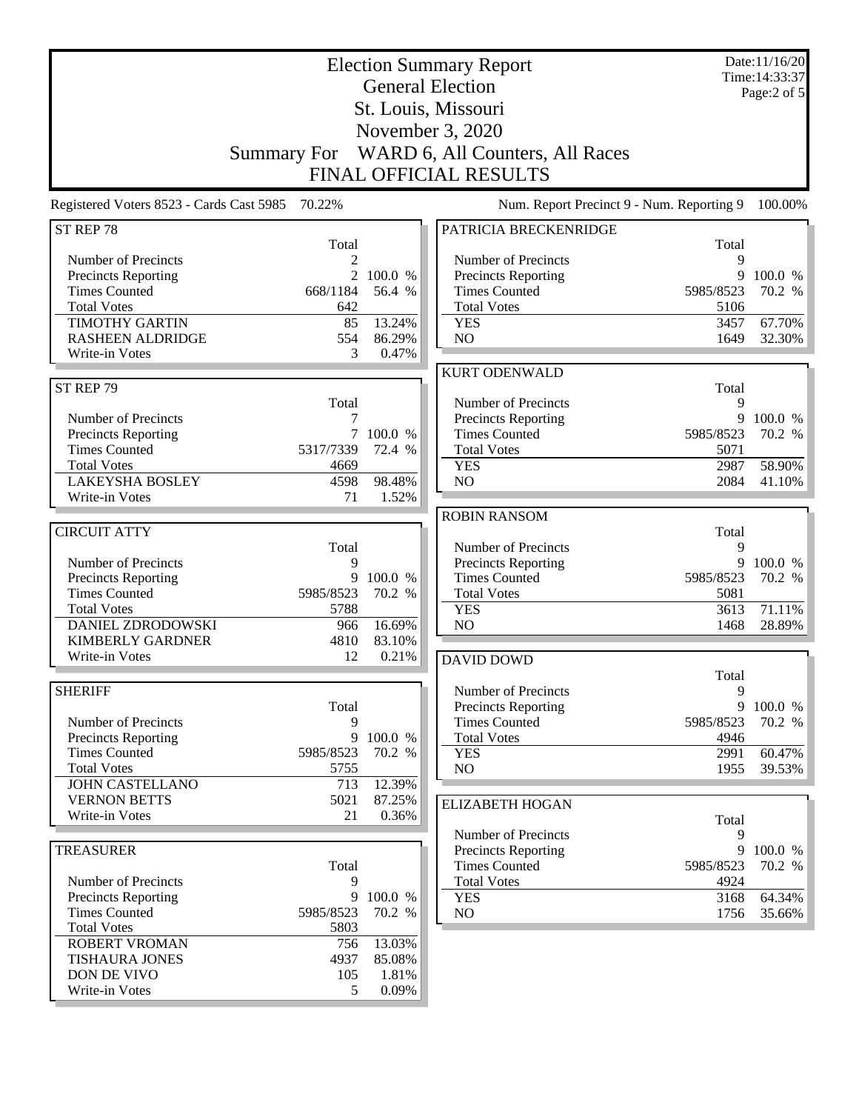| <b>Election Summary Report</b><br><b>General Election</b><br>St. Louis, Missouri |                    |                 |                                                    |                | Date:11/16/20<br>Time: 14:33:37<br>Page:2 of 5 |
|----------------------------------------------------------------------------------|--------------------|-----------------|----------------------------------------------------|----------------|------------------------------------------------|
|                                                                                  |                    |                 | November 3, 2020                                   |                |                                                |
|                                                                                  |                    |                 |                                                    |                |                                                |
|                                                                                  | <b>Summary For</b> |                 | WARD 6, All Counters, All Races                    |                |                                                |
|                                                                                  |                    |                 | <b>FINAL OFFICIAL RESULTS</b>                      |                |                                                |
| Registered Voters 8523 - Cards Cast 5985                                         | 70.22%             |                 | Num. Report Precinct 9 - Num. Reporting 9          |                | 100.00%                                        |
| ST REP 78                                                                        |                    |                 | PATRICIA BRECKENRIDGE                              |                |                                                |
| Number of Precincts                                                              | Total<br>2         |                 | Number of Precincts                                | Total<br>9     |                                                |
| Precincts Reporting                                                              | $\overline{2}$     | 100.0 %         | Precincts Reporting                                | 9              | 100.0 %                                        |
| <b>Times Counted</b>                                                             | 668/1184           | 56.4 %          | <b>Times Counted</b>                               | 5985/8523      | 70.2 %                                         |
| <b>Total Votes</b>                                                               | 642                |                 | <b>Total Votes</b>                                 | 5106           |                                                |
| <b>TIMOTHY GARTIN</b>                                                            | 85                 | 13.24%          | <b>YES</b>                                         | 3457           | 67.70%                                         |
| <b>RASHEEN ALDRIDGE</b>                                                          | 554                | 86.29%          | N <sub>O</sub>                                     | 1649           | 32.30%                                         |
| Write-in Votes                                                                   | 3                  | 0.47%           |                                                    |                |                                                |
|                                                                                  |                    |                 | <b>KURT ODENWALD</b>                               |                |                                                |
| ST REP 79                                                                        |                    |                 |                                                    | Total          |                                                |
|                                                                                  | Total              |                 | Number of Precincts                                | 9              |                                                |
| Number of Precincts                                                              | 7                  |                 | Precincts Reporting                                | 9              | 100.0 %                                        |
| Precincts Reporting                                                              | $7\overline{ }$    | 100.0 %         | <b>Times Counted</b>                               | 5985/8523      | 70.2 %                                         |
| <b>Times Counted</b>                                                             | 5317/7339          | 72.4 %          | <b>Total Votes</b>                                 | 5071           |                                                |
| <b>Total Votes</b>                                                               | 4669               |                 | <b>YES</b>                                         | 2987           | 58.90%                                         |
| <b>LAKEYSHA BOSLEY</b><br>Write-in Votes                                         | 4598<br>71         | 98.48%<br>1.52% | NO                                                 | 2084           | 41.10%                                         |
|                                                                                  |                    |                 |                                                    |                |                                                |
| <b>CIRCUIT ATTY</b>                                                              |                    |                 | <b>ROBIN RANSOM</b>                                |                |                                                |
|                                                                                  | Total              |                 | Number of Precincts                                | Total<br>9     |                                                |
| Number of Precincts                                                              | 9                  |                 | Precincts Reporting                                |                | 9 100.0 %                                      |
| Precincts Reporting                                                              | 9                  | 100.0 %         | <b>Times Counted</b>                               | 5985/8523      | 70.2 %                                         |
| <b>Times Counted</b>                                                             | 5985/8523          | 70.2 %          | <b>Total Votes</b>                                 | 5081           |                                                |
| <b>Total Votes</b>                                                               | 5788               |                 | <b>YES</b>                                         | 3613           | 71.11%                                         |
| <b>DANIEL ZDRODOWSKI</b>                                                         | 966                | 16.69%          | NO                                                 | 1468           | 28.89%                                         |
| <b>KIMBERLY GARDNER</b>                                                          | 4810               | 83.10%          |                                                    |                |                                                |
| Write-in Votes                                                                   | 12                 | 0.21%           | <b>DAVID DOWD</b>                                  |                |                                                |
|                                                                                  |                    |                 |                                                    | Total          |                                                |
| <b>SHERIFF</b>                                                                   |                    |                 | Number of Precincts                                | 9              |                                                |
|                                                                                  | Total              |                 | Precincts Reporting                                |                | 9 100.0 %                                      |
| Number of Precincts                                                              | 9                  |                 | <b>Times Counted</b>                               | 5985/8523      | 70.2 %                                         |
| <b>Precincts Reporting</b>                                                       | 9                  | 100.0 %         | <b>Total Votes</b>                                 | 4946           |                                                |
| <b>Times Counted</b>                                                             | 5985/8523          | 70.2 %          | <b>YES</b>                                         | 2991           | 60.47%                                         |
| <b>Total Votes</b>                                                               | 5755               |                 | NO                                                 | 1955           | 39.53%                                         |
| <b>JOHN CASTELLANO</b>                                                           | 713                | 12.39%          |                                                    |                |                                                |
| <b>VERNON BETTS</b>                                                              | 5021               | 87.25%          | <b>ELIZABETH HOGAN</b>                             |                |                                                |
| Write-in Votes                                                                   | 21                 | 0.36%           |                                                    | Total          |                                                |
| <b>TREASURER</b>                                                                 |                    |                 | Number of Precincts                                | 9              |                                                |
|                                                                                  | Total              |                 | <b>Precincts Reporting</b><br><b>Times Counted</b> | 9<br>5985/8523 | 100.0 %<br>70.2 %                              |
| Number of Precincts                                                              | 9                  |                 | <b>Total Votes</b>                                 | 4924           |                                                |
| Precincts Reporting                                                              | 9                  | 100.0 %         | <b>YES</b>                                         | 3168           | 64.34%                                         |
| <b>Times Counted</b>                                                             | 5985/8523          | 70.2 %          | NO <sub>1</sub>                                    | 1756           | 35.66%                                         |
| <b>Total Votes</b>                                                               | 5803               |                 |                                                    |                |                                                |
| ROBERT VROMAN                                                                    | 756                | 13.03%          |                                                    |                |                                                |
| <b>TISHAURA JONES</b>                                                            | 4937               | 85.08%          |                                                    |                |                                                |
| DON DE VIVO                                                                      | 105                | 1.81%           |                                                    |                |                                                |
| Write-in Votes                                                                   | 5                  | 0.09%           |                                                    |                |                                                |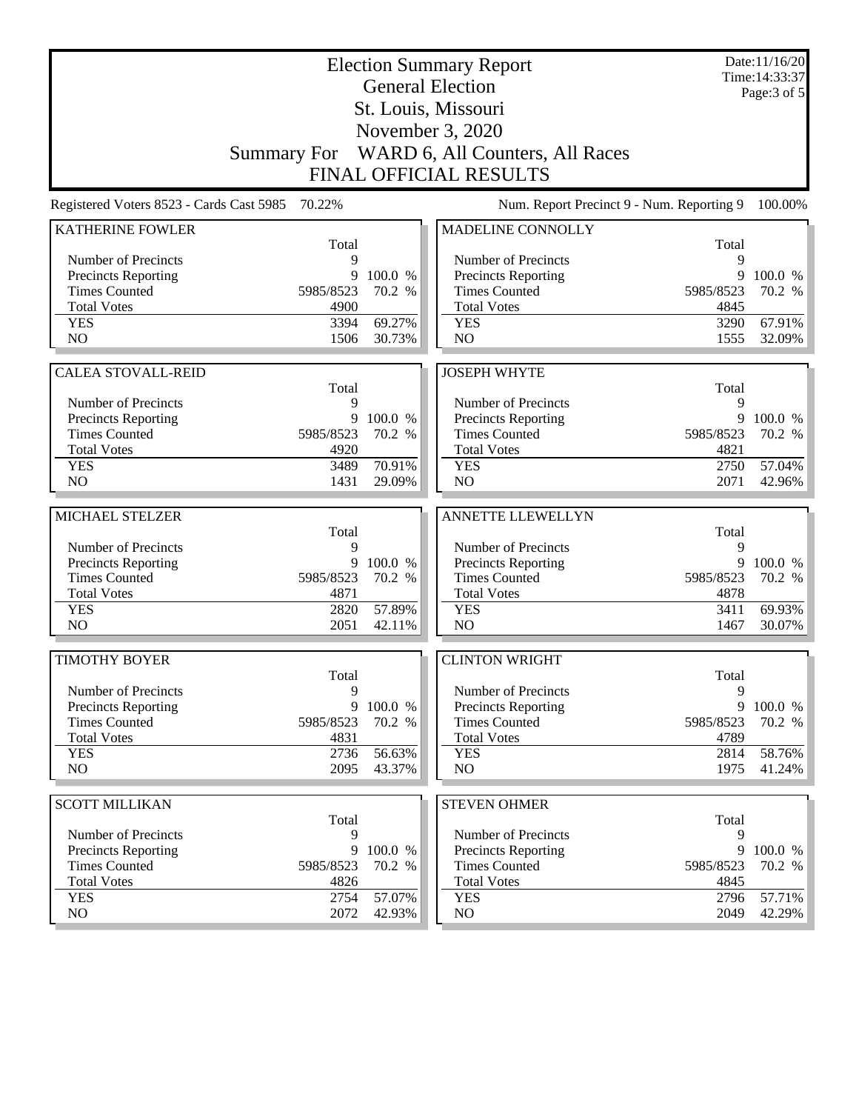| <b>Election Summary Report</b>           |              |                  |                                             |              | Date:11/16/20<br>Time: 14:33:37 |  |
|------------------------------------------|--------------|------------------|---------------------------------------------|--------------|---------------------------------|--|
|                                          |              |                  | <b>General Election</b>                     |              | Page: 3 of 5                    |  |
|                                          |              |                  | St. Louis, Missouri                         |              |                                 |  |
|                                          |              |                  | November 3, 2020                            |              |                                 |  |
|                                          |              |                  | Summary For WARD 6, All Counters, All Races |              |                                 |  |
|                                          |              |                  | <b>FINAL OFFICIAL RESULTS</b>               |              |                                 |  |
|                                          |              |                  |                                             |              |                                 |  |
| Registered Voters 8523 - Cards Cast 5985 | 70.22%       |                  | Num. Report Precinct 9 - Num. Reporting 9   |              | 100.00%                         |  |
| <b>KATHERINE FOWLER</b>                  | Total        |                  | MADELINE CONNOLLY                           |              |                                 |  |
| Number of Precincts                      | 9            |                  | Number of Precincts                         | Total<br>9   |                                 |  |
| Precincts Reporting                      | 9            | 100.0 %          | <b>Precincts Reporting</b>                  | 9            | 100.0 %                         |  |
| <b>Times Counted</b>                     | 5985/8523    | 70.2 %           | <b>Times Counted</b>                        | 5985/8523    | 70.2 %                          |  |
| <b>Total Votes</b>                       | 4900         |                  | <b>Total Votes</b>                          | 4845         |                                 |  |
| <b>YES</b>                               | 3394         | 69.27%           | <b>YES</b>                                  | 3290         | 67.91%                          |  |
| NO                                       | 1506         | 30.73%           | NO                                          | 1555         | 32.09%                          |  |
|                                          |              |                  |                                             |              |                                 |  |
| <b>CALEA STOVALL-REID</b>                | Total        |                  | <b>JOSEPH WHYTE</b>                         | Total        |                                 |  |
| Number of Precincts                      | 9            |                  | Number of Precincts                         | 9            |                                 |  |
| <b>Precincts Reporting</b>               | 9            | 100.0 %          | Precincts Reporting                         | 9            | 100.0 %                         |  |
| <b>Times Counted</b>                     | 5985/8523    | 70.2 %           | <b>Times Counted</b>                        | 5985/8523    | 70.2 %                          |  |
| <b>Total Votes</b>                       | 4920         |                  | <b>Total Votes</b>                          | 4821         |                                 |  |
| <b>YES</b>                               | 3489         | 70.91%           | <b>YES</b>                                  | 2750         | 57.04%                          |  |
| NO                                       | 1431         | 29.09%           | NO                                          | 2071         | 42.96%                          |  |
| MICHAEL STELZER                          |              |                  | ANNETTE LLEWELLYN                           |              |                                 |  |
|                                          | Total        |                  |                                             | Total        |                                 |  |
| Number of Precincts                      | 9            |                  | Number of Precincts                         | 9            |                                 |  |
| Precincts Reporting                      |              | 9 100.0 %        | Precincts Reporting                         | 9            | 100.0 %                         |  |
| <b>Times Counted</b>                     | 5985/8523    | 70.2 %           | <b>Times Counted</b>                        | 5985/8523    | 70.2 %                          |  |
| <b>Total Votes</b>                       | 4871         |                  | <b>Total Votes</b>                          | 4878         |                                 |  |
| <b>YES</b>                               | 2820         | 57.89%           | <b>YES</b>                                  | 3411         | 69.93%                          |  |
| N <sub>O</sub>                           | 2051         | 42.11%           | N <sub>O</sub>                              | 1467         | 30.07%                          |  |
| <b>TIMOTHY BOYER</b>                     |              |                  | <b>CLINTON WRIGHT</b>                       |              |                                 |  |
|                                          | Total        |                  |                                             | Total        |                                 |  |
| Number of Precincts                      | 9            |                  | Number of Precincts                         | 9            |                                 |  |
| Precincts Reporting                      | 9            | 100.0 %          | Precincts Reporting                         | 9            | 100.0 %                         |  |
| <b>Times Counted</b>                     | 5985/8523    | 70.2 %           | <b>Times Counted</b>                        | 5985/8523    | 70.2 %                          |  |
| <b>Total Votes</b>                       | 4831         |                  | <b>Total Votes</b>                          | 4789         |                                 |  |
| <b>YES</b>                               | 2736         | 56.63%           | <b>YES</b>                                  | 2814         | 58.76%                          |  |
| NO.                                      | 2095         | 43.37%           | NO                                          | 1975         | 41.24%                          |  |
| <b>SCOTT MILLIKAN</b>                    |              |                  | <b>STEVEN OHMER</b>                         |              |                                 |  |
|                                          | Total        |                  |                                             | Total        |                                 |  |
| Number of Precincts                      | 9            |                  | Number of Precincts                         | 9            |                                 |  |
| Precincts Reporting                      | 9            | 100.0 %          | <b>Precincts Reporting</b>                  | 9            | 100.0 %                         |  |
| <b>Times Counted</b>                     | 5985/8523    | 70.2 %           | <b>Times Counted</b>                        | 5985/8523    | 70.2 %                          |  |
| <b>Total Votes</b>                       | 4826         |                  | <b>Total Votes</b>                          | 4845         |                                 |  |
|                                          |              |                  |                                             |              |                                 |  |
| <b>YES</b><br>NO                         | 2754<br>2072 | 57.07%<br>42.93% | <b>YES</b><br>NO                            | 2796<br>2049 | 57.71%<br>42.29%                |  |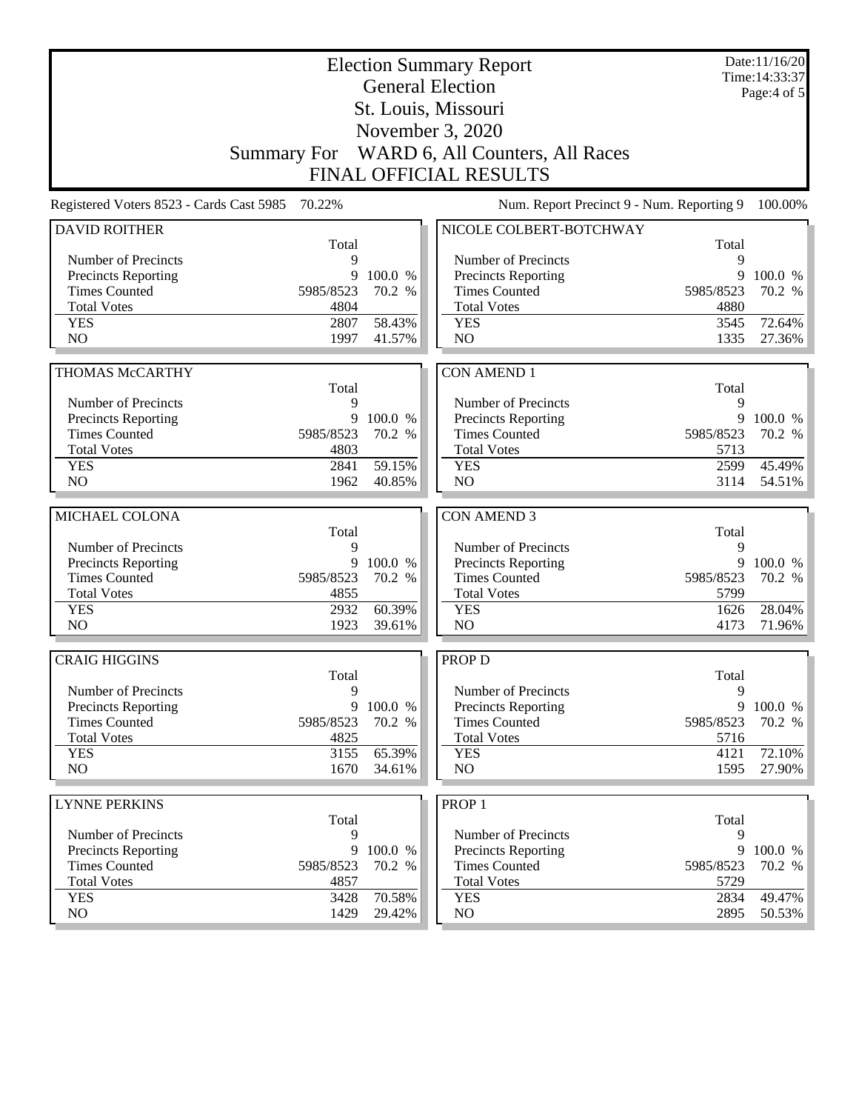|                                                   | <b>Election Summary Report</b><br><b>General Election</b> |                  |                                            |              | Date:11/16/20<br>Time: 14:33:37 |
|---------------------------------------------------|-----------------------------------------------------------|------------------|--------------------------------------------|--------------|---------------------------------|
|                                                   |                                                           |                  | St. Louis, Missouri                        |              | Page: $4$ of $5$                |
|                                                   |                                                           |                  | November 3, 2020                           |              |                                 |
|                                                   |                                                           |                  |                                            |              |                                 |
|                                                   | <b>Summary For</b>                                        |                  | WARD 6, All Counters, All Races            |              |                                 |
|                                                   |                                                           |                  | <b>FINAL OFFICIAL RESULTS</b>              |              |                                 |
| Registered Voters 8523 - Cards Cast 5985          | 70.22%                                                    |                  | Num. Report Precinct 9 - Num. Reporting 9  |              | 100.00%                         |
| <b>DAVID ROITHER</b>                              |                                                           |                  | NICOLE COLBERT-BOTCHWAY                    | Total        |                                 |
| Number of Precincts                               | Total<br>9                                                |                  | Number of Precincts                        | 9            |                                 |
| <b>Precincts Reporting</b>                        | 9                                                         | 100.0 %          | <b>Precincts Reporting</b>                 | 9            | 100.0 %                         |
| <b>Times Counted</b>                              | 5985/8523                                                 | 70.2 %           | <b>Times Counted</b>                       | 5985/8523    | 70.2 %                          |
| <b>Total Votes</b>                                | 4804                                                      |                  | <b>Total Votes</b>                         | 4880         |                                 |
| <b>YES</b>                                        | 2807                                                      | 58.43%           | <b>YES</b>                                 | 3545         | 72.64%                          |
| NO                                                | 1997                                                      | 41.57%           | NO                                         | 1335         | 27.36%                          |
|                                                   |                                                           |                  |                                            |              |                                 |
| <b>THOMAS McCARTHY</b>                            |                                                           |                  | <b>CON AMEND 1</b>                         |              |                                 |
| Number of Precincts                               | Total<br>9                                                |                  | Number of Precincts                        | Total<br>9   |                                 |
| Precincts Reporting                               | 9                                                         | 100.0 %          | Precincts Reporting                        | 9            | 100.0 %                         |
| <b>Times Counted</b>                              | 5985/8523                                                 | 70.2 %           | <b>Times Counted</b>                       | 5985/8523    | 70.2 %                          |
| <b>Total Votes</b>                                | 4803                                                      |                  | <b>Total Votes</b>                         | 5713         |                                 |
| <b>YES</b>                                        | 2841                                                      | 59.15%           | <b>YES</b>                                 | 2599         | 45.49%                          |
| NO                                                | 1962                                                      | 40.85%           | NO                                         | 3114         | 54.51%                          |
|                                                   |                                                           |                  |                                            |              |                                 |
| MICHAEL COLONA                                    |                                                           |                  |                                            |              |                                 |
|                                                   |                                                           |                  | <b>CON AMEND 3</b>                         |              |                                 |
|                                                   | Total<br>9                                                |                  |                                            | Total<br>9   |                                 |
| Number of Precincts<br><b>Precincts Reporting</b> | 9                                                         | 100.0 %          | Number of Precincts<br>Precincts Reporting | 9            | 100.0 %                         |
| <b>Times Counted</b>                              | 5985/8523                                                 | 70.2 %           | <b>Times Counted</b>                       | 5985/8523    | 70.2 %                          |
| <b>Total Votes</b>                                | 4855                                                      |                  | <b>Total Votes</b>                         | 5799         |                                 |
| <b>YES</b>                                        | 2932                                                      | 60.39%           | <b>YES</b>                                 | 1626         | 28.04%                          |
| N <sub>O</sub>                                    | 1923                                                      | 39.61%           | NO                                         | 4173         | 71.96%                          |
|                                                   |                                                           |                  |                                            |              |                                 |
| <b>CRAIG HIGGINS</b>                              | Total                                                     |                  | PROP D                                     | Total        |                                 |
| Number of Precincts                               | 9                                                         |                  | Number of Precincts                        | 9            |                                 |
| <b>Precincts Reporting</b>                        |                                                           | 9 100.0 %        | Precincts Reporting                        | 9            | 100.0 %                         |
| <b>Times Counted</b>                              | 5985/8523                                                 | 70.2 %           | <b>Times Counted</b>                       | 5985/8523    | 70.2 %                          |
| <b>Total Votes</b>                                | 4825                                                      |                  | <b>Total Votes</b>                         | 5716         |                                 |
| <b>YES</b>                                        | 3155                                                      | 65.39%           | <b>YES</b>                                 | 4121         | 72.10%                          |
| NO                                                | 1670                                                      | 34.61%           | NO                                         | 1595         | 27.90%                          |
| <b>LYNNE PERKINS</b>                              |                                                           |                  | PROP <sub>1</sub>                          |              |                                 |
|                                                   | Total                                                     |                  |                                            | Total        |                                 |
| Number of Precincts                               | 9                                                         |                  | Number of Precincts                        | 9            |                                 |
| <b>Precincts Reporting</b>                        | 9                                                         | 100.0 %          | <b>Precincts Reporting</b>                 | 9            | 100.0 %                         |
| <b>Times Counted</b>                              | 5985/8523                                                 | 70.2 %           | <b>Times Counted</b>                       | 5985/8523    | 70.2 %                          |
| <b>Total Votes</b>                                | 4857                                                      |                  | <b>Total Votes</b>                         | 5729         |                                 |
| <b>YES</b><br>NO                                  | 3428<br>1429                                              | 70.58%<br>29.42% | <b>YES</b><br>NO                           | 2834<br>2895 | 49.47%<br>50.53%                |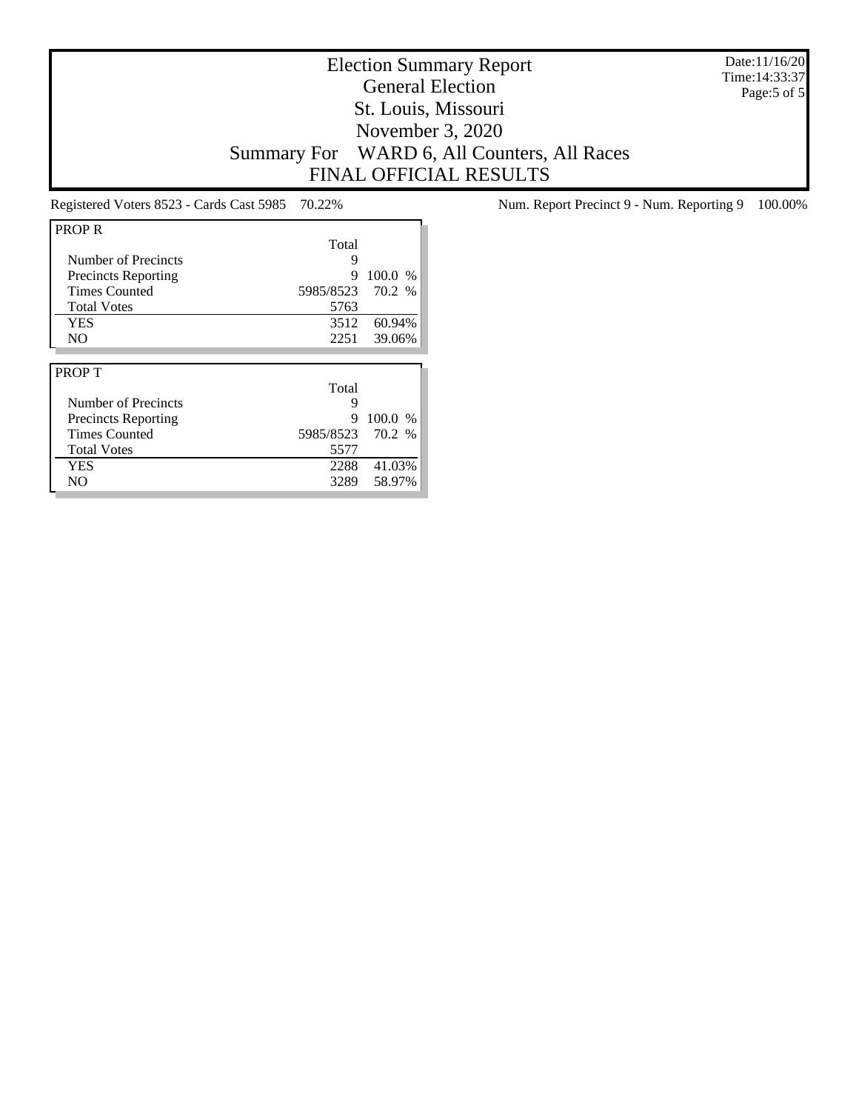Date:11/16/20 Time:14:33:37 Page:5 of 5

### Election Summary Report General Election St. Louis, Missouri November 3, 2020 Summary For WARD 6, All Counters, All Races FINAL OFFICIAL RESULTS

| <b>PROP R</b>              |           |         |
|----------------------------|-----------|---------|
|                            | Total     |         |
| Number of Precincts        | 9         |         |
| <b>Precincts Reporting</b> | 9         | 100.0 % |
| <b>Times Counted</b>       | 5985/8523 | 70.2 %  |
| <b>Total Votes</b>         | 5763      |         |
| <b>YES</b>                 | 3512      | 60.94%  |
| N <sub>O</sub>             | 2251      | 39.06%  |
|                            |           |         |
|                            |           |         |
| <b>PROPT</b>               |           |         |
|                            | Total     |         |
| Number of Precincts        | 9         |         |
| <b>Precincts Reporting</b> | 9         | 100.0 % |
| <b>Times Counted</b>       | 5985/8523 | 70.2 %  |
| <b>Total Votes</b>         | 5577      |         |
| <b>YES</b>                 | 2288      | 41.03%  |

Registered Voters 8523 - Cards Cast 5985 70.22% Num. Report Precinct 9 - Num. Reporting 9 100.00%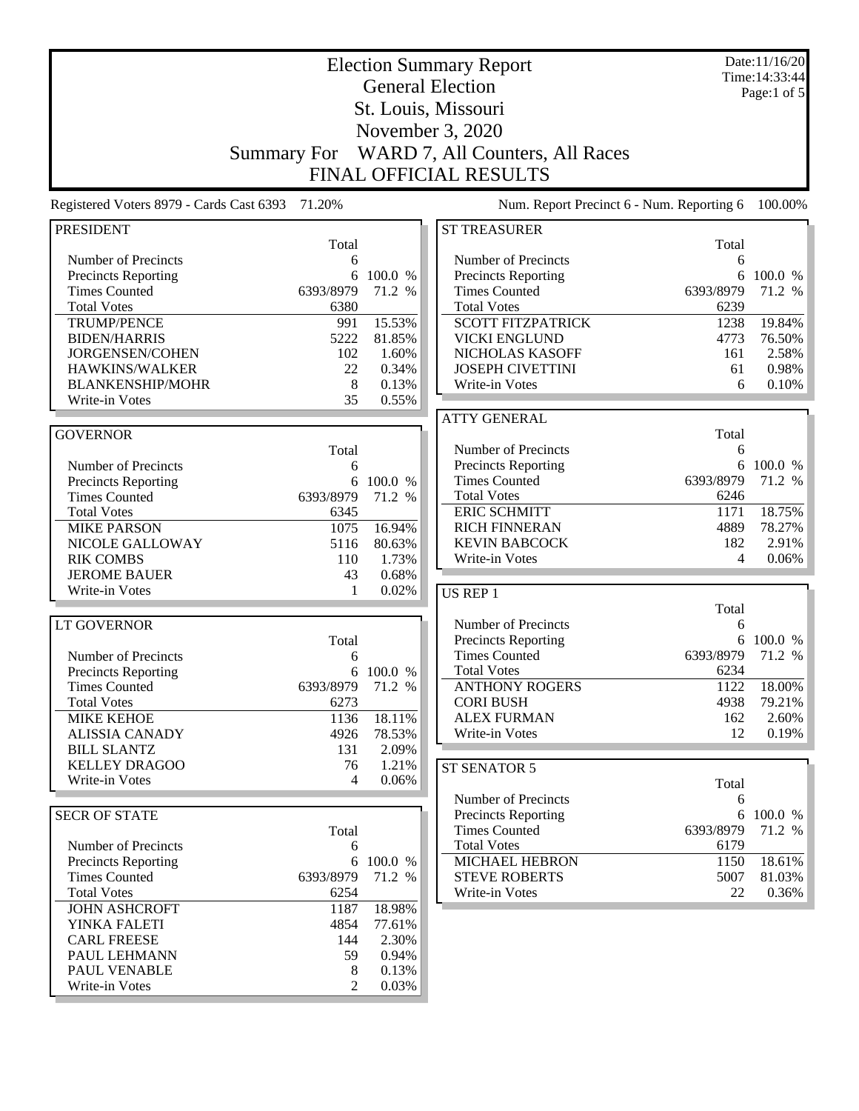| <b>Election Summary Report</b>                     |                    |                   |                                                    |              | Date:11/16/20<br>Time: 14:33:44 |
|----------------------------------------------------|--------------------|-------------------|----------------------------------------------------|--------------|---------------------------------|
|                                                    |                    |                   | <b>General Election</b>                            |              | Page:1 of $5$                   |
|                                                    |                    |                   | St. Louis, Missouri                                |              |                                 |
|                                                    |                    |                   | November 3, 2020                                   |              |                                 |
|                                                    | <b>Summary For</b> |                   | WARD 7, All Counters, All Races                    |              |                                 |
|                                                    |                    |                   | <b>FINAL OFFICIAL RESULTS</b>                      |              |                                 |
| Registered Voters 8979 - Cards Cast 6393           | 71.20%             |                   | Num. Report Precinct 6 - Num. Reporting 6          |              | 100.00%                         |
|                                                    |                    |                   |                                                    |              |                                 |
| <b>PRESIDENT</b>                                   | Total              |                   | <b>ST TREASURER</b>                                | Total        |                                 |
| Number of Precincts                                | 6                  |                   | Number of Precincts                                | 6            |                                 |
| <b>Precincts Reporting</b><br><b>Times Counted</b> | 6<br>6393/8979     | 100.0 %<br>71.2 % | <b>Precincts Reporting</b><br><b>Times Counted</b> | 6393/8979    | 6 100.0 %<br>71.2 %             |
| <b>Total Votes</b>                                 | 6380               |                   | <b>Total Votes</b>                                 | 6239         |                                 |
| <b>TRUMP/PENCE</b>                                 | 991                | 15.53%            | <b>SCOTT FITZPATRICK</b>                           | 1238         | 19.84%                          |
| <b>BIDEN/HARRIS</b>                                | 5222               | 81.85%            | <b>VICKI ENGLUND</b>                               | 4773         | 76.50%                          |
| JORGENSEN/COHEN                                    | 102                | 1.60%             | NICHOLAS KASOFF                                    | 161          | 2.58%                           |
| HAWKINS/WALKER                                     | 22                 | 0.34%             | <b>JOSEPH CIVETTINI</b>                            | 61           | 0.98%                           |
| <b>BLANKENSHIP/MOHR</b>                            | 8                  | 0.13%             | Write-in Votes                                     | 6            | 0.10%                           |
| Write-in Votes                                     | 35                 | 0.55%             |                                                    |              |                                 |
|                                                    |                    |                   | <b>ATTY GENERAL</b>                                |              |                                 |
| <b>GOVERNOR</b>                                    |                    |                   |                                                    | Total        |                                 |
|                                                    | Total              |                   | Number of Precincts                                | 6            |                                 |
| Number of Precincts                                | 6                  |                   | Precincts Reporting                                |              | 6 100.0 %                       |
| <b>Precincts Reporting</b>                         | 6                  | 100.0 %           | <b>Times Counted</b>                               | 6393/8979    | 71.2 %                          |
| <b>Times Counted</b>                               | 6393/8979          | 71.2 %            | <b>Total Votes</b>                                 | 6246         |                                 |
| <b>Total Votes</b>                                 | 6345               |                   | <b>ERIC SCHMITT</b>                                | 1171         | 18.75%                          |
| <b>MIKE PARSON</b>                                 | 1075               | 16.94%            | <b>RICH FINNERAN</b>                               | 4889         | 78.27%                          |
| NICOLE GALLOWAY                                    | 5116               | 80.63%            | <b>KEVIN BABCOCK</b>                               | 182          | 2.91%                           |
| <b>RIK COMBS</b>                                   | 110                | 1.73%             | Write-in Votes                                     | 4            | 0.06%                           |
| <b>JEROME BAUER</b><br>Write-in Votes              | 43<br>1            | 0.68%<br>0.02%    |                                                    |              |                                 |
|                                                    |                    |                   | <b>US REP 1</b>                                    | Total        |                                 |
| <b>LT GOVERNOR</b>                                 |                    |                   | Number of Precincts                                | 6            |                                 |
|                                                    | Total              |                   | <b>Precincts Reporting</b>                         |              | 6 100.0 %                       |
| Number of Precincts                                | 6                  |                   | <b>Times Counted</b>                               | 6393/8979    | 71.2 %                          |
| <b>Precincts Reporting</b>                         |                    | 6 100.0 %         | <b>Total Votes</b>                                 | 6234         |                                 |
| <b>Times Counted</b>                               | 6393/8979          | 71.2 %            | <b>ANTHONY ROGERS</b>                              | 1122         | 18.00%                          |
| <b>Total Votes</b>                                 | 6273               |                   | <b>CORI BUSH</b>                                   | 4938         | 79.21%                          |
| <b>MIKE KEHOE</b>                                  | 1136               | 18.11%            | <b>ALEX FURMAN</b>                                 | 162          | 2.60%                           |
| <b>ALISSIA CANADY</b>                              | 4926               | 78.53%            | Write-in Votes                                     | 12           | 0.19%                           |
| <b>BILL SLANTZ</b>                                 | 131                | 2.09%             |                                                    |              |                                 |
| <b>KELLEY DRAGOO</b>                               | 76                 | 1.21%             | ST SENATOR 5                                       |              |                                 |
| Write-in Votes                                     | 4                  | 0.06%             |                                                    | Total        |                                 |
|                                                    |                    |                   | Number of Precincts                                | 6            |                                 |
| <b>SECR OF STATE</b>                               |                    |                   | <b>Precincts Reporting</b>                         |              | 6 100.0 %                       |
|                                                    | Total              |                   | <b>Times Counted</b>                               | 6393/8979    | 71.2 %                          |
| Number of Precincts                                | 6                  |                   | <b>Total Votes</b>                                 | 6179         |                                 |
| <b>Precincts Reporting</b><br><b>Times Counted</b> | 6<br>6393/8979     | 100.0 %<br>71.2 % | <b>MICHAEL HEBRON</b><br><b>STEVE ROBERTS</b>      | 1150<br>5007 | 18.61%<br>81.03%                |
| <b>Total Votes</b>                                 | 6254               |                   | Write-in Votes                                     | 22           | 0.36%                           |
| <b>JOHN ASHCROFT</b>                               | 1187               | 18.98%            |                                                    |              |                                 |
| YINKA FALETI                                       | 4854               | 77.61%            |                                                    |              |                                 |
| <b>CARL FREESE</b>                                 | 144                | 2.30%             |                                                    |              |                                 |
| PAUL LEHMANN                                       | 59                 | 0.94%             |                                                    |              |                                 |
| PAUL VENABLE                                       | 8                  | 0.13%             |                                                    |              |                                 |
| Write-in Votes                                     | $\overline{2}$     | 0.03%             |                                                    |              |                                 |
|                                                    |                    |                   |                                                    |              |                                 |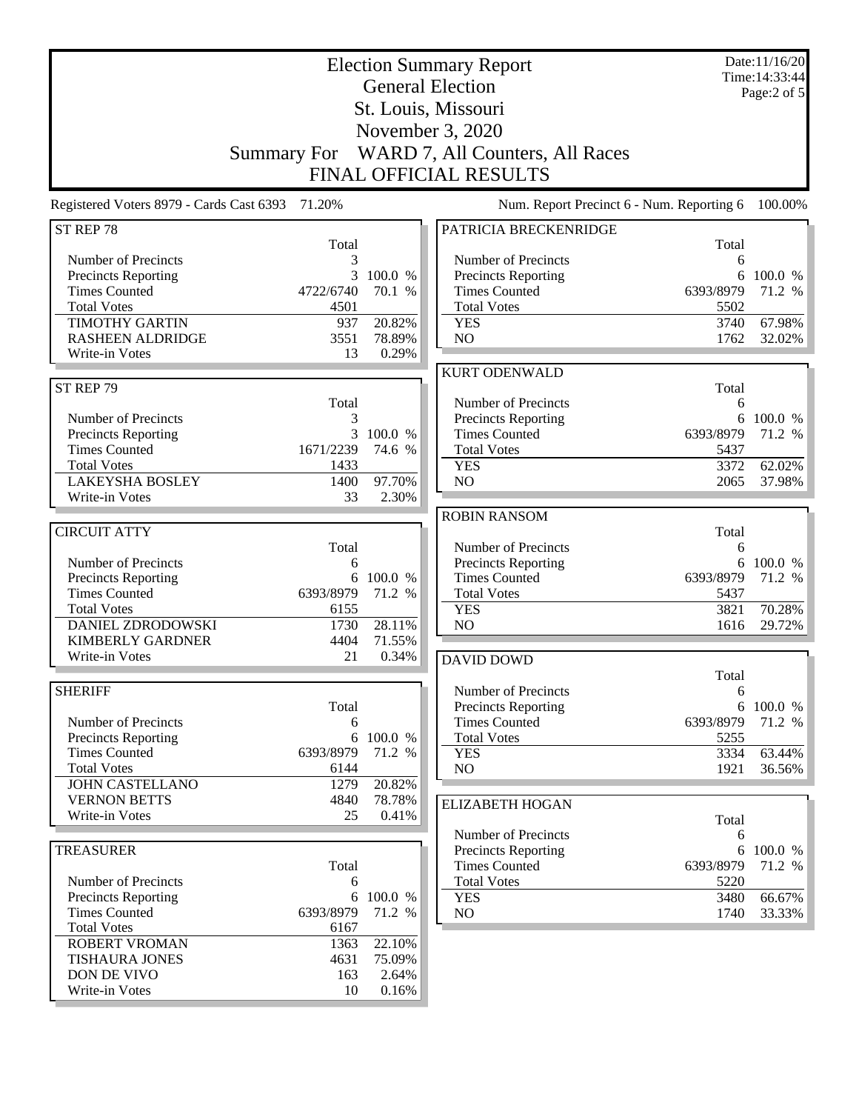| <b>Election Summary Report</b><br><b>General Election</b><br>St. Louis, Missouri                                  |                                    |                                    |                                                                                                               |                                     | Date:11/16/20<br>Time: 14:33:44<br>Page:2 of 5 |
|-------------------------------------------------------------------------------------------------------------------|------------------------------------|------------------------------------|---------------------------------------------------------------------------------------------------------------|-------------------------------------|------------------------------------------------|
|                                                                                                                   |                                    |                                    | November 3, 2020                                                                                              |                                     |                                                |
|                                                                                                                   | <b>Summary For</b>                 |                                    | WARD 7, All Counters, All Races<br><b>FINAL OFFICIAL RESULTS</b>                                              |                                     |                                                |
| Registered Voters 8979 - Cards Cast 6393                                                                          | 71.20%                             |                                    | Num. Report Precinct 6 - Num. Reporting 6                                                                     |                                     | 100.00%                                        |
| ST REP 78                                                                                                         | Total                              |                                    | PATRICIA BRECKENRIDGE                                                                                         | Total                               |                                                |
| Number of Precincts<br>Precincts Reporting<br><b>Times Counted</b><br><b>Total Votes</b><br><b>TIMOTHY GARTIN</b> | 3<br>3<br>4722/6740<br>4501<br>937 | 100.0 %<br>70.1 %<br>20.82%        | Number of Precincts<br><b>Precincts Reporting</b><br><b>Times Counted</b><br><b>Total Votes</b><br><b>YES</b> | 6<br>6<br>6393/8979<br>5502<br>3740 | 100.0 %<br>71.2 %<br>67.98%                    |
| <b>RASHEEN ALDRIDGE</b><br>Write-in Votes                                                                         | 3551<br>13                         | 78.89%<br>0.29%                    | NO                                                                                                            | 1762                                | 32.02%                                         |
|                                                                                                                   |                                    |                                    | <b>KURT ODENWALD</b>                                                                                          |                                     |                                                |
| ST REP 79<br>Number of Precincts                                                                                  | Total<br>3                         |                                    | Number of Precincts<br><b>Precincts Reporting</b>                                                             | Total<br>6<br>6                     | 100.0 %                                        |
| Precincts Reporting<br><b>Times Counted</b><br><b>Total Votes</b>                                                 | 1671/2239<br>1433                  | 3 100.0 %<br>74.6 %                | <b>Times Counted</b><br><b>Total Votes</b><br><b>YES</b>                                                      | 6393/8979<br>5437<br>3372           | 71.2 %<br>62.02%                               |
| <b>LAKEYSHA BOSLEY</b>                                                                                            | 1400                               | 97.70%                             | NO                                                                                                            | 2065                                | 37.98%                                         |
| Write-in Votes                                                                                                    | 33                                 | 2.30%                              | <b>ROBIN RANSOM</b>                                                                                           |                                     |                                                |
| <b>CIRCUIT ATTY</b>                                                                                               |                                    |                                    |                                                                                                               | Total                               |                                                |
| Number of Precincts<br>Precincts Reporting<br><b>Times Counted</b>                                                | Total<br>6<br>6<br>6393/8979       | 100.0 %<br>71.2 %                  | Number of Precincts<br>Precincts Reporting<br><b>Times Counted</b>                                            | 6<br>6<br>6393/8979                 | 100.0 %<br>71.2 %                              |
| <b>Total Votes</b><br>DANIEL ZDRODOWSKI                                                                           | 6155<br>1730                       | 28.11%                             | <b>Total Votes</b><br><b>YES</b><br>N <sub>O</sub>                                                            | 5437<br>3821<br>1616                | 70.28%<br>29.72%                               |
| <b>KIMBERLY GARDNER</b><br>Write-in Votes                                                                         | 4404<br>21                         | 71.55%<br>0.34%                    |                                                                                                               |                                     |                                                |
|                                                                                                                   |                                    |                                    | <b>DAVID DOWD</b>                                                                                             | Total                               |                                                |
| <b>SHERIFF</b><br>Number of Precincts                                                                             | Total<br>6                         |                                    | Number of Precincts<br><b>Precincts Reporting</b><br><b>Times Counted</b>                                     | 6<br>6393/8979                      | 6 100.0 %<br>71.2 %                            |
| <b>Precincts Reporting</b><br><b>Times Counted</b>                                                                | 6<br>6393/8979                     | 100.0 %<br>71.2 %                  | <b>Total Votes</b><br><b>YES</b>                                                                              | 5255<br>3334                        | 63.44%                                         |
| <b>Total Votes</b><br><b>JOHN CASTELLANO</b>                                                                      | 6144<br>1279                       | 20.82%                             | NO                                                                                                            | 1921                                | 36.56%                                         |
| <b>VERNON BETTS</b><br>Write-in Votes                                                                             | 4840<br>25                         | 78.78%<br>0.41%                    | <b>ELIZABETH HOGAN</b>                                                                                        |                                     |                                                |
|                                                                                                                   |                                    |                                    | Number of Precincts                                                                                           | Total<br>6                          |                                                |
| <b>TREASURER</b>                                                                                                  | Total                              |                                    | <b>Precincts Reporting</b><br><b>Times Counted</b>                                                            | 6<br>6393/8979                      | 100.0 %<br>71.2 %                              |
| Number of Precincts<br>Precincts Reporting                                                                        | 6                                  | 6 100.0 %                          | <b>Total Votes</b><br><b>YES</b>                                                                              | 5220<br>3480                        | 66.67%                                         |
| <b>Times Counted</b><br><b>Total Votes</b>                                                                        | 6393/8979<br>6167                  | 71.2 %                             | NO                                                                                                            | 1740                                | 33.33%                                         |
| <b>ROBERT VROMAN</b><br><b>TISHAURA JONES</b><br>DON DE VIVO<br>Write-in Votes                                    | 1363<br>4631<br>163<br>10          | 22.10%<br>75.09%<br>2.64%<br>0.16% |                                                                                                               |                                     |                                                |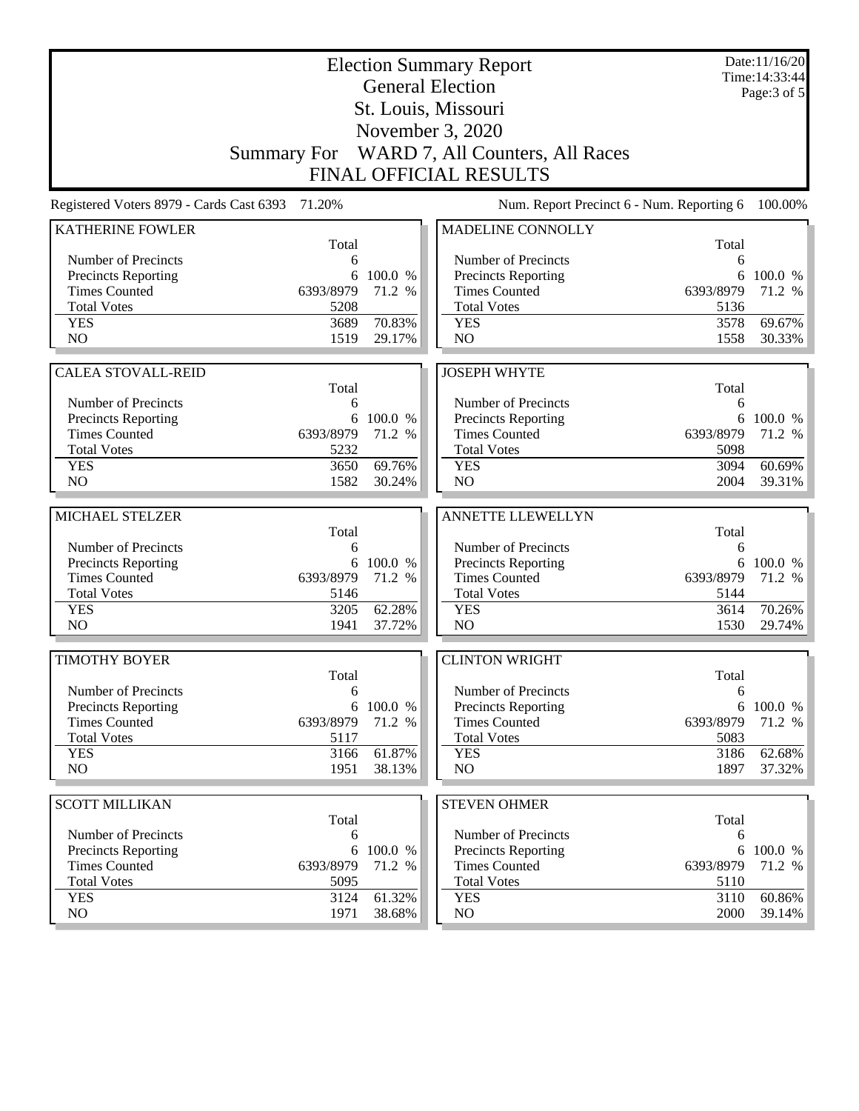|                                             |                   | Date:11/16/20<br>Time: 14:33:44 |                                             |                   |                  |
|---------------------------------------------|-------------------|---------------------------------|---------------------------------------------|-------------------|------------------|
|                                             |                   |                                 | <b>General Election</b>                     |                   | Page: 3 of 5     |
|                                             |                   |                                 | St. Louis, Missouri                         |                   |                  |
|                                             |                   |                                 | November 3, 2020                            |                   |                  |
|                                             |                   |                                 | Summary For WARD 7, All Counters, All Races |                   |                  |
|                                             |                   |                                 |                                             |                   |                  |
|                                             |                   |                                 | <b>FINAL OFFICIAL RESULTS</b>               |                   |                  |
| Registered Voters 8979 - Cards Cast 6393    | 71.20%            |                                 | Num. Report Precinct 6 - Num. Reporting 6   |                   | 100.00%          |
| <b>KATHERINE FOWLER</b>                     |                   |                                 | MADELINE CONNOLLY                           |                   |                  |
|                                             | Total             |                                 |                                             | Total             |                  |
| Number of Precincts<br>Precincts Reporting  | 6                 | 6 100.0 %                       | Number of Precincts<br>Precincts Reporting  | 6<br>6            | 100.0 %          |
| <b>Times Counted</b>                        | 6393/8979         | 71.2 %                          | <b>Times Counted</b>                        | 6393/8979         | 71.2 %           |
| <b>Total Votes</b>                          | 5208              |                                 | <b>Total Votes</b>                          | 5136              |                  |
| <b>YES</b>                                  | 3689              | 70.83%                          | <b>YES</b>                                  | 3578              | 69.67%           |
| NO                                          | 1519              | 29.17%                          | NO                                          | 1558              | 30.33%           |
|                                             |                   |                                 |                                             |                   |                  |
| <b>CALEA STOVALL-REID</b>                   |                   |                                 | <b>JOSEPH WHYTE</b>                         |                   |                  |
|                                             | Total             |                                 |                                             | Total             |                  |
| Number of Precincts                         | 6                 |                                 | Number of Precincts                         | 6                 |                  |
| Precincts Reporting<br><b>Times Counted</b> | 6393/8979         | 6 100.0 %                       | Precincts Reporting<br><b>Times Counted</b> | 6                 | 100.0 %          |
| <b>Total Votes</b>                          | 5232              | 71.2 %                          | <b>Total Votes</b>                          | 6393/8979<br>5098 | 71.2 %           |
| <b>YES</b>                                  | 3650              | 69.76%                          | <b>YES</b>                                  | 3094              | 60.69%           |
| NO                                          | 1582              | 30.24%                          | NO                                          | 2004              | 39.31%           |
|                                             |                   |                                 |                                             |                   |                  |
| MICHAEL STELZER                             |                   |                                 | ANNETTE LLEWELLYN                           |                   |                  |
|                                             | Total             |                                 |                                             | Total             |                  |
| Number of Precincts                         | 6                 |                                 | Number of Precincts                         | 6                 |                  |
| Precincts Reporting                         |                   | 6 100.0 %                       | Precincts Reporting                         | 6                 | 100.0 %          |
| <b>Times Counted</b><br><b>Total Votes</b>  | 6393/8979<br>5146 | 71.2 %                          | <b>Times Counted</b><br><b>Total Votes</b>  | 6393/8979         | 71.2 %           |
| <b>YES</b>                                  |                   |                                 |                                             |                   |                  |
|                                             |                   |                                 |                                             | 5144              |                  |
|                                             | 3205              | 62.28%                          | <b>YES</b>                                  | 3614              | 70.26%           |
| N <sub>O</sub>                              | 1941              | 37.72%                          | N <sub>O</sub>                              | 1530              | 29.74%           |
| <b>TIMOTHY BOYER</b>                        |                   |                                 |                                             |                   |                  |
|                                             | Total             |                                 | <b>CLINTON WRIGHT</b>                       | Total             |                  |
| Number of Precincts                         | 6                 |                                 | Number of Precincts                         | 6                 |                  |
| Precincts Reporting                         |                   | 6 100.0 %                       | Precincts Reporting                         | 6                 | 100.0 %          |
| <b>Times Counted</b>                        | 6393/8979         | 71.2 %                          | <b>Times Counted</b>                        | 6393/8979         | 71.2 %           |
| <b>Total Votes</b>                          | 5117              |                                 | <b>Total Votes</b>                          | 5083              |                  |
| <b>YES</b>                                  | 3166              | 61.87%                          | <b>YES</b>                                  | 3186              | 62.68%           |
| NO.                                         | 1951              | 38.13%                          | NO                                          | 1897              | 37.32%           |
|                                             |                   |                                 |                                             |                   |                  |
| <b>SCOTT MILLIKAN</b>                       |                   |                                 | <b>STEVEN OHMER</b>                         |                   |                  |
| Number of Precincts                         | Total<br>6        |                                 | Number of Precincts                         | Total<br>6        |                  |
| <b>Precincts Reporting</b>                  | 6                 | 100.0 %                         | <b>Precincts Reporting</b>                  | 6                 | 100.0 %          |
| <b>Times Counted</b>                        | 6393/8979         | 71.2 %                          | <b>Times Counted</b>                        | 6393/8979         | 71.2 %           |
| <b>Total Votes</b>                          | 5095              |                                 | <b>Total Votes</b>                          | 5110              |                  |
| <b>YES</b><br>NO                            | 3124<br>1971      | 61.32%<br>38.68%                | <b>YES</b><br>NO                            | 3110<br>2000      | 60.86%<br>39.14% |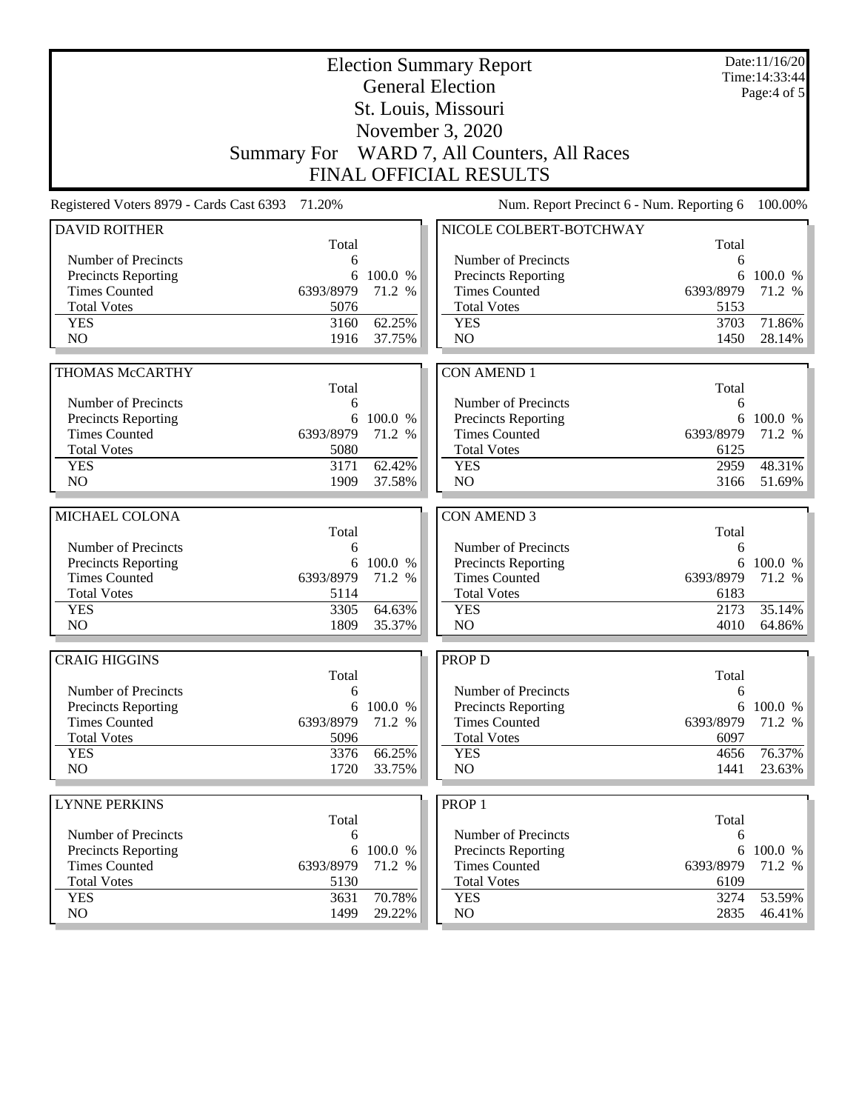| <b>Election Summary Report</b><br><b>General Election</b> |                    |           |                                                    |              | Date:11/16/20<br>Time: 14:33:44 |
|-----------------------------------------------------------|--------------------|-----------|----------------------------------------------------|--------------|---------------------------------|
|                                                           |                    |           | St. Louis, Missouri                                |              | Page: $4$ of $5$                |
|                                                           |                    |           |                                                    |              |                                 |
|                                                           |                    |           | November 3, 2020                                   |              |                                 |
|                                                           | <b>Summary For</b> |           | WARD 7, All Counters, All Races                    |              |                                 |
|                                                           |                    |           | <b>FINAL OFFICIAL RESULTS</b>                      |              |                                 |
| Registered Voters 8979 - Cards Cast 6393                  | 71.20%             |           | Num. Report Precinct 6 - Num. Reporting 6          |              | 100.00%                         |
| <b>DAVID ROITHER</b>                                      | Total              |           | NICOLE COLBERT-BOTCHWAY                            | Total        |                                 |
| Number of Precincts                                       | 6                  |           | Number of Precincts                                | 6            |                                 |
| <b>Precincts Reporting</b>                                | 6                  | 100.0 %   | <b>Precincts Reporting</b>                         | 6            | 100.0 %                         |
| <b>Times Counted</b>                                      | 6393/8979          | 71.2 %    | <b>Times Counted</b>                               | 6393/8979    | 71.2 %                          |
| <b>Total Votes</b>                                        | 5076               |           | <b>Total Votes</b>                                 | 5153         |                                 |
| <b>YES</b>                                                | 3160               | 62.25%    | <b>YES</b>                                         | 3703         | 71.86%                          |
| NO                                                        | 1916               | 37.75%    | NO                                                 | 1450         | 28.14%                          |
| <b>THOMAS McCARTHY</b>                                    |                    |           | <b>CON AMEND 1</b>                                 |              |                                 |
|                                                           | Total              |           |                                                    | Total        |                                 |
| Number of Precincts                                       | 6                  |           | Number of Precincts                                | 6            |                                 |
| <b>Precincts Reporting</b>                                | 6                  | 100.0 %   | Precincts Reporting                                | 6            | 100.0 %                         |
| <b>Times Counted</b>                                      | 6393/8979          | 71.2 %    | <b>Times Counted</b>                               | 6393/8979    | 71.2 %                          |
| <b>Total Votes</b>                                        | 5080               |           | <b>Total Votes</b>                                 | 6125         |                                 |
| <b>YES</b>                                                | 3171               | 62.42%    | <b>YES</b>                                         | 2959         | 48.31%                          |
| NO                                                        | 1909               | 37.58%    | NO                                                 | 3166         | 51.69%                          |
| MICHAEL COLONA                                            |                    |           | <b>CON AMEND 3</b>                                 |              |                                 |
|                                                           | Total              |           |                                                    | Total        |                                 |
| Number of Precincts                                       | 6                  |           | Number of Precincts                                | 6            |                                 |
| <b>Precincts Reporting</b>                                |                    | 6 100.0 % | Precincts Reporting                                | 6            | 100.0 %                         |
| <b>Times Counted</b>                                      | 6393/8979          | 71.2 %    | <b>Times Counted</b>                               | 6393/8979    | 71.2 %                          |
| <b>Total Votes</b>                                        | 5114               |           | <b>Total Votes</b>                                 | 6183         |                                 |
| <b>YES</b>                                                | 3305               | 64.63%    | <b>YES</b>                                         | 2173         | 35.14%                          |
| N <sub>O</sub>                                            | 1809               | 35.37%    | NO                                                 | 4010         | 64.86%                          |
| <b>CRAIG HIGGINS</b>                                      |                    |           | PROP D                                             |              |                                 |
|                                                           | Total              |           |                                                    | Total        |                                 |
| Number of Precincts                                       | 6                  |           | Number of Precincts                                | 6            |                                 |
| <b>Precincts Reporting</b>                                |                    | 6 100.0 % | <b>Precincts Reporting</b>                         | 6            | 100.0 %                         |
| <b>Times Counted</b>                                      | 6393/8979          | 71.2 %    | <b>Times Counted</b>                               | 6393/8979    | 71.2 %                          |
| <b>Total Votes</b><br><b>YES</b>                          | 5096<br>3376       | 66.25%    | <b>Total Votes</b><br><b>YES</b>                   | 6097<br>4656 | 76.37%                          |
| NO                                                        | 1720               | 33.75%    | NO                                                 | 1441         | 23.63%                          |
|                                                           |                    |           |                                                    |              |                                 |
| <b>LYNNE PERKINS</b>                                      |                    |           | PROP <sub>1</sub>                                  |              |                                 |
|                                                           | Total              |           | Number of Precincts                                | Total        |                                 |
| Number of Precincts                                       | 6<br>6             | 100.0 %   |                                                    | 6<br>6       |                                 |
| Precincts Reporting<br><b>Times Counted</b>               | 6393/8979          | 71.2 %    | <b>Precincts Reporting</b><br><b>Times Counted</b> | 6393/8979    | 100.0 %<br>71.2 %               |
| <b>Total Votes</b>                                        | 5130               |           | <b>Total Votes</b>                                 | 6109         |                                 |
| <b>YES</b>                                                | 3631               | 70.78%    | <b>YES</b>                                         | 3274         | 53.59%                          |
| NO                                                        |                    |           |                                                    |              |                                 |
|                                                           | 1499               | 29.22%    | NO                                                 | 2835         | 46.41%                          |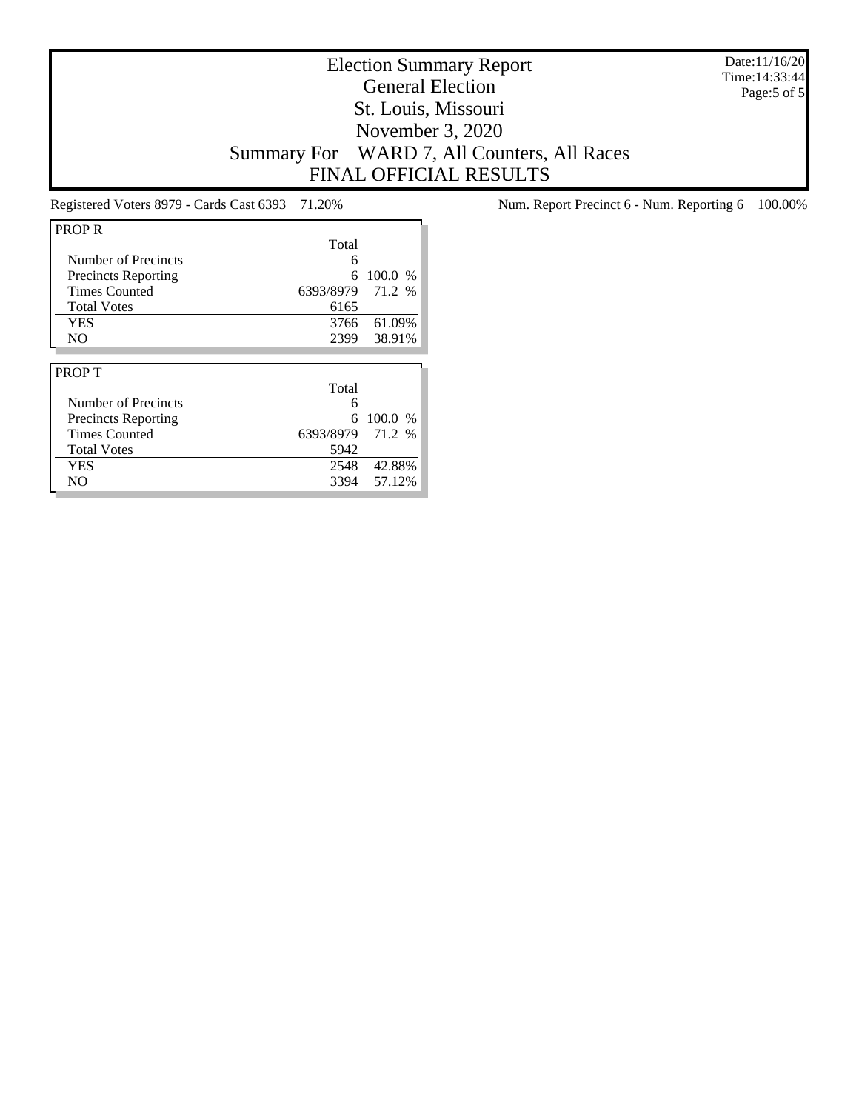Date:11/16/20 Time:14:33:44 Page:5 of 5

# Election Summary Report General Election St. Louis, Missouri November 3, 2020 Summary For WARD 7, All Counters, All Races FINAL OFFICIAL RESULTS

| <b>PROPR</b>               |           |         |
|----------------------------|-----------|---------|
|                            | Total     |         |
| Number of Precincts        | 6         |         |
| <b>Precincts Reporting</b> | 6         | 100.0 % |
| <b>Times Counted</b>       | 6393/8979 | 71.2 %  |
| <b>Total Votes</b>         | 6165      |         |
| <b>YES</b>                 | 3766      | 61.09%  |
| N <sub>O</sub>             | 2399      | 38.91%  |
|                            |           |         |
|                            |           |         |
| <b>PROPT</b>               |           |         |
|                            | Total     |         |
| Number of Precincts        | 6         |         |
| <b>Precincts Reporting</b> | 6         | 100.0 % |
| <b>Times Counted</b>       | 6393/8979 | 71.2 %  |
| <b>Total Votes</b>         | 5942      |         |
| <b>YES</b>                 | 2548      | 42.88%  |

Registered Voters 8979 - Cards Cast 6393 71.20% Num. Report Precinct 6 - Num. Reporting 6 100.00%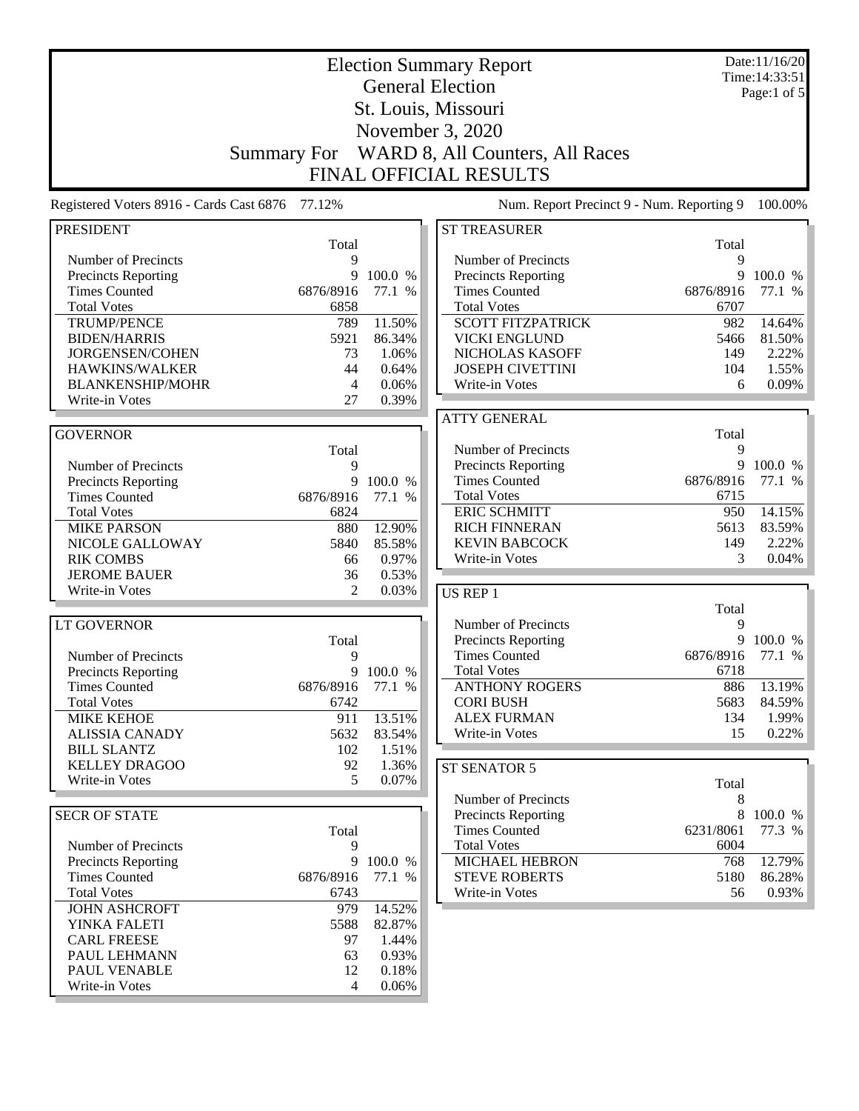| <b>Election Summary Report</b>                  |                    |         |                                           |            | Date:11/16/20<br>Time: 14:33:51 |
|-------------------------------------------------|--------------------|---------|-------------------------------------------|------------|---------------------------------|
|                                                 |                    |         | <b>General Election</b>                   |            | Page:1 of 5                     |
|                                                 |                    |         | St. Louis, Missouri                       |            |                                 |
|                                                 |                    |         | November 3, 2020                          |            |                                 |
|                                                 |                    |         |                                           |            |                                 |
|                                                 | <b>Summary For</b> |         | WARD 8, All Counters, All Races           |            |                                 |
|                                                 |                    |         | <b>FINAL OFFICIAL RESULTS</b>             |            |                                 |
| Registered Voters 8916 - Cards Cast 6876 77.12% |                    |         | Num. Report Precinct 9 - Num. Reporting 9 |            | 100.00%                         |
| <b>PRESIDENT</b>                                | Total              |         | <b>ST TREASURER</b>                       | Total      |                                 |
| Number of Precincts                             | 9                  |         | Number of Precincts                       | 9          |                                 |
| <b>Precincts Reporting</b>                      | 9                  | 100.0 % | <b>Precincts Reporting</b>                | 9          | 100.0 %                         |
| <b>Times Counted</b>                            | 6876/8916          | 77.1 %  | <b>Times Counted</b>                      | 6876/8916  | 77.1 %                          |
| <b>Total Votes</b>                              | 6858               |         | <b>Total Votes</b>                        | 6707       |                                 |
| <b>TRUMP/PENCE</b>                              | 789                | 11.50%  | <b>SCOTT FITZPATRICK</b>                  | 982        | 14.64%                          |
| <b>BIDEN/HARRIS</b>                             | 5921               | 86.34%  | <b>VICKI ENGLUND</b>                      | 5466       | 81.50%                          |
| JORGENSEN/COHEN                                 | 73                 | 1.06%   | NICHOLAS KASOFF                           | 149        | 2.22%                           |
| HAWKINS/WALKER                                  | 44                 | 0.64%   | <b>JOSEPH CIVETTINI</b>                   | 104        | 1.55%                           |
| <b>BLANKENSHIP/MOHR</b>                         | 4                  | 0.06%   | Write-in Votes                            | 6          | 0.09%                           |
| Write-in Votes                                  | 27                 | 0.39%   |                                           |            |                                 |
|                                                 |                    |         | <b>ATTY GENERAL</b>                       |            |                                 |
| <b>GOVERNOR</b>                                 |                    |         |                                           | Total      |                                 |
|                                                 | Total              |         | Number of Precincts                       | 9          |                                 |
| Number of Precincts                             | 9                  |         | <b>Precincts Reporting</b>                | 9          | 100.0 %                         |
| <b>Precincts Reporting</b>                      | 9                  | 100.0 % | <b>Times Counted</b>                      | 6876/8916  | 77.1 %                          |
| <b>Times Counted</b>                            | 6876/8916          | 77.1 %  | <b>Total Votes</b>                        | 6715       |                                 |
| <b>Total Votes</b>                              | 6824               |         | <b>ERIC SCHMITT</b>                       | 950        | 14.15%                          |
| <b>MIKE PARSON</b>                              | 880                | 12.90%  | <b>RICH FINNERAN</b>                      | 5613       | 83.59%                          |
| NICOLE GALLOWAY                                 | 5840               | 85.58%  | <b>KEVIN BABCOCK</b>                      | 149        | 2.22%                           |
| <b>RIK COMBS</b>                                | 66                 | 0.97%   | Write-in Votes                            | 3          | 0.04%                           |
| <b>JEROME BAUER</b>                             | 36                 | 0.53%   |                                           |            |                                 |
| Write-in Votes                                  | $\overline{2}$     | 0.03%   | <b>US REP 1</b>                           |            |                                 |
| <b>LT GOVERNOR</b>                              |                    |         | Number of Precincts                       | Total<br>9 |                                 |
|                                                 | Total              |         | <b>Precincts Reporting</b>                | 9          | 100.0 %                         |
| Number of Precincts                             | 9                  |         | <b>Times Counted</b>                      | 6876/8916  | 77.1 %                          |
| <b>Precincts Reporting</b>                      | 9                  | 100.0 % | <b>Total Votes</b>                        | 6718       |                                 |
| <b>Times Counted</b>                            | 6876/8916          | 77.1 %  | <b>ANTHONY ROGERS</b>                     | 886        | 13.19%                          |
| <b>Total Votes</b>                              | 6742               |         | <b>CORI BUSH</b>                          | 5683       | 84.59%                          |
| <b>MIKE KEHOE</b>                               | 911                | 13.51%  | <b>ALEX FURMAN</b>                        | 134        | 1.99%                           |
| <b>ALISSIA CANADY</b>                           | 5632               | 83.54%  | Write-in Votes                            | 15         | 0.22%                           |
| <b>BILL SLANTZ</b>                              | 102                | 1.51%   |                                           |            |                                 |
| <b>KELLEY DRAGOO</b>                            | 92                 | 1.36%   | ST SENATOR 5                              |            |                                 |
| Write-in Votes                                  | 5                  | 0.07%   |                                           | Total      |                                 |
|                                                 |                    |         | Number of Precincts                       | 8          |                                 |
| <b>SECR OF STATE</b>                            |                    |         | Precincts Reporting                       |            | 8 100.0 %                       |
|                                                 | Total              |         | <b>Times Counted</b>                      | 6231/8061  | 77.3 %                          |
| Number of Precincts                             | 9                  |         | <b>Total Votes</b>                        | 6004       |                                 |
| <b>Precincts Reporting</b>                      | 9                  | 100.0 % | <b>MICHAEL HEBRON</b>                     | 768        | 12.79%                          |
| <b>Times Counted</b>                            | 6876/8916          | 77.1 %  | <b>STEVE ROBERTS</b>                      | 5180       | 86.28%                          |
| <b>Total Votes</b>                              | 6743               |         | Write-in Votes                            | 56         | 0.93%                           |
| <b>JOHN ASHCROFT</b>                            | 979                | 14.52%  |                                           |            |                                 |
| YINKA FALETI                                    | 5588               | 82.87%  |                                           |            |                                 |
| <b>CARL FREESE</b>                              | 97                 | 1.44%   |                                           |            |                                 |
| PAUL LEHMANN                                    | 63                 | 0.93%   |                                           |            |                                 |
| PAUL VENABLE                                    | 12                 | 0.18%   |                                           |            |                                 |
| Write-in Votes                                  | 4                  | 0.06%   |                                           |            |                                 |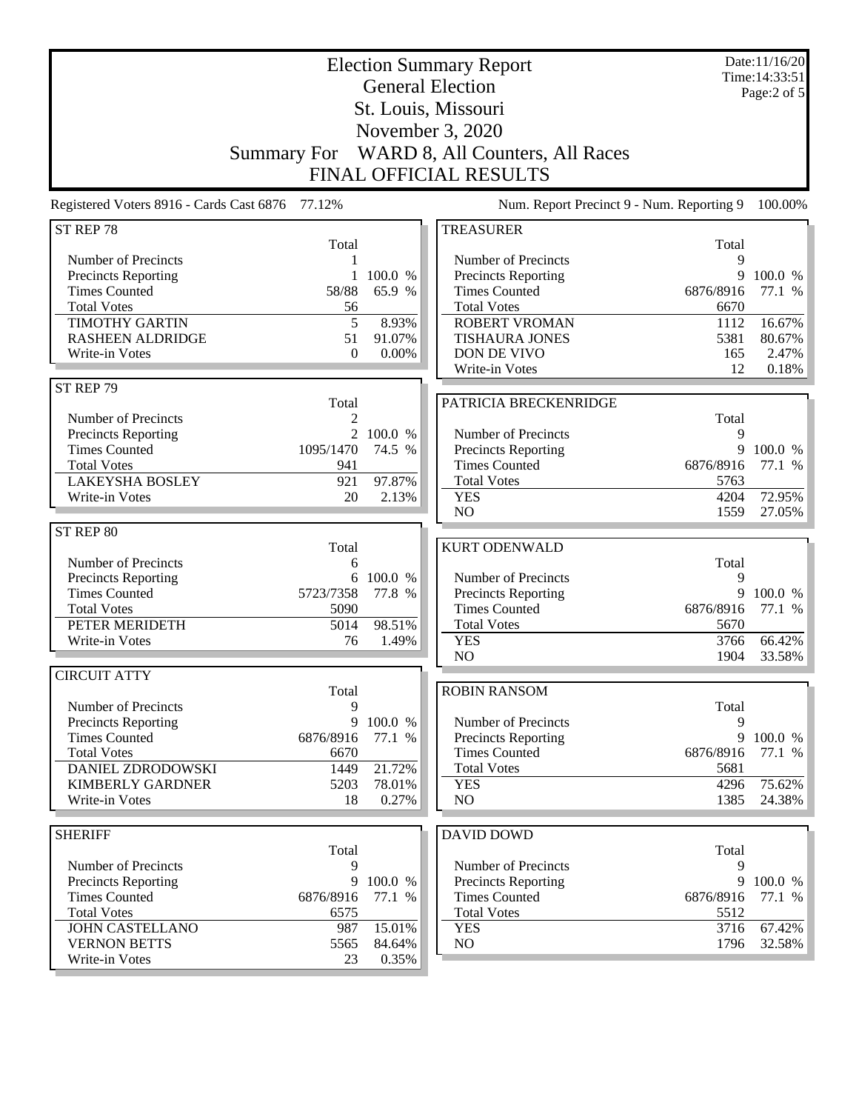|                                                 | <b>Summary For</b> |                  | <b>Election Summary Report</b><br><b>General Election</b><br>St. Louis, Missouri<br>November 3, 2020<br>WARD 8, All Counters, All Races |                   | Date:11/16/20<br>Time: 14:33:51<br>Page:2 of 5 |
|-------------------------------------------------|--------------------|------------------|-----------------------------------------------------------------------------------------------------------------------------------------|-------------------|------------------------------------------------|
|                                                 |                    |                  | <b>FINAL OFFICIAL RESULTS</b>                                                                                                           |                   |                                                |
| Registered Voters 8916 - Cards Cast 6876 77.12% |                    |                  | Num. Report Precinct 9 - Num. Reporting 9                                                                                               |                   | 100.00%                                        |
| ST REP 78                                       | Total              |                  | <b>TREASURER</b>                                                                                                                        | Total             |                                                |
| Number of Precincts                             | 1                  |                  | Number of Precincts                                                                                                                     | 9                 |                                                |
| Precincts Reporting                             | 1                  | 100.0 %          | Precincts Reporting                                                                                                                     | 9                 | 100.0 %                                        |
| <b>Times Counted</b>                            | 58/88              | 65.9 %           | <b>Times Counted</b>                                                                                                                    | 6876/8916         | 77.1 %                                         |
| <b>Total Votes</b><br><b>TIMOTHY GARTIN</b>     | 56<br>5            | 8.93%            | <b>Total Votes</b><br><b>ROBERT VROMAN</b>                                                                                              | 6670<br>1112      | 16.67%                                         |
| <b>RASHEEN ALDRIDGE</b>                         | 51                 | 91.07%           | <b>TISHAURA JONES</b>                                                                                                                   | 5381              | 80.67%                                         |
| Write-in Votes                                  | $\theta$           | 0.00%            | DON DE VIVO                                                                                                                             | 165               | 2.47%                                          |
|                                                 |                    |                  | Write-in Votes                                                                                                                          | 12                | 0.18%                                          |
| ST REP 79                                       | Total              |                  | PATRICIA BRECKENRIDGE                                                                                                                   |                   |                                                |
| Number of Precincts                             | 2                  |                  |                                                                                                                                         | Total             |                                                |
| Precincts Reporting                             |                    | 2 100.0 %        | Number of Precincts                                                                                                                     | 9                 |                                                |
| <b>Times Counted</b>                            | 1095/1470          | 74.5 %           | Precincts Reporting                                                                                                                     | 9                 | 100.0 %                                        |
| <b>Total Votes</b><br><b>LAKEYSHA BOSLEY</b>    | 941<br>921         | 97.87%           | <b>Times Counted</b><br><b>Total Votes</b>                                                                                              | 6876/8916<br>5763 | 77.1 %                                         |
| Write-in Votes                                  | 20                 | 2.13%            | <b>YES</b>                                                                                                                              | 4204              | 72.95%                                         |
|                                                 |                    |                  | NO                                                                                                                                      | 1559              | 27.05%                                         |
| ST REP 80                                       |                    |                  |                                                                                                                                         |                   |                                                |
|                                                 | Total              |                  | <b>KURT ODENWALD</b>                                                                                                                    |                   |                                                |
| Number of Precincts<br>Precincts Reporting      | 6                  | 6 100.0 %        | Number of Precincts                                                                                                                     | Total<br>9        |                                                |
| <b>Times Counted</b>                            | 5723/7358          | 77.8 %           | Precincts Reporting                                                                                                                     | 9                 | 100.0 %                                        |
| <b>Total Votes</b>                              | 5090               |                  | <b>Times Counted</b>                                                                                                                    | 6876/8916         | 77.1 %                                         |
| PETER MERIDETH                                  | 5014               | 98.51%           | <b>Total Votes</b>                                                                                                                      | 5670              |                                                |
| Write-in Votes                                  | 76                 | 1.49%            | <b>YES</b><br>NO                                                                                                                        | 3766              | 66.42%                                         |
| <b>CIRCUIT ATTY</b>                             |                    |                  |                                                                                                                                         | 1904              | 33.58%                                         |
|                                                 | Total              |                  | <b>ROBIN RANSOM</b>                                                                                                                     |                   |                                                |
| Number of Precincts                             | 9                  |                  |                                                                                                                                         | Total             |                                                |
| <b>Precincts Reporting</b>                      | 9                  | 100.0 %          | Number of Precincts                                                                                                                     | 9                 |                                                |
| <b>Times Counted</b><br><b>Total Votes</b>      | 6876/8916          | 77.1 %           | Precincts Reporting<br><b>Times Counted</b>                                                                                             | 6876/8916         | 9 100.0 %<br>77.1 %                            |
| DANIEL ZDRODOWSKI                               | 6670<br>1449       | 21.72%           | <b>Total Votes</b>                                                                                                                      | 5681              |                                                |
| <b>KIMBERLY GARDNER</b>                         | 5203               | 78.01%           | <b>YES</b>                                                                                                                              | 4296              | 75.62%                                         |
| Write-in Votes                                  | 18                 | 0.27%            | NO                                                                                                                                      | 1385              | 24.38%                                         |
|                                                 |                    |                  |                                                                                                                                         |                   |                                                |
| <b>SHERIFF</b>                                  | Total              |                  | <b>DAVID DOWD</b>                                                                                                                       | Total             |                                                |
| Number of Precincts                             | 9                  |                  | Number of Precincts                                                                                                                     | 9                 |                                                |
| Precincts Reporting                             | 9                  | 100.0 %          | Precincts Reporting                                                                                                                     | 9                 | 100.0 %                                        |
| <b>Times Counted</b>                            | 6876/8916          | 77.1 %           | <b>Times Counted</b>                                                                                                                    | 6876/8916         | 77.1 %                                         |
| <b>Total Votes</b>                              | 6575               |                  | <b>Total Votes</b>                                                                                                                      | 5512              |                                                |
| <b>JOHN CASTELLANO</b><br><b>VERNON BETTS</b>   | 987<br>5565        | 15.01%<br>84.64% | <b>YES</b><br>NO                                                                                                                        | 3716<br>1796      | 67.42%<br>32.58%                               |
| Write-in Votes                                  | 23                 | 0.35%            |                                                                                                                                         |                   |                                                |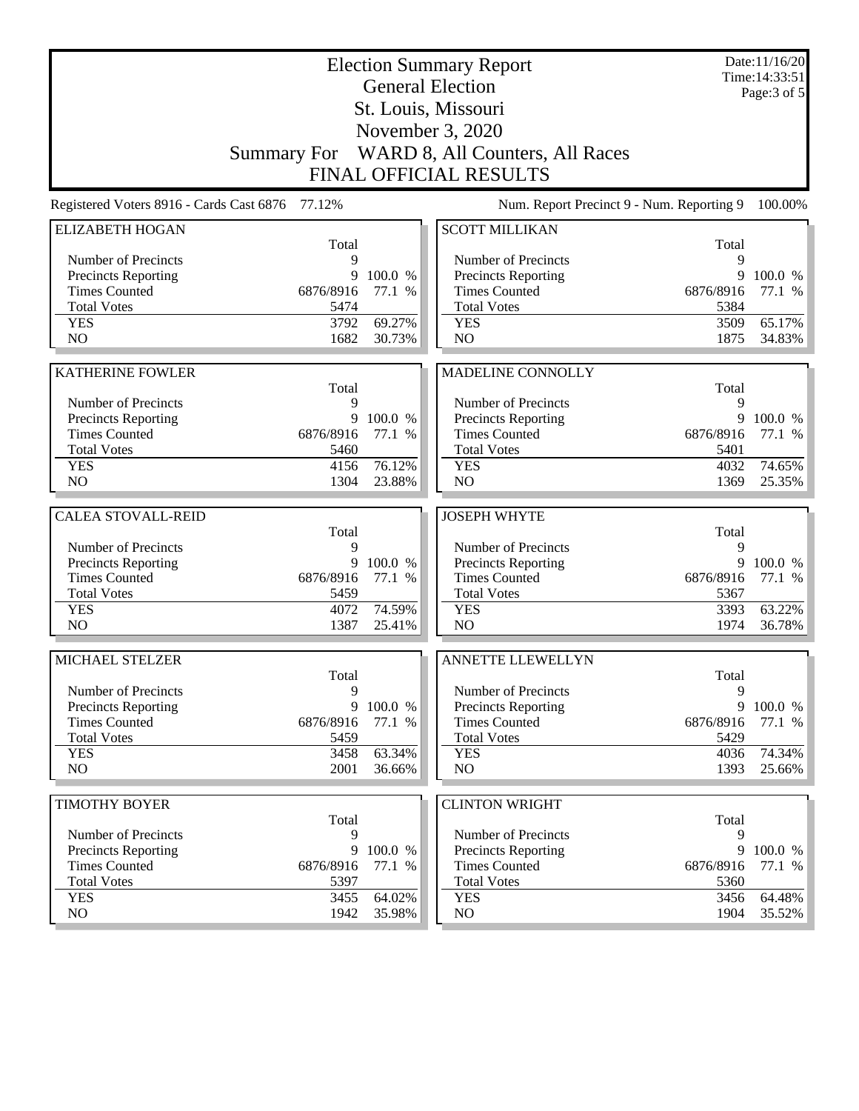|                                                    | <b>Election Summary Report</b> |                   |                                             |                   | Date:11/16/20<br>Time: 14:33:51 |
|----------------------------------------------------|--------------------------------|-------------------|---------------------------------------------|-------------------|---------------------------------|
| <b>General Election</b>                            |                                |                   |                                             | Page: $3$ of $5$  |                                 |
|                                                    |                                |                   | St. Louis, Missouri                         |                   |                                 |
|                                                    |                                |                   | November 3, 2020                            |                   |                                 |
|                                                    |                                |                   | Summary For WARD 8, All Counters, All Races |                   |                                 |
|                                                    |                                |                   | <b>FINAL OFFICIAL RESULTS</b>               |                   |                                 |
| Registered Voters 8916 - Cards Cast 6876 77.12%    |                                |                   | Num. Report Precinct 9 - Num. Reporting 9   |                   | 100.00%                         |
| <b>ELIZABETH HOGAN</b>                             |                                |                   | <b>SCOTT MILLIKAN</b>                       |                   |                                 |
|                                                    | Total                          |                   |                                             | Total             |                                 |
| Number of Precincts                                | 9                              |                   | Number of Precincts                         | 9                 |                                 |
| <b>Precincts Reporting</b>                         | 9                              | 100.0 %           | Precincts Reporting                         | 9                 | 100.0 %                         |
| <b>Times Counted</b><br><b>Total Votes</b>         | 6876/8916<br>5474              | 77.1 %            | <b>Times Counted</b><br><b>Total Votes</b>  | 6876/8916<br>5384 | 77.1 %                          |
| <b>YES</b>                                         | 3792                           | 69.27%            | <b>YES</b>                                  | 3509              | 65.17%                          |
| NO                                                 | 1682                           | 30.73%            | NO                                          | 1875              | 34.83%                          |
|                                                    |                                |                   |                                             |                   |                                 |
| <b>KATHERINE FOWLER</b>                            |                                |                   | <b>MADELINE CONNOLLY</b>                    |                   |                                 |
|                                                    | Total                          |                   |                                             | Total             |                                 |
| Number of Precincts                                | 9                              |                   | Number of Precincts                         | 9                 |                                 |
| <b>Precincts Reporting</b>                         | 9                              | 100.0 %           | <b>Precincts Reporting</b>                  | 9                 | 100.0 %                         |
| <b>Times Counted</b>                               | 6876/8916                      | 77.1 %            | <b>Times Counted</b>                        | 6876/8916         | 77.1 %                          |
| <b>Total Votes</b>                                 | 5460                           |                   | <b>Total Votes</b>                          | 5401              |                                 |
| <b>YES</b>                                         | 4156                           | 76.12%            | <b>YES</b>                                  | 4032              | 74.65%                          |
| NO                                                 | 1304                           | 23.88%            | NO                                          | 1369              | 25.35%                          |
|                                                    |                                |                   |                                             |                   |                                 |
| <b>CALEA STOVALL-REID</b>                          | Total                          |                   | <b>JOSEPH WHYTE</b>                         | Total             |                                 |
| Number of Precincts                                | 9                              |                   | Number of Precincts                         | 9                 |                                 |
| Precincts Reporting                                | 9                              | 100.0 %           | Precincts Reporting                         | 9                 | 100.0 %                         |
| <b>Times Counted</b>                               | 6876/8916                      | 77.1 %            | <b>Times Counted</b>                        | 6876/8916         | 77.1 %                          |
| <b>Total Votes</b>                                 | 5459                           |                   | <b>Total Votes</b>                          | 5367              |                                 |
| <b>YES</b>                                         | 4072                           | 74.59%            | <b>YES</b>                                  | 3393              | 63.22%                          |
| N <sub>O</sub>                                     | 1387                           | 25.41%            | N <sub>O</sub>                              | 1974              | 36.78%                          |
|                                                    |                                |                   | <b>ANNETTE LLEWELLYN</b>                    |                   |                                 |
| MICHAEL STELZER                                    | Total                          |                   |                                             | Total             |                                 |
| Number of Precincts                                | 9                              |                   | Number of Precincts                         | 9                 |                                 |
| <b>Precincts Reporting</b>                         | 9                              | 100.0 %           | Precincts Reporting                         | 9                 | 100.0 %                         |
| <b>Times Counted</b>                               | 6876/8916                      | 77.1 %            | <b>Times Counted</b>                        | 6876/8916         | 77.1 %                          |
| <b>Total Votes</b>                                 | 5459                           |                   | <b>Total Votes</b>                          | 5429              |                                 |
| <b>YES</b>                                         | 3458                           | 63.34%            | <b>YES</b>                                  | 4036              | 74.34%                          |
| NO                                                 | 2001                           | 36.66%            | NO                                          | 1393              | 25.66%                          |
|                                                    |                                |                   |                                             |                   |                                 |
| <b>TIMOTHY BOYER</b>                               |                                |                   | <b>CLINTON WRIGHT</b>                       |                   |                                 |
|                                                    | Total                          |                   |                                             | Total             |                                 |
| Number of Precincts                                | 9                              |                   | Number of Precincts                         | 9                 |                                 |
| <b>Precincts Reporting</b><br><b>Times Counted</b> | 9<br>6876/8916                 | 100.0 %<br>77.1 % | Precincts Reporting<br><b>Times Counted</b> | 9<br>6876/8916    | 100.0 %<br>77.1 %               |
| <b>Total Votes</b>                                 | 5397                           |                   | <b>Total Votes</b>                          | 5360              |                                 |
| <b>YES</b>                                         |                                | 64.02%            | <b>YES</b>                                  | 3456              | 64.48%                          |
|                                                    |                                |                   |                                             |                   |                                 |
| NO                                                 | 3455<br>1942                   | 35.98%            | NO                                          | 1904              | 35.52%                          |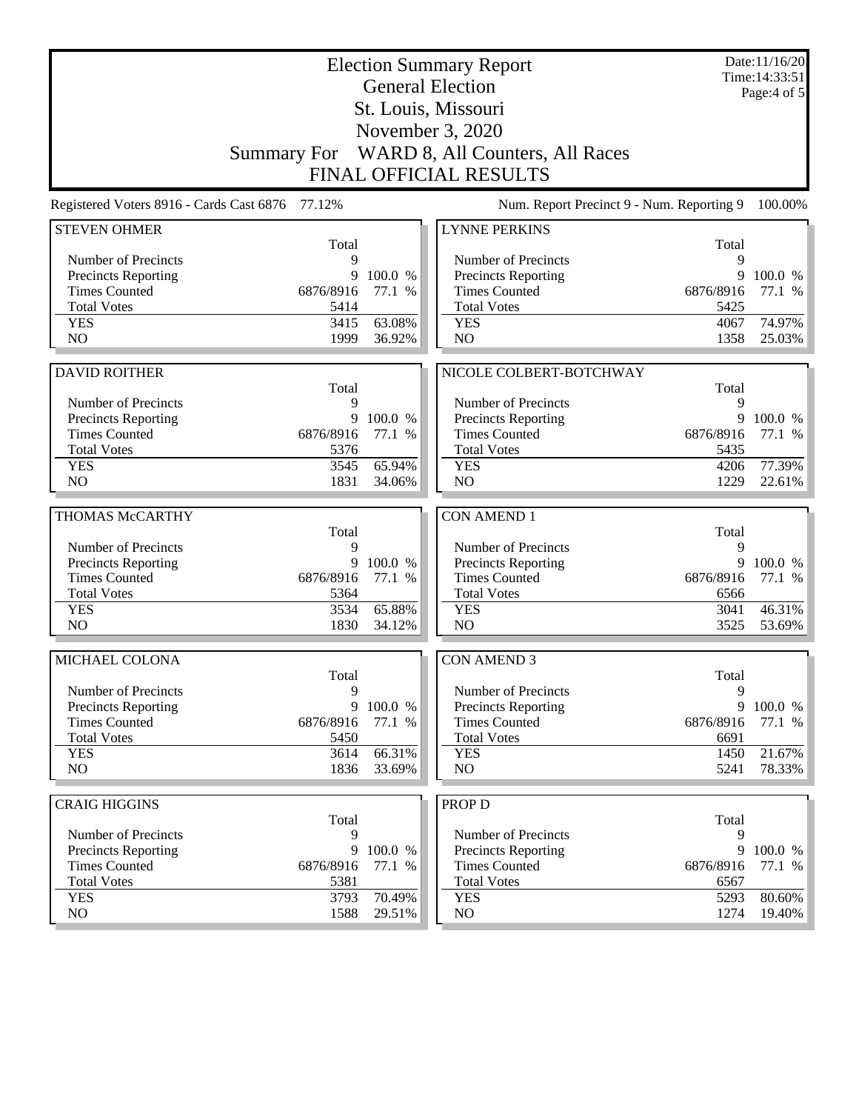|                                                                                                                         |                   | Date:11/16/20<br>Time: 14:33:51 |
|-------------------------------------------------------------------------------------------------------------------------|-------------------|---------------------------------|
| <b>General Election</b>                                                                                                 |                   | Page: $4$ of $5$                |
| St. Louis, Missouri                                                                                                     |                   |                                 |
| November 3, 2020                                                                                                        |                   |                                 |
| Summary For WARD 8, All Counters, All Races                                                                             |                   |                                 |
| <b>FINAL OFFICIAL RESULTS</b>                                                                                           |                   |                                 |
| Registered Voters 8916 - Cards Cast 6876 77.12%<br>Num. Report Precinct 9 - Num. Reporting 9                            |                   | 100.00%                         |
| <b>STEVEN OHMER</b><br><b>LYNNE PERKINS</b>                                                                             |                   |                                 |
| Total<br>Number of Precincts<br>9<br>Number of Precincts                                                                | Total<br>9        |                                 |
| 9<br>100.0 %<br><b>Precincts Reporting</b><br>Precincts Reporting                                                       | 9                 | 100.0 %                         |
| <b>Times Counted</b><br><b>Times Counted</b><br>6876/8916<br>77.1 %                                                     | 6876/8916         | 77.1 %                          |
| <b>Total Votes</b><br>5414<br><b>Total Votes</b>                                                                        | 5425              |                                 |
| 63.08%<br><b>YES</b><br>3415<br><b>YES</b>                                                                              | 4067              | 74.97%                          |
| NO<br>NO<br>1999<br>36.92%                                                                                              | 1358              | 25.03%                          |
|                                                                                                                         |                   |                                 |
| <b>DAVID ROITHER</b><br>NICOLE COLBERT-BOTCHWAY<br>Total                                                                |                   |                                 |
| Number of Precincts<br>9<br>Number of Precincts                                                                         | Total<br>9        |                                 |
| 9<br>Precincts Reporting<br>100.0 %<br>Precincts Reporting                                                              | 9                 | 100.0 %                         |
| <b>Times Counted</b><br><b>Times Counted</b><br>6876/8916<br>77.1 %                                                     | 6876/8916         | 77.1 %                          |
| <b>Total Votes</b><br>5376<br><b>Total Votes</b>                                                                        | 5435              |                                 |
| 65.94%<br><b>YES</b><br>3545<br><b>YES</b>                                                                              | 4206              | 77.39%                          |
| NO<br>NO<br>1831<br>34.06%                                                                                              | 1229              | 22.61%                          |
| THOMAS McCARTHY<br><b>CON AMEND 1</b>                                                                                   |                   |                                 |
| Total                                                                                                                   | Total             |                                 |
| Number of Precincts<br>9<br>Number of Precincts                                                                         | 9                 |                                 |
| Precincts Reporting<br>9<br>100.0 %<br>Precincts Reporting                                                              | 9                 | 100.0 %                         |
| <b>Times Counted</b><br><b>Times Counted</b><br>6876/8916<br>77.1 %                                                     | 6876/8916         | 77.1 %                          |
| <b>Total Votes</b><br><b>Total Votes</b><br>5364                                                                        | 6566              |                                 |
| 65.88%<br><b>YES</b><br>3534<br><b>YES</b>                                                                              | 3041              | 46.31%                          |
| N <sub>O</sub><br>1830<br>N <sub>O</sub><br>34.12%                                                                      | 3525              | 53.69%                          |
| MICHAEL COLONA<br><b>CON AMEND 3</b>                                                                                    |                   |                                 |
|                                                                                                                         |                   |                                 |
| Total                                                                                                                   | Total             |                                 |
| Number of Precincts<br>Number of Precincts<br>9                                                                         | 9                 |                                 |
| 9<br>100.0 %<br>Precincts Reporting<br><b>Precincts Reporting</b>                                                       | 9                 | 100.0 %                         |
| <b>Times Counted</b><br>6876/8916<br>77.1 %<br><b>Times Counted</b>                                                     | 6876/8916         | 77.1 %                          |
| <b>Total Votes</b><br><b>Total Votes</b><br>5450                                                                        | 6691              |                                 |
| <b>YES</b><br>66.31%<br><b>YES</b><br>3614<br>NO<br>1836<br>33.69%<br>NO                                                | 1450<br>5241      | 21.67%<br>78.33%                |
|                                                                                                                         |                   |                                 |
| <b>PROP D</b><br><b>CRAIG HIGGINS</b>                                                                                   |                   |                                 |
| Total                                                                                                                   | Total             |                                 |
| Number of Precincts<br>9<br>Number of Precincts                                                                         | 9                 |                                 |
| 9<br>100.0 %<br><b>Precincts Reporting</b><br>Precincts Reporting                                                       | 9                 | 100.0 %                         |
| <b>Times Counted</b><br><b>Times Counted</b><br>6876/8916<br>77.1 %<br><b>Total Votes</b><br><b>Total Votes</b><br>5381 | 6876/8916<br>6567 | 77.1 %                          |
| 70.49%<br><b>YES</b><br>3793<br><b>YES</b><br>NO<br>1588<br>29.51%<br>NO                                                | 5293<br>1274      | 80.60%<br>19.40%                |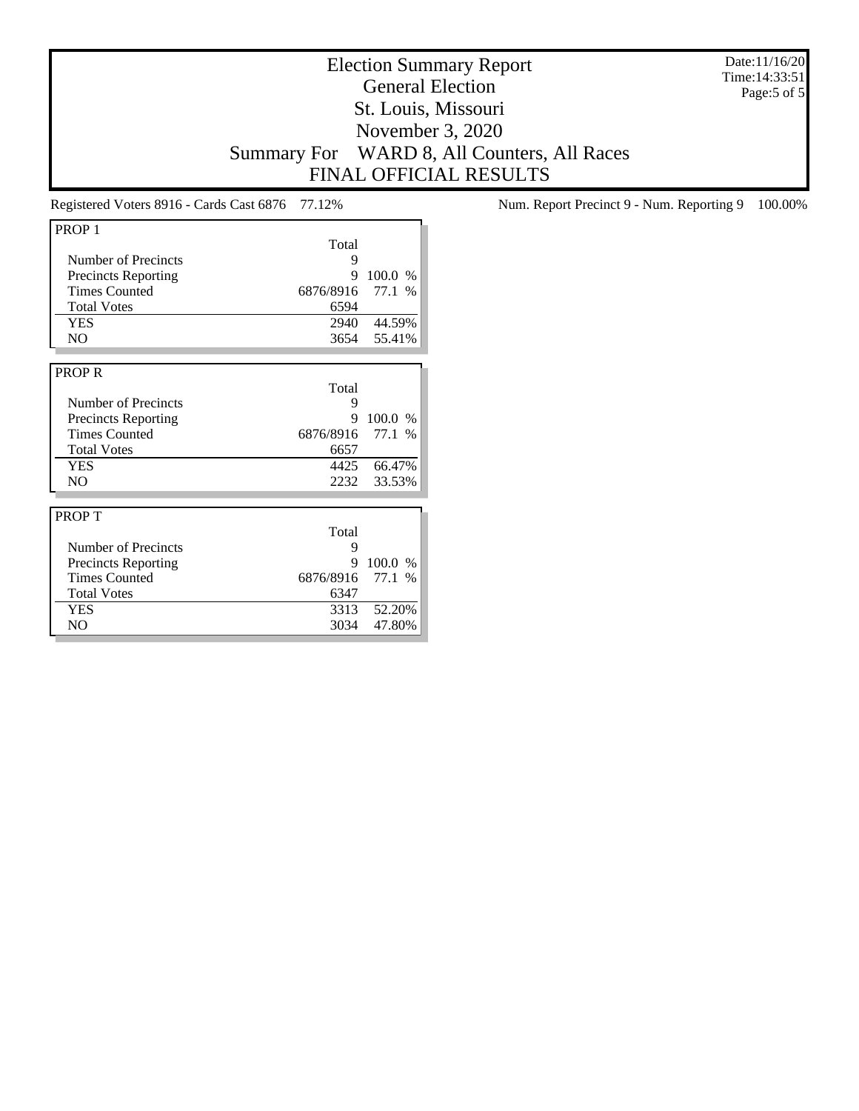Election Summary Report General Election St. Louis, Missouri November 3, 2020 Summary For WARD 8, All Counters, All Races FINAL OFFICIAL RESULTS

Date:11/16/20 Time:14:33:51 Page:5 of 5

| PROP <sub>1</sub>          |           |                        |
|----------------------------|-----------|------------------------|
|                            | Total     |                        |
| Number of Precincts        | 9         |                        |
| <b>Precincts Reporting</b> | 9         | 100.0 %                |
| <b>Times Counted</b>       | 6876/8916 | 77.1<br>$\%$           |
| <b>Total Votes</b>         | 6594      |                        |
| <b>YES</b>                 | 2940      | 44.59%                 |
| N <sub>O</sub>             |           | 3654 55.41%            |
|                            |           |                        |
| <b>PROPR</b>               |           |                        |
|                            | Total     |                        |
| Number of Precincts        | 9         |                        |
| <b>Precincts Reporting</b> | 9         | 100.0<br>$\frac{0}{0}$ |
| <b>Times Counted</b>       | 6876/8916 | 77.1<br>$\%$           |
| <b>Total Votes</b>         | 6657      |                        |
| <b>YES</b>                 | 4425      | 66.47%                 |
| N <sub>O</sub>             | 2232      | 33.53%                 |
|                            |           |                        |
| <b>PROPT</b>               |           |                        |
|                            | Total     |                        |
| Number of Precincts        | 9         |                        |
| <b>Precincts Reporting</b> | 9         | 100.0<br>$\%$          |
| <b>Times Counted</b>       | 6876/8916 | 77.1<br>$\%$           |
| <b>Total Votes</b>         | 6347      |                        |
| <b>YES</b>                 | 3313      | 52.20%                 |
| N <sub>O</sub>             | 3034      | 47.80%                 |

Registered Voters 8916 - Cards Cast 6876 77.12% Num. Report Precinct 9 - Num. Reporting 9 100.00%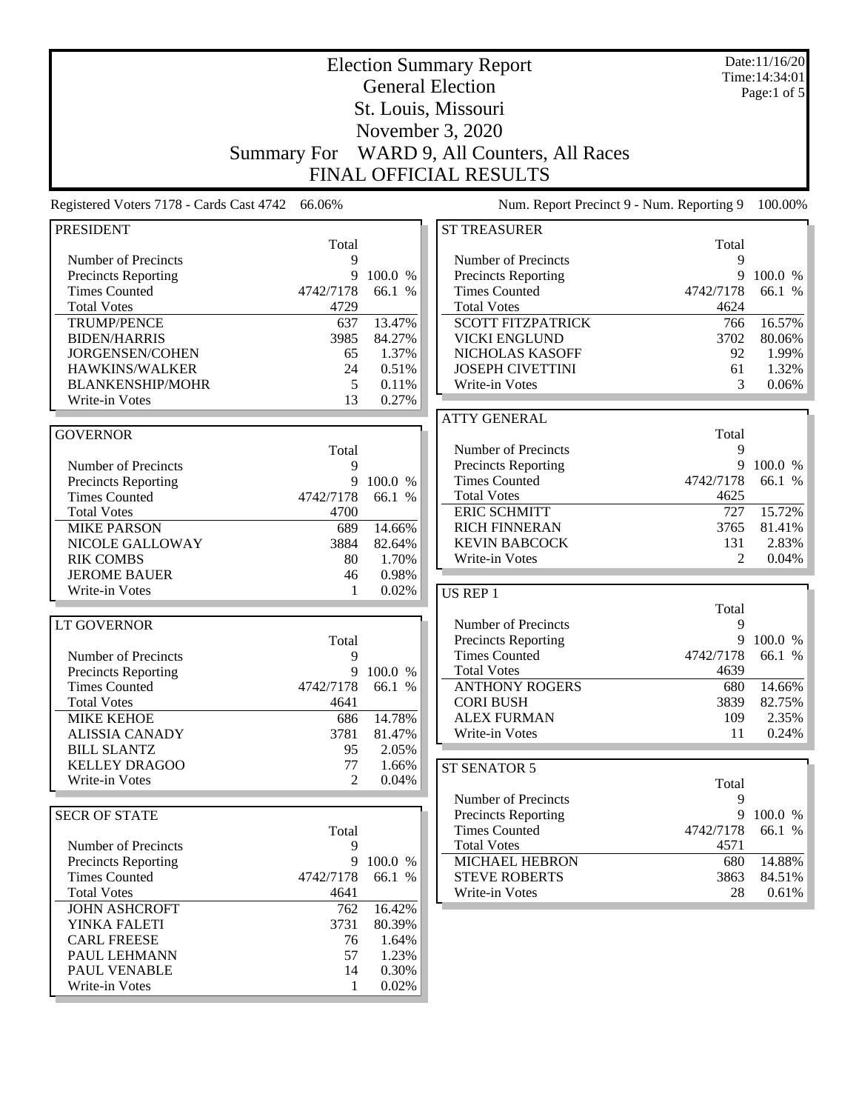|                                                    |                    |                   | <b>Election Summary Report</b>                                   |            | Date:11/16/20<br>Time: 14:34:01 |
|----------------------------------------------------|--------------------|-------------------|------------------------------------------------------------------|------------|---------------------------------|
|                                                    |                    |                   | <b>General Election</b>                                          |            | Page:1 of 5                     |
|                                                    |                    |                   | St. Louis, Missouri                                              |            |                                 |
|                                                    |                    |                   | November 3, 2020                                                 |            |                                 |
|                                                    |                    |                   |                                                                  |            |                                 |
|                                                    | <b>Summary For</b> |                   | WARD 9, All Counters, All Races<br><b>FINAL OFFICIAL RESULTS</b> |            |                                 |
|                                                    |                    |                   |                                                                  |            |                                 |
| Registered Voters 7178 - Cards Cast 4742           | 66.06%             |                   | Num. Report Precinct 9 - Num. Reporting 9                        |            | 100.00%                         |
| <b>PRESIDENT</b>                                   | Total              |                   | <b>ST TREASURER</b>                                              | Total      |                                 |
| Number of Precincts                                | 9                  |                   | Number of Precincts                                              | 9          |                                 |
| <b>Precincts Reporting</b>                         | 9                  | 100.0 %           | Precincts Reporting                                              | 9          | 100.0 %                         |
| <b>Times Counted</b>                               | 4742/7178          | 66.1 %            | <b>Times Counted</b>                                             | 4742/7178  | 66.1 %                          |
| <b>Total Votes</b>                                 | 4729               |                   | <b>Total Votes</b>                                               | 4624       |                                 |
| <b>TRUMP/PENCE</b>                                 | 637                | 13.47%            | <b>SCOTT FITZPATRICK</b>                                         | 766        | 16.57%<br>80.06%                |
| <b>BIDEN/HARRIS</b><br>JORGENSEN/COHEN             | 3985<br>65         | 84.27%<br>1.37%   | <b>VICKI ENGLUND</b><br>NICHOLAS KASOFF                          | 3702<br>92 | 1.99%                           |
| HAWKINS/WALKER                                     | 24                 | 0.51%             | <b>JOSEPH CIVETTINI</b>                                          | 61         | 1.32%                           |
| <b>BLANKENSHIP/MOHR</b>                            | 5                  | 0.11%             | Write-in Votes                                                   | 3          | 0.06%                           |
| Write-in Votes                                     | 13                 | 0.27%             |                                                                  |            |                                 |
|                                                    |                    |                   | <b>ATTY GENERAL</b>                                              |            |                                 |
| <b>GOVERNOR</b>                                    |                    |                   |                                                                  | Total      |                                 |
|                                                    | Total              |                   | Number of Precincts                                              | 9          |                                 |
| Number of Precincts                                | 9                  |                   | Precincts Reporting                                              | 9          | 100.0 %                         |
| <b>Precincts Reporting</b>                         | 9                  | 100.0 %           | <b>Times Counted</b>                                             | 4742/7178  | 66.1 %                          |
| <b>Times Counted</b>                               | 4742/7178          | 66.1 %            | <b>Total Votes</b>                                               | 4625       |                                 |
| <b>Total Votes</b>                                 | 4700               |                   | <b>ERIC SCHMITT</b>                                              | 727        | 15.72%                          |
| <b>MIKE PARSON</b>                                 | 689                | 14.66%            | <b>RICH FINNERAN</b>                                             | 3765       | 81.41%                          |
| NICOLE GALLOWAY                                    | 3884               | 82.64%            | <b>KEVIN BABCOCK</b>                                             | 131        | 2.83%                           |
| <b>RIK COMBS</b>                                   | 80                 | 1.70%             | Write-in Votes                                                   | 2          | 0.04%                           |
| <b>JEROME BAUER</b>                                | 46                 | 0.98%             |                                                                  |            |                                 |
| Write-in Votes                                     | 1                  | 0.02%             | US REP 1                                                         |            |                                 |
|                                                    |                    |                   |                                                                  | Total      |                                 |
| LT GOVERNOR                                        |                    |                   | Number of Precincts                                              | 9          |                                 |
|                                                    | Total              |                   | Precincts Reporting                                              | 9          | 100.0 %                         |
| Number of Precincts                                | 9                  |                   | <b>Times Counted</b>                                             | 4742/7178  | 66.1 %                          |
| <b>Precincts Reporting</b>                         | 9                  | 100.0 %           | <b>Total Votes</b>                                               | 4639       |                                 |
| <b>Times Counted</b>                               | 4742/7178          | 66.1 %            | <b>ANTHONY ROGERS</b>                                            | 680        | 14.66%                          |
| <b>Total Votes</b>                                 | 4641               |                   | <b>CORI BUSH</b>                                                 | 3839       | 82.75%                          |
| <b>MIKE KEHOE</b>                                  | 686                | 14.78%            | <b>ALEX FURMAN</b>                                               | 109        | 2.35%                           |
| <b>ALISSIA CANADY</b>                              | 3781               | 81.47%            | Write-in Votes                                                   | 11         | 0.24%                           |
| <b>BILL SLANTZ</b>                                 | 95                 | 2.05%             |                                                                  |            |                                 |
| <b>KELLEY DRAGOO</b>                               | 77                 | 1.66%             | ST SENATOR 5                                                     |            |                                 |
| Write-in Votes                                     | $\overline{2}$     | 0.04%             |                                                                  | Total      |                                 |
|                                                    |                    |                   | Number of Precincts                                              | 9          |                                 |
| <b>SECR OF STATE</b>                               |                    |                   | <b>Precincts Reporting</b>                                       | 9          | 100.0 %                         |
|                                                    | Total              |                   | <b>Times Counted</b>                                             | 4742/7178  | 66.1 %                          |
| Number of Precincts                                | 9                  |                   | <b>Total Votes</b>                                               | 4571       |                                 |
| <b>Precincts Reporting</b><br><b>Times Counted</b> | 9<br>4742/7178     | 100.0 %<br>66.1 % | <b>MICHAEL HEBRON</b><br><b>STEVE ROBERTS</b>                    | 680        | 14.88%                          |
| <b>Total Votes</b>                                 |                    |                   | Write-in Votes                                                   | 3863<br>28 | 84.51%                          |
| <b>JOHN ASHCROFT</b>                               | 4641<br>762        | 16.42%            |                                                                  |            | 0.61%                           |
| YINKA FALETI                                       | 3731               | 80.39%            |                                                                  |            |                                 |
| <b>CARL FREESE</b>                                 | 76                 | 1.64%             |                                                                  |            |                                 |
| PAUL LEHMANN                                       | 57                 | 1.23%             |                                                                  |            |                                 |
| PAUL VENABLE                                       | 14                 | 0.30%             |                                                                  |            |                                 |
| Write-in Votes                                     | 1                  | 0.02%             |                                                                  |            |                                 |
|                                                    |                    |                   |                                                                  |            |                                 |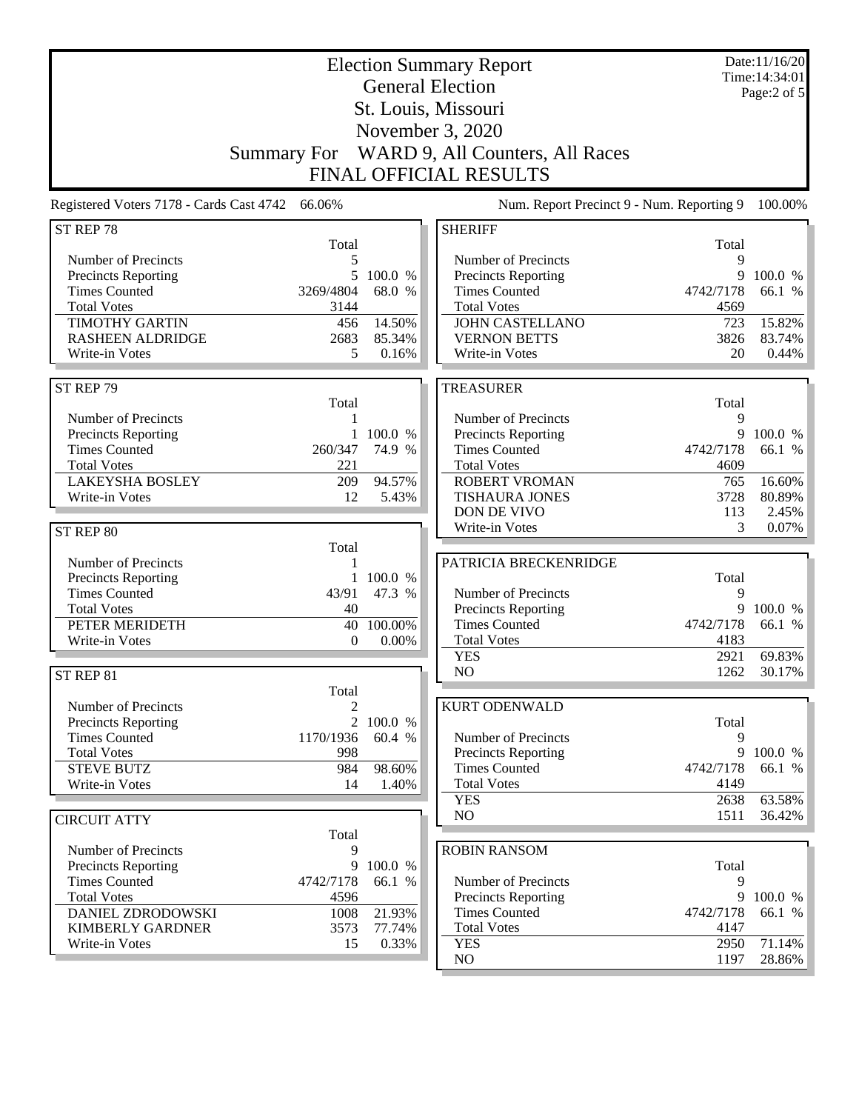|                                                    | <b>Election Summary Report</b><br><b>General Election</b> |                     |                                                   |                   | Date:11/16/20<br>Time: 14:34:01 |
|----------------------------------------------------|-----------------------------------------------------------|---------------------|---------------------------------------------------|-------------------|---------------------------------|
|                                                    |                                                           |                     |                                                   |                   | Page: $2$ of $5$                |
|                                                    |                                                           |                     | St. Louis, Missouri                               |                   |                                 |
|                                                    |                                                           |                     | November 3, 2020                                  |                   |                                 |
|                                                    |                                                           |                     |                                                   |                   |                                 |
| <b>Summary For</b>                                 |                                                           |                     | WARD 9, All Counters, All Races                   |                   |                                 |
|                                                    |                                                           |                     | FINAL OFFICIAL RESULTS                            |                   |                                 |
| Registered Voters 7178 - Cards Cast 4742<br>66.06% |                                                           |                     | Num. Report Precinct 9 - Num. Reporting 9         |                   | 100.00%                         |
| ST REP 78                                          |                                                           |                     | <b>SHERIFF</b>                                    |                   |                                 |
| Number of Precincts                                | Total<br>5                                                |                     | Number of Precincts                               | Total<br>9        |                                 |
| Precincts Reporting                                | 5                                                         | 100.0 %             | Precincts Reporting                               | 9                 | 100.0 %                         |
| <b>Times Counted</b>                               | 3269/4804                                                 | 68.0 %              | <b>Times Counted</b>                              | 4742/7178         | 66.1 %                          |
| <b>Total Votes</b>                                 | 3144                                                      |                     | <b>Total Votes</b>                                | 4569              |                                 |
| <b>TIMOTHY GARTIN</b>                              | 456                                                       | 14.50%              | <b>JOHN CASTELLANO</b>                            | 723               | 15.82%                          |
| <b>RASHEEN ALDRIDGE</b>                            | 2683                                                      | 85.34%              | <b>VERNON BETTS</b>                               | 3826              | 83.74%                          |
| Write-in Votes                                     | 5                                                         | 0.16%               | Write-in Votes                                    | 20                | 0.44%                           |
|                                                    |                                                           |                     |                                                   |                   |                                 |
| ST REP 79                                          |                                                           |                     | <b>TREASURER</b>                                  |                   |                                 |
|                                                    | Total                                                     |                     |                                                   | Total             |                                 |
| Number of Precincts                                | 1                                                         |                     | Number of Precincts                               | 9<br>9            | 100.0 %                         |
| Precincts Reporting<br><b>Times Counted</b>        | 260/347                                                   | 1 100.0 %<br>74.9 % | Precincts Reporting<br><b>Times Counted</b>       | 4742/7178         | 66.1 %                          |
| <b>Total Votes</b>                                 | 221                                                       |                     | <b>Total Votes</b>                                | 4609              |                                 |
| <b>LAKEYSHA BOSLEY</b>                             | 209                                                       | 94.57%              | <b>ROBERT VROMAN</b>                              | 765               | 16.60%                          |
| Write-in Votes                                     | 12                                                        | 5.43%               | <b>TISHAURA JONES</b>                             | 3728              | 80.89%                          |
|                                                    |                                                           |                     | DON DE VIVO                                       | 113               | 2.45%                           |
| ST REP 80                                          |                                                           |                     | Write-in Votes                                    | 3                 | 0.07%                           |
|                                                    | Total                                                     |                     |                                                   |                   |                                 |
| Number of Precincts                                | 1                                                         |                     | PATRICIA BRECKENRIDGE                             |                   |                                 |
| <b>Precincts Reporting</b>                         |                                                           | 1 100.0 %           |                                                   | Total             |                                 |
| <b>Times Counted</b>                               | 43/91                                                     | 47.3 %              | Number of Precincts                               | 9                 |                                 |
| <b>Total Votes</b>                                 | 40                                                        |                     | Precincts Reporting                               | 9                 | 100.0 %                         |
| PETER MERIDETH                                     | 40                                                        | 100.00%             | <b>Times Counted</b>                              | 4742/7178<br>4183 | 66.1 %                          |
| Write-in Votes                                     | $\theta$                                                  | $0.00\%$            | <b>Total Votes</b><br><b>YES</b>                  | 2921              | 69.83%                          |
|                                                    |                                                           |                     | N <sub>O</sub>                                    | 1262              | 30.17%                          |
| ST REP 81                                          | Total                                                     |                     |                                                   |                   |                                 |
| Number of Precincts                                | 2                                                         |                     | <b>KURT ODENWALD</b>                              |                   |                                 |
| Precincts Reporting                                | $\overline{c}$                                            | 100.0 %             |                                                   | Total             |                                 |
| <b>Times Counted</b>                               | 1170/1936                                                 | 60.4 %              | Number of Precincts                               | 9                 |                                 |
| <b>Total Votes</b>                                 | 998                                                       |                     | Precincts Reporting                               | 9                 | 100.0 %                         |
| <b>STEVE BUTZ</b>                                  | 984                                                       | 98.60%              | <b>Times Counted</b>                              | 4742/7178         | 66.1 %                          |
| Write-in Votes                                     | 14                                                        | 1.40%               | <b>Total Votes</b>                                | 4149              |                                 |
|                                                    |                                                           |                     | <b>YES</b>                                        | 2638              | 63.58%                          |
| <b>CIRCUIT ATTY</b>                                |                                                           |                     | NO                                                | 1511              | 36.42%                          |
|                                                    | Total                                                     |                     |                                                   |                   |                                 |
| Number of Precincts                                | 9                                                         |                     | <b>ROBIN RANSOM</b>                               |                   |                                 |
| Precincts Reporting                                | 9                                                         | 100.0 %             |                                                   | Total             |                                 |
| <b>Times Counted</b><br><b>Total Votes</b>         | 4742/7178<br>4596                                         | 66.1 %              | Number of Precincts<br><b>Precincts Reporting</b> | 9<br>9            | 100.0 %                         |
| <b>DANIEL ZDRODOWSKI</b>                           | 1008                                                      | 21.93%              | <b>Times Counted</b>                              | 4742/7178         | 66.1 %                          |
| <b>KIMBERLY GARDNER</b>                            | 3573                                                      | 77.74%              | <b>Total Votes</b>                                | 4147              |                                 |
| Write-in Votes                                     | 15                                                        | 0.33%               | <b>YES</b>                                        | 2950              | 71.14%                          |
|                                                    |                                                           |                     | NO                                                | 1197              | 28.86%                          |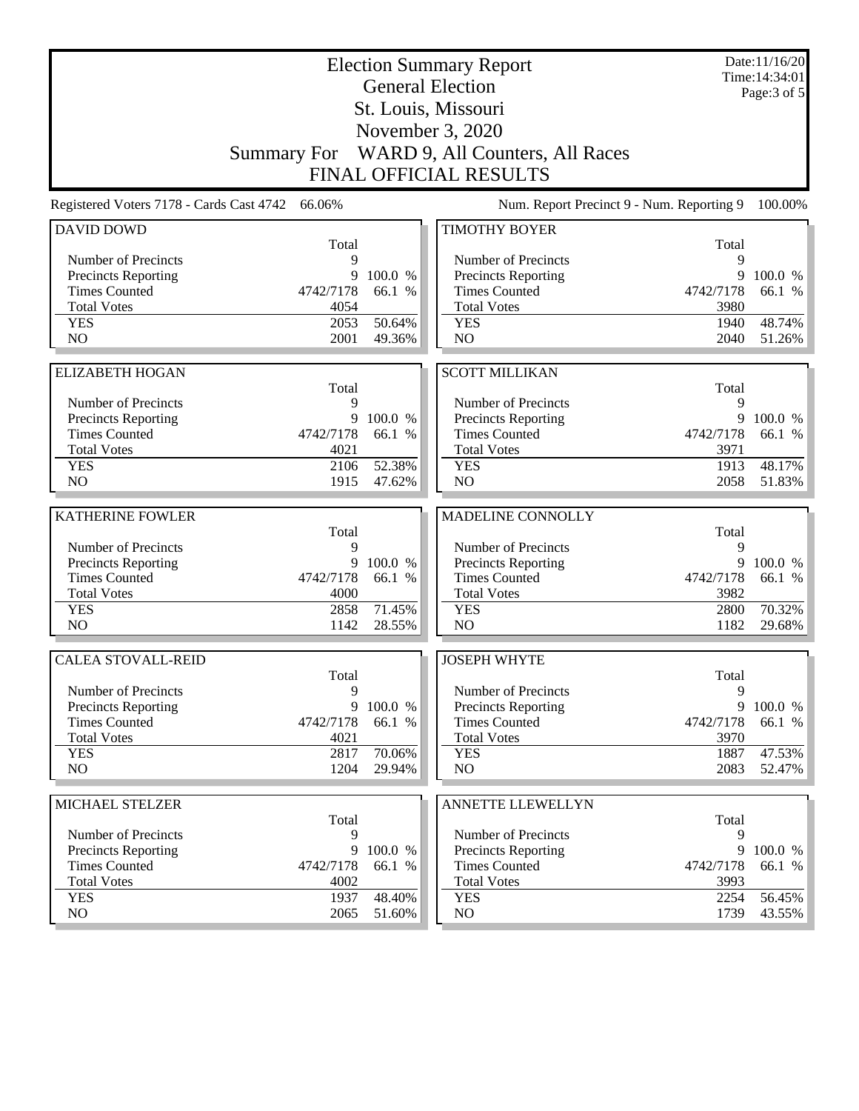| <b>Election Summary Report</b><br><b>General Election</b> |                    |           |                                           |              | Date:11/16/20<br>Time: 14:34:01<br>Page: 3 of 5 |
|-----------------------------------------------------------|--------------------|-----------|-------------------------------------------|--------------|-------------------------------------------------|
|                                                           |                    |           | St. Louis, Missouri                       |              |                                                 |
|                                                           |                    |           | November 3, 2020                          |              |                                                 |
|                                                           | <b>Summary For</b> |           | WARD 9, All Counters, All Races           |              |                                                 |
|                                                           |                    |           | <b>FINAL OFFICIAL RESULTS</b>             |              |                                                 |
|                                                           |                    |           |                                           |              |                                                 |
| Registered Voters 7178 - Cards Cast 4742                  | 66.06%             |           | Num. Report Precinct 9 - Num. Reporting 9 |              | 100.00%                                         |
| <b>DAVID DOWD</b>                                         | Total              |           | <b>TIMOTHY BOYER</b>                      | Total        |                                                 |
| Number of Precincts                                       | 9                  |           | Number of Precincts                       | 9            |                                                 |
| <b>Precincts Reporting</b>                                | 9                  | 100.0 %   | <b>Precincts Reporting</b>                | 9            | 100.0 %                                         |
| <b>Times Counted</b>                                      | 4742/7178          | 66.1 %    | <b>Times Counted</b>                      | 4742/7178    | 66.1 %                                          |
| <b>Total Votes</b>                                        | 4054               |           | <b>Total Votes</b>                        | 3980         |                                                 |
| <b>YES</b>                                                | 2053               | 50.64%    | <b>YES</b>                                | 1940         | 48.74%                                          |
| NO                                                        | 2001               | 49.36%    | NO                                        | 2040         | 51.26%                                          |
|                                                           |                    |           |                                           |              |                                                 |
| <b>ELIZABETH HOGAN</b>                                    |                    |           | <b>SCOTT MILLIKAN</b>                     |              |                                                 |
|                                                           | Total              |           |                                           | Total        |                                                 |
| Number of Precincts                                       | 9                  |           | Number of Precincts                       | 9            |                                                 |
| Precincts Reporting                                       | 9                  | 100.0 %   | Precincts Reporting                       | 9            | 100.0 %                                         |
| <b>Times Counted</b>                                      | 4742/7178          | 66.1 %    | <b>Times Counted</b>                      | 4742/7178    | 66.1 %                                          |
| <b>Total Votes</b>                                        | 4021               |           | <b>Total Votes</b>                        | 3971         |                                                 |
| <b>YES</b><br>N <sub>O</sub>                              | 2106<br>1915       | 52.38%    | <b>YES</b><br>NO                          | 1913<br>2058 | 48.17%<br>51.83%                                |
|                                                           |                    | 47.62%    |                                           |              |                                                 |
| <b>KATHERINE FOWLER</b>                                   |                    |           | MADELINE CONNOLLY                         |              |                                                 |
|                                                           | Total              |           |                                           | Total        |                                                 |
| Number of Precincts                                       | 9                  |           | Number of Precincts                       | 9            |                                                 |
| Precincts Reporting                                       | 9                  | 100.0 %   | Precincts Reporting                       | 9            | 100.0 %                                         |
| <b>Times Counted</b>                                      | 4742/7178          | 66.1 %    | <b>Times Counted</b>                      | 4742/7178    | 66.1 %                                          |
| <b>Total Votes</b>                                        | 4000               |           | <b>Total Votes</b>                        | 3982         |                                                 |
| <b>YES</b>                                                | 2858               | 71.45%    | <b>YES</b>                                | 2800         | 70.32%                                          |
| N <sub>O</sub>                                            | 1142               | 28.55%    | NO                                        | 1182         | 29.68%                                          |
|                                                           |                    |           |                                           |              |                                                 |
| <b>CALEA STOVALL-REID</b>                                 | Total              |           | <b>JOSEPH WHYTE</b>                       | Total        |                                                 |
| Number of Precincts                                       | 9                  |           | Number of Precincts                       | 9            |                                                 |
| Precincts Reporting                                       |                    | 9 100.0 % | Precincts Reporting                       | 9            | 100.0 %                                         |
| <b>Times Counted</b>                                      | 4742/7178          | 66.1 %    | <b>Times Counted</b>                      | 4742/7178    | 66.1 %                                          |
| <b>Total Votes</b>                                        | 4021               |           | <b>Total Votes</b>                        | 3970         |                                                 |
| <b>YES</b>                                                | 2817               | 70.06%    | <b>YES</b>                                | 1887         | 47.53%                                          |
| NO                                                        | 1204               | 29.94%    | NO                                        | 2083         | 52.47%                                          |
|                                                           |                    |           |                                           |              |                                                 |
| MICHAEL STELZER                                           | Total              |           | <b>ANNETTE LLEWELLYN</b>                  | Total        |                                                 |
| Number of Precincts                                       | 9                  |           | Number of Precincts                       | 9            |                                                 |
| Precincts Reporting                                       | 9                  | 100.0 %   | Precincts Reporting                       | 9            | 100.0 %                                         |
| <b>Times Counted</b>                                      | 4742/7178          | 66.1 %    | <b>Times Counted</b>                      | 4742/7178    | 66.1 %                                          |
| <b>Total Votes</b>                                        | 4002               |           | <b>Total Votes</b>                        | 3993         |                                                 |
| <b>YES</b>                                                | 1937               | 48.40%    | <b>YES</b>                                | 2254         | 56.45%                                          |
| NO                                                        | 2065               | 51.60%    | NO                                        | 1739         | 43.55%                                          |
|                                                           |                    |           |                                           |              |                                                 |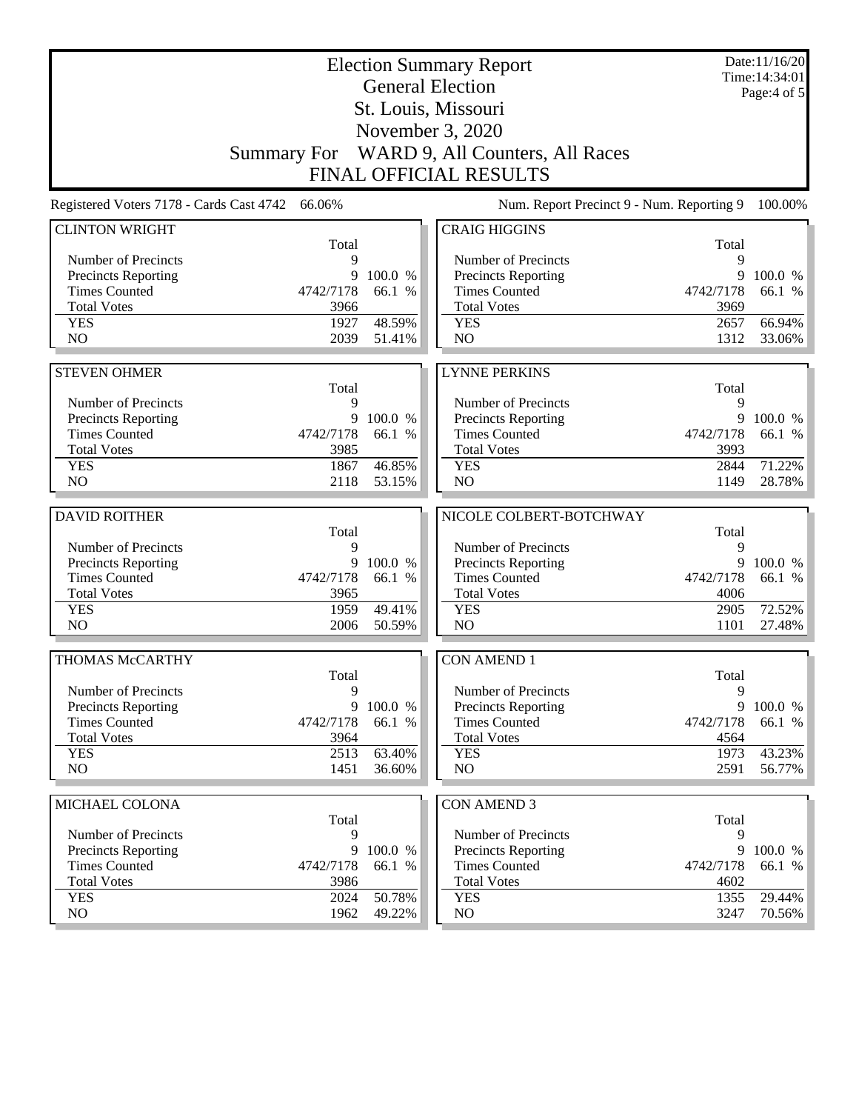| <b>General Election</b><br>Page:4 of 5<br>St. Louis, Missouri<br>November 3, 2020<br>WARD 9, All Counters, All Races<br><b>Summary For</b><br><b>FINAL OFFICIAL RESULTS</b><br>Num. Report Precinct 9 - Num. Reporting 9<br>Registered Voters 7178 - Cards Cast 4742 66.06%<br><b>CLINTON WRIGHT</b><br><b>CRAIG HIGGINS</b><br>Total<br>Total<br>Number of Precincts<br>Number of Precincts<br>9<br>9<br>9<br><b>Precincts Reporting</b><br>9<br>100.0 %<br><b>Precincts Reporting</b><br><b>Times Counted</b><br><b>Times Counted</b><br>4742/7178<br>66.1 %<br>4742/7178<br>66.1 %<br><b>Total Votes</b><br><b>Total Votes</b><br>3966<br>3969<br>48.59%<br>66.94%<br><b>YES</b><br>1927<br><b>YES</b><br>2657<br>NO<br>N <sub>O</sub><br>2039<br>1312<br>51.41%<br><b>STEVEN OHMER</b><br><b>LYNNE PERKINS</b><br>Total<br>Total<br>Number of Precincts<br>9<br>Number of Precincts<br>9<br>9<br>Precincts Reporting<br>9<br>100.0 %<br>Precincts Reporting<br>100.0 %<br><b>Times Counted</b><br><b>Times Counted</b><br>4742/7178<br>66.1 %<br>4742/7178<br>66.1 %<br><b>Total Votes</b><br><b>Total Votes</b><br>3985<br>3993<br><b>YES</b><br>1867<br>46.85%<br>71.22%<br><b>YES</b><br>2844<br>NO<br>NO<br>2118<br>53.15%<br>1149<br><b>DAVID ROITHER</b><br>NICOLE COLBERT-BOTCHWAY<br>Total<br>Total<br>9<br>9<br>Number of Precincts<br>Number of Precincts<br>9<br>Precincts Reporting<br>9<br>100.0 %<br>Precincts Reporting<br>100.0 %<br><b>Times Counted</b><br><b>Times Counted</b><br>66.1 %<br>4742/7178<br>66.1 %<br>4742/7178<br><b>Total Votes</b><br>3965<br><b>Total Votes</b><br>4006<br>49.41%<br>72.52%<br><b>YES</b><br>1959<br><b>YES</b><br>2905<br>NO<br>N <sub>O</sub><br>2006<br>50.59%<br>1101<br><b>THOMAS McCARTHY</b><br><b>CON AMEND 1</b><br>Total<br>Total<br>Number of Precincts<br>9<br>Number of Precincts<br>9<br>9<br>Precincts Reporting<br>100.0 %<br><b>Precincts Reporting</b><br>9<br><b>Times Counted</b><br>66.1 %<br><b>Times Counted</b><br>4742/7178<br>4742/7178<br><b>Total Votes</b><br><b>Total Votes</b><br>3964<br>4564<br><b>YES</b><br>2513<br>63.40%<br><b>YES</b><br>1973<br>NO<br>NO<br>1451<br>2591<br>36.60%<br><b>CON AMEND 3</b><br>MICHAEL COLONA<br>Total<br>Total<br>Number of Precincts<br>9<br>Number of Precincts<br>9<br><b>Precincts Reporting</b><br>9<br>100.0 %<br>9<br>Precincts Reporting<br><b>Times Counted</b><br><b>Times Counted</b><br>4742/7178<br>4742/7178<br>66.1 %<br><b>Total Votes</b><br><b>Total Votes</b><br>3986<br>4602<br>50.78%<br><b>YES</b><br>2024<br><b>YES</b><br>1355<br>NO<br>1962<br>NO<br>3247<br>49.22% |  | <b>Election Summary Report</b> | Date:11/16/20<br>Time: 14:34:01 |
|---------------------------------------------------------------------------------------------------------------------------------------------------------------------------------------------------------------------------------------------------------------------------------------------------------------------------------------------------------------------------------------------------------------------------------------------------------------------------------------------------------------------------------------------------------------------------------------------------------------------------------------------------------------------------------------------------------------------------------------------------------------------------------------------------------------------------------------------------------------------------------------------------------------------------------------------------------------------------------------------------------------------------------------------------------------------------------------------------------------------------------------------------------------------------------------------------------------------------------------------------------------------------------------------------------------------------------------------------------------------------------------------------------------------------------------------------------------------------------------------------------------------------------------------------------------------------------------------------------------------------------------------------------------------------------------------------------------------------------------------------------------------------------------------------------------------------------------------------------------------------------------------------------------------------------------------------------------------------------------------------------------------------------------------------------------------------------------------------------------------------------------------------------------------------------------------------------------------------------------------------------------------------------------------------------------------------------------------------------------------------------------------------------------------------------------------------------------------------------------------------------------------------------------------------------------------------------------------------------------------------|--|--------------------------------|---------------------------------|
|                                                                                                                                                                                                                                                                                                                                                                                                                                                                                                                                                                                                                                                                                                                                                                                                                                                                                                                                                                                                                                                                                                                                                                                                                                                                                                                                                                                                                                                                                                                                                                                                                                                                                                                                                                                                                                                                                                                                                                                                                                                                                                                                                                                                                                                                                                                                                                                                                                                                                                                                                                                                                           |  |                                |                                 |
|                                                                                                                                                                                                                                                                                                                                                                                                                                                                                                                                                                                                                                                                                                                                                                                                                                                                                                                                                                                                                                                                                                                                                                                                                                                                                                                                                                                                                                                                                                                                                                                                                                                                                                                                                                                                                                                                                                                                                                                                                                                                                                                                                                                                                                                                                                                                                                                                                                                                                                                                                                                                                           |  |                                |                                 |
| 100.0 %<br>33.06%<br>43.23%<br>66.1 %                                                                                                                                                                                                                                                                                                                                                                                                                                                                                                                                                                                                                                                                                                                                                                                                                                                                                                                                                                                                                                                                                                                                                                                                                                                                                                                                                                                                                                                                                                                                                                                                                                                                                                                                                                                                                                                                                                                                                                                                                                                                                                                                                                                                                                                                                                                                                                                                                                                                                                                                                                                     |  |                                |                                 |
|                                                                                                                                                                                                                                                                                                                                                                                                                                                                                                                                                                                                                                                                                                                                                                                                                                                                                                                                                                                                                                                                                                                                                                                                                                                                                                                                                                                                                                                                                                                                                                                                                                                                                                                                                                                                                                                                                                                                                                                                                                                                                                                                                                                                                                                                                                                                                                                                                                                                                                                                                                                                                           |  |                                |                                 |
|                                                                                                                                                                                                                                                                                                                                                                                                                                                                                                                                                                                                                                                                                                                                                                                                                                                                                                                                                                                                                                                                                                                                                                                                                                                                                                                                                                                                                                                                                                                                                                                                                                                                                                                                                                                                                                                                                                                                                                                                                                                                                                                                                                                                                                                                                                                                                                                                                                                                                                                                                                                                                           |  |                                |                                 |
| 28.78%<br>27.48%<br>100.0 %<br>66.1 %<br>56.77%<br>100.0 %<br>29.44%<br>70.56%                                                                                                                                                                                                                                                                                                                                                                                                                                                                                                                                                                                                                                                                                                                                                                                                                                                                                                                                                                                                                                                                                                                                                                                                                                                                                                                                                                                                                                                                                                                                                                                                                                                                                                                                                                                                                                                                                                                                                                                                                                                                                                                                                                                                                                                                                                                                                                                                                                                                                                                                            |  |                                | 100.00%                         |
|                                                                                                                                                                                                                                                                                                                                                                                                                                                                                                                                                                                                                                                                                                                                                                                                                                                                                                                                                                                                                                                                                                                                                                                                                                                                                                                                                                                                                                                                                                                                                                                                                                                                                                                                                                                                                                                                                                                                                                                                                                                                                                                                                                                                                                                                                                                                                                                                                                                                                                                                                                                                                           |  |                                |                                 |
|                                                                                                                                                                                                                                                                                                                                                                                                                                                                                                                                                                                                                                                                                                                                                                                                                                                                                                                                                                                                                                                                                                                                                                                                                                                                                                                                                                                                                                                                                                                                                                                                                                                                                                                                                                                                                                                                                                                                                                                                                                                                                                                                                                                                                                                                                                                                                                                                                                                                                                                                                                                                                           |  |                                |                                 |
|                                                                                                                                                                                                                                                                                                                                                                                                                                                                                                                                                                                                                                                                                                                                                                                                                                                                                                                                                                                                                                                                                                                                                                                                                                                                                                                                                                                                                                                                                                                                                                                                                                                                                                                                                                                                                                                                                                                                                                                                                                                                                                                                                                                                                                                                                                                                                                                                                                                                                                                                                                                                                           |  |                                |                                 |
|                                                                                                                                                                                                                                                                                                                                                                                                                                                                                                                                                                                                                                                                                                                                                                                                                                                                                                                                                                                                                                                                                                                                                                                                                                                                                                                                                                                                                                                                                                                                                                                                                                                                                                                                                                                                                                                                                                                                                                                                                                                                                                                                                                                                                                                                                                                                                                                                                                                                                                                                                                                                                           |  |                                |                                 |
|                                                                                                                                                                                                                                                                                                                                                                                                                                                                                                                                                                                                                                                                                                                                                                                                                                                                                                                                                                                                                                                                                                                                                                                                                                                                                                                                                                                                                                                                                                                                                                                                                                                                                                                                                                                                                                                                                                                                                                                                                                                                                                                                                                                                                                                                                                                                                                                                                                                                                                                                                                                                                           |  |                                |                                 |
|                                                                                                                                                                                                                                                                                                                                                                                                                                                                                                                                                                                                                                                                                                                                                                                                                                                                                                                                                                                                                                                                                                                                                                                                                                                                                                                                                                                                                                                                                                                                                                                                                                                                                                                                                                                                                                                                                                                                                                                                                                                                                                                                                                                                                                                                                                                                                                                                                                                                                                                                                                                                                           |  |                                |                                 |
|                                                                                                                                                                                                                                                                                                                                                                                                                                                                                                                                                                                                                                                                                                                                                                                                                                                                                                                                                                                                                                                                                                                                                                                                                                                                                                                                                                                                                                                                                                                                                                                                                                                                                                                                                                                                                                                                                                                                                                                                                                                                                                                                                                                                                                                                                                                                                                                                                                                                                                                                                                                                                           |  |                                |                                 |
|                                                                                                                                                                                                                                                                                                                                                                                                                                                                                                                                                                                                                                                                                                                                                                                                                                                                                                                                                                                                                                                                                                                                                                                                                                                                                                                                                                                                                                                                                                                                                                                                                                                                                                                                                                                                                                                                                                                                                                                                                                                                                                                                                                                                                                                                                                                                                                                                                                                                                                                                                                                                                           |  |                                |                                 |
|                                                                                                                                                                                                                                                                                                                                                                                                                                                                                                                                                                                                                                                                                                                                                                                                                                                                                                                                                                                                                                                                                                                                                                                                                                                                                                                                                                                                                                                                                                                                                                                                                                                                                                                                                                                                                                                                                                                                                                                                                                                                                                                                                                                                                                                                                                                                                                                                                                                                                                                                                                                                                           |  |                                |                                 |
|                                                                                                                                                                                                                                                                                                                                                                                                                                                                                                                                                                                                                                                                                                                                                                                                                                                                                                                                                                                                                                                                                                                                                                                                                                                                                                                                                                                                                                                                                                                                                                                                                                                                                                                                                                                                                                                                                                                                                                                                                                                                                                                                                                                                                                                                                                                                                                                                                                                                                                                                                                                                                           |  |                                |                                 |
|                                                                                                                                                                                                                                                                                                                                                                                                                                                                                                                                                                                                                                                                                                                                                                                                                                                                                                                                                                                                                                                                                                                                                                                                                                                                                                                                                                                                                                                                                                                                                                                                                                                                                                                                                                                                                                                                                                                                                                                                                                                                                                                                                                                                                                                                                                                                                                                                                                                                                                                                                                                                                           |  |                                |                                 |
|                                                                                                                                                                                                                                                                                                                                                                                                                                                                                                                                                                                                                                                                                                                                                                                                                                                                                                                                                                                                                                                                                                                                                                                                                                                                                                                                                                                                                                                                                                                                                                                                                                                                                                                                                                                                                                                                                                                                                                                                                                                                                                                                                                                                                                                                                                                                                                                                                                                                                                                                                                                                                           |  |                                |                                 |
|                                                                                                                                                                                                                                                                                                                                                                                                                                                                                                                                                                                                                                                                                                                                                                                                                                                                                                                                                                                                                                                                                                                                                                                                                                                                                                                                                                                                                                                                                                                                                                                                                                                                                                                                                                                                                                                                                                                                                                                                                                                                                                                                                                                                                                                                                                                                                                                                                                                                                                                                                                                                                           |  |                                |                                 |
|                                                                                                                                                                                                                                                                                                                                                                                                                                                                                                                                                                                                                                                                                                                                                                                                                                                                                                                                                                                                                                                                                                                                                                                                                                                                                                                                                                                                                                                                                                                                                                                                                                                                                                                                                                                                                                                                                                                                                                                                                                                                                                                                                                                                                                                                                                                                                                                                                                                                                                                                                                                                                           |  |                                |                                 |
|                                                                                                                                                                                                                                                                                                                                                                                                                                                                                                                                                                                                                                                                                                                                                                                                                                                                                                                                                                                                                                                                                                                                                                                                                                                                                                                                                                                                                                                                                                                                                                                                                                                                                                                                                                                                                                                                                                                                                                                                                                                                                                                                                                                                                                                                                                                                                                                                                                                                                                                                                                                                                           |  |                                |                                 |
|                                                                                                                                                                                                                                                                                                                                                                                                                                                                                                                                                                                                                                                                                                                                                                                                                                                                                                                                                                                                                                                                                                                                                                                                                                                                                                                                                                                                                                                                                                                                                                                                                                                                                                                                                                                                                                                                                                                                                                                                                                                                                                                                                                                                                                                                                                                                                                                                                                                                                                                                                                                                                           |  |                                |                                 |
|                                                                                                                                                                                                                                                                                                                                                                                                                                                                                                                                                                                                                                                                                                                                                                                                                                                                                                                                                                                                                                                                                                                                                                                                                                                                                                                                                                                                                                                                                                                                                                                                                                                                                                                                                                                                                                                                                                                                                                                                                                                                                                                                                                                                                                                                                                                                                                                                                                                                                                                                                                                                                           |  |                                |                                 |
|                                                                                                                                                                                                                                                                                                                                                                                                                                                                                                                                                                                                                                                                                                                                                                                                                                                                                                                                                                                                                                                                                                                                                                                                                                                                                                                                                                                                                                                                                                                                                                                                                                                                                                                                                                                                                                                                                                                                                                                                                                                                                                                                                                                                                                                                                                                                                                                                                                                                                                                                                                                                                           |  |                                |                                 |
|                                                                                                                                                                                                                                                                                                                                                                                                                                                                                                                                                                                                                                                                                                                                                                                                                                                                                                                                                                                                                                                                                                                                                                                                                                                                                                                                                                                                                                                                                                                                                                                                                                                                                                                                                                                                                                                                                                                                                                                                                                                                                                                                                                                                                                                                                                                                                                                                                                                                                                                                                                                                                           |  |                                |                                 |
|                                                                                                                                                                                                                                                                                                                                                                                                                                                                                                                                                                                                                                                                                                                                                                                                                                                                                                                                                                                                                                                                                                                                                                                                                                                                                                                                                                                                                                                                                                                                                                                                                                                                                                                                                                                                                                                                                                                                                                                                                                                                                                                                                                                                                                                                                                                                                                                                                                                                                                                                                                                                                           |  |                                |                                 |
|                                                                                                                                                                                                                                                                                                                                                                                                                                                                                                                                                                                                                                                                                                                                                                                                                                                                                                                                                                                                                                                                                                                                                                                                                                                                                                                                                                                                                                                                                                                                                                                                                                                                                                                                                                                                                                                                                                                                                                                                                                                                                                                                                                                                                                                                                                                                                                                                                                                                                                                                                                                                                           |  |                                |                                 |
|                                                                                                                                                                                                                                                                                                                                                                                                                                                                                                                                                                                                                                                                                                                                                                                                                                                                                                                                                                                                                                                                                                                                                                                                                                                                                                                                                                                                                                                                                                                                                                                                                                                                                                                                                                                                                                                                                                                                                                                                                                                                                                                                                                                                                                                                                                                                                                                                                                                                                                                                                                                                                           |  |                                |                                 |
|                                                                                                                                                                                                                                                                                                                                                                                                                                                                                                                                                                                                                                                                                                                                                                                                                                                                                                                                                                                                                                                                                                                                                                                                                                                                                                                                                                                                                                                                                                                                                                                                                                                                                                                                                                                                                                                                                                                                                                                                                                                                                                                                                                                                                                                                                                                                                                                                                                                                                                                                                                                                                           |  |                                |                                 |
|                                                                                                                                                                                                                                                                                                                                                                                                                                                                                                                                                                                                                                                                                                                                                                                                                                                                                                                                                                                                                                                                                                                                                                                                                                                                                                                                                                                                                                                                                                                                                                                                                                                                                                                                                                                                                                                                                                                                                                                                                                                                                                                                                                                                                                                                                                                                                                                                                                                                                                                                                                                                                           |  |                                |                                 |
|                                                                                                                                                                                                                                                                                                                                                                                                                                                                                                                                                                                                                                                                                                                                                                                                                                                                                                                                                                                                                                                                                                                                                                                                                                                                                                                                                                                                                                                                                                                                                                                                                                                                                                                                                                                                                                                                                                                                                                                                                                                                                                                                                                                                                                                                                                                                                                                                                                                                                                                                                                                                                           |  |                                |                                 |
|                                                                                                                                                                                                                                                                                                                                                                                                                                                                                                                                                                                                                                                                                                                                                                                                                                                                                                                                                                                                                                                                                                                                                                                                                                                                                                                                                                                                                                                                                                                                                                                                                                                                                                                                                                                                                                                                                                                                                                                                                                                                                                                                                                                                                                                                                                                                                                                                                                                                                                                                                                                                                           |  |                                |                                 |
|                                                                                                                                                                                                                                                                                                                                                                                                                                                                                                                                                                                                                                                                                                                                                                                                                                                                                                                                                                                                                                                                                                                                                                                                                                                                                                                                                                                                                                                                                                                                                                                                                                                                                                                                                                                                                                                                                                                                                                                                                                                                                                                                                                                                                                                                                                                                                                                                                                                                                                                                                                                                                           |  |                                |                                 |
|                                                                                                                                                                                                                                                                                                                                                                                                                                                                                                                                                                                                                                                                                                                                                                                                                                                                                                                                                                                                                                                                                                                                                                                                                                                                                                                                                                                                                                                                                                                                                                                                                                                                                                                                                                                                                                                                                                                                                                                                                                                                                                                                                                                                                                                                                                                                                                                                                                                                                                                                                                                                                           |  |                                |                                 |
|                                                                                                                                                                                                                                                                                                                                                                                                                                                                                                                                                                                                                                                                                                                                                                                                                                                                                                                                                                                                                                                                                                                                                                                                                                                                                                                                                                                                                                                                                                                                                                                                                                                                                                                                                                                                                                                                                                                                                                                                                                                                                                                                                                                                                                                                                                                                                                                                                                                                                                                                                                                                                           |  |                                |                                 |
|                                                                                                                                                                                                                                                                                                                                                                                                                                                                                                                                                                                                                                                                                                                                                                                                                                                                                                                                                                                                                                                                                                                                                                                                                                                                                                                                                                                                                                                                                                                                                                                                                                                                                                                                                                                                                                                                                                                                                                                                                                                                                                                                                                                                                                                                                                                                                                                                                                                                                                                                                                                                                           |  |                                |                                 |
|                                                                                                                                                                                                                                                                                                                                                                                                                                                                                                                                                                                                                                                                                                                                                                                                                                                                                                                                                                                                                                                                                                                                                                                                                                                                                                                                                                                                                                                                                                                                                                                                                                                                                                                                                                                                                                                                                                                                                                                                                                                                                                                                                                                                                                                                                                                                                                                                                                                                                                                                                                                                                           |  |                                |                                 |
|                                                                                                                                                                                                                                                                                                                                                                                                                                                                                                                                                                                                                                                                                                                                                                                                                                                                                                                                                                                                                                                                                                                                                                                                                                                                                                                                                                                                                                                                                                                                                                                                                                                                                                                                                                                                                                                                                                                                                                                                                                                                                                                                                                                                                                                                                                                                                                                                                                                                                                                                                                                                                           |  |                                |                                 |
|                                                                                                                                                                                                                                                                                                                                                                                                                                                                                                                                                                                                                                                                                                                                                                                                                                                                                                                                                                                                                                                                                                                                                                                                                                                                                                                                                                                                                                                                                                                                                                                                                                                                                                                                                                                                                                                                                                                                                                                                                                                                                                                                                                                                                                                                                                                                                                                                                                                                                                                                                                                                                           |  |                                |                                 |
|                                                                                                                                                                                                                                                                                                                                                                                                                                                                                                                                                                                                                                                                                                                                                                                                                                                                                                                                                                                                                                                                                                                                                                                                                                                                                                                                                                                                                                                                                                                                                                                                                                                                                                                                                                                                                                                                                                                                                                                                                                                                                                                                                                                                                                                                                                                                                                                                                                                                                                                                                                                                                           |  |                                |                                 |
|                                                                                                                                                                                                                                                                                                                                                                                                                                                                                                                                                                                                                                                                                                                                                                                                                                                                                                                                                                                                                                                                                                                                                                                                                                                                                                                                                                                                                                                                                                                                                                                                                                                                                                                                                                                                                                                                                                                                                                                                                                                                                                                                                                                                                                                                                                                                                                                                                                                                                                                                                                                                                           |  |                                |                                 |
|                                                                                                                                                                                                                                                                                                                                                                                                                                                                                                                                                                                                                                                                                                                                                                                                                                                                                                                                                                                                                                                                                                                                                                                                                                                                                                                                                                                                                                                                                                                                                                                                                                                                                                                                                                                                                                                                                                                                                                                                                                                                                                                                                                                                                                                                                                                                                                                                                                                                                                                                                                                                                           |  |                                |                                 |
|                                                                                                                                                                                                                                                                                                                                                                                                                                                                                                                                                                                                                                                                                                                                                                                                                                                                                                                                                                                                                                                                                                                                                                                                                                                                                                                                                                                                                                                                                                                                                                                                                                                                                                                                                                                                                                                                                                                                                                                                                                                                                                                                                                                                                                                                                                                                                                                                                                                                                                                                                                                                                           |  |                                |                                 |
|                                                                                                                                                                                                                                                                                                                                                                                                                                                                                                                                                                                                                                                                                                                                                                                                                                                                                                                                                                                                                                                                                                                                                                                                                                                                                                                                                                                                                                                                                                                                                                                                                                                                                                                                                                                                                                                                                                                                                                                                                                                                                                                                                                                                                                                                                                                                                                                                                                                                                                                                                                                                                           |  |                                |                                 |
|                                                                                                                                                                                                                                                                                                                                                                                                                                                                                                                                                                                                                                                                                                                                                                                                                                                                                                                                                                                                                                                                                                                                                                                                                                                                                                                                                                                                                                                                                                                                                                                                                                                                                                                                                                                                                                                                                                                                                                                                                                                                                                                                                                                                                                                                                                                                                                                                                                                                                                                                                                                                                           |  |                                |                                 |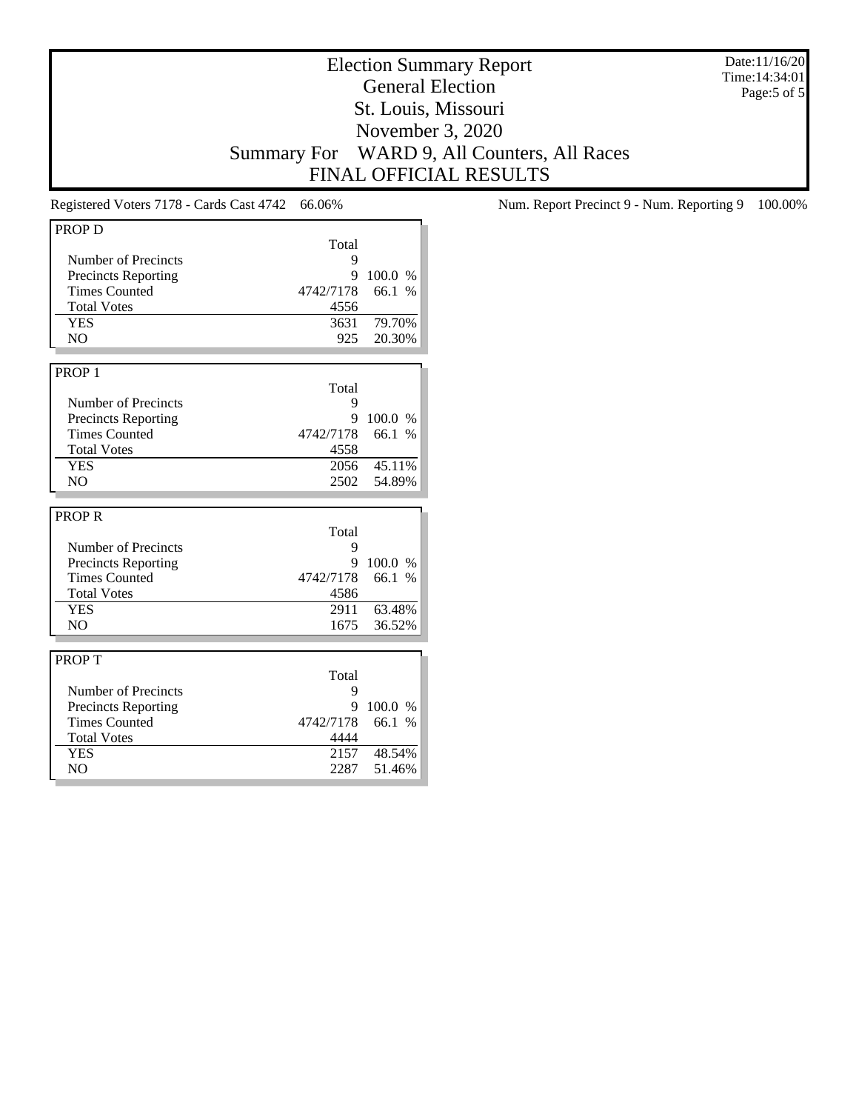Date:11/16/20 Time:14:34:01 Page:5 of 5

# Election Summary Report General Election St. Louis, Missouri November 3, 2020 Summary For WARD 9, All Counters, All Races FINAL OFFICIAL RESULTS

| <b>PROPD</b>               |           |         |
|----------------------------|-----------|---------|
|                            | Total     |         |
| Number of Precincts        | 9         |         |
| <b>Precincts Reporting</b> | 9         | 100.0 % |
| <b>Times Counted</b>       | 4742/7178 | 66.1 %  |
| <b>Total Votes</b>         | 4556      |         |
| <b>YES</b>                 | 3631      | 79.70%  |
| N <sub>O</sub>             | 925       | 20.30%  |
|                            |           |         |
| PROP <sub>1</sub>          |           |         |
|                            | Total     |         |
| Number of Precincts        | 9         |         |
| <b>Precincts Reporting</b> | 9         | 100.0 % |
| <b>Times Counted</b>       | 4742/7178 | 66.1 %  |
| <b>Total Votes</b>         | 4558      |         |
| <b>YES</b>                 | 2056      | 45.11%  |
| N <sub>O</sub>             | 2502      | 54.89%  |
|                            |           |         |
|                            |           |         |
| <b>PROPR</b>               |           |         |
|                            | Total     |         |
| Number of Precincts        | 9         |         |
| <b>Precincts Reporting</b> | 9         | 100.0%  |
| <b>Times Counted</b>       | 4742/7178 | 66.1 %  |
| <b>Total Votes</b>         | 4586      |         |
| <b>YES</b>                 | 2911      | 63.48%  |
| N <sub>O</sub>             | 1675      | 36.52%  |
|                            |           |         |
| <b>PROPT</b>               |           |         |
|                            | Total     |         |
| Number of Precincts        | 9         |         |
| <b>Precincts Reporting</b> | 9         | 100.0 % |
| <b>Times Counted</b>       | 4742/7178 | 66.1 %  |
| <b>Total Votes</b>         | 4444      |         |
| <b>YES</b>                 | 2157      | 48.54%  |
|                            |           |         |
| N <sub>O</sub>             | 2287      | 51.46%  |

Registered Voters 7178 - Cards Cast 4742 66.06% Num. Report Precinct 9 - Num. Reporting 9 100.00%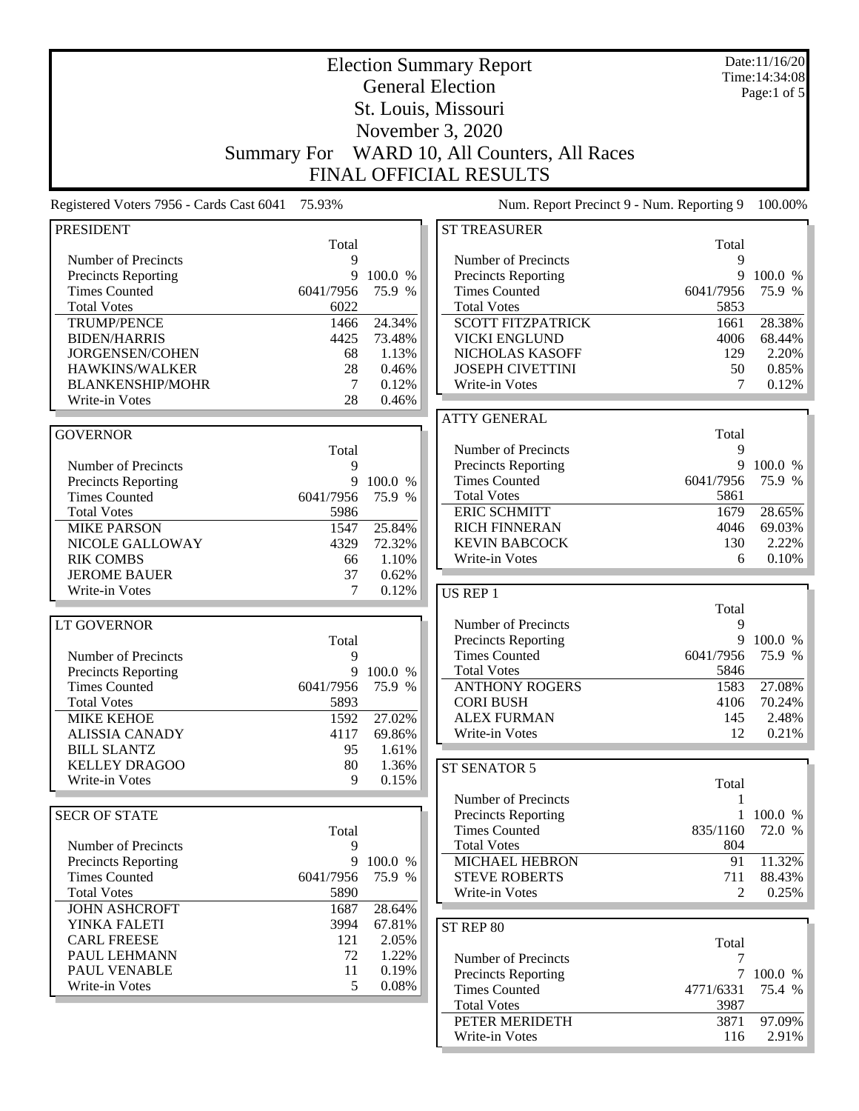| <b>Election Summary Report</b>             |                    |                  |                                                  |                       | Date:11/16/20<br>Time: 14:34:08 |
|--------------------------------------------|--------------------|------------------|--------------------------------------------------|-----------------------|---------------------------------|
|                                            |                    |                  | <b>General Election</b>                          |                       | Page:1 of 5                     |
|                                            |                    |                  | St. Louis, Missouri                              |                       |                                 |
|                                            |                    |                  |                                                  |                       |                                 |
|                                            |                    |                  | November 3, 2020                                 |                       |                                 |
|                                            | <b>Summary For</b> |                  | WARD 10, All Counters, All Races                 |                       |                                 |
|                                            |                    |                  | <b>FINAL OFFICIAL RESULTS</b>                    |                       |                                 |
| Registered Voters 7956 - Cards Cast 6041   | 75.93%             |                  | Num. Report Precinct 9 - Num. Reporting 9        |                       | 100.00%                         |
| <b>PRESIDENT</b>                           |                    |                  | <b>ST TREASURER</b>                              |                       |                                 |
|                                            | Total              |                  |                                                  | Total                 |                                 |
| Number of Precincts                        | 9                  |                  | Number of Precincts                              | 9                     |                                 |
| <b>Precincts Reporting</b>                 | 9                  | 100.0 %          | Precincts Reporting                              | 9                     | 100.0 %                         |
| <b>Times Counted</b>                       | 6041/7956          | 75.9 %           | <b>Times Counted</b>                             | 6041/7956             | 75.9 %                          |
| <b>Total Votes</b>                         | 6022               |                  | <b>Total Votes</b>                               | 5853                  |                                 |
| <b>TRUMP/PENCE</b><br><b>BIDEN/HARRIS</b>  | 1466<br>4425       | 24.34%<br>73.48% | <b>SCOTT FITZPATRICK</b><br><b>VICKI ENGLUND</b> | 1661<br>4006          | 28.38%<br>68.44%                |
| <b>JORGENSEN/COHEN</b>                     | 68                 | 1.13%            | NICHOLAS KASOFF                                  | 129                   | 2.20%                           |
| HAWKINS/WALKER                             | 28                 | 0.46%            | <b>JOSEPH CIVETTINI</b>                          | 50                    | 0.85%                           |
| <b>BLANKENSHIP/MOHR</b>                    | 7                  | 0.12%            | Write-in Votes                                   | 7                     | 0.12%                           |
| Write-in Votes                             | 28                 | 0.46%            |                                                  |                       |                                 |
|                                            |                    |                  | <b>ATTY GENERAL</b>                              |                       |                                 |
| <b>GOVERNOR</b>                            |                    |                  |                                                  | Total                 |                                 |
|                                            | Total              |                  | Number of Precincts                              | 9                     |                                 |
| Number of Precincts                        | 9                  |                  | Precincts Reporting                              | 9                     | 100.0 %                         |
| <b>Precincts Reporting</b>                 | 9                  | 100.0 %          | <b>Times Counted</b>                             | 6041/7956             | 75.9 %                          |
| <b>Times Counted</b>                       | 6041/7956          | 75.9 %           | <b>Total Votes</b>                               | 5861                  |                                 |
| <b>Total Votes</b>                         | 5986               |                  | <b>ERIC SCHMITT</b>                              | 1679                  | 28.65%                          |
| <b>MIKE PARSON</b>                         | 1547               | 25.84%           | <b>RICH FINNERAN</b>                             | 4046                  | 69.03%                          |
| NICOLE GALLOWAY                            | 4329               | 72.32%           | <b>KEVIN BABCOCK</b>                             | 130                   | 2.22%                           |
| <b>RIK COMBS</b>                           | 66                 | 1.10%            | Write-in Votes                                   | 6                     | 0.10%                           |
| <b>JEROME BAUER</b>                        | 37                 | 0.62%            |                                                  |                       |                                 |
| Write-in Votes                             | 7                  | 0.12%            | <b>US REP 1</b>                                  |                       |                                 |
|                                            |                    |                  |                                                  | Total                 |                                 |
| <b>LT GOVERNOR</b>                         |                    |                  | Number of Precincts                              | 9                     |                                 |
|                                            | Total              |                  | Precincts Reporting                              |                       | 9 100.0 %                       |
| Number of Precincts                        | 9                  |                  | <b>Times Counted</b>                             | 6041/7956             | 75.9 %                          |
| <b>Precincts Reporting</b>                 | 9                  | 100.0 %          | <b>Total Votes</b>                               | 5846                  |                                 |
| <b>Times Counted</b>                       | 6041/7956          | 75.9 %           | <b>ANTHONY ROGERS</b>                            | 1583                  | 27.08%                          |
| <b>Total Votes</b>                         | 5893               |                  | <b>CORI BUSH</b>                                 | 4106                  | 70.24%                          |
| <b>MIKE KEHOE</b>                          | 1592               | 27.02%           | <b>ALEX FURMAN</b>                               | 145                   | 2.48%                           |
| <b>ALISSIA CANADY</b>                      | 4117               | 69.86%           | Write-in Votes                                   | 12                    | 0.21%                           |
| <b>BILL SLANTZ</b>                         | 95                 | 1.61%            |                                                  |                       |                                 |
| <b>KELLEY DRAGOO</b><br>Write-in Votes     | 80<br>9            | 1.36%            | ST SENATOR 5                                     |                       |                                 |
|                                            |                    | 0.15%            |                                                  | Total                 |                                 |
|                                            |                    |                  | Number of Precincts                              | 1                     |                                 |
| <b>SECR OF STATE</b>                       |                    |                  | <b>Precincts Reporting</b>                       |                       | 1 100.0 %                       |
|                                            | Total              |                  | <b>Times Counted</b>                             | 835/1160              | 72.0 %                          |
| Number of Precincts                        | 9                  |                  | <b>Total Votes</b>                               | 804                   |                                 |
| <b>Precincts Reporting</b>                 | 9                  | 100.0 %          | <b>MICHAEL HEBRON</b>                            | 91                    | 11.32%                          |
| <b>Times Counted</b><br><b>Total Votes</b> | 6041/7956<br>5890  | 75.9 %           | <b>STEVE ROBERTS</b><br>Write-in Votes           | 711<br>$\overline{2}$ | 88.43%<br>0.25%                 |
| <b>JOHN ASHCROFT</b>                       | 1687               | 28.64%           |                                                  |                       |                                 |
| YINKA FALETI                               | 3994               | 67.81%           |                                                  |                       |                                 |
| <b>CARL FREESE</b>                         | 121                | 2.05%            | ST REP 80                                        |                       |                                 |
| PAUL LEHMANN                               | 72                 | 1.22%            |                                                  | Total                 |                                 |
| PAUL VENABLE                               | 11                 | 0.19%            | Number of Precincts                              | 7                     |                                 |
| Write-in Votes                             | 5                  | 0.08%            | <b>Precincts Reporting</b>                       |                       | 7 100.0 %                       |
|                                            |                    |                  | <b>Times Counted</b>                             | 4771/6331             | 75.4 %                          |
|                                            |                    |                  | <b>Total Votes</b><br>PETER MERIDETH             | 3987<br>3871          | 97.09%                          |
|                                            |                    |                  | Write-in Votes                                   | 116                   | $2.91\%$                        |
|                                            |                    |                  |                                                  |                       |                                 |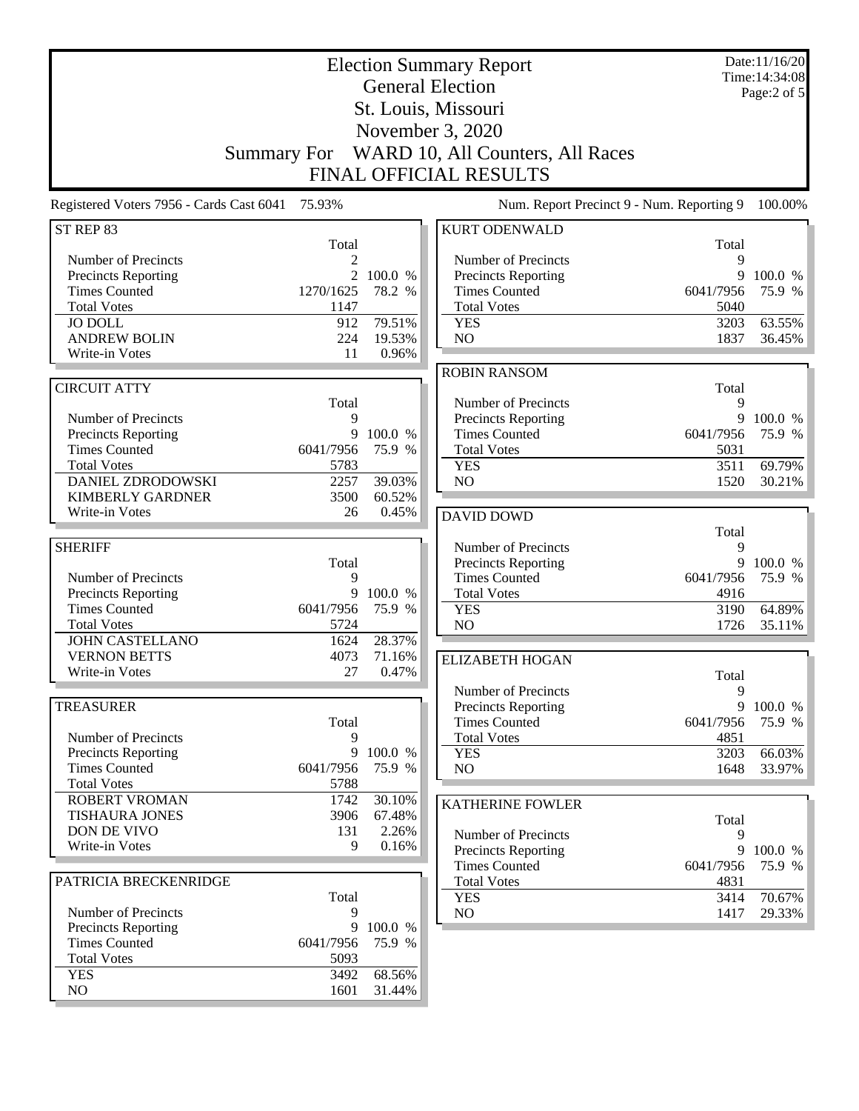|                                                                                                                                                                                   | <b>Summary For</b>                                         |                                                | <b>Election Summary Report</b><br><b>General Election</b><br>St. Louis, Missouri<br>November 3, 2020<br>WARD 10, All Counters, All Races<br><b>FINAL OFFICIAL RESULTS</b> |                                                      | Date:11/16/20<br>Time: 14:34:08<br>Page:2 of 5 |
|-----------------------------------------------------------------------------------------------------------------------------------------------------------------------------------|------------------------------------------------------------|------------------------------------------------|---------------------------------------------------------------------------------------------------------------------------------------------------------------------------|------------------------------------------------------|------------------------------------------------|
| Registered Voters 7956 - Cards Cast 6041                                                                                                                                          | 75.93%                                                     |                                                | Num. Report Precinct 9 - Num. Reporting 9                                                                                                                                 |                                                      | 100.00%                                        |
| ST REP 83                                                                                                                                                                         |                                                            |                                                | <b>KURT ODENWALD</b>                                                                                                                                                      |                                                      |                                                |
| Number of Precincts<br><b>Precincts Reporting</b><br><b>Times Counted</b><br><b>Total Votes</b><br><b>JO DOLL</b>                                                                 | Total<br>2<br>$\overline{2}$<br>1270/1625<br>1147<br>912   | 100.0 %<br>78.2 %<br>79.51%                    | Number of Precincts<br><b>Precincts Reporting</b><br><b>Times Counted</b><br><b>Total Votes</b><br><b>YES</b>                                                             | Total<br>9<br>9<br>6041/7956<br>5040<br>3203         | 100.0 %<br>75.9 %<br>63.55%                    |
| <b>ANDREW BOLIN</b><br>Write-in Votes                                                                                                                                             | 224<br>11                                                  | 19.53%<br>0.96%                                | NO                                                                                                                                                                        | 1837                                                 | 36.45%                                         |
| <b>CIRCUIT ATTY</b><br>Number of Precincts<br>Precincts Reporting<br><b>Times Counted</b><br><b>Total Votes</b><br>DANIEL ZDRODOWSKI<br><b>KIMBERLY GARDNER</b><br>Write-in Votes | Total<br>9<br>9<br>6041/7956<br>5783<br>2257<br>3500<br>26 | 100.0 %<br>75.9 %<br>39.03%<br>60.52%<br>0.45% | <b>ROBIN RANSOM</b><br>Number of Precincts<br><b>Precincts Reporting</b><br><b>Times Counted</b><br><b>Total Votes</b><br><b>YES</b><br>NO<br><b>DAVID DOWD</b>           | Total<br>9<br>9<br>6041/7956<br>5031<br>3511<br>1520 | 100.0 %<br>75.9 %<br>69.79%<br>30.21%          |
| <b>SHERIFF</b>                                                                                                                                                                    |                                                            |                                                | Number of Precincts                                                                                                                                                       | Total<br>9                                           |                                                |
| Number of Precincts<br>Precincts Reporting<br><b>Times Counted</b><br><b>Total Votes</b><br><b>JOHN CASTELLANO</b>                                                                | Total<br>9<br>9<br>6041/7956<br>5724<br>1624               | 100.0 %<br>75.9 %<br>28.37%                    | <b>Precincts Reporting</b><br><b>Times Counted</b><br><b>Total Votes</b><br><b>YES</b><br>N <sub>O</sub>                                                                  | 9<br>6041/7956<br>4916<br>3190<br>1726               | 100.0 %<br>75.9 %<br>64.89%<br>35.11%          |
| <b>VERNON BETTS</b><br>Write-in Votes                                                                                                                                             | 4073<br>27                                                 | 71.16%<br>0.47%                                | <b>ELIZABETH HOGAN</b>                                                                                                                                                    |                                                      |                                                |
| <b>TREASURER</b><br>Number of Precincts<br>Precincts Reporting<br><b>Times Counted</b>                                                                                            | Total<br>9<br>9<br>6041/7956                               | 100.0 %<br>75.9 %                              | Number of Precincts<br><b>Precincts Reporting</b><br><b>Times Counted</b><br><b>Total Votes</b><br><b>YES</b><br>NO                                                       | Total<br>9<br>9<br>6041/7956<br>4851<br>3203<br>1648 | 100.0 %<br>75.9 %<br>66.03%<br>33.97%          |
| <b>Total Votes</b><br><b>ROBERT VROMAN</b>                                                                                                                                        | 5788                                                       | 30.10%                                         |                                                                                                                                                                           |                                                      |                                                |
| <b>TISHAURA JONES</b><br>DON DE VIVO<br>Write-in Votes                                                                                                                            | 1742<br>3906<br>131<br>9                                   | 67.48%<br>2.26%<br>0.16%                       | <b>KATHERINE FOWLER</b><br>Number of Precincts<br><b>Precincts Reporting</b>                                                                                              | Total<br>9<br>9                                      | 100.0 %                                        |
| PATRICIA BRECKENRIDGE<br>Number of Precincts                                                                                                                                      | Total<br>9                                                 |                                                | <b>Times Counted</b><br><b>Total Votes</b><br><b>YES</b><br>NO.                                                                                                           | 6041/7956<br>4831<br>3414<br>1417                    | 75.9 %<br>70.67%<br>29.33%                     |
| Precincts Reporting<br><b>Times Counted</b><br><b>Total Votes</b><br><b>YES</b>                                                                                                   | 9<br>6041/7956<br>5093<br>3492                             | 100.0 %<br>75.9 %<br>68.56%                    |                                                                                                                                                                           |                                                      |                                                |
| NO                                                                                                                                                                                | 1601                                                       | 31.44%                                         |                                                                                                                                                                           |                                                      |                                                |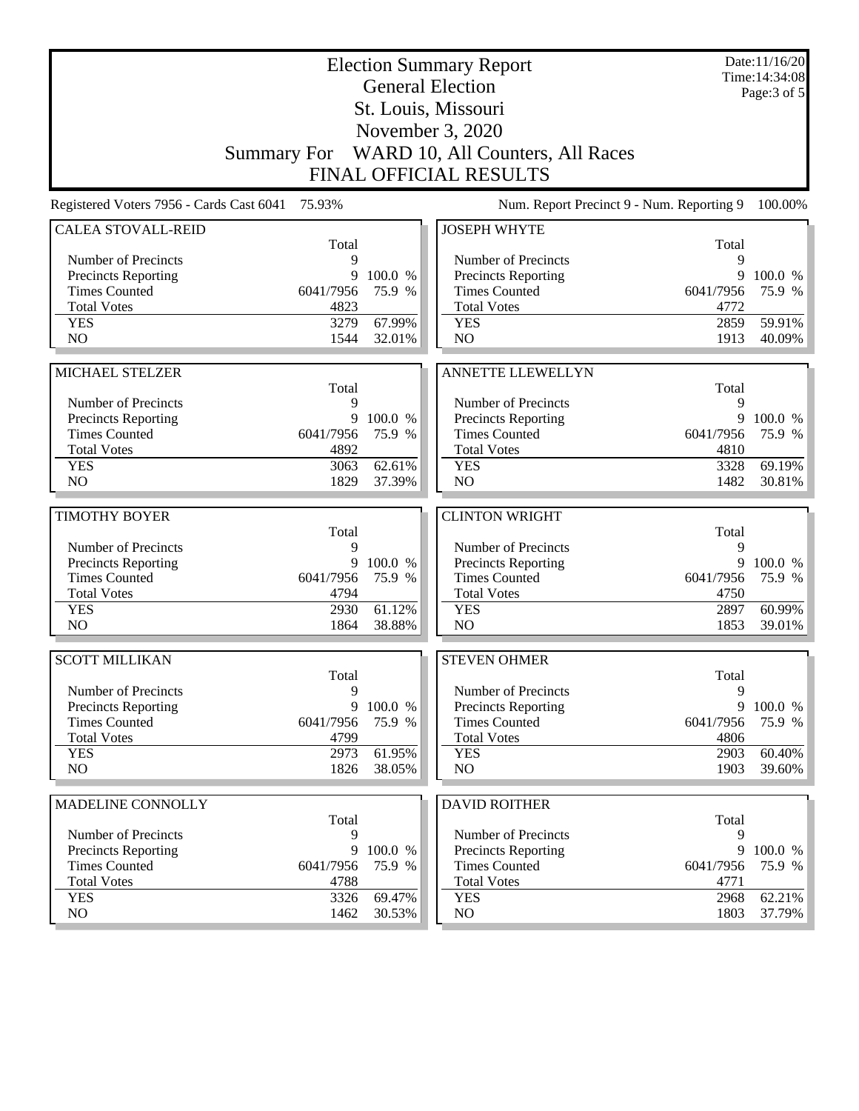| <b>Election Summary Report</b><br><b>General Election</b> |                   |                  |                                              |                   | Date:11/16/20<br>Time: 14:34:08 |
|-----------------------------------------------------------|-------------------|------------------|----------------------------------------------|-------------------|---------------------------------|
|                                                           |                   |                  | St. Louis, Missouri                          |                   | Page: $3$ of $5$                |
|                                                           |                   |                  | November 3, 2020                             |                   |                                 |
|                                                           |                   |                  | Summary For WARD 10, All Counters, All Races |                   |                                 |
|                                                           |                   |                  | <b>FINAL OFFICIAL RESULTS</b>                |                   |                                 |
|                                                           |                   |                  |                                              |                   |                                 |
| Registered Voters 7956 - Cards Cast 6041                  | 75.93%            |                  | Num. Report Precinct 9 - Num. Reporting 9    |                   | 100.00%                         |
| <b>CALEA STOVALL-REID</b>                                 | Total             |                  | <b>JOSEPH WHYTE</b>                          | Total             |                                 |
| Number of Precincts                                       | 9                 |                  | Number of Precincts                          | 9                 |                                 |
| <b>Precincts Reporting</b>                                | 9                 | 100.0 %          | <b>Precincts Reporting</b>                   | 9                 | 100.0 %                         |
| <b>Times Counted</b>                                      | 6041/7956         | 75.9 %           | <b>Times Counted</b>                         | 6041/7956         | 75.9 %                          |
| <b>Total Votes</b>                                        | 4823              |                  | <b>Total Votes</b>                           | 4772              |                                 |
| <b>YES</b>                                                | 3279              | 67.99%           | <b>YES</b>                                   | 2859              | 59.91%                          |
| NO                                                        | 1544              | 32.01%           | NO                                           | 1913              | 40.09%                          |
|                                                           |                   |                  |                                              |                   |                                 |
| MICHAEL STELZER                                           |                   |                  | <b>ANNETTE LLEWELLYN</b>                     |                   |                                 |
| Number of Precincts                                       | Total<br>9        |                  | Number of Precincts                          | Total<br>9        |                                 |
| <b>Precincts Reporting</b>                                |                   | 9 100.0 %        | Precincts Reporting                          | 9                 | 100.0 %                         |
| <b>Times Counted</b>                                      | 6041/7956         | 75.9 %           | <b>Times Counted</b>                         | 6041/7956         | 75.9 %                          |
| <b>Total Votes</b>                                        | 4892              |                  | <b>Total Votes</b>                           | 4810              |                                 |
| <b>YES</b>                                                | 3063              | 62.61%           | <b>YES</b>                                   | 3328              | 69.19%                          |
| NO                                                        | 1829              | 37.39%           | NO                                           | 1482              | 30.81%                          |
|                                                           |                   |                  |                                              |                   |                                 |
| <b>TIMOTHY BOYER</b>                                      | Total             |                  | <b>CLINTON WRIGHT</b>                        |                   |                                 |
|                                                           |                   |                  |                                              |                   |                                 |
|                                                           |                   |                  |                                              | Total             |                                 |
| Number of Precincts                                       | 9                 |                  | Number of Precincts                          | 9                 |                                 |
| <b>Precincts Reporting</b>                                | 9                 | 100.0 %          | Precincts Reporting                          | 9                 | 100.0 %                         |
| <b>Times Counted</b>                                      | 6041/7956<br>4794 | 75.9 %           | <b>Times Counted</b><br><b>Total Votes</b>   | 6041/7956<br>4750 | 75.9 %                          |
| <b>Total Votes</b><br><b>YES</b>                          | 2930              | 61.12%           | <b>YES</b>                                   | 2897              | 60.99%                          |
| N <sub>O</sub>                                            | 1864              | 38.88%           | NO                                           | 1853              | 39.01%                          |
|                                                           |                   |                  |                                              |                   |                                 |
| <b>SCOTT MILLIKAN</b>                                     |                   |                  | <b>STEVEN OHMER</b>                          |                   |                                 |
| Number of Precincts                                       | Total<br>9        |                  | Number of Precincts                          | Total<br>9        |                                 |
| <b>Precincts Reporting</b>                                |                   | 9 100.0 %        | <b>Precincts Reporting</b>                   | 9                 | 100.0 %                         |
| <b>Times Counted</b>                                      | 6041/7956         | 75.9 %           | <b>Times Counted</b>                         | 6041/7956         | 75.9 %                          |
| <b>Total Votes</b>                                        | 4799              |                  | <b>Total Votes</b>                           | 4806              |                                 |
| <b>YES</b>                                                | 2973              | 61.95%           | <b>YES</b>                                   | 2903              | 60.40%                          |
| NO                                                        | 1826              | 38.05%           | NO                                           | 1903              | 39.60%                          |
|                                                           |                   |                  |                                              |                   |                                 |
| MADELINE CONNOLLY                                         | Total             |                  | <b>DAVID ROITHER</b>                         | Total             |                                 |
| Number of Precincts                                       | 9                 |                  | Number of Precincts                          | 9                 |                                 |
| <b>Precincts Reporting</b>                                | 9                 | 100.0 %          | <b>Precincts Reporting</b>                   | 9                 | 100.0 %                         |
| <b>Times Counted</b>                                      | 6041/7956         | 75.9 %           | <b>Times Counted</b>                         | 6041/7956         | 75.9 %                          |
| <b>Total Votes</b>                                        | 4788              |                  | <b>Total Votes</b>                           | 4771              |                                 |
| <b>YES</b><br>NO                                          | 3326<br>1462      | 69.47%<br>30.53% | <b>YES</b><br>NO                             | 2968<br>1803      | 62.21%<br>37.79%                |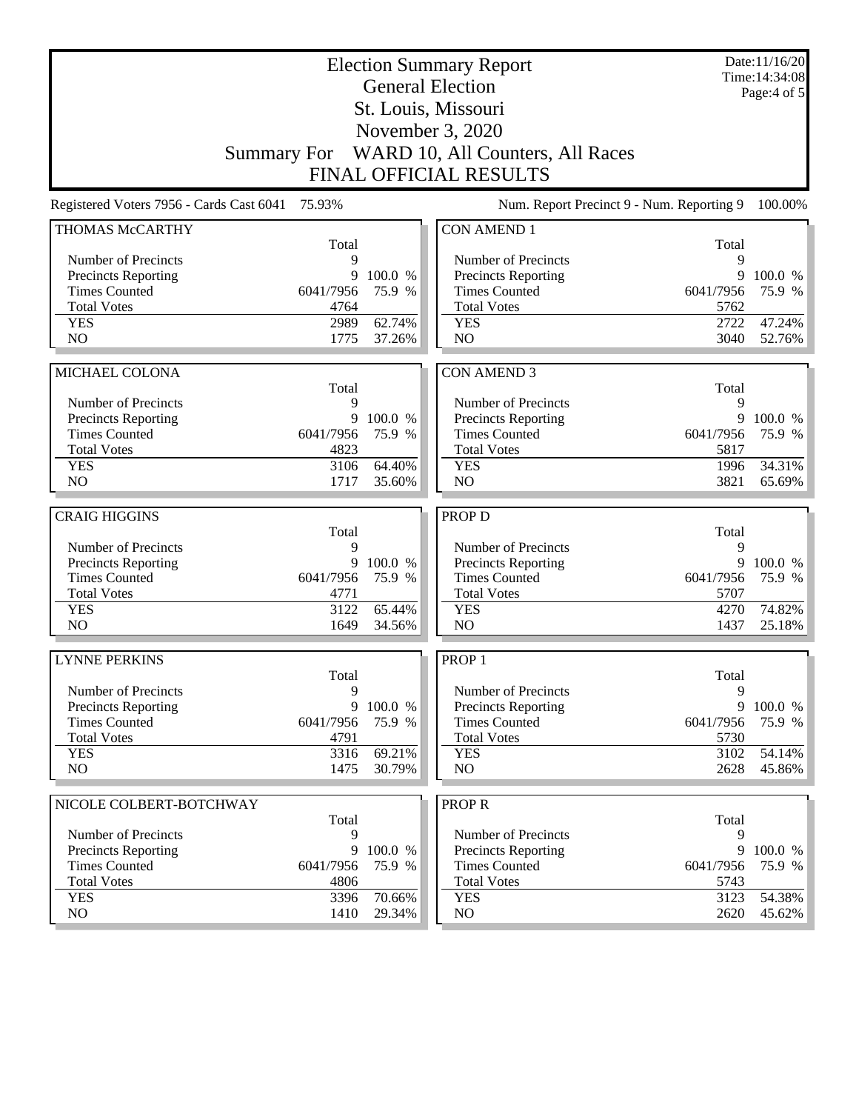|                                          |              |                  | <b>Election Summary Report</b><br><b>General Election</b><br>St. Louis, Missouri |              | Date:11/16/20<br>Time: 14:34:08<br>Page:4 of 5 |
|------------------------------------------|--------------|------------------|----------------------------------------------------------------------------------|--------------|------------------------------------------------|
|                                          |              |                  | November 3, 2020<br>Summary For WARD 10, All Counters, All Races                 |              |                                                |
|                                          |              |                  | <b>FINAL OFFICIAL RESULTS</b>                                                    |              |                                                |
| Registered Voters 7956 - Cards Cast 6041 | 75.93%       |                  | Num. Report Precinct 9 - Num. Reporting 9                                        |              | 100.00%                                        |
| THOMAS McCARTHY                          | Total        |                  | <b>CON AMEND 1</b>                                                               | Total        |                                                |
| Number of Precincts                      | 9            |                  | Number of Precincts                                                              | 9            |                                                |
| <b>Precincts Reporting</b>               | 9            | 100.0 %          | Precincts Reporting                                                              | 9            | 100.0 %                                        |
| <b>Times Counted</b>                     | 6041/7956    | 75.9 %           | <b>Times Counted</b>                                                             | 6041/7956    | 75.9 %                                         |
| <b>Total Votes</b>                       | 4764         |                  | <b>Total Votes</b>                                                               | 5762         |                                                |
| <b>YES</b>                               | 2989         | 62.74%           | <b>YES</b>                                                                       | 2722         | 47.24%                                         |
| N <sub>O</sub>                           | 1775         | 37.26%           | N <sub>O</sub>                                                                   | 3040         | 52.76%                                         |
|                                          |              |                  |                                                                                  |              |                                                |
| <b>MICHAEL COLONA</b>                    |              |                  | <b>CON AMEND 3</b>                                                               |              |                                                |
|                                          | Total        |                  |                                                                                  | Total        |                                                |
| Number of Precincts                      | 9            |                  | Number of Precincts                                                              | 9            |                                                |
| <b>Precincts Reporting</b>               | 9            | 100.0 %          | Precincts Reporting                                                              | 9            | 100.0 %                                        |
| <b>Times Counted</b>                     | 6041/7956    | 75.9 %           | <b>Times Counted</b>                                                             | 6041/7956    | 75.9 %                                         |
| <b>Total Votes</b>                       | 4823         |                  | <b>Total Votes</b>                                                               | 5817         |                                                |
| <b>YES</b>                               | 3106         | 64.40%           | <b>YES</b>                                                                       | 1996         | 34.31%                                         |
| N <sub>O</sub>                           | 1717         | 35.60%           | N <sub>O</sub>                                                                   | 3821         | 65.69%                                         |
|                                          |              |                  |                                                                                  |              |                                                |
| <b>CRAIG HIGGINS</b>                     |              |                  | PROP D                                                                           |              |                                                |
|                                          | Total        |                  |                                                                                  | Total        |                                                |
| Number of Precincts                      | 9            |                  | Number of Precincts                                                              | 9            |                                                |
| Precincts Reporting                      | 9            | 100.0 %          | Precincts Reporting                                                              | 9            | 100.0 %                                        |
| <b>Times Counted</b>                     | 6041/7956    | 75.9 %           | <b>Times Counted</b>                                                             | 6041/7956    | 75.9 %                                         |
| <b>Total Votes</b>                       | 4771         |                  | <b>Total Votes</b>                                                               | 5707         |                                                |
| <b>YES</b>                               | 3122         | 65.44%           | <b>YES</b>                                                                       | 4270         | 74.82%                                         |
| NO                                       | 1649         |                  |                                                                                  |              |                                                |
|                                          |              | 34.56%           | NO                                                                               | 1437         | 25.18%                                         |
|                                          |              |                  |                                                                                  |              |                                                |
| <b>LYNNE PERKINS</b>                     |              |                  | PROP <sub>1</sub>                                                                |              |                                                |
|                                          | Total        |                  |                                                                                  | Total        |                                                |
| Number of Precincts                      | 9            |                  | Number of Precincts                                                              | 9            |                                                |
| <b>Precincts Reporting</b>               |              | 9 100.0 %        | Precincts Reporting                                                              | 9            | 100.0 %                                        |
| <b>Times Counted</b>                     | 6041/7956    | 75.9 %           | <b>Times Counted</b>                                                             | 6041/7956    | 75.9 %                                         |
| <b>Total Votes</b>                       | 4791         |                  | <b>Total Votes</b>                                                               | 5730         |                                                |
| <b>YES</b>                               | 3316         | 69.21%           | <b>YES</b>                                                                       | 3102         | 54.14%                                         |
| NO                                       | 1475         | 30.79%           | NO                                                                               | 2628         |                                                |
|                                          |              |                  |                                                                                  |              |                                                |
| NICOLE COLBERT-BOTCHWAY                  |              |                  | <b>PROPR</b>                                                                     |              |                                                |
|                                          | Total        |                  |                                                                                  | Total        |                                                |
| Number of Precincts                      | 9            |                  | Number of Precincts                                                              | 9            |                                                |
| Precincts Reporting                      | 9            | 100.0 %          | <b>Precincts Reporting</b>                                                       | 9            | 100.0 %                                        |
| <b>Times Counted</b>                     | 6041/7956    | 75.9 %           | <b>Times Counted</b>                                                             | 6041/7956    | 75.9 %                                         |
| <b>Total Votes</b>                       | 4806         |                  | <b>Total Votes</b>                                                               | 5743         |                                                |
| <b>YES</b><br>NO                         | 3396<br>1410 | 70.66%<br>29.34% | <b>YES</b><br>NO                                                                 | 3123<br>2620 | 45.86%<br>54.38%<br>$45.62\%$                  |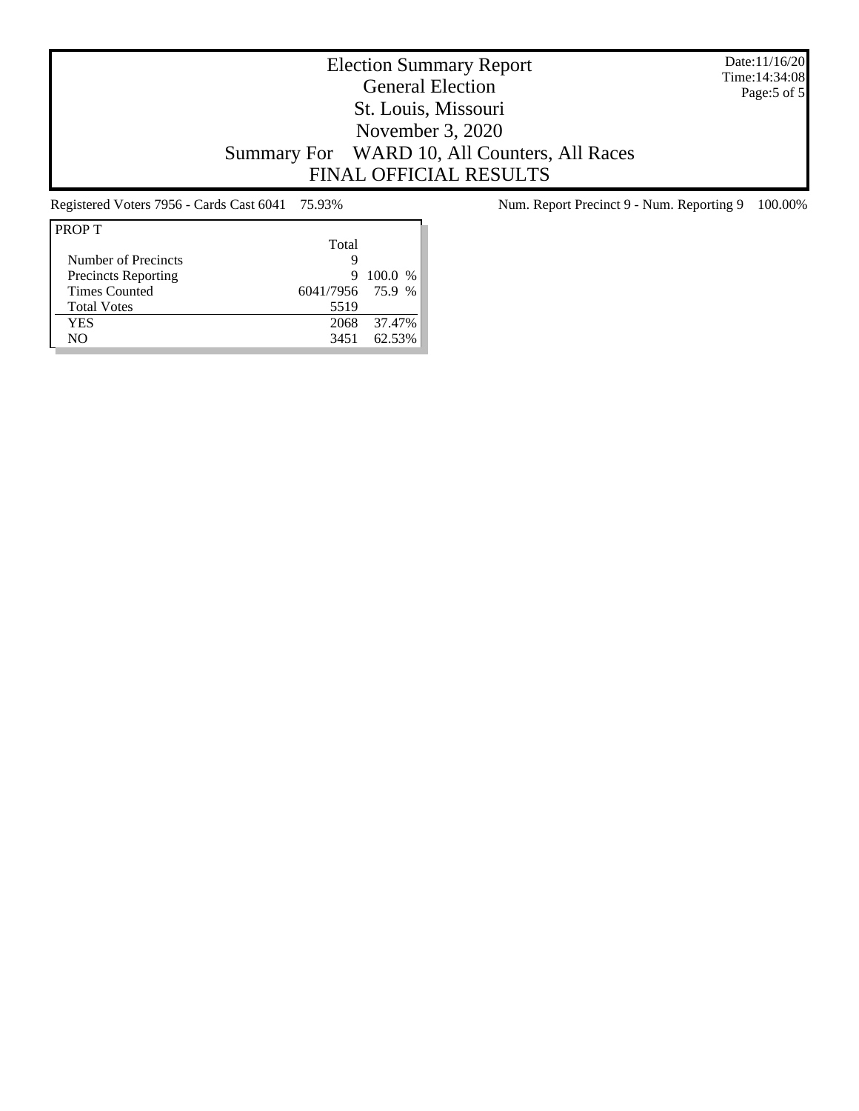Date:11/16/20 Time:14:34:08 Page:5 of 5

# Election Summary Report General Election St. Louis, Missouri November 3, 2020 Summary For WARD 10, All Counters, All Races FINAL OFFICIAL RESULTS

| <b>PROPT</b>               |                  |         |
|----------------------------|------------------|---------|
|                            | Total            |         |
| Number of Precincts        | g                |         |
| <b>Precincts Reporting</b> | 9                | 100.0 % |
| <b>Times Counted</b>       | 6041/7956 75.9 % |         |
| <b>Total Votes</b>         | 5519             |         |
| YES                        | 2068             | 37.47%  |
| NΟ                         | 3451             | 62.53%  |

Registered Voters 7956 - Cards Cast 6041 75.93% Num. Report Precinct 9 - Num. Reporting 9 100.00%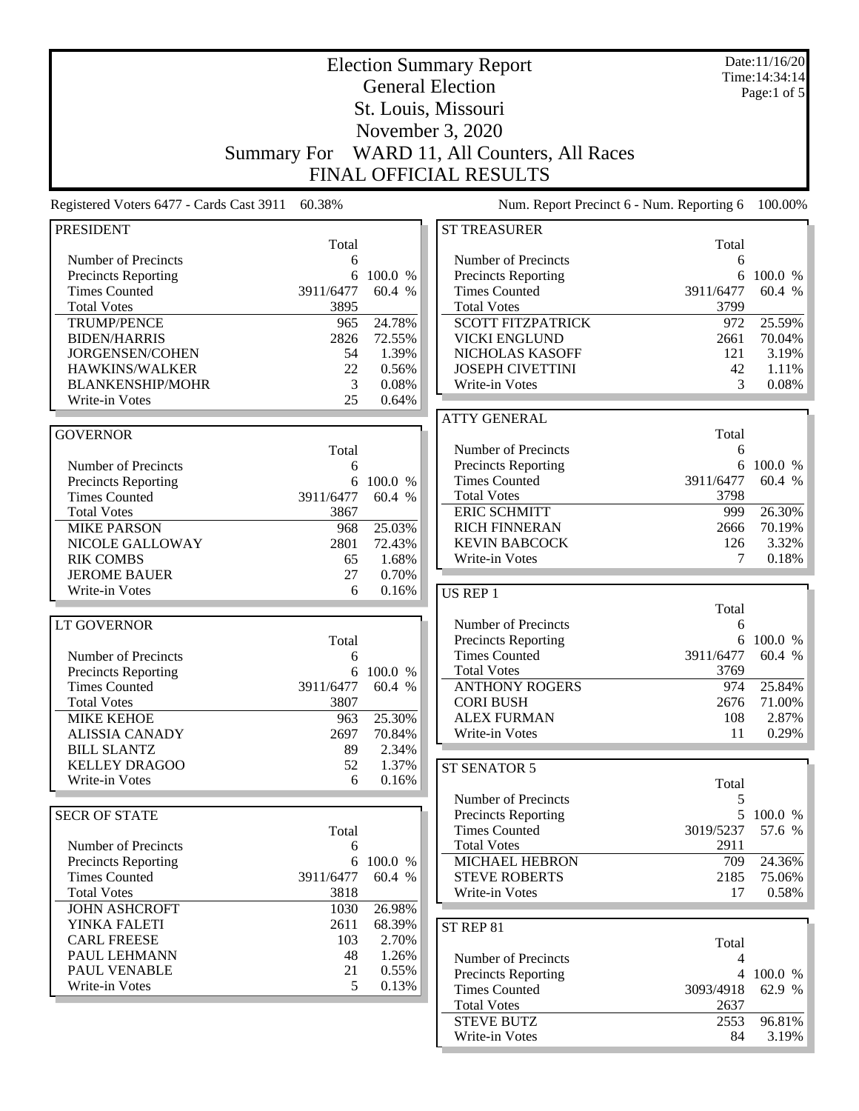|                                                   |                    |                  | <b>Election Summary Report</b>             |             | Date:11/16/20<br>Time: 14:34:14 |
|---------------------------------------------------|--------------------|------------------|--------------------------------------------|-------------|---------------------------------|
|                                                   |                    |                  | <b>General Election</b>                    |             | Page:1 of 5                     |
|                                                   |                    |                  | St. Louis, Missouri                        |             |                                 |
|                                                   |                    |                  | November 3, 2020                           |             |                                 |
|                                                   |                    |                  |                                            |             |                                 |
|                                                   | <b>Summary For</b> |                  | WARD 11, All Counters, All Races           |             |                                 |
|                                                   |                    |                  | FINAL OFFICIAL RESULTS                     |             |                                 |
| Registered Voters 6477 - Cards Cast 3911          | 60.38%             |                  | Num. Report Precinct 6 - Num. Reporting 6  |             | 100.00%                         |
| <b>PRESIDENT</b>                                  |                    |                  | <b>ST TREASURER</b>                        |             |                                 |
|                                                   | Total              |                  |                                            | Total       |                                 |
| Number of Precincts<br><b>Precincts Reporting</b> | 6<br>6             | 100.0 %          | Number of Precincts<br>Precincts Reporting | 6<br>6      | 100.0 %                         |
| <b>Times Counted</b>                              | 3911/6477          | 60.4 %           | <b>Times Counted</b>                       | 3911/6477   | 60.4 %                          |
| <b>Total Votes</b>                                | 3895               |                  | <b>Total Votes</b>                         | 3799        |                                 |
| <b>TRUMP/PENCE</b>                                | 965                | 24.78%           | <b>SCOTT FITZPATRICK</b>                   | 972         | 25.59%                          |
| <b>BIDEN/HARRIS</b>                               | 2826               | 72.55%           | <b>VICKI ENGLUND</b>                       | 2661        | 70.04%                          |
| JORGENSEN/COHEN                                   | 54                 | 1.39%            | NICHOLAS KASOFF                            | 121         | 3.19%                           |
| HAWKINS/WALKER                                    | 22                 | 0.56%            | <b>JOSEPH CIVETTINI</b>                    | 42          | 1.11%                           |
| <b>BLANKENSHIP/MOHR</b>                           | 3                  | 0.08%            | Write-in Votes                             | 3           | 0.08%                           |
| Write-in Votes                                    | 25                 | 0.64%            |                                            |             |                                 |
|                                                   |                    |                  | <b>ATTY GENERAL</b>                        |             |                                 |
| <b>GOVERNOR</b>                                   |                    |                  |                                            | Total       |                                 |
|                                                   | Total              |                  | Number of Precincts                        | 6           |                                 |
| Number of Precincts                               | 6                  |                  | Precincts Reporting                        | 6           | 100.0 %                         |
| <b>Precincts Reporting</b>                        | 6                  | 100.0 %          | <b>Times Counted</b>                       | 3911/6477   | 60.4 %                          |
| <b>Times Counted</b>                              | 3911/6477          | 60.4 %           | <b>Total Votes</b><br><b>ERIC SCHMITT</b>  | 3798<br>999 |                                 |
| <b>Total Votes</b>                                | 3867               |                  | <b>RICH FINNERAN</b>                       | 2666        | 26.30%<br>70.19%                |
| <b>MIKE PARSON</b><br>NICOLE GALLOWAY             | 968<br>2801        | 25.03%<br>72.43% | <b>KEVIN BABCOCK</b>                       | 126         | 3.32%                           |
| <b>RIK COMBS</b>                                  | 65                 | 1.68%            | Write-in Votes                             | 7           | 0.18%                           |
| <b>JEROME BAUER</b>                               | 27                 | 0.70%            |                                            |             |                                 |
| Write-in Votes                                    | 6                  | 0.16%            | <b>US REP 1</b>                            |             |                                 |
|                                                   |                    |                  |                                            | Total       |                                 |
| LT GOVERNOR                                       |                    |                  | Number of Precincts                        | 6           |                                 |
|                                                   | Total              |                  | <b>Precincts Reporting</b>                 | 6           | 100.0 %                         |
| Number of Precincts                               | 6                  |                  | <b>Times Counted</b>                       | 3911/6477   | 60.4 %                          |
| <b>Precincts Reporting</b>                        |                    | 6 100.0 %        | <b>Total Votes</b>                         | 3769        |                                 |
| <b>Times Counted</b>                              | 3911/6477          | 60.4 %           | <b>ANTHONY ROGERS</b>                      | 974         | 25.84%                          |
| <b>Total Votes</b>                                | 3807               |                  | <b>CORI BUSH</b>                           | 2676        | 71.00%                          |
| <b>MIKE KEHOE</b>                                 | 963                | 25.30%           | <b>ALEX FURMAN</b>                         | 108         | 2.87%                           |
| <b>ALISSIA CANADY</b><br><b>BILL SLANTZ</b>       | 2697               | 70.84%           | <b>Write-in Votes</b>                      | 11          | 0.29%                           |
| <b>KELLEY DRAGOO</b>                              | 89<br>52           | 2.34%<br>1.37%   |                                            |             |                                 |
| Write-in Votes                                    | 6                  | 0.16%            | ST SENATOR 5                               |             |                                 |
|                                                   |                    |                  | Number of Precincts                        | Total<br>5  |                                 |
| <b>SECR OF STATE</b>                              |                    |                  | <b>Precincts Reporting</b>                 |             | 5 100.0 %                       |
|                                                   | Total              |                  | <b>Times Counted</b>                       | 3019/5237   | 57.6 %                          |
| Number of Precincts                               | 6                  |                  | <b>Total Votes</b>                         | 2911        |                                 |
| <b>Precincts Reporting</b>                        | 6                  | 100.0 %          | MICHAEL HEBRON                             | 709         | 24.36%                          |
| <b>Times Counted</b>                              | 3911/6477          | 60.4 %           | <b>STEVE ROBERTS</b>                       | 2185        | 75.06%                          |
| <b>Total Votes</b>                                | 3818               |                  | Write-in Votes                             | 17          | $0.58\%$                        |
| <b>JOHN ASHCROFT</b>                              | 1030               | 26.98%           |                                            |             |                                 |
| YINKA FALETI                                      | 2611               | 68.39%           | ST REP 81                                  |             |                                 |
| <b>CARL FREESE</b>                                | 103                | 2.70%            |                                            | Total       |                                 |
| PAUL LEHMANN                                      | 48                 | 1.26%            | Number of Precincts                        | 4           |                                 |
| PAUL VENABLE                                      | 21                 | 0.55%            | <b>Precincts Reporting</b>                 |             | 4 100.0 %                       |
| Write-in Votes                                    | 5                  | 0.13%            | <b>Times Counted</b>                       | 3093/4918   | 62.9 %                          |
|                                                   |                    |                  | <b>Total Votes</b>                         | 2637        |                                 |
|                                                   |                    |                  | <b>STEVE BUTZ</b>                          | 2553        | 96.81%                          |
|                                                   |                    |                  | Write-in Votes                             | 84          | $3.19\%$                        |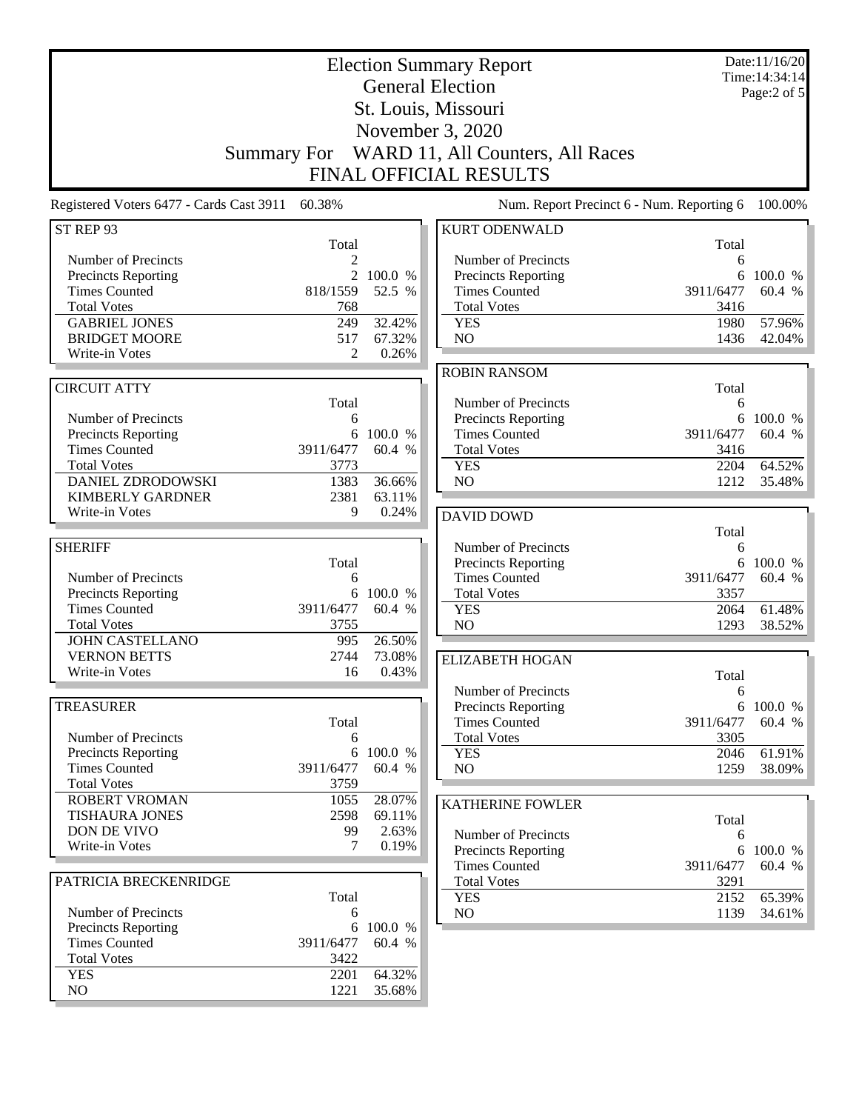|                                                                                                                                                                                      | <b>Summary For</b>                                        |                                                  | <b>Election Summary Report</b><br><b>General Election</b><br>St. Louis, Missouri<br>November 3, 2020<br>WARD 11, All Counters, All Races<br><b>FINAL OFFICIAL RESULTS</b> |                                                      | Date:11/16/20<br>Time: 14:34:14<br>Page:2 of 5 |
|--------------------------------------------------------------------------------------------------------------------------------------------------------------------------------------|-----------------------------------------------------------|--------------------------------------------------|---------------------------------------------------------------------------------------------------------------------------------------------------------------------------|------------------------------------------------------|------------------------------------------------|
| Registered Voters 6477 - Cards Cast 3911                                                                                                                                             | 60.38%                                                    |                                                  | Num. Report Precinct 6 - Num. Reporting 6                                                                                                                                 |                                                      | 100.00%                                        |
| ST REP 93                                                                                                                                                                            |                                                           |                                                  | <b>KURT ODENWALD</b>                                                                                                                                                      |                                                      |                                                |
| Number of Precincts<br><b>Precincts Reporting</b><br><b>Times Counted</b><br><b>Total Votes</b><br><b>GABRIEL JONES</b><br><b>BRIDGET MOORE</b>                                      | Total<br>2<br>2<br>818/1559<br>768<br>249<br>517          | 100.0 %<br>52.5 %<br>32.42%<br>67.32%            | Number of Precincts<br><b>Precincts Reporting</b><br><b>Times Counted</b><br><b>Total Votes</b><br><b>YES</b><br>NO                                                       | Total<br>6<br>6<br>3911/6477<br>3416<br>1980<br>1436 | 100.0 %<br>60.4 %<br>57.96%<br>42.04%          |
| Write-in Votes                                                                                                                                                                       | 2                                                         | 0.26%                                            | <b>ROBIN RANSOM</b>                                                                                                                                                       |                                                      |                                                |
| <b>CIRCUIT ATTY</b><br>Number of Precincts<br>Precincts Reporting<br><b>Times Counted</b><br><b>Total Votes</b><br>DANIEL ZDRODOWSKI<br><b>KIMBERLY GARDNER</b><br>Write-in Votes    | Total<br>6<br>3911/6477<br>3773<br>1383<br>2381<br>9      | 6 100.0 %<br>60.4 %<br>36.66%<br>63.11%<br>0.24% | Number of Precincts<br><b>Precincts Reporting</b><br><b>Times Counted</b><br><b>Total Votes</b><br><b>YES</b><br>NO<br><b>DAVID DOWD</b>                                  | Total<br>6<br>6<br>3911/6477<br>3416<br>2204<br>1212 | 100.0 %<br>60.4 %<br>64.52%<br>35.48%          |
|                                                                                                                                                                                      |                                                           |                                                  |                                                                                                                                                                           | Total                                                |                                                |
| <b>SHERIFF</b><br>Number of Precincts<br><b>Precincts Reporting</b><br><b>Times Counted</b><br><b>Total Votes</b><br><b>JOHN CASTELLANO</b><br><b>VERNON BETTS</b><br>Write-in Votes | Total<br>6<br>6<br>3911/6477<br>3755<br>995<br>2744<br>16 | 100.0 %<br>60.4 %<br>26.50%<br>73.08%<br>0.43%   | Number of Precincts<br><b>Precincts Reporting</b><br><b>Times Counted</b><br><b>Total Votes</b><br><b>YES</b><br>N <sub>O</sub><br><b>ELIZABETH HOGAN</b>                 | 6<br>6<br>3911/6477<br>3357<br>2064<br>1293<br>Total | 100.0 %<br>60.4 %<br>61.48%<br>38.52%          |
| <b>TREASURER</b>                                                                                                                                                                     |                                                           |                                                  | Number of Precincts<br><b>Precincts Reporting</b>                                                                                                                         | 6                                                    | 6 100.0 %                                      |
| Number of Precincts<br><b>Precincts Reporting</b><br><b>Times Counted</b><br><b>Total Votes</b>                                                                                      | Total<br>6<br>6<br>3911/6477<br>3759                      | 100.0 %<br>60.4 %                                | <b>Times Counted</b><br><b>Total Votes</b><br><b>YES</b><br>NO                                                                                                            | 3911/6477<br>3305<br>2046<br>1259                    | 60.4 %<br>61.91%<br>38.09%                     |
| <b>ROBERT VROMAN</b>                                                                                                                                                                 | 1055                                                      | 28.07%                                           | <b>KATHERINE FOWLER</b>                                                                                                                                                   |                                                      |                                                |
| <b>TISHAURA JONES</b><br>DON DE VIVO<br>Write-in Votes                                                                                                                               | 2598<br>99<br>7                                           | 69.11%<br>2.63%<br>0.19%                         | Number of Precincts<br><b>Precincts Reporting</b><br><b>Times Counted</b>                                                                                                 | Total<br>6<br>3911/6477                              | 6 100.0 %<br>60.4 %                            |
| PATRICIA BRECKENRIDGE                                                                                                                                                                |                                                           |                                                  | <b>Total Votes</b>                                                                                                                                                        | 3291                                                 |                                                |
| Number of Precincts<br><b>Precincts Reporting</b><br><b>Times Counted</b><br><b>Total Votes</b><br><b>YES</b><br>NO                                                                  | Total<br>6<br>6<br>3911/6477<br>3422<br>2201<br>1221      | 100.0 %<br>60.4 %<br>64.32%<br>35.68%            | <b>YES</b><br>NO.                                                                                                                                                         | 2152<br>1139                                         | 65.39%<br>34.61%                               |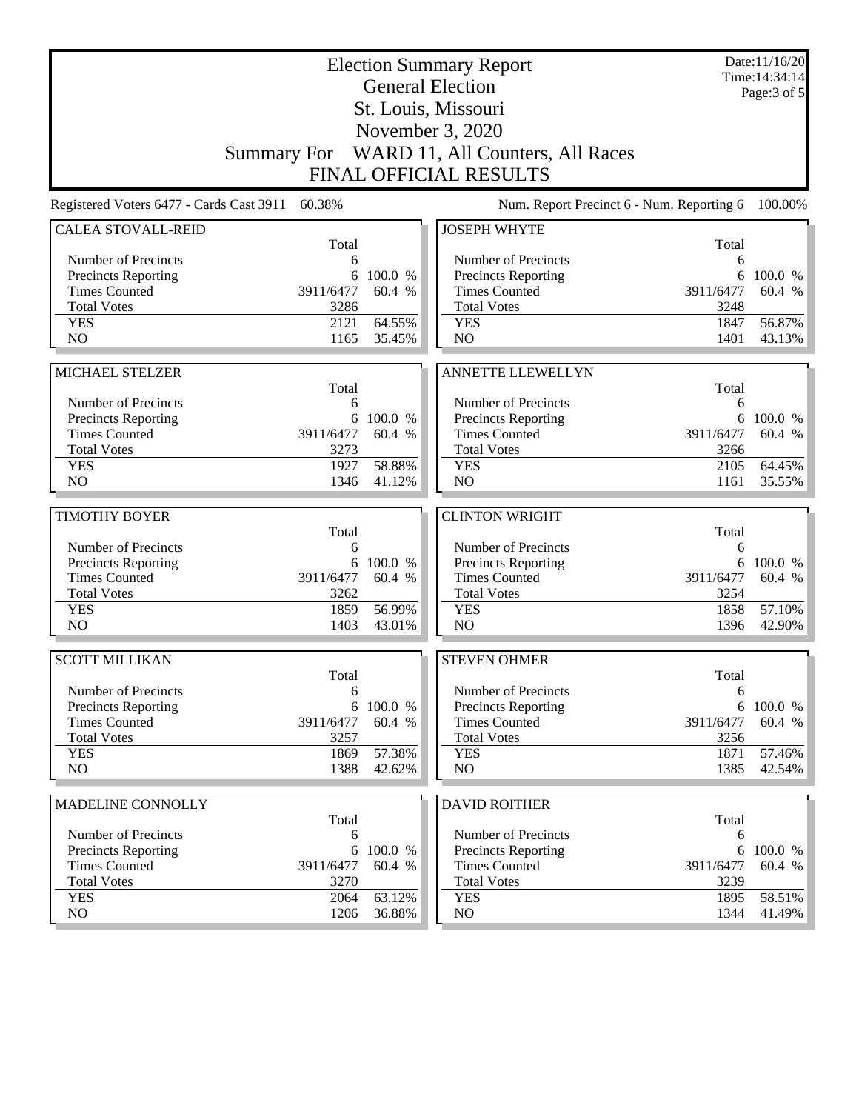|                                          |              |           | <b>Election Summary Report</b><br><b>General Election</b> |              | Date:11/16/20<br>Time: 14:34:14 |
|------------------------------------------|--------------|-----------|-----------------------------------------------------------|--------------|---------------------------------|
|                                          |              |           | St. Louis, Missouri                                       |              | Page: $3$ of $5$                |
|                                          |              |           | November 3, 2020                                          |              |                                 |
|                                          |              |           |                                                           |              |                                 |
|                                          |              |           | Summary For WARD 11, All Counters, All Races              |              |                                 |
|                                          |              |           | FINAL OFFICIAL RESULTS                                    |              |                                 |
| Registered Voters 6477 - Cards Cast 3911 | 60.38%       |           | Num. Report Precinct 6 - Num. Reporting 6                 |              | 100.00%                         |
| <b>CALEA STOVALL-REID</b>                | Total        |           | <b>JOSEPH WHYTE</b>                                       | Total        |                                 |
| Number of Precincts                      | 6            |           | Number of Precincts                                       | 6            |                                 |
| <b>Precincts Reporting</b>               | 6            | 100.0 %   | <b>Precincts Reporting</b>                                | 6            | 100.0 %                         |
| <b>Times Counted</b>                     | 3911/6477    | 60.4 %    | <b>Times Counted</b>                                      | 3911/6477    | 60.4 %                          |
| <b>Total Votes</b>                       | 3286         |           | <b>Total Votes</b>                                        | 3248         |                                 |
| <b>YES</b>                               | 2121         | 64.55%    | <b>YES</b>                                                | 1847         | 56.87%                          |
| N <sub>O</sub>                           | 1165         | 35.45%    | N <sub>O</sub>                                            | 1401         | 43.13%                          |
|                                          |              |           |                                                           |              |                                 |
| MICHAEL STELZER                          | Total        |           | <b>ANNETTE LLEWELLYN</b>                                  | Total        |                                 |
| Number of Precincts                      | 6            |           | Number of Precincts                                       | 6            |                                 |
| <b>Precincts Reporting</b>               | 6            | 100.0 %   | Precincts Reporting                                       | 6            | 100.0 %                         |
| <b>Times Counted</b>                     | 3911/6477    | 60.4 %    | <b>Times Counted</b>                                      | 3911/6477    | 60.4 %                          |
| <b>Total Votes</b>                       | 3273         |           | <b>Total Votes</b>                                        | 3266         |                                 |
| <b>YES</b>                               | 1927         | 58.88%    | <b>YES</b>                                                | 2105         | 64.45%                          |
| NO                                       | 1346         | 41.12%    | NO                                                        | 1161         | 35.55%                          |
|                                          |              |           |                                                           |              |                                 |
| <b>TIMOTHY BOYER</b>                     | Total        |           | <b>CLINTON WRIGHT</b>                                     | Total        |                                 |
| Number of Precincts                      | 6            |           | Number of Precincts                                       | 6            |                                 |
| Precincts Reporting                      |              | 6 100.0 % | Precincts Reporting                                       | 6            | 100.0 %                         |
| <b>Times Counted</b>                     | 3911/6477    | 60.4 %    | <b>Times Counted</b>                                      | 3911/6477    | 60.4 %                          |
| <b>Total Votes</b>                       | 3262         |           | <b>Total Votes</b>                                        | 3254         |                                 |
| <b>YES</b>                               | 1859         | 56.99%    | <b>YES</b>                                                | 1858         | 57.10%                          |
| N <sub>O</sub>                           | 1403         | 43.01%    | NO                                                        | 1396         | 42.90%                          |
| <b>SCOTT MILLIKAN</b>                    |              |           | <b>STEVEN OHMER</b>                                       |              |                                 |
|                                          | Total        |           |                                                           | Total        |                                 |
| Number of Precincts                      | 6            |           | Number of Precincts                                       | 6            |                                 |
| <b>Precincts Reporting</b>               |              | 6 100.0 % | Precincts Reporting                                       | 6            | 100.0 %                         |
| <b>Times Counted</b>                     | 3911/6477    | 60.4 %    | <b>Times Counted</b>                                      | 3911/6477    | 60.4 %                          |
| <b>Total Votes</b><br><b>YES</b>         | 3257<br>1869 | 57.38%    | <b>Total Votes</b><br><b>YES</b>                          | 3256<br>1871 | 57.46%                          |
| NO.                                      | 1388         | 42.62%    | NO                                                        | 1385         | 42.54%                          |
|                                          |              |           |                                                           |              |                                 |
| MADELINE CONNOLLY                        |              |           | <b>DAVID ROITHER</b>                                      |              |                                 |
|                                          | Total        |           |                                                           | Total        |                                 |
| Number of Precincts                      | 6            |           | Number of Precincts                                       | 6            |                                 |
| Precincts Reporting                      | 6            | 100.0 %   | Precincts Reporting                                       | 6            | 100.0 %                         |
| <b>Times Counted</b>                     | 3911/6477    | 60.4 %    | <b>Times Counted</b>                                      | 3911/6477    | 60.4 %                          |
| <b>Total Votes</b><br><b>YES</b>         | 3270<br>2064 | 63.12%    | <b>Total Votes</b><br><b>YES</b>                          | 3239<br>1895 | 58.51%                          |
| NO.                                      | 1206         | 36.88%    | NO.                                                       | 1344         | 41.49%                          |
|                                          |              |           |                                                           |              |                                 |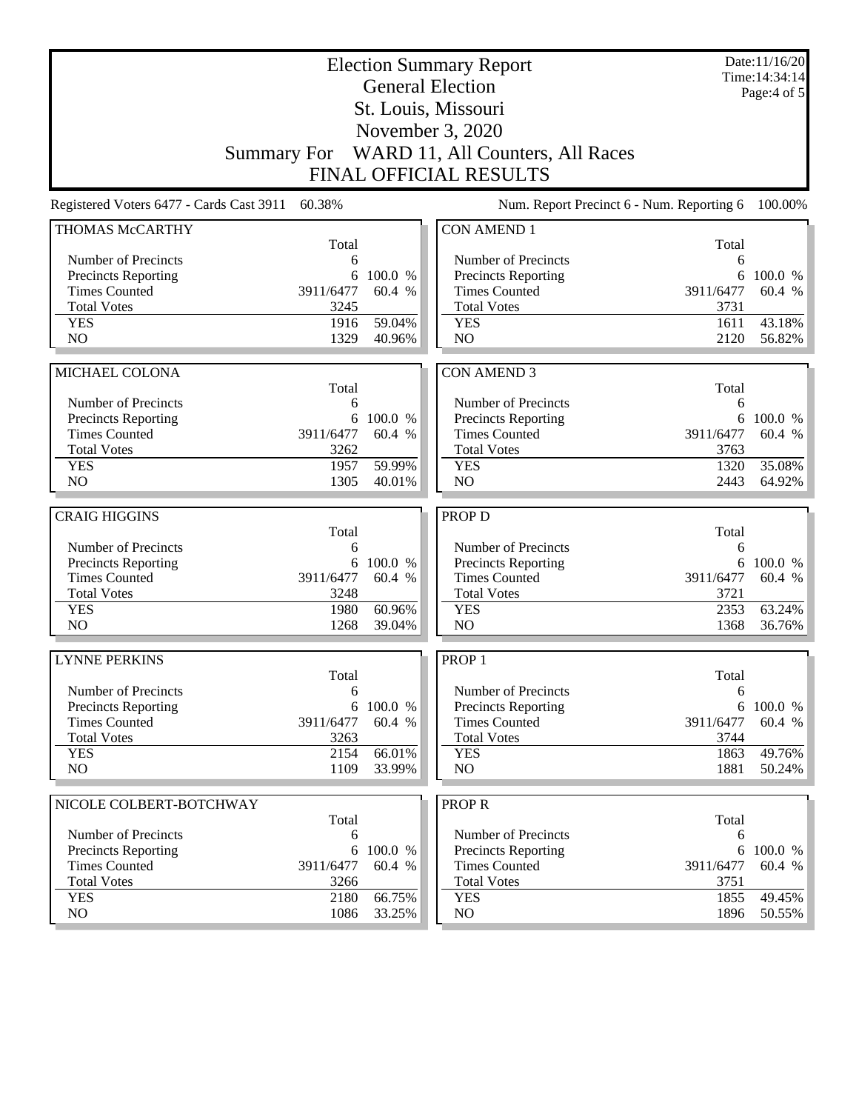|                                                   |                    |           | <b>Election Summary Report</b><br><b>General Election</b> |            | Date:11/16/20<br>Time: 14:34:14 |
|---------------------------------------------------|--------------------|-----------|-----------------------------------------------------------|------------|---------------------------------|
|                                                   |                    |           |                                                           |            | Page: $4$ of $5$                |
|                                                   |                    |           | St. Louis, Missouri                                       |            |                                 |
|                                                   |                    |           | November 3, 2020                                          |            |                                 |
|                                                   | <b>Summary For</b> |           | WARD 11, All Counters, All Races                          |            |                                 |
|                                                   |                    |           | <b>FINAL OFFICIAL RESULTS</b>                             |            |                                 |
| Registered Voters 6477 - Cards Cast 3911          | 60.38%             |           | Num. Report Precinct 6 - Num. Reporting 6                 |            | 100.00%                         |
| THOMAS McCARTHY                                   |                    |           | <b>CON AMEND 1</b>                                        |            |                                 |
| Number of Precincts                               | Total<br>6         |           | Number of Precincts                                       | Total<br>6 |                                 |
| <b>Precincts Reporting</b>                        | 6                  | 100.0 %   | Precincts Reporting                                       | 6          | 100.0 %                         |
| <b>Times Counted</b>                              | 3911/6477          | 60.4 %    | <b>Times Counted</b>                                      | 3911/6477  | 60.4 %                          |
| <b>Total Votes</b>                                | 3245               |           | <b>Total Votes</b>                                        | 3731       |                                 |
| <b>YES</b>                                        | 1916               | 59.04%    | <b>YES</b>                                                | 1611       | 43.18%                          |
| N <sub>O</sub>                                    | 1329               | 40.96%    | N <sub>O</sub>                                            | 2120       | 56.82%                          |
|                                                   |                    |           |                                                           |            |                                 |
| MICHAEL COLONA                                    |                    |           | <b>CON AMEND 3</b>                                        |            |                                 |
| Number of Precincts                               | Total<br>6         |           | Number of Precincts                                       | Total<br>6 |                                 |
| Precincts Reporting                               |                    | 6 100.0 % | Precincts Reporting                                       | 6          | 100.0 %                         |
| <b>Times Counted</b>                              | 3911/6477          | 60.4 %    | <b>Times Counted</b>                                      | 3911/6477  | 60.4 %                          |
| <b>Total Votes</b>                                | 3262               |           | <b>Total Votes</b>                                        | 3763       |                                 |
| <b>YES</b>                                        | 1957               | 59.99%    | <b>YES</b>                                                | 1320       | 35.08%                          |
| N <sub>O</sub>                                    | 1305               | 40.01%    | N <sub>O</sub>                                            | 2443       | 64.92%                          |
| <b>CRAIG HIGGINS</b>                              |                    |           | PROP D                                                    |            |                                 |
|                                                   | Total              |           |                                                           | Total      |                                 |
| Number of Precincts                               | 6                  |           | Number of Precincts                                       | 6          |                                 |
| Precincts Reporting                               | 6                  | 100.0 %   | Precincts Reporting                                       | 6          | 100.0 %                         |
| <b>Times Counted</b>                              | 3911/6477          | 60.4 %    | <b>Times Counted</b>                                      | 3911/6477  | 60.4 %                          |
| <b>Total Votes</b>                                | 3248               |           | <b>Total Votes</b>                                        | 3721       |                                 |
| <b>YES</b>                                        | 1980               | 60.96%    | <b>YES</b>                                                | 2353       | 63.24%                          |
| N <sub>O</sub>                                    | 1268               | 39.04%    | NO                                                        | 1368       | 36.76%                          |
| <b>LYNNE PERKINS</b>                              |                    |           | PROP <sub>1</sub>                                         |            |                                 |
|                                                   | Total              |           |                                                           | Total      |                                 |
| Number of Precincts<br><b>Precincts Reporting</b> | 6<br>6             | 100.0 %   | Number of Precincts<br>Precincts Reporting                | 6<br>6     | 100.0 %                         |
| <b>Times Counted</b>                              | 3911/6477          | 60.4 %    | <b>Times Counted</b>                                      | 3911/6477  | 60.4 %                          |
| <b>Total Votes</b>                                | 3263               |           | <b>Total Votes</b>                                        | 3744       |                                 |
| <b>YES</b>                                        | 2154               | 66.01%    | <b>YES</b>                                                | 1863       | 49.76%                          |
| NO                                                | 1109               | 33.99%    | NO                                                        | 1881       | 50.24%                          |
|                                                   |                    |           |                                                           |            |                                 |
| NICOLE COLBERT-BOTCHWAY                           | Total              |           | <b>PROPR</b>                                              | Total      |                                 |
| Number of Precincts                               | 6                  |           | Number of Precincts                                       | 6          |                                 |
| Precincts Reporting                               | 6                  | 100.0 %   | Precincts Reporting                                       | 6          | 100.0 %                         |
| <b>Times Counted</b>                              | 3911/6477          | 60.4 %    | <b>Times Counted</b>                                      | 3911/6477  | 60.4 %                          |
| <b>Total Votes</b>                                | 3266               |           | <b>Total Votes</b>                                        | 3751       |                                 |
| <b>YES</b>                                        | 2180               | 66.75%    | <b>YES</b>                                                | 1855       | 49.45%                          |
| NO                                                | 1086               | 33.25%    | NO                                                        | 1896       | $50.55\%$                       |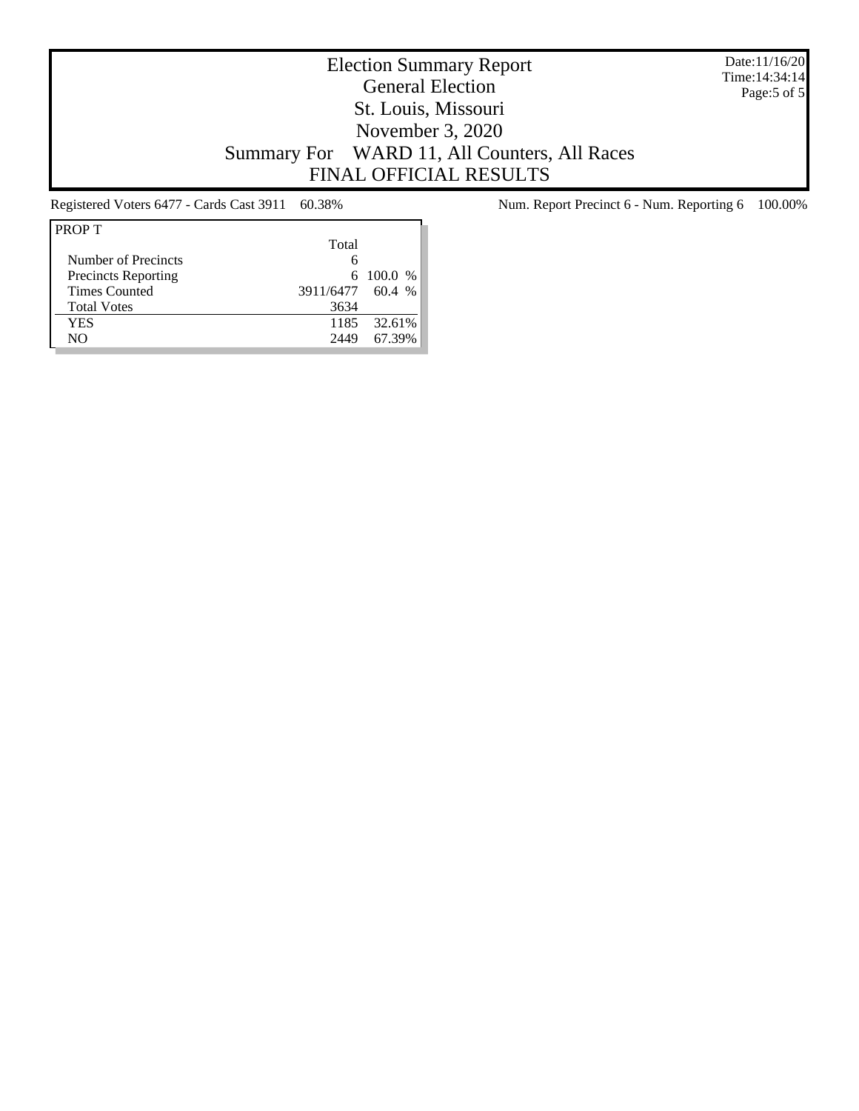Date:11/16/20 Time:14:34:14 Page:5 of 5

# Election Summary Report General Election St. Louis, Missouri November 3, 2020 Summary For WARD 11, All Counters, All Races FINAL OFFICIAL RESULTS

| <b>PROPT</b>               |                  |             |
|----------------------------|------------------|-------------|
|                            | Total            |             |
| Number of Precincts        | 6                |             |
| <b>Precincts Reporting</b> |                  | 6 100.0 $%$ |
| <b>Times Counted</b>       | 3911/6477 60.4 % |             |
| <b>Total Votes</b>         | 3634             |             |
| YES                        | 1185             | 32.61%      |
| NΟ                         | 2449             | 67.39%      |

Registered Voters 6477 - Cards Cast 3911 60.38% Num. Report Precinct 6 - Num. Reporting 6 100.00%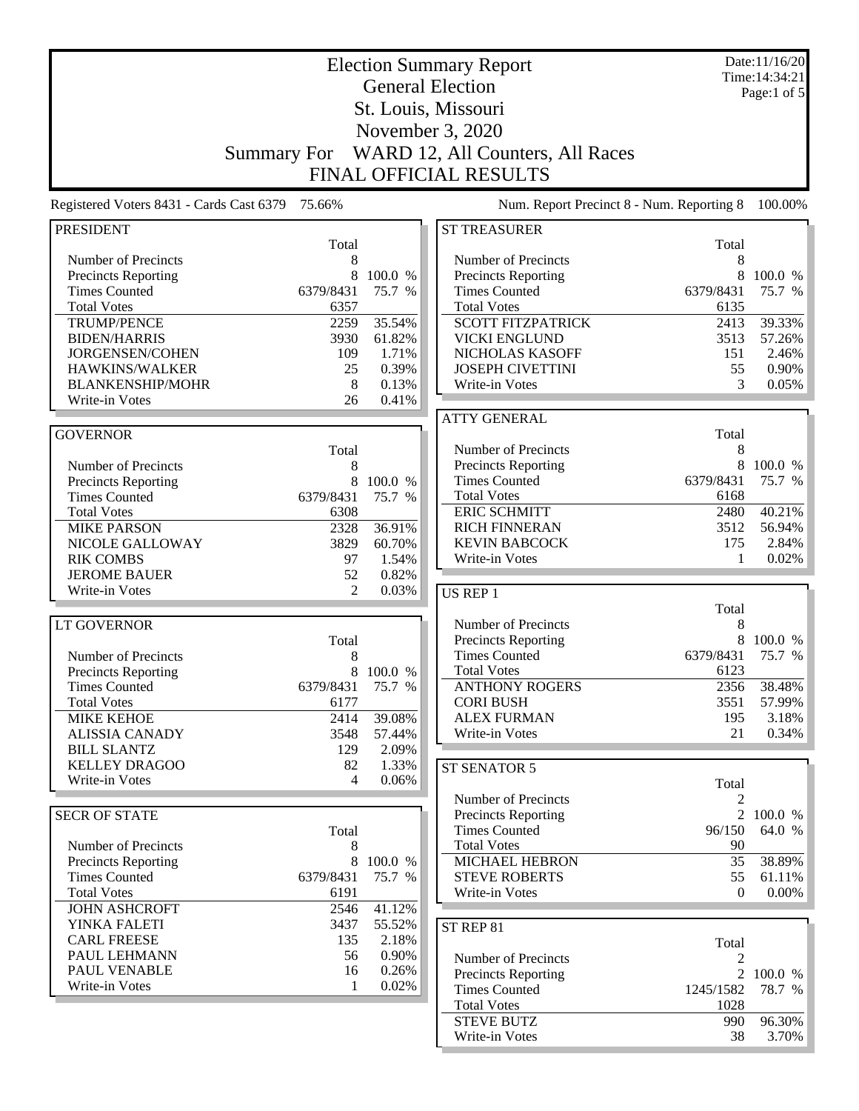|                                                    |                      |                | <b>Election Summary Report</b>                     |                     | Date:11/16/20<br>Time: 14:34:21 |
|----------------------------------------------------|----------------------|----------------|----------------------------------------------------|---------------------|---------------------------------|
|                                                    |                      |                | <b>General Election</b>                            |                     | Page:1 of $5$                   |
|                                                    |                      |                | St. Louis, Missouri                                |                     |                                 |
|                                                    |                      |                | November 3, 2020                                   |                     |                                 |
|                                                    |                      |                |                                                    |                     |                                 |
|                                                    | <b>Summary For</b>   |                | WARD 12, All Counters, All Races                   |                     |                                 |
|                                                    |                      |                | <b>FINAL OFFICIAL RESULTS</b>                      |                     |                                 |
| Registered Voters 8431 - Cards Cast 6379           | 75.66%               |                | Num. Report Precinct 8 - Num. Reporting 8          |                     | 100.00%                         |
| <b>PRESIDENT</b>                                   |                      |                | <b>ST TREASURER</b>                                |                     |                                 |
|                                                    | Total                |                |                                                    | Total               |                                 |
| Number of Precincts                                | 8<br>8               | 100.0 %        | Number of Precincts                                | 8<br>8              | 100.0 %                         |
| Precincts Reporting<br><b>Times Counted</b>        | 6379/8431            | 75.7 %         | Precincts Reporting<br><b>Times Counted</b>        | 6379/8431           | 75.7 %                          |
| <b>Total Votes</b>                                 | 6357                 |                | <b>Total Votes</b>                                 | 6135                |                                 |
| <b>TRUMP/PENCE</b>                                 | 2259                 | 35.54%         | <b>SCOTT FITZPATRICK</b>                           | 2413                | 39.33%                          |
| <b>BIDEN/HARRIS</b>                                | 3930                 | 61.82%         | <b>VICKI ENGLUND</b>                               | 3513                | 57.26%                          |
| JORGENSEN/COHEN                                    | 109                  | 1.71%          | NICHOLAS KASOFF                                    | 151                 | 2.46%                           |
| HAWKINS/WALKER                                     | 25                   | 0.39%          | <b>JOSEPH CIVETTINI</b>                            | 55                  | 0.90%                           |
| <b>BLANKENSHIP/MOHR</b>                            | 8                    | 0.13%          | Write-in Votes                                     | 3                   | 0.05%                           |
| Write-in Votes                                     | 26                   | 0.41%          |                                                    |                     |                                 |
|                                                    |                      |                | <b>ATTY GENERAL</b>                                |                     |                                 |
| <b>GOVERNOR</b>                                    |                      |                |                                                    | Total               |                                 |
|                                                    | Total                |                | Number of Precincts                                | 8                   |                                 |
| Number of Precincts                                | 8                    |                | Precincts Reporting                                | 8                   | 100.0 %                         |
| <b>Precincts Reporting</b>                         | 8                    | 100.0 %        | <b>Times Counted</b>                               | 6379/8431           | 75.7 %                          |
| <b>Times Counted</b>                               | 6379/8431            | 75.7 %         | <b>Total Votes</b>                                 | 6168                |                                 |
| <b>Total Votes</b>                                 | 6308                 |                | <b>ERIC SCHMITT</b>                                | 2480                | 40.21%                          |
| <b>MIKE PARSON</b>                                 | 2328                 | 36.91%         | <b>RICH FINNERAN</b>                               | 3512                | 56.94%                          |
| NICOLE GALLOWAY                                    | 3829                 | 60.70%         | <b>KEVIN BABCOCK</b>                               | 175                 | 2.84%                           |
| <b>RIK COMBS</b>                                   | 97                   | 1.54%          | Write-in Votes                                     | 1                   | 0.02%                           |
| <b>JEROME BAUER</b><br>Write-in Votes              | 52<br>$\overline{2}$ | 0.82%<br>0.03% |                                                    |                     |                                 |
|                                                    |                      |                | <b>US REP 1</b>                                    | Total               |                                 |
| <b>LT GOVERNOR</b>                                 |                      |                | Number of Precincts                                | 8                   |                                 |
|                                                    | Total                |                | Precincts Reporting                                | 8                   | 100.0 %                         |
| Number of Precincts                                | 8                    |                | <b>Times Counted</b>                               | 6379/8431           | 75.7 %                          |
| <b>Precincts Reporting</b>                         | 8                    | 100.0 %        | <b>Total Votes</b>                                 | 6123                |                                 |
| <b>Times Counted</b>                               | 6379/8431            | 75.7 %         | <b>ANTHONY ROGERS</b>                              | 2356                | 38.48%                          |
| <b>Total Votes</b>                                 | 6177                 |                | <b>CORI BUSH</b>                                   | 3551                | 57.99%                          |
| <b>MIKE KEHOE</b>                                  | 2414                 | 39.08%         | <b>ALEX FURMAN</b>                                 | 195                 | 3.18%                           |
| <b>ALISSIA CANADY</b>                              | 3548                 | 57.44%         | Write-in Votes                                     | 21                  | 0.34%                           |
| <b>BILL SLANTZ</b>                                 | 129                  | 2.09%          |                                                    |                     |                                 |
| <b>KELLEY DRAGOO</b><br>Write-in Votes             | 82<br>4              | 1.33%          | ST SENATOR 5                                       |                     |                                 |
|                                                    |                      | 0.06%          |                                                    | Total               |                                 |
|                                                    |                      |                | Number of Precincts                                | 2                   |                                 |
| <b>SECR OF STATE</b>                               |                      |                | <b>Precincts Reporting</b>                         | $\overline{2}$      | 100.0 %                         |
|                                                    | Total                |                | <b>Times Counted</b>                               | 96/150              | 64.0 %                          |
| Number of Precincts                                | 8                    | 8 100.0 %      | <b>Total Votes</b><br>MICHAEL HEBRON               | 90<br>35            |                                 |
| <b>Precincts Reporting</b><br><b>Times Counted</b> | 6379/8431            | 75.7 %         | <b>STEVE ROBERTS</b>                               | 55                  | 38.89%<br>61.11%                |
| <b>Total Votes</b>                                 | 6191                 |                | Write-in Votes                                     | $\Omega$            | $0.00\%$                        |
| <b>JOHN ASHCROFT</b>                               | 2546                 | 41.12%         |                                                    |                     |                                 |
| YINKA FALETI                                       | 3437                 | 55.52%         |                                                    |                     |                                 |
| <b>CARL FREESE</b>                                 | 135                  | 2.18%          | ST REP 81                                          |                     |                                 |
| PAUL LEHMANN                                       | 56                   | 0.90%          |                                                    | Total               |                                 |
| PAUL VENABLE                                       | 16                   | 0.26%          | Number of Precincts                                | 2<br>$\overline{2}$ | 100.0 %                         |
| Write-in Votes                                     | 1                    | 0.02%          | <b>Precincts Reporting</b><br><b>Times Counted</b> | 1245/1582           | 78.7 %                          |
|                                                    |                      |                | <b>Total Votes</b>                                 | 1028                |                                 |
|                                                    |                      |                | <b>STEVE BUTZ</b>                                  | 990                 | 96.30%                          |
|                                                    |                      |                | Write-in Votes                                     | 38                  | $3.70\%$                        |
|                                                    |                      |                |                                                    |                     |                                 |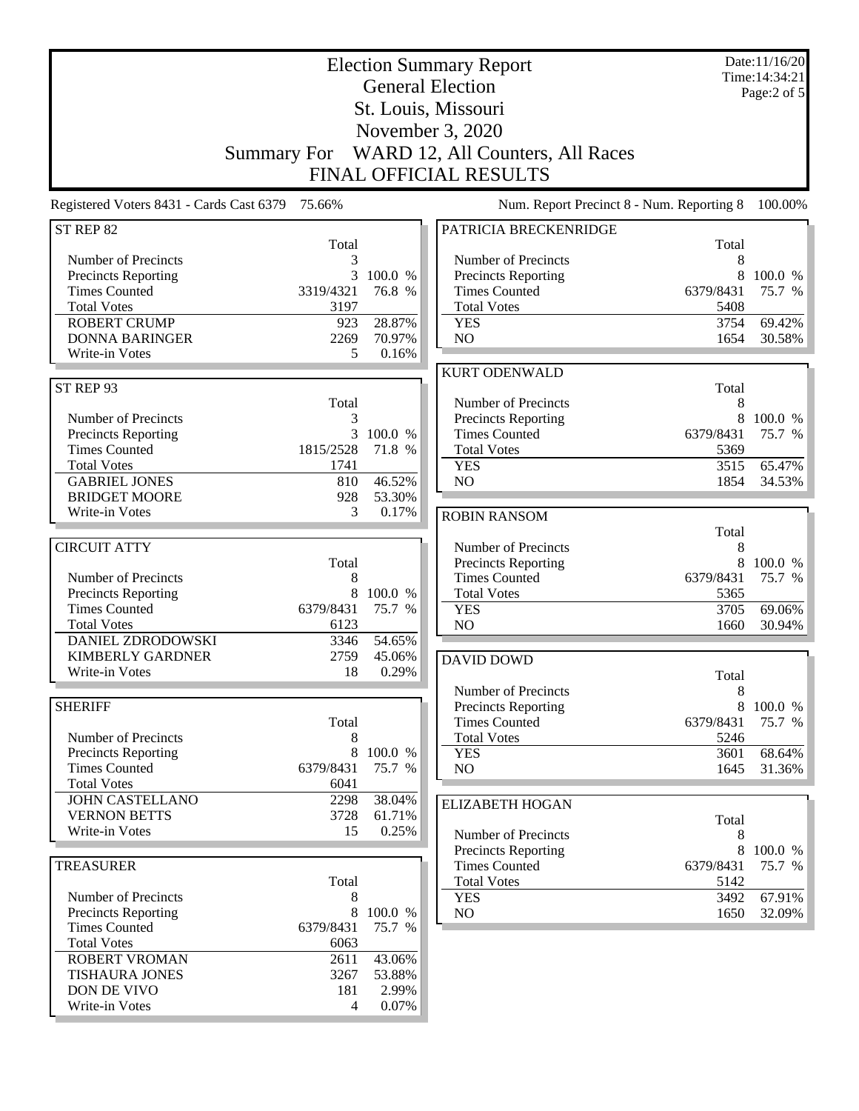|                                          |            |         | <b>Election Summary Report</b><br><b>General Election</b> |                   | Date:11/16/20<br>Time: 14:34:21 |
|------------------------------------------|------------|---------|-----------------------------------------------------------|-------------------|---------------------------------|
|                                          |            |         | St. Louis, Missouri                                       |                   | Page:2 of 5                     |
|                                          |            |         |                                                           |                   |                                 |
|                                          |            |         | November 3, 2020                                          |                   |                                 |
|                                          |            |         | Summary For WARD 12, All Counters, All Races              |                   |                                 |
|                                          |            |         | <b>FINAL OFFICIAL RESULTS</b>                             |                   |                                 |
| Registered Voters 8431 - Cards Cast 6379 | 75.66%     |         | Num. Report Precinct 8 - Num. Reporting 8                 |                   | 100.00%                         |
| ST REP 82                                |            |         | PATRICIA BRECKENRIDGE                                     |                   |                                 |
| Number of Precincts                      | Total<br>3 |         |                                                           | Total<br>8        |                                 |
| <b>Precincts Reporting</b>               | 3          | 100.0 % | Number of Precincts<br><b>Precincts Reporting</b>         | 8                 | 100.0 %                         |
| <b>Times Counted</b>                     | 3319/4321  | 76.8 %  | <b>Times Counted</b>                                      | 6379/8431         | 75.7 %                          |
| <b>Total Votes</b>                       | 3197       |         | <b>Total Votes</b>                                        | 5408              |                                 |
| <b>ROBERT CRUMP</b>                      | 923        | 28.87%  | <b>YES</b>                                                | 3754              | 69.42%                          |
| <b>DONNA BARINGER</b>                    | 2269       | 70.97%  | NO                                                        | 1654              | 30.58%                          |
| Write-in Votes                           | 5          | 0.16%   |                                                           |                   |                                 |
|                                          |            |         | <b>KURT ODENWALD</b>                                      |                   |                                 |
| ST REP 93                                | Total      |         | Number of Precincts                                       | Total<br>8        |                                 |
| Number of Precincts                      | 3          |         | <b>Precincts Reporting</b>                                | 8                 | 100.0 %                         |
| Precincts Reporting                      | 3          | 100.0 % | <b>Times Counted</b>                                      | 6379/8431         | 75.7 %                          |
| <b>Times Counted</b>                     | 1815/2528  | 71.8 %  | <b>Total Votes</b>                                        | 5369              |                                 |
| <b>Total Votes</b>                       | 1741       |         | <b>YES</b>                                                | 3515              | 65.47%                          |
| <b>GABRIEL JONES</b>                     | 810        | 46.52%  | NO                                                        | 1854              | 34.53%                          |
| <b>BRIDGET MOORE</b>                     | 928        | 53.30%  |                                                           |                   |                                 |
| Write-in Votes                           | 3          | 0.17%   | <b>ROBIN RANSOM</b>                                       |                   |                                 |
|                                          |            |         |                                                           | Total             |                                 |
| <b>CIRCUIT ATTY</b>                      | Total      |         | Number of Precincts<br><b>Precincts Reporting</b>         | 8<br>8            | 100.0 %                         |
| Number of Precincts                      | 8          |         | <b>Times Counted</b>                                      | 6379/8431         | 75.7 %                          |
| Precincts Reporting                      | 8          | 100.0 % | <b>Total Votes</b>                                        | 5365              |                                 |
| <b>Times Counted</b>                     | 6379/8431  | 75.7 %  | <b>YES</b>                                                | 3705              | 69.06%                          |
| <b>Total Votes</b>                       | 6123       |         | NO                                                        | 1660              | 30.94%                          |
| <b>DANIEL ZDRODOWSKI</b>                 | 3346       | 54.65%  |                                                           |                   |                                 |
| <b>KIMBERLY GARDNER</b>                  | 2759       | 45.06%  | <b>DAVID DOWD</b>                                         |                   |                                 |
| Write-in Votes                           | 18         | 0.29%   |                                                           | Total             |                                 |
| <b>SHERIFF</b>                           |            |         | Number of Precincts                                       | 8                 | 8 100.0 %                       |
|                                          | Total      |         | <b>Precincts Reporting</b><br><b>Times Counted</b>        | 6379/8431         | 75.7 %                          |
| Number of Precincts                      | 8          |         | <b>Total Votes</b>                                        | 5246              |                                 |
| <b>Precincts Reporting</b>               | 8          | 100.0 % | <b>YES</b>                                                | 3601              | 68.64%                          |
| <b>Times Counted</b>                     | 6379/8431  | 75.7 %  | NO                                                        | 1645              | 31.36%                          |
| <b>Total Votes</b>                       | 6041       |         |                                                           |                   |                                 |
| <b>JOHN CASTELLANO</b>                   | 2298       | 38.04%  | <b>ELIZABETH HOGAN</b>                                    |                   |                                 |
| <b>VERNON BETTS</b>                      | 3728       | 61.71%  |                                                           | Total             |                                 |
| Write-in Votes                           | 15         | 0.25%   | Number of Precincts                                       | 8                 |                                 |
|                                          |            |         | Precincts Reporting                                       |                   | 8 100.0 %                       |
| <b>TREASURER</b>                         | Total      |         | <b>Times Counted</b><br><b>Total Votes</b>                | 6379/8431<br>5142 | 75.7 %                          |
| Number of Precincts                      | 8          |         | <b>YES</b>                                                | 3492              | 67.91%                          |
| <b>Precincts Reporting</b>               | $\,8\,$    | 100.0 % | NO.                                                       | 1650              | 32.09%                          |
| <b>Times Counted</b>                     | 6379/8431  | 75.7 %  |                                                           |                   |                                 |
| <b>Total Votes</b>                       | 6063       |         |                                                           |                   |                                 |
| ROBERT VROMAN                            | 2611       | 43.06%  |                                                           |                   |                                 |
| <b>TISHAURA JONES</b>                    | 3267       | 53.88%  |                                                           |                   |                                 |
| DON DE VIVO                              | 181        | 2.99%   |                                                           |                   |                                 |
| Write-in Votes                           | 4          | 0.07%   |                                                           |                   |                                 |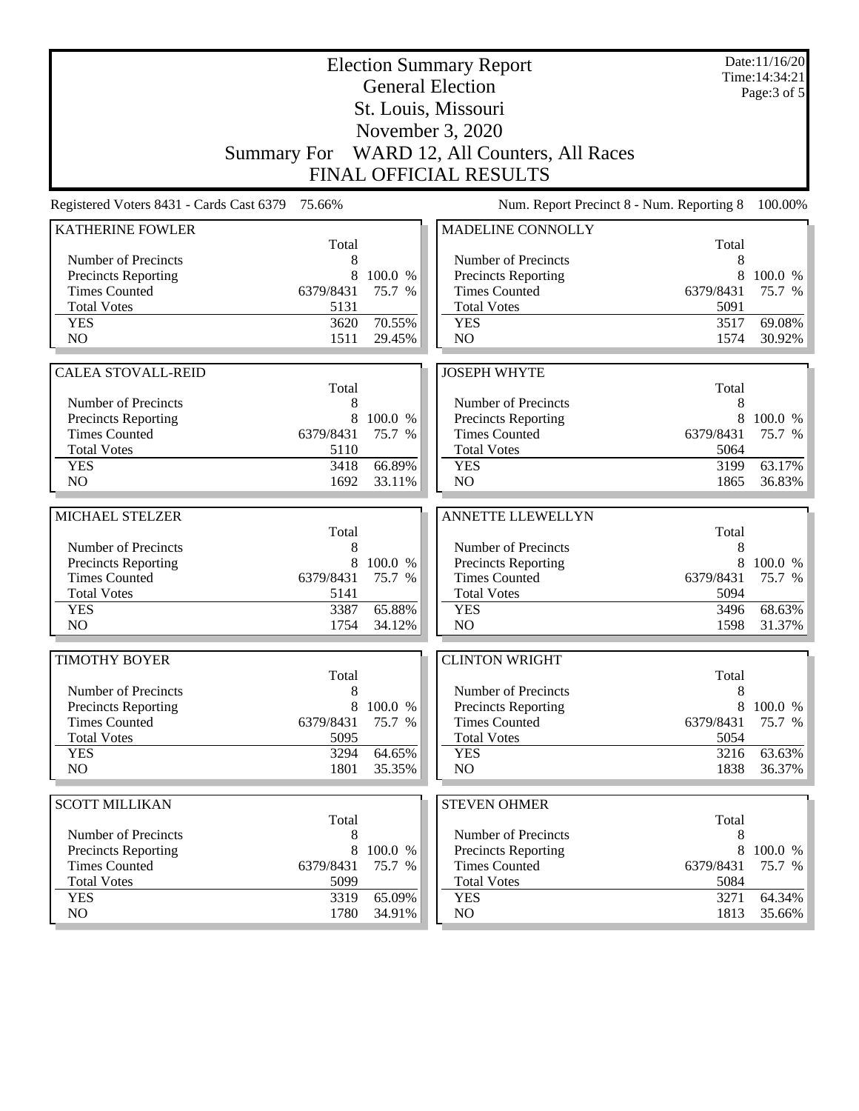|                                          |              |                  | <b>Election Summary Report</b><br><b>General Election</b> |              | Date:11/16/20<br>Time: 14:34:21 |
|------------------------------------------|--------------|------------------|-----------------------------------------------------------|--------------|---------------------------------|
|                                          |              |                  |                                                           |              | Page: 3 of 5                    |
|                                          |              |                  | St. Louis, Missouri                                       |              |                                 |
|                                          |              |                  | November 3, 2020                                          |              |                                 |
|                                          |              |                  | Summary For WARD 12, All Counters, All Races              |              |                                 |
|                                          |              |                  | <b>FINAL OFFICIAL RESULTS</b>                             |              |                                 |
| Registered Voters 8431 - Cards Cast 6379 | 75.66%       |                  | Num. Report Precinct 8 - Num. Reporting 8                 |              | 100.00%                         |
| <b>KATHERINE FOWLER</b>                  | Total        |                  | MADELINE CONNOLLY                                         | Total        |                                 |
| Number of Precincts                      | 8            |                  | Number of Precincts                                       | 8            |                                 |
| Precincts Reporting                      | 8            | 100.0 %          | Precincts Reporting                                       | 8            | 100.0 %                         |
| <b>Times Counted</b>                     | 6379/8431    | 75.7 %           | <b>Times Counted</b>                                      | 6379/8431    | 75.7 %                          |
| <b>Total Votes</b>                       | 5131         |                  | <b>Total Votes</b>                                        | 5091         |                                 |
| <b>YES</b>                               | 3620         | 70.55%           | <b>YES</b>                                                | 3517         | 69.08%                          |
| N <sub>O</sub>                           | 1511         | 29.45%           | NO                                                        | 1574         | 30.92%                          |
| <b>CALEA STOVALL-REID</b>                |              |                  | <b>JOSEPH WHYTE</b>                                       |              |                                 |
|                                          | Total        |                  |                                                           | Total        |                                 |
| Number of Precincts                      | 8            |                  | Number of Precincts                                       | 8            |                                 |
| Precincts Reporting                      | 8            | 100.0 %          | Precincts Reporting                                       | 8            | 100.0 %                         |
| <b>Times Counted</b>                     | 6379/8431    | 75.7 %           | <b>Times Counted</b>                                      | 6379/8431    | 75.7 %                          |
| <b>Total Votes</b>                       | 5110         |                  | <b>Total Votes</b>                                        | 5064         |                                 |
| <b>YES</b>                               | 3418         | 66.89%           | <b>YES</b>                                                | 3199         | 63.17%                          |
| N <sub>O</sub>                           | 1692         | 33.11%           | NO                                                        | 1865         | 36.83%                          |
| MICHAEL STELZER                          |              |                  | <b>ANNETTE LLEWELLYN</b>                                  |              |                                 |
|                                          | Total        |                  |                                                           | Total        |                                 |
| Number of Precincts                      | 8            |                  | Number of Precincts                                       | 8            |                                 |
| Precincts Reporting                      | 8            | 100.0 %          | Precincts Reporting                                       | 8            | 100.0 %                         |
| <b>Times Counted</b>                     | 6379/8431    | 75.7 %           | <b>Times Counted</b>                                      | 6379/8431    | 75.7 %                          |
| <b>Total Votes</b>                       | 5141         |                  | <b>Total Votes</b>                                        | 5094         |                                 |
| <b>YES</b><br>N <sub>O</sub>             | 3387         | 65.88%           | <b>YES</b>                                                | 3496         | 68.63%                          |
|                                          | 1754         | 34.12%           | N <sub>O</sub>                                            | 1598         | 31.37%                          |
| <b>TIMOTHY BOYER</b>                     |              |                  | <b>CLINTON WRIGHT</b>                                     |              |                                 |
|                                          | Total        |                  |                                                           | Total        |                                 |
| Number of Precincts                      | 8            |                  | Number of Precincts                                       | 8            |                                 |
| <b>Precincts Reporting</b>               | 8            | 100.0 %          | <b>Precincts Reporting</b>                                | 8            | 100.0 %                         |
| <b>Times Counted</b>                     | 6379/8431    | 75.7 %           | <b>Times Counted</b>                                      | 6379/8431    | 75.7 %                          |
| <b>Total Votes</b>                       | 5095         |                  | <b>Total Votes</b>                                        | 5054         |                                 |
| <b>YES</b><br>NO.                        | 3294<br>1801 | 64.65%<br>35.35% | <b>YES</b><br>NO                                          | 3216<br>1838 | 63.63%<br>36.37%                |
|                                          |              |                  |                                                           |              |                                 |
| <b>SCOTT MILLIKAN</b>                    |              |                  | <b>STEVEN OHMER</b>                                       |              |                                 |
|                                          | Total        |                  |                                                           | Total        |                                 |
| Number of Precincts                      | 8            |                  | Number of Precincts                                       | 8            |                                 |
| <b>Precincts Reporting</b>               | 8            | 100.0 %          | Precincts Reporting                                       | 8            | 100.0 %                         |
| <b>Times Counted</b>                     | 6379/8431    | 75.7 %           | <b>Times Counted</b>                                      | 6379/8431    | 75.7 %                          |
| <b>Total Votes</b>                       | 5099         |                  | <b>Total Votes</b>                                        | 5084         |                                 |
| <b>YES</b><br>NO.                        | 3319<br>1780 | 65.09%<br>34.91% | <b>YES</b><br>NO                                          | 3271<br>1813 | 64.34%<br>35.66%                |
|                                          |              |                  |                                                           |              |                                 |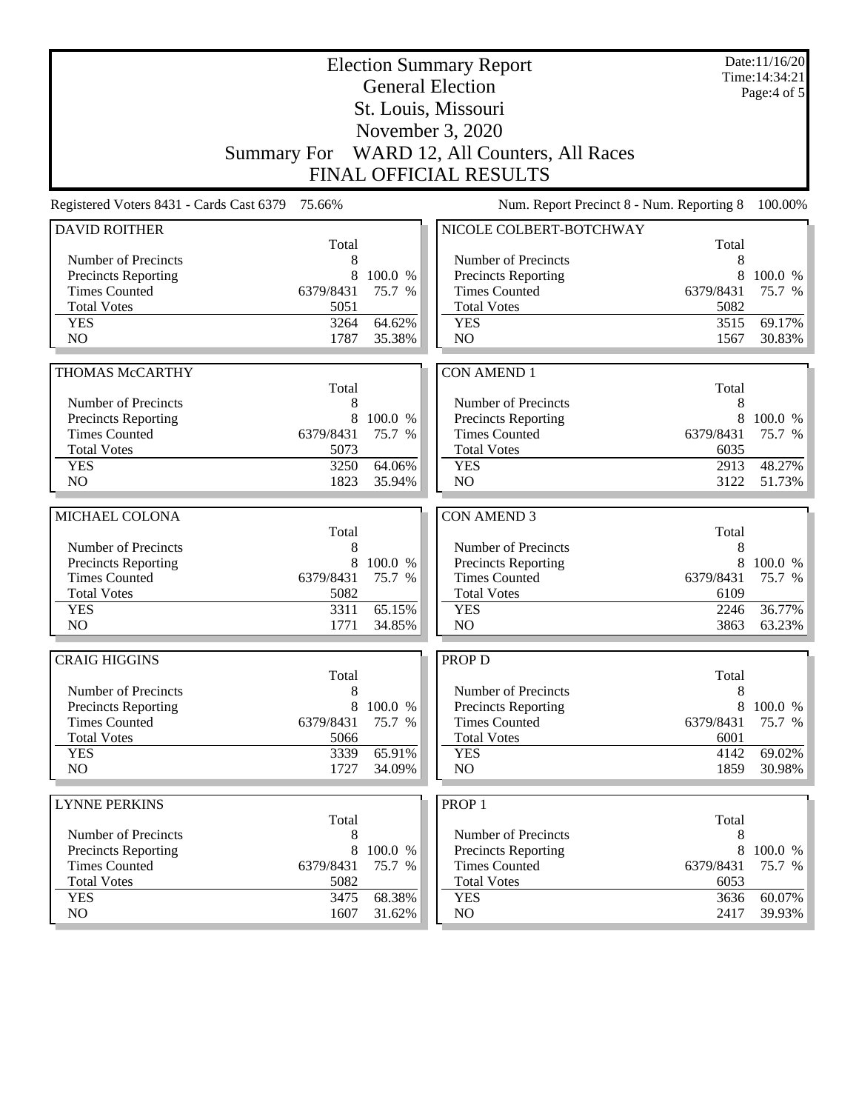|                                                    |              |                   | <b>Election Summary Report</b><br><b>General Election</b> |                | Date:11/16/20<br>Time: 14:34:21 |
|----------------------------------------------------|--------------|-------------------|-----------------------------------------------------------|----------------|---------------------------------|
|                                                    |              |                   | St. Louis, Missouri                                       |                | Page: $4$ of $5$                |
|                                                    |              |                   | November 3, 2020                                          |                |                                 |
|                                                    |              |                   | Summary For WARD 12, All Counters, All Races              |                |                                 |
|                                                    |              |                   | <b>FINAL OFFICIAL RESULTS</b>                             |                |                                 |
|                                                    |              |                   |                                                           |                |                                 |
| Registered Voters 8431 - Cards Cast 6379 75.66%    |              |                   | Num. Report Precinct 8 - Num. Reporting 8                 |                | 100.00%                         |
| <b>DAVID ROITHER</b>                               | Total        |                   | NICOLE COLBERT-BOTCHWAY                                   | Total          |                                 |
| Number of Precincts                                | 8            |                   | Number of Precincts                                       | 8              |                                 |
| <b>Precincts Reporting</b>                         | 8            | 100.0 %           | <b>Precincts Reporting</b>                                | 8              | 100.0 %                         |
| <b>Times Counted</b>                               | 6379/8431    | 75.7 %            | <b>Times Counted</b>                                      | 6379/8431      | 75.7 %                          |
| <b>Total Votes</b>                                 | 5051         |                   | <b>Total Votes</b>                                        | 5082           |                                 |
| <b>YES</b>                                         | 3264         | 64.62%            | <b>YES</b>                                                | 3515           | 69.17%                          |
| NO                                                 | 1787         | 35.38%            | NO                                                        | 1567           | 30.83%                          |
|                                                    |              |                   |                                                           |                |                                 |
| <b>THOMAS McCARTHY</b>                             |              |                   | <b>CON AMEND 1</b>                                        |                |                                 |
| Number of Precincts                                | Total        |                   |                                                           | Total          |                                 |
| Precincts Reporting                                | 8<br>8       | 100.0 %           | Number of Precincts<br>Precincts Reporting                | 8<br>8         | 100.0 %                         |
| <b>Times Counted</b>                               | 6379/8431    | 75.7 %            | <b>Times Counted</b>                                      | 6379/8431      | 75.7 %                          |
| <b>Total Votes</b>                                 | 5073         |                   | <b>Total Votes</b>                                        | 6035           |                                 |
| <b>YES</b>                                         | 3250         | 64.06%            | <b>YES</b>                                                | 2913           | 48.27%                          |
| N <sub>O</sub>                                     | 1823         | 35.94%            | NO                                                        | 3122           | 51.73%                          |
|                                                    |              |                   |                                                           |                |                                 |
| MICHAEL COLONA                                     |              |                   | <b>CON AMEND 3</b>                                        |                |                                 |
| Number of Precincts                                | Total<br>8   |                   | Number of Precincts                                       | Total<br>8     |                                 |
| <b>Precincts Reporting</b>                         | 8            | 100.0 %           | Precincts Reporting                                       | 8              | 100.0 %                         |
| <b>Times Counted</b>                               | 6379/8431    | 75.7 %            | <b>Times Counted</b>                                      | 6379/8431      | 75.7 %                          |
| <b>Total Votes</b>                                 | 5082         |                   | <b>Total Votes</b>                                        | 6109           |                                 |
| <b>YES</b>                                         | 3311         | 65.15%            | <b>YES</b>                                                | 2246           | 36.77%                          |
| N <sub>O</sub>                                     | 1771         | 34.85%            | NO                                                        | 3863           | 63.23%                          |
|                                                    |              |                   |                                                           |                |                                 |
| <b>CRAIG HIGGINS</b>                               |              |                   | PROP D                                                    |                |                                 |
|                                                    | Total        |                   |                                                           | Total          |                                 |
| Number of Precincts                                | 8<br>8       |                   | Number of Precincts                                       | 8              | 100.0 %                         |
| <b>Precincts Reporting</b><br><b>Times Counted</b> | 6379/8431    | 100.0 %<br>75.7 % | <b>Precincts Reporting</b><br><b>Times Counted</b>        | 8<br>6379/8431 | 75.7 %                          |
| <b>Total Votes</b>                                 | 5066         |                   | <b>Total Votes</b>                                        | 6001           |                                 |
| <b>YES</b>                                         | 3339         | 65.91%            | <b>YES</b>                                                | 4142           | 69.02%                          |
| NO                                                 | 1727         | 34.09%            | NO                                                        | 1859           | 30.98%                          |
|                                                    |              |                   |                                                           |                |                                 |
| <b>LYNNE PERKINS</b>                               |              |                   | PROP <sub>1</sub>                                         |                |                                 |
|                                                    | Total        |                   |                                                           | Total          |                                 |
| Number of Precincts                                | 8            |                   | Number of Precincts                                       | 8              |                                 |
| <b>Precincts Reporting</b>                         | 8            | 100.0 %           | Precincts Reporting                                       | 8              | 100.0 %                         |
| <b>Times Counted</b>                               | 6379/8431    | 75.7 %            | <b>Times Counted</b>                                      | 6379/8431      | 75.7 %                          |
| <b>Total Votes</b>                                 | 5082         |                   | <b>Total Votes</b>                                        | 6053           |                                 |
|                                                    |              |                   |                                                           |                |                                 |
| <b>YES</b><br>NO                                   | 3475<br>1607 | 68.38%<br>31.62%  | <b>YES</b><br>NO                                          | 3636<br>2417   | 60.07%<br>39.93%                |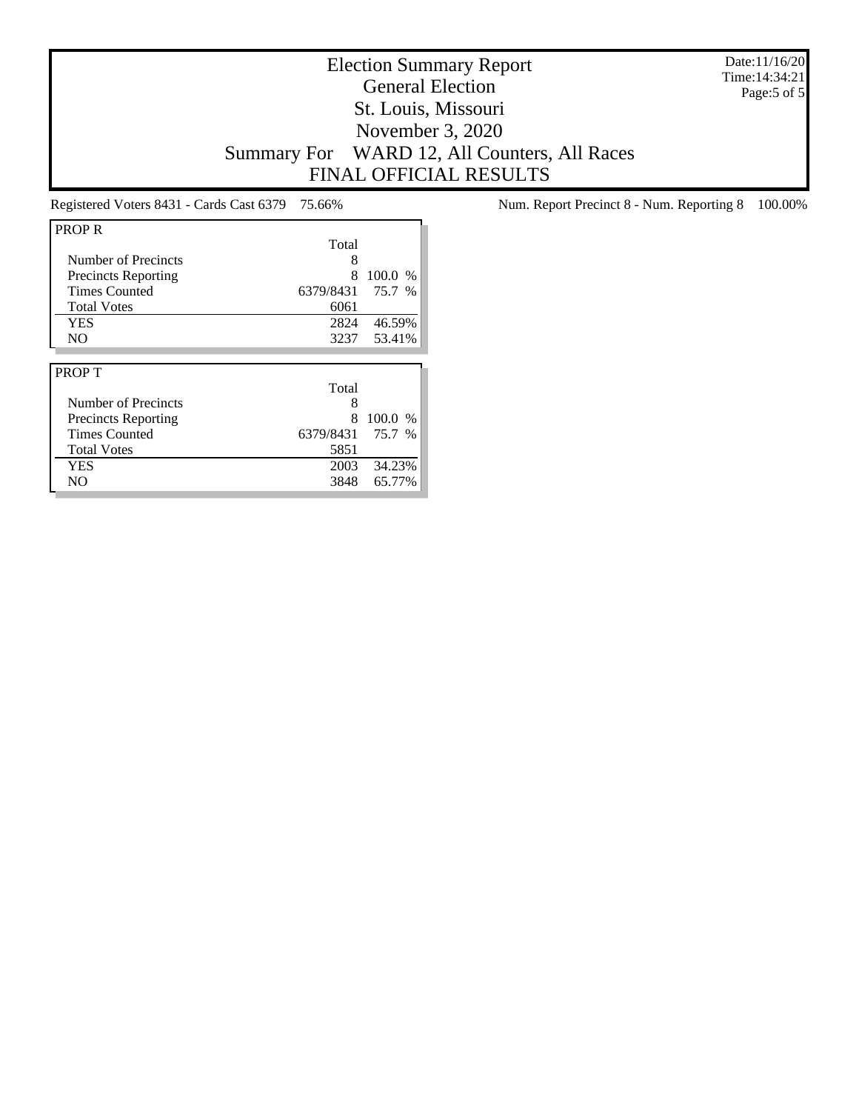Date:11/16/20 Time:14:34:21 Page:5 of 5

# Election Summary Report General Election St. Louis, Missouri November 3, 2020 Summary For WARD 12, All Counters, All Races FINAL OFFICIAL RESULTS

| <b>PROP R</b>              |           |         |
|----------------------------|-----------|---------|
|                            | Total     |         |
| Number of Precincts        | 8         |         |
| <b>Precincts Reporting</b> | 8         | 100.0 % |
| <b>Times Counted</b>       | 6379/8431 | 75.7 %  |
| <b>Total Votes</b>         | 6061      |         |
| <b>YES</b>                 | 2824      | 46.59%  |
| N <sub>O</sub>             | 3237      | 53.41%  |
|                            |           |         |
|                            |           |         |
| <b>PROPT</b>               |           |         |
|                            | Total     |         |
| Number of Precincts        | 8         |         |
| Precincts Reporting        | 8         | 100.0 % |
| <b>Times Counted</b>       | 6379/8431 | 75.7 %  |
| <b>Total Votes</b>         | 5851      |         |
| <b>YES</b>                 | 2003      | 34.23%  |

Registered Voters 8431 - Cards Cast 6379 75.66% Num. Report Precinct 8 - Num. Reporting 8 100.00%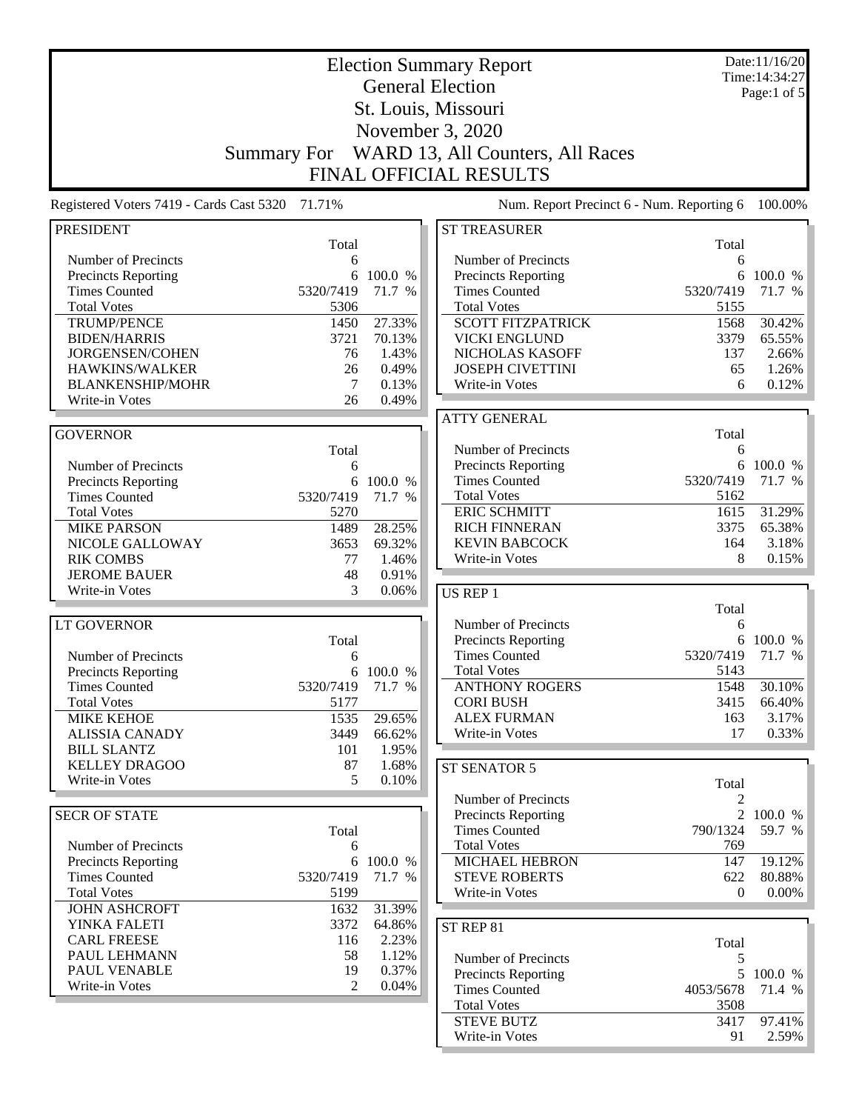|                                                   | Date:11/16/20<br><b>Election Summary Report</b> |                |                                              |              |                               |
|---------------------------------------------------|-------------------------------------------------|----------------|----------------------------------------------|--------------|-------------------------------|
|                                                   |                                                 |                | <b>General Election</b>                      |              | Time: 14:34:27<br>Page:1 of 5 |
|                                                   |                                                 |                | St. Louis, Missouri                          |              |                               |
|                                                   |                                                 |                |                                              |              |                               |
|                                                   |                                                 |                | November 3, 2020                             |              |                               |
|                                                   | <b>Summary For</b>                              |                | WARD 13, All Counters, All Races             |              |                               |
|                                                   |                                                 |                | <b>FINAL OFFICIAL RESULTS</b>                |              |                               |
| Registered Voters 7419 - Cards Cast 5320          | 71.71%                                          |                | Num. Report Precinct 6 - Num. Reporting 6    |              | 100.00%                       |
| <b>PRESIDENT</b>                                  |                                                 |                | <b>ST TREASURER</b>                          |              |                               |
|                                                   | Total                                           |                |                                              | Total        |                               |
| Number of Precincts                               | 6                                               |                | Number of Precincts                          | 6            |                               |
| <b>Precincts Reporting</b>                        | 6                                               | 100.0 %        | Precincts Reporting                          | 6            | 100.0 %                       |
| <b>Times Counted</b><br><b>Total Votes</b>        | 5320/7419                                       | 71.7 %         | <b>Times Counted</b><br><b>Total Votes</b>   | 5320/7419    | 71.7 %                        |
| <b>TRUMP/PENCE</b>                                | 5306<br>1450                                    | 27.33%         | <b>SCOTT FITZPATRICK</b>                     | 5155<br>1568 | 30.42%                        |
| <b>BIDEN/HARRIS</b>                               | 3721                                            | 70.13%         | <b>VICKI ENGLUND</b>                         | 3379         | 65.55%                        |
| <b>JORGENSEN/COHEN</b>                            | 76                                              | 1.43%          | NICHOLAS KASOFF                              | 137          | 2.66%                         |
| HAWKINS/WALKER                                    | 26                                              | 0.49%          | <b>JOSEPH CIVETTINI</b>                      | 65           | 1.26%                         |
| <b>BLANKENSHIP/MOHR</b>                           | 7                                               | 0.13%          | Write-in Votes                               | 6            | 0.12%                         |
| Write-in Votes                                    | 26                                              | 0.49%          |                                              |              |                               |
|                                                   |                                                 |                | <b>ATTY GENERAL</b>                          |              |                               |
| <b>GOVERNOR</b>                                   |                                                 |                |                                              | Total        |                               |
|                                                   | Total                                           |                | Number of Precincts                          | 6            |                               |
| Number of Precincts                               | 6                                               |                | Precincts Reporting                          |              | 6 100.0 %                     |
| <b>Precincts Reporting</b>                        | 6                                               | 100.0 %        | <b>Times Counted</b>                         | 5320/7419    | 71.7 %                        |
| <b>Times Counted</b>                              | 5320/7419                                       | 71.7 %         | <b>Total Votes</b>                           | 5162         |                               |
| <b>Total Votes</b>                                | 5270                                            |                | <b>ERIC SCHMITT</b>                          | 1615         | 31.29%                        |
| <b>MIKE PARSON</b>                                | 1489                                            | 28.25%         | <b>RICH FINNERAN</b><br><b>KEVIN BABCOCK</b> | 3375         | 65.38%                        |
| NICOLE GALLOWAY<br><b>RIK COMBS</b>               | 3653<br>77                                      | 69.32%         | Write-in Votes                               | 164<br>8     | 3.18%<br>0.15%                |
| <b>JEROME BAUER</b>                               | 48                                              | 1.46%<br>0.91% |                                              |              |                               |
| Write-in Votes                                    | 3                                               | 0.06%          | <b>US REP 1</b>                              |              |                               |
|                                                   |                                                 |                |                                              | Total        |                               |
| <b>LT GOVERNOR</b>                                |                                                 |                | Number of Precincts                          | 6            |                               |
|                                                   | Total                                           |                | Precincts Reporting                          |              | 6 100.0 %                     |
| Number of Precincts                               | 6                                               |                | <b>Times Counted</b>                         | 5320/7419    | 71.7 %                        |
| <b>Precincts Reporting</b>                        |                                                 | 6 100.0 %      | <b>Total Votes</b>                           | 5143         |                               |
| <b>Times Counted</b>                              | 5320/7419                                       | 71.7 %         | <b>ANTHONY ROGERS</b>                        | 1548         | 30.10%                        |
| <b>Total Votes</b>                                | 5177                                            |                | <b>CORI BUSH</b>                             | 3415         | 66.40%                        |
| <b>MIKE KEHOE</b>                                 | 1535                                            | 29.65%         | <b>ALEX FURMAN</b>                           | 163          | 3.17%                         |
| <b>ALISSIA CANADY</b>                             | 3449                                            | 66.62%         | Write-in Votes                               | 17           | 0.33%                         |
| <b>BILL SLANTZ</b>                                | 101                                             | 1.95%          |                                              |              |                               |
| <b>KELLEY DRAGOO</b>                              | 87                                              | 1.68%          | ST SENATOR 5                                 |              |                               |
| Write-in Votes                                    | 5                                               | 0.10%          |                                              | Total        |                               |
|                                                   |                                                 |                | Number of Precincts                          | 2            |                               |
| <b>SECR OF STATE</b>                              |                                                 |                | <b>Precincts Reporting</b>                   | 790/1324     | 2 100.0 %                     |
|                                                   | Total                                           |                | <b>Times Counted</b><br><b>Total Votes</b>   | 769          | 59.7 %                        |
| Number of Precincts<br><b>Precincts Reporting</b> | 6<br>6                                          | 100.0 %        | <b>MICHAEL HEBRON</b>                        | 147          | 19.12%                        |
| <b>Times Counted</b>                              | 5320/7419                                       | 71.7 %         | <b>STEVE ROBERTS</b>                         | 622          | 80.88%                        |
| <b>Total Votes</b>                                | 5199                                            |                | Write-in Votes                               | $\Omega$     | $0.00\%$                      |
| <b>JOHN ASHCROFT</b>                              | 1632                                            | 31.39%         |                                              |              |                               |
| YINKA FALETI                                      | 3372                                            | 64.86%         | ST REP 81                                    |              |                               |
| <b>CARL FREESE</b>                                | 116                                             | 2.23%          |                                              | Total        |                               |
| PAUL LEHMANN                                      | 58                                              | 1.12%          | Number of Precincts                          | 5            |                               |
| PAUL VENABLE                                      | 19                                              | 0.37%          | <b>Precincts Reporting</b>                   | 5            | 100.0 %                       |
| Write-in Votes                                    | $\mathfrak{D}$                                  | 0.04%          | <b>Times Counted</b>                         | 4053/5678    | 71.4 %                        |
|                                                   |                                                 |                | <b>Total Votes</b>                           | 3508         |                               |
|                                                   |                                                 |                | <b>STEVE BUTZ</b>                            | 3417         | 97.41%                        |
|                                                   |                                                 |                | Write-in Votes                               | 91           | $2.59\%$                      |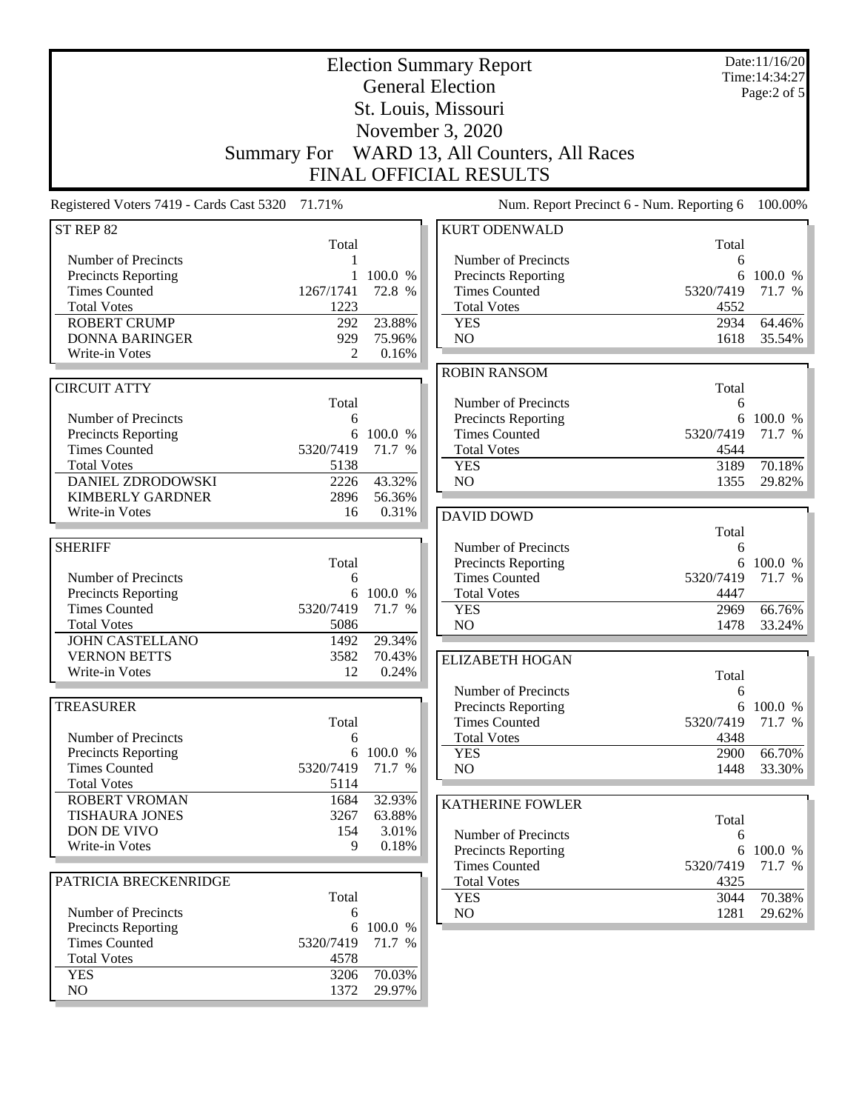|                                                 | <b>Election Summary Report</b><br><b>General Election</b> |                  |                                             |                | Date:11/16/20<br>Time: 14:34:27<br>Page:2 of 5 |  |
|-------------------------------------------------|-----------------------------------------------------------|------------------|---------------------------------------------|----------------|------------------------------------------------|--|
|                                                 |                                                           |                  | St. Louis, Missouri                         |                |                                                |  |
|                                                 | November 3, 2020                                          |                  |                                             |                |                                                |  |
|                                                 | Summary For                                               |                  | WARD 13, All Counters, All Races            |                |                                                |  |
|                                                 |                                                           |                  | <b>FINAL OFFICIAL RESULTS</b>               |                |                                                |  |
| Registered Voters 7419 - Cards Cast 5320 71.71% |                                                           |                  | Num. Report Precinct 6 - Num. Reporting 6   |                | 100.00%                                        |  |
| ST REP 82                                       | Total                                                     |                  | <b>KURT ODENWALD</b>                        | Total          |                                                |  |
| Number of Precincts                             |                                                           |                  | Number of Precincts                         | 6              |                                                |  |
| <b>Precincts Reporting</b>                      | 1                                                         | 100.0 %          | <b>Precincts Reporting</b>                  | 6              | 100.0 %                                        |  |
| <b>Times Counted</b>                            | 1267/1741                                                 | 72.8 %           | <b>Times Counted</b>                        | 5320/7419      | 71.7 %                                         |  |
| <b>Total Votes</b>                              | 1223                                                      |                  | <b>Total Votes</b>                          | 4552           |                                                |  |
| <b>ROBERT CRUMP</b><br><b>DONNA BARINGER</b>    | 292<br>929                                                | 23.88%<br>75.96% | <b>YES</b><br>NO                            | 2934<br>1618   | 64.46%<br>35.54%                               |  |
| Write-in Votes                                  | 2                                                         | 0.16%            |                                             |                |                                                |  |
|                                                 |                                                           |                  | <b>ROBIN RANSOM</b>                         |                |                                                |  |
| <b>CIRCUIT ATTY</b>                             |                                                           |                  |                                             | Total          |                                                |  |
|                                                 | Total                                                     |                  | Number of Precincts                         | 6              |                                                |  |
| Number of Precincts<br>Precincts Reporting      | 6                                                         | 6 100.0 %        | Precincts Reporting<br><b>Times Counted</b> | 6<br>5320/7419 | 100.0 %<br>71.7 %                              |  |
| <b>Times Counted</b>                            | 5320/7419                                                 | 71.7 %           | <b>Total Votes</b>                          | 4544           |                                                |  |
| <b>Total Votes</b>                              | 5138                                                      |                  | <b>YES</b>                                  | 3189           | 70.18%                                         |  |
| <b>DANIEL ZDRODOWSKI</b>                        | 2226                                                      | 43.32%           | NO                                          | 1355           | 29.82%                                         |  |
| <b>KIMBERLY GARDNER</b>                         | 2896                                                      | 56.36%           |                                             |                |                                                |  |
| Write-in Votes                                  | 16                                                        | 0.31%            | <b>DAVID DOWD</b>                           |                |                                                |  |
| <b>SHERIFF</b>                                  |                                                           |                  |                                             | Total          |                                                |  |
|                                                 | Total                                                     |                  | Number of Precincts<br>Precincts Reporting  | 6<br>6         | 100.0 %                                        |  |
| Number of Precincts                             | 6                                                         |                  | <b>Times Counted</b>                        | 5320/7419      | 71.7 %                                         |  |
| <b>Precincts Reporting</b>                      | 6                                                         | 100.0 %          | <b>Total Votes</b>                          | 4447           |                                                |  |
| <b>Times Counted</b>                            | 5320/7419                                                 | 71.7 %           | <b>YES</b>                                  | 2969           | 66.76%                                         |  |
| <b>Total Votes</b>                              | 5086                                                      |                  | NO                                          | 1478           | 33.24%                                         |  |
| <b>JOHN CASTELLANO</b>                          | 1492                                                      | 29.34%           |                                             |                |                                                |  |
| <b>VERNON BETTS</b>                             | 3582<br>12                                                | 70.43%           | <b>ELIZABETH HOGAN</b>                      |                |                                                |  |
| Write-in Votes                                  |                                                           | 0.24%            | Number of Precincts                         | Total          |                                                |  |
| <b>TREASURER</b>                                |                                                           |                  | <b>Precincts Reporting</b>                  | 6              | 6 100.0 %                                      |  |
|                                                 | Total                                                     |                  | <b>Times Counted</b>                        | 5320/7419      | 71.7 %                                         |  |
| Number of Precincts                             | 6                                                         |                  | <b>Total Votes</b>                          | 4348           |                                                |  |
| <b>Precincts Reporting</b>                      | 6                                                         | 100.0 %          | <b>YES</b>                                  | 2900           | 66.70%                                         |  |
| <b>Times Counted</b>                            | 5320/7419                                                 | 71.7 %           | NO                                          | 1448           | 33.30%                                         |  |
| <b>Total Votes</b>                              | 5114                                                      |                  |                                             |                |                                                |  |
| <b>ROBERT VROMAN</b><br><b>TISHAURA JONES</b>   | 1684<br>3267                                              | 32.93%<br>63.88% | <b>KATHERINE FOWLER</b>                     |                |                                                |  |
| DON DE VIVO                                     | 154                                                       | 3.01%            | Number of Precincts                         | Total<br>6     |                                                |  |
| Write-in Votes                                  | 9                                                         | 0.18%            | <b>Precincts Reporting</b>                  | 6              | 100.0 %                                        |  |
|                                                 |                                                           |                  | <b>Times Counted</b>                        | 5320/7419      | 71.7 %                                         |  |
| PATRICIA BRECKENRIDGE                           |                                                           |                  | <b>Total Votes</b>                          | 4325           |                                                |  |
|                                                 | Total                                                     |                  | <b>YES</b>                                  | 3044           | 70.38%                                         |  |
| Number of Precincts                             | 6                                                         | 100.0 %          | NO                                          | 1281           | 29.62%                                         |  |
| Precincts Reporting<br><b>Times Counted</b>     | 6<br>5320/7419                                            | 71.7 %           |                                             |                |                                                |  |
| <b>Total Votes</b>                              | 4578                                                      |                  |                                             |                |                                                |  |
| <b>YES</b>                                      | 3206                                                      | 70.03%           |                                             |                |                                                |  |
| NO                                              | 1372                                                      | 29.97%           |                                             |                |                                                |  |
|                                                 |                                                           |                  |                                             |                |                                                |  |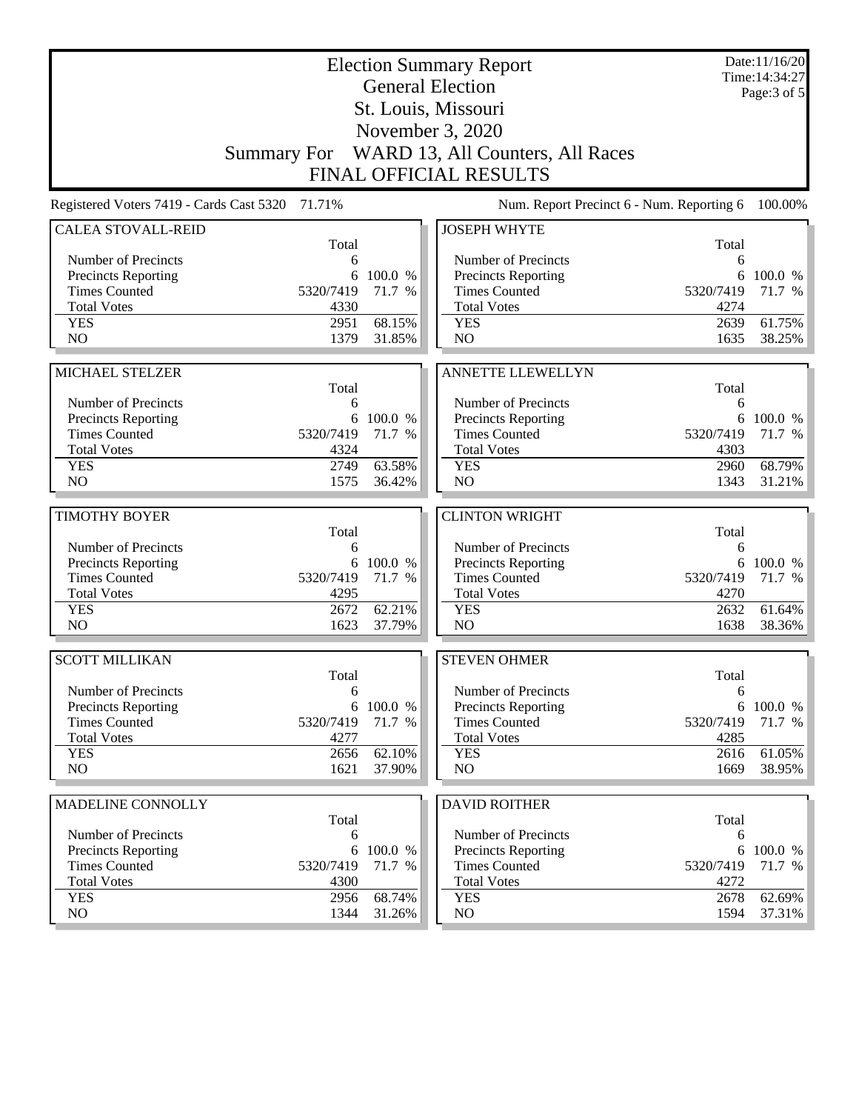|                                                 |              | Date:11/16/20<br>Time: 14:34:27<br>Page: 3 of 5 |                                                |              |                  |
|-------------------------------------------------|--------------|-------------------------------------------------|------------------------------------------------|--------------|------------------|
|                                                 |              |                                                 | <b>General Election</b><br>St. Louis, Missouri |              |                  |
|                                                 |              |                                                 | November 3, 2020                               |              |                  |
|                                                 |              |                                                 | Summary For WARD 13, All Counters, All Races   |              |                  |
|                                                 |              |                                                 | <b>FINAL OFFICIAL RESULTS</b>                  |              |                  |
|                                                 |              |                                                 |                                                |              |                  |
| Registered Voters 7419 - Cards Cast 5320 71.71% |              |                                                 | Num. Report Precinct 6 - Num. Reporting 6      |              | 100.00%          |
| <b>CALEA STOVALL-REID</b>                       | Total        |                                                 | <b>JOSEPH WHYTE</b>                            | Total        |                  |
| Number of Precincts                             | 6            |                                                 | Number of Precincts                            | 6            |                  |
| <b>Precincts Reporting</b>                      | 6            | 100.0 %                                         | <b>Precincts Reporting</b>                     | 6            | 100.0 %          |
| <b>Times Counted</b>                            | 5320/7419    | 71.7 %                                          | <b>Times Counted</b>                           | 5320/7419    | 71.7 %           |
| <b>Total Votes</b>                              | 4330         |                                                 | <b>Total Votes</b>                             | 4274         |                  |
| <b>YES</b>                                      | 2951         | 68.15%                                          | <b>YES</b>                                     | 2639         | 61.75%           |
| N <sub>O</sub>                                  | 1379         | 31.85%                                          | N <sub>O</sub>                                 | 1635         | 38.25%           |
|                                                 |              |                                                 |                                                |              |                  |
| MICHAEL STELZER                                 | Total        |                                                 | <b>ANNETTE LLEWELLYN</b>                       | Total        |                  |
| Number of Precincts                             | 6            |                                                 | Number of Precincts                            | 6            |                  |
| <b>Precincts Reporting</b>                      | 6            | 100.0 %                                         | <b>Precincts Reporting</b>                     | 6            | 100.0 %          |
| <b>Times Counted</b>                            | 5320/7419    | 71.7 %                                          | <b>Times Counted</b>                           | 5320/7419    | 71.7 %           |
| <b>Total Votes</b>                              | 4324         |                                                 | <b>Total Votes</b>                             | 4303         |                  |
| <b>YES</b>                                      | 2749         | 63.58%                                          | <b>YES</b>                                     | 2960         | 68.79%           |
| NO                                              | 1575         | 36.42%                                          | NO                                             | 1343         | 31.21%           |
|                                                 |              |                                                 |                                                |              |                  |
| <b>TIMOTHY BOYER</b>                            | Total        |                                                 | <b>CLINTON WRIGHT</b>                          | Total        |                  |
| Number of Precincts                             | 6            |                                                 | Number of Precincts                            | 6            |                  |
| <b>Precincts Reporting</b>                      | 6            | 100.0 %                                         | Precincts Reporting                            | 6            | 100.0 %          |
| <b>Times Counted</b>                            | 5320/7419    | 71.7 %                                          | <b>Times Counted</b>                           | 5320/7419    | 71.7 %           |
| <b>Total Votes</b>                              | 4295         |                                                 | <b>Total Votes</b>                             | 4270         |                  |
| <b>YES</b>                                      | 2672         | 62.21%                                          | <b>YES</b>                                     | 2632         | 61.64%           |
| N <sub>O</sub>                                  | 1623         | 37.79%                                          | NO                                             | 1638         | 38.36%           |
| <b>SCOTT MILLIKAN</b>                           |              |                                                 | <b>STEVEN OHMER</b>                            |              |                  |
|                                                 | Total        |                                                 |                                                | Total        |                  |
| Number of Precincts                             | 6            |                                                 | Number of Precincts                            | 6            |                  |
| <b>Precincts Reporting</b>                      |              | 6 100.0 %                                       | Precincts Reporting                            | 6            | 100.0 %          |
| <b>Times Counted</b>                            | 5320/7419    | 71.7 %                                          | <b>Times Counted</b>                           | 5320/7419    | 71.7 %           |
| <b>Total Votes</b>                              | 4277         |                                                 | <b>Total Votes</b>                             | 4285         |                  |
| <b>YES</b><br>NO                                | 2656<br>1621 | 62.10%<br>37.90%                                | <b>YES</b><br>NO                               | 2616<br>1669 | 61.05%<br>38.95% |
|                                                 |              |                                                 |                                                |              |                  |
| MADELINE CONNOLLY                               |              |                                                 | <b>DAVID ROITHER</b>                           |              |                  |
|                                                 | Total        |                                                 |                                                | Total        |                  |
| Number of Precincts                             | 6            |                                                 | Number of Precincts                            | 6            |                  |
| Precincts Reporting                             | 6            | 100.0 %                                         | <b>Precincts Reporting</b>                     | 6            | 100.0 %          |
| <b>Times Counted</b>                            |              | 71.7 %                                          | <b>Times Counted</b>                           | 5320/7419    | 71.7 %           |
|                                                 | 5320/7419    |                                                 |                                                |              |                  |
| <b>Total Votes</b>                              | 4300         |                                                 | <b>Total Votes</b>                             | 4272         |                  |
| <b>YES</b><br>NO.                               | 2956<br>1344 | 68.74%<br>31.26%                                | <b>YES</b><br>NO                               | 2678<br>1594 | 62.69%<br>37.31% |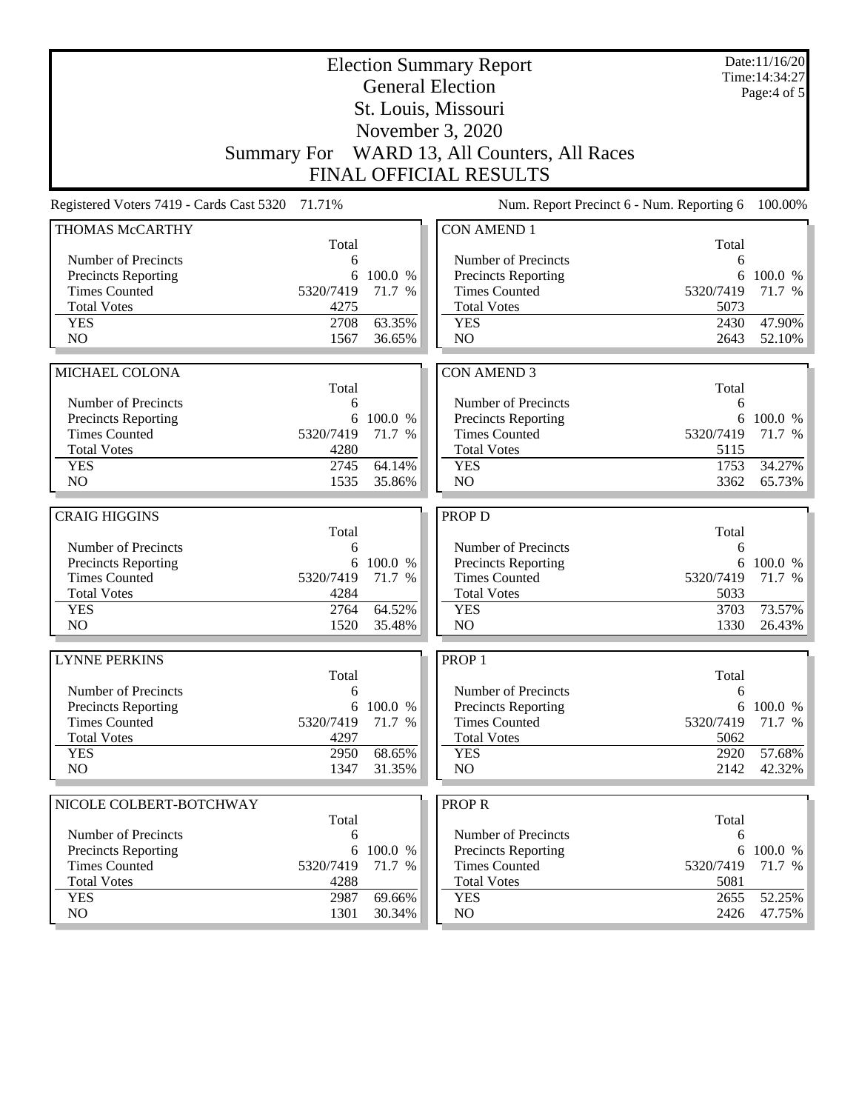| <b>General Election</b><br>St. Louis, Missouri                                                                                      |                   | Date:11/16/20<br>Time: 14:34:27<br>Page:4 of 5 |  |  |  |  |
|-------------------------------------------------------------------------------------------------------------------------------------|-------------------|------------------------------------------------|--|--|--|--|
| November 3, 2020                                                                                                                    |                   |                                                |  |  |  |  |
| Summary For WARD 13, All Counters, All Races                                                                                        |                   |                                                |  |  |  |  |
| <b>FINAL OFFICIAL RESULTS</b>                                                                                                       |                   |                                                |  |  |  |  |
| Registered Voters 7419 - Cards Cast 5320 71.71%<br>Num. Report Precinct 6 - Num. Reporting 6                                        |                   |                                                |  |  |  |  |
| <b>CON AMEND 1</b><br>THOMAS McCARTHY<br>Total                                                                                      | Total             |                                                |  |  |  |  |
| Number of Precincts<br>Number of Precincts<br>6                                                                                     | 6                 |                                                |  |  |  |  |
| <b>Precincts Reporting</b><br>6<br>100.0 %<br>Precincts Reporting                                                                   | 6                 | 100.0 %                                        |  |  |  |  |
| <b>Times Counted</b><br>5320/7419<br><b>Times Counted</b><br>71.7 %                                                                 | 5320/7419         | 71.7 %                                         |  |  |  |  |
| <b>Total Votes</b><br>4275<br><b>Total Votes</b>                                                                                    | 5073              |                                                |  |  |  |  |
| 63.35%<br>2708<br><b>YES</b><br><b>YES</b>                                                                                          | 2430              | 47.90%                                         |  |  |  |  |
| N <sub>O</sub><br>N <sub>O</sub><br>1567<br>36.65%                                                                                  | 2643              | 52.10%                                         |  |  |  |  |
|                                                                                                                                     |                   |                                                |  |  |  |  |
| <b>MICHAEL COLONA</b><br><b>CON AMEND 3</b>                                                                                         |                   |                                                |  |  |  |  |
| Total<br>Number of Precincts                                                                                                        | Total             |                                                |  |  |  |  |
| Number of Precincts<br>6<br><b>Precincts Reporting</b><br>6<br>100.0 %<br>Precincts Reporting                                       | 6<br>6            | 100.0 %                                        |  |  |  |  |
| <b>Times Counted</b><br>5320/7419<br><b>Times Counted</b><br>71.7 %                                                                 | 5320/7419         | 71.7 %                                         |  |  |  |  |
| <b>Total Votes</b><br>4280<br><b>Total Votes</b>                                                                                    | 5115              |                                                |  |  |  |  |
| <b>YES</b><br>2745<br>64.14%<br><b>YES</b>                                                                                          | 1753              | 34.27%                                         |  |  |  |  |
| N <sub>O</sub><br>1535<br>35.86%<br>N <sub>O</sub>                                                                                  | 3362              | 65.73%                                         |  |  |  |  |
|                                                                                                                                     |                   |                                                |  |  |  |  |
| <b>CRAIG HIGGINS</b><br>PROP D                                                                                                      |                   |                                                |  |  |  |  |
| Total<br>Number of Precincts<br>Number of Precincts<br>6                                                                            | Total<br>6        |                                                |  |  |  |  |
| Precincts Reporting<br>100.0 %<br>Precincts Reporting<br>6                                                                          | 6                 | 100.0 %                                        |  |  |  |  |
| <b>Times Counted</b><br>5320/7419<br>71.7 %<br><b>Times Counted</b>                                                                 | 5320/7419         |                                                |  |  |  |  |
|                                                                                                                                     |                   |                                                |  |  |  |  |
|                                                                                                                                     |                   | 71.7 %                                         |  |  |  |  |
| <b>Total Votes</b><br>4284<br><b>Total Votes</b>                                                                                    | 5033              |                                                |  |  |  |  |
| <b>YES</b><br>2764<br>64.52%<br><b>YES</b><br>NO<br>NO<br>1520<br>35.48%                                                            | 3703<br>1330      | 73.57%<br>26.43%                               |  |  |  |  |
|                                                                                                                                     |                   |                                                |  |  |  |  |
| <b>LYNNE PERKINS</b><br>PROP <sub>1</sub>                                                                                           |                   |                                                |  |  |  |  |
| Total                                                                                                                               | Total             |                                                |  |  |  |  |
| Number of Precincts<br>Number of Precincts<br>6                                                                                     | 6                 |                                                |  |  |  |  |
| <b>Precincts Reporting</b><br>6 100.0 %<br>Precincts Reporting                                                                      | 6                 | 100.0 %                                        |  |  |  |  |
| <b>Times Counted</b><br>71.7 %<br><b>Times Counted</b><br>5320/7419<br><b>Total Votes</b><br>4297                                   | 5320/7419<br>5062 | 71.7 %                                         |  |  |  |  |
| <b>Total Votes</b><br>68.65%<br><b>YES</b><br>2950<br><b>YES</b>                                                                    | 2920              | 57.68%                                         |  |  |  |  |
| NO<br>NO<br>1347<br>31.35%                                                                                                          | 2142              | 42.32%                                         |  |  |  |  |
|                                                                                                                                     |                   |                                                |  |  |  |  |
| <b>PROPR</b><br>NICOLE COLBERT-BOTCHWAY                                                                                             |                   |                                                |  |  |  |  |
| Total                                                                                                                               | Total             |                                                |  |  |  |  |
| Number of Precincts<br>Number of Precincts<br>6<br>6                                                                                | 6<br>6            |                                                |  |  |  |  |
| Precincts Reporting<br><b>Precincts Reporting</b><br>100.0 %<br><b>Times Counted</b><br><b>Times Counted</b><br>5320/7419<br>71.7 % | 5320/7419         | 100.0 %<br>71.7 %                              |  |  |  |  |
| <b>Total Votes</b><br>4288<br><b>Total Votes</b>                                                                                    | 5081              |                                                |  |  |  |  |
| <b>YES</b><br>2987<br>69.66%<br><b>YES</b><br>NO<br>$\rm NO$                                                                        | 2655              | 52.25%                                         |  |  |  |  |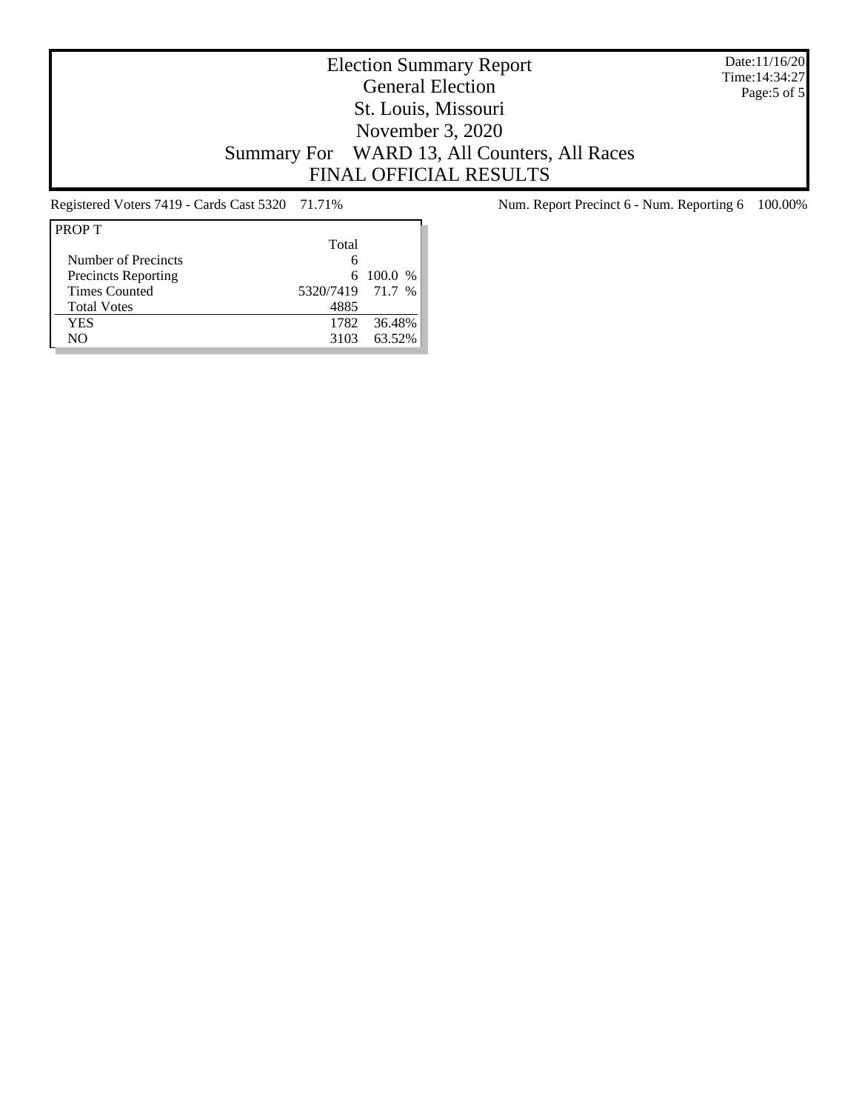Date:11/16/20 Time:14:34:27 Page:5 of 5

# Election Summary Report General Election St. Louis, Missouri November 3, 2020 Summary For WARD 13, All Counters, All Races FINAL OFFICIAL RESULTS

| <b>PROPT</b>               |                  |                 |
|----------------------------|------------------|-----------------|
|                            | Total            |                 |
| Number of Precincts        |                  |                 |
| <b>Precincts Reporting</b> |                  | $6\quad100.0\%$ |
| <b>Times Counted</b>       | 5320/7419 71.7 % |                 |
| <b>Total Votes</b>         | 4885             |                 |
| YES                        | 1782             | 36.48%          |
| NΟ                         | 3103             | 63.52%          |
|                            |                  |                 |

Registered Voters 7419 - Cards Cast 5320 71.71% Num. Report Precinct 6 - Num. Reporting 6 100.00%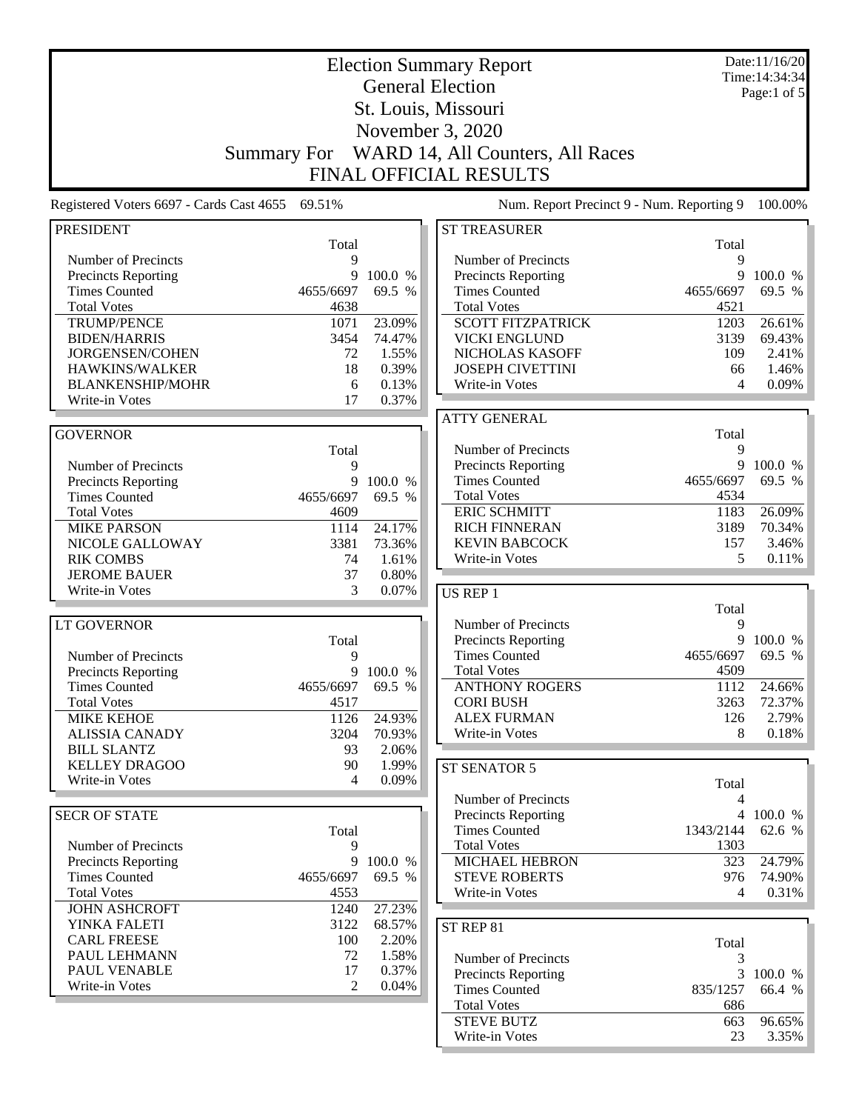|                                                    |                    | <b>Election Summary Report</b> |                                             |            |                               |  |
|----------------------------------------------------|--------------------|--------------------------------|---------------------------------------------|------------|-------------------------------|--|
|                                                    |                    |                                | <b>General Election</b>                     |            | Time: 14:34:34<br>Page:1 of 5 |  |
|                                                    |                    |                                | St. Louis, Missouri                         |            |                               |  |
|                                                    |                    |                                | November 3, 2020                            |            |                               |  |
|                                                    |                    |                                |                                             |            |                               |  |
|                                                    | <b>Summary For</b> |                                | WARD 14, All Counters, All Races            |            |                               |  |
|                                                    |                    |                                | <b>FINAL OFFICIAL RESULTS</b>               |            |                               |  |
| Registered Voters 6697 - Cards Cast 4655           | 69.51%             |                                | Num. Report Precinct 9 - Num. Reporting 9   |            | 100.00%                       |  |
| <b>PRESIDENT</b>                                   |                    |                                | <b>ST TREASURER</b>                         |            |                               |  |
| Number of Precincts                                | Total<br>9         |                                | Number of Precincts                         | Total<br>9 |                               |  |
| <b>Precincts Reporting</b>                         | 9                  | 100.0 %                        | Precincts Reporting                         | 9          | 100.0 %                       |  |
| <b>Times Counted</b>                               | 4655/6697          | 69.5 %                         | <b>Times Counted</b>                        | 4655/6697  | 69.5 %                        |  |
| <b>Total Votes</b>                                 | 4638               |                                | <b>Total Votes</b>                          | 4521       |                               |  |
| <b>TRUMP/PENCE</b>                                 | 1071               | 23.09%                         | <b>SCOTT FITZPATRICK</b>                    | 1203       | 26.61%                        |  |
| <b>BIDEN/HARRIS</b>                                | 3454               | 74.47%                         | <b>VICKI ENGLUND</b>                        | 3139       | 69.43%                        |  |
| JORGENSEN/COHEN                                    | 72                 | 1.55%                          | NICHOLAS KASOFF                             | 109        | 2.41%                         |  |
| HAWKINS/WALKER                                     | 18                 | 0.39%                          | <b>JOSEPH CIVETTINI</b>                     | 66         | 1.46%                         |  |
| <b>BLANKENSHIP/MOHR</b>                            | 6                  | 0.13%                          | Write-in Votes                              | 4          | 0.09%                         |  |
| Write-in Votes                                     | 17                 | 0.37%                          |                                             |            |                               |  |
|                                                    |                    |                                | <b>ATTY GENERAL</b>                         |            |                               |  |
| <b>GOVERNOR</b>                                    |                    |                                |                                             | Total      |                               |  |
|                                                    | Total              |                                | Number of Precincts                         | 9<br>9     | 100.0 %                       |  |
| Number of Precincts                                | 9<br>9             | 100.0 %                        | Precincts Reporting<br><b>Times Counted</b> | 4655/6697  | 69.5 %                        |  |
| <b>Precincts Reporting</b><br><b>Times Counted</b> | 4655/6697          | 69.5 %                         | <b>Total Votes</b>                          | 4534       |                               |  |
| <b>Total Votes</b>                                 | 4609               |                                | <b>ERIC SCHMITT</b>                         | 1183       | 26.09%                        |  |
| <b>MIKE PARSON</b>                                 | 1114               | 24.17%                         | <b>RICH FINNERAN</b>                        | 3189       | 70.34%                        |  |
| NICOLE GALLOWAY                                    | 3381               | 73.36%                         | <b>KEVIN BABCOCK</b>                        | 157        | 3.46%                         |  |
| <b>RIK COMBS</b>                                   | 74                 | 1.61%                          | Write-in Votes                              | 5          | 0.11%                         |  |
| <b>JEROME BAUER</b>                                | 37                 | 0.80%                          |                                             |            |                               |  |
| Write-in Votes                                     | 3                  | 0.07%                          | US REP 1                                    |            |                               |  |
|                                                    |                    |                                |                                             | Total      |                               |  |
| <b>LT GOVERNOR</b>                                 |                    |                                | Number of Precincts                         | 9          |                               |  |
|                                                    | Total              |                                | Precincts Reporting                         | 9          | 100.0 %                       |  |
| Number of Precincts                                | 9                  |                                | <b>Times Counted</b>                        | 4655/6697  | 69.5 %                        |  |
| <b>Precincts Reporting</b>                         | 9                  | 100.0 %                        | <b>Total Votes</b>                          | 4509       |                               |  |
| <b>Times Counted</b>                               | 4655/6697          | 69.5 %                         | <b>ANTHONY ROGERS</b>                       | 1112       | 24.66%                        |  |
| <b>Total Votes</b>                                 | 4517               |                                | <b>CORI BUSH</b>                            | 3263       | 72.37%                        |  |
| <b>MIKE KEHOE</b>                                  | 1126               | 24.93%                         | <b>ALEX FURMAN</b>                          | 126        | 2.79%                         |  |
| <b>ALISSIA CANADY</b>                              | 3204               | 70.93%                         | Write-in Votes                              | 8          | 0.18%                         |  |
| <b>BILL SLANTZ</b><br><b>KELLEY DRAGOO</b>         | 93<br>90           | 2.06%<br>1.99%                 |                                             |            |                               |  |
| Write-in Votes                                     | 4                  | 0.09%                          | ST SENATOR 5                                |            |                               |  |
|                                                    |                    |                                | Number of Precincts                         | Total<br>4 |                               |  |
| <b>SECR OF STATE</b>                               |                    |                                | Precincts Reporting                         |            | 4 100.0 %                     |  |
|                                                    | Total              |                                | <b>Times Counted</b>                        | 1343/2144  | 62.6 %                        |  |
| Number of Precincts                                | 9                  |                                | <b>Total Votes</b>                          | 1303       |                               |  |
| <b>Precincts Reporting</b>                         | 9                  | 100.0 %                        | <b>MICHAEL HEBRON</b>                       | 323        | 24.79%                        |  |
| <b>Times Counted</b>                               | 4655/6697          | 69.5 %                         | <b>STEVE ROBERTS</b>                        | 976        | 74.90%                        |  |
| <b>Total Votes</b>                                 | 4553               |                                | Write-in Votes                              | 4          | 0.31%                         |  |
| <b>JOHN ASHCROFT</b>                               | 1240               | 27.23%                         |                                             |            |                               |  |
| YINKA FALETI                                       | 3122               | 68.57%                         | ST REP 81                                   |            |                               |  |
| <b>CARL FREESE</b>                                 | 100                | 2.20%                          |                                             | Total      |                               |  |
| PAUL LEHMANN                                       | 72                 | 1.58%                          | Number of Precincts                         | 3          |                               |  |
| PAUL VENABLE                                       | 17                 | 0.37%                          | <b>Precincts Reporting</b>                  | 3          | 100.0 %                       |  |
| Write-in Votes                                     | $\overline{2}$     | 0.04%                          | <b>Times Counted</b>                        | 835/1257   | 66.4 %                        |  |
|                                                    |                    |                                | <b>Total Votes</b>                          | 686        |                               |  |
|                                                    |                    |                                | <b>STEVE BUTZ</b>                           | 663        | 96.65%                        |  |
|                                                    |                    |                                | Write-in Votes                              | 23         | $3.35\%$                      |  |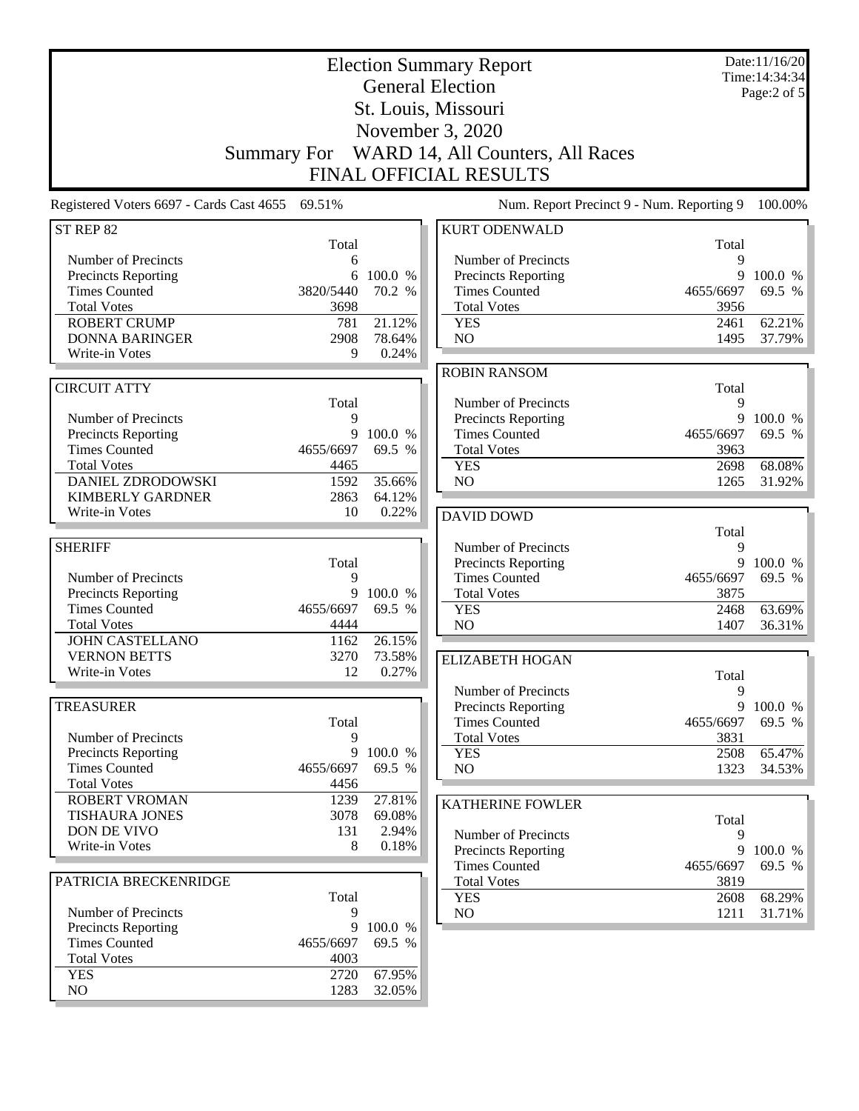|                                                    | <b>Election Summary Report</b><br><b>General Election</b><br>St. Louis, Missouri<br>November 3, 2020<br>WARD 14, All Counters, All Races<br><b>Summary For</b> |                   | Date:11/16/20<br>Time: 14:34:34<br>Page:2 of 5                             |                   |                   |
|----------------------------------------------------|----------------------------------------------------------------------------------------------------------------------------------------------------------------|-------------------|----------------------------------------------------------------------------|-------------------|-------------------|
| Registered Voters 6697 - Cards Cast 4655 69.51%    |                                                                                                                                                                |                   | <b>FINAL OFFICIAL RESULTS</b><br>Num. Report Precinct 9 - Num. Reporting 9 |                   | 100.00%           |
| ST REP 82                                          |                                                                                                                                                                |                   | <b>KURT ODENWALD</b>                                                       |                   |                   |
|                                                    | Total                                                                                                                                                          |                   |                                                                            | Total             |                   |
| Number of Precincts                                | 6                                                                                                                                                              |                   | Number of Precincts                                                        | 9                 |                   |
| <b>Precincts Reporting</b><br><b>Times Counted</b> | 6<br>3820/5440                                                                                                                                                 | 100.0 %<br>70.2 % | <b>Precincts Reporting</b><br><b>Times Counted</b>                         | 9<br>4655/6697    | 100.0 %           |
| <b>Total Votes</b>                                 | 3698                                                                                                                                                           |                   | <b>Total Votes</b>                                                         | 3956              | 69.5 %            |
| <b>ROBERT CRUMP</b>                                | 781                                                                                                                                                            | 21.12%            | <b>YES</b>                                                                 | 2461              | 62.21%            |
| <b>DONNA BARINGER</b>                              | 2908                                                                                                                                                           | 78.64%            | NO                                                                         | 1495              | 37.79%            |
| Write-in Votes                                     | 9                                                                                                                                                              | 0.24%             |                                                                            |                   |                   |
|                                                    |                                                                                                                                                                |                   | <b>ROBIN RANSOM</b>                                                        |                   |                   |
| <b>CIRCUIT ATTY</b>                                |                                                                                                                                                                |                   |                                                                            | Total             |                   |
|                                                    | Total                                                                                                                                                          |                   | Number of Precincts                                                        | 9                 |                   |
| Number of Precincts<br>Precincts Reporting         | 9<br>9                                                                                                                                                         | 100.0 %           | <b>Precincts Reporting</b><br><b>Times Counted</b>                         | 9<br>4655/6697    | 100.0 %<br>69.5 % |
| <b>Times Counted</b>                               | 4655/6697                                                                                                                                                      | 69.5 %            | <b>Total Votes</b>                                                         | 3963              |                   |
| <b>Total Votes</b>                                 | 4465                                                                                                                                                           |                   | <b>YES</b>                                                                 | 2698              | 68.08%            |
| DANIEL ZDRODOWSKI                                  | 1592                                                                                                                                                           | 35.66%            | NO                                                                         | 1265              | 31.92%            |
| <b>KIMBERLY GARDNER</b>                            | 2863                                                                                                                                                           | 64.12%            |                                                                            |                   |                   |
| Write-in Votes                                     | 10                                                                                                                                                             | 0.22%             | <b>DAVID DOWD</b>                                                          |                   |                   |
|                                                    |                                                                                                                                                                |                   |                                                                            | Total             |                   |
| <b>SHERIFF</b>                                     |                                                                                                                                                                |                   | Number of Precincts                                                        | 9<br>9            |                   |
| Number of Precincts                                | Total<br>9                                                                                                                                                     |                   | <b>Precincts Reporting</b><br><b>Times Counted</b>                         | 4655/6697         | 100.0 %<br>69.5 % |
| <b>Precincts Reporting</b>                         | 9                                                                                                                                                              | 100.0 %           | <b>Total Votes</b>                                                         | 3875              |                   |
| <b>Times Counted</b>                               | 4655/6697                                                                                                                                                      | 69.5 %            | <b>YES</b>                                                                 | 2468              | 63.69%            |
| <b>Total Votes</b>                                 | 4444                                                                                                                                                           |                   | N <sub>O</sub>                                                             | 1407              | 36.31%            |
| <b>JOHN CASTELLANO</b>                             | 1162                                                                                                                                                           | 26.15%            |                                                                            |                   |                   |
| <b>VERNON BETTS</b>                                | 3270                                                                                                                                                           | 73.58%            | <b>ELIZABETH HOGAN</b>                                                     |                   |                   |
| Write-in Votes                                     | 12                                                                                                                                                             | 0.27%             |                                                                            | Total             |                   |
|                                                    |                                                                                                                                                                |                   | Number of Precincts                                                        | 9                 |                   |
| <b>TREASURER</b>                                   |                                                                                                                                                                |                   | <b>Precincts Reporting</b>                                                 | 9                 | 100.0 %           |
| Number of Precincts                                | Total<br>9                                                                                                                                                     |                   | <b>Times Counted</b><br><b>Total Votes</b>                                 | 4655/6697<br>3831 | 69.5 %            |
| <b>Precincts Reporting</b>                         | 9                                                                                                                                                              | 100.0 %           | <b>YES</b>                                                                 | 2508              | 65.47%            |
| <b>Times Counted</b>                               | 4655/6697                                                                                                                                                      | 69.5 %            | NO                                                                         | 1323              | 34.53%            |
| <b>Total Votes</b>                                 | 4456                                                                                                                                                           |                   |                                                                            |                   |                   |
| <b>ROBERT VROMAN</b>                               | 1239                                                                                                                                                           | 27.81%            | <b>KATHERINE FOWLER</b>                                                    |                   |                   |
| <b>TISHAURA JONES</b>                              | 3078                                                                                                                                                           | 69.08%            |                                                                            | Total             |                   |
| DON DE VIVO                                        | 131                                                                                                                                                            | 2.94%             | Number of Precincts                                                        | 9                 |                   |
| Write-in Votes                                     | 8                                                                                                                                                              | 0.18%             | <b>Precincts Reporting</b>                                                 | 9                 | 100.0 %           |
|                                                    |                                                                                                                                                                |                   | <b>Times Counted</b>                                                       | 4655/6697         | 69.5 %            |
| PATRICIA BRECKENRIDGE                              | Total                                                                                                                                                          |                   | <b>Total Votes</b><br><b>YES</b>                                           | 3819<br>2608      | 68.29%            |
| Number of Precincts                                | 9                                                                                                                                                              |                   | NO                                                                         | 1211              | 31.71%            |
| Precincts Reporting                                | 9                                                                                                                                                              | 100.0 %           |                                                                            |                   |                   |
| <b>Times Counted</b>                               | 4655/6697                                                                                                                                                      | 69.5 %            |                                                                            |                   |                   |
| <b>Total Votes</b>                                 | 4003                                                                                                                                                           |                   |                                                                            |                   |                   |
| <b>YES</b>                                         | 2720                                                                                                                                                           | 67.95%            |                                                                            |                   |                   |
| NO                                                 | 1283                                                                                                                                                           | 32.05%            |                                                                            |                   |                   |
|                                                    |                                                                                                                                                                |                   |                                                                            |                   |                   |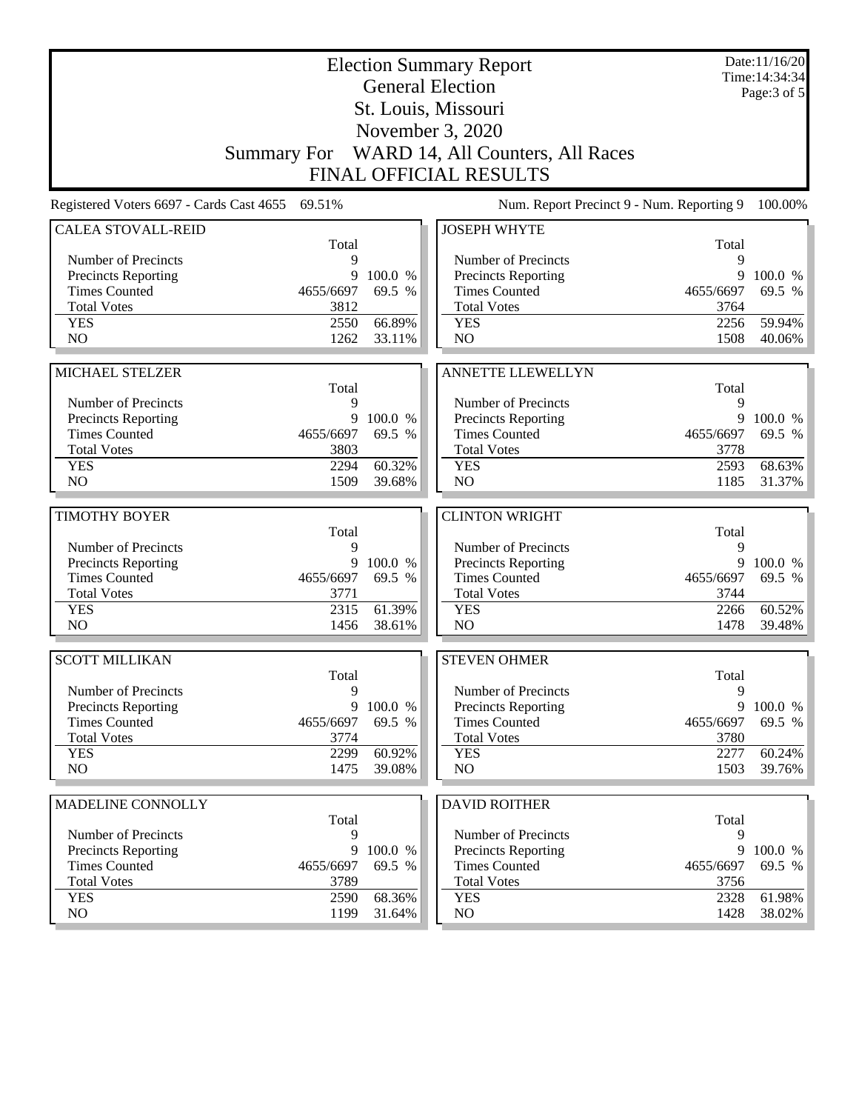|                                                    | <b>Election Summary Report</b><br><b>General Election</b> |         | Date:11/16/20<br>Time: 14:34:34                    |              |                   |  |  |
|----------------------------------------------------|-----------------------------------------------------------|---------|----------------------------------------------------|--------------|-------------------|--|--|
|                                                    |                                                           |         |                                                    |              | Page: $3$ of $5$  |  |  |
|                                                    |                                                           |         | St. Louis, Missouri                                |              |                   |  |  |
|                                                    |                                                           |         | November 3, 2020                                   |              |                   |  |  |
|                                                    |                                                           |         | Summary For WARD 14, All Counters, All Races       |              |                   |  |  |
| <b>FINAL OFFICIAL RESULTS</b>                      |                                                           |         |                                                    |              |                   |  |  |
| Registered Voters 6697 - Cards Cast 4655 69.51%    |                                                           |         | Num. Report Precinct 9 - Num. Reporting 9          |              | 100.00%           |  |  |
| <b>CALEA STOVALL-REID</b>                          |                                                           |         | <b>JOSEPH WHYTE</b>                                |              |                   |  |  |
| Number of Precincts                                | Total<br>9                                                |         | Number of Precincts                                | Total<br>9   |                   |  |  |
| <b>Precincts Reporting</b>                         | 9                                                         | 100.0 % | Precincts Reporting                                | 9            | 100.0 %           |  |  |
| <b>Times Counted</b>                               | 4655/6697                                                 | 69.5 %  | <b>Times Counted</b>                               | 4655/6697    | 69.5 %            |  |  |
| <b>Total Votes</b>                                 | 3812                                                      |         | <b>Total Votes</b>                                 | 3764         |                   |  |  |
| <b>YES</b>                                         | 2550                                                      | 66.89%  | <b>YES</b>                                         | 2256         | 59.94%            |  |  |
| N <sub>O</sub>                                     | 1262                                                      | 33.11%  | NO                                                 | 1508         | 40.06%            |  |  |
|                                                    |                                                           |         |                                                    |              |                   |  |  |
| MICHAEL STELZER                                    |                                                           |         | <b>ANNETTE LLEWELLYN</b>                           |              |                   |  |  |
| Number of Precincts                                | Total                                                     |         |                                                    | Total        |                   |  |  |
| <b>Precincts Reporting</b>                         | 9<br>9                                                    | 100.0 % | Number of Precincts<br>Precincts Reporting         | 9<br>9       | 100.0 %           |  |  |
| <b>Times Counted</b>                               | 4655/6697                                                 | 69.5 %  | <b>Times Counted</b>                               | 4655/6697    | 69.5 %            |  |  |
| <b>Total Votes</b>                                 | 3803                                                      |         | <b>Total Votes</b>                                 | 3778         |                   |  |  |
| <b>YES</b>                                         | 2294                                                      | 60.32%  | <b>YES</b>                                         | 2593         | 68.63%            |  |  |
| N <sub>O</sub>                                     | 1509                                                      | 39.68%  | NO                                                 | 1185         | 31.37%            |  |  |
|                                                    |                                                           |         |                                                    |              |                   |  |  |
| <b>TIMOTHY BOYER</b>                               | Total                                                     |         | <b>CLINTON WRIGHT</b>                              | Total        |                   |  |  |
| Number of Precincts                                | 9                                                         |         | Number of Precincts                                | 9            |                   |  |  |
| <b>Precincts Reporting</b>                         | 9                                                         | 100.0 % | Precincts Reporting                                | 9            | 100.0 %           |  |  |
| <b>Times Counted</b>                               | 4655/6697                                                 | 69.5 %  | <b>Times Counted</b>                               | 4655/6697    | 69.5 %            |  |  |
| <b>Total Votes</b>                                 | 3771                                                      |         | <b>Total Votes</b>                                 | 3744         |                   |  |  |
| <b>YES</b>                                         | 2315                                                      | 61.39%  | <b>YES</b>                                         | 2266         | 60.52%            |  |  |
| N <sub>O</sub>                                     | 1456                                                      | 38.61%  | N <sub>O</sub>                                     | 1478         | 39.48%            |  |  |
| <b>SCOTT MILLIKAN</b>                              |                                                           |         | <b>STEVEN OHMER</b>                                |              |                   |  |  |
|                                                    | Total                                                     |         |                                                    | Total        |                   |  |  |
| Number of Precincts                                | 9                                                         |         | Number of Precincts                                | 9            |                   |  |  |
| <b>Precincts Reporting</b>                         | 9                                                         | 100.0 % | Precincts Reporting                                | 9            | 100.0 %           |  |  |
| <b>Times Counted</b><br><b>Total Votes</b>         | 4655/6697<br>3774                                         | 69.5 %  | <b>Times Counted</b><br><b>Total Votes</b>         | 4655/6697    | 69.5 %            |  |  |
| <b>YES</b>                                         | 2299                                                      | 60.92%  | <b>YES</b>                                         | 3780<br>2277 | 60.24%            |  |  |
| NO.                                                | 1475                                                      | 39.08%  | NO                                                 | 1503         | 39.76%            |  |  |
|                                                    |                                                           |         |                                                    |              |                   |  |  |
| MADELINE CONNOLLY                                  |                                                           |         | <b>DAVID ROITHER</b>                               |              |                   |  |  |
|                                                    | Total                                                     |         |                                                    | Total        |                   |  |  |
| Number of Precincts                                | 9<br>9                                                    | 100.0 % | Number of Precincts                                | 9<br>9       |                   |  |  |
| <b>Precincts Reporting</b><br><b>Times Counted</b> | 4655/6697                                                 | 69.5 %  | <b>Precincts Reporting</b><br><b>Times Counted</b> | 4655/6697    | 100.0 %<br>69.5 % |  |  |
| <b>Total Votes</b>                                 | 3789                                                      |         | <b>Total Votes</b>                                 | 3756         |                   |  |  |
| <b>YES</b>                                         | 2590                                                      | 68.36%  | <b>YES</b>                                         | 2328         | 61.98%            |  |  |
| NO                                                 | 1199                                                      | 31.64%  | NO                                                 | 1428         | 38.02%            |  |  |
|                                                    |                                                           |         |                                                    |              |                   |  |  |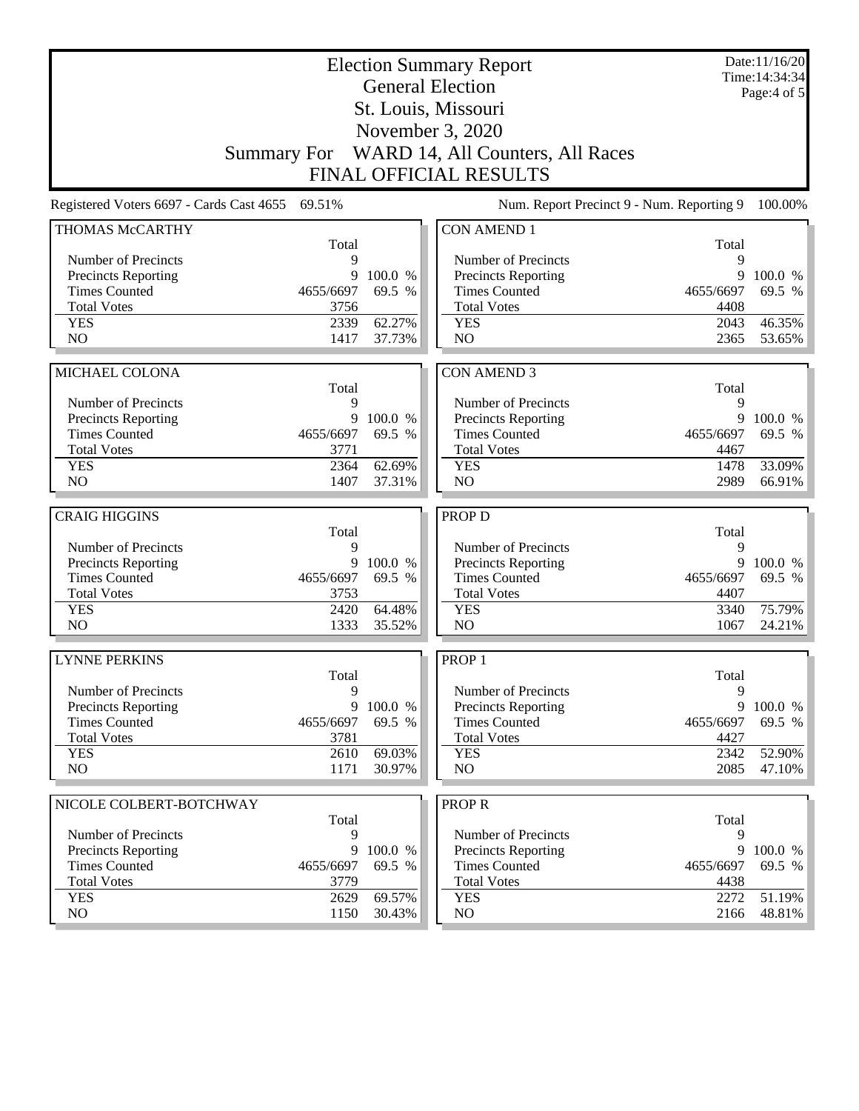|                            | <b>Election Summary Report</b><br><b>General Election</b>                                               |         | Date:11/16/20<br>Time: 14:34:34<br>Page: $4$ of $5$ |              |         |
|----------------------------|---------------------------------------------------------------------------------------------------------|---------|-----------------------------------------------------|--------------|---------|
|                            |                                                                                                         |         | St. Louis, Missouri                                 |              |         |
|                            |                                                                                                         |         | November 3, 2020                                    |              |         |
|                            |                                                                                                         |         | Summary For WARD 14, All Counters, All Races        |              |         |
|                            |                                                                                                         |         | <b>FINAL OFFICIAL RESULTS</b>                       |              |         |
|                            | Registered Voters 6697 - Cards Cast 4655 69.51%<br>Num. Report Precinct 9 - Num. Reporting 9<br>100.00% |         |                                                     |              |         |
| THOMAS McCARTHY            |                                                                                                         |         | <b>CON AMEND 1</b>                                  |              |         |
| Number of Precincts        | Total<br>9                                                                                              |         | Number of Precincts                                 | Total<br>9   |         |
| <b>Precincts Reporting</b> | 9                                                                                                       | 100.0 % | <b>Precincts Reporting</b>                          | 9            | 100.0 % |
| <b>Times Counted</b>       | 4655/6697                                                                                               | 69.5 %  | <b>Times Counted</b>                                | 4655/6697    | 69.5 %  |
| <b>Total Votes</b>         | 3756                                                                                                    |         | <b>Total Votes</b>                                  | 4408         |         |
| <b>YES</b>                 | 2339                                                                                                    | 62.27%  | <b>YES</b>                                          | 2043         | 46.35%  |
| NO                         | 1417                                                                                                    | 37.73%  | NO                                                  | 2365         | 53.65%  |
|                            |                                                                                                         |         |                                                     |              |         |
| MICHAEL COLONA             | Total                                                                                                   |         | <b>CON AMEND 3</b>                                  |              |         |
| Number of Precincts        | 9                                                                                                       |         | Number of Precincts                                 | Total<br>9   |         |
| <b>Precincts Reporting</b> | 9                                                                                                       | 100.0 % | Precincts Reporting                                 | 9            | 100.0 % |
| <b>Times Counted</b>       | 4655/6697                                                                                               | 69.5 %  | <b>Times Counted</b>                                | 4655/6697    | 69.5 %  |
| <b>Total Votes</b>         | 3771                                                                                                    |         | <b>Total Votes</b>                                  | 4467         |         |
| <b>YES</b>                 | 2364                                                                                                    | 62.69%  | <b>YES</b>                                          | 1478         | 33.09%  |
| NO                         | 1407                                                                                                    | 37.31%  | N <sub>O</sub>                                      | 2989         | 66.91%  |
|                            |                                                                                                         |         |                                                     |              |         |
| <b>CRAIG HIGGINS</b>       | Total                                                                                                   |         | <b>PROP D</b>                                       | Total        |         |
| Number of Precincts        | 9                                                                                                       |         | Number of Precincts                                 | 9            |         |
| <b>Precincts Reporting</b> | 9                                                                                                       | 100.0 % | Precincts Reporting                                 | 9            | 100.0 % |
| <b>Times Counted</b>       | 4655/6697                                                                                               | 69.5 %  | <b>Times Counted</b>                                | 4655/6697    | 69.5 %  |
| <b>Total Votes</b>         | 3753                                                                                                    |         | <b>Total Votes</b>                                  | 4407         |         |
| <b>YES</b>                 | 2420                                                                                                    | 64.48%  | <b>YES</b>                                          | 3340         | 75.79%  |
| NO                         | 1333                                                                                                    | 35.52%  | NO                                                  | 1067         | 24.21%  |
| <b>LYNNE PERKINS</b>       |                                                                                                         |         | PROP <sub>1</sub>                                   |              |         |
|                            | Total                                                                                                   |         |                                                     | Total        |         |
| Number of Precincts        | 9                                                                                                       |         | Number of Precincts                                 | 9            |         |
| <b>Precincts Reporting</b> | 9                                                                                                       | 100.0 % | <b>Precincts Reporting</b>                          | 9            | 100.0 % |
| <b>Times Counted</b>       | 4655/6697                                                                                               | 69.5 %  | <b>Times Counted</b>                                | 4655/6697    | 69.5 %  |
| <b>Total Votes</b>         | 3781                                                                                                    |         | <b>Total Votes</b>                                  | 4427         |         |
| <b>YES</b><br>NO           | 2610                                                                                                    | 69.03%  | <b>YES</b><br>NO                                    | 2342<br>2085 | 52.90%  |
|                            | 1171                                                                                                    | 30.97%  |                                                     |              | 47.10%  |
| NICOLE COLBERT-BOTCHWAY    |                                                                                                         |         | <b>PROPR</b>                                        |              |         |
|                            | Total                                                                                                   |         |                                                     | Total        |         |
| Number of Precincts        | 9                                                                                                       |         | Number of Precincts                                 | 9            |         |
| <b>Precincts Reporting</b> | 9                                                                                                       | 100.0 % | <b>Precincts Reporting</b>                          | 9            | 100.0 % |
| <b>Times Counted</b>       | 4655/6697                                                                                               | 69.5 %  | <b>Times Counted</b>                                | 4655/6697    | 69.5 %  |
| <b>Total Votes</b>         | 3779                                                                                                    |         | <b>Total Votes</b>                                  | 4438         |         |
| <b>YES</b><br>NO           | 2629                                                                                                    | 69.57%  | <b>YES</b>                                          | 2272         | 51.19%  |
|                            | 1150                                                                                                    | 30.43%  | NO                                                  | 2166         | 48.81%  |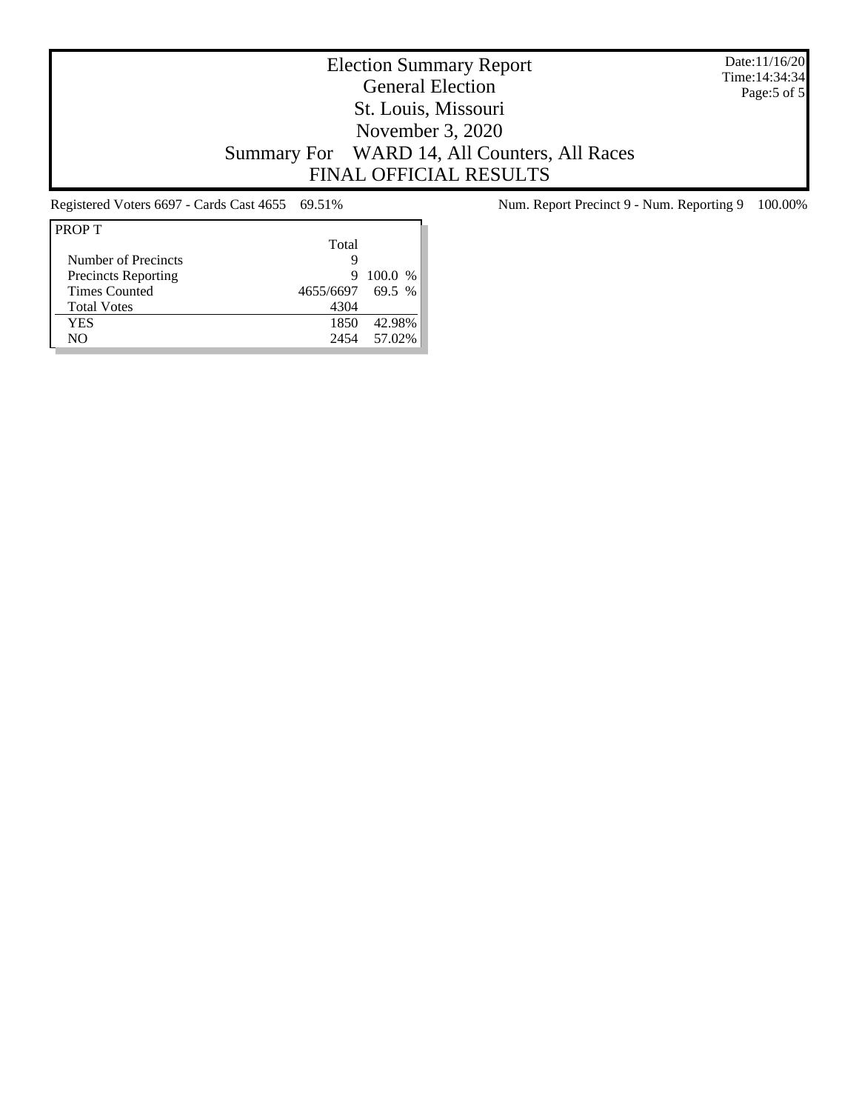Date:11/16/20 Time:14:34:34 Page:5 of 5

# Election Summary Report General Election St. Louis, Missouri November 3, 2020 Summary For WARD 14, All Counters, All Races FINAL OFFICIAL RESULTS

| <b>PROP T</b>              |                  |           |
|----------------------------|------------------|-----------|
|                            | Total            |           |
| Number of Precincts        | g                |           |
| <b>Precincts Reporting</b> | 9                | $100.0\%$ |
| <b>Times Counted</b>       | 4655/6697 69.5 % |           |
| <b>Total Votes</b>         | 4304             |           |
| YES                        | 1850             | 42.98%    |
| NO                         | 2454             | 57.02%    |
|                            |                  |           |

Registered Voters 6697 - Cards Cast 4655 69.51% Num. Report Precinct 9 - Num. Reporting 9 100.00%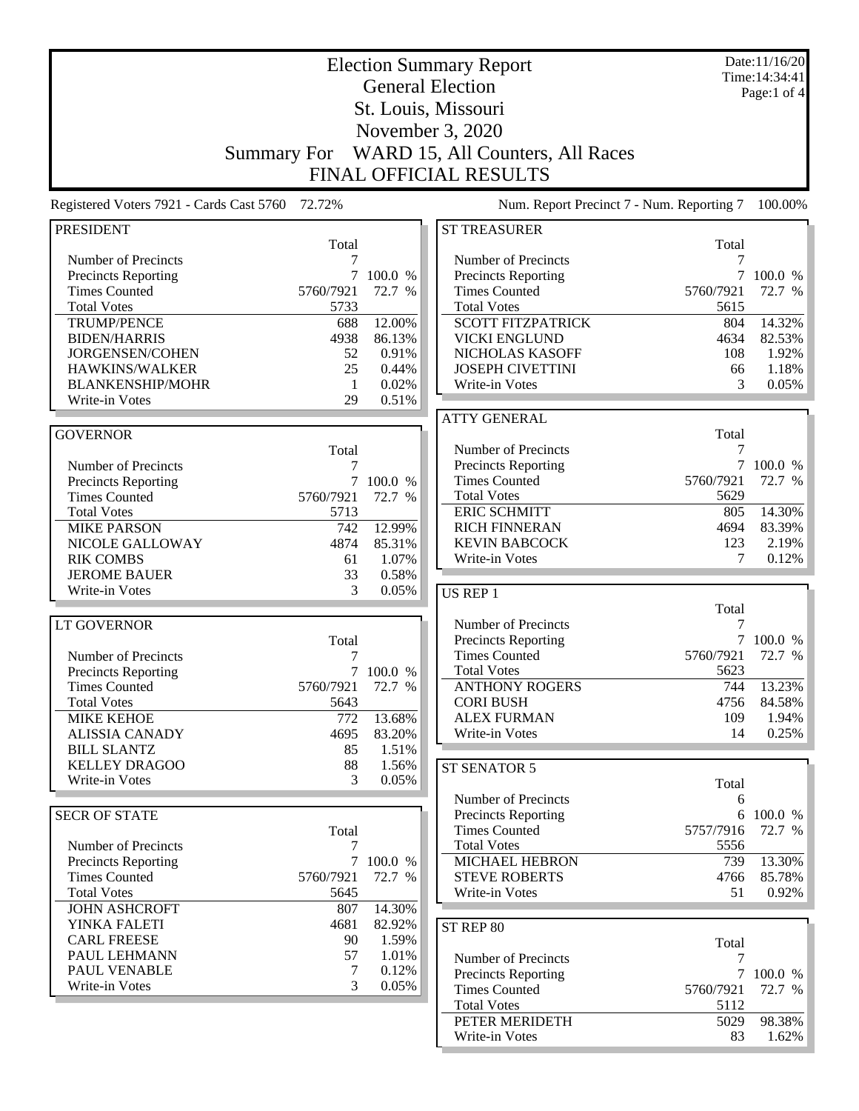|                                                   | <b>Election Summary Report</b> |           |                                                   |                   |                                 |
|---------------------------------------------------|--------------------------------|-----------|---------------------------------------------------|-------------------|---------------------------------|
|                                                   |                                |           | <b>General Election</b>                           |                   | Time: 14:34:41<br>Page:1 of $4$ |
|                                                   |                                |           | St. Louis, Missouri                               |                   |                                 |
|                                                   |                                |           | November 3, 2020                                  |                   |                                 |
|                                                   |                                |           |                                                   |                   |                                 |
|                                                   | <b>Summary For</b>             |           | WARD 15, All Counters, All Races                  |                   |                                 |
|                                                   |                                |           | <b>FINAL OFFICIAL RESULTS</b>                     |                   |                                 |
| Registered Voters 7921 - Cards Cast 5760 72.72%   |                                |           | Num. Report Precinct 7 - Num. Reporting 7         |                   | 100.00%                         |
| <b>PRESIDENT</b>                                  |                                |           | <b>ST TREASURER</b>                               |                   |                                 |
| Number of Precincts                               | Total<br>7                     |           | Number of Precincts                               | Total             |                                 |
| <b>Precincts Reporting</b>                        | 7                              | 100.0 %   | <b>Precincts Reporting</b>                        | 7                 | 100.0 %                         |
| <b>Times Counted</b>                              | 5760/7921                      | 72.7 %    | <b>Times Counted</b>                              | 5760/7921         | 72.7 %                          |
| <b>Total Votes</b>                                | 5733                           |           | <b>Total Votes</b>                                | 5615              |                                 |
| <b>TRUMP/PENCE</b>                                | 688                            | 12.00%    | <b>SCOTT FITZPATRICK</b>                          | 804               | 14.32%                          |
| <b>BIDEN/HARRIS</b>                               | 4938                           | 86.13%    | <b>VICKI ENGLUND</b>                              | 4634              | 82.53%                          |
| <b>JORGENSEN/COHEN</b>                            | 52                             | 0.91%     | NICHOLAS KASOFF                                   | 108               | 1.92%                           |
| HAWKINS/WALKER                                    | 25                             | 0.44%     | <b>JOSEPH CIVETTINI</b>                           | 66                | 1.18%                           |
| <b>BLANKENSHIP/MOHR</b>                           | -1                             | 0.02%     | Write-in Votes                                    | 3                 | 0.05%                           |
| Write-in Votes                                    | 29                             | 0.51%     |                                                   |                   |                                 |
| <b>GOVERNOR</b>                                   |                                |           | <b>ATTY GENERAL</b>                               | Total             |                                 |
|                                                   | Total                          |           | Number of Precincts                               | 7                 |                                 |
| Number of Precincts                               | 7                              |           | <b>Precincts Reporting</b>                        |                   | 7 100.0 %                       |
| <b>Precincts Reporting</b>                        | 7                              | 100.0 %   | <b>Times Counted</b>                              | 5760/7921         | 72.7 %                          |
| <b>Times Counted</b>                              | 5760/7921                      | 72.7 %    | <b>Total Votes</b>                                | 5629              |                                 |
| <b>Total Votes</b>                                | 5713                           |           | <b>ERIC SCHMITT</b>                               | 805               | 14.30%                          |
| <b>MIKE PARSON</b>                                | 742                            | 12.99%    | <b>RICH FINNERAN</b>                              | 4694              | 83.39%                          |
| NICOLE GALLOWAY                                   | 4874                           | 85.31%    | <b>KEVIN BABCOCK</b>                              | 123               | 2.19%                           |
| <b>RIK COMBS</b>                                  | 61                             | 1.07%     | Write-in Votes                                    | 7                 | 0.12%                           |
| <b>JEROME BAUER</b>                               | 33                             | 0.58%     |                                                   |                   |                                 |
| Write-in Votes                                    | 3                              | 0.05%     | <b>US REP 1</b>                                   |                   |                                 |
|                                                   |                                |           |                                                   | Total             |                                 |
| <b>LT GOVERNOR</b>                                |                                |           | Number of Precincts<br><b>Precincts Reporting</b> | 7                 | 7 100.0 %                       |
| Number of Precincts                               | Total<br>7                     |           | <b>Times Counted</b>                              | 5760/7921         | 72.7 %                          |
| <b>Precincts Reporting</b>                        |                                | 7 100.0 % | <b>Total Votes</b>                                | 5623              |                                 |
| <b>Times Counted</b>                              | 5760/7921                      | 72.7 %    | <b>ANTHONY ROGERS</b>                             | 744               | 13.23%                          |
| <b>Total Votes</b>                                | 5643                           |           | <b>CORI BUSH</b>                                  | 4756              | 84.58%                          |
| <b>MIKE KEHOE</b>                                 | 772                            | 13.68%    | <b>ALEX FURMAN</b>                                | 109               | 1.94%                           |
| <b>ALISSIA CANADY</b>                             | 4695                           | 83.20%    | Write-in Votes                                    | 14                | 0.25%                           |
| <b>BILL SLANTZ</b>                                | 85                             | 1.51%     |                                                   |                   |                                 |
| <b>KELLEY DRAGOO</b>                              | 88                             | 1.56%     | ST SENATOR 5                                      |                   |                                 |
| Write-in Votes                                    | 3                              | 0.05%     |                                                   | Total             |                                 |
|                                                   |                                |           | Number of Precincts                               | 6                 |                                 |
| <b>SECR OF STATE</b>                              |                                |           | Precincts Reporting                               |                   | 6 100.0 %                       |
|                                                   | Total                          |           | <b>Times Counted</b><br><b>Total Votes</b>        | 5757/7916<br>5556 | 72.7 %                          |
| Number of Precincts<br><b>Precincts Reporting</b> | 7                              | 7 100.0 % | <b>MICHAEL HEBRON</b>                             | 739               | 13.30%                          |
| <b>Times Counted</b>                              | 5760/7921                      | 72.7 %    | <b>STEVE ROBERTS</b>                              | 4766              | 85.78%                          |
| <b>Total Votes</b>                                | 5645                           |           | Write-in Votes                                    | 51                | 0.92%                           |
| <b>JOHN ASHCROFT</b>                              | 807                            | 14.30%    |                                                   |                   |                                 |
| YINKA FALETI                                      | 4681                           | 82.92%    | ST REP 80                                         |                   |                                 |
| <b>CARL FREESE</b>                                | 90                             | 1.59%     |                                                   | Total             |                                 |
| PAUL LEHMANN                                      | 57                             | 1.01%     | Number of Precincts                               | 7                 |                                 |
| PAUL VENABLE                                      | 7                              | 0.12%     | <b>Precincts Reporting</b>                        |                   | 7 100.0 %                       |
| Write-in Votes                                    | 3                              | 0.05%     | <b>Times Counted</b>                              | 5760/7921         | 72.7 %                          |
|                                                   |                                |           | <b>Total Votes</b>                                | 5112              |                                 |
|                                                   |                                |           | PETER MERIDETH                                    | 5029              | 98.38%                          |
|                                                   |                                |           | Write-in Votes                                    | 83                | 1.62%                           |

L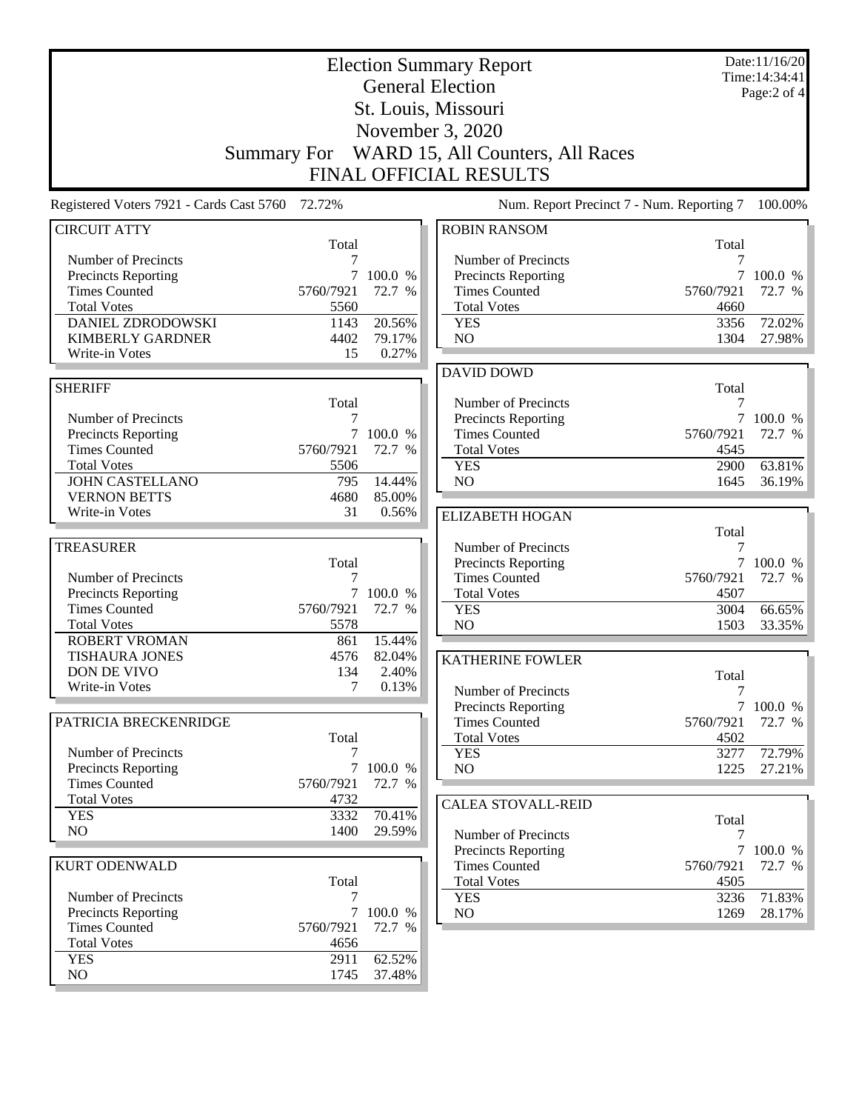| <b>Election Summary Report</b><br><b>General Election</b><br>St. Louis, Missouri |              |                  |                                                                  |                      | Date:11/16/20<br>Time: 14:34:41<br>Page:2 of 4 |
|----------------------------------------------------------------------------------|--------------|------------------|------------------------------------------------------------------|----------------------|------------------------------------------------|
|                                                                                  |              |                  | November 3, 2020<br>Summary For WARD 15, All Counters, All Races |                      |                                                |
|                                                                                  |              |                  | <b>FINAL OFFICIAL RESULTS</b>                                    |                      |                                                |
| Registered Voters 7921 - Cards Cast 5760                                         | 72.72%       |                  | Num. Report Precinct 7 - Num. Reporting 7                        |                      | 100.00%                                        |
| <b>CIRCUIT ATTY</b>                                                              | Total        |                  | <b>ROBIN RANSOM</b>                                              | Total                |                                                |
| Number of Precincts                                                              | 7            |                  | Number of Precincts                                              | 7                    |                                                |
| <b>Precincts Reporting</b>                                                       | 7            | 100.0 %          | <b>Precincts Reporting</b>                                       | 7                    | 100.0 %                                        |
| <b>Times Counted</b>                                                             | 5760/7921    | 72.7 %           | <b>Times Counted</b>                                             | 5760/7921            | 72.7 %                                         |
| <b>Total Votes</b><br><b>DANIEL ZDRODOWSKI</b>                                   | 5560         | 20.56%           | <b>Total Votes</b>                                               | 4660                 |                                                |
| <b>KIMBERLY GARDNER</b>                                                          | 1143<br>4402 | 79.17%           | <b>YES</b><br>N <sub>O</sub>                                     | 3356<br>1304         | 72.02%<br>27.98%                               |
| Write-in Votes                                                                   | 15           | 0.27%            |                                                                  |                      |                                                |
|                                                                                  |              |                  | <b>DAVID DOWD</b>                                                |                      |                                                |
| <b>SHERIFF</b>                                                                   |              |                  |                                                                  | Total                |                                                |
|                                                                                  | Total        |                  | Number of Precincts                                              | 7                    |                                                |
| Number of Precincts                                                              | 7            |                  | <b>Precincts Reporting</b>                                       | 7                    | 100.0 %                                        |
| Precincts Reporting                                                              |              | 7 100.0 %        | <b>Times Counted</b>                                             | 5760/7921            | 72.7 %                                         |
| <b>Times Counted</b>                                                             | 5760/7921    | 72.7 %           | <b>Total Votes</b>                                               | 4545                 |                                                |
| <b>Total Votes</b>                                                               | 5506         |                  | <b>YES</b>                                                       | 2900                 | 63.81%                                         |
| <b>JOHN CASTELLANO</b>                                                           | 795          | 14.44%           | NO                                                               | 1645                 | 36.19%                                         |
| <b>VERNON BETTS</b>                                                              | 4680         | 85.00%           |                                                                  |                      |                                                |
| Write-in Votes                                                                   | 31           | 0.56%            | <b>ELIZABETH HOGAN</b>                                           |                      |                                                |
|                                                                                  |              |                  |                                                                  | Total                |                                                |
| <b>TREASURER</b>                                                                 | Total        |                  | Number of Precincts                                              | 7<br>$7\overline{ }$ |                                                |
| Number of Precincts                                                              | 7            |                  | <b>Precincts Reporting</b><br><b>Times Counted</b>               | 5760/7921            | 100.0 %<br>72.7 %                              |
| <b>Precincts Reporting</b>                                                       | $\tau$       | 100.0 %          | <b>Total Votes</b>                                               | 4507                 |                                                |
| <b>Times Counted</b>                                                             | 5760/7921    | 72.7 %           | <b>YES</b>                                                       | 3004                 | 66.65%                                         |
| <b>Total Votes</b>                                                               | 5578         |                  | NO                                                               | 1503                 | 33.35%                                         |
| <b>ROBERT VROMAN</b>                                                             | 861          | 15.44%           |                                                                  |                      |                                                |
| <b>TISHAURA JONES</b>                                                            | 4576         | 82.04%           | <b>KATHERINE FOWLER</b>                                          |                      |                                                |
| DON DE VIVO                                                                      | 134          | 2.40%            |                                                                  | Total                |                                                |
| Write-in Votes                                                                   | $\tau$       | 0.13%            | Number of Precincts                                              | 7                    |                                                |
|                                                                                  |              |                  | Precincts Reporting                                              |                      | 7 100.0 %                                      |
| PATRICIA BRECKENRIDGE                                                            |              |                  | <b>Times Counted</b>                                             | 5760/7921            | 72.7 %                                         |
|                                                                                  | Total        |                  | <b>Total Votes</b>                                               | 4502                 |                                                |
| Number of Precincts<br>Precincts Reporting                                       | $\tau$       | 100.0 %          | <b>YES</b><br>NO                                                 | 3277<br>1225         | 72.79%<br>27.21%                               |
| <b>Times Counted</b>                                                             | 5760/7921    | 72.7 %           |                                                                  |                      |                                                |
| <b>Total Votes</b>                                                               | 4732         |                  |                                                                  |                      |                                                |
| <b>YES</b>                                                                       | 3332         | 70.41%           | <b>CALEA STOVALL-REID</b>                                        | Total                |                                                |
| NO                                                                               | 1400         | 29.59%           | Number of Precincts                                              | 7                    |                                                |
|                                                                                  |              |                  | <b>Precincts Reporting</b>                                       | $\tau$               | 100.0 %                                        |
| <b>KURT ODENWALD</b>                                                             |              |                  | <b>Times Counted</b>                                             | 5760/7921            | 72.7 %                                         |
|                                                                                  | Total        |                  | <b>Total Votes</b>                                               | 4505                 |                                                |
| Number of Precincts                                                              | 7            |                  | <b>YES</b>                                                       | 3236                 | 71.83%                                         |
| Precincts Reporting                                                              | $\tau$       | 100.0 %          | NO                                                               | 1269                 | 28.17%                                         |
| <b>Times Counted</b>                                                             | 5760/7921    | 72.7 %           |                                                                  |                      |                                                |
| <b>Total Votes</b>                                                               | 4656         |                  |                                                                  |                      |                                                |
| <b>YES</b><br>NO                                                                 | 2911<br>1745 | 62.52%<br>37.48% |                                                                  |                      |                                                |
|                                                                                  |              |                  |                                                                  |                      |                                                |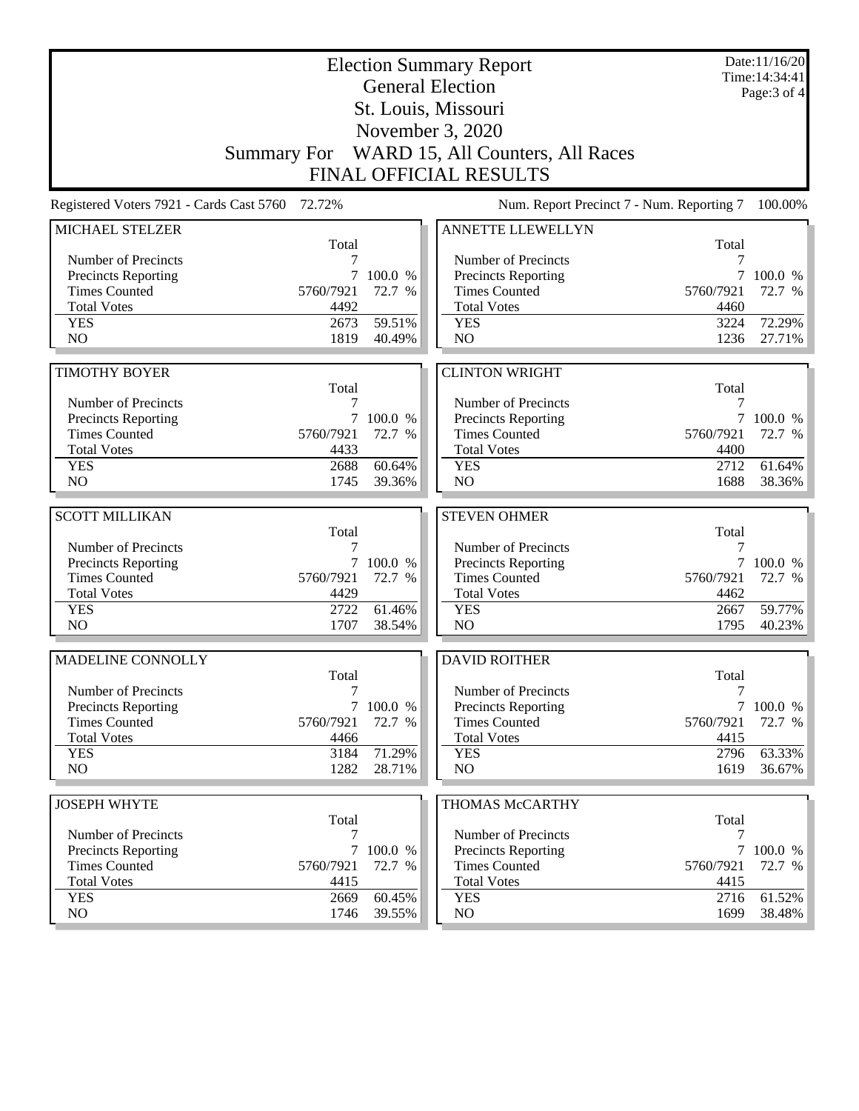|                                                   |              | Date:11/16/20<br>Time: 14:34:41 |                                              |              |                  |  |
|---------------------------------------------------|--------------|---------------------------------|----------------------------------------------|--------------|------------------|--|
|                                                   |              | Page: 3 of 4                    |                                              |              |                  |  |
|                                                   |              |                                 |                                              |              |                  |  |
|                                                   |              |                                 |                                              |              |                  |  |
|                                                   |              |                                 | Summary For WARD 15, All Counters, All Races |              |                  |  |
| <b>FINAL OFFICIAL RESULTS</b>                     |              |                                 |                                              |              |                  |  |
| Registered Voters 7921 - Cards Cast 5760 72.72%   |              |                                 | Num. Report Precinct 7 - Num. Reporting 7    |              | 100.00%          |  |
| MICHAEL STELZER                                   |              |                                 | ANNETTE LLEWELLYN                            |              |                  |  |
| Number of Precincts                               | Total<br>7   |                                 | Number of Precincts                          | Total<br>7   |                  |  |
| <b>Precincts Reporting</b>                        | $7^{\circ}$  | 100.0 %                         | Precincts Reporting                          | 7            | 100.0 %          |  |
| <b>Times Counted</b>                              | 5760/7921    | 72.7 %                          | <b>Times Counted</b>                         | 5760/7921    | 72.7 %           |  |
| <b>Total Votes</b>                                | 4492         |                                 | <b>Total Votes</b>                           | 4460         |                  |  |
| <b>YES</b>                                        | 2673         | 59.51%                          | <b>YES</b>                                   | 3224         | 72.29%           |  |
| N <sub>O</sub>                                    | 1819         | 40.49%                          | NO                                           | 1236         | 27.71%           |  |
|                                                   |              |                                 |                                              |              |                  |  |
| <b>TIMOTHY BOYER</b>                              |              |                                 | <b>CLINTON WRIGHT</b>                        |              |                  |  |
|                                                   | Total        |                                 |                                              | Total        |                  |  |
| Number of Precincts<br><b>Precincts Reporting</b> | 7            | 7 100.0 %                       | Number of Precincts<br>Precincts Reporting   | 7<br>7       | 100.0 %          |  |
| <b>Times Counted</b>                              | 5760/7921    | 72.7 %                          | <b>Times Counted</b>                         | 5760/7921    | 72.7 %           |  |
| <b>Total Votes</b>                                | 4433         |                                 | <b>Total Votes</b>                           | 4400         |                  |  |
| <b>YES</b>                                        | 2688         | 60.64%                          | <b>YES</b>                                   | 2712         | 61.64%           |  |
| N <sub>O</sub>                                    | 1745         | 39.36%                          | NO                                           | 1688         | 38.36%           |  |
|                                                   |              |                                 |                                              |              |                  |  |
| <b>SCOTT MILLIKAN</b>                             |              |                                 | <b>STEVEN OHMER</b>                          |              |                  |  |
| Number of Precincts                               | Total<br>7   |                                 | Number of Precincts                          | Total<br>7   |                  |  |
| <b>Precincts Reporting</b>                        |              | 7 100.0 %                       | Precincts Reporting                          | 7            | 100.0 %          |  |
| <b>Times Counted</b>                              | 5760/7921    | 72.7 %                          | <b>Times Counted</b>                         | 5760/7921    | 72.7 %           |  |
| <b>Total Votes</b>                                | 4429         |                                 | <b>Total Votes</b>                           | 4462         |                  |  |
| <b>YES</b>                                        | 2722         | 61.46%                          | <b>YES</b>                                   | 2667         | 59.77%           |  |
| N <sub>O</sub>                                    | 1707         | 38.54%                          | N <sub>O</sub>                               | 1795         | 40.23%           |  |
| MADELINE CONNOLLY                                 |              |                                 | <b>DAVID ROITHER</b>                         |              |                  |  |
|                                                   | Total        |                                 |                                              | Total        |                  |  |
| Number of Precincts                               | 7            |                                 | Number of Precincts                          | 7            |                  |  |
| <b>Precincts Reporting</b>                        |              | 7 100.0 %                       | Precincts Reporting                          | 7            | 100.0 %          |  |
| <b>Times Counted</b>                              | 5760/7921    | 72.7 %                          | <b>Times Counted</b>                         | 5760/7921    | 72.7 %           |  |
| <b>Total Votes</b>                                | 4466         |                                 | <b>Total Votes</b>                           | 4415         |                  |  |
| <b>YES</b><br>NO.                                 | 3184<br>1282 | 71.29%<br>28.71%                | <b>YES</b><br>NO                             | 2796<br>1619 | 63.33%<br>36.67% |  |
|                                                   |              |                                 |                                              |              |                  |  |
| <b>JOSEPH WHYTE</b>                               |              |                                 | THOMAS McCARTHY                              |              |                  |  |
|                                                   | Total        |                                 |                                              | Total        |                  |  |
| Number of Precincts                               | 7            |                                 | Number of Precincts                          | 7            |                  |  |
| Precincts Reporting                               | 7            | 100.0 %                         | <b>Precincts Reporting</b>                   |              | 100.0 %          |  |
| <b>Times Counted</b>                              | 5760/7921    | 72.7 %                          | <b>Times Counted</b>                         | 5760/7921    | 72.7 %           |  |
| <b>Total Votes</b>                                | 4415         |                                 | <b>Total Votes</b>                           | 4415         |                  |  |
| <b>YES</b><br>NO                                  | 2669<br>1746 | 60.45%<br>39.55%                | <b>YES</b><br>NO                             | 2716<br>1699 | 61.52%<br>38.48% |  |
|                                                   |              |                                 |                                              |              |                  |  |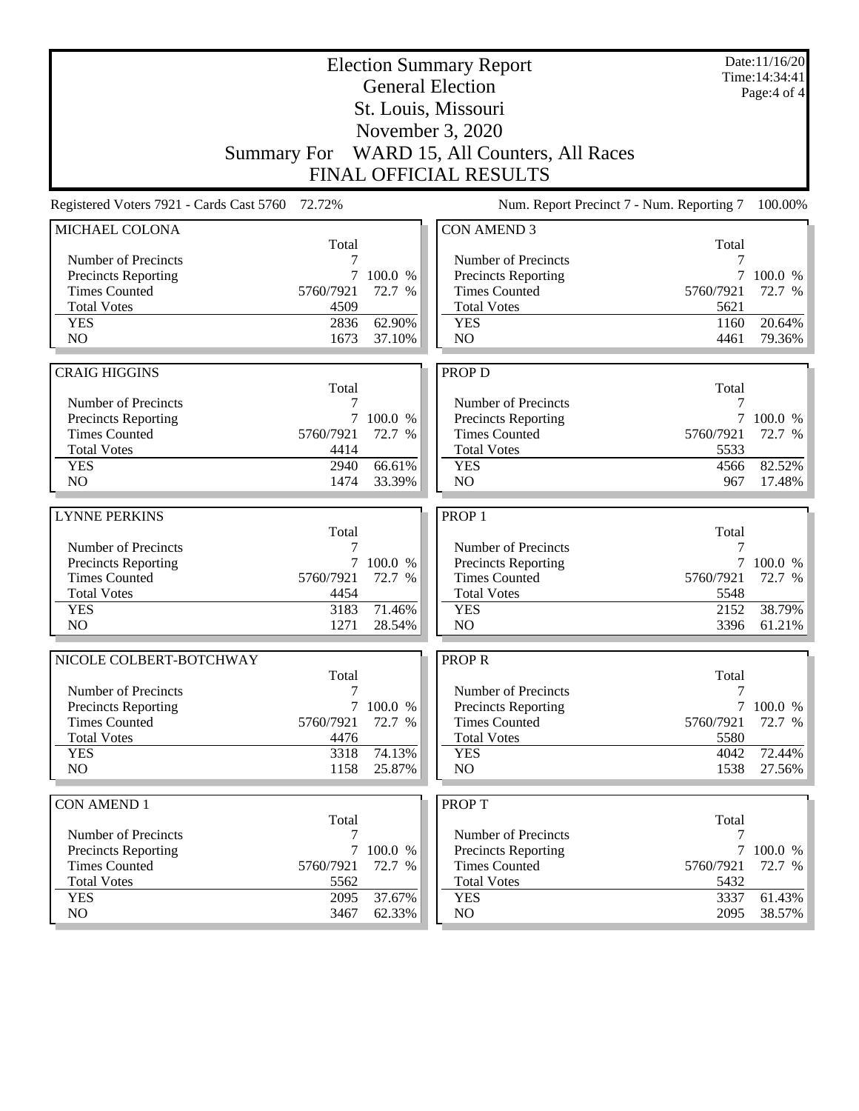|                                          |              | Date:11/16/20<br>Time: 14:34:41<br>Page: 4 of 4 |                                                                  |              |                  |
|------------------------------------------|--------------|-------------------------------------------------|------------------------------------------------------------------|--------------|------------------|
|                                          |              |                                                 |                                                                  |              |                  |
|                                          |              |                                                 |                                                                  |              |                  |
|                                          |              |                                                 | November 3, 2020<br>Summary For WARD 15, All Counters, All Races |              |                  |
|                                          |              |                                                 | <b>FINAL OFFICIAL RESULTS</b>                                    |              |                  |
|                                          |              |                                                 |                                                                  |              |                  |
| Registered Voters 7921 - Cards Cast 5760 | 72.72%       |                                                 | Num. Report Precinct 7 - Num. Reporting 7                        |              | 100.00%          |
| MICHAEL COLONA                           | Total        |                                                 | <b>CON AMEND 3</b>                                               | Total        |                  |
| Number of Precincts                      | 7            |                                                 | Number of Precincts                                              | 7            |                  |
| Precincts Reporting                      | 7            | 100.0 %                                         | <b>Precincts Reporting</b>                                       | 7            | 100.0 %          |
| <b>Times Counted</b>                     | 5760/7921    | 72.7 %                                          | <b>Times Counted</b>                                             | 5760/7921    | 72.7 %           |
| <b>Total Votes</b>                       | 4509         |                                                 | <b>Total Votes</b>                                               | 5621         |                  |
| <b>YES</b>                               | 2836         | 62.90%                                          | <b>YES</b>                                                       | 1160         | 20.64%           |
| NO                                       | 1673         | 37.10%                                          | NO                                                               | 4461         | 79.36%           |
|                                          |              |                                                 |                                                                  |              |                  |
| <b>CRAIG HIGGINS</b>                     |              |                                                 | PROP D                                                           |              |                  |
| Number of Precincts                      | Total<br>7   |                                                 | Number of Precincts                                              | Total<br>7   |                  |
| Precincts Reporting                      | 7            | 100.0 %                                         | Precincts Reporting                                              | 7            | 100.0 %          |
| <b>Times Counted</b>                     | 5760/7921    | 72.7 %                                          | <b>Times Counted</b>                                             | 5760/7921    | 72.7 %           |
| <b>Total Votes</b>                       | 4414         |                                                 | <b>Total Votes</b>                                               | 5533         |                  |
| <b>YES</b>                               | 2940         | 66.61%                                          | <b>YES</b>                                                       | 4566         | 82.52%           |
| NO                                       | 1474         | 33.39%                                          | N <sub>O</sub>                                                   | 967          | 17.48%           |
|                                          |              |                                                 |                                                                  |              |                  |
|                                          |              |                                                 |                                                                  |              |                  |
| <b>LYNNE PERKINS</b>                     |              |                                                 | PROP <sub>1</sub>                                                |              |                  |
| Number of Precincts                      | Total<br>7   |                                                 | Number of Precincts                                              | Total<br>7   |                  |
| <b>Precincts Reporting</b>               | $7^{\circ}$  | 100.0 %                                         | Precincts Reporting                                              | 7            | 100.0 %          |
| <b>Times Counted</b>                     | 5760/7921    | 72.7 %                                          | <b>Times Counted</b>                                             | 5760/7921    | 72.7 %           |
| <b>Total Votes</b>                       | 4454         |                                                 | <b>Total Votes</b>                                               | 5548         |                  |
| <b>YES</b>                               | 3183         | 71.46%                                          | <b>YES</b>                                                       | 2152         | 38.79%           |
| N <sub>O</sub>                           | 1271         | 28.54%                                          | NO                                                               | 3396         | 61.21%           |
| NICOLE COLBERT-BOTCHWAY                  |              |                                                 | <b>PROPR</b>                                                     |              |                  |
|                                          | Total        |                                                 |                                                                  | Total        |                  |
| Number of Precincts                      | 7            |                                                 | Number of Precincts                                              | 7            |                  |
| <b>Precincts Reporting</b>               |              | 7 100.0 %                                       | <b>Precincts Reporting</b>                                       |              | 7 100.0 %        |
| <b>Times Counted</b>                     | 5760/7921    | 72.7 %                                          | <b>Times Counted</b>                                             | 5760/7921    | 72.7 %           |
| <b>Total Votes</b>                       | 4476         |                                                 | <b>Total Votes</b>                                               | 5580         |                  |
| <b>YES</b><br>NO                         | 3318<br>1158 | 74.13%<br>25.87%                                | <b>YES</b><br>NO                                                 | 4042<br>1538 | 72.44%<br>27.56% |
|                                          |              |                                                 |                                                                  |              |                  |
| <b>CON AMEND 1</b>                       |              |                                                 | <b>PROPT</b>                                                     |              |                  |
|                                          | Total        |                                                 |                                                                  | Total        |                  |
| Number of Precincts                      | 7            |                                                 | Number of Precincts                                              | 7            |                  |
| <b>Precincts Reporting</b>               |              | 7 100.0 %                                       | <b>Precincts Reporting</b>                                       |              | 7 100.0 %        |
| <b>Times Counted</b>                     | 5760/7921    | 72.7 %                                          | <b>Times Counted</b>                                             | 5760/7921    | 72.7 %           |
| <b>Total Votes</b>                       | 5562         |                                                 | <b>Total Votes</b>                                               | 5432         |                  |
| <b>YES</b><br>NO                         | 2095<br>3467 | 37.67%<br>62.33%                                | <b>YES</b><br>NO                                                 | 3337<br>2095 | 61.43%<br>38.57% |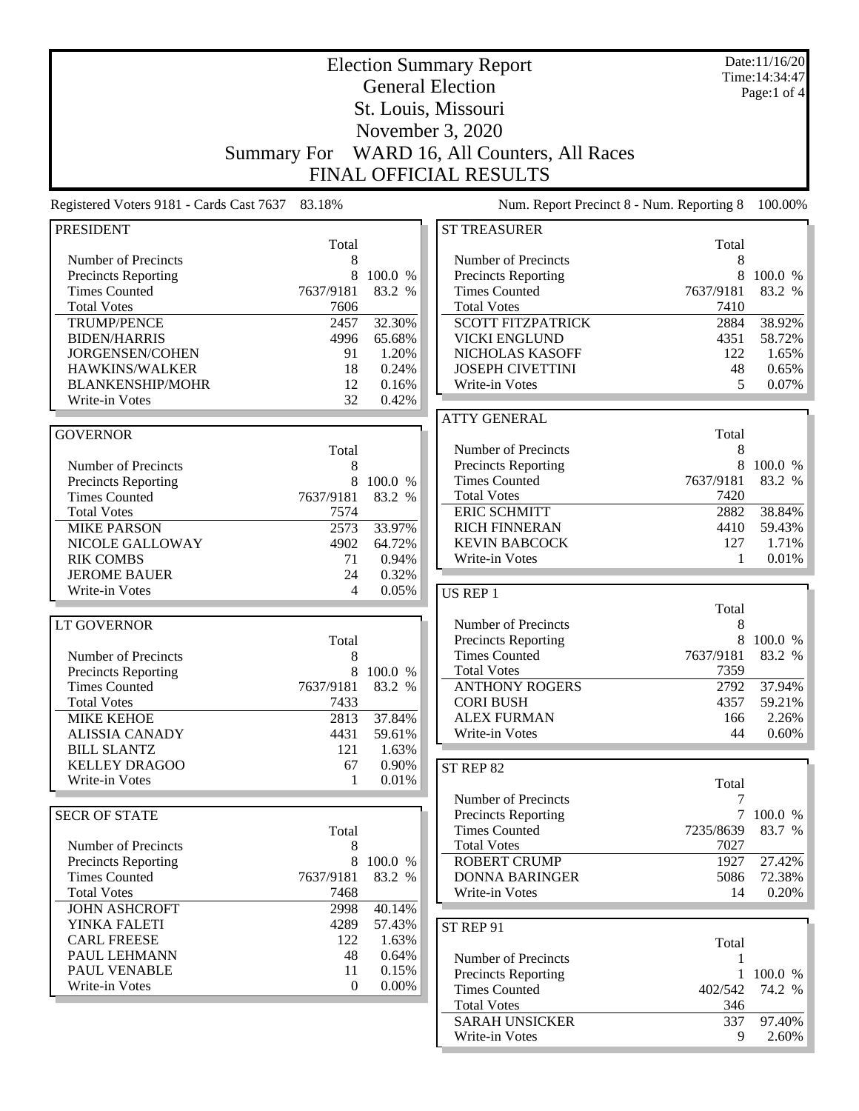| Date:11/16/20<br><b>Election Summary Report</b>            |                     |                   |                                             |            |                   |  |  |  |  |
|------------------------------------------------------------|---------------------|-------------------|---------------------------------------------|------------|-------------------|--|--|--|--|
| Time: 14:34:47<br><b>General Election</b><br>Page:1 of $4$ |                     |                   |                                             |            |                   |  |  |  |  |
|                                                            | St. Louis, Missouri |                   |                                             |            |                   |  |  |  |  |
|                                                            |                     |                   |                                             |            |                   |  |  |  |  |
| November 3, 2020                                           |                     |                   |                                             |            |                   |  |  |  |  |
|                                                            | <b>Summary For</b>  |                   | WARD 16, All Counters, All Races            |            |                   |  |  |  |  |
| <b>FINAL OFFICIAL RESULTS</b>                              |                     |                   |                                             |            |                   |  |  |  |  |
| Registered Voters 9181 - Cards Cast 7637                   | 83.18%              |                   | Num. Report Precinct 8 - Num. Reporting 8   |            | 100.00%           |  |  |  |  |
| <b>PRESIDENT</b>                                           |                     |                   | <b>ST TREASURER</b>                         |            |                   |  |  |  |  |
|                                                            | Total               |                   |                                             | Total      |                   |  |  |  |  |
| Number of Precincts                                        | 8                   |                   | Number of Precincts                         | 8          |                   |  |  |  |  |
| <b>Precincts Reporting</b><br><b>Times Counted</b>         | 8<br>7637/9181      | 100.0 %<br>83.2 % | Precincts Reporting<br><b>Times Counted</b> | 7637/9181  | 100.0 %<br>83.2 % |  |  |  |  |
| <b>Total Votes</b>                                         | 7606                |                   | <b>Total Votes</b>                          | 7410       |                   |  |  |  |  |
| <b>TRUMP/PENCE</b>                                         | 2457                | 32.30%            | <b>SCOTT FITZPATRICK</b>                    | 2884       | 38.92%            |  |  |  |  |
| <b>BIDEN/HARRIS</b>                                        | 4996                | 65.68%            | <b>VICKI ENGLUND</b>                        | 4351       | 58.72%            |  |  |  |  |
| JORGENSEN/COHEN                                            | 91                  | 1.20%             | NICHOLAS KASOFF                             | 122        | 1.65%             |  |  |  |  |
| HAWKINS/WALKER                                             | 18                  | 0.24%             | <b>JOSEPH CIVETTINI</b>                     | 48         | 0.65%             |  |  |  |  |
| <b>BLANKENSHIP/MOHR</b>                                    | 12                  | 0.16%             | Write-in Votes                              | 5          | 0.07%             |  |  |  |  |
| Write-in Votes                                             | 32                  | 0.42%             |                                             |            |                   |  |  |  |  |
|                                                            |                     |                   | <b>ATTY GENERAL</b>                         |            |                   |  |  |  |  |
| <b>GOVERNOR</b>                                            |                     |                   |                                             | Total      |                   |  |  |  |  |
|                                                            | Total               |                   | Number of Precincts                         | 8          |                   |  |  |  |  |
| Number of Precincts                                        | 8                   |                   | <b>Precincts Reporting</b>                  | 8          | 100.0 %           |  |  |  |  |
| <b>Precincts Reporting</b>                                 | 8                   | 100.0 %           | <b>Times Counted</b>                        | 7637/9181  | 83.2 %            |  |  |  |  |
| <b>Times Counted</b>                                       | 7637/9181           | 83.2 %            | <b>Total Votes</b>                          | 7420       |                   |  |  |  |  |
| <b>Total Votes</b>                                         | 7574                |                   | <b>ERIC SCHMITT</b>                         | 2882       | 38.84%            |  |  |  |  |
| <b>MIKE PARSON</b>                                         | 2573                | 33.97%            | <b>RICH FINNERAN</b>                        | 4410       | 59.43%            |  |  |  |  |
| NICOLE GALLOWAY                                            | 4902                | 64.72%            | <b>KEVIN BABCOCK</b>                        | 127        | 1.71%             |  |  |  |  |
| <b>RIK COMBS</b>                                           | 71                  | 0.94%             | Write-in Votes                              | 1          | 0.01%             |  |  |  |  |
| <b>JEROME BAUER</b>                                        | 24                  | 0.32%             |                                             |            |                   |  |  |  |  |
| Write-in Votes                                             | 4                   | 0.05%             | US REP 1                                    |            |                   |  |  |  |  |
|                                                            |                     |                   |                                             | Total      |                   |  |  |  |  |
| LT GOVERNOR                                                |                     |                   | Number of Precincts                         | 8          |                   |  |  |  |  |
|                                                            | Total               |                   | <b>Precincts Reporting</b>                  | 8          | 100.0 %           |  |  |  |  |
| Number of Precincts                                        | 8                   |                   | <b>Times Counted</b>                        | 7637/9181  | 83.2 %            |  |  |  |  |
| <b>Precincts Reporting</b>                                 | 8                   | 100.0 %           | <b>Total Votes</b>                          | 7359       |                   |  |  |  |  |
| <b>Times Counted</b>                                       | 7637/9181           | 83.2 %            | <b>ANTHONY ROGERS</b>                       | 2792       | 37.94%            |  |  |  |  |
| <b>Total Votes</b>                                         | 7433                |                   | <b>CORI BUSH</b>                            | 4357       | 59.21%            |  |  |  |  |
| <b>MIKE KEHOE</b>                                          | 2813                | 37.84%            | <b>ALEX FURMAN</b>                          | 166<br>44  | 2.26%             |  |  |  |  |
| <b>ALISSIA CANADY</b><br><b>BILL SLANTZ</b>                | 4431<br>121         | 59.61%<br>1.63%   | Write-in Votes                              |            | 0.60%             |  |  |  |  |
| <b>KELLEY DRAGOO</b>                                       | 67                  | 0.90%             |                                             |            |                   |  |  |  |  |
| Write-in Votes                                             | 1                   | 0.01%             | ST REP 82                                   |            |                   |  |  |  |  |
|                                                            |                     |                   | Number of Precincts                         | Total<br>7 |                   |  |  |  |  |
| <b>SECR OF STATE</b>                                       |                     |                   | <b>Precincts Reporting</b>                  |            | 7 100.0 %         |  |  |  |  |
|                                                            | Total               |                   | <b>Times Counted</b>                        | 7235/8639  | 83.7 %            |  |  |  |  |
| Number of Precincts                                        | 8                   |                   | <b>Total Votes</b>                          | 7027       |                   |  |  |  |  |
| <b>Precincts Reporting</b>                                 | 8                   | 100.0 %           | <b>ROBERT CRUMP</b>                         | 1927       | 27.42%            |  |  |  |  |
| <b>Times Counted</b>                                       | 7637/9181           | 83.2 %            | <b>DONNA BARINGER</b>                       | 5086       | 72.38%            |  |  |  |  |
| <b>Total Votes</b>                                         | 7468                |                   | Write-in Votes                              | 14         | 0.20%             |  |  |  |  |
| <b>JOHN ASHCROFT</b>                                       | 2998                | 40.14%            |                                             |            |                   |  |  |  |  |
| YINKA FALETI                                               | 4289                | 57.43%            |                                             |            |                   |  |  |  |  |
| <b>CARL FREESE</b>                                         | 122                 | 1.63%             | ST REP 91                                   |            |                   |  |  |  |  |
| PAUL LEHMANN                                               | 48                  | 0.64%             | Number of Precincts                         | Total      |                   |  |  |  |  |
| PAUL VENABLE                                               | 11                  | 0.15%             | Precincts Reporting                         | 1          | 100.0 %           |  |  |  |  |
| Write-in Votes                                             | $\mathbf{0}$        | $0.00\%$          | <b>Times Counted</b>                        | 402/542    | 74.2 %            |  |  |  |  |
|                                                            |                     |                   | <b>Total Votes</b>                          | 346        |                   |  |  |  |  |
|                                                            |                     |                   | <b>SARAH UNSICKER</b>                       | 337        | 97.40%            |  |  |  |  |
|                                                            |                     |                   | Write-in Votes                              | 9          | $2.60\%$          |  |  |  |  |
|                                                            |                     |                   |                                             |            |                   |  |  |  |  |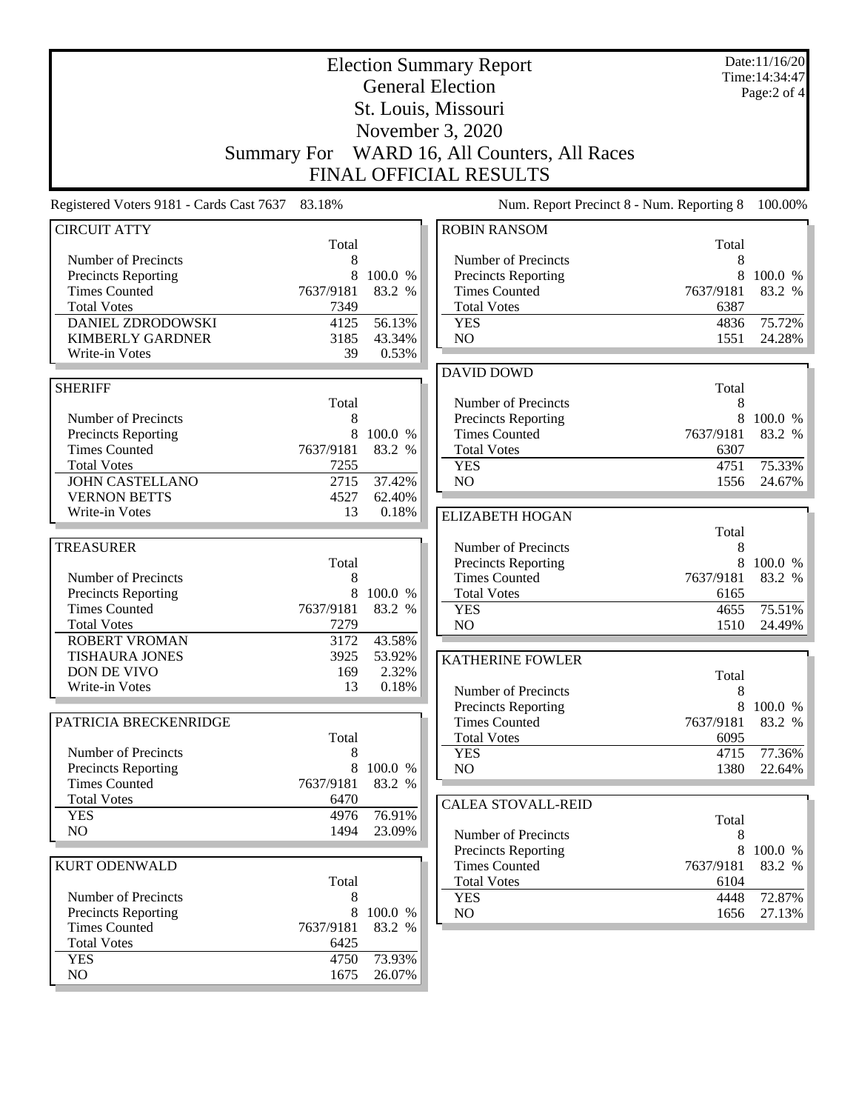| <b>Election Summary Report</b><br><b>General Election</b><br>St. Louis, Missouri<br>November 3, 2020<br>Summary For WARD 16, All Counters, All Races |                |                   |                                                   |                   | Date:11/16/20<br>Time: 14:34:47<br>Page:2 of 4 |
|------------------------------------------------------------------------------------------------------------------------------------------------------|----------------|-------------------|---------------------------------------------------|-------------------|------------------------------------------------|
|                                                                                                                                                      |                |                   | <b>FINAL OFFICIAL RESULTS</b>                     |                   |                                                |
| Registered Voters 9181 - Cards Cast 7637 83.18%                                                                                                      |                |                   | Num. Report Precinct 8 - Num. Reporting 8         |                   | 100.00%                                        |
| <b>CIRCUIT ATTY</b>                                                                                                                                  | Total          |                   | <b>ROBIN RANSOM</b>                               | Total             |                                                |
| Number of Precincts                                                                                                                                  | 8              |                   | Number of Precincts                               | 8                 |                                                |
| Precincts Reporting                                                                                                                                  | 8              | 100.0 %           | Precincts Reporting                               | 8                 | 100.0 %                                        |
| <b>Times Counted</b>                                                                                                                                 | 7637/9181      | 83.2 %            | <b>Times Counted</b>                              | 7637/9181         | 83.2 %                                         |
| <b>Total Votes</b><br><b>DANIEL ZDRODOWSKI</b>                                                                                                       | 7349<br>4125   | 56.13%            | <b>Total Votes</b><br><b>YES</b>                  | 6387<br>4836      | 75.72%                                         |
| <b>KIMBERLY GARDNER</b>                                                                                                                              | 3185           | 43.34%            | NO                                                | 1551              | 24.28%                                         |
| Write-in Votes                                                                                                                                       | 39             | 0.53%             |                                                   |                   |                                                |
|                                                                                                                                                      |                |                   | <b>DAVID DOWD</b>                                 |                   |                                                |
| <b>SHERIFF</b>                                                                                                                                       |                |                   |                                                   | Total             |                                                |
|                                                                                                                                                      | Total          |                   | Number of Precincts                               | 8                 |                                                |
| Number of Precincts                                                                                                                                  | 8              |                   | <b>Precincts Reporting</b>                        | 8                 | 100.0 %                                        |
| Precincts Reporting<br><b>Times Counted</b>                                                                                                          | 8<br>7637/9181 | 100.0 %<br>83.2 % | <b>Times Counted</b><br><b>Total Votes</b>        | 7637/9181<br>6307 | 83.2 %                                         |
| <b>Total Votes</b>                                                                                                                                   | 7255           |                   | <b>YES</b>                                        | 4751              | 75.33%                                         |
| <b>JOHN CASTELLANO</b>                                                                                                                               | 2715           | 37.42%            | NO                                                | 1556              | 24.67%                                         |
| <b>VERNON BETTS</b>                                                                                                                                  | 4527           | 62.40%            |                                                   |                   |                                                |
| Write-in Votes                                                                                                                                       | 13             | 0.18%             | <b>ELIZABETH HOGAN</b>                            |                   |                                                |
|                                                                                                                                                      |                |                   |                                                   | Total             |                                                |
| <b>TREASURER</b>                                                                                                                                     |                |                   | Number of Precincts                               | 8                 |                                                |
| Number of Precincts                                                                                                                                  | Total<br>8     |                   | Precincts Reporting<br><b>Times Counted</b>       | 8<br>7637/9181    | 100.0 %<br>83.2 %                              |
| Precincts Reporting                                                                                                                                  | 8              | 100.0 %           | <b>Total Votes</b>                                | 6165              |                                                |
| <b>Times Counted</b>                                                                                                                                 | 7637/9181      | 83.2 %            | <b>YES</b>                                        | 4655              | 75.51%                                         |
| <b>Total Votes</b>                                                                                                                                   | 7279           |                   | NO                                                | 1510              | 24.49%                                         |
| <b>ROBERT VROMAN</b>                                                                                                                                 | 3172           | 43.58%            |                                                   |                   |                                                |
| <b>TISHAURA JONES</b>                                                                                                                                | 3925           | 53.92%            | <b>KATHERINE FOWLER</b>                           |                   |                                                |
| DON DE VIVO<br>Write-in Votes                                                                                                                        | 169<br>13      | 2.32%<br>0.18%    |                                                   | Total             |                                                |
|                                                                                                                                                      |                |                   | Number of Precincts                               | 8                 |                                                |
| PATRICIA BRECKENRIDGE                                                                                                                                |                |                   | Precincts Reporting<br><b>Times Counted</b>       | 8<br>7637/9181    | 100.0 %<br>83.2 %                              |
|                                                                                                                                                      | Total          |                   | <b>Total Votes</b>                                | 6095              |                                                |
| Number of Precincts                                                                                                                                  | 8              |                   | <b>YES</b>                                        | 4715              | 77.36%                                         |
| Precincts Reporting                                                                                                                                  | 8              | 100.0 %           | NO                                                | 1380              | 22.64%                                         |
| <b>Times Counted</b>                                                                                                                                 | 7637/9181      | 83.2 %            |                                                   |                   |                                                |
| <b>Total Votes</b>                                                                                                                                   | 6470           | 76.91%            | <b>CALEA STOVALL-REID</b>                         |                   |                                                |
| <b>YES</b><br>NO                                                                                                                                     | 4976<br>1494   | 23.09%            |                                                   | Total             |                                                |
|                                                                                                                                                      |                |                   | Number of Precincts<br><b>Precincts Reporting</b> | 8<br>8            |                                                |
| <b>KURT ODENWALD</b>                                                                                                                                 |                |                   | <b>Times Counted</b>                              | 7637/9181         | 100.0 %<br>83.2 %                              |
|                                                                                                                                                      | Total          |                   | <b>Total Votes</b>                                | 6104              |                                                |
| Number of Precincts                                                                                                                                  | 8              |                   | <b>YES</b>                                        | 4448              | 72.87%                                         |
| Precincts Reporting                                                                                                                                  | 8              | 100.0 %           | NO                                                | 1656              | 27.13%                                         |
| <b>Times Counted</b>                                                                                                                                 | 7637/9181      | 83.2 %            |                                                   |                   |                                                |
| <b>Total Votes</b><br><b>YES</b>                                                                                                                     | 6425<br>4750   | 73.93%            |                                                   |                   |                                                |
| NO                                                                                                                                                   | 1675           | 26.07%            |                                                   |                   |                                                |
|                                                                                                                                                      |                |                   |                                                   |                   |                                                |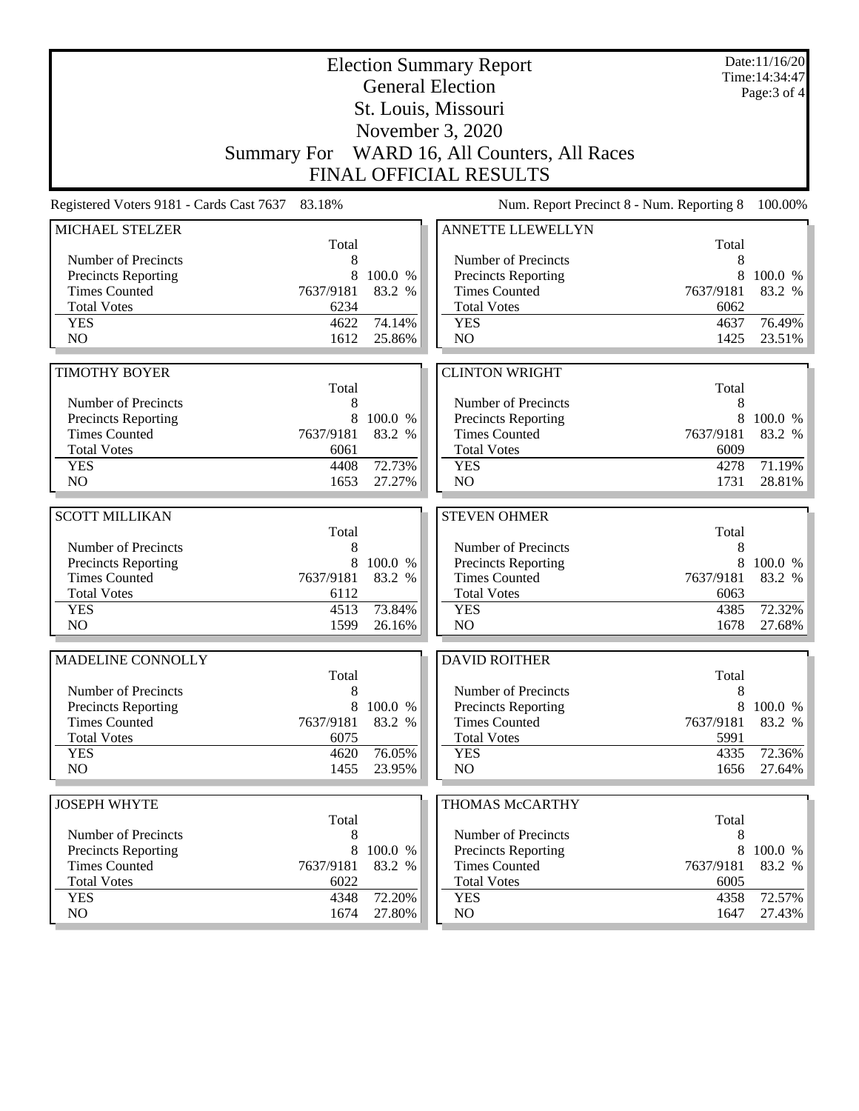|                                                                               |                | Date:11/16/20<br>Time: 14:34:47<br>Page: 3 of 4 |                                                |                |                   |  |
|-------------------------------------------------------------------------------|----------------|-------------------------------------------------|------------------------------------------------|----------------|-------------------|--|
|                                                                               |                |                                                 | <b>General Election</b><br>St. Louis, Missouri |                |                   |  |
|                                                                               |                |                                                 |                                                |                |                   |  |
|                                                                               |                |                                                 | November 3, 2020                               |                |                   |  |
| Summary For WARD 16, All Counters, All Races<br><b>FINAL OFFICIAL RESULTS</b> |                |                                                 |                                                |                |                   |  |
| Registered Voters 9181 - Cards Cast 7637                                      | 83.18%         |                                                 | Num. Report Precinct 8 - Num. Reporting 8      |                | 100.00%           |  |
|                                                                               |                |                                                 | ANNETTE LLEWELLYN                              |                |                   |  |
| MICHAEL STELZER                                                               | Total          |                                                 |                                                | Total          |                   |  |
| Number of Precincts                                                           | 8              |                                                 | Number of Precincts                            | 8              |                   |  |
| <b>Precincts Reporting</b>                                                    | 8              | 100.0 %                                         | Precincts Reporting                            | 8              | 100.0 %           |  |
| <b>Times Counted</b>                                                          | 7637/9181      | 83.2 %                                          | <b>Times Counted</b>                           | 7637/9181      | 83.2 %            |  |
| <b>Total Votes</b>                                                            | 6234           |                                                 | <b>Total Votes</b>                             | 6062           |                   |  |
| <b>YES</b>                                                                    | 4622           | 74.14%                                          | <b>YES</b>                                     | 4637           | 76.49%            |  |
| N <sub>O</sub>                                                                | 1612           | 25.86%                                          | NO                                             | 1425           | 23.51%            |  |
|                                                                               |                |                                                 |                                                |                |                   |  |
| <b>TIMOTHY BOYER</b>                                                          |                |                                                 | <b>CLINTON WRIGHT</b>                          |                |                   |  |
|                                                                               | Total          |                                                 |                                                | Total          |                   |  |
| Number of Precincts                                                           | 8              |                                                 | Number of Precincts                            | 8              |                   |  |
| <b>Precincts Reporting</b><br><b>Times Counted</b>                            | 8<br>7637/9181 | 100.0 %<br>83.2 %                               | Precincts Reporting<br><b>Times Counted</b>    | 8<br>7637/9181 | 100.0 %<br>83.2 % |  |
| <b>Total Votes</b>                                                            | 6061           |                                                 | <b>Total Votes</b>                             | 6009           |                   |  |
| <b>YES</b>                                                                    | 4408           | 72.73%                                          | <b>YES</b>                                     | 4278           | 71.19%            |  |
| N <sub>O</sub>                                                                | 1653           | 27.27%                                          | NO                                             | 1731           | 28.81%            |  |
|                                                                               |                |                                                 |                                                |                |                   |  |
| <b>SCOTT MILLIKAN</b>                                                         |                |                                                 | <b>STEVEN OHMER</b>                            |                |                   |  |
|                                                                               | Total          |                                                 |                                                | Total          |                   |  |
| Number of Precincts                                                           | 8              |                                                 | Number of Precincts                            | 8              |                   |  |
| <b>Precincts Reporting</b>                                                    | 8              | 100.0 %                                         | Precincts Reporting                            | 8              | 100.0 %           |  |
| <b>Times Counted</b>                                                          | 7637/9181      | 83.2 %                                          | <b>Times Counted</b>                           | 7637/9181      | 83.2 %            |  |
| <b>Total Votes</b>                                                            | 6112           |                                                 | <b>Total Votes</b>                             | 6063           |                   |  |
| <b>YES</b>                                                                    | 4513           | 73.84%                                          | <b>YES</b>                                     | 4385           | 72.32%            |  |
| N <sub>O</sub>                                                                | 1599           | 26.16%                                          | N <sub>O</sub>                                 | 1678           | 27.68%            |  |
| MADELINE CONNOLLY                                                             |                |                                                 | <b>DAVID ROITHER</b>                           |                |                   |  |
|                                                                               | Total          |                                                 |                                                | Total          |                   |  |
| Number of Precincts                                                           | 8              |                                                 | Number of Precincts                            | 8              |                   |  |
| <b>Precincts Reporting</b>                                                    | 8              | 100.0 %                                         | Precincts Reporting                            | 8              | 100.0 %           |  |
| <b>Times Counted</b>                                                          | 7637/9181      | 83.2 %                                          | <b>Times Counted</b>                           | 7637/9181      | 83.2 %            |  |
| <b>Total Votes</b>                                                            | 6075           |                                                 | <b>Total Votes</b>                             | 5991           |                   |  |
| <b>YES</b>                                                                    | 4620           | 76.05%                                          | <b>YES</b>                                     | 4335           | 72.36%            |  |
| NO.                                                                           | 1455           | 23.95%                                          | NO                                             | 1656           | 27.64%            |  |
| <b>JOSEPH WHYTE</b>                                                           |                |                                                 | THOMAS McCARTHY                                |                |                   |  |
|                                                                               | Total          |                                                 |                                                | Total          |                   |  |
| Number of Precincts                                                           | 8              |                                                 | Number of Precincts                            | 8              |                   |  |
| <b>Precincts Reporting</b>                                                    | 8              | 100.0 %                                         | <b>Precincts Reporting</b>                     | 8              | 100.0 %           |  |
| <b>Times Counted</b>                                                          | 7637/9181      | 83.2 %                                          | <b>Times Counted</b>                           | 7637/9181      | 83.2 %            |  |
| <b>Total Votes</b>                                                            | 6022           |                                                 | <b>Total Votes</b>                             | 6005           |                   |  |
| <b>YES</b>                                                                    | 4348           | 72.20%                                          | <b>YES</b>                                     | 4358           | 72.57%            |  |
| NO                                                                            | 1674           | 27.80%                                          | NO                                             | 1647           | 27.43%            |  |
|                                                                               |                |                                                 |                                                |                |                   |  |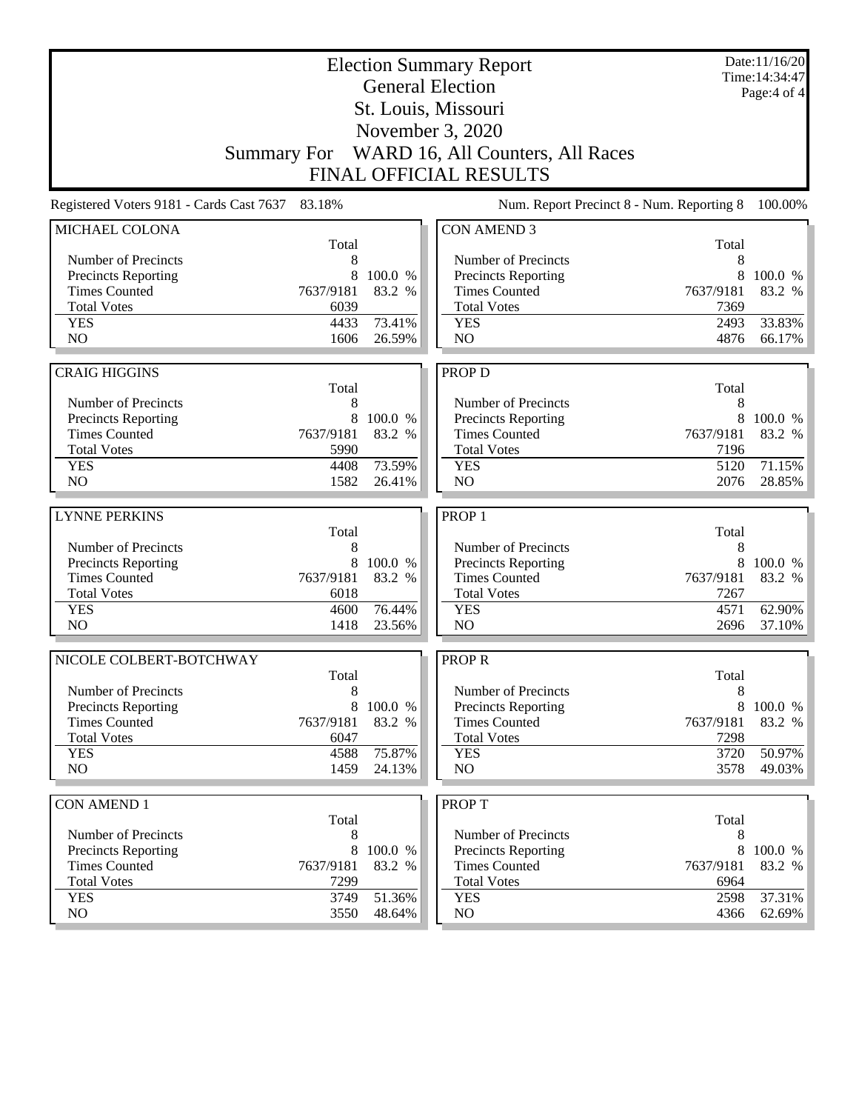|                                                   |            | Date:11/16/20<br>Time: 14:34:47<br>Page: 4 of 4 |                                              |            |           |
|---------------------------------------------------|------------|-------------------------------------------------|----------------------------------------------|------------|-----------|
|                                                   |            |                                                 |                                              |            |           |
|                                                   |            |                                                 |                                              |            |           |
|                                                   |            |                                                 | Summary For WARD 16, All Counters, All Races |            |           |
|                                                   |            |                                                 | <b>FINAL OFFICIAL RESULTS</b>                |            |           |
| Registered Voters 9181 - Cards Cast 7637          | 83.18%     |                                                 | Num. Report Precinct 8 - Num. Reporting 8    |            | 100.00%   |
| MICHAEL COLONA                                    |            |                                                 | <b>CON AMEND 3</b>                           |            |           |
| Number of Precincts                               | Total<br>8 |                                                 | Number of Precincts                          | Total<br>8 |           |
| Precincts Reporting                               | 8          | 100.0 %                                         | Precincts Reporting                          | 8          | 100.0 %   |
| <b>Times Counted</b>                              | 7637/9181  | 83.2 %                                          | <b>Times Counted</b>                         | 7637/9181  | 83.2 %    |
| <b>Total Votes</b>                                | 6039       |                                                 | <b>Total Votes</b>                           | 7369       |           |
| <b>YES</b>                                        | 4433       | 73.41%                                          | <b>YES</b>                                   | 2493       | 33.83%    |
| N <sub>O</sub>                                    | 1606       | 26.59%                                          | N <sub>O</sub>                               | 4876       | 66.17%    |
| <b>CRAIG HIGGINS</b>                              |            |                                                 |                                              |            |           |
|                                                   | Total      |                                                 | PROP D                                       | Total      |           |
| Number of Precincts                               | 8          |                                                 | Number of Precincts                          | 8          |           |
| Precincts Reporting                               | 8          | 100.0 %                                         | Precincts Reporting                          | 8          | 100.0 %   |
| <b>Times Counted</b>                              | 7637/9181  | 83.2 %                                          | <b>Times Counted</b>                         | 7637/9181  | 83.2 %    |
| <b>Total Votes</b>                                | 5990       |                                                 | <b>Total Votes</b>                           | 7196       |           |
| <b>YES</b>                                        | 4408       | 73.59%                                          | <b>YES</b>                                   | 5120       | 71.15%    |
| N <sub>O</sub>                                    | 1582       | 26.41%                                          | N <sub>O</sub>                               | 2076       | 28.85%    |
| <b>LYNNE PERKINS</b>                              |            |                                                 | PROP <sub>1</sub>                            |            |           |
|                                                   | Total      |                                                 |                                              | Total      |           |
| Number of Precincts                               | 8          |                                                 | Number of Precincts                          | 8          |           |
| Precincts Reporting                               | 8          | 100.0 %                                         | Precincts Reporting                          | 8          | 100.0 %   |
| <b>Times Counted</b>                              | 7637/9181  | 83.2 %                                          | <b>Times Counted</b>                         | 7637/9181  | 83.2 %    |
| <b>Total Votes</b>                                | 6018       |                                                 | <b>Total Votes</b>                           | 7267       |           |
| <b>YES</b>                                        | 4600       | 76.44%                                          | <b>YES</b>                                   | 4571       | 62.90%    |
| NO                                                | 1418       | 23.56%                                          | NO                                           | 2696       | 37.10%    |
| NICOLE COLBERT-BOTCHWAY                           |            |                                                 | <b>PROPR</b>                                 |            |           |
|                                                   | Total      |                                                 |                                              | Total      |           |
| Number of Precincts<br><b>Precincts Reporting</b> | 8<br>8     | 100.0 %                                         | Number of Precincts<br>Precincts Reporting   | 8<br>8     | 100.0 %   |
| <b>Times Counted</b>                              | 7637/9181  | 83.2 %                                          | <b>Times Counted</b>                         | 7637/9181  | 83.2 %    |
| <b>Total Votes</b>                                | 6047       |                                                 | <b>Total Votes</b>                           | 7298       |           |
| <b>YES</b>                                        | 4588       | 75.87%                                          | <b>YES</b>                                   | 3720       | 50.97%    |
| NO                                                | 1459       | 24.13%                                          | NO                                           | 3578       | 49.03%    |
|                                                   |            |                                                 |                                              |            |           |
| <b>CON AMEND 1</b>                                | Total      |                                                 | <b>PROPT</b>                                 | Total      |           |
| Number of Precincts                               | 8          |                                                 | Number of Precincts                          | 8          |           |
| <b>Precincts Reporting</b>                        | 8          | 100.0 %                                         | <b>Precincts Reporting</b>                   | 8          | 100.0 %   |
| <b>Times Counted</b>                              | 7637/9181  | 83.2 %                                          | <b>Times Counted</b>                         | 7637/9181  | 83.2 %    |
| <b>Total Votes</b>                                | 7299       |                                                 | <b>Total Votes</b>                           | 6964       |           |
| <b>YES</b>                                        | 3749       | 51.36%                                          | <b>YES</b>                                   | 2598       | 37.31%    |
| NO                                                | 3550       | 48.64%                                          | NO                                           | 4366       | $62.69\%$ |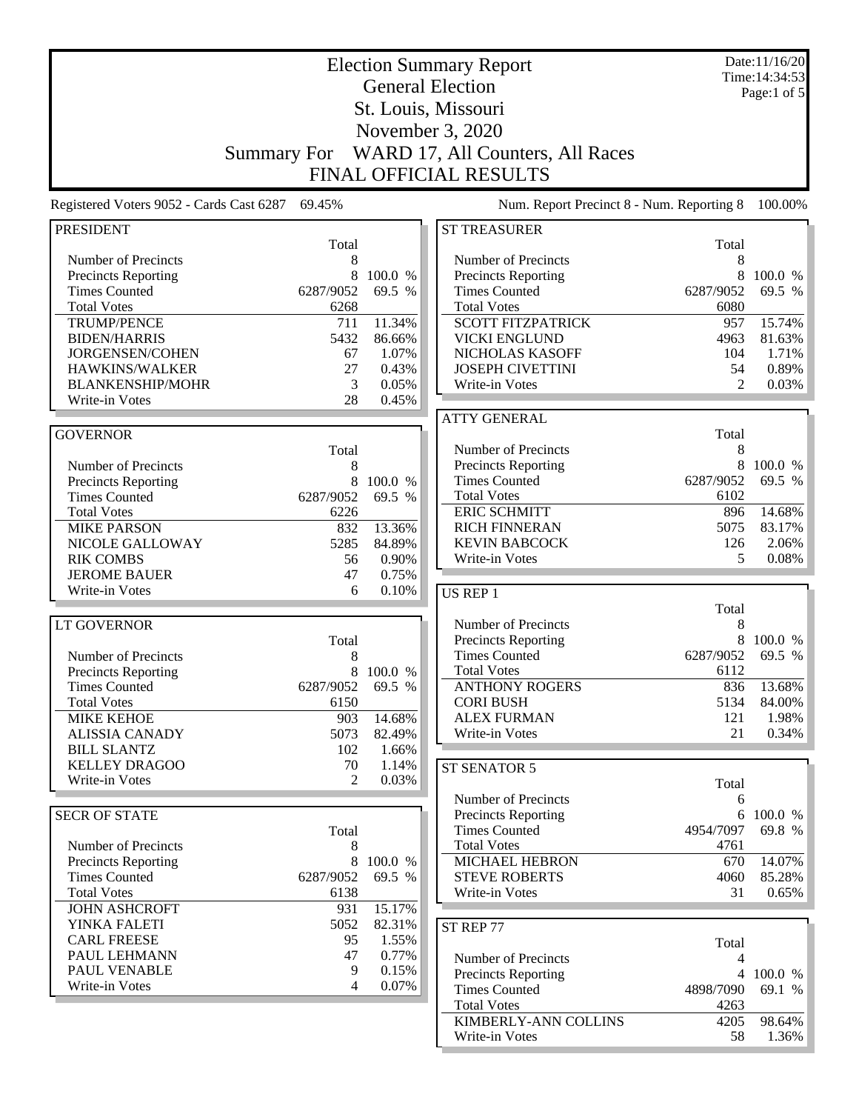|                                                    |                                                        | Date:11/16/20<br>Time: 14:34:53 |                                              |                |                   |  |  |  |
|----------------------------------------------------|--------------------------------------------------------|---------------------------------|----------------------------------------------|----------------|-------------------|--|--|--|
|                                                    |                                                        | Page:1 of $5$                   |                                              |                |                   |  |  |  |
|                                                    | St. Louis, Missouri                                    |                                 |                                              |                |                   |  |  |  |
|                                                    |                                                        |                                 |                                              |                |                   |  |  |  |
|                                                    | November 3, 2020                                       |                                 |                                              |                |                   |  |  |  |
|                                                    | WARD 17, All Counters, All Races<br><b>Summary For</b> |                                 |                                              |                |                   |  |  |  |
| <b>FINAL OFFICIAL RESULTS</b>                      |                                                        |                                 |                                              |                |                   |  |  |  |
| Registered Voters 9052 - Cards Cast 6287           | 69.45%                                                 |                                 | Num. Report Precinct 8 - Num. Reporting 8    |                | 100.00%           |  |  |  |
| <b>PRESIDENT</b>                                   |                                                        |                                 | <b>ST TREASURER</b>                          |                |                   |  |  |  |
|                                                    | Total                                                  |                                 |                                              | Total          |                   |  |  |  |
| Number of Precincts                                | 8                                                      | 100.0 %                         | Number of Precincts                          | 8              |                   |  |  |  |
| <b>Precincts Reporting</b><br><b>Times Counted</b> | 8<br>6287/9052                                         | 69.5 %                          | Precincts Reporting<br><b>Times Counted</b>  | 8<br>6287/9052 | 100.0 %<br>69.5 % |  |  |  |
| <b>Total Votes</b>                                 | 6268                                                   |                                 | <b>Total Votes</b>                           | 6080           |                   |  |  |  |
| <b>TRUMP/PENCE</b>                                 | 711                                                    | 11.34%                          | <b>SCOTT FITZPATRICK</b>                     | 957            | 15.74%            |  |  |  |
| <b>BIDEN/HARRIS</b>                                | 5432                                                   | 86.66%                          | <b>VICKI ENGLUND</b>                         | 4963           | 81.63%            |  |  |  |
| <b>JORGENSEN/COHEN</b>                             | 67                                                     | 1.07%                           | NICHOLAS KASOFF                              | 104            | 1.71%             |  |  |  |
| <b>HAWKINS/WALKER</b>                              | 27                                                     | 0.43%                           | <b>JOSEPH CIVETTINI</b>                      | 54             | 0.89%             |  |  |  |
| <b>BLANKENSHIP/MOHR</b>                            | 3                                                      | 0.05%                           | Write-in Votes                               | 2              | 0.03%             |  |  |  |
| Write-in Votes                                     | 28                                                     | 0.45%                           |                                              |                |                   |  |  |  |
|                                                    |                                                        |                                 | <b>ATTY GENERAL</b>                          |                |                   |  |  |  |
| <b>GOVERNOR</b>                                    |                                                        |                                 |                                              | Total          |                   |  |  |  |
|                                                    | Total                                                  |                                 | Number of Precincts                          | 8              |                   |  |  |  |
| Number of Precincts                                | 8                                                      |                                 | <b>Precincts Reporting</b>                   | 8              | 100.0 %           |  |  |  |
| <b>Precincts Reporting</b>                         | 8                                                      | 100.0 %                         | <b>Times Counted</b>                         | 6287/9052      | 69.5 %            |  |  |  |
| <b>Times Counted</b>                               | 6287/9052                                              | 69.5 %                          | <b>Total Votes</b>                           | 6102           |                   |  |  |  |
| <b>Total Votes</b>                                 | 6226                                                   |                                 | <b>ERIC SCHMITT</b>                          | 896            | 14.68%            |  |  |  |
| <b>MIKE PARSON</b>                                 | 832                                                    | 13.36%                          | <b>RICH FINNERAN</b><br><b>KEVIN BABCOCK</b> | 5075           | 83.17%            |  |  |  |
| NICOLE GALLOWAY                                    | 5285                                                   | 84.89%                          |                                              | 126<br>5       | 2.06%             |  |  |  |
| <b>RIK COMBS</b><br><b>JEROME BAUER</b>            | 56<br>47                                               | 0.90%<br>0.75%                  | Write-in Votes                               |                | 0.08%             |  |  |  |
| Write-in Votes                                     | 6                                                      | 0.10%                           |                                              |                |                   |  |  |  |
|                                                    |                                                        |                                 | <b>US REP 1</b>                              | Total          |                   |  |  |  |
| <b>LT GOVERNOR</b>                                 |                                                        |                                 | Number of Precincts                          | 8              |                   |  |  |  |
|                                                    | Total                                                  |                                 | Precincts Reporting                          | 8              | 100.0 %           |  |  |  |
| Number of Precincts                                | 8                                                      |                                 | <b>Times Counted</b>                         | 6287/9052      | 69.5 %            |  |  |  |
| <b>Precincts Reporting</b>                         | 8                                                      | 100.0 %                         | <b>Total Votes</b>                           | 6112           |                   |  |  |  |
| <b>Times Counted</b>                               | 6287/9052                                              | 69.5 %                          | <b>ANTHONY ROGERS</b>                        | 836            | 13.68%            |  |  |  |
| <b>Total Votes</b>                                 | 6150                                                   |                                 | <b>CORI BUSH</b>                             | 5134           | 84.00%            |  |  |  |
| <b>MIKE KEHOE</b>                                  | 903                                                    | 14.68%                          | <b>ALEX FURMAN</b>                           | 121            | 1.98%             |  |  |  |
| <b>ALISSIA CANADY</b>                              | 5073                                                   | 82.49%                          | Write-in Votes                               | 21             | 0.34%             |  |  |  |
| <b>BILL SLANTZ</b>                                 | 102                                                    | 1.66%                           |                                              |                |                   |  |  |  |
| <b>KELLEY DRAGOO</b>                               | 70                                                     | 1.14%                           | ST SENATOR 5                                 |                |                   |  |  |  |
| Write-in Votes                                     | $\mathfrak{D}$                                         | 0.03%                           |                                              | Total          |                   |  |  |  |
|                                                    |                                                        |                                 | Number of Precincts                          | 6              |                   |  |  |  |
| <b>SECR OF STATE</b>                               |                                                        |                                 | Precincts Reporting                          |                | 6 100.0 %         |  |  |  |
|                                                    | Total                                                  |                                 | <b>Times Counted</b>                         | 4954/7097      | 69.8 %            |  |  |  |
| Number of Precincts                                | 8                                                      |                                 | <b>Total Votes</b>                           | 4761           |                   |  |  |  |
| <b>Precincts Reporting</b>                         | 8                                                      | 100.0 %                         | <b>MICHAEL HEBRON</b>                        | 670            | 14.07%            |  |  |  |
| <b>Times Counted</b>                               | 6287/9052                                              | 69.5 %                          | <b>STEVE ROBERTS</b>                         | 4060           | 85.28%            |  |  |  |
| <b>Total Votes</b><br><b>JOHN ASHCROFT</b>         | 6138                                                   | 15.17%                          | Write-in Votes                               | 31             | 0.65%             |  |  |  |
| YINKA FALETI                                       | 931<br>5052                                            | 82.31%                          |                                              |                |                   |  |  |  |
| <b>CARL FREESE</b>                                 | 95                                                     | 1.55%                           | ST REP 77                                    |                |                   |  |  |  |
| PAUL LEHMANN                                       | 47                                                     | 0.77%                           | Number of Precincts                          | Total<br>4     |                   |  |  |  |
| PAUL VENABLE                                       | 9                                                      | 0.15%                           | <b>Precincts Reporting</b>                   |                | 4 100.0 %         |  |  |  |
| Write-in Votes                                     | 4                                                      | 0.07%                           | <b>Times Counted</b>                         | 4898/7090      | 69.1 %            |  |  |  |
|                                                    |                                                        |                                 | <b>Total Votes</b>                           | 4263           |                   |  |  |  |
|                                                    |                                                        |                                 | KIMBERLY-ANN COLLINS                         | 4205           | 98.64%            |  |  |  |
|                                                    |                                                        |                                 | Write-in Votes                               | 58             | 1.36%             |  |  |  |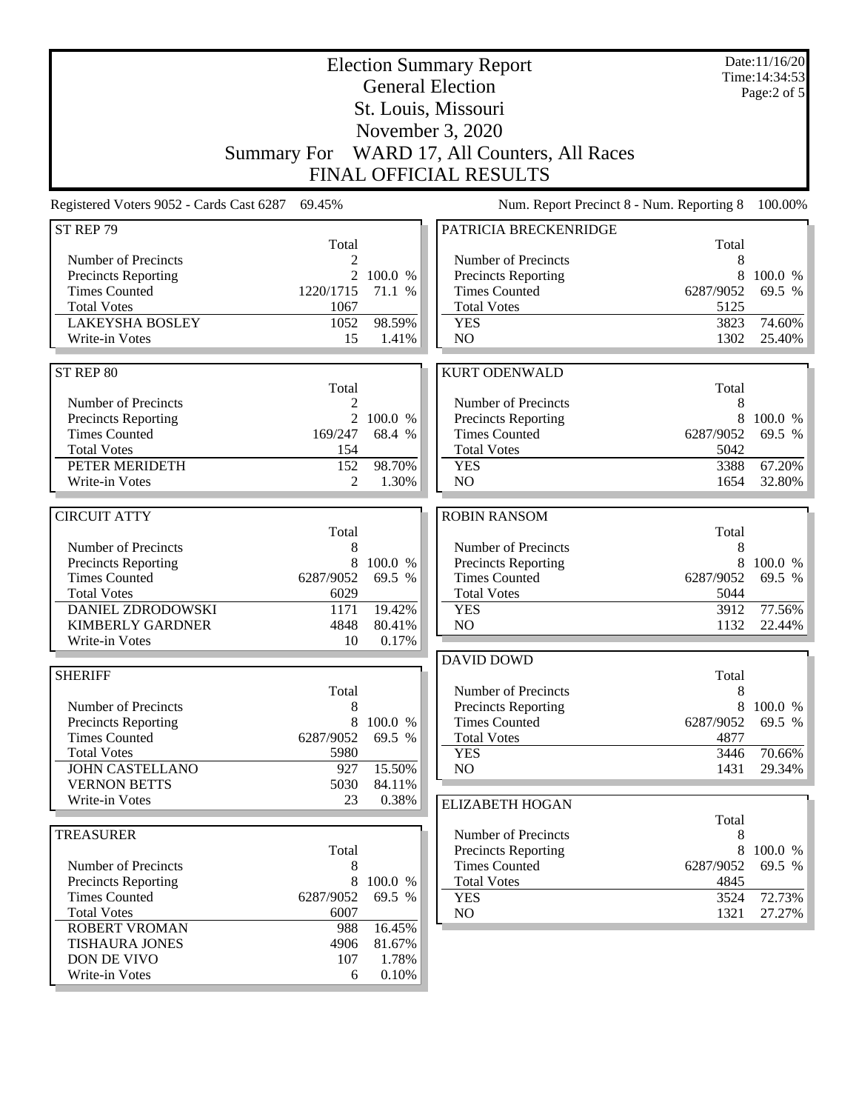| <b>Election Summary Report</b><br><b>General Election</b><br>St. Louis, Missouri<br>November 3, 2020<br>Summary For WARD 17, All Counters, All Races |                |                   |                                                    |                | Date:11/16/20<br>Time: 14:34:53<br>Page:2 of 5 |
|------------------------------------------------------------------------------------------------------------------------------------------------------|----------------|-------------------|----------------------------------------------------|----------------|------------------------------------------------|
|                                                                                                                                                      |                |                   | <b>FINAL OFFICIAL RESULTS</b>                      |                |                                                |
| Registered Voters 9052 - Cards Cast 6287                                                                                                             | 69.45%         |                   | Num. Report Precinct 8 - Num. Reporting 8          |                | 100.00%                                        |
| ST REP 79                                                                                                                                            | Total          |                   | PATRICIA BRECKENRIDGE                              | Total          |                                                |
| Number of Precincts                                                                                                                                  | 2              |                   | Number of Precincts                                | 8              |                                                |
| <b>Precincts Reporting</b>                                                                                                                           | 2              | 100.0 %           | <b>Precincts Reporting</b>                         | 8              | 100.0 %                                        |
| <b>Times Counted</b>                                                                                                                                 | 1220/1715      | 71.1 %            | <b>Times Counted</b>                               | 6287/9052      | 69.5 %                                         |
| <b>Total Votes</b>                                                                                                                                   | 1067           |                   | <b>Total Votes</b>                                 | 5125           |                                                |
| <b>LAKEYSHA BOSLEY</b>                                                                                                                               | 1052           | 98.59%            | <b>YES</b>                                         | 3823           | 74.60%                                         |
| Write-in Votes                                                                                                                                       | 15             | 1.41%             | NO                                                 | 1302           | 25.40%                                         |
| ST REP 80                                                                                                                                            |                |                   | <b>KURT ODENWALD</b>                               |                |                                                |
|                                                                                                                                                      | Total          |                   |                                                    | Total          |                                                |
| Number of Precincts                                                                                                                                  | 2              |                   | Number of Precincts                                | 8              |                                                |
| <b>Precincts Reporting</b>                                                                                                                           | $\overline{2}$ | 100.0 %           | Precincts Reporting                                | 8              | 100.0 %                                        |
| <b>Times Counted</b>                                                                                                                                 | 169/247        | 68.4 %            | <b>Times Counted</b>                               | 6287/9052      | 69.5 %                                         |
| <b>Total Votes</b><br>PETER MERIDETH                                                                                                                 | 154<br>152     | 98.70%            | <b>Total Votes</b><br><b>YES</b>                   | 5042<br>3388   | 67.20%                                         |
| Write-in Votes                                                                                                                                       | 2              | 1.30%             | NO                                                 | 1654           | 32.80%                                         |
|                                                                                                                                                      |                |                   |                                                    |                |                                                |
| <b>CIRCUIT ATTY</b>                                                                                                                                  |                |                   | <b>ROBIN RANSOM</b>                                |                |                                                |
|                                                                                                                                                      | Total          |                   |                                                    | Total          |                                                |
| Number of Precincts                                                                                                                                  | 8              |                   | Number of Precincts                                | 8              |                                                |
| <b>Precincts Reporting</b><br><b>Times Counted</b>                                                                                                   | 8<br>6287/9052 | 100.0 %<br>69.5 % | <b>Precincts Reporting</b><br><b>Times Counted</b> | 8<br>6287/9052 | 100.0 %<br>69.5 %                              |
| <b>Total Votes</b>                                                                                                                                   | 6029           |                   | <b>Total Votes</b>                                 | 5044           |                                                |
| <b>DANIEL ZDRODOWSKI</b>                                                                                                                             | 1171           | 19.42%            | <b>YES</b>                                         | 3912           | 77.56%                                         |
| <b>KIMBERLY GARDNER</b>                                                                                                                              | 4848           | 80.41%            | NO                                                 | 1132           | 22.44%                                         |
| Write-in Votes                                                                                                                                       | 10             | 0.17%             |                                                    |                |                                                |
|                                                                                                                                                      |                |                   | <b>DAVID DOWD</b>                                  |                |                                                |
| <b>SHERIFF</b>                                                                                                                                       |                |                   |                                                    | Total          |                                                |
|                                                                                                                                                      | Total          |                   | Number of Precincts                                | 8<br>8         |                                                |
| Number of Precincts<br><b>Precincts Reporting</b>                                                                                                    | 8<br>8         | 100.0 %           | <b>Precincts Reporting</b><br><b>Times Counted</b> | 6287/9052      | 100.0 %<br>69.5 %                              |
| <b>Times Counted</b>                                                                                                                                 | 6287/9052      | 69.5 %            | <b>Total Votes</b>                                 | 4877           |                                                |
| <b>Total Votes</b>                                                                                                                                   | 5980           |                   | <b>YES</b>                                         | 3446           | 70.66%                                         |
| <b>JOHN CASTELLANO</b>                                                                                                                               | 927            | 15.50%            | N <sub>O</sub>                                     | 1431           | 29.34%                                         |
| <b>VERNON BETTS</b>                                                                                                                                  | 5030           | 84.11%            |                                                    |                |                                                |
| Write-in Votes                                                                                                                                       | 23             | 0.38%             | <b>ELIZABETH HOGAN</b>                             |                |                                                |
| <b>TREASURER</b>                                                                                                                                     |                |                   | Number of Precincts                                | Total<br>8     |                                                |
|                                                                                                                                                      | Total          |                   | <b>Precincts Reporting</b>                         | 8              | 100.0 %                                        |
| Number of Precincts                                                                                                                                  | 8              |                   | <b>Times Counted</b>                               | 6287/9052      | 69.5 %                                         |
| Precincts Reporting                                                                                                                                  | 8              | 100.0 %           | <b>Total Votes</b>                                 | 4845           |                                                |
| <b>Times Counted</b>                                                                                                                                 | 6287/9052      | 69.5 %            | <b>YES</b>                                         | 3524           | 72.73%                                         |
| <b>Total Votes</b>                                                                                                                                   | 6007           |                   | NO                                                 | 1321           | 27.27%                                         |
| <b>ROBERT VROMAN</b><br><b>TISHAURA JONES</b>                                                                                                        | 988<br>4906    | 16.45%<br>81.67%  |                                                    |                |                                                |
| DON DE VIVO                                                                                                                                          | 107            | 1.78%             |                                                    |                |                                                |
| Write-in Votes                                                                                                                                       | 6              | 0.10%             |                                                    |                |                                                |
|                                                                                                                                                      |                |                   |                                                    |                |                                                |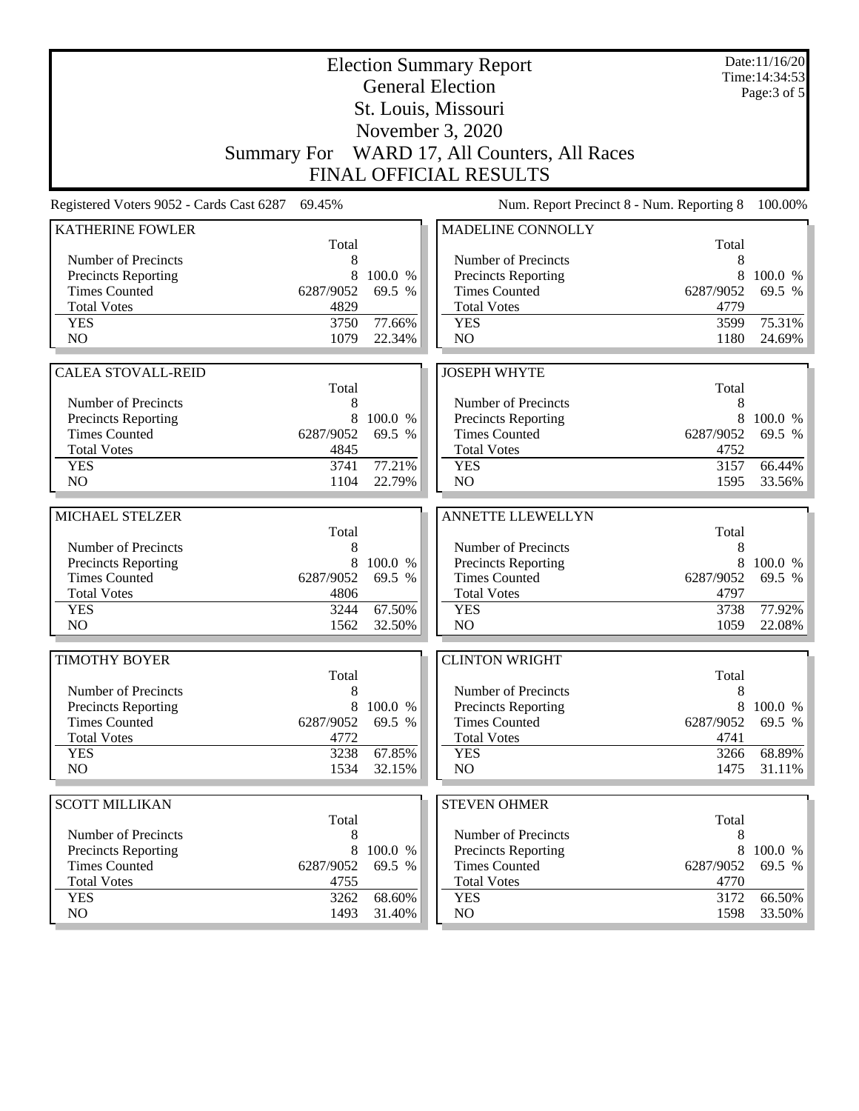|                                            |                   | Date:11/16/20<br>Time: 14:34:53 |                                                   |                   |                  |
|--------------------------------------------|-------------------|---------------------------------|---------------------------------------------------|-------------------|------------------|
|                                            |                   |                                 | <b>General Election</b><br>St. Louis, Missouri    |                   | Page: 3 of 5     |
|                                            |                   |                                 |                                                   |                   |                  |
|                                            |                   |                                 | November 3, 2020                                  |                   |                  |
|                                            |                   |                                 | Summary For WARD 17, All Counters, All Races      |                   |                  |
|                                            |                   |                                 | <b>FINAL OFFICIAL RESULTS</b>                     |                   |                  |
| Registered Voters 9052 - Cards Cast 6287   | 69.45%            |                                 | Num. Report Precinct 8 - Num. Reporting 8         |                   | 100.00%          |
| <b>KATHERINE FOWLER</b>                    |                   |                                 | MADELINE CONNOLLY                                 |                   |                  |
| Number of Precincts                        | Total<br>8        |                                 | Number of Precincts                               | Total<br>8        |                  |
| Precincts Reporting                        | 8                 | 100.0 %                         | Precincts Reporting                               | 8                 | 100.0 %          |
| <b>Times Counted</b>                       | 6287/9052         | 69.5 %                          | <b>Times Counted</b>                              | 6287/9052         | 69.5 %           |
| <b>Total Votes</b>                         | 4829              |                                 | <b>Total Votes</b>                                | 4779              |                  |
| <b>YES</b>                                 | 3750              | 77.66%                          | <b>YES</b>                                        | 3599              | 75.31%           |
| N <sub>O</sub>                             | 1079              | 22.34%                          | NO                                                | 1180              | 24.69%           |
| <b>CALEA STOVALL-REID</b>                  |                   |                                 | <b>JOSEPH WHYTE</b>                               |                   |                  |
|                                            | Total             |                                 |                                                   | Total             |                  |
| Number of Precincts                        | 8                 |                                 | Number of Precincts                               | 8                 |                  |
| Precincts Reporting                        | 8                 | 100.0 %                         | Precincts Reporting                               | 8                 | 100.0 %          |
| <b>Times Counted</b>                       | 6287/9052         | 69.5 %                          | <b>Times Counted</b>                              | 6287/9052         | 69.5 %           |
| <b>Total Votes</b>                         | 4845              |                                 | <b>Total Votes</b>                                | 4752              |                  |
| <b>YES</b>                                 | 3741              | 77.21%                          | <b>YES</b>                                        | 3157              | 66.44%           |
| N <sub>O</sub>                             | 1104              | 22.79%                          | NO                                                | 1595              | 33.56%           |
| MICHAEL STELZER                            |                   |                                 | <b>ANNETTE LLEWELLYN</b>                          |                   |                  |
|                                            | Total             |                                 |                                                   | Total             |                  |
| Number of Precincts                        | 8                 |                                 | Number of Precincts                               | 8                 |                  |
| Precincts Reporting                        | 8                 | 100.0 %                         | Precincts Reporting                               | 8                 | 100.0 %          |
| <b>Times Counted</b>                       | 6287/9052         | 69.5 %                          | <b>Times Counted</b>                              | 6287/9052         | 69.5 %           |
| <b>Total Votes</b>                         | 4806              |                                 | <b>Total Votes</b>                                | 4797              |                  |
| <b>YES</b><br>N <sub>O</sub>               | 3244<br>1562      | 67.50%<br>32.50%                | <b>YES</b><br>N <sub>O</sub>                      | 3738<br>1059      | 77.92%<br>22.08% |
|                                            |                   |                                 |                                                   |                   |                  |
| <b>TIMOTHY BOYER</b>                       |                   |                                 | <b>CLINTON WRIGHT</b>                             |                   |                  |
|                                            | Total             |                                 |                                                   | Total             |                  |
| Number of Precincts                        | 8                 |                                 | Number of Precincts                               | 8                 |                  |
| Precincts Reporting                        | 8                 | 100.0 %                         | <b>Precincts Reporting</b>                        | 8                 | 100.0 %          |
| <b>Times Counted</b><br><b>Total Votes</b> | 6287/9052<br>4772 | 69.5 %                          | <b>Times Counted</b><br><b>Total Votes</b>        | 6287/9052<br>4741 | 69.5 %           |
| <b>YES</b>                                 | 3238              | 67.85%                          | <b>YES</b>                                        | 3266              | 68.89%           |
| NO.                                        | 1534              | 32.15%                          | NO                                                | 1475              | 31.11%           |
|                                            |                   |                                 |                                                   |                   |                  |
| <b>SCOTT MILLIKAN</b>                      |                   |                                 | <b>STEVEN OHMER</b>                               |                   |                  |
|                                            | Total             |                                 |                                                   | Total             |                  |
| Number of Precincts<br>Precincts Reporting | 8<br>8            | 100.0 %                         | Number of Precincts<br><b>Precincts Reporting</b> | 8<br>8            | 100.0 %          |
| <b>Times Counted</b>                       | 6287/9052         | 69.5 %                          | <b>Times Counted</b>                              | 6287/9052         | 69.5 %           |
| <b>Total Votes</b>                         | 4755              |                                 | <b>Total Votes</b>                                | 4770              |                  |
| <b>YES</b>                                 | 3262              | 68.60%                          | <b>YES</b>                                        | 3172              | 66.50%           |
|                                            |                   |                                 |                                                   |                   |                  |
| NO.                                        | 1493              | 31.40%                          | NO                                                | 1598              | 33.50%           |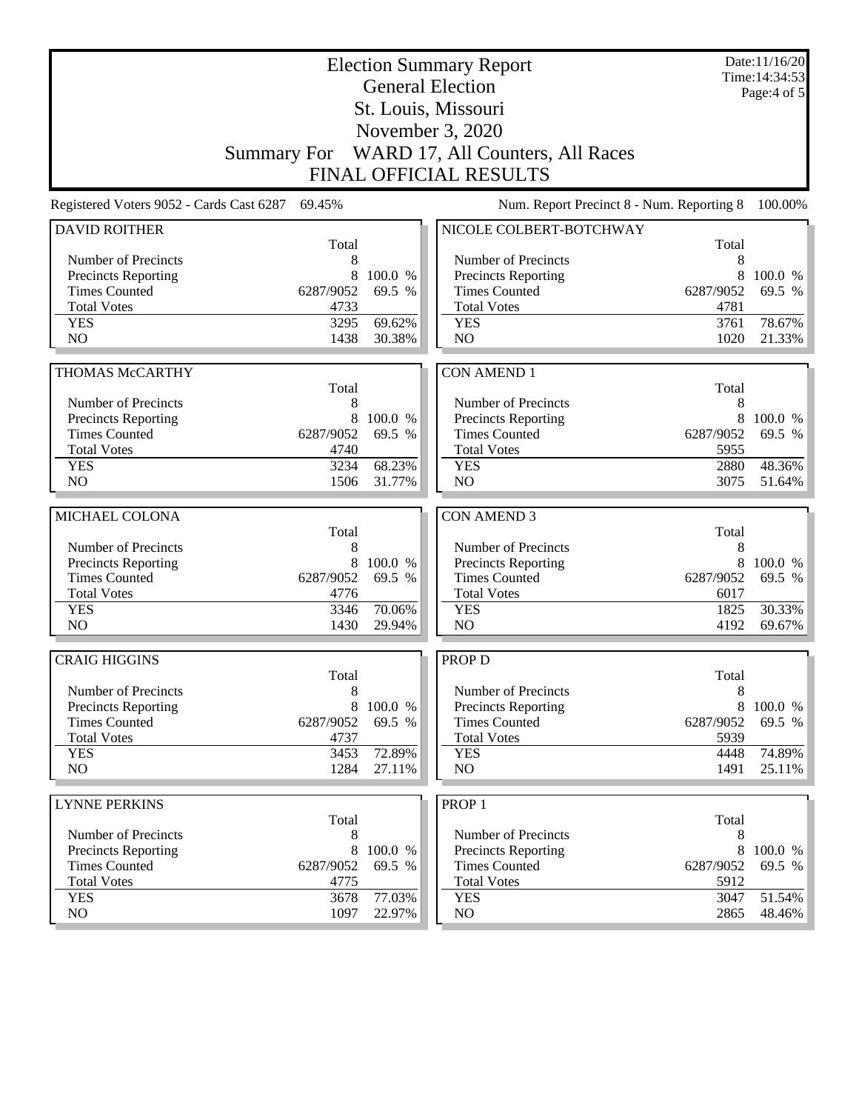| <b>Election Summary Report</b><br><b>General Election</b> |              |                  |                                              |              |                  |  |
|-----------------------------------------------------------|--------------|------------------|----------------------------------------------|--------------|------------------|--|
|                                                           |              |                  | St. Louis, Missouri                          |              | Page: $4$ of $5$ |  |
| November 3, 2020                                          |              |                  |                                              |              |                  |  |
|                                                           |              |                  | Summary For WARD 17, All Counters, All Races |              |                  |  |
|                                                           |              |                  | <b>FINAL OFFICIAL RESULTS</b>                |              |                  |  |
|                                                           |              |                  |                                              |              |                  |  |
| Registered Voters 9052 - Cards Cast 6287                  | 69.45%       |                  | Num. Report Precinct 8 - Num. Reporting 8    |              | 100.00%          |  |
| <b>DAVID ROITHER</b>                                      | Total        |                  | NICOLE COLBERT-BOTCHWAY                      | Total        |                  |  |
| Number of Precincts                                       | 8            |                  | Number of Precincts                          | 8            |                  |  |
| <b>Precincts Reporting</b>                                | 8            | 100.0 %          | <b>Precincts Reporting</b>                   | 8            | 100.0 %          |  |
| <b>Times Counted</b>                                      | 6287/9052    | 69.5 %           | <b>Times Counted</b>                         | 6287/9052    | 69.5 %           |  |
| <b>Total Votes</b>                                        | 4733         |                  | <b>Total Votes</b>                           | 4781         |                  |  |
| <b>YES</b>                                                | 3295         | 69.62%           | <b>YES</b>                                   | 3761         | 78.67%           |  |
| N <sub>O</sub>                                            | 1438         | 30.38%           | NO                                           | 1020         | 21.33%           |  |
| <b>THOMAS McCARTHY</b>                                    |              |                  |                                              |              |                  |  |
|                                                           | Total        |                  | <b>CON AMEND 1</b>                           | Total        |                  |  |
| Number of Precincts                                       | 8            |                  | Number of Precincts                          | 8            |                  |  |
| Precincts Reporting                                       | 8            | 100.0 %          | Precincts Reporting                          | 8            | 100.0 %          |  |
| <b>Times Counted</b>                                      | 6287/9052    | 69.5 %           | <b>Times Counted</b>                         | 6287/9052    | 69.5 %           |  |
| <b>Total Votes</b>                                        | 4740         |                  | <b>Total Votes</b>                           | 5955         |                  |  |
| <b>YES</b>                                                | 3234         | 68.23%           | <b>YES</b>                                   | 2880         | 48.36%           |  |
| NO                                                        | 1506         | 31.77%           | NO                                           | 3075         | 51.64%           |  |
|                                                           |              |                  |                                              |              |                  |  |
|                                                           |              |                  |                                              |              |                  |  |
| MICHAEL COLONA                                            |              |                  | <b>CON AMEND 3</b>                           |              |                  |  |
|                                                           | Total        |                  |                                              | Total        |                  |  |
| Number of Precincts                                       | 8<br>8       | 100.0 %          | Number of Precincts                          | 8<br>8       | 100.0 %          |  |
| <b>Precincts Reporting</b><br><b>Times Counted</b>        | 6287/9052    | 69.5 %           | Precincts Reporting<br><b>Times Counted</b>  | 6287/9052    | 69.5 %           |  |
| <b>Total Votes</b>                                        | 4776         |                  | <b>Total Votes</b>                           | 6017         |                  |  |
| <b>YES</b>                                                | 3346         | 70.06%           | <b>YES</b>                                   | 1825         | 30.33%           |  |
| N <sub>O</sub>                                            | 1430         | 29.94%           | NO                                           | 4192         | 69.67%           |  |
|                                                           |              |                  |                                              |              |                  |  |
| <b>CRAIG HIGGINS</b>                                      |              |                  | <b>PROP D</b>                                |              |                  |  |
| Number of Precincts                                       | Total<br>8   |                  | Number of Precincts                          | Total<br>8   |                  |  |
| <b>Precincts Reporting</b>                                | 8            | 100.0 %          | <b>Precincts Reporting</b>                   | 8            | 100.0 %          |  |
| <b>Times Counted</b>                                      | 6287/9052    | 69.5 %           | <b>Times Counted</b>                         | 6287/9052    | 69.5 %           |  |
| <b>Total Votes</b>                                        | 4737         |                  | <b>Total Votes</b>                           | 5939         |                  |  |
| <b>YES</b>                                                | 3453         | 72.89%           | <b>YES</b>                                   | 4448         | 74.89%           |  |
| NO.                                                       | 1284         | 27.11%           | NO                                           | 1491         | $25.11\%$        |  |
|                                                           |              |                  |                                              |              |                  |  |
| <b>LYNNE PERKINS</b>                                      | Total        |                  | PROP <sub>1</sub>                            | Total        |                  |  |
| Number of Precincts                                       | 8            |                  | Number of Precincts                          | 8            |                  |  |
| <b>Precincts Reporting</b>                                | 8            | 100.0 %          | Precincts Reporting                          | 8            | 100.0 %          |  |
| <b>Times Counted</b>                                      | 6287/9052    | 69.5 %           | <b>Times Counted</b>                         | 6287/9052    | 69.5 %           |  |
| <b>Total Votes</b>                                        | 4775         |                  | <b>Total Votes</b>                           | 5912         |                  |  |
| <b>YES</b><br>NO.                                         | 3678<br>1097 | 77.03%<br>22.97% | <b>YES</b><br>NO.                            | 3047<br>2865 | 51.54%<br>48.46% |  |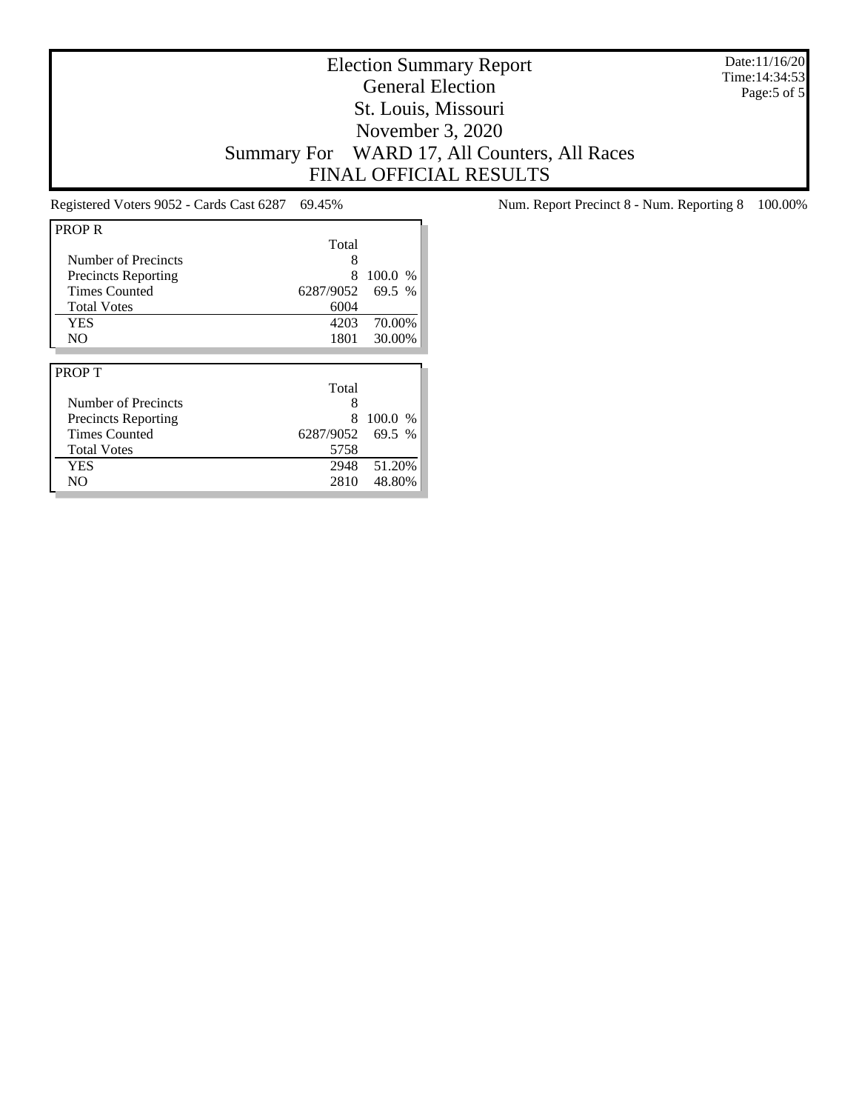Date:11/16/20 Time:14:34:53 Page:5 of 5

## Election Summary Report General Election St. Louis, Missouri November 3, 2020 Summary For WARD 17, All Counters, All Races FINAL OFFICIAL RESULTS

| <b>PROPR</b>               |           |        |
|----------------------------|-----------|--------|
|                            | Total     |        |
| Number of Precincts        | 8         |        |
| <b>Precincts Reporting</b> | 8         | 100.0% |
| <b>Times Counted</b>       | 6287/9052 | 69.5 % |
| <b>Total Votes</b>         | 6004      |        |
| <b>YES</b>                 | 4203      | 70.00% |
| N <sub>O</sub>             | 1801      | 30.00% |
|                            |           |        |
|                            |           |        |
| <b>PROPT</b>               |           |        |
|                            | Total     |        |
| Number of Precincts        | 8         |        |
| <b>Precincts Reporting</b> | 8         | 100.0% |
| <b>Times Counted</b>       | 6287/9052 | 69.5 % |
| <b>Total Votes</b>         | 5758      |        |
| <b>YES</b>                 | 2948      | 51.20% |

Registered Voters 9052 - Cards Cast 6287 69.45% Num. Report Precinct 8 - Num. Reporting 8 100.00%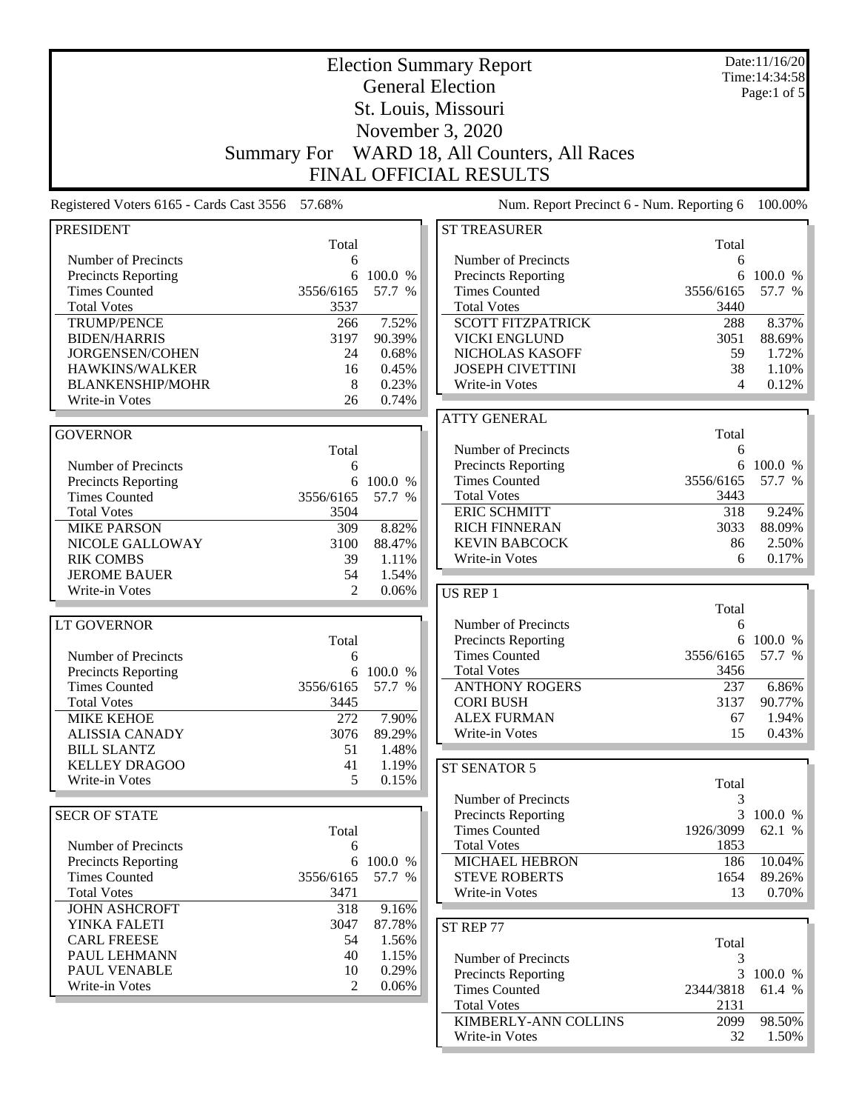|                                                   | Date:11/16/20<br><b>Election Summary Report</b><br>Time: 14:34:58 |                |                                                    |                |                   |  |  |
|---------------------------------------------------|-------------------------------------------------------------------|----------------|----------------------------------------------------|----------------|-------------------|--|--|
|                                                   | <b>General Election</b>                                           |                |                                                    |                |                   |  |  |
|                                                   |                                                                   |                | St. Louis, Missouri                                |                | Page:1 of $5$     |  |  |
|                                                   | November 3, 2020                                                  |                |                                                    |                |                   |  |  |
|                                                   |                                                                   |                |                                                    |                |                   |  |  |
|                                                   | <b>Summary For</b>                                                |                | WARD 18, All Counters, All Races                   |                |                   |  |  |
|                                                   |                                                                   |                | <b>FINAL OFFICIAL RESULTS</b>                      |                |                   |  |  |
| Registered Voters 6165 - Cards Cast 3556 57.68%   |                                                                   |                | Num. Report Precinct 6 - Num. Reporting 6          |                | 100.00%           |  |  |
| <b>PRESIDENT</b>                                  |                                                                   |                | <b>ST TREASURER</b>                                |                |                   |  |  |
|                                                   | Total                                                             |                |                                                    | Total          |                   |  |  |
| Number of Precincts<br><b>Precincts Reporting</b> | 6<br>6                                                            | 100.0 %        | Number of Precincts<br><b>Precincts Reporting</b>  | 6<br>6         | 100.0 %           |  |  |
| <b>Times Counted</b>                              | 3556/6165                                                         | 57.7 %         | <b>Times Counted</b>                               | 3556/6165      | 57.7 %            |  |  |
| <b>Total Votes</b>                                | 3537                                                              |                | <b>Total Votes</b>                                 | 3440           |                   |  |  |
| <b>TRUMP/PENCE</b>                                | 266                                                               | 7.52%          | <b>SCOTT FITZPATRICK</b>                           | 288            | 8.37%             |  |  |
| <b>BIDEN/HARRIS</b>                               | 3197                                                              | 90.39%         | <b>VICKI ENGLUND</b>                               | 3051           | 88.69%            |  |  |
| JORGENSEN/COHEN                                   | 24                                                                | 0.68%          | NICHOLAS KASOFF                                    | 59             | 1.72%             |  |  |
| HAWKINS/WALKER                                    | 16                                                                | 0.45%          | <b>JOSEPH CIVETTINI</b>                            | 38             | 1.10%             |  |  |
| <b>BLANKENSHIP/MOHR</b>                           | 8                                                                 | 0.23%          | Write-in Votes                                     | 4              | 0.12%             |  |  |
| Write-in Votes                                    | 26                                                                | 0.74%          |                                                    |                |                   |  |  |
|                                                   |                                                                   |                | <b>ATTY GENERAL</b>                                |                |                   |  |  |
| <b>GOVERNOR</b>                                   |                                                                   |                |                                                    | Total          |                   |  |  |
|                                                   | Total                                                             |                | Number of Precincts                                | 6              |                   |  |  |
| Number of Precincts                               | 6                                                                 |                | Precincts Reporting                                | 6              | 100.0 %           |  |  |
| <b>Precincts Reporting</b>                        | 6                                                                 | 100.0 %        | <b>Times Counted</b>                               | 3556/6165      | 57.7 %            |  |  |
| <b>Times Counted</b><br><b>Total Votes</b>        | 3556/6165<br>3504                                                 | 57.7 %         | <b>Total Votes</b><br><b>ERIC SCHMITT</b>          | 3443<br>318    | 9.24%             |  |  |
| <b>MIKE PARSON</b>                                | 309                                                               | 8.82%          | <b>RICH FINNERAN</b>                               | 3033           | 88.09%            |  |  |
| NICOLE GALLOWAY                                   | 3100                                                              | 88.47%         | <b>KEVIN BABCOCK</b>                               | 86             | 2.50%             |  |  |
| <b>RIK COMBS</b>                                  | 39                                                                | 1.11%          | Write-in Votes                                     | 6              | 0.17%             |  |  |
| <b>JEROME BAUER</b>                               | 54                                                                | 1.54%          |                                                    |                |                   |  |  |
| Write-in Votes                                    | $\overline{2}$                                                    | 0.06%          | US REP 1                                           |                |                   |  |  |
|                                                   |                                                                   |                |                                                    | Total          |                   |  |  |
| <b>LT GOVERNOR</b>                                |                                                                   |                | Number of Precincts                                | 6              |                   |  |  |
|                                                   | Total                                                             |                | <b>Precincts Reporting</b>                         | 6              | 100.0 %           |  |  |
| Number of Precincts                               | 6                                                                 |                | <b>Times Counted</b>                               | 3556/6165      | 57.7 %            |  |  |
| <b>Precincts Reporting</b>                        |                                                                   | 6 100.0 %      | <b>Total Votes</b>                                 | 3456           |                   |  |  |
| <b>Times Counted</b>                              | 3556/6165                                                         | 57.7 %         | <b>ANTHONY ROGERS</b>                              | 237            | 6.86%             |  |  |
| <b>Total Votes</b>                                | 3445                                                              |                | <b>CORI BUSH</b>                                   | 3137           | 90.77%            |  |  |
| <b>MIKE KEHOE</b>                                 | 272                                                               | 7.90%          | <b>ALEX FURMAN</b>                                 | 67             | 1.94%             |  |  |
| <b>ALISSIA CANADY</b>                             | 3076                                                              | 89.29%         | Write-in Votes                                     | 15             | 0.43%             |  |  |
| <b>BILL SLANTZ</b>                                | 51                                                                | 1.48%          |                                                    |                |                   |  |  |
| <b>KELLEY DRAGOO</b><br>Write-in Votes            | 41<br>5                                                           | 1.19%<br>0.15% | ST SENATOR 5                                       |                |                   |  |  |
|                                                   |                                                                   |                |                                                    | Total          |                   |  |  |
|                                                   |                                                                   |                | Number of Precincts                                | 3              |                   |  |  |
| <b>SECR OF STATE</b>                              | Total                                                             |                | <b>Precincts Reporting</b><br><b>Times Counted</b> | 3<br>1926/3099 | 100.0 %<br>62.1 % |  |  |
| Number of Precincts                               | 6                                                                 |                | <b>Total Votes</b>                                 | 1853           |                   |  |  |
| <b>Precincts Reporting</b>                        |                                                                   | 6 100.0 %      | MICHAEL HEBRON                                     | 186            | 10.04%            |  |  |
| <b>Times Counted</b>                              | 3556/6165                                                         | 57.7 %         | <b>STEVE ROBERTS</b>                               | 1654           | 89.26%            |  |  |
| <b>Total Votes</b>                                | 3471                                                              |                | Write-in Votes                                     | 13             | 0.70%             |  |  |
| <b>JOHN ASHCROFT</b>                              | 318                                                               | 9.16%          |                                                    |                |                   |  |  |
| YINKA FALETI                                      | 3047                                                              | 87.78%         | ST REP 77                                          |                |                   |  |  |
| <b>CARL FREESE</b>                                | 54                                                                | 1.56%          |                                                    | Total          |                   |  |  |
| PAUL LEHMANN                                      | 40                                                                | 1.15%          | Number of Precincts                                | 3              |                   |  |  |
| PAUL VENABLE                                      | 10                                                                | 0.29%          | <b>Precincts Reporting</b>                         | 3              | 100.0 %           |  |  |
| Write-in Votes                                    | $\mathfrak{D}$                                                    | 0.06%          | <b>Times Counted</b>                               | 2344/3818      | 61.4 %            |  |  |
|                                                   |                                                                   |                | <b>Total Votes</b>                                 | 2131           |                   |  |  |
|                                                   |                                                                   |                | KIMBERLY-ANN COLLINS                               | 2099           | 98.50%            |  |  |
|                                                   |                                                                   |                | Write-in Votes                                     | 32             | $1.50\%$          |  |  |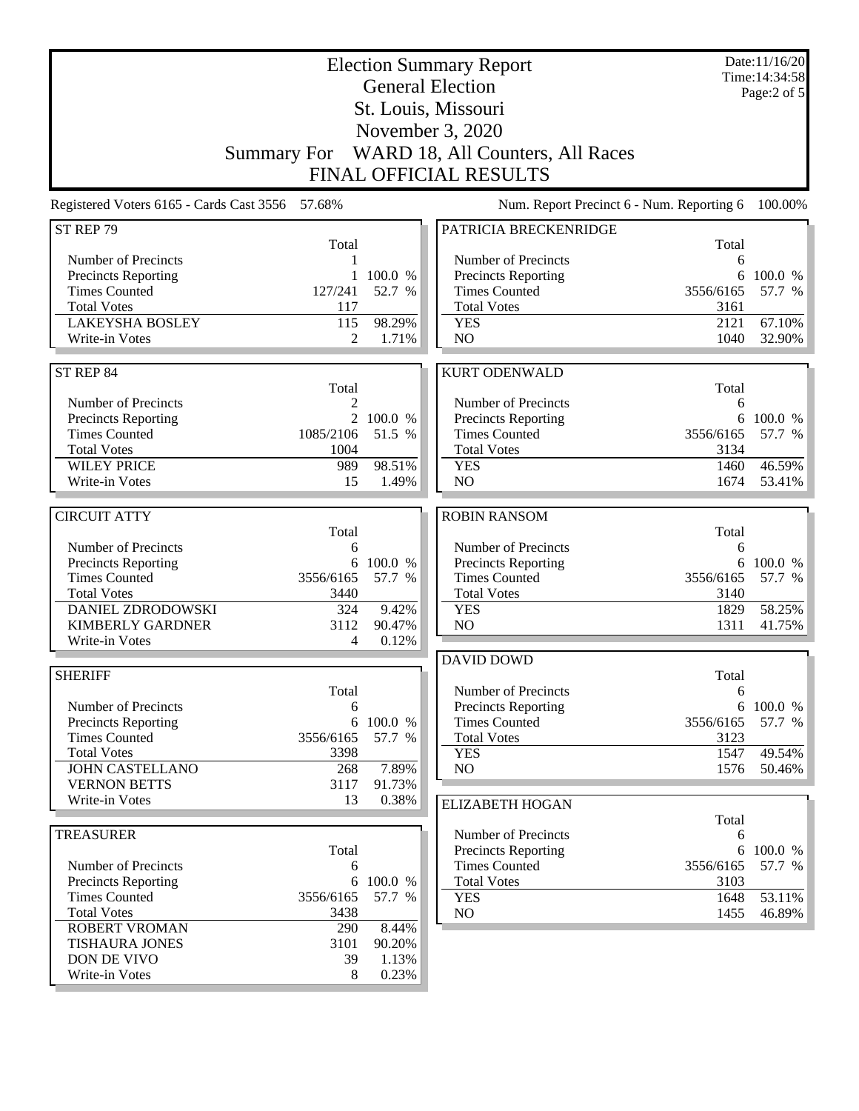| <b>Election Summary Report</b><br><b>General Election</b><br>St. Louis, Missouri |            |                     |                                                    |                | Date:11/16/20<br>Time: 14:34:58<br>Page:2 of 5 |
|----------------------------------------------------------------------------------|------------|---------------------|----------------------------------------------------|----------------|------------------------------------------------|
|                                                                                  |            |                     | November 3, 2020                                   |                |                                                |
|                                                                                  |            |                     | Summary For WARD 18, All Counters, All Races       |                |                                                |
|                                                                                  |            |                     | <b>FINAL OFFICIAL RESULTS</b>                      |                |                                                |
| Registered Voters 6165 - Cards Cast 3556 57.68%                                  |            |                     | Num. Report Precinct 6 - Num. Reporting 6          |                | 100.00%                                        |
| ST REP 79                                                                        | Total      |                     | PATRICIA BRECKENRIDGE                              | Total          |                                                |
| Number of Precincts                                                              |            |                     | Number of Precincts                                | 6              |                                                |
| <b>Precincts Reporting</b>                                                       |            | 1 100.0 %           | <b>Precincts Reporting</b>                         |                | 6 100.0 %                                      |
| <b>Times Counted</b>                                                             | 127/241    | 52.7 %              | <b>Times Counted</b>                               | 3556/6165      | 57.7 %                                         |
| <b>Total Votes</b>                                                               | 117        |                     | <b>Total Votes</b>                                 | 3161           |                                                |
| <b>LAKEYSHA BOSLEY</b>                                                           | 115        | 98.29%              | <b>YES</b>                                         | 2121           | 67.10%                                         |
| Write-in Votes                                                                   | 2          | 1.71%               | NO                                                 | 1040           | 32.90%                                         |
| ST REP 84                                                                        |            |                     | <b>KURT ODENWALD</b>                               |                |                                                |
|                                                                                  | Total      |                     |                                                    | Total          |                                                |
| Number of Precincts                                                              | 2          |                     | Number of Precincts                                | 6              |                                                |
| <b>Precincts Reporting</b><br><b>Times Counted</b>                               | 1085/2106  | 2 100.0 %<br>51.5 % | Precincts Reporting<br><b>Times Counted</b>        | 3556/6165      | 6 100.0 %<br>57.7 %                            |
| <b>Total Votes</b>                                                               | 1004       |                     | <b>Total Votes</b>                                 | 3134           |                                                |
| <b>WILEY PRICE</b>                                                               | 989        | 98.51%              | <b>YES</b>                                         | 1460           | 46.59%                                         |
| Write-in Votes                                                                   | 15         | 1.49%               | NO                                                 | 1674           | 53.41%                                         |
|                                                                                  |            |                     |                                                    |                |                                                |
| <b>CIRCUIT ATTY</b>                                                              |            |                     | <b>ROBIN RANSOM</b>                                |                |                                                |
|                                                                                  | Total      |                     |                                                    | Total          |                                                |
| Number of Precincts<br><b>Precincts Reporting</b>                                | 6          | 6 100.0 %           | Number of Precincts<br>Precincts Reporting         | 6              | 6 100.0 %                                      |
| <b>Times Counted</b>                                                             | 3556/6165  | 57.7 %              | <b>Times Counted</b>                               | 3556/6165      | 57.7 %                                         |
| <b>Total Votes</b>                                                               | 3440       |                     | <b>Total Votes</b>                                 | 3140           |                                                |
| <b>DANIEL ZDRODOWSKI</b>                                                         | 324        | 9.42%               | <b>YES</b>                                         | 1829           | 58.25%                                         |
| <b>KIMBERLY GARDNER</b>                                                          | 3112       | 90.47%              | NO                                                 | 1311           | 41.75%                                         |
| Write-in Votes                                                                   | 4          | 0.12%               |                                                    |                |                                                |
|                                                                                  |            |                     | <b>DAVID DOWD</b>                                  |                |                                                |
| <b>SHERIFF</b>                                                                   | Total      |                     | Number of Precincts                                | Total<br>6     |                                                |
| Number of Precincts                                                              | 6          |                     | Precincts Reporting                                | 6              | 100.0 %                                        |
| <b>Precincts Reporting</b>                                                       | 6          | 100.0 %             | <b>Times Counted</b>                               | 3556/6165      | 57.7 %                                         |
| <b>Times Counted</b>                                                             | 3556/6165  | 57.7 %              | <b>Total Votes</b>                                 | 3123           |                                                |
| <b>Total Votes</b>                                                               | 3398       |                     | <b>YES</b>                                         | 1547           | 49.54%                                         |
| <b>JOHN CASTELLANO</b>                                                           | 268        | 7.89%               | NO                                                 | 1576           | 50.46%                                         |
| <b>VERNON BETTS</b>                                                              | 3117       | 91.73%              |                                                    |                |                                                |
| Write-in Votes                                                                   | 13         | 0.38%               | <b>ELIZABETH HOGAN</b>                             |                |                                                |
|                                                                                  |            |                     |                                                    | Total          |                                                |
| <b>TREASURER</b>                                                                 |            |                     | Number of Precincts                                | 6              |                                                |
| Number of Precincts                                                              | Total<br>6 |                     | <b>Precincts Reporting</b><br><b>Times Counted</b> | 6<br>3556/6165 | 100.0 %<br>57.7 %                              |
| <b>Precincts Reporting</b>                                                       | 6          | 100.0 %             | <b>Total Votes</b>                                 | 3103           |                                                |
| <b>Times Counted</b>                                                             | 3556/6165  | 57.7 %              | <b>YES</b>                                         | 1648           | 53.11%                                         |
| <b>Total Votes</b>                                                               | 3438       |                     | NO                                                 | 1455           | 46.89%                                         |
| <b>ROBERT VROMAN</b>                                                             | 290        | 8.44%               |                                                    |                |                                                |
| <b>TISHAURA JONES</b>                                                            | 3101       | 90.20%              |                                                    |                |                                                |
| DON DE VIVO                                                                      | 39         | 1.13%               |                                                    |                |                                                |
| Write-in Votes                                                                   | 8          | 0.23%               |                                                    |                |                                                |
|                                                                                  |            |                     |                                                    |                |                                                |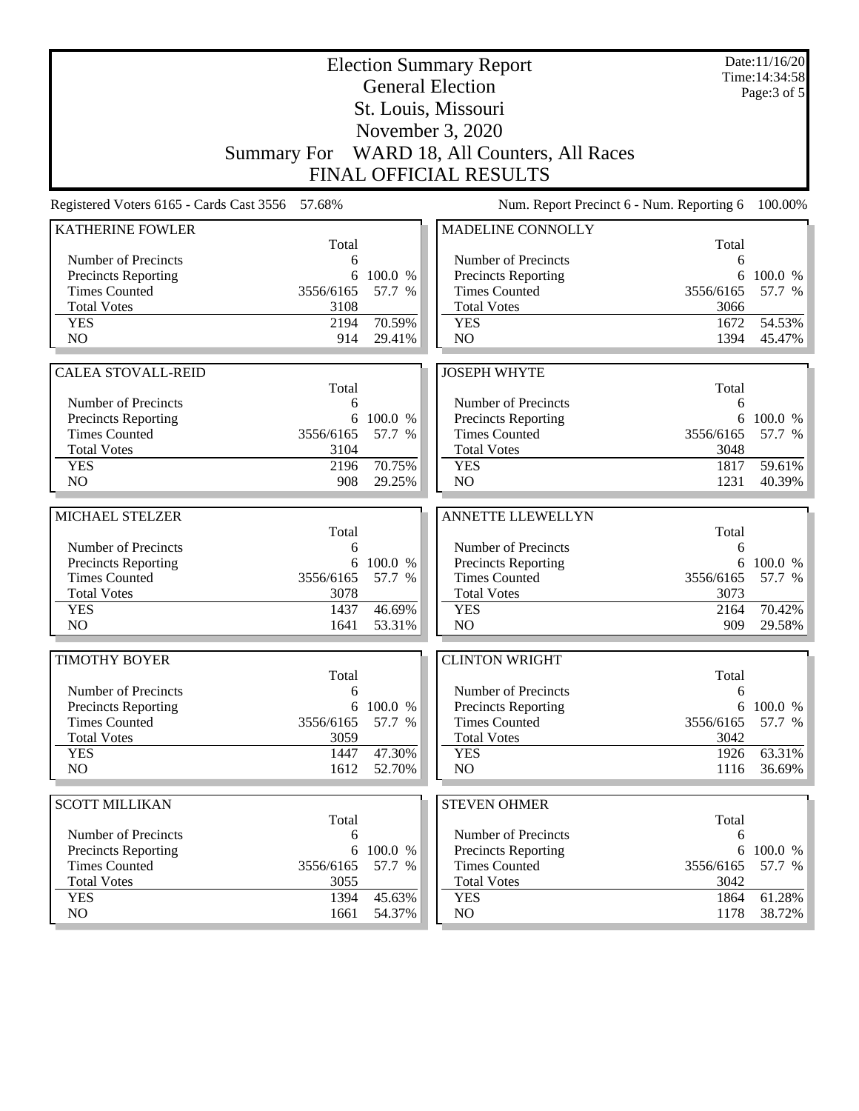| <b>Election Summary Report</b><br><b>General Election</b> |                   |                   |                                                    |                   | Date:11/16/20<br>Time: 14:34:58 |
|-----------------------------------------------------------|-------------------|-------------------|----------------------------------------------------|-------------------|---------------------------------|
|                                                           |                   |                   |                                                    |                   | Page: 3 of 5                    |
|                                                           |                   |                   | St. Louis, Missouri                                |                   |                                 |
|                                                           |                   |                   | November 3, 2020                                   |                   |                                 |
|                                                           |                   |                   | Summary For WARD 18, All Counters, All Races       |                   |                                 |
|                                                           |                   |                   | <b>FINAL OFFICIAL RESULTS</b>                      |                   |                                 |
| Registered Voters 6165 - Cards Cast 3556 57.68%           |                   |                   | Num. Report Precinct 6 - Num. Reporting 6          |                   | 100.00%                         |
| <b>KATHERINE FOWLER</b>                                   | Total             |                   | MADELINE CONNOLLY                                  | Total             |                                 |
| Number of Precincts                                       | 6                 |                   | Number of Precincts                                | 6                 |                                 |
| Precincts Reporting                                       | 6                 | 100.0 %           | Precincts Reporting                                | 6                 | 100.0 %                         |
| <b>Times Counted</b>                                      | 3556/6165         | 57.7 %            | <b>Times Counted</b>                               | 3556/6165         | 57.7 %                          |
| <b>Total Votes</b>                                        | 3108              |                   | <b>Total Votes</b>                                 | 3066              |                                 |
| <b>YES</b>                                                | 2194              | 70.59%            | <b>YES</b>                                         | 1672              | 54.53%                          |
| N <sub>O</sub>                                            | 914               | 29.41%            | NO                                                 | 1394              | 45.47%                          |
| <b>CALEA STOVALL-REID</b>                                 |                   |                   | <b>JOSEPH WHYTE</b>                                |                   |                                 |
|                                                           | Total             |                   |                                                    | Total             |                                 |
| Number of Precincts                                       | 6                 |                   | Number of Precincts                                | 6                 |                                 |
| Precincts Reporting                                       | 6                 | 100.0 %           | Precincts Reporting                                | 6                 | 100.0 %                         |
| <b>Times Counted</b>                                      | 3556/6165         | 57.7 %            | <b>Times Counted</b>                               | 3556/6165         | 57.7 %                          |
| <b>Total Votes</b>                                        | 3104              |                   | <b>Total Votes</b>                                 | 3048              |                                 |
| <b>YES</b>                                                | 2196              | 70.75%            | <b>YES</b>                                         | 1817              | 59.61%                          |
| N <sub>O</sub>                                            | 908               | 29.25%            | NO                                                 | 1231              | 40.39%                          |
| MICHAEL STELZER                                           |                   |                   | ANNETTE LLEWELLYN                                  |                   |                                 |
|                                                           | Total             |                   |                                                    | Total             |                                 |
| Number of Precincts                                       | 6                 |                   | Number of Precincts                                | 6                 |                                 |
| Precincts Reporting                                       |                   | 6 100.0 %         | Precincts Reporting                                | 6                 | 100.0 %                         |
| <b>Times Counted</b>                                      | 3556/6165         | 57.7 %            | <b>Times Counted</b>                               | 3556/6165         | 57.7 %                          |
| <b>Total Votes</b>                                        | 3078              |                   | <b>Total Votes</b>                                 | 3073              |                                 |
| <b>YES</b><br>N <sub>O</sub>                              | 1437<br>1641      | 46.69%            | <b>YES</b><br>N <sub>O</sub>                       | 2164<br>909       | 70.42%<br>29.58%                |
|                                                           |                   | 53.31%            |                                                    |                   |                                 |
| <b>TIMOTHY BOYER</b>                                      |                   |                   | <b>CLINTON WRIGHT</b>                              |                   |                                 |
|                                                           | Total             |                   |                                                    | Total             |                                 |
| Number of Precincts                                       | 6                 |                   | Number of Precincts                                | 6                 |                                 |
| Precincts Reporting                                       | 6                 | 100.0 %           | <b>Precincts Reporting</b><br><b>Times Counted</b> | 6                 | 100.0 %                         |
| <b>Times Counted</b><br><b>Total Votes</b>                | 3556/6165<br>3059 | 57.7 %            | <b>Total Votes</b>                                 | 3556/6165<br>3042 | 57.7 %                          |
| <b>YES</b>                                                | 1447              | 47.30%            | <b>YES</b>                                         | 1926              | 63.31%                          |
| NO.                                                       | 1612              | 52.70%            | NO                                                 | 1116              | 36.69%                          |
|                                                           |                   |                   |                                                    |                   |                                 |
| <b>SCOTT MILLIKAN</b>                                     |                   |                   | <b>STEVEN OHMER</b>                                |                   |                                 |
|                                                           | Total             |                   |                                                    | Total             |                                 |
| Number of Precincts                                       | 6                 |                   | Number of Precincts                                | 6                 |                                 |
| Precincts Reporting<br><b>Times Counted</b>               | 6<br>3556/6165    | 100.0 %<br>57.7 % | Precincts Reporting<br><b>Times Counted</b>        | 6<br>3556/6165    | 100.0 %<br>57.7 %               |
| <b>Total Votes</b>                                        | 3055              |                   | <b>Total Votes</b>                                 | 3042              |                                 |
| <b>YES</b>                                                | 1394              | 45.63%            | <b>YES</b>                                         | 1864              | 61.28%                          |
| NO.                                                       | 1661              | 54.37%            | NO                                                 | 1178              | 38.72%                          |
|                                                           |                   |                   |                                                    |                   |                                 |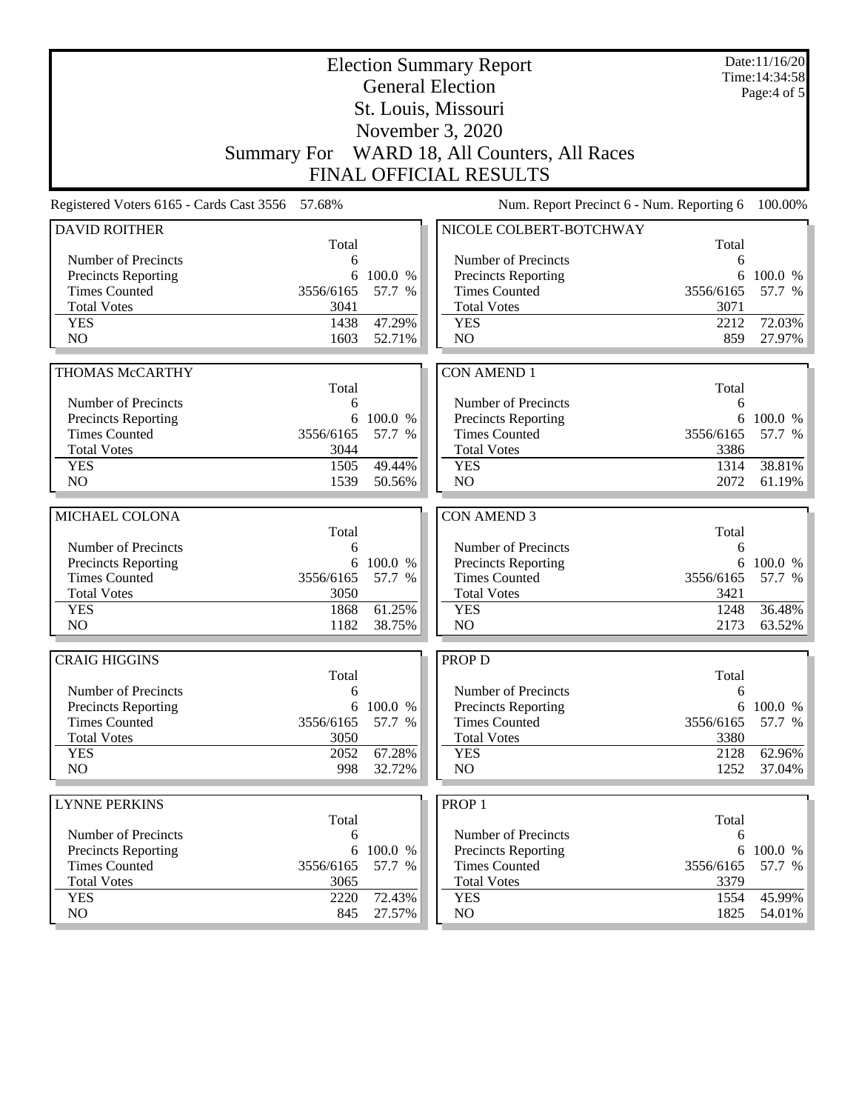| <b>Election Summary Report</b><br><b>General Election</b> |                  |           |                                                   |             | Date:11/16/20<br>Time: 14:34:58 |  |
|-----------------------------------------------------------|------------------|-----------|---------------------------------------------------|-------------|---------------------------------|--|
| St. Louis, Missouri                                       |                  |           |                                                   |             | Page: $4$ of $5$                |  |
|                                                           | November 3, 2020 |           |                                                   |             |                                 |  |
|                                                           |                  |           | Summary For WARD 18, All Counters, All Races      |             |                                 |  |
|                                                           |                  |           | <b>FINAL OFFICIAL RESULTS</b>                     |             |                                 |  |
| Registered Voters 6165 - Cards Cast 3556 57.68%           |                  |           | Num. Report Precinct 6 - Num. Reporting 6         |             | 100.00%                         |  |
| <b>DAVID ROITHER</b>                                      |                  |           | NICOLE COLBERT-BOTCHWAY                           |             |                                 |  |
|                                                           | Total            |           |                                                   | Total       |                                 |  |
| Number of Precincts                                       | 6                |           | Number of Precincts                               | 6           |                                 |  |
| <b>Precincts Reporting</b>                                | 6                | 100.0 %   | <b>Precincts Reporting</b>                        | 6           | 100.0 %                         |  |
| <b>Times Counted</b>                                      | 3556/6165        | 57.7 %    | <b>Times Counted</b>                              | 3556/6165   | 57.7 %                          |  |
| <b>Total Votes</b>                                        | 3041             | 47.29%    | <b>Total Votes</b>                                | 3071        | 72.03%                          |  |
| <b>YES</b><br>N <sub>O</sub>                              | 1438<br>1603     | 52.71%    | <b>YES</b><br>N <sub>O</sub>                      | 2212<br>859 | 27.97%                          |  |
|                                                           |                  |           |                                                   |             |                                 |  |
| THOMAS McCARTHY                                           |                  |           | <b>CON AMEND 1</b>                                |             |                                 |  |
|                                                           | Total            |           |                                                   | Total       |                                 |  |
| Number of Precincts                                       | 6                |           | Number of Precincts                               | 6           |                                 |  |
| Precincts Reporting                                       | 6                | 100.0 %   | Precincts Reporting                               | 6           | 100.0 %                         |  |
| <b>Times Counted</b>                                      | 3556/6165        | 57.7 %    | <b>Times Counted</b>                              | 3556/6165   | 57.7 %                          |  |
| <b>Total Votes</b>                                        | 3044             |           | <b>Total Votes</b>                                | 3386        |                                 |  |
| <b>YES</b>                                                | 1505             | 49.44%    | <b>YES</b>                                        | 1314        | 38.81%                          |  |
| NO                                                        | 1539             | 50.56%    | NO                                                | 2072        | 61.19%                          |  |
|                                                           |                  |           | <b>CON AMEND 3</b>                                |             |                                 |  |
| MICHAEL COLONA                                            | Total            |           |                                                   | Total       |                                 |  |
| Number of Precincts                                       | 6                |           | Number of Precincts                               | 6           |                                 |  |
| <b>Precincts Reporting</b>                                |                  | 6 100.0 % | Precincts Reporting                               | 6           | 100.0 %                         |  |
| <b>Times Counted</b>                                      | 3556/6165        | 57.7 %    | <b>Times Counted</b>                              | 3556/6165   | 57.7 %                          |  |
| <b>Total Votes</b>                                        | 3050             |           | <b>Total Votes</b>                                | 3421        |                                 |  |
| <b>YES</b>                                                | 1868             | 61.25%    | <b>YES</b>                                        | 1248        | 36.48%                          |  |
| N <sub>O</sub>                                            | 1182             | 38.75%    | NO                                                | 2173        | 63.52%                          |  |
| <b>CRAIG HIGGINS</b>                                      |                  |           | <b>PROP D</b>                                     |             |                                 |  |
|                                                           | Total            |           |                                                   | Total       |                                 |  |
| Number of Precincts                                       | 6                |           | Number of Precincts                               | 6           |                                 |  |
| <b>Precincts Reporting</b>                                |                  | 6 100.0 % | Precincts Reporting                               | 6           | 100.0 %                         |  |
| <b>Times Counted</b>                                      | 3556/6165        | 57.7 %    | <b>Times Counted</b>                              | 3556/6165   | 57.7 %                          |  |
| <b>Total Votes</b>                                        | 3050             |           | <b>Total Votes</b>                                | 3380        |                                 |  |
| <b>YES</b>                                                | 2052             | 67.28%    | <b>YES</b>                                        | 2128        | 62.96%                          |  |
| NO.                                                       | 998              | 32.72%    | NO                                                | 1252        | 37.04%                          |  |
|                                                           |                  |           |                                                   |             |                                 |  |
| <b>LYNNE PERKINS</b>                                      |                  |           | PROP <sub>1</sub>                                 |             |                                 |  |
| Number of Precincts                                       | Total            |           |                                                   | Total<br>6  |                                 |  |
| Precincts Reporting                                       | 6<br>6           | 100.0 %   | Number of Precincts<br><b>Precincts Reporting</b> | 6           | 100.0 %                         |  |
| <b>Times Counted</b>                                      | 3556/6165        | 57.7 %    | <b>Times Counted</b>                              | 3556/6165   | 57.7 %                          |  |
| <b>Total Votes</b>                                        | 3065             |           | <b>Total Votes</b>                                | 3379        |                                 |  |
| <b>YES</b>                                                | 2220             | 72.43%    | <b>YES</b>                                        | 1554        | 45.99%                          |  |
| NO.                                                       | 845              | 27.57%    | NO.                                               | 1825        | 54.01%                          |  |
|                                                           |                  |           |                                                   |             |                                 |  |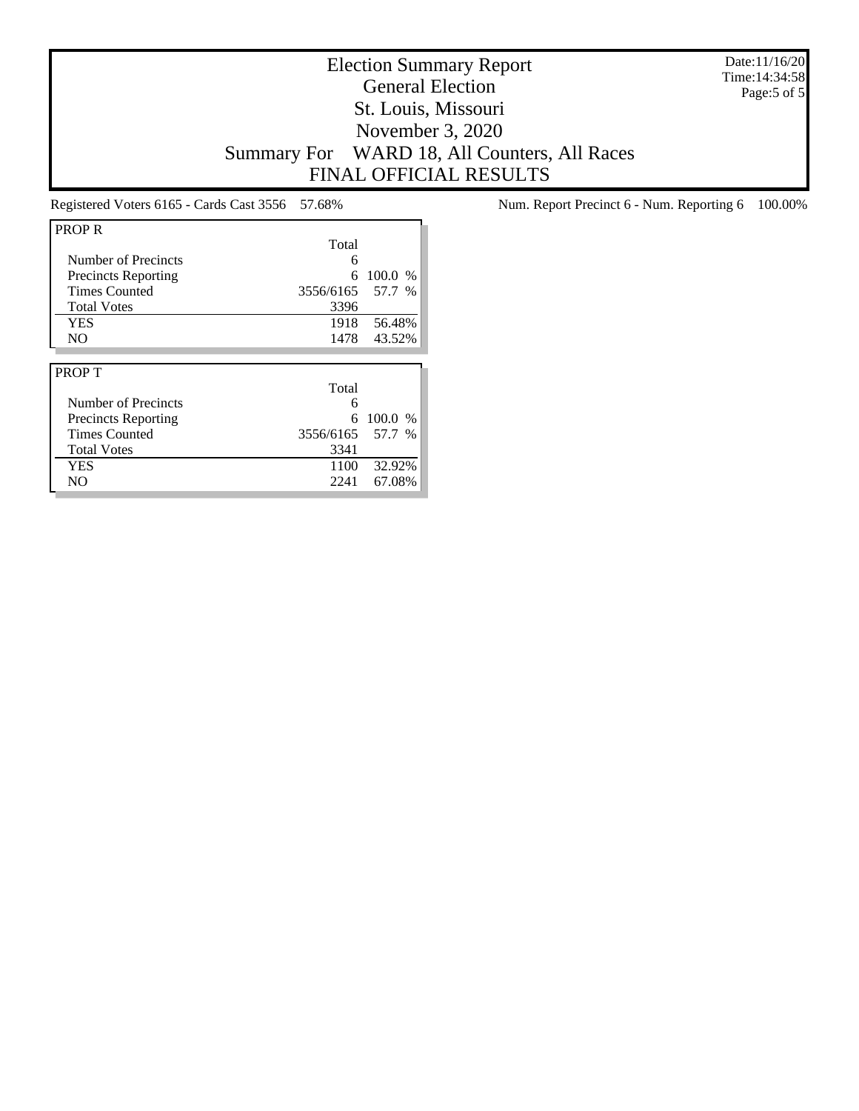Date:11/16/20 Time:14:34:58 Page:5 of 5

## Election Summary Report General Election St. Louis, Missouri November 3, 2020 Summary For WARD 18, All Counters, All Races FINAL OFFICIAL RESULTS

| <b>PROPR</b>               |           |           |
|----------------------------|-----------|-----------|
|                            | Total     |           |
| Number of Precincts        | 6         |           |
| <b>Precincts Reporting</b> | 6         | $100.0\%$ |
| <b>Times Counted</b>       | 3556/6165 | 57.7 %    |
| <b>Total Votes</b>         | 3396      |           |
| <b>YES</b>                 | 1918      | 56.48%    |
| N <sub>O</sub>             | 1478      | 43.52%    |
|                            |           |           |
|                            |           |           |
| <b>PROPT</b>               |           |           |
|                            | Total     |           |
| Number of Precincts        | 6         |           |
| <b>Precincts Reporting</b> | 6         | 100.0 %   |
| <b>Times Counted</b>       | 3556/6165 | 57.7 %    |
| <b>Total Votes</b>         | 3341      |           |
| <b>YES</b>                 | 1100      | 32.92%    |

Registered Voters 6165 - Cards Cast 3556 57.68% Num. Report Precinct 6 - Num. Reporting 6 100.00%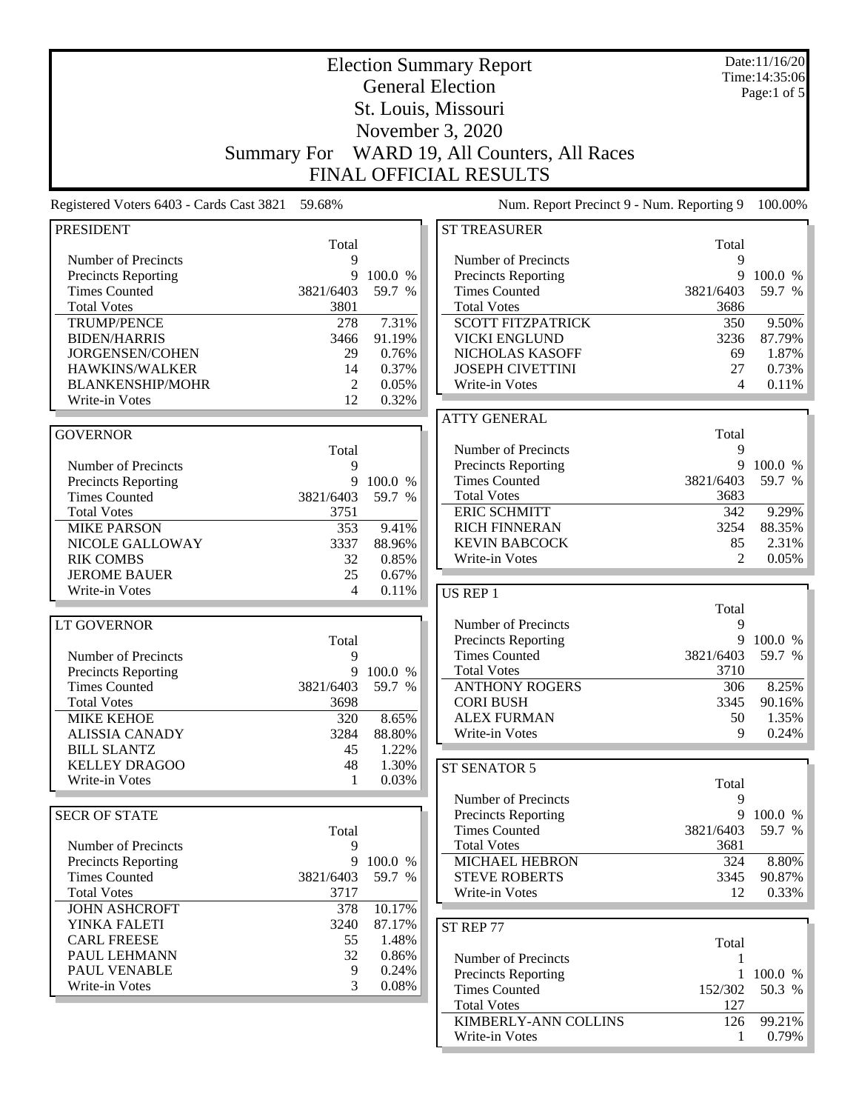|                                            |                     |                  | <b>Election Summary Report</b>                     |            | Date:11/16/20<br>Time: 14:35:06 |  |
|--------------------------------------------|---------------------|------------------|----------------------------------------------------|------------|---------------------------------|--|
| <b>General Election</b>                    |                     |                  |                                                    |            | Page:1 of $5$                   |  |
|                                            | St. Louis, Missouri |                  |                                                    |            |                                 |  |
| November 3, 2020                           |                     |                  |                                                    |            |                                 |  |
|                                            |                     |                  |                                                    |            |                                 |  |
|                                            | <b>Summary For</b>  |                  | WARD 19, All Counters, All Races                   |            |                                 |  |
|                                            |                     |                  | <b>FINAL OFFICIAL RESULTS</b>                      |            |                                 |  |
| Registered Voters 6403 - Cards Cast 3821   | 59.68%              |                  | Num. Report Precinct 9 - Num. Reporting 9          |            | 100.00%                         |  |
| <b>PRESIDENT</b>                           |                     |                  | <b>ST TREASURER</b>                                |            |                                 |  |
|                                            | Total<br>9          |                  |                                                    | Total<br>9 |                                 |  |
| Number of Precincts<br>Precincts Reporting | 9                   | 100.0 %          | Number of Precincts<br>Precincts Reporting         | 9          | 100.0 %                         |  |
| <b>Times Counted</b>                       | 3821/6403           | 59.7 %           | <b>Times Counted</b>                               | 3821/6403  | 59.7 %                          |  |
| <b>Total Votes</b>                         | 3801                |                  | <b>Total Votes</b>                                 | 3686       |                                 |  |
| <b>TRUMP/PENCE</b>                         | 278                 | 7.31%            | <b>SCOTT FITZPATRICK</b>                           | 350        | 9.50%                           |  |
| <b>BIDEN/HARRIS</b>                        | 3466                | 91.19%           | <b>VICKI ENGLUND</b>                               | 3236       | 87.79%                          |  |
| JORGENSEN/COHEN                            | 29                  | 0.76%            | NICHOLAS KASOFF                                    | 69         | 1.87%                           |  |
| HAWKINS/WALKER                             | 14                  | 0.37%            | <b>JOSEPH CIVETTINI</b>                            | 27         | 0.73%                           |  |
| <b>BLANKENSHIP/MOHR</b>                    | $\overline{2}$      | 0.05%            | Write-in Votes                                     | 4          | 0.11%                           |  |
| Write-in Votes                             | 12                  | 0.32%            |                                                    |            |                                 |  |
|                                            |                     |                  | <b>ATTY GENERAL</b>                                |            |                                 |  |
| <b>GOVERNOR</b>                            |                     |                  |                                                    | Total      |                                 |  |
|                                            | Total               |                  | Number of Precincts                                | 9          |                                 |  |
| Number of Precincts                        | 9                   |                  | Precincts Reporting                                | 9          | 100.0 %                         |  |
| <b>Precincts Reporting</b>                 | 9                   | 100.0 %          | <b>Times Counted</b>                               | 3821/6403  | 59.7 %                          |  |
| <b>Times Counted</b>                       | 3821/6403           | 59.7 %           | <b>Total Votes</b>                                 | 3683       |                                 |  |
| <b>Total Votes</b>                         | 3751                |                  | <b>ERIC SCHMITT</b>                                | 342        | 9.29%                           |  |
| <b>MIKE PARSON</b>                         | 353                 | 9.41%            | <b>RICH FINNERAN</b>                               | 3254       | 88.35%                          |  |
| NICOLE GALLOWAY                            | 3337                | 88.96%           | <b>KEVIN BABCOCK</b>                               | 85         | 2.31%                           |  |
| <b>RIK COMBS</b>                           | 32                  | 0.85%<br>0.67%   | Write-in Votes                                     | 2          | 0.05%                           |  |
| <b>JEROME BAUER</b><br>Write-in Votes      | 25<br>4             | 0.11%            |                                                    |            |                                 |  |
|                                            |                     |                  | US REP 1                                           | Total      |                                 |  |
| <b>LT GOVERNOR</b>                         |                     |                  | Number of Precincts                                | 9          |                                 |  |
|                                            | Total               |                  | <b>Precincts Reporting</b>                         | 9          | 100.0 %                         |  |
| Number of Precincts                        | 9                   |                  | <b>Times Counted</b>                               | 3821/6403  | 59.7 %                          |  |
| <b>Precincts Reporting</b>                 |                     | 9 100.0 %        | <b>Total Votes</b>                                 | 3710       |                                 |  |
| <b>Times Counted</b>                       | 3821/6403           | 59.7 %           | <b>ANTHONY ROGERS</b>                              | 306        | 8.25%                           |  |
| <b>Total Votes</b>                         | 3698                |                  | <b>CORI BUSH</b>                                   | 3345       | 90.16%                          |  |
| <b>MIKE KEHOE</b>                          | 320                 | 8.65%            | <b>ALEX FURMAN</b>                                 | 50         | 1.35%                           |  |
| <b>ALISSIA CANADY</b>                      | 3284                | 88.80%           | Write-in Votes                                     | 9          | 0.24%                           |  |
| <b>BILL SLANTZ</b>                         | 45                  | 1.22%            |                                                    |            |                                 |  |
| <b>KELLEY DRAGOO</b>                       | 48                  | 1.30%            | ST SENATOR 5                                       |            |                                 |  |
| Write-in Votes                             | 1                   | 0.03%            |                                                    | Total      |                                 |  |
|                                            |                     |                  | Number of Precincts                                | 9          |                                 |  |
| <b>SECR OF STATE</b>                       |                     |                  | <b>Precincts Reporting</b>                         | 9          | 100.0 %                         |  |
|                                            | Total               |                  | <b>Times Counted</b>                               | 3821/6403  | 59.7 %                          |  |
| Number of Precincts                        | 9                   |                  | <b>Total Votes</b>                                 | 3681       |                                 |  |
| <b>Precincts Reporting</b>                 |                     | 9 100.0 %        | MICHAEL HEBRON                                     | 324        | 8.80%                           |  |
| <b>Times Counted</b>                       | 3821/6403           | 59.7 %           | <b>STEVE ROBERTS</b>                               | 3345       | 90.87%                          |  |
| <b>Total Votes</b>                         | 3717                |                  | Write-in Votes                                     | 12         | 0.33%                           |  |
| <b>JOHN ASHCROFT</b><br>YINKA FALETI       | 378<br>3240         | 10.17%<br>87.17% |                                                    |            |                                 |  |
| <b>CARL FREESE</b>                         | 55                  | 1.48%            | ST REP 77                                          |            |                                 |  |
| PAUL LEHMANN                               | 32                  | 0.86%            |                                                    | Total      |                                 |  |
| PAUL VENABLE                               | 9                   | 0.24%            | Number of Precincts                                | 1          |                                 |  |
| Write-in Votes                             | 3                   | 0.08%            | <b>Precincts Reporting</b><br><b>Times Counted</b> | 152/302    | 100.0 %<br>50.3 %               |  |
|                                            |                     |                  | <b>Total Votes</b>                                 | 127        |                                 |  |
|                                            |                     |                  | KIMBERLY-ANN COLLINS                               | 126        | 99.21%                          |  |
|                                            |                     |                  | Write-in Votes                                     |            | $0.79\%$                        |  |
|                                            |                     |                  |                                                    |            |                                 |  |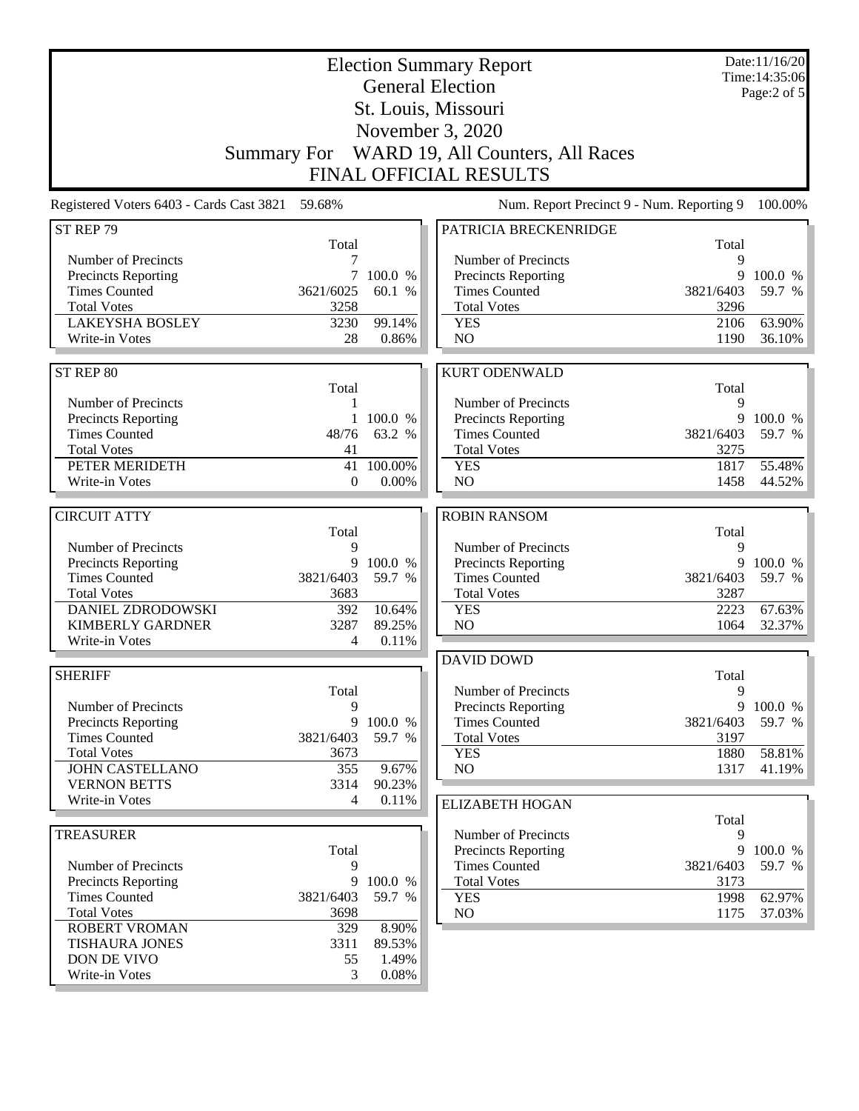| <b>Election Summary Report</b><br><b>General Election</b><br>St. Louis, Missouri<br>November 3, 2020<br>Summary For WARD 19, All Counters, All Races |                        |                 |                                                                            |                   | Date:11/16/20<br>Time: 14:35:06<br>Page:2 of 5 |
|------------------------------------------------------------------------------------------------------------------------------------------------------|------------------------|-----------------|----------------------------------------------------------------------------|-------------------|------------------------------------------------|
| Registered Voters 6403 - Cards Cast 3821                                                                                                             | 59.68%                 |                 | <b>FINAL OFFICIAL RESULTS</b><br>Num. Report Precinct 9 - Num. Reporting 9 |                   | 100.00%                                        |
| ST REP 79                                                                                                                                            |                        |                 | PATRICIA BRECKENRIDGE                                                      |                   |                                                |
|                                                                                                                                                      | Total                  |                 |                                                                            | Total             |                                                |
| Number of Precincts                                                                                                                                  | 7                      |                 | Number of Precincts                                                        | 9                 |                                                |
| <b>Precincts Reporting</b>                                                                                                                           | 7                      | 100.0 %         | <b>Precincts Reporting</b>                                                 | 9                 | 100.0 %                                        |
| <b>Times Counted</b><br><b>Total Votes</b>                                                                                                           | 3621/6025<br>3258      | 60.1 %          | <b>Times Counted</b><br><b>Total Votes</b>                                 | 3821/6403<br>3296 | 59.7 %                                         |
| <b>LAKEYSHA BOSLEY</b>                                                                                                                               | 3230                   | 99.14%          | <b>YES</b>                                                                 | 2106              | 63.90%                                         |
| Write-in Votes                                                                                                                                       | 28                     | 0.86%           | NO                                                                         | 1190              | 36.10%                                         |
|                                                                                                                                                      |                        |                 |                                                                            |                   |                                                |
| ST REP 80                                                                                                                                            |                        |                 | <b>KURT ODENWALD</b>                                                       |                   |                                                |
| Number of Precincts                                                                                                                                  | Total<br>1             |                 | Number of Precincts                                                        | Total<br>9        |                                                |
| <b>Precincts Reporting</b>                                                                                                                           | 1                      | 100.0 %         | Precincts Reporting                                                        | 9                 | 100.0 %                                        |
| <b>Times Counted</b>                                                                                                                                 | 48/76                  | 63.2 %          | <b>Times Counted</b>                                                       | 3821/6403         | 59.7 %                                         |
| <b>Total Votes</b>                                                                                                                                   | 41                     |                 | <b>Total Votes</b>                                                         | 3275              |                                                |
| PETER MERIDETH                                                                                                                                       | 41                     | 100.00%         | <b>YES</b>                                                                 | 1817              | 55.48%                                         |
| Write-in Votes                                                                                                                                       | $\boldsymbol{0}$       | 0.00%           | NO                                                                         | 1458              | 44.52%                                         |
| <b>CIRCUIT ATTY</b>                                                                                                                                  |                        |                 | <b>ROBIN RANSOM</b>                                                        |                   |                                                |
|                                                                                                                                                      | Total                  |                 |                                                                            | Total             |                                                |
| Number of Precincts                                                                                                                                  | 9                      |                 | Number of Precincts                                                        | 9                 |                                                |
| <b>Precincts Reporting</b>                                                                                                                           | 9                      | 100.0 %         | Precincts Reporting                                                        | 9                 | 100.0 %                                        |
| <b>Times Counted</b><br><b>Total Votes</b>                                                                                                           | 3821/6403<br>3683      | 59.7 %          | <b>Times Counted</b><br><b>Total Votes</b>                                 | 3821/6403<br>3287 | 59.7 %                                         |
| <b>DANIEL ZDRODOWSKI</b>                                                                                                                             | 392                    | 10.64%          | <b>YES</b>                                                                 | 2223              | 67.63%                                         |
| <b>KIMBERLY GARDNER</b>                                                                                                                              | 3287                   | 89.25%          | NO                                                                         | 1064              | 32.37%                                         |
| Write-in Votes                                                                                                                                       | 4                      | 0.11%           |                                                                            |                   |                                                |
|                                                                                                                                                      |                        |                 | <b>DAVID DOWD</b>                                                          |                   |                                                |
| <b>SHERIFF</b>                                                                                                                                       |                        |                 |                                                                            | Total             |                                                |
| Number of Precincts                                                                                                                                  | Total<br>9             |                 | Number of Precincts<br><b>Precincts Reporting</b>                          | 9                 | 9 100.0 %                                      |
| <b>Precincts Reporting</b>                                                                                                                           | 9                      | 100.0 %         | <b>Times Counted</b>                                                       | 3821/6403         | 59.7 %                                         |
| <b>Times Counted</b>                                                                                                                                 | 3821/6403              | 59.7 %          | <b>Total Votes</b>                                                         | 3197              |                                                |
| <b>Total Votes</b>                                                                                                                                   | 3673                   |                 | <b>YES</b>                                                                 | 1880              | 58.81%                                         |
| <b>JOHN CASTELLANO</b>                                                                                                                               | 355                    | 9.67%           | NO                                                                         | 1317              | 41.19%                                         |
| <b>VERNON BETTS</b><br>Write-in Votes                                                                                                                | 3314<br>$\overline{4}$ | 90.23%<br>0.11% |                                                                            |                   |                                                |
|                                                                                                                                                      |                        |                 | <b>ELIZABETH HOGAN</b>                                                     | Total             |                                                |
| <b>TREASURER</b>                                                                                                                                     |                        |                 | Number of Precincts                                                        | 9                 |                                                |
|                                                                                                                                                      | Total                  |                 | Precincts Reporting                                                        |                   | 9 100.0 %                                      |
| Number of Precincts                                                                                                                                  | 9                      |                 | <b>Times Counted</b>                                                       | 3821/6403         | 59.7 %                                         |
| Precincts Reporting                                                                                                                                  | 9                      | 100.0 %         | <b>Total Votes</b>                                                         | 3173              |                                                |
| <b>Times Counted</b><br><b>Total Votes</b>                                                                                                           | 3821/6403<br>3698      | 59.7 %          | <b>YES</b><br>NO.                                                          | 1998<br>1175      | 62.97%<br>37.03%                               |
| <b>ROBERT VROMAN</b>                                                                                                                                 | 329                    | 8.90%           |                                                                            |                   |                                                |
| <b>TISHAURA JONES</b>                                                                                                                                | 3311                   | 89.53%          |                                                                            |                   |                                                |
| DON DE VIVO                                                                                                                                          | 55                     | 1.49%           |                                                                            |                   |                                                |
| Write-in Votes                                                                                                                                       | 3                      | 0.08%           |                                                                            |                   |                                                |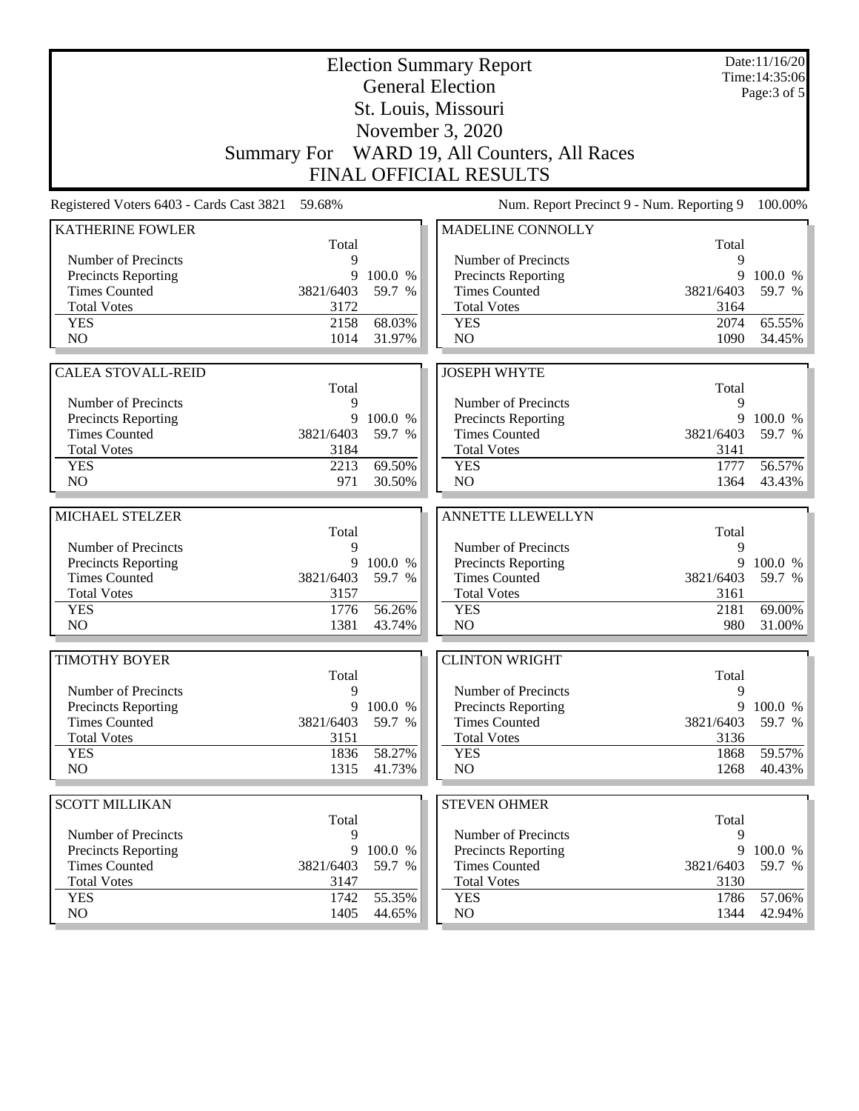| <b>Election Summary Report</b><br><b>General Election</b> |              |                  |                                              |              | Date:11/16/20<br>Time: 14:35:06 |
|-----------------------------------------------------------|--------------|------------------|----------------------------------------------|--------------|---------------------------------|
|                                                           |              |                  |                                              |              | Page: 3 of 5                    |
|                                                           |              |                  | St. Louis, Missouri                          |              |                                 |
|                                                           |              |                  | November 3, 2020                             |              |                                 |
|                                                           |              |                  | Summary For WARD 19, All Counters, All Races |              |                                 |
|                                                           |              |                  | <b>FINAL OFFICIAL RESULTS</b>                |              |                                 |
| Registered Voters 6403 - Cards Cast 3821                  | 59.68%       |                  | Num. Report Precinct 9 - Num. Reporting 9    |              | 100.00%                         |
| <b>KATHERINE FOWLER</b>                                   |              |                  | MADELINE CONNOLLY                            |              |                                 |
| Number of Precincts                                       | Total<br>9   |                  | Number of Precincts                          | Total<br>9   |                                 |
| Precincts Reporting                                       | 9            | 100.0 %          | <b>Precincts Reporting</b>                   | 9            | 100.0 %                         |
| <b>Times Counted</b>                                      | 3821/6403    | 59.7 %           | <b>Times Counted</b>                         | 3821/6403    | 59.7 %                          |
| <b>Total Votes</b>                                        | 3172         |                  | <b>Total Votes</b>                           | 3164         |                                 |
| <b>YES</b>                                                | 2158         | 68.03%           | <b>YES</b>                                   | 2074         | 65.55%                          |
| NO                                                        | 1014         | 31.97%           | NO                                           | 1090         | 34.45%                          |
| <b>CALEA STOVALL-REID</b>                                 |              |                  | <b>JOSEPH WHYTE</b>                          |              |                                 |
|                                                           | Total        |                  |                                              | Total        |                                 |
| Number of Precincts                                       | 9            |                  | Number of Precincts                          | 9            |                                 |
| Precincts Reporting                                       | 9            | 100.0 %          | Precincts Reporting                          | 9            | 100.0 %                         |
| <b>Times Counted</b>                                      | 3821/6403    | 59.7 %           | <b>Times Counted</b>                         | 3821/6403    | 59.7 %                          |
| <b>Total Votes</b>                                        | 3184         |                  | <b>Total Votes</b>                           | 3141         |                                 |
| <b>YES</b>                                                | 2213         | 69.50%           | <b>YES</b>                                   | 1777         | 56.57%                          |
| NO                                                        | 971          | 30.50%           | NO                                           | 1364         | 43.43%                          |
| MICHAEL STELZER                                           |              |                  | ANNETTE LLEWELLYN                            |              |                                 |
|                                                           | Total        |                  |                                              | Total        |                                 |
| Number of Precincts                                       | 9            |                  | Number of Precincts                          | 9            |                                 |
| Precincts Reporting                                       | 9            | 100.0 %          | Precincts Reporting                          | 9            | 100.0 %                         |
| <b>Times Counted</b>                                      | 3821/6403    | 59.7 %           | <b>Times Counted</b>                         | 3821/6403    | 59.7 %                          |
| <b>Total Votes</b>                                        | 3157         |                  | <b>Total Votes</b>                           | 3161         |                                 |
| <b>YES</b>                                                | 1776         | 56.26%           | <b>YES</b>                                   | 2181         | 69.00%                          |
| N <sub>O</sub>                                            | 1381         | 43.74%           | N <sub>O</sub>                               | 980          | 31.00%                          |
| <b>TIMOTHY BOYER</b>                                      |              |                  | <b>CLINTON WRIGHT</b>                        |              |                                 |
|                                                           | Total        |                  |                                              | Total        |                                 |
| Number of Precincts                                       | 9            |                  | Number of Precincts                          | 9            |                                 |
| Precincts Reporting                                       | 9            | 100.0 %          | Precincts Reporting                          | 9            | 100.0 %                         |
| <b>Times Counted</b>                                      | 3821/6403    | 59.7 %           | <b>Times Counted</b>                         | 3821/6403    | 59.7 %                          |
| <b>Total Votes</b>                                        | 3151         |                  | <b>Total Votes</b>                           | 3136         |                                 |
| <b>YES</b><br>NO.                                         | 1836<br>1315 | 58.27%<br>41.73% | <b>YES</b><br>NO                             | 1868<br>1268 | 59.57%<br>40.43%                |
|                                                           |              |                  |                                              |              |                                 |
| <b>SCOTT MILLIKAN</b>                                     |              |                  | <b>STEVEN OHMER</b>                          |              |                                 |
|                                                           | Total        |                  |                                              | Total        |                                 |
| Number of Precincts                                       | 9            |                  | Number of Precincts                          | 9            |                                 |
| Precincts Reporting                                       | 9            | 100.0 %          | Precincts Reporting                          | 9            | 100.0 %                         |
| <b>Times Counted</b>                                      | 3821/6403    | 59.7 %           | <b>Times Counted</b>                         | 3821/6403    | 59.7 %                          |
| <b>Total Votes</b>                                        | 3147         |                  | <b>Total Votes</b>                           | 3130         |                                 |
| <b>YES</b><br>NO.                                         | 1742<br>1405 | 55.35%<br>44.65% | <b>YES</b><br>NO                             | 1786<br>1344 | 57.06%<br>42.94%                |
|                                                           |              |                  |                                              |              |                                 |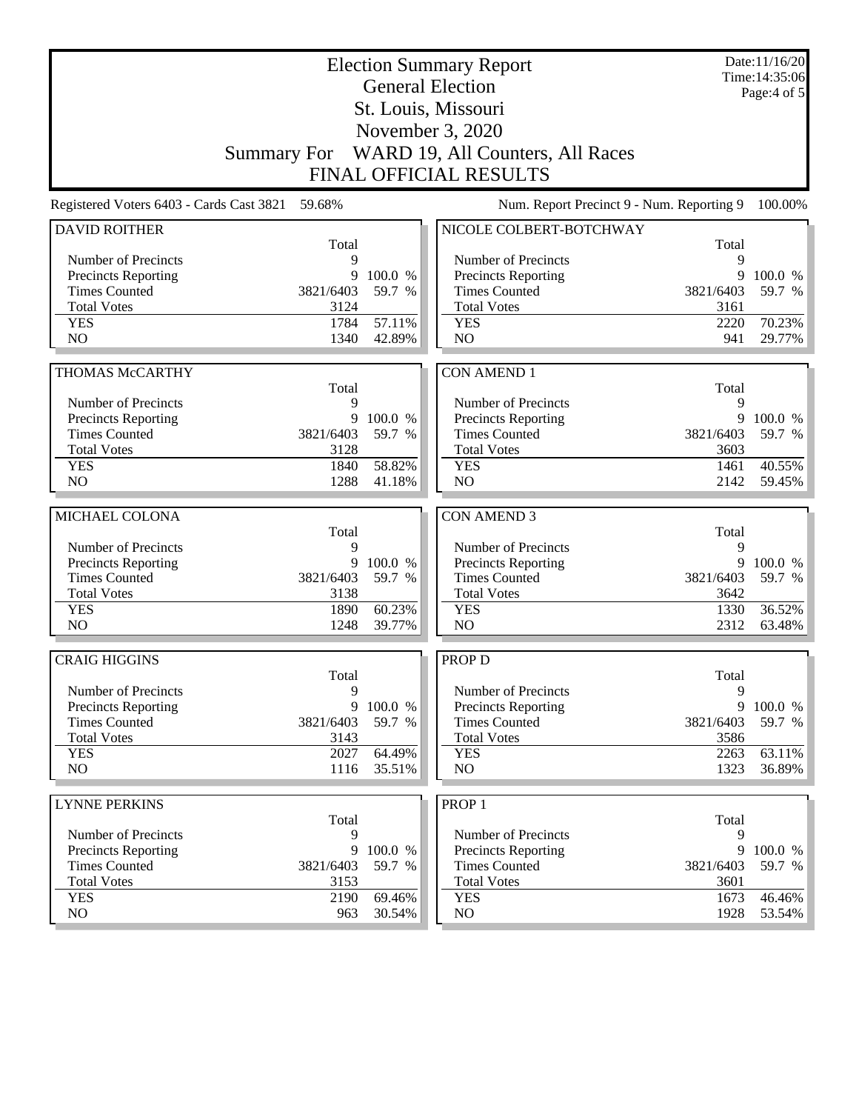| <b>Election Summary Report</b><br><b>General Election</b> |            |                     |                                                    |                | Date:11/16/20<br>Time: 14:35:06<br>Page:4 of 5 |  |  |
|-----------------------------------------------------------|------------|---------------------|----------------------------------------------------|----------------|------------------------------------------------|--|--|
|                                                           |            |                     | St. Louis, Missouri                                |                |                                                |  |  |
|                                                           |            |                     | November 3, 2020                                   |                |                                                |  |  |
|                                                           |            |                     | Summary For WARD 19, All Counters, All Races       |                |                                                |  |  |
|                                                           |            |                     | <b>FINAL OFFICIAL RESULTS</b>                      |                |                                                |  |  |
| Registered Voters 6403 - Cards Cast 3821                  | 59.68%     |                     | Num. Report Precinct 9 - Num. Reporting 9          |                | 100.00%                                        |  |  |
| <b>DAVID ROITHER</b>                                      |            |                     | NICOLE COLBERT-BOTCHWAY                            |                |                                                |  |  |
| Number of Precincts                                       | Total<br>9 |                     | Number of Precincts                                | Total<br>9     |                                                |  |  |
| <b>Precincts Reporting</b>                                | 9          | 100.0 %             | <b>Precincts Reporting</b>                         | 9              | 100.0 %                                        |  |  |
| <b>Times Counted</b>                                      | 3821/6403  | 59.7 %              | <b>Times Counted</b>                               | 3821/6403      | 59.7 %                                         |  |  |
| <b>Total Votes</b>                                        | 3124       |                     | <b>Total Votes</b>                                 | 3161           |                                                |  |  |
| <b>YES</b>                                                | 1784       | 57.11%              | <b>YES</b>                                         | 2220           | 70.23%                                         |  |  |
| N <sub>O</sub>                                            | 1340       | 42.89%              | N <sub>O</sub>                                     | 941            | 29.77%                                         |  |  |
|                                                           |            |                     |                                                    |                |                                                |  |  |
| THOMAS McCARTHY                                           |            |                     | <b>CON AMEND 1</b>                                 |                |                                                |  |  |
|                                                           | Total      |                     |                                                    | Total          |                                                |  |  |
| Number of Precincts                                       | 9          |                     | Number of Precincts                                | 9<br>9         |                                                |  |  |
| <b>Precincts Reporting</b><br><b>Times Counted</b>        | 3821/6403  | 9 100.0 %<br>59.7 % | <b>Precincts Reporting</b><br><b>Times Counted</b> | 3821/6403      | 100.0 %<br>59.7 %                              |  |  |
| <b>Total Votes</b>                                        | 3128       |                     | <b>Total Votes</b>                                 | 3603           |                                                |  |  |
| <b>YES</b>                                                | 1840       | 58.82%              | <b>YES</b>                                         | 1461           | 40.55%                                         |  |  |
| NO                                                        | 1288       | 41.18%              | NO                                                 | 2142           | 59.45%                                         |  |  |
|                                                           |            |                     |                                                    |                |                                                |  |  |
| MICHAEL COLONA                                            |            |                     | <b>CON AMEND 3</b>                                 |                |                                                |  |  |
| Number of Precincts                                       | Total<br>9 |                     | Number of Precincts                                | Total<br>9     |                                                |  |  |
| <b>Precincts Reporting</b>                                | 9          | 100.0 %             | Precincts Reporting                                | 9              | 100.0 %                                        |  |  |
| <b>Times Counted</b>                                      | 3821/6403  | 59.7 %              | <b>Times Counted</b>                               | 3821/6403      | 59.7 %                                         |  |  |
| <b>Total Votes</b>                                        | 3138       |                     | <b>Total Votes</b>                                 | 3642           |                                                |  |  |
| <b>YES</b>                                                | 1890       | 60.23%              | <b>YES</b>                                         | 1330           | 36.52%                                         |  |  |
| N <sub>O</sub>                                            | 1248       | 39.77%              | NO                                                 | 2312           | 63.48%                                         |  |  |
|                                                           |            |                     |                                                    |                |                                                |  |  |
| <b>CRAIG HIGGINS</b>                                      |            |                     | <b>PROP D</b>                                      |                |                                                |  |  |
|                                                           | Total      |                     |                                                    | Total          |                                                |  |  |
| Number of Precincts                                       | 9          |                     | Number of Precincts                                | 9              |                                                |  |  |
| <b>Precincts Reporting</b><br><b>Times Counted</b>        | 3821/6403  | 9 100.0 %<br>59.7 % | <b>Precincts Reporting</b><br><b>Times Counted</b> | 9<br>3821/6403 | 100.0 %<br>59.7 %                              |  |  |
| <b>Total Votes</b>                                        | 3143       |                     | <b>Total Votes</b>                                 | 3586           |                                                |  |  |
| <b>YES</b>                                                | 2027       | 64.49%              | <b>YES</b>                                         | 2263           | 63.11%                                         |  |  |
| NO                                                        | 1116       | 35.51%              | NO                                                 | 1323           | $36.89\%$                                      |  |  |
|                                                           |            |                     |                                                    |                |                                                |  |  |
| <b>LYNNE PERKINS</b>                                      | Total      |                     | PROP <sub>1</sub>                                  | Total          |                                                |  |  |
| Number of Precincts                                       | 9          |                     | Number of Precincts                                | 9              |                                                |  |  |
| <b>Precincts Reporting</b>                                | 9          | 100.0 %             | <b>Precincts Reporting</b>                         | 9              | 100.0 %                                        |  |  |
| <b>Times Counted</b>                                      | 3821/6403  | 59.7 %              | <b>Times Counted</b>                               | 3821/6403      | 59.7 %                                         |  |  |
| <b>Total Votes</b>                                        | 3153       |                     | <b>Total Votes</b>                                 | 3601           |                                                |  |  |
| <b>YES</b>                                                | 2190       | 69.46%              | <b>YES</b>                                         | 1673           | 46.46%                                         |  |  |
| NO.                                                       | 963        | 30.54%              | NO                                                 | 1928           | 53.54%                                         |  |  |
|                                                           |            |                     |                                                    |                |                                                |  |  |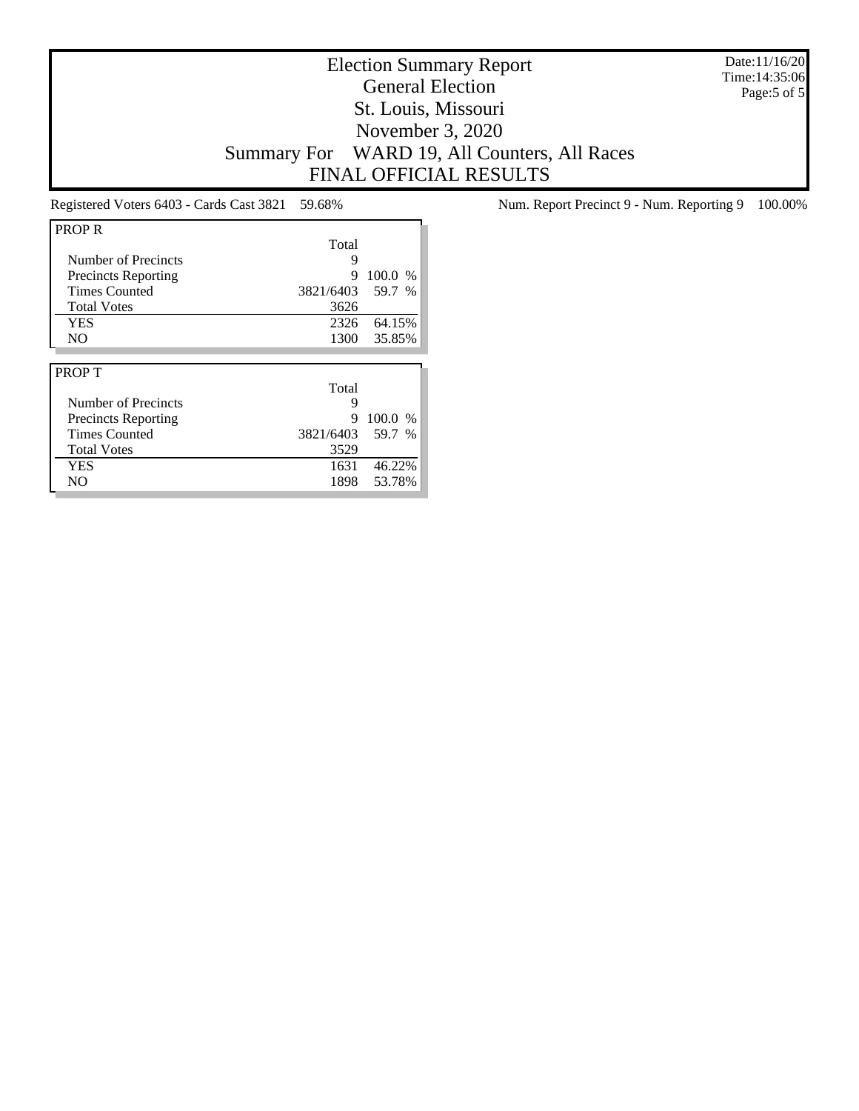Date:11/16/20 Time:14:35:06 Page:5 of 5

## Election Summary Report General Election St. Louis, Missouri November 3, 2020 Summary For WARD 19, All Counters, All Races FINAL OFFICIAL RESULTS

| <b>PROPR</b>               |           |         |
|----------------------------|-----------|---------|
|                            | Total     |         |
| Number of Precincts        | 9         |         |
| <b>Precincts Reporting</b> | 9         | 100.0 % |
| <b>Times Counted</b>       | 3821/6403 | 59.7 %  |
| <b>Total Votes</b>         | 3626      |         |
| <b>YES</b>                 | 2326      | 64.15%  |
| N <sub>O</sub>             | 1300      | 35.85%  |
|                            |           |         |
|                            |           |         |
| <b>PROPT</b>               |           |         |
|                            | Total     |         |
| Number of Precincts        | 9         |         |
| <b>Precincts Reporting</b> | 9         | 100.0%  |
| <b>Times Counted</b>       | 3821/6403 | 59.7 %  |
| <b>Total Votes</b>         | 3529      |         |
| <b>YES</b>                 | 1631      | 46.22%  |

Registered Voters 6403 - Cards Cast 3821 59.68% Num. Report Precinct 9 - Num. Reporting 9 100.00%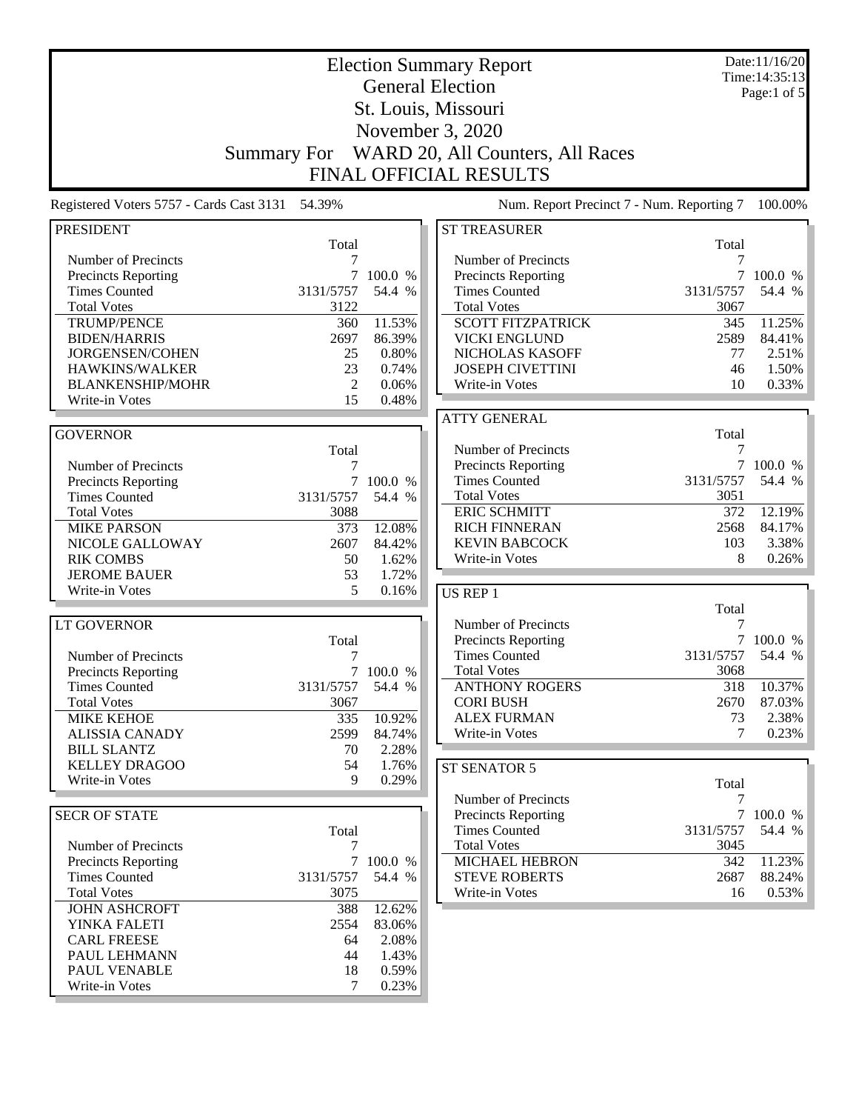| <b>Election Summary Report</b>                     |                    |                     |                                                                   |                 | Date:11/16/20<br>Time: 14:35:13 |
|----------------------------------------------------|--------------------|---------------------|-------------------------------------------------------------------|-----------------|---------------------------------|
|                                                    |                    |                     | <b>General Election</b>                                           |                 | Page:1 of 5                     |
|                                                    |                    |                     |                                                                   |                 |                                 |
| St. Louis, Missouri<br>November 3, 2020            |                    |                     |                                                                   |                 |                                 |
|                                                    |                    |                     |                                                                   |                 |                                 |
|                                                    | <b>Summary For</b> |                     | WARD 20, All Counters, All Races<br><b>FINAL OFFICIAL RESULTS</b> |                 |                                 |
|                                                    |                    |                     |                                                                   |                 |                                 |
| Registered Voters 5757 - Cards Cast 3131           | 54.39%             |                     | Num. Report Precinct 7 - Num. Reporting 7                         |                 | 100.00%                         |
| <b>PRESIDENT</b>                                   | Total              |                     | <b>ST TREASURER</b>                                               | Total           |                                 |
| Number of Precincts                                | 7                  |                     | Number of Precincts                                               | 7               |                                 |
| <b>Precincts Reporting</b>                         | 7                  | 100.0 %             | <b>Precincts Reporting</b>                                        |                 | 100.0 %                         |
| <b>Times Counted</b>                               | 3131/5757          | 54.4 %              | <b>Times Counted</b>                                              | 3131/5757       | 54.4 %                          |
| <b>Total Votes</b>                                 | 3122               |                     | <b>Total Votes</b>                                                | 3067            |                                 |
| TRUMP/PENCE                                        | 360                | 11.53%              | <b>SCOTT FITZPATRICK</b>                                          | 345             | 11.25%                          |
| <b>BIDEN/HARRIS</b>                                | 2697               | 86.39%              | <b>VICKI ENGLUND</b>                                              | 2589            | 84.41%                          |
| JORGENSEN/COHEN                                    | 25                 | 0.80%               | NICHOLAS KASOFF                                                   | 77              | 2.51%                           |
| HAWKINS/WALKER                                     | 23                 | 0.74%               | <b>JOSEPH CIVETTINI</b>                                           | 46              | 1.50%                           |
| <b>BLANKENSHIP/MOHR</b>                            | 2                  | 0.06%               | Write-in Votes                                                    | 10              | 0.33%                           |
| Write-in Votes                                     | 15                 | 0.48%               |                                                                   |                 |                                 |
| <b>GOVERNOR</b>                                    |                    |                     | <b>ATTY GENERAL</b>                                               | Total           |                                 |
|                                                    |                    |                     | Number of Precincts                                               | 7               |                                 |
| Number of Precincts                                | Total<br>7         |                     | <b>Precincts Reporting</b>                                        |                 | 7 100.0 %                       |
| Precincts Reporting                                | 7                  | 100.0 %             | <b>Times Counted</b>                                              | 3131/5757       | 54.4 %                          |
| <b>Times Counted</b>                               | 3131/5757          | 54.4 %              | <b>Total Votes</b>                                                | 3051            |                                 |
| <b>Total Votes</b>                                 | 3088               |                     | <b>ERIC SCHMITT</b>                                               | 372             | 12.19%                          |
| <b>MIKE PARSON</b>                                 | 373                | 12.08%              | <b>RICH FINNERAN</b>                                              | 2568            | 84.17%                          |
| NICOLE GALLOWAY                                    | 2607               | 84.42%              | <b>KEVIN BABCOCK</b>                                              | 103             | 3.38%                           |
| <b>RIK COMBS</b>                                   | 50                 | 1.62%               | Write-in Votes                                                    | 8               | 0.26%                           |
| <b>JEROME BAUER</b>                                | 53                 | 1.72%               |                                                                   |                 |                                 |
| Write-in Votes                                     | 5                  | 0.16%               | US REP 1                                                          |                 |                                 |
|                                                    |                    |                     |                                                                   | Total           |                                 |
| <b>LT GOVERNOR</b>                                 |                    |                     | Number of Precincts                                               | 7               |                                 |
|                                                    | Total              |                     | <b>Precincts Reporting</b>                                        | $7\overline{ }$ | 100.0 %                         |
| Number of Precincts                                | 7                  |                     | <b>Times Counted</b>                                              | 3131/5757       | 54.4 %                          |
| <b>Precincts Reporting</b>                         |                    | 7 100.0 %           | <b>Total Votes</b>                                                | 3068            |                                 |
| <b>Times Counted</b>                               | 3131/5757          | 54.4 %              | <b>ANTHONY ROGERS</b>                                             | 318             | 10.37%                          |
| <b>Total Votes</b>                                 | 3067               |                     | <b>CORI BUSH</b>                                                  | 2670            | 87.03%                          |
| <b>MIKE KEHOE</b>                                  | 335                | 10.92%              | <b>ALEX FURMAN</b>                                                | 73              | 2.38%                           |
| <b>ALISSIA CANADY</b>                              | 2599               | 84.74%              | Write-in Votes                                                    | 7               | 0.23%                           |
| <b>BILL SLANTZ</b>                                 | 70                 | 2.28%               |                                                                   |                 |                                 |
| <b>KELLEY DRAGOO</b>                               | 54                 | 1.76%               | ST SENATOR 5                                                      |                 |                                 |
| Write-in Votes                                     | 9                  | 0.29%               |                                                                   | Total           |                                 |
|                                                    |                    |                     | Number of Precincts                                               | 7               |                                 |
| <b>SECR OF STATE</b>                               |                    |                     | <b>Precincts Reporting</b>                                        |                 | 7 100.0 %                       |
|                                                    | Total              |                     | <b>Times Counted</b>                                              | 3131/5757       | 54.4 %                          |
| Number of Precincts                                | 7                  |                     | <b>Total Votes</b>                                                | 3045            |                                 |
| <b>Precincts Reporting</b><br><b>Times Counted</b> |                    | 7 100.0 %<br>54.4 % | <b>MICHAEL HEBRON</b><br><b>STEVE ROBERTS</b>                     | 342<br>2687     | 11.23%<br>88.24%                |
| <b>Total Votes</b>                                 | 3131/5757<br>3075  |                     | Write-in Votes                                                    | 16              | 0.53%                           |
| <b>JOHN ASHCROFT</b>                               | 388                | 12.62%              |                                                                   |                 |                                 |
| YINKA FALETI                                       | 2554               | 83.06%              |                                                                   |                 |                                 |
| <b>CARL FREESE</b>                                 | 64                 | 2.08%               |                                                                   |                 |                                 |
| PAUL LEHMANN                                       | 44                 | 1.43%               |                                                                   |                 |                                 |
| PAUL VENABLE                                       | 18                 | 0.59%               |                                                                   |                 |                                 |
| Write-in Votes                                     | 7                  | 0.23%               |                                                                   |                 |                                 |
|                                                    |                    |                     |                                                                   |                 |                                 |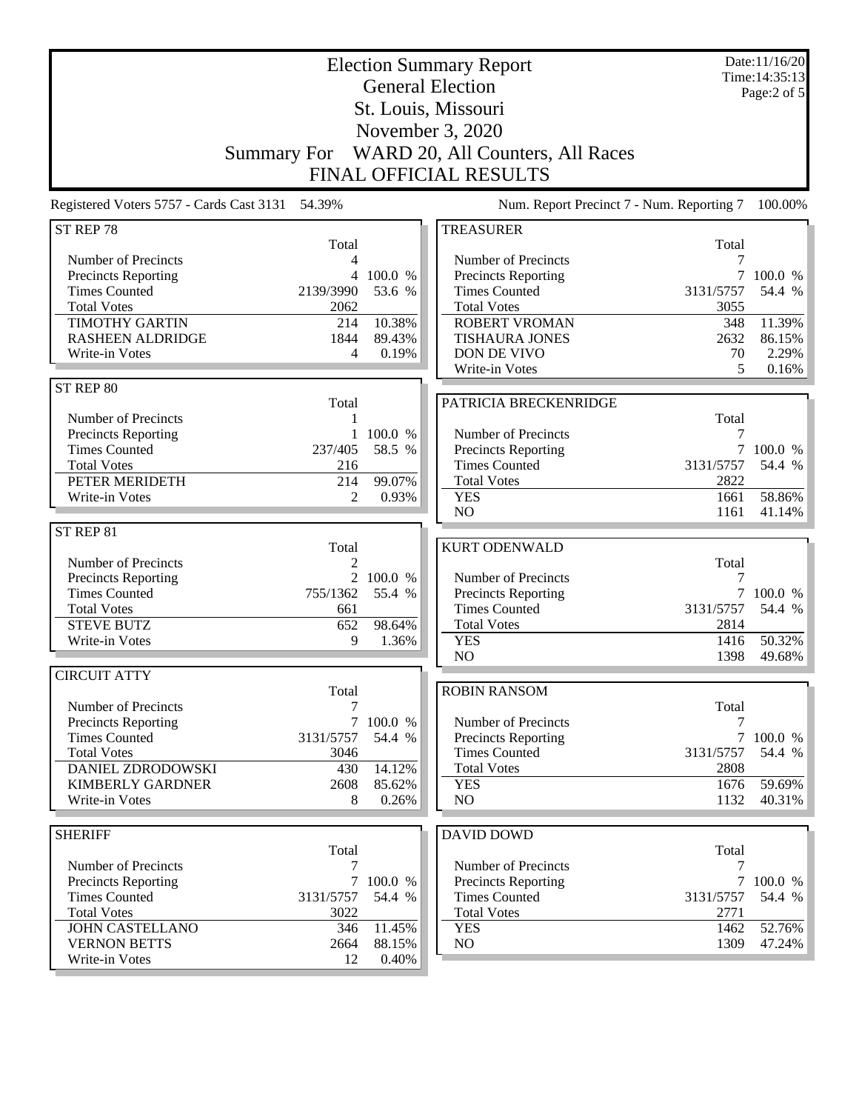| <b>General Election</b><br>Page:2 of 5<br>St. Louis, Missouri<br>November 3, 2020<br>WARD 20, All Counters, All Races<br><b>Summary For</b><br><b>FINAL OFFICIAL RESULTS</b><br>Registered Voters 5757 - Cards Cast 3131 54.39%<br>Num. Report Precinct 7 - Num. Reporting 7<br>ST REP 78<br><b>TREASURER</b><br>Total<br>Total<br>Number of Precincts<br>Number of Precincts<br>7<br>4<br>$\overline{7}$<br>4 100.0 %<br>Precincts Reporting<br><b>Precincts Reporting</b><br>100.0 %<br>3131/5757<br><b>Times Counted</b><br>2139/3990<br>53.6 %<br><b>Times Counted</b><br>54.4 %<br><b>Total Votes</b><br><b>Total Votes</b><br>2062<br>3055<br><b>TIMOTHY GARTIN</b><br>10.38%<br>214<br><b>ROBERT VROMAN</b><br>348<br>11.39%<br><b>RASHEEN ALDRIDGE</b><br>1844<br>89.43%<br><b>TISHAURA JONES</b><br>2632<br>86.15%<br>Write-in Votes<br>DON DE VIVO<br>70<br>2.29%<br>4<br>0.19%<br>Write-in Votes<br>5<br>0.16%<br>ST REP 80<br>PATRICIA BRECKENRIDGE<br>Total<br>Number of Precincts<br>Total<br>1<br>Precincts Reporting<br>100.0 %<br>Number of Precincts<br>1<br>7<br>58.5 %<br>$\overline{7}$<br><b>Times Counted</b><br>237/405<br><b>Precincts Reporting</b><br>100.0 %<br><b>Times Counted</b><br>3131/5757<br>54.4 %<br><b>Total Votes</b><br>216<br><b>Total Votes</b><br>2822<br>PETER MERIDETH<br>214<br>99.07%<br>$\overline{2}$<br><b>YES</b><br>1661<br>58.86%<br>Write-in Votes<br>0.93%<br>N <sub>O</sub><br>1161<br>41.14%<br>ST REP 81<br><b>KURT ODENWALD</b><br>Total<br>Number of Precincts<br>2<br>Total<br>2 100.0 %<br>Number of Precincts<br>7<br>Precincts Reporting<br><b>Times Counted</b><br>$\overline{7}$<br>755/1362<br>55.4 %<br><b>Precincts Reporting</b><br>100.0 %<br><b>Times Counted</b><br><b>Total Votes</b><br>3131/5757<br>54.4 %<br>661<br><b>STEVE BUTZ</b><br><b>Total Votes</b><br>2814<br>652<br>98.64%<br>50.32%<br><b>YES</b><br>1416<br>Write-in Votes<br>9<br>1.36%<br>N <sub>O</sub><br>1398<br>49.68%<br><b>CIRCUIT ATTY</b><br><b>ROBIN RANSOM</b><br>Total<br>Total<br>Number of Precincts<br>7<br>$\tau$<br>Precincts Reporting<br>100.0 %<br>Number of Precincts<br>7<br>$\tau$<br><b>Times Counted</b><br>3131/5757<br>54.4 %<br>Precincts Reporting<br>100.0 %<br><b>Total Votes</b><br>3046<br><b>Times Counted</b><br>3131/5757<br>54.4 %<br>DANIEL ZDRODOWSKI<br>430<br>14.12%<br><b>Total Votes</b><br>2808<br><b>KIMBERLY GARDNER</b><br><b>YES</b><br>1676<br>59.69%<br>2608<br>85.62%<br>Write-in Votes<br>8<br>N <sub>O</sub><br>1132<br>40.31%<br>0.26%<br><b>SHERIFF</b><br><b>DAVID DOWD</b><br>Total<br>Total<br>Number of Precincts<br>7<br>Number of Precincts<br>7<br>$\tau$<br>$7\overline{ }$<br>Precincts Reporting<br>100.0 %<br>Precincts Reporting<br>100.0 %<br>3131/5757<br><b>Times Counted</b><br>54.4 %<br><b>Times Counted</b><br>3131/5757<br>54.4 %<br><b>Total Votes</b><br><b>Total Votes</b><br>3022<br>2771<br><b>JOHN CASTELLANO</b><br>11.45%<br>52.76%<br>346<br><b>YES</b><br>1462<br>NO<br><b>VERNON BETTS</b><br>2664<br>1309<br>88.15%<br>Write-in Votes<br>12<br>0.40% | <b>Election Summary Report</b> |  |  |  | Date:11/16/20<br>Time: 14:35:13 |
|----------------------------------------------------------------------------------------------------------------------------------------------------------------------------------------------------------------------------------------------------------------------------------------------------------------------------------------------------------------------------------------------------------------------------------------------------------------------------------------------------------------------------------------------------------------------------------------------------------------------------------------------------------------------------------------------------------------------------------------------------------------------------------------------------------------------------------------------------------------------------------------------------------------------------------------------------------------------------------------------------------------------------------------------------------------------------------------------------------------------------------------------------------------------------------------------------------------------------------------------------------------------------------------------------------------------------------------------------------------------------------------------------------------------------------------------------------------------------------------------------------------------------------------------------------------------------------------------------------------------------------------------------------------------------------------------------------------------------------------------------------------------------------------------------------------------------------------------------------------------------------------------------------------------------------------------------------------------------------------------------------------------------------------------------------------------------------------------------------------------------------------------------------------------------------------------------------------------------------------------------------------------------------------------------------------------------------------------------------------------------------------------------------------------------------------------------------------------------------------------------------------------------------------------------------------------------------------------------------------------------------------------------------------------------------------------------------------------------------------------------------------------------------------------------------------------------------------------------------------------------------------------------------------------------------------------------------------------------------------------------------------------------------------------------------------------------------------|--------------------------------|--|--|--|---------------------------------|
| 100.00%                                                                                                                                                                                                                                                                                                                                                                                                                                                                                                                                                                                                                                                                                                                                                                                                                                                                                                                                                                                                                                                                                                                                                                                                                                                                                                                                                                                                                                                                                                                                                                                                                                                                                                                                                                                                                                                                                                                                                                                                                                                                                                                                                                                                                                                                                                                                                                                                                                                                                                                                                                                                                                                                                                                                                                                                                                                                                                                                                                                                                                                                                |                                |  |  |  |                                 |
|                                                                                                                                                                                                                                                                                                                                                                                                                                                                                                                                                                                                                                                                                                                                                                                                                                                                                                                                                                                                                                                                                                                                                                                                                                                                                                                                                                                                                                                                                                                                                                                                                                                                                                                                                                                                                                                                                                                                                                                                                                                                                                                                                                                                                                                                                                                                                                                                                                                                                                                                                                                                                                                                                                                                                                                                                                                                                                                                                                                                                                                                                        |                                |  |  |  |                                 |
|                                                                                                                                                                                                                                                                                                                                                                                                                                                                                                                                                                                                                                                                                                                                                                                                                                                                                                                                                                                                                                                                                                                                                                                                                                                                                                                                                                                                                                                                                                                                                                                                                                                                                                                                                                                                                                                                                                                                                                                                                                                                                                                                                                                                                                                                                                                                                                                                                                                                                                                                                                                                                                                                                                                                                                                                                                                                                                                                                                                                                                                                                        |                                |  |  |  |                                 |
|                                                                                                                                                                                                                                                                                                                                                                                                                                                                                                                                                                                                                                                                                                                                                                                                                                                                                                                                                                                                                                                                                                                                                                                                                                                                                                                                                                                                                                                                                                                                                                                                                                                                                                                                                                                                                                                                                                                                                                                                                                                                                                                                                                                                                                                                                                                                                                                                                                                                                                                                                                                                                                                                                                                                                                                                                                                                                                                                                                                                                                                                                        |                                |  |  |  |                                 |
|                                                                                                                                                                                                                                                                                                                                                                                                                                                                                                                                                                                                                                                                                                                                                                                                                                                                                                                                                                                                                                                                                                                                                                                                                                                                                                                                                                                                                                                                                                                                                                                                                                                                                                                                                                                                                                                                                                                                                                                                                                                                                                                                                                                                                                                                                                                                                                                                                                                                                                                                                                                                                                                                                                                                                                                                                                                                                                                                                                                                                                                                                        |                                |  |  |  |                                 |
|                                                                                                                                                                                                                                                                                                                                                                                                                                                                                                                                                                                                                                                                                                                                                                                                                                                                                                                                                                                                                                                                                                                                                                                                                                                                                                                                                                                                                                                                                                                                                                                                                                                                                                                                                                                                                                                                                                                                                                                                                                                                                                                                                                                                                                                                                                                                                                                                                                                                                                                                                                                                                                                                                                                                                                                                                                                                                                                                                                                                                                                                                        |                                |  |  |  |                                 |
|                                                                                                                                                                                                                                                                                                                                                                                                                                                                                                                                                                                                                                                                                                                                                                                                                                                                                                                                                                                                                                                                                                                                                                                                                                                                                                                                                                                                                                                                                                                                                                                                                                                                                                                                                                                                                                                                                                                                                                                                                                                                                                                                                                                                                                                                                                                                                                                                                                                                                                                                                                                                                                                                                                                                                                                                                                                                                                                                                                                                                                                                                        |                                |  |  |  |                                 |
|                                                                                                                                                                                                                                                                                                                                                                                                                                                                                                                                                                                                                                                                                                                                                                                                                                                                                                                                                                                                                                                                                                                                                                                                                                                                                                                                                                                                                                                                                                                                                                                                                                                                                                                                                                                                                                                                                                                                                                                                                                                                                                                                                                                                                                                                                                                                                                                                                                                                                                                                                                                                                                                                                                                                                                                                                                                                                                                                                                                                                                                                                        |                                |  |  |  |                                 |
|                                                                                                                                                                                                                                                                                                                                                                                                                                                                                                                                                                                                                                                                                                                                                                                                                                                                                                                                                                                                                                                                                                                                                                                                                                                                                                                                                                                                                                                                                                                                                                                                                                                                                                                                                                                                                                                                                                                                                                                                                                                                                                                                                                                                                                                                                                                                                                                                                                                                                                                                                                                                                                                                                                                                                                                                                                                                                                                                                                                                                                                                                        |                                |  |  |  |                                 |
|                                                                                                                                                                                                                                                                                                                                                                                                                                                                                                                                                                                                                                                                                                                                                                                                                                                                                                                                                                                                                                                                                                                                                                                                                                                                                                                                                                                                                                                                                                                                                                                                                                                                                                                                                                                                                                                                                                                                                                                                                                                                                                                                                                                                                                                                                                                                                                                                                                                                                                                                                                                                                                                                                                                                                                                                                                                                                                                                                                                                                                                                                        |                                |  |  |  |                                 |
|                                                                                                                                                                                                                                                                                                                                                                                                                                                                                                                                                                                                                                                                                                                                                                                                                                                                                                                                                                                                                                                                                                                                                                                                                                                                                                                                                                                                                                                                                                                                                                                                                                                                                                                                                                                                                                                                                                                                                                                                                                                                                                                                                                                                                                                                                                                                                                                                                                                                                                                                                                                                                                                                                                                                                                                                                                                                                                                                                                                                                                                                                        |                                |  |  |  |                                 |
|                                                                                                                                                                                                                                                                                                                                                                                                                                                                                                                                                                                                                                                                                                                                                                                                                                                                                                                                                                                                                                                                                                                                                                                                                                                                                                                                                                                                                                                                                                                                                                                                                                                                                                                                                                                                                                                                                                                                                                                                                                                                                                                                                                                                                                                                                                                                                                                                                                                                                                                                                                                                                                                                                                                                                                                                                                                                                                                                                                                                                                                                                        |                                |  |  |  |                                 |
|                                                                                                                                                                                                                                                                                                                                                                                                                                                                                                                                                                                                                                                                                                                                                                                                                                                                                                                                                                                                                                                                                                                                                                                                                                                                                                                                                                                                                                                                                                                                                                                                                                                                                                                                                                                                                                                                                                                                                                                                                                                                                                                                                                                                                                                                                                                                                                                                                                                                                                                                                                                                                                                                                                                                                                                                                                                                                                                                                                                                                                                                                        |                                |  |  |  |                                 |
|                                                                                                                                                                                                                                                                                                                                                                                                                                                                                                                                                                                                                                                                                                                                                                                                                                                                                                                                                                                                                                                                                                                                                                                                                                                                                                                                                                                                                                                                                                                                                                                                                                                                                                                                                                                                                                                                                                                                                                                                                                                                                                                                                                                                                                                                                                                                                                                                                                                                                                                                                                                                                                                                                                                                                                                                                                                                                                                                                                                                                                                                                        |                                |  |  |  |                                 |
|                                                                                                                                                                                                                                                                                                                                                                                                                                                                                                                                                                                                                                                                                                                                                                                                                                                                                                                                                                                                                                                                                                                                                                                                                                                                                                                                                                                                                                                                                                                                                                                                                                                                                                                                                                                                                                                                                                                                                                                                                                                                                                                                                                                                                                                                                                                                                                                                                                                                                                                                                                                                                                                                                                                                                                                                                                                                                                                                                                                                                                                                                        |                                |  |  |  |                                 |
|                                                                                                                                                                                                                                                                                                                                                                                                                                                                                                                                                                                                                                                                                                                                                                                                                                                                                                                                                                                                                                                                                                                                                                                                                                                                                                                                                                                                                                                                                                                                                                                                                                                                                                                                                                                                                                                                                                                                                                                                                                                                                                                                                                                                                                                                                                                                                                                                                                                                                                                                                                                                                                                                                                                                                                                                                                                                                                                                                                                                                                                                                        |                                |  |  |  |                                 |
|                                                                                                                                                                                                                                                                                                                                                                                                                                                                                                                                                                                                                                                                                                                                                                                                                                                                                                                                                                                                                                                                                                                                                                                                                                                                                                                                                                                                                                                                                                                                                                                                                                                                                                                                                                                                                                                                                                                                                                                                                                                                                                                                                                                                                                                                                                                                                                                                                                                                                                                                                                                                                                                                                                                                                                                                                                                                                                                                                                                                                                                                                        |                                |  |  |  |                                 |
|                                                                                                                                                                                                                                                                                                                                                                                                                                                                                                                                                                                                                                                                                                                                                                                                                                                                                                                                                                                                                                                                                                                                                                                                                                                                                                                                                                                                                                                                                                                                                                                                                                                                                                                                                                                                                                                                                                                                                                                                                                                                                                                                                                                                                                                                                                                                                                                                                                                                                                                                                                                                                                                                                                                                                                                                                                                                                                                                                                                                                                                                                        |                                |  |  |  |                                 |
|                                                                                                                                                                                                                                                                                                                                                                                                                                                                                                                                                                                                                                                                                                                                                                                                                                                                                                                                                                                                                                                                                                                                                                                                                                                                                                                                                                                                                                                                                                                                                                                                                                                                                                                                                                                                                                                                                                                                                                                                                                                                                                                                                                                                                                                                                                                                                                                                                                                                                                                                                                                                                                                                                                                                                                                                                                                                                                                                                                                                                                                                                        |                                |  |  |  |                                 |
|                                                                                                                                                                                                                                                                                                                                                                                                                                                                                                                                                                                                                                                                                                                                                                                                                                                                                                                                                                                                                                                                                                                                                                                                                                                                                                                                                                                                                                                                                                                                                                                                                                                                                                                                                                                                                                                                                                                                                                                                                                                                                                                                                                                                                                                                                                                                                                                                                                                                                                                                                                                                                                                                                                                                                                                                                                                                                                                                                                                                                                                                                        |                                |  |  |  |                                 |
|                                                                                                                                                                                                                                                                                                                                                                                                                                                                                                                                                                                                                                                                                                                                                                                                                                                                                                                                                                                                                                                                                                                                                                                                                                                                                                                                                                                                                                                                                                                                                                                                                                                                                                                                                                                                                                                                                                                                                                                                                                                                                                                                                                                                                                                                                                                                                                                                                                                                                                                                                                                                                                                                                                                                                                                                                                                                                                                                                                                                                                                                                        |                                |  |  |  |                                 |
|                                                                                                                                                                                                                                                                                                                                                                                                                                                                                                                                                                                                                                                                                                                                                                                                                                                                                                                                                                                                                                                                                                                                                                                                                                                                                                                                                                                                                                                                                                                                                                                                                                                                                                                                                                                                                                                                                                                                                                                                                                                                                                                                                                                                                                                                                                                                                                                                                                                                                                                                                                                                                                                                                                                                                                                                                                                                                                                                                                                                                                                                                        |                                |  |  |  |                                 |
|                                                                                                                                                                                                                                                                                                                                                                                                                                                                                                                                                                                                                                                                                                                                                                                                                                                                                                                                                                                                                                                                                                                                                                                                                                                                                                                                                                                                                                                                                                                                                                                                                                                                                                                                                                                                                                                                                                                                                                                                                                                                                                                                                                                                                                                                                                                                                                                                                                                                                                                                                                                                                                                                                                                                                                                                                                                                                                                                                                                                                                                                                        |                                |  |  |  |                                 |
|                                                                                                                                                                                                                                                                                                                                                                                                                                                                                                                                                                                                                                                                                                                                                                                                                                                                                                                                                                                                                                                                                                                                                                                                                                                                                                                                                                                                                                                                                                                                                                                                                                                                                                                                                                                                                                                                                                                                                                                                                                                                                                                                                                                                                                                                                                                                                                                                                                                                                                                                                                                                                                                                                                                                                                                                                                                                                                                                                                                                                                                                                        |                                |  |  |  |                                 |
|                                                                                                                                                                                                                                                                                                                                                                                                                                                                                                                                                                                                                                                                                                                                                                                                                                                                                                                                                                                                                                                                                                                                                                                                                                                                                                                                                                                                                                                                                                                                                                                                                                                                                                                                                                                                                                                                                                                                                                                                                                                                                                                                                                                                                                                                                                                                                                                                                                                                                                                                                                                                                                                                                                                                                                                                                                                                                                                                                                                                                                                                                        |                                |  |  |  |                                 |
|                                                                                                                                                                                                                                                                                                                                                                                                                                                                                                                                                                                                                                                                                                                                                                                                                                                                                                                                                                                                                                                                                                                                                                                                                                                                                                                                                                                                                                                                                                                                                                                                                                                                                                                                                                                                                                                                                                                                                                                                                                                                                                                                                                                                                                                                                                                                                                                                                                                                                                                                                                                                                                                                                                                                                                                                                                                                                                                                                                                                                                                                                        |                                |  |  |  |                                 |
|                                                                                                                                                                                                                                                                                                                                                                                                                                                                                                                                                                                                                                                                                                                                                                                                                                                                                                                                                                                                                                                                                                                                                                                                                                                                                                                                                                                                                                                                                                                                                                                                                                                                                                                                                                                                                                                                                                                                                                                                                                                                                                                                                                                                                                                                                                                                                                                                                                                                                                                                                                                                                                                                                                                                                                                                                                                                                                                                                                                                                                                                                        |                                |  |  |  |                                 |
| 47.24%                                                                                                                                                                                                                                                                                                                                                                                                                                                                                                                                                                                                                                                                                                                                                                                                                                                                                                                                                                                                                                                                                                                                                                                                                                                                                                                                                                                                                                                                                                                                                                                                                                                                                                                                                                                                                                                                                                                                                                                                                                                                                                                                                                                                                                                                                                                                                                                                                                                                                                                                                                                                                                                                                                                                                                                                                                                                                                                                                                                                                                                                                 |                                |  |  |  |                                 |
|                                                                                                                                                                                                                                                                                                                                                                                                                                                                                                                                                                                                                                                                                                                                                                                                                                                                                                                                                                                                                                                                                                                                                                                                                                                                                                                                                                                                                                                                                                                                                                                                                                                                                                                                                                                                                                                                                                                                                                                                                                                                                                                                                                                                                                                                                                                                                                                                                                                                                                                                                                                                                                                                                                                                                                                                                                                                                                                                                                                                                                                                                        |                                |  |  |  |                                 |
|                                                                                                                                                                                                                                                                                                                                                                                                                                                                                                                                                                                                                                                                                                                                                                                                                                                                                                                                                                                                                                                                                                                                                                                                                                                                                                                                                                                                                                                                                                                                                                                                                                                                                                                                                                                                                                                                                                                                                                                                                                                                                                                                                                                                                                                                                                                                                                                                                                                                                                                                                                                                                                                                                                                                                                                                                                                                                                                                                                                                                                                                                        |                                |  |  |  |                                 |
|                                                                                                                                                                                                                                                                                                                                                                                                                                                                                                                                                                                                                                                                                                                                                                                                                                                                                                                                                                                                                                                                                                                                                                                                                                                                                                                                                                                                                                                                                                                                                                                                                                                                                                                                                                                                                                                                                                                                                                                                                                                                                                                                                                                                                                                                                                                                                                                                                                                                                                                                                                                                                                                                                                                                                                                                                                                                                                                                                                                                                                                                                        |                                |  |  |  |                                 |
|                                                                                                                                                                                                                                                                                                                                                                                                                                                                                                                                                                                                                                                                                                                                                                                                                                                                                                                                                                                                                                                                                                                                                                                                                                                                                                                                                                                                                                                                                                                                                                                                                                                                                                                                                                                                                                                                                                                                                                                                                                                                                                                                                                                                                                                                                                                                                                                                                                                                                                                                                                                                                                                                                                                                                                                                                                                                                                                                                                                                                                                                                        |                                |  |  |  |                                 |
|                                                                                                                                                                                                                                                                                                                                                                                                                                                                                                                                                                                                                                                                                                                                                                                                                                                                                                                                                                                                                                                                                                                                                                                                                                                                                                                                                                                                                                                                                                                                                                                                                                                                                                                                                                                                                                                                                                                                                                                                                                                                                                                                                                                                                                                                                                                                                                                                                                                                                                                                                                                                                                                                                                                                                                                                                                                                                                                                                                                                                                                                                        |                                |  |  |  |                                 |
|                                                                                                                                                                                                                                                                                                                                                                                                                                                                                                                                                                                                                                                                                                                                                                                                                                                                                                                                                                                                                                                                                                                                                                                                                                                                                                                                                                                                                                                                                                                                                                                                                                                                                                                                                                                                                                                                                                                                                                                                                                                                                                                                                                                                                                                                                                                                                                                                                                                                                                                                                                                                                                                                                                                                                                                                                                                                                                                                                                                                                                                                                        |                                |  |  |  |                                 |
|                                                                                                                                                                                                                                                                                                                                                                                                                                                                                                                                                                                                                                                                                                                                                                                                                                                                                                                                                                                                                                                                                                                                                                                                                                                                                                                                                                                                                                                                                                                                                                                                                                                                                                                                                                                                                                                                                                                                                                                                                                                                                                                                                                                                                                                                                                                                                                                                                                                                                                                                                                                                                                                                                                                                                                                                                                                                                                                                                                                                                                                                                        |                                |  |  |  |                                 |
|                                                                                                                                                                                                                                                                                                                                                                                                                                                                                                                                                                                                                                                                                                                                                                                                                                                                                                                                                                                                                                                                                                                                                                                                                                                                                                                                                                                                                                                                                                                                                                                                                                                                                                                                                                                                                                                                                                                                                                                                                                                                                                                                                                                                                                                                                                                                                                                                                                                                                                                                                                                                                                                                                                                                                                                                                                                                                                                                                                                                                                                                                        |                                |  |  |  |                                 |
|                                                                                                                                                                                                                                                                                                                                                                                                                                                                                                                                                                                                                                                                                                                                                                                                                                                                                                                                                                                                                                                                                                                                                                                                                                                                                                                                                                                                                                                                                                                                                                                                                                                                                                                                                                                                                                                                                                                                                                                                                                                                                                                                                                                                                                                                                                                                                                                                                                                                                                                                                                                                                                                                                                                                                                                                                                                                                                                                                                                                                                                                                        |                                |  |  |  |                                 |
|                                                                                                                                                                                                                                                                                                                                                                                                                                                                                                                                                                                                                                                                                                                                                                                                                                                                                                                                                                                                                                                                                                                                                                                                                                                                                                                                                                                                                                                                                                                                                                                                                                                                                                                                                                                                                                                                                                                                                                                                                                                                                                                                                                                                                                                                                                                                                                                                                                                                                                                                                                                                                                                                                                                                                                                                                                                                                                                                                                                                                                                                                        |                                |  |  |  |                                 |
|                                                                                                                                                                                                                                                                                                                                                                                                                                                                                                                                                                                                                                                                                                                                                                                                                                                                                                                                                                                                                                                                                                                                                                                                                                                                                                                                                                                                                                                                                                                                                                                                                                                                                                                                                                                                                                                                                                                                                                                                                                                                                                                                                                                                                                                                                                                                                                                                                                                                                                                                                                                                                                                                                                                                                                                                                                                                                                                                                                                                                                                                                        |                                |  |  |  |                                 |
|                                                                                                                                                                                                                                                                                                                                                                                                                                                                                                                                                                                                                                                                                                                                                                                                                                                                                                                                                                                                                                                                                                                                                                                                                                                                                                                                                                                                                                                                                                                                                                                                                                                                                                                                                                                                                                                                                                                                                                                                                                                                                                                                                                                                                                                                                                                                                                                                                                                                                                                                                                                                                                                                                                                                                                                                                                                                                                                                                                                                                                                                                        |                                |  |  |  |                                 |
|                                                                                                                                                                                                                                                                                                                                                                                                                                                                                                                                                                                                                                                                                                                                                                                                                                                                                                                                                                                                                                                                                                                                                                                                                                                                                                                                                                                                                                                                                                                                                                                                                                                                                                                                                                                                                                                                                                                                                                                                                                                                                                                                                                                                                                                                                                                                                                                                                                                                                                                                                                                                                                                                                                                                                                                                                                                                                                                                                                                                                                                                                        |                                |  |  |  |                                 |
|                                                                                                                                                                                                                                                                                                                                                                                                                                                                                                                                                                                                                                                                                                                                                                                                                                                                                                                                                                                                                                                                                                                                                                                                                                                                                                                                                                                                                                                                                                                                                                                                                                                                                                                                                                                                                                                                                                                                                                                                                                                                                                                                                                                                                                                                                                                                                                                                                                                                                                                                                                                                                                                                                                                                                                                                                                                                                                                                                                                                                                                                                        |                                |  |  |  |                                 |
|                                                                                                                                                                                                                                                                                                                                                                                                                                                                                                                                                                                                                                                                                                                                                                                                                                                                                                                                                                                                                                                                                                                                                                                                                                                                                                                                                                                                                                                                                                                                                                                                                                                                                                                                                                                                                                                                                                                                                                                                                                                                                                                                                                                                                                                                                                                                                                                                                                                                                                                                                                                                                                                                                                                                                                                                                                                                                                                                                                                                                                                                                        |                                |  |  |  |                                 |
|                                                                                                                                                                                                                                                                                                                                                                                                                                                                                                                                                                                                                                                                                                                                                                                                                                                                                                                                                                                                                                                                                                                                                                                                                                                                                                                                                                                                                                                                                                                                                                                                                                                                                                                                                                                                                                                                                                                                                                                                                                                                                                                                                                                                                                                                                                                                                                                                                                                                                                                                                                                                                                                                                                                                                                                                                                                                                                                                                                                                                                                                                        |                                |  |  |  |                                 |
|                                                                                                                                                                                                                                                                                                                                                                                                                                                                                                                                                                                                                                                                                                                                                                                                                                                                                                                                                                                                                                                                                                                                                                                                                                                                                                                                                                                                                                                                                                                                                                                                                                                                                                                                                                                                                                                                                                                                                                                                                                                                                                                                                                                                                                                                                                                                                                                                                                                                                                                                                                                                                                                                                                                                                                                                                                                                                                                                                                                                                                                                                        |                                |  |  |  |                                 |
|                                                                                                                                                                                                                                                                                                                                                                                                                                                                                                                                                                                                                                                                                                                                                                                                                                                                                                                                                                                                                                                                                                                                                                                                                                                                                                                                                                                                                                                                                                                                                                                                                                                                                                                                                                                                                                                                                                                                                                                                                                                                                                                                                                                                                                                                                                                                                                                                                                                                                                                                                                                                                                                                                                                                                                                                                                                                                                                                                                                                                                                                                        |                                |  |  |  |                                 |
|                                                                                                                                                                                                                                                                                                                                                                                                                                                                                                                                                                                                                                                                                                                                                                                                                                                                                                                                                                                                                                                                                                                                                                                                                                                                                                                                                                                                                                                                                                                                                                                                                                                                                                                                                                                                                                                                                                                                                                                                                                                                                                                                                                                                                                                                                                                                                                                                                                                                                                                                                                                                                                                                                                                                                                                                                                                                                                                                                                                                                                                                                        |                                |  |  |  |                                 |
|                                                                                                                                                                                                                                                                                                                                                                                                                                                                                                                                                                                                                                                                                                                                                                                                                                                                                                                                                                                                                                                                                                                                                                                                                                                                                                                                                                                                                                                                                                                                                                                                                                                                                                                                                                                                                                                                                                                                                                                                                                                                                                                                                                                                                                                                                                                                                                                                                                                                                                                                                                                                                                                                                                                                                                                                                                                                                                                                                                                                                                                                                        |                                |  |  |  |                                 |
|                                                                                                                                                                                                                                                                                                                                                                                                                                                                                                                                                                                                                                                                                                                                                                                                                                                                                                                                                                                                                                                                                                                                                                                                                                                                                                                                                                                                                                                                                                                                                                                                                                                                                                                                                                                                                                                                                                                                                                                                                                                                                                                                                                                                                                                                                                                                                                                                                                                                                                                                                                                                                                                                                                                                                                                                                                                                                                                                                                                                                                                                                        |                                |  |  |  |                                 |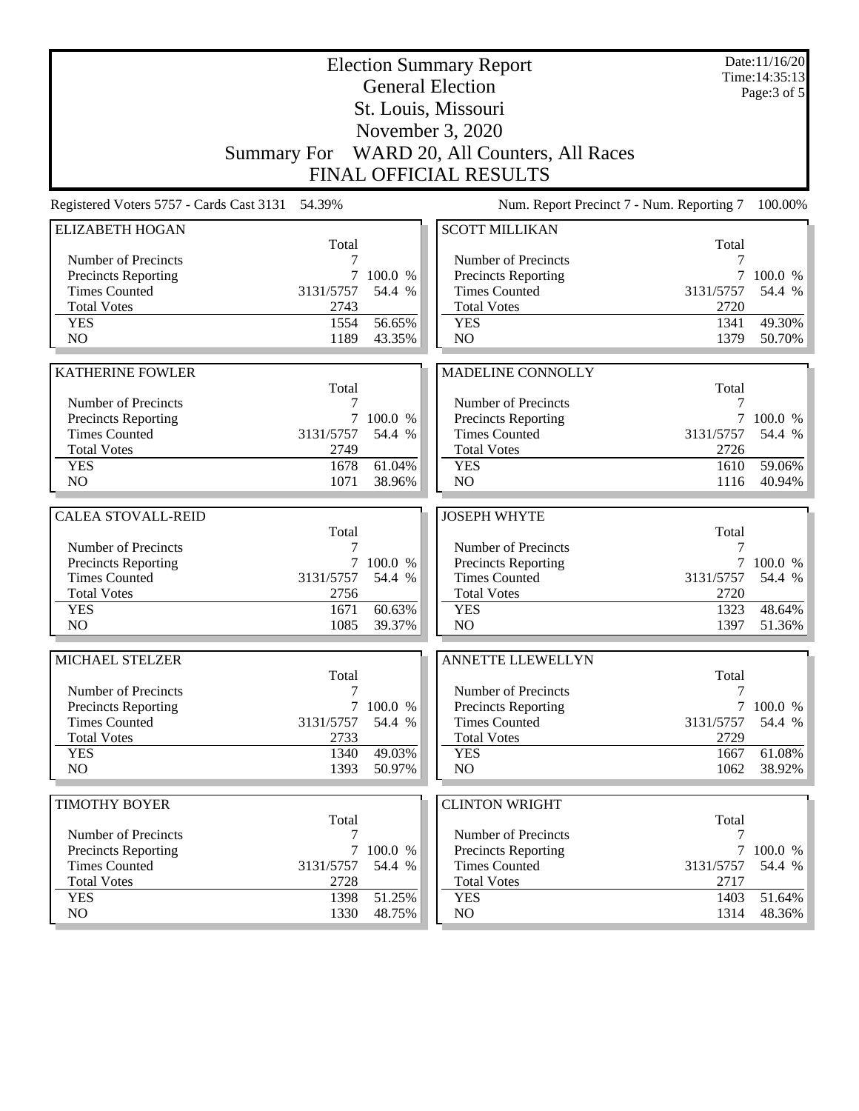| <b>Election Summary Report</b><br><b>General Election</b> |            |           |                                              |            | Date:11/16/20<br>Time: 14:35:13 |
|-----------------------------------------------------------|------------|-----------|----------------------------------------------|------------|---------------------------------|
|                                                           |            |           | St. Louis, Missouri                          |            | Page: 3 of 5                    |
|                                                           |            |           |                                              |            |                                 |
|                                                           |            |           | November 3, 2020                             |            |                                 |
|                                                           |            |           | Summary For WARD 20, All Counters, All Races |            |                                 |
|                                                           |            |           | <b>FINAL OFFICIAL RESULTS</b>                |            |                                 |
| Registered Voters 5757 - Cards Cast 3131 54.39%           |            |           | Num. Report Precinct 7 - Num. Reporting 7    |            | 100.00%                         |
| <b>ELIZABETH HOGAN</b>                                    |            |           | <b>SCOTT MILLIKAN</b>                        |            |                                 |
| Number of Precincts                                       | Total<br>7 |           | Number of Precincts                          | Total<br>7 |                                 |
| <b>Precincts Reporting</b>                                | 7          | 100.0 %   | <b>Precincts Reporting</b>                   | 7          | 100.0 %                         |
| <b>Times Counted</b>                                      | 3131/5757  | 54.4 %    | <b>Times Counted</b>                         | 3131/5757  | 54.4 %                          |
| <b>Total Votes</b>                                        | 2743       |           | <b>Total Votes</b>                           | 2720       |                                 |
| <b>YES</b>                                                | 1554       | 56.65%    | <b>YES</b>                                   | 1341       | 49.30%                          |
| NO                                                        | 1189       | 43.35%    | NO                                           | 1379       | 50.70%                          |
|                                                           |            |           |                                              |            |                                 |
| <b>KATHERINE FOWLER</b>                                   | Total      |           | MADELINE CONNOLLY                            | Total      |                                 |
| Number of Precincts                                       | 7          |           | Number of Precincts                          | 7          |                                 |
| Precincts Reporting                                       | 7          | 100.0 %   | Precincts Reporting                          | 7          | 100.0 %                         |
| <b>Times Counted</b>                                      | 3131/5757  | 54.4 %    | <b>Times Counted</b>                         | 3131/5757  | 54.4 %                          |
| <b>Total Votes</b>                                        | 2749       |           | <b>Total Votes</b>                           | 2726       |                                 |
| <b>YES</b>                                                | 1678       | 61.04%    | <b>YES</b>                                   | 1610       | 59.06%                          |
| NO                                                        | 1071       | 38.96%    | NO                                           | 1116       | 40.94%                          |
|                                                           |            |           |                                              |            |                                 |
| <b>CALEA STOVALL-REID</b>                                 | Total      |           | <b>JOSEPH WHYTE</b>                          | Total      |                                 |
| Number of Precincts                                       | 7          |           | Number of Precincts                          | 7          |                                 |
| <b>Precincts Reporting</b>                                |            | 7 100.0 % | Precincts Reporting                          |            | 7 100.0 %                       |
| <b>Times Counted</b>                                      | 3131/5757  | 54.4 %    | <b>Times Counted</b>                         | 3131/5757  | 54.4 %                          |
| <b>Total Votes</b>                                        | 2756       |           | <b>Total Votes</b>                           | 2720       |                                 |
| <b>YES</b>                                                | 1671       | 60.63%    | <b>YES</b>                                   | 1323       | 48.64%                          |
| N <sub>O</sub>                                            | 1085       | 39.37%    | NO                                           | 1397       | 51.36%                          |
| MICHAEL STELZER                                           |            |           | <b>ANNETTE LLEWELLYN</b>                     |            |                                 |
|                                                           | Total      |           |                                              | Total      |                                 |
| Number of Precincts                                       | 7          |           | Number of Precincts                          | 7          |                                 |
| <b>Precincts Reporting</b>                                |            | 7 100.0 % | <b>Precincts Reporting</b>                   |            | 7 100.0 %                       |
| <b>Times Counted</b>                                      | 3131/5757  | 54.4 %    | <b>Times Counted</b>                         | 3131/5757  | 54.4 %                          |
| <b>Total Votes</b>                                        | 2733       |           | <b>Total Votes</b>                           | 2729       |                                 |
| <b>YES</b>                                                | 1340       | 49.03%    | <b>YES</b>                                   | 1667       | 61.08%                          |
| NO                                                        | 1393       | 50.97%    | NO                                           | 1062       | 38.92%                          |
| <b>TIMOTHY BOYER</b>                                      |            |           | <b>CLINTON WRIGHT</b>                        |            |                                 |
|                                                           | Total      |           |                                              | Total      |                                 |
| Number of Precincts                                       | 7          |           | Number of Precincts                          | 7          |                                 |
| <b>Precincts Reporting</b>                                | $\tau$     | 100.0 %   | Precincts Reporting                          |            | 7 100.0 %                       |
| <b>Times Counted</b>                                      | 3131/5757  | 54.4 %    | <b>Times Counted</b>                         | 3131/5757  | 54.4 %                          |
| <b>Total Votes</b>                                        | 2728       |           | <b>Total Votes</b>                           | 2717       |                                 |
| <b>YES</b><br>NO                                          | 1398       | 51.25%    | <b>YES</b>                                   | 1403       | 51.64%                          |
|                                                           | 1330       | 48.75%    | NO                                           | 1314       | 48.36%                          |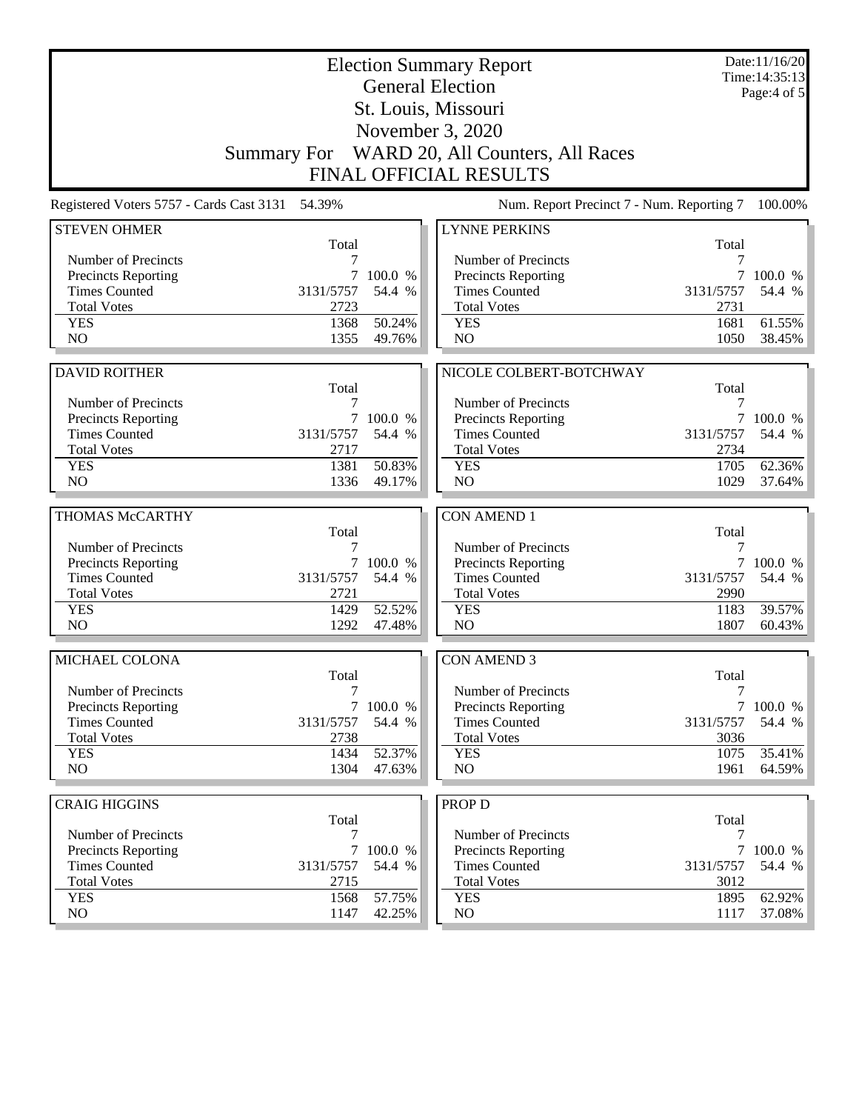| <b>Election Summary Report</b><br><b>General Election</b>                                       |                   |                     |                                                                  |                   | Date:11/16/20<br>Time: 14:35:13<br>Page:4 of 5 |
|-------------------------------------------------------------------------------------------------|-------------------|---------------------|------------------------------------------------------------------|-------------------|------------------------------------------------|
|                                                                                                 |                   |                     | St. Louis, Missouri                                              |                   |                                                |
|                                                                                                 |                   |                     |                                                                  |                   |                                                |
|                                                                                                 |                   |                     | November 3, 2020<br>Summary For WARD 20, All Counters, All Races |                   |                                                |
|                                                                                                 |                   |                     | <b>FINAL OFFICIAL RESULTS</b>                                    |                   |                                                |
| Num. Report Precinct 7 - Num. Reporting 7<br>Registered Voters 5757 - Cards Cast 3131<br>54.39% |                   |                     |                                                                  |                   | 100.00%                                        |
| <b>STEVEN OHMER</b>                                                                             |                   |                     | <b>LYNNE PERKINS</b>                                             |                   |                                                |
|                                                                                                 | Total             |                     |                                                                  | Total             |                                                |
| Number of Precincts                                                                             |                   |                     | Number of Precincts                                              | 7                 |                                                |
| <b>Precincts Reporting</b>                                                                      | 7                 | 100.0 %             | Precincts Reporting                                              |                   | 100.0 %                                        |
| <b>Times Counted</b>                                                                            | 3131/5757         | 54.4 %              | <b>Times Counted</b>                                             | 3131/5757         | 54.4 %                                         |
| <b>Total Votes</b>                                                                              | 2723              |                     | <b>Total Votes</b>                                               | 2731              |                                                |
| <b>YES</b>                                                                                      | 1368              | 50.24%              | <b>YES</b>                                                       | 1681              | 61.55%                                         |
| N <sub>O</sub>                                                                                  | 1355              | 49.76%              | N <sub>O</sub>                                                   | 1050              | 38.45%                                         |
|                                                                                                 |                   |                     |                                                                  |                   |                                                |
| <b>DAVID ROITHER</b>                                                                            |                   |                     | NICOLE COLBERT-BOTCHWAY                                          |                   |                                                |
|                                                                                                 | Total             |                     |                                                                  | Total             |                                                |
| Number of Precincts                                                                             | 7                 |                     | Number of Precincts                                              | 7                 |                                                |
| <b>Precincts Reporting</b><br><b>Times Counted</b>                                              | 3131/5757         | 7 100.0 %<br>54.4 % | Precincts Reporting<br><b>Times Counted</b>                      | 3131/5757         | 7 100.0 %<br>54.4 %                            |
| <b>Total Votes</b>                                                                              | 2717              |                     | <b>Total Votes</b>                                               | 2734              |                                                |
| <b>YES</b>                                                                                      | 1381              | 50.83%              | <b>YES</b>                                                       | 1705              | 62.36%                                         |
| NO.                                                                                             | 1336              | 49.17%              | N <sub>O</sub>                                                   | 1029              | 37.64%                                         |
|                                                                                                 |                   |                     |                                                                  |                   |                                                |
| THOMAS McCARTHY                                                                                 |                   |                     | <b>CON AMEND 1</b>                                               |                   |                                                |
|                                                                                                 |                   |                     |                                                                  |                   |                                                |
|                                                                                                 |                   |                     |                                                                  |                   |                                                |
|                                                                                                 | Total             |                     |                                                                  | Total<br>7        |                                                |
| Number of Precincts                                                                             | 7                 |                     | Number of Precincts                                              | 7                 |                                                |
| <b>Precincts Reporting</b>                                                                      | $\tau$            | 100.0 %             | Precincts Reporting                                              |                   | 100.0 %                                        |
| <b>Times Counted</b><br><b>Total Votes</b>                                                      | 3131/5757<br>2721 | 54.4 %              | <b>Times Counted</b><br><b>Total Votes</b>                       | 3131/5757<br>2990 | 54.4 %                                         |
| <b>YES</b>                                                                                      | 1429              | 52.52%              | <b>YES</b>                                                       | 1183              | 39.57%                                         |
| N <sub>O</sub>                                                                                  | 1292              | 47.48%              | NO                                                               | 1807              | 60.43%                                         |
|                                                                                                 |                   |                     |                                                                  |                   |                                                |
| MICHAEL COLONA                                                                                  |                   |                     | <b>CON AMEND 3</b>                                               |                   |                                                |
|                                                                                                 | Total             |                     |                                                                  | Total             |                                                |
| Number of Precincts                                                                             | 7                 |                     | Number of Precincts                                              | 7                 |                                                |
| <b>Precincts Reporting</b>                                                                      |                   | 7 100.0 %           | Precincts Reporting                                              |                   |                                                |
| <b>Times Counted</b>                                                                            | 3131/5757         | 54.4 %              | <b>Times Counted</b>                                             | 3131/5757         | 54.4 %                                         |
| <b>Total Votes</b><br><b>YES</b>                                                                | 2738<br>1434      | 52.37%              | <b>Total Votes</b><br><b>YES</b>                                 | 3036<br>1075      | 35.41%                                         |
| NO                                                                                              | 1304              | 47.63%              | NO                                                               | 1961              | 64.59%                                         |
|                                                                                                 |                   |                     |                                                                  |                   |                                                |
| <b>CRAIG HIGGINS</b>                                                                            |                   |                     | <b>PROP D</b>                                                    |                   |                                                |
|                                                                                                 | Total             |                     |                                                                  | Total             |                                                |
| Number of Precincts                                                                             | 7                 |                     | Number of Precincts                                              | 7                 |                                                |
| <b>Precincts Reporting</b>                                                                      |                   | 7 100.0 %           | Precincts Reporting                                              |                   | 7100.0%                                        |
| <b>Times Counted</b>                                                                            | 3131/5757         | 54.4 %              | <b>Times Counted</b>                                             | 3131/5757         | 54.4 %                                         |
| <b>Total Votes</b>                                                                              | 2715              |                     | <b>Total Votes</b>                                               | 3012              |                                                |
| <b>YES</b><br>NO                                                                                | 1568<br>1147      | 57.75%<br>42.25%    | <b>YES</b><br>NO                                                 | 1895<br>1117      | 7 100.0 %<br>62.92%<br>37.08%                  |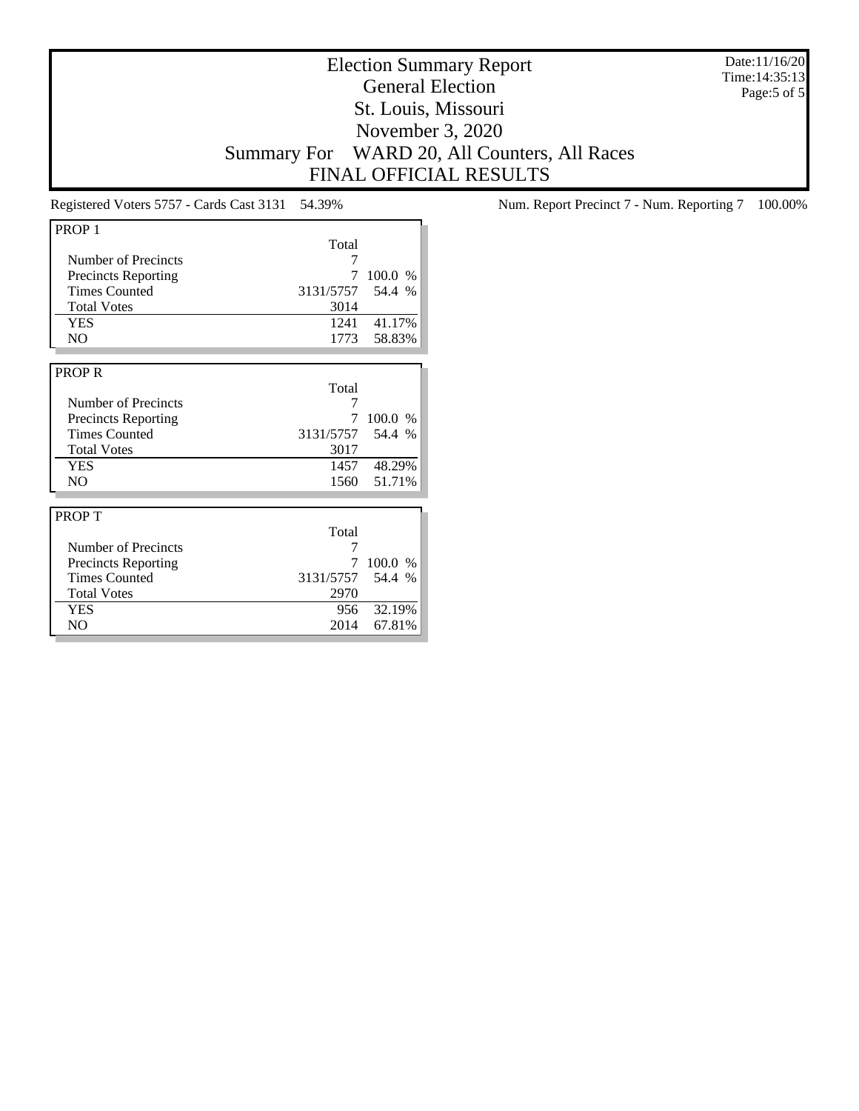Election Summary Report General Election St. Louis, Missouri November 3, 2020 Summary For WARD 20, All Counters, All Races FINAL OFFICIAL RESULTS

Date:11/16/20 Time:14:35:13 Page:5 of 5

| PROP <sub>1</sub>          |                  |             |
|----------------------------|------------------|-------------|
|                            | Total            |             |
| Number of Precincts        | 7                |             |
| <b>Precincts Reporting</b> | 7                | 100.0 %     |
| <b>Times Counted</b>       | 3131/5757 54.4 % |             |
| <b>Total Votes</b>         | 3014             |             |
| <b>YES</b>                 | 1241             | 41.17%      |
| NO.                        | 1773             | 58.83%      |
|                            |                  |             |
| <b>PROPR</b>               |                  |             |
|                            | Total            |             |
| Number of Precincts        | 7                |             |
| <b>Precincts Reporting</b> | 7                | 100.0 %     |
| <b>Times Counted</b>       | 3131/5757 54.4 % |             |
| <b>Total Votes</b>         | 3017             |             |
| <b>YES</b>                 |                  | 1457 48.29% |
| N <sub>O</sub>             | 1560             | 51.71%      |
|                            |                  |             |
| PROP T                     |                  |             |
|                            | Total            |             |
| Number of Precincts        | 7                |             |
| <b>Precincts Reporting</b> | 7                | 100.0 %     |
| <b>Times Counted</b>       | 3131/5757 54.4 % |             |
| <b>Total Votes</b>         | 2970             |             |
| YES                        | 956              | 32.19%      |
| N <sub>O</sub>             | 2014             | 67.81%      |

Registered Voters 5757 - Cards Cast 3131 54.39% Num. Report Precinct 7 - Num. Reporting 7 100.00%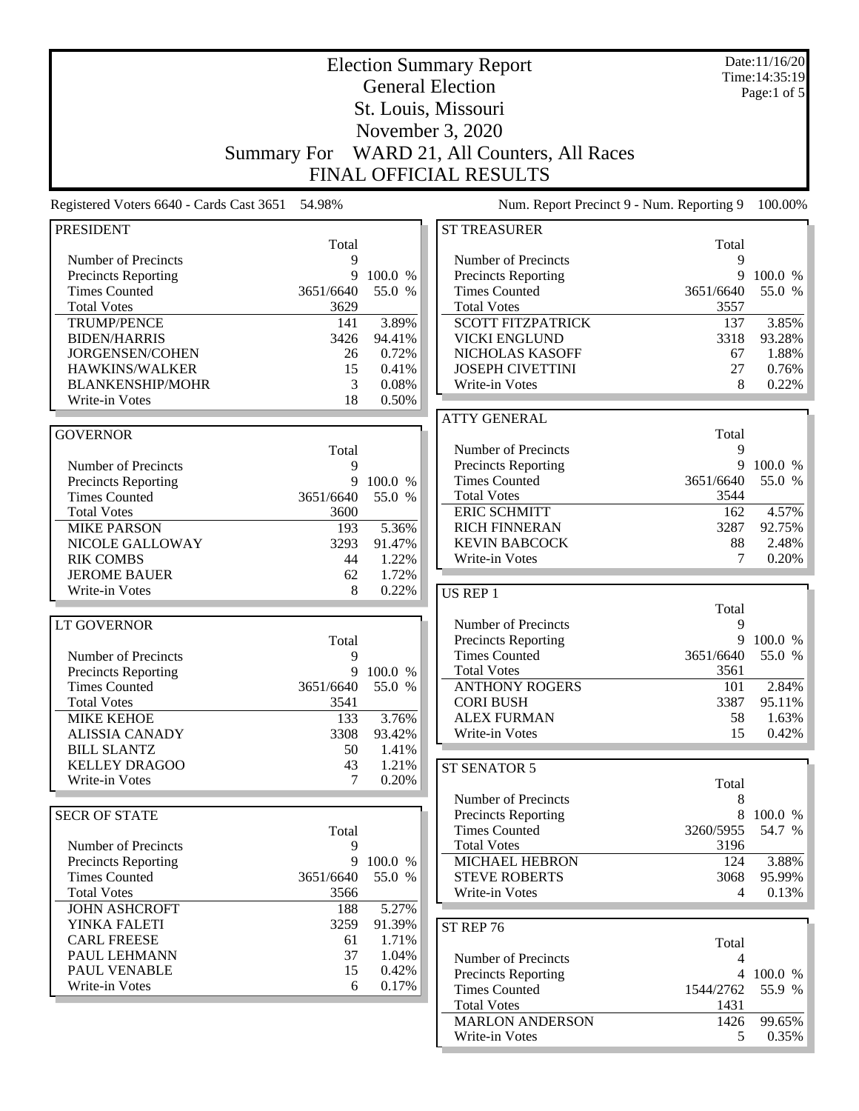|                                                    | <b>Election Summary Report</b><br>Time: 14:35:19 |                   |                                                    |                |                   |  |
|----------------------------------------------------|--------------------------------------------------|-------------------|----------------------------------------------------|----------------|-------------------|--|
|                                                    | <b>General Election</b>                          |                   |                                                    |                |                   |  |
|                                                    |                                                  |                   | St. Louis, Missouri                                |                | Page:1 of $5$     |  |
|                                                    |                                                  |                   | November 3, 2020                                   |                |                   |  |
|                                                    |                                                  |                   |                                                    |                |                   |  |
|                                                    | <b>Summary For</b>                               |                   | WARD 21, All Counters, All Races                   |                |                   |  |
|                                                    |                                                  |                   | <b>FINAL OFFICIAL RESULTS</b>                      |                |                   |  |
| Registered Voters 6640 - Cards Cast 3651           | 54.98%                                           |                   | Num. Report Precinct 9 - Num. Reporting 9          |                | 100.00%           |  |
| <b>PRESIDENT</b>                                   |                                                  |                   | <b>ST TREASURER</b>                                |                |                   |  |
|                                                    | Total                                            |                   |                                                    | Total          |                   |  |
| Number of Precincts                                | 9                                                |                   | Number of Precincts                                | 9<br>9         |                   |  |
| Precincts Reporting<br><b>Times Counted</b>        | 9<br>3651/6640                                   | 100.0 %<br>55.0 % | Precincts Reporting<br><b>Times Counted</b>        | 3651/6640      | 100.0 %<br>55.0 % |  |
| <b>Total Votes</b>                                 | 3629                                             |                   | <b>Total Votes</b>                                 | 3557           |                   |  |
| <b>TRUMP/PENCE</b>                                 | 141                                              | 3.89%             | <b>SCOTT FITZPATRICK</b>                           | 137            | 3.85%             |  |
| <b>BIDEN/HARRIS</b>                                | 3426                                             | 94.41%            | <b>VICKI ENGLUND</b>                               | 3318           | 93.28%            |  |
| JORGENSEN/COHEN                                    | 26                                               | 0.72%             | NICHOLAS KASOFF                                    | 67             | 1.88%             |  |
| HAWKINS/WALKER                                     | 15                                               | 0.41%             | <b>JOSEPH CIVETTINI</b>                            | 27             | 0.76%             |  |
| <b>BLANKENSHIP/MOHR</b>                            | 3                                                | 0.08%             | Write-in Votes                                     | 8              | 0.22%             |  |
| Write-in Votes                                     | 18                                               | 0.50%             |                                                    |                |                   |  |
|                                                    |                                                  |                   | <b>ATTY GENERAL</b>                                |                |                   |  |
| <b>GOVERNOR</b>                                    |                                                  |                   |                                                    | Total          |                   |  |
|                                                    | Total                                            |                   | Number of Precincts                                | 9              |                   |  |
| Number of Precincts                                | 9                                                |                   | Precincts Reporting                                | 9              | 100.0 %           |  |
| <b>Precincts Reporting</b>                         | 9                                                | 100.0 %           | <b>Times Counted</b>                               | 3651/6640      | 55.0 %            |  |
| <b>Times Counted</b>                               | 3651/6640                                        | 55.0 %            | <b>Total Votes</b>                                 | 3544           |                   |  |
| <b>Total Votes</b>                                 | 3600                                             |                   | <b>ERIC SCHMITT</b>                                | 162            | 4.57%             |  |
| <b>MIKE PARSON</b>                                 | 193                                              | 5.36%             | <b>RICH FINNERAN</b>                               | 3287           | 92.75%            |  |
| NICOLE GALLOWAY                                    | 3293                                             | 91.47%            | <b>KEVIN BABCOCK</b>                               | 88             | 2.48%             |  |
| <b>RIK COMBS</b>                                   | 44                                               | 1.22%             | Write-in Votes                                     | 7              | 0.20%             |  |
| <b>JEROME BAUER</b>                                | 62                                               | 1.72%             |                                                    |                |                   |  |
| Write-in Votes                                     | 8                                                | 0.22%             | US REP 1                                           |                |                   |  |
|                                                    |                                                  |                   |                                                    | Total          |                   |  |
| <b>LT GOVERNOR</b>                                 |                                                  |                   | Number of Precincts                                | 9              |                   |  |
|                                                    | Total                                            |                   | Precincts Reporting                                | 9              | 100.0 %           |  |
| Number of Precincts                                | 9                                                |                   | <b>Times Counted</b>                               | 3651/6640      | 55.0 %            |  |
| <b>Precincts Reporting</b>                         |                                                  | 9 100.0 %         | <b>Total Votes</b>                                 | 3561           |                   |  |
| <b>Times Counted</b>                               | 3651/6640                                        | 55.0 %            | <b>ANTHONY ROGERS</b>                              | 101            | 2.84%             |  |
| <b>Total Votes</b>                                 | 3541                                             |                   | <b>CORI BUSH</b>                                   | 3387           | 95.11%            |  |
| <b>MIKE KEHOE</b>                                  | 133                                              | 3.76%             | <b>ALEX FURMAN</b>                                 | 58             | 1.63%             |  |
| <b>ALISSIA CANADY</b>                              | 3308                                             | 93.42%            | Write-in Votes                                     | 15             | 0.42%             |  |
| <b>BILL SLANTZ</b><br><b>KELLEY DRAGOO</b>         | 50                                               | 1.41%             |                                                    |                |                   |  |
| Write-in Votes                                     | 43<br>7                                          | 1.21%<br>0.20%    | ST SENATOR 5                                       |                |                   |  |
|                                                    |                                                  |                   |                                                    | Total          |                   |  |
|                                                    |                                                  |                   | Number of Precincts                                | 8<br>8         |                   |  |
| <b>SECR OF STATE</b>                               |                                                  |                   | <b>Precincts Reporting</b><br><b>Times Counted</b> |                | 100.0 %<br>54.7 % |  |
|                                                    | Total                                            |                   | <b>Total Votes</b>                                 | 3260/5955      |                   |  |
| Number of Precincts                                | 9<br>9                                           |                   | MICHAEL HEBRON                                     | 3196           | 3.88%             |  |
| <b>Precincts Reporting</b><br><b>Times Counted</b> | 3651/6640                                        | 100.0 %<br>55.0 % | <b>STEVE ROBERTS</b>                               | 124<br>3068    | 95.99%            |  |
| <b>Total Votes</b>                                 | 3566                                             |                   | Write-in Votes                                     | $\overline{4}$ | 0.13%             |  |
| <b>JOHN ASHCROFT</b>                               | 188                                              | 5.27%             |                                                    |                |                   |  |
| YINKA FALETI                                       | 3259                                             | 91.39%            |                                                    |                |                   |  |
| <b>CARL FREESE</b>                                 | 61                                               | 1.71%             | ST REP 76                                          |                |                   |  |
| PAUL LEHMANN                                       | 37                                               | 1.04%             |                                                    | Total          |                   |  |
| PAUL VENABLE                                       | 15                                               | 0.42%             | Number of Precincts                                | 4              |                   |  |
| Write-in Votes                                     | 6                                                | 0.17%             | <b>Precincts Reporting</b>                         |                | 4 100.0 %         |  |
|                                                    |                                                  |                   | <b>Times Counted</b>                               | 1544/2762      | 55.9 %            |  |
|                                                    |                                                  |                   | <b>Total Votes</b>                                 | 1431           |                   |  |
|                                                    |                                                  |                   | <b>MARLON ANDERSON</b>                             | 1426           | 99.65%            |  |
|                                                    |                                                  |                   | Write-in Votes                                     | 5              | 0.35%             |  |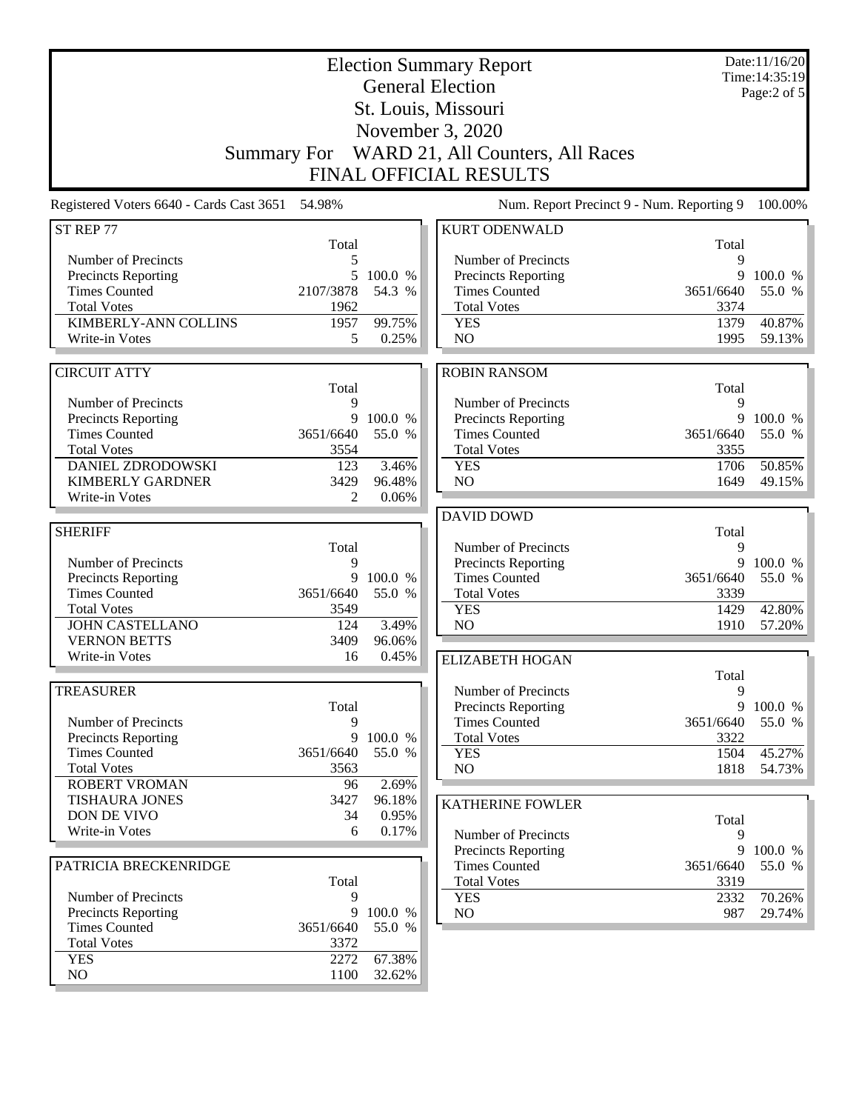| <b>Election Summary Report</b><br><b>General Election</b> |                   |         |                                                                   |                   | Date:11/16/20<br>Time: 14:35:19<br>Page:2 of 5 |
|-----------------------------------------------------------|-------------------|---------|-------------------------------------------------------------------|-------------------|------------------------------------------------|
| St. Louis, Missouri                                       |                   |         |                                                                   |                   |                                                |
|                                                           |                   |         | November 3, 2020                                                  |                   |                                                |
|                                                           |                   |         |                                                                   |                   |                                                |
| <b>Summary For</b>                                        |                   |         | WARD 21, All Counters, All Races<br><b>FINAL OFFICIAL RESULTS</b> |                   |                                                |
|                                                           |                   |         |                                                                   |                   |                                                |
| Registered Voters 6640 - Cards Cast 3651 54.98%           |                   |         | Num. Report Precinct 9 - Num. Reporting 9                         |                   | 100.00%                                        |
| ST REP 77                                                 | Total             |         | <b>KURT ODENWALD</b>                                              | Total             |                                                |
| Number of Precincts                                       | 5                 |         | Number of Precincts                                               | 9                 |                                                |
| Precincts Reporting                                       | 5                 | 100.0 % | Precincts Reporting                                               | 9                 | 100.0 %                                        |
| <b>Times Counted</b><br><b>Total Votes</b>                | 2107/3878<br>1962 | 54.3 %  | <b>Times Counted</b><br><b>Total Votes</b>                        | 3651/6640<br>3374 | 55.0 %                                         |
| KIMBERLY-ANN COLLINS                                      | 1957              | 99.75%  | <b>YES</b>                                                        | 1379              | 40.87%                                         |
| Write-in Votes                                            | 5                 | 0.25%   | NO                                                                | 1995              | 59.13%                                         |
|                                                           |                   |         |                                                                   |                   |                                                |
| <b>CIRCUIT ATTY</b>                                       |                   |         | <b>ROBIN RANSOM</b>                                               |                   |                                                |
| Number of Precincts                                       | Total<br>9        |         | Number of Precincts                                               | Total<br>9        |                                                |
| Precincts Reporting                                       | 9                 | 100.0 % | Precincts Reporting                                               | 9                 | 100.0 %                                        |
| <b>Times Counted</b>                                      | 3651/6640         | 55.0 %  | <b>Times Counted</b>                                              | 3651/6640         | 55.0 %                                         |
| <b>Total Votes</b>                                        | 3554              |         | <b>Total Votes</b>                                                | 3355              |                                                |
| DANIEL ZDRODOWSKI                                         | 123               | 3.46%   | <b>YES</b>                                                        | 1706              | 50.85%                                         |
| <b>KIMBERLY GARDNER</b>                                   | 3429              | 96.48%  | NO                                                                | 1649              | 49.15%                                         |
| Write-in Votes                                            | 2                 | 0.06%   |                                                                   |                   |                                                |
| <b>SHERIFF</b>                                            |                   |         | <b>DAVID DOWD</b>                                                 | Total             |                                                |
|                                                           | Total             |         | Number of Precincts                                               | 9                 |                                                |
| Number of Precincts                                       | 9                 |         | Precincts Reporting                                               | 9                 | 100.0 %                                        |
| Precincts Reporting                                       | 9                 | 100.0 % | <b>Times Counted</b>                                              | 3651/6640         | 55.0 %                                         |
| <b>Times Counted</b>                                      | 3651/6640         | 55.0 %  | <b>Total Votes</b>                                                | 3339              |                                                |
| <b>Total Votes</b><br><b>JOHN CASTELLANO</b>              | 3549<br>124       | 3.49%   | <b>YES</b><br>NO                                                  | 1429<br>1910      | 42.80%<br>57.20%                               |
| <b>VERNON BETTS</b>                                       | 3409              | 96.06%  |                                                                   |                   |                                                |
| Write-in Votes                                            | 16                | 0.45%   | <b>ELIZABETH HOGAN</b>                                            |                   |                                                |
|                                                           |                   |         |                                                                   | Total             |                                                |
| <b>TREASURER</b>                                          |                   |         | Number of Precincts                                               | 9                 |                                                |
|                                                           | Total             |         | Precincts Reporting                                               | 9                 | 100.0 %                                        |
| Number of Precincts                                       | 9<br>9            | 100.0 % | <b>Times Counted</b><br><b>Total Votes</b>                        | 3651/6640<br>3322 | 55.0 %                                         |
| <b>Precincts Reporting</b><br><b>Times Counted</b>        | 3651/6640         | 55.0 %  | <b>YES</b>                                                        | 1504              | 45.27%                                         |
| <b>Total Votes</b>                                        | 3563              |         | NO                                                                | 1818              | 54.73%                                         |
| <b>ROBERT VROMAN</b>                                      | 96                | 2.69%   |                                                                   |                   |                                                |
| <b>TISHAURA JONES</b>                                     | 3427              | 96.18%  | <b>KATHERINE FOWLER</b>                                           |                   |                                                |
| DON DE VIVO                                               | 34                | 0.95%   |                                                                   | Total             |                                                |
| Write-in Votes                                            | 6                 | 0.17%   | Number of Precincts                                               | 9                 |                                                |
|                                                           |                   |         | <b>Precincts Reporting</b>                                        | 9                 | 100.0 %                                        |
| PATRICIA BRECKENRIDGE                                     | Total             |         | <b>Times Counted</b><br><b>Total Votes</b>                        | 3651/6640<br>3319 | 55.0 %                                         |
| Number of Precincts                                       | 9                 |         | <b>YES</b>                                                        | 2332              | 70.26%                                         |
| Precincts Reporting                                       | 9                 | 100.0 % | NO                                                                | 987               | 29.74%                                         |
| <b>Times Counted</b>                                      | 3651/6640         | 55.0 %  |                                                                   |                   |                                                |
| <b>Total Votes</b>                                        | 3372              |         |                                                                   |                   |                                                |
| <b>YES</b>                                                | 2272              | 67.38%  |                                                                   |                   |                                                |
| NO                                                        | 1100              | 32.62%  |                                                                   |                   |                                                |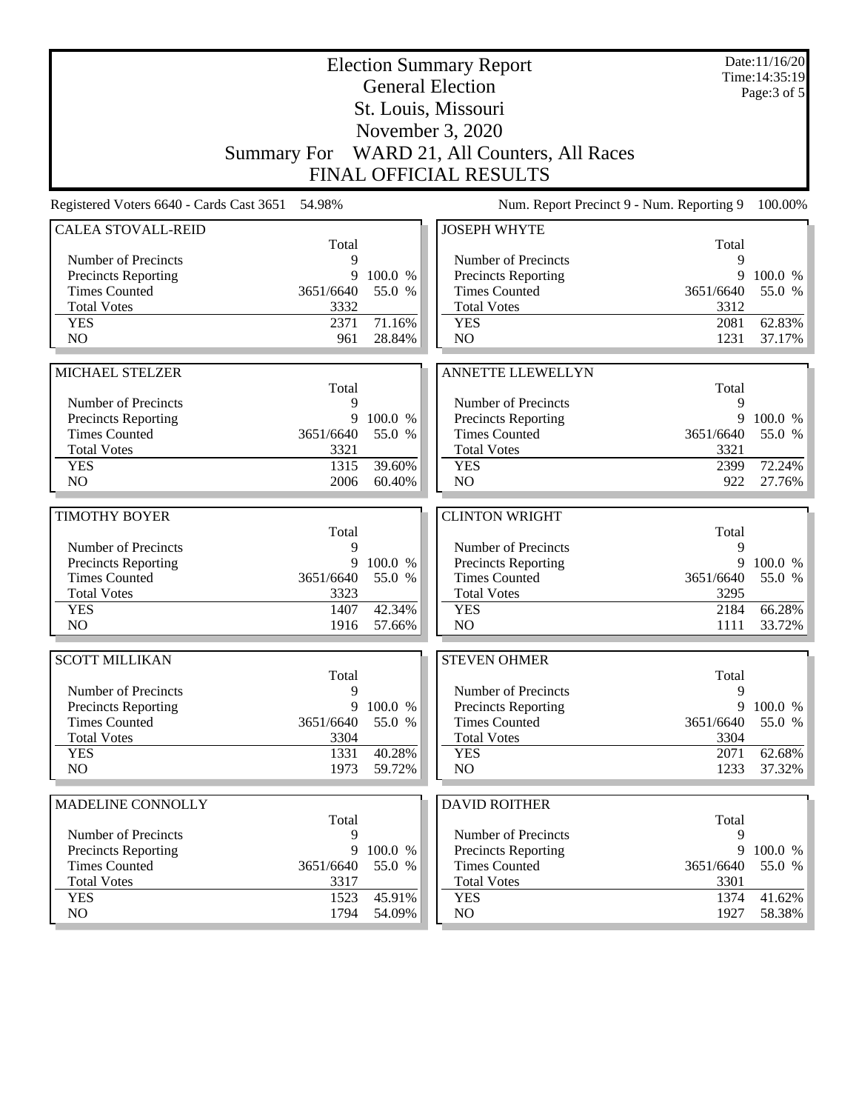| <b>Election Summary Report</b><br><b>General Election</b> |                   |                  |                                                                  |                   | Date:11/16/20<br>Time: 14:35:19 |
|-----------------------------------------------------------|-------------------|------------------|------------------------------------------------------------------|-------------------|---------------------------------|
| St. Louis, Missouri                                       |                   |                  |                                                                  |                   | Page: $3$ of $5$                |
|                                                           |                   |                  |                                                                  |                   |                                 |
|                                                           |                   |                  | November 3, 2020<br>Summary For WARD 21, All Counters, All Races |                   |                                 |
|                                                           |                   |                  |                                                                  |                   |                                 |
|                                                           |                   |                  | <b>FINAL OFFICIAL RESULTS</b>                                    |                   |                                 |
| Registered Voters 6640 - Cards Cast 3651                  | 54.98%            |                  | Num. Report Precinct 9 - Num. Reporting 9                        |                   | 100.00%                         |
| <b>CALEA STOVALL-REID</b>                                 | Total             |                  | <b>JOSEPH WHYTE</b>                                              | Total             |                                 |
| Number of Precincts                                       | 9                 |                  | Number of Precincts                                              | 9                 |                                 |
| <b>Precincts Reporting</b>                                | 9                 | 100.0 %          | <b>Precincts Reporting</b>                                       | 9                 | 100.0 %                         |
| <b>Times Counted</b>                                      | 3651/6640         | 55.0 %           | <b>Times Counted</b>                                             | 3651/6640         | 55.0 %                          |
| <b>Total Votes</b>                                        | 3332              |                  | <b>Total Votes</b>                                               | 3312              |                                 |
| <b>YES</b>                                                | 2371              | 71.16%           | <b>YES</b>                                                       | 2081              | 62.83%                          |
| N <sub>O</sub>                                            | 961               | 28.84%           | N <sub>O</sub>                                                   | 1231              | 37.17%                          |
|                                                           |                   |                  |                                                                  |                   |                                 |
| MICHAEL STELZER                                           | Total             |                  | <b>ANNETTE LLEWELLYN</b>                                         | Total             |                                 |
| Number of Precincts                                       | 9                 |                  | Number of Precincts                                              | 9                 |                                 |
| <b>Precincts Reporting</b>                                | 9                 | 100.0 %          | <b>Precincts Reporting</b>                                       | 9                 | 100.0 %                         |
| <b>Times Counted</b>                                      | 3651/6640         | 55.0 %           | <b>Times Counted</b>                                             | 3651/6640         | 55.0 %                          |
| <b>Total Votes</b>                                        | 3321              |                  | <b>Total Votes</b>                                               | 3321              |                                 |
| <b>YES</b>                                                | 1315              | 39.60%           | <b>YES</b>                                                       | 2399              | 72.24%                          |
| NO                                                        | 2006              | 60.40%           | NO                                                               | 922               | 27.76%                          |
|                                                           |                   |                  |                                                                  |                   |                                 |
|                                                           |                   |                  |                                                                  |                   |                                 |
| <b>TIMOTHY BOYER</b>                                      |                   |                  | <b>CLINTON WRIGHT</b>                                            |                   |                                 |
|                                                           | Total             |                  |                                                                  | Total             |                                 |
| Number of Precincts                                       | 9                 |                  | Number of Precincts                                              | 9<br>9            |                                 |
| <b>Precincts Reporting</b>                                | 9                 | 100.0 %          | Precincts Reporting                                              |                   | 100.0 %                         |
| <b>Times Counted</b><br><b>Total Votes</b>                | 3651/6640<br>3323 | 55.0 %           | <b>Times Counted</b><br><b>Total Votes</b>                       | 3651/6640<br>3295 | 55.0 %                          |
| <b>YES</b>                                                | 1407              | 42.34%           | <b>YES</b>                                                       | 2184              | 66.28%                          |
| N <sub>O</sub>                                            | 1916              | 57.66%           | NO                                                               | 1111              | 33.72%                          |
|                                                           |                   |                  |                                                                  |                   |                                 |
| <b>SCOTT MILLIKAN</b>                                     | Total             |                  | <b>STEVEN OHMER</b>                                              | Total             |                                 |
| Number of Precincts                                       | 9                 |                  | Number of Precincts                                              | 9                 |                                 |
| <b>Precincts Reporting</b>                                | 9                 | 100.0 %          | <b>Precincts Reporting</b>                                       | 9                 | 100.0 %                         |
| <b>Times Counted</b>                                      | 3651/6640         | 55.0 %           | <b>Times Counted</b>                                             | 3651/6640         | 55.0 %                          |
| <b>Total Votes</b>                                        | 3304              |                  | <b>Total Votes</b>                                               | 3304              |                                 |
| <b>YES</b>                                                | 1331              | 40.28%           | <b>YES</b>                                                       | 2071              | 62.68%                          |
| NO                                                        | 1973              | 59.72%           | NO                                                               | 1233              | 37.32%                          |
|                                                           |                   |                  |                                                                  |                   |                                 |
| MADELINE CONNOLLY                                         | Total             |                  | <b>DAVID ROITHER</b>                                             | Total             |                                 |
| Number of Precincts                                       | 9                 |                  | Number of Precincts                                              | 9                 |                                 |
| Precincts Reporting                                       | 9                 | 100.0 %          | <b>Precincts Reporting</b>                                       | 9                 | 100.0 %                         |
| <b>Times Counted</b>                                      | 3651/6640         | 55.0 %           | <b>Times Counted</b>                                             | 3651/6640         | 55.0 %                          |
| <b>Total Votes</b>                                        | 3317              |                  | <b>Total Votes</b>                                               | 3301              |                                 |
| <b>YES</b><br>NO.                                         | 1523<br>1794      | 45.91%<br>54.09% | <b>YES</b><br>NO                                                 | 1374<br>1927      | 41.62%<br>58.38%                |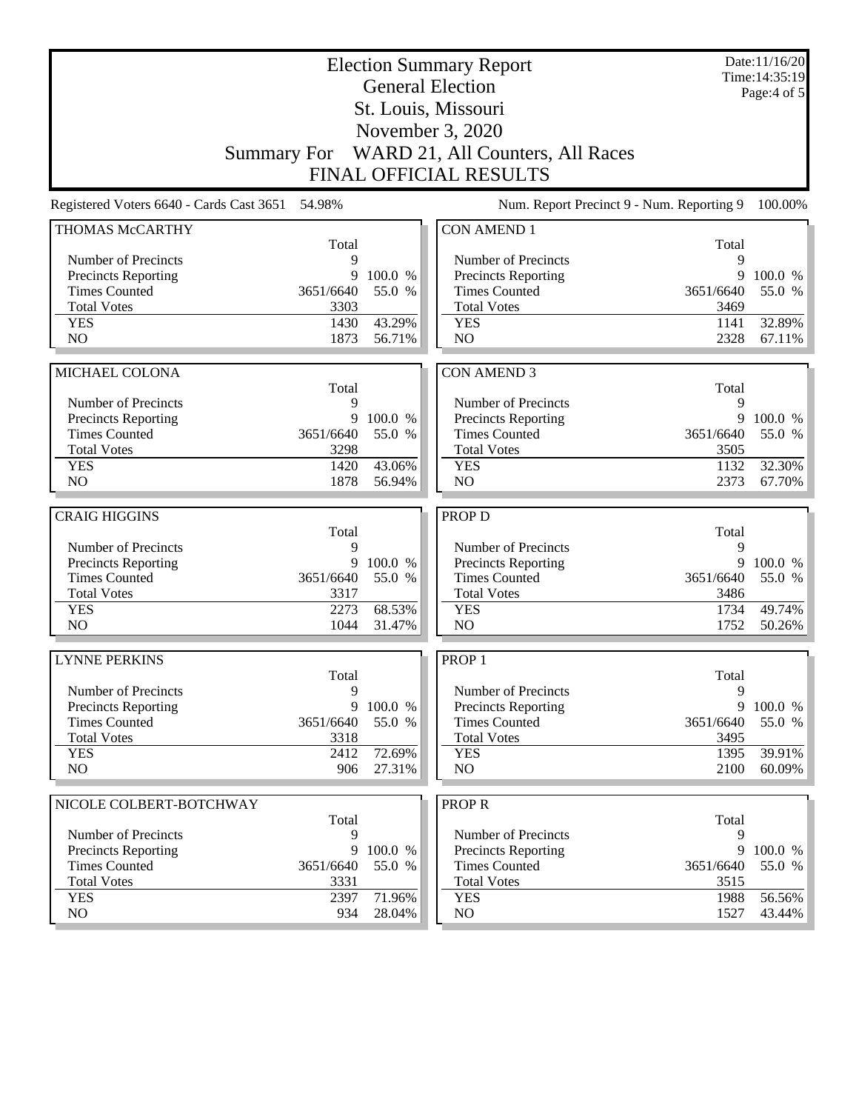| <b>Election Summary Report</b><br><b>General Election</b> |             |                  |                                              |              | Date:11/16/20<br>Time: 14:35:19<br>Page:4 of 5 |
|-----------------------------------------------------------|-------------|------------------|----------------------------------------------|--------------|------------------------------------------------|
|                                                           |             |                  |                                              |              |                                                |
|                                                           |             |                  |                                              |              |                                                |
|                                                           |             |                  | Summary For WARD 21, All Counters, All Races |              |                                                |
|                                                           |             |                  | <b>FINAL OFFICIAL RESULTS</b>                |              |                                                |
| Registered Voters 6640 - Cards Cast 3651                  | 54.98%      |                  | Num. Report Precinct 9 - Num. Reporting 9    |              | 100.00%                                        |
| <b>THOMAS McCARTHY</b>                                    |             |                  | <b>CON AMEND 1</b>                           |              |                                                |
| Number of Precincts                                       | Total<br>9  |                  | Number of Precincts                          | Total<br>9   |                                                |
| Precincts Reporting                                       | 9           | 100.0 %          | <b>Precincts Reporting</b>                   | 9            | 100.0 %                                        |
| <b>Times Counted</b>                                      | 3651/6640   | 55.0 %           | <b>Times Counted</b>                         | 3651/6640    | 55.0 %                                         |
| <b>Total Votes</b>                                        | 3303        |                  | <b>Total Votes</b>                           | 3469         |                                                |
| <b>YES</b>                                                | 1430        | 43.29%           | <b>YES</b>                                   | 1141         | 32.89%                                         |
| NO                                                        | 1873        | 56.71%           | NO                                           | 2328         | 67.11%                                         |
|                                                           |             |                  |                                              |              |                                                |
| MICHAEL COLONA                                            |             |                  | <b>CON AMEND 3</b>                           |              |                                                |
| Number of Precincts                                       | Total<br>9  |                  | Number of Precincts                          | Total<br>9   |                                                |
| <b>Precincts Reporting</b>                                | 9           | 100.0 %          | Precincts Reporting                          | 9            | 100.0 %                                        |
| <b>Times Counted</b>                                      | 3651/6640   | 55.0 %           | <b>Times Counted</b>                         | 3651/6640    | 55.0 %                                         |
| <b>Total Votes</b>                                        | 3298        |                  | <b>Total Votes</b>                           | 3505         |                                                |
| <b>YES</b>                                                | 1420        | 43.06%           | <b>YES</b>                                   | 1132         | 32.30%                                         |
| NO                                                        | 1878        | 56.94%           | N <sub>O</sub>                               | 2373         | 67.70%                                         |
|                                                           |             |                  |                                              |              |                                                |
| <b>CRAIG HIGGINS</b>                                      | Total       |                  | <b>PROP D</b>                                | Total        |                                                |
| Number of Precincts                                       | 9           |                  | Number of Precincts                          | 9            |                                                |
| <b>Precincts Reporting</b>                                | 9           | 100.0 %          | Precincts Reporting                          | 9            | 100.0 %                                        |
| <b>Times Counted</b>                                      | 3651/6640   | 55.0 %           | <b>Times Counted</b>                         | 3651/6640    | 55.0 %                                         |
| <b>Total Votes</b>                                        | 3317        |                  | <b>Total Votes</b>                           | 3486         |                                                |
| <b>YES</b>                                                | 2273        | 68.53%           | <b>YES</b>                                   | 1734         | 49.74%                                         |
| NO                                                        | 1044        | 31.47%           | NO                                           | 1752         | 50.26%                                         |
| <b>LYNNE PERKINS</b>                                      |             |                  | PROP <sub>1</sub>                            |              |                                                |
|                                                           |             |                  |                                              |              |                                                |
| Number of Precincts                                       |             |                  |                                              |              |                                                |
|                                                           | Total<br>9  |                  | Number of Precincts                          | Total<br>9   |                                                |
| <b>Precincts Reporting</b>                                | 9           | 100.0 %          | <b>Precincts Reporting</b>                   | 9            | 100.0 %                                        |
| <b>Times Counted</b>                                      | 3651/6640   | 55.0 %           | <b>Times Counted</b>                         | 3651/6640    | 55.0 %                                         |
| <b>Total Votes</b>                                        | 3318        |                  | <b>Total Votes</b>                           | 3495         |                                                |
| <b>YES</b>                                                | 2412        | 72.69%           | <b>YES</b>                                   | 1395         | 39.91%                                         |
| NO                                                        | 906         | 27.31%           | NO                                           | 2100         | $60.09\%$                                      |
| NICOLE COLBERT-BOTCHWAY                                   |             |                  | <b>PROPR</b>                                 |              |                                                |
|                                                           | Total       |                  |                                              | Total        |                                                |
| Number of Precincts                                       | 9           |                  | Number of Precincts                          | 9            |                                                |
| <b>Precincts Reporting</b>                                | 9           | 100.0 %          | <b>Precincts Reporting</b>                   | 9            | 100.0 %                                        |
| <b>Times Counted</b>                                      | 3651/6640   | 55.0 %           | <b>Times Counted</b>                         | 3651/6640    | 55.0 %                                         |
| <b>Total Votes</b>                                        | 3331        |                  | <b>Total Votes</b>                           | 3515         |                                                |
| <b>YES</b><br>NO                                          | 2397<br>934 | 71.96%<br>28.04% | <b>YES</b><br>NO                             | 1988<br>1527 | 56.56%<br>43.44%                               |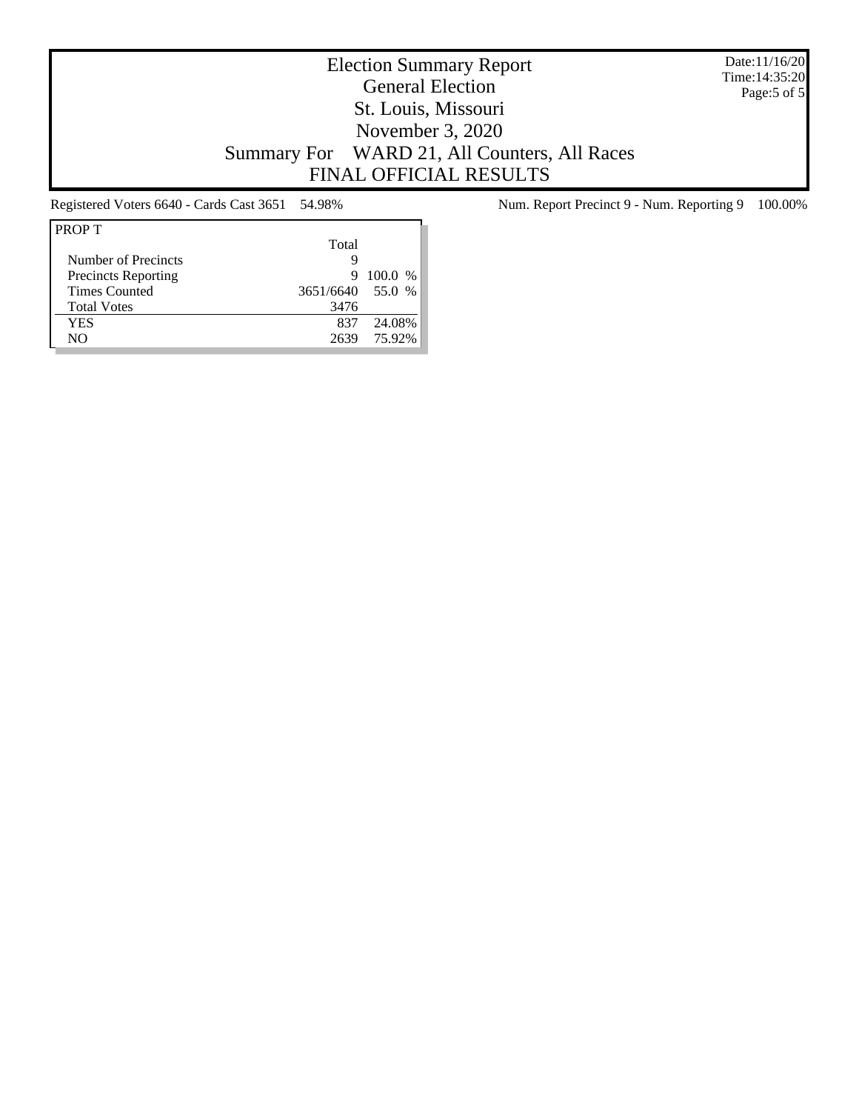Date:11/16/20 Time:14:35:20 Page:5 of 5

## Election Summary Report General Election St. Louis, Missouri November 3, 2020 Summary For WARD 21, All Counters, All Races FINAL OFFICIAL RESULTS

| <b>PROPT</b>               |                  |         |
|----------------------------|------------------|---------|
|                            | Total            |         |
| Number of Precincts        | Q                |         |
| <b>Precincts Reporting</b> | 9                | 100.0 % |
| <b>Times Counted</b>       | 3651/6640 55.0 % |         |
| <b>Total Votes</b>         | 3476             |         |
| <b>YES</b>                 | 837              | 24.08%  |
| NO.                        | 2639             | 75.92%  |

Registered Voters 6640 - Cards Cast 3651 54.98% Num. Report Precinct 9 - Num. Reporting 9 100.00%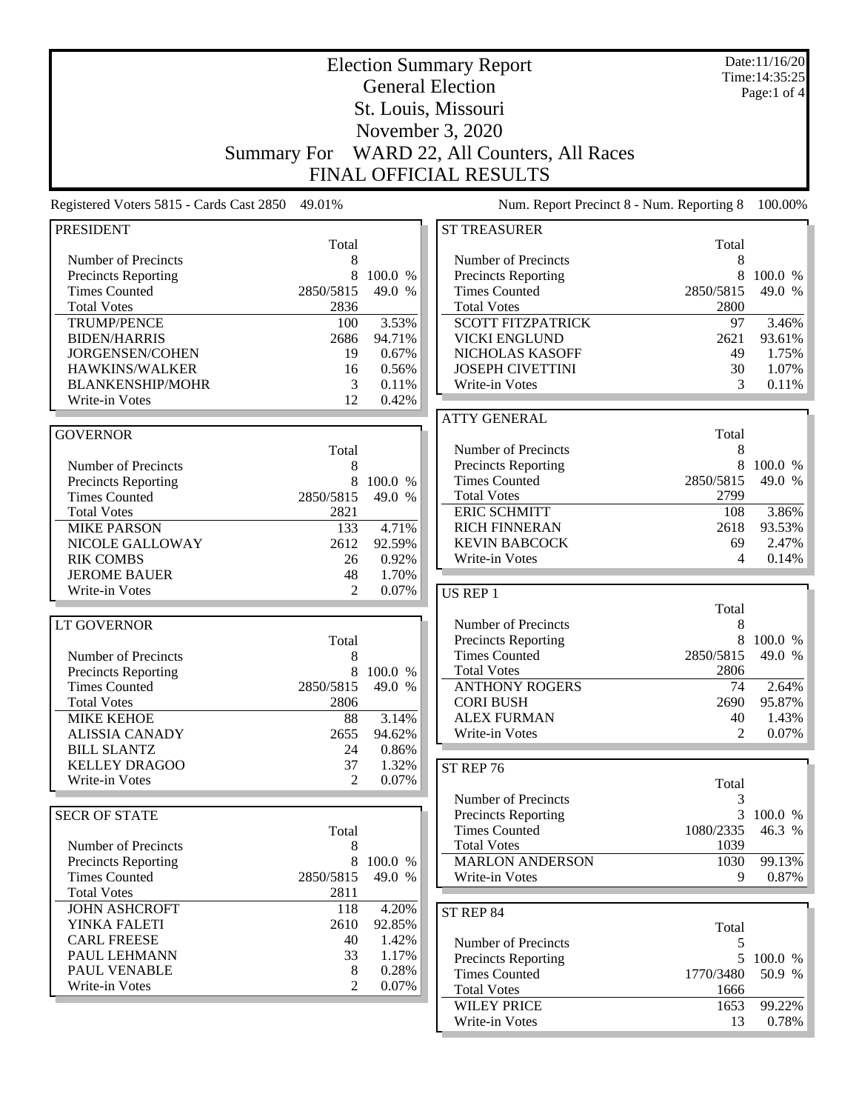|                                                   | <b>Election Summary Report</b> |                                 |                                                   |            |                 |  |  |
|---------------------------------------------------|--------------------------------|---------------------------------|---------------------------------------------------|------------|-----------------|--|--|
|                                                   |                                | Time: 14:35:25<br>Page:1 of $4$ |                                                   |            |                 |  |  |
|                                                   | St. Louis, Missouri            |                                 |                                                   |            |                 |  |  |
|                                                   | November 3, 2020               |                                 |                                                   |            |                 |  |  |
|                                                   |                                |                                 | WARD 22, All Counters, All Races                  |            |                 |  |  |
|                                                   | <b>Summary For</b>             |                                 |                                                   |            |                 |  |  |
|                                                   |                                |                                 | <b>FINAL OFFICIAL RESULTS</b>                     |            |                 |  |  |
| Registered Voters 5815 - Cards Cast 2850          | 49.01%                         |                                 | Num. Report Precinct 8 - Num. Reporting 8         |            | 100.00%         |  |  |
| <b>PRESIDENT</b>                                  |                                |                                 | <b>ST TREASURER</b>                               |            |                 |  |  |
|                                                   | Total                          |                                 |                                                   | Total      |                 |  |  |
| Number of Precincts<br><b>Precincts Reporting</b> | 8<br>8                         | 100.0 %                         | Number of Precincts<br><b>Precincts Reporting</b> | 8          | 100.0 %         |  |  |
| <b>Times Counted</b>                              | 2850/5815                      | 49.0 %                          | <b>Times Counted</b>                              | 2850/5815  | 49.0 %          |  |  |
| <b>Total Votes</b>                                | 2836                           |                                 | <b>Total Votes</b>                                | 2800       |                 |  |  |
| <b>TRUMP/PENCE</b>                                | 100                            | 3.53%                           | <b>SCOTT FITZPATRICK</b>                          | 97         | 3.46%           |  |  |
| <b>BIDEN/HARRIS</b>                               | 2686                           | 94.71%                          | <b>VICKI ENGLUND</b>                              | 2621       | 93.61%          |  |  |
| JORGENSEN/COHEN                                   | 19                             | 0.67%                           | NICHOLAS KASOFF                                   | 49         | 1.75%           |  |  |
| HAWKINS/WALKER                                    | 16                             | 0.56%                           | <b>JOSEPH CIVETTINI</b>                           | 30         | 1.07%           |  |  |
| <b>BLANKENSHIP/MOHR</b>                           | 3                              | 0.11%                           | Write-in Votes                                    | 3          | 0.11%           |  |  |
| Write-in Votes                                    | 12                             | 0.42%                           |                                                   |            |                 |  |  |
|                                                   |                                |                                 | <b>ATTY GENERAL</b>                               |            |                 |  |  |
| <b>GOVERNOR</b>                                   |                                |                                 | Number of Precincts                               | Total      |                 |  |  |
| Number of Precincts                               | Total<br>8                     |                                 | <b>Precincts Reporting</b>                        | 8<br>8     | 100.0 %         |  |  |
| <b>Precincts Reporting</b>                        | 8                              | 100.0 %                         | <b>Times Counted</b>                              | 2850/5815  | 49.0 %          |  |  |
| <b>Times Counted</b>                              | 2850/5815                      | 49.0 %                          | <b>Total Votes</b>                                | 2799       |                 |  |  |
| <b>Total Votes</b>                                | 2821                           |                                 | <b>ERIC SCHMITT</b>                               | 108        | 3.86%           |  |  |
| <b>MIKE PARSON</b>                                | 133                            | 4.71%                           | <b>RICH FINNERAN</b>                              | 2618       | 93.53%          |  |  |
| NICOLE GALLOWAY                                   | 2612                           | 92.59%                          | <b>KEVIN BABCOCK</b>                              | 69         | 2.47%           |  |  |
| <b>RIK COMBS</b>                                  | 26                             | 0.92%                           | Write-in Votes                                    | 4          | 0.14%           |  |  |
| <b>JEROME BAUER</b>                               | 48                             | 1.70%                           |                                                   |            |                 |  |  |
| Write-in Votes                                    | $\overline{2}$                 | 0.07%                           | US REP 1                                          |            |                 |  |  |
|                                                   |                                |                                 |                                                   | Total      |                 |  |  |
| LT GOVERNOR                                       |                                |                                 | Number of Precincts                               | 8          |                 |  |  |
|                                                   | Total                          |                                 | <b>Precincts Reporting</b>                        | 8          | 100.0 %         |  |  |
| Number of Precincts                               | 8                              |                                 | <b>Times Counted</b>                              | 2850/5815  | 49.0 %          |  |  |
| <b>Precincts Reporting</b>                        | 8                              | 100.0 %                         | <b>Total Votes</b>                                | 2806       |                 |  |  |
| <b>Times Counted</b><br><b>Total Votes</b>        | 2850/5815<br>2806              | 49.0 %                          | <b>ANTHONY ROGERS</b><br><b>CORI BUSH</b>         | 74<br>2690 | 2.64%<br>95.87% |  |  |
| <b>MIKE KEHOE</b>                                 | 88                             | 3.14%                           | <b>ALEX FURMAN</b>                                | 40         | 1.43%           |  |  |
| <b>ALISSIA CANADY</b>                             | 2655                           | 94.62%                          | Write-in Votes                                    | 2          | 0.07%           |  |  |
| <b>BILL SLANTZ</b>                                | 24                             | 0.86%                           |                                                   |            |                 |  |  |
| <b>KELLEY DRAGOO</b>                              | 37                             | 1.32%                           | ST REP 76                                         |            |                 |  |  |
| Write-in Votes                                    | $\mathfrak{D}$                 | 0.07%                           |                                                   | Total      |                 |  |  |
|                                                   |                                |                                 | Number of Precincts                               | 3          |                 |  |  |
| <b>SECR OF STATE</b>                              |                                |                                 | <b>Precincts Reporting</b>                        | 3          | 100.0 %         |  |  |
|                                                   | Total                          |                                 | <b>Times Counted</b>                              | 1080/2335  | 46.3 %          |  |  |
| Number of Precincts                               | 8                              |                                 | <b>Total Votes</b>                                | 1039       |                 |  |  |
| <b>Precincts Reporting</b>                        | 8                              | 100.0 %                         | <b>MARLON ANDERSON</b>                            | 1030       | 99.13%          |  |  |
| <b>Times Counted</b>                              | 2850/5815                      | 49.0 %                          | Write-in Votes                                    | 9          | 0.87%           |  |  |
| <b>Total Votes</b>                                | 2811                           |                                 |                                                   |            |                 |  |  |
| <b>JOHN ASHCROFT</b>                              | 118                            | 4.20%                           | ST REP 84                                         |            |                 |  |  |
| YINKA FALETI                                      | 2610                           | 92.85%                          |                                                   | Total      |                 |  |  |
| <b>CARL FREESE</b>                                | 40                             | 1.42%                           | Number of Precincts                               | 5          |                 |  |  |
| PAUL LEHMANN<br>PAUL VENABLE                      | 33<br>8                        | 1.17%<br>0.28%                  | <b>Precincts Reporting</b>                        |            | 5 100.0 %       |  |  |
| Write-in Votes                                    | $\overline{c}$                 | 0.07%                           | <b>Times Counted</b>                              | 1770/3480  | 50.9 %          |  |  |
|                                                   |                                |                                 | <b>Total Votes</b><br><b>WILEY PRICE</b>          | 1666       | 99.22%          |  |  |
|                                                   |                                |                                 | Write-in Votes                                    | 1653<br>13 | 0.78%           |  |  |
|                                                   |                                |                                 |                                                   |            |                 |  |  |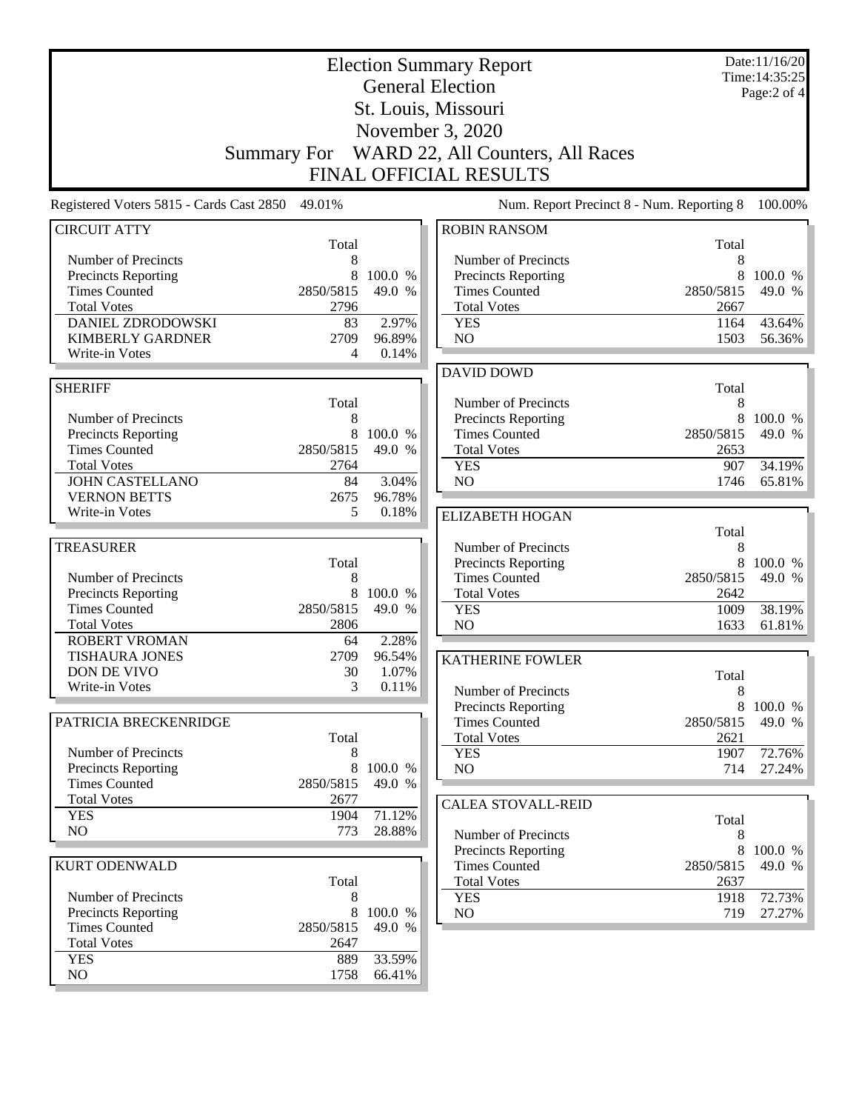|                                                    | <b>Election Summary Report</b><br><b>General Election</b><br>St. Louis, Missouri |                   |                                                                   |                   | Date:11/16/20<br>Time: 14:35:25<br>Page:2 of 4 |
|----------------------------------------------------|----------------------------------------------------------------------------------|-------------------|-------------------------------------------------------------------|-------------------|------------------------------------------------|
|                                                    |                                                                                  |                   |                                                                   |                   |                                                |
|                                                    |                                                                                  |                   | November 3, 2020                                                  |                   |                                                |
|                                                    | Summary For                                                                      |                   | WARD 22, All Counters, All Races<br><b>FINAL OFFICIAL RESULTS</b> |                   |                                                |
|                                                    |                                                                                  |                   |                                                                   |                   |                                                |
| Registered Voters 5815 - Cards Cast 2850           | 49.01%                                                                           |                   | Num. Report Precinct 8 - Num. Reporting 8                         |                   | 100.00%                                        |
| <b>CIRCUIT ATTY</b>                                | Total                                                                            |                   | <b>ROBIN RANSOM</b>                                               | Total             |                                                |
| Number of Precincts                                | 8                                                                                |                   | Number of Precincts                                               | 8                 |                                                |
| Precincts Reporting<br><b>Times Counted</b>        | 8<br>2850/5815                                                                   | 100.0 %           | Precincts Reporting<br><b>Times Counted</b>                       | 8<br>2850/5815    | 100.0 %                                        |
| <b>Total Votes</b>                                 | 2796                                                                             | 49.0 %            | <b>Total Votes</b>                                                | 2667              | 49.0 %                                         |
| DANIEL ZDRODOWSKI                                  | 83                                                                               | 2.97%             | <b>YES</b>                                                        | 1164              | 43.64%                                         |
| <b>KIMBERLY GARDNER</b>                            | 2709                                                                             | 96.89%            | NO                                                                | 1503              | 56.36%                                         |
| Write-in Votes                                     | 4                                                                                | 0.14%             |                                                                   |                   |                                                |
|                                                    |                                                                                  |                   | <b>DAVID DOWD</b>                                                 |                   |                                                |
| <b>SHERIFF</b>                                     |                                                                                  |                   |                                                                   | Total             |                                                |
|                                                    | Total                                                                            |                   | Number of Precincts                                               | 8                 |                                                |
| Number of Precincts                                | 8<br>8                                                                           | 100.0 %           | Precincts Reporting<br><b>Times Counted</b>                       | 8<br>2850/5815    | 100.0 %<br>49.0 %                              |
| <b>Precincts Reporting</b><br><b>Times Counted</b> | 2850/5815                                                                        | 49.0 %            | <b>Total Votes</b>                                                | 2653              |                                                |
| <b>Total Votes</b>                                 | 2764                                                                             |                   | <b>YES</b>                                                        | 907               | 34.19%                                         |
| <b>JOHN CASTELLANO</b>                             | 84                                                                               | 3.04%             | NO                                                                | 1746              | 65.81%                                         |
| <b>VERNON BETTS</b>                                | 2675                                                                             | 96.78%            |                                                                   |                   |                                                |
| Write-in Votes                                     | 5                                                                                | 0.18%             | <b>ELIZABETH HOGAN</b>                                            |                   |                                                |
|                                                    |                                                                                  |                   |                                                                   | Total             |                                                |
| <b>TREASURER</b>                                   |                                                                                  |                   | Number of Precincts                                               | 8                 |                                                |
|                                                    | Total                                                                            |                   | Precincts Reporting                                               | 8                 | 100.0 %                                        |
| Number of Precincts<br>Precincts Reporting         | 8<br>8                                                                           | 100.0 %           | <b>Times Counted</b><br><b>Total Votes</b>                        | 2850/5815<br>2642 | 49.0 %                                         |
| <b>Times Counted</b>                               | 2850/5815                                                                        | 49.0 %            | <b>YES</b>                                                        | 1009              | 38.19%                                         |
| <b>Total Votes</b>                                 | 2806                                                                             |                   | NO                                                                | 1633              | 61.81%                                         |
| <b>ROBERT VROMAN</b>                               | 64                                                                               | 2.28%             |                                                                   |                   |                                                |
| <b>TISHAURA JONES</b>                              | 2709                                                                             | 96.54%            | <b>KATHERINE FOWLER</b>                                           |                   |                                                |
| DON DE VIVO                                        | 30                                                                               | 1.07%             |                                                                   | Total             |                                                |
| Write-in Votes                                     | 3                                                                                | 0.11%             | Number of Precincts                                               | 8                 |                                                |
|                                                    |                                                                                  |                   | <b>Precincts Reporting</b>                                        | 8                 | 100.0 %                                        |
| PATRICIA BRECKENRIDGE                              |                                                                                  |                   | <b>Times Counted</b>                                              | 2850/5815         | 49.0 %                                         |
| Number of Precincts                                | Total<br>8                                                                       |                   | <b>Total Votes</b><br><b>YES</b>                                  | 2621<br>1907      | 72.76%                                         |
| Precincts Reporting                                | 8                                                                                | 100.0 %           | N <sub>O</sub>                                                    | 714               | 27.24%                                         |
| <b>Times Counted</b>                               | 2850/5815                                                                        | 49.0 %            |                                                                   |                   |                                                |
| <b>Total Votes</b>                                 | 2677                                                                             |                   | <b>CALEA STOVALL-REID</b>                                         |                   |                                                |
| <b>YES</b>                                         | 1904                                                                             | 71.12%            |                                                                   | Total             |                                                |
| NO.                                                | 773                                                                              | 28.88%            | Number of Precincts                                               | 8                 |                                                |
|                                                    |                                                                                  |                   | <b>Precincts Reporting</b>                                        | 8                 | 100.0 %                                        |
| <b>KURT ODENWALD</b>                               |                                                                                  |                   | <b>Times Counted</b>                                              | 2850/5815         | 49.0 %                                         |
|                                                    | Total                                                                            |                   | <b>Total Votes</b>                                                | 2637              |                                                |
| Number of Precincts                                | 8                                                                                |                   | <b>YES</b>                                                        | 1918              | 72.73%                                         |
| Precincts Reporting<br><b>Times Counted</b>        | 8<br>2850/5815                                                                   | 100.0 %<br>49.0 % | NO                                                                | 719               | 27.27%                                         |
| <b>Total Votes</b>                                 | 2647                                                                             |                   |                                                                   |                   |                                                |
| <b>YES</b>                                         | 889                                                                              | 33.59%            |                                                                   |                   |                                                |
| NO                                                 | 1758                                                                             | 66.41%            |                                                                   |                   |                                                |
|                                                    |                                                                                  |                   |                                                                   |                   |                                                |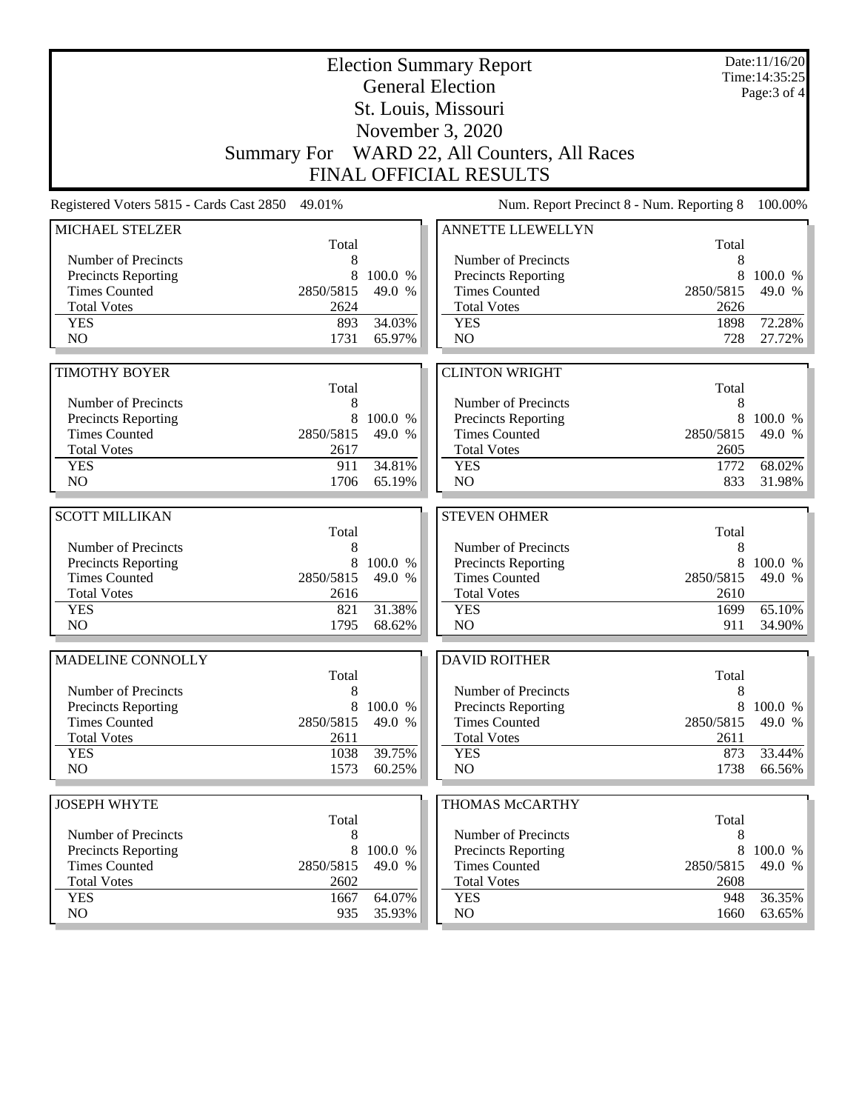| <b>Election Summary Report</b><br><b>General Election</b> |                   |                   |                                                    |                   | Date:11/16/20<br>Time: 14:35:25 |
|-----------------------------------------------------------|-------------------|-------------------|----------------------------------------------------|-------------------|---------------------------------|
|                                                           |                   | Page: 3 of 4      |                                                    |                   |                                 |
|                                                           |                   |                   | St. Louis, Missouri                                |                   |                                 |
|                                                           |                   |                   | November 3, 2020                                   |                   |                                 |
|                                                           |                   |                   | Summary For WARD 22, All Counters, All Races       |                   |                                 |
| <b>FINAL OFFICIAL RESULTS</b>                             |                   |                   |                                                    |                   |                                 |
| Registered Voters 5815 - Cards Cast 2850                  | 49.01%            |                   | Num. Report Precinct 8 - Num. Reporting 8          |                   | 100.00%                         |
| MICHAEL STELZER                                           |                   |                   | <b>ANNETTE LLEWELLYN</b>                           |                   |                                 |
| Number of Precincts                                       | Total<br>8        |                   | Number of Precincts                                | Total<br>8        |                                 |
| <b>Precincts Reporting</b>                                | 8                 | 100.0 %           | <b>Precincts Reporting</b>                         | 8                 | 100.0 %                         |
| <b>Times Counted</b>                                      | 2850/5815         | 49.0 %            | <b>Times Counted</b>                               | 2850/5815         | 49.0 %                          |
| <b>Total Votes</b>                                        | 2624              |                   | <b>Total Votes</b>                                 | 2626              |                                 |
| <b>YES</b>                                                | 893               | 34.03%            | <b>YES</b>                                         | 1898              | 72.28%                          |
| N <sub>O</sub>                                            | 1731              | 65.97%            | NO                                                 | 728               | 27.72%                          |
|                                                           |                   |                   |                                                    |                   |                                 |
| <b>TIMOTHY BOYER</b>                                      |                   |                   | <b>CLINTON WRIGHT</b>                              |                   |                                 |
|                                                           | Total             |                   |                                                    | Total             |                                 |
| Number of Precincts<br><b>Precincts Reporting</b>         | 8<br>8            | 100.0 %           | Number of Precincts<br>Precincts Reporting         | 8<br>8            | 100.0 %                         |
| <b>Times Counted</b>                                      | 2850/5815         | 49.0 %            | <b>Times Counted</b>                               | 2850/5815         | 49.0 %                          |
| <b>Total Votes</b>                                        | 2617              |                   | <b>Total Votes</b>                                 | 2605              |                                 |
| <b>YES</b>                                                | 911               | 34.81%            | <b>YES</b>                                         | 1772              | 68.02%                          |
| N <sub>O</sub>                                            | 1706              | 65.19%            | NO                                                 | 833               | 31.98%                          |
|                                                           |                   |                   |                                                    |                   |                                 |
| <b>SCOTT MILLIKAN</b>                                     |                   |                   | <b>STEVEN OHMER</b>                                |                   |                                 |
|                                                           | Total             |                   |                                                    | Total             |                                 |
| Number of Precincts                                       | 8                 |                   | Number of Precincts                                | 8                 |                                 |
| <b>Precincts Reporting</b><br><b>Times Counted</b>        | 8<br>2850/5815    | 100.0 %<br>49.0 % | <b>Precincts Reporting</b><br><b>Times Counted</b> | 8                 | 100.0 %                         |
| <b>Total Votes</b>                                        |                   |                   |                                                    |                   |                                 |
|                                                           |                   |                   |                                                    | 2850/5815         | 49.0 %                          |
|                                                           | 2616              |                   | <b>Total Votes</b>                                 | 2610              |                                 |
| <b>YES</b><br>N <sub>O</sub>                              | 821<br>1795       | 31.38%<br>68.62%  | <b>YES</b><br>NO                                   | 1699<br>911       | 65.10%                          |
|                                                           |                   |                   |                                                    |                   | 34.90%                          |
| MADELINE CONNOLLY                                         |                   |                   | <b>DAVID ROITHER</b>                               |                   |                                 |
|                                                           | Total             |                   |                                                    | Total             |                                 |
| Number of Precincts                                       | 8                 |                   | Number of Precincts                                | 8                 |                                 |
| <b>Precincts Reporting</b>                                | 8                 | 100.0 %           | Precincts Reporting                                | 8                 |                                 |
| <b>Times Counted</b><br><b>Total Votes</b>                | 2850/5815<br>2611 | 49.0 %            | <b>Times Counted</b><br><b>Total Votes</b>         | 2850/5815<br>2611 |                                 |
| <b>YES</b>                                                | 1038              | 39.75%            | <b>YES</b>                                         | 873               | 33.44%                          |
| NO.                                                       | 1573              | 60.25%            | NO                                                 | 1738              |                                 |
|                                                           |                   |                   |                                                    |                   |                                 |
| <b>JOSEPH WHYTE</b>                                       |                   |                   | THOMAS McCARTHY                                    |                   |                                 |
| Number of Precincts                                       | Total<br>8        |                   | Number of Precincts                                | Total<br>8        | 100.0 %<br>49.0 %<br>66.56%     |
| Precincts Reporting                                       | 8                 | 100.0 %           | <b>Precincts Reporting</b>                         | 8                 | 100.0 %                         |
| <b>Times Counted</b>                                      | 2850/5815         | 49.0 %            | <b>Times Counted</b>                               | 2850/5815         | 49.0 %                          |
| <b>Total Votes</b>                                        | 2602              |                   | <b>Total Votes</b>                                 | 2608              |                                 |
| <b>YES</b><br>NO.                                         | 1667<br>935       | 64.07%<br>35.93%  | <b>YES</b><br>NO                                   | 948<br>1660       | 36.35%<br>63.65%                |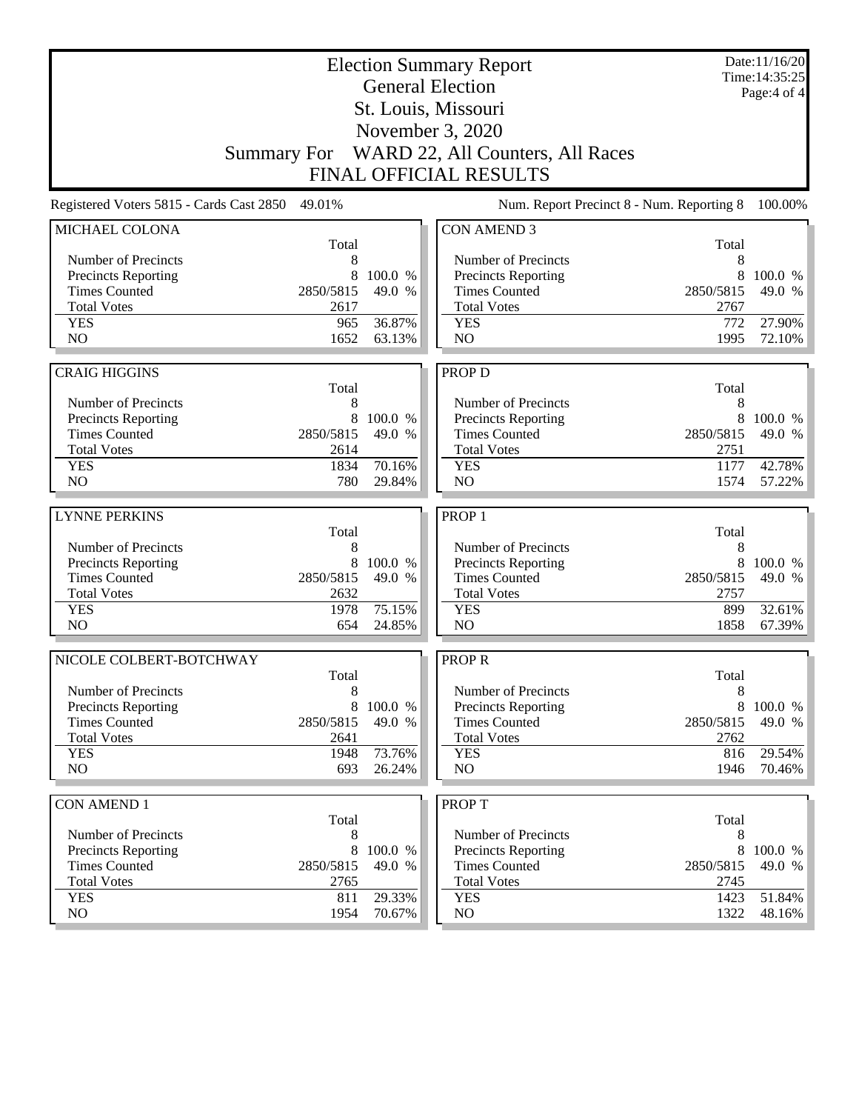| <b>Election Summary Report</b><br><b>General Election</b><br>St. Louis, Missouri |            |         |                                              |            | Date:11/16/20<br>Time: 14:35:25<br>Page: 4 of 4 |
|----------------------------------------------------------------------------------|------------|---------|----------------------------------------------|------------|-------------------------------------------------|
|                                                                                  |            |         |                                              |            |                                                 |
|                                                                                  |            |         |                                              |            |                                                 |
|                                                                                  |            |         | Summary For WARD 22, All Counters, All Races |            |                                                 |
| <b>FINAL OFFICIAL RESULTS</b>                                                    |            |         |                                              |            |                                                 |
| Registered Voters 5815 - Cards Cast 2850                                         | 49.01%     |         | Num. Report Precinct 8 - Num. Reporting 8    |            | 100.00%                                         |
| MICHAEL COLONA                                                                   |            |         | <b>CON AMEND 3</b>                           |            |                                                 |
| Number of Precincts                                                              | Total<br>8 |         | Number of Precincts                          | Total<br>8 |                                                 |
| <b>Precincts Reporting</b>                                                       | 8          | 100.0 % | Precincts Reporting                          | 8          | 100.0 %                                         |
| <b>Times Counted</b>                                                             | 2850/5815  | 49.0 %  | <b>Times Counted</b>                         | 2850/5815  | 49.0 %                                          |
| <b>Total Votes</b>                                                               | 2617       |         | <b>Total Votes</b>                           | 2767       |                                                 |
| <b>YES</b>                                                                       | 965        | 36.87%  | <b>YES</b>                                   | 772        | 27.90%                                          |
| N <sub>O</sub>                                                                   | 1652       | 63.13%  | N <sub>O</sub>                               | 1995       | 72.10%                                          |
|                                                                                  |            |         |                                              |            |                                                 |
| <b>CRAIG HIGGINS</b>                                                             | Total      |         | PROP D                                       | Total      |                                                 |
| Number of Precincts                                                              | 8          |         | Number of Precincts                          | 8          |                                                 |
| Precincts Reporting                                                              | 8          | 100.0 % | Precincts Reporting                          | 8          | 100.0 %                                         |
| <b>Times Counted</b>                                                             | 2850/5815  | 49.0 %  | <b>Times Counted</b>                         | 2850/5815  | 49.0 %                                          |
| <b>Total Votes</b>                                                               | 2614       |         | <b>Total Votes</b>                           | 2751       |                                                 |
| <b>YES</b>                                                                       | 1834       | 70.16%  | <b>YES</b>                                   | 1177       | 42.78%                                          |
| N <sub>O</sub>                                                                   | 780        | 29.84%  | N <sub>O</sub>                               | 1574       | 57.22%                                          |
|                                                                                  |            |         |                                              |            |                                                 |
| <b>LYNNE PERKINS</b>                                                             | Total      |         | PROP <sub>1</sub>                            | Total      |                                                 |
| Number of Precincts                                                              | 8          |         | Number of Precincts                          | 8          |                                                 |
| Precincts Reporting                                                              | 8          | 100.0 % | Precincts Reporting                          | 8          | 100.0 %                                         |
| <b>Times Counted</b>                                                             | 2850/5815  | 49.0 %  | <b>Times Counted</b>                         | 2850/5815  | 49.0 %                                          |
| <b>Total Votes</b>                                                               | 2632       |         | <b>Total Votes</b>                           | 2757       |                                                 |
| <b>YES</b>                                                                       | 1978       | 75.15%  | <b>YES</b>                                   | 899        | 32.61%                                          |
| NO                                                                               | 654        | 24.85%  | NO                                           | 1858       | 67.39%                                          |
| NICOLE COLBERT-BOTCHWAY                                                          |            |         | <b>PROPR</b>                                 |            |                                                 |
|                                                                                  | Total      |         |                                              | Total      |                                                 |
| Number of Precincts<br><b>Precincts Reporting</b>                                | 8<br>8     | 100.0 % | Number of Precincts<br>Precincts Reporting   | 8<br>8     | 100.0 %                                         |
| <b>Times Counted</b>                                                             | 2850/5815  | 49.0 %  | <b>Times Counted</b>                         | 2850/5815  | 49.0 %                                          |
| <b>Total Votes</b>                                                               | 2641       |         | <b>Total Votes</b>                           | 2762       |                                                 |
| <b>YES</b>                                                                       | 1948       | 73.76%  | <b>YES</b>                                   | 816        | 29.54%                                          |
| NO                                                                               | 693        | 26.24%  | NO                                           | 1946       | 70.46%                                          |
|                                                                                  |            |         |                                              |            |                                                 |
| <b>CON AMEND 1</b>                                                               | Total      |         | <b>PROPT</b>                                 | Total      |                                                 |
| Number of Precincts                                                              | 8          |         | Number of Precincts                          | 8          |                                                 |
| Precincts Reporting                                                              | 8          | 100.0 % | <b>Precincts Reporting</b>                   | 8          | 100.0 %                                         |
| <b>Times Counted</b>                                                             | 2850/5815  | 49.0 %  | <b>Times Counted</b>                         | 2850/5815  | 49.0 %                                          |
| <b>Total Votes</b>                                                               | 2765       |         | <b>Total Votes</b>                           | 2745       |                                                 |
| <b>YES</b>                                                                       | 811        | 29.33%  | <b>YES</b>                                   | 1423       | 51.84%                                          |
| NO                                                                               | 1954       | 70.67%  | $\rm NO$                                     | 1322       | $48.16\%$                                       |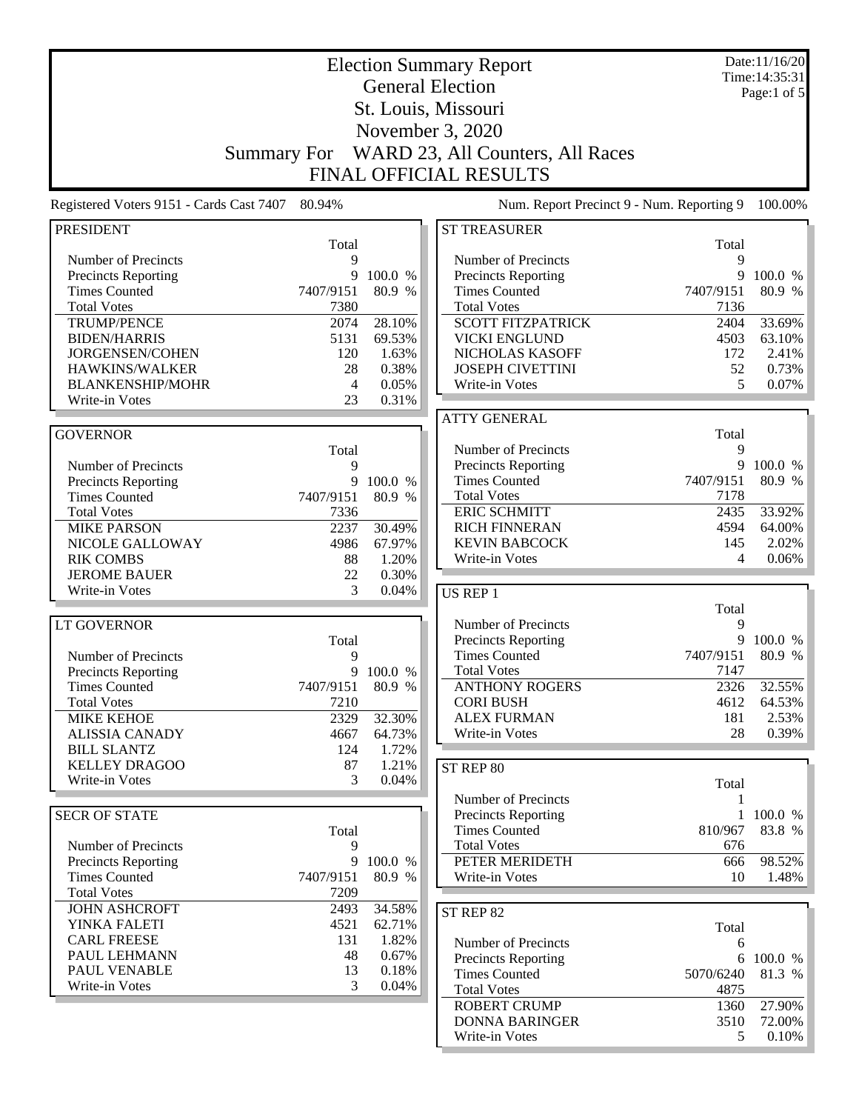|                                            | Date:11/16/20<br><b>Election Summary Report</b><br>Time: 14:35:31 |                |                                                    |           |               |  |
|--------------------------------------------|-------------------------------------------------------------------|----------------|----------------------------------------------------|-----------|---------------|--|
|                                            | <b>General Election</b>                                           |                |                                                    |           |               |  |
|                                            |                                                                   |                | St. Louis, Missouri                                |           | Page:1 of $5$ |  |
|                                            |                                                                   |                | November 3, 2020                                   |           |               |  |
|                                            |                                                                   |                |                                                    |           |               |  |
|                                            | <b>Summary For</b>                                                |                | WARD 23, All Counters, All Races                   |           |               |  |
|                                            |                                                                   |                | <b>FINAL OFFICIAL RESULTS</b>                      |           |               |  |
| Registered Voters 9151 - Cards Cast 7407   | 80.94%                                                            |                | Num. Report Precinct 9 - Num. Reporting 9          |           | 100.00%       |  |
| <b>PRESIDENT</b>                           |                                                                   |                | <b>ST TREASURER</b>                                |           |               |  |
|                                            | Total                                                             |                |                                                    | Total     |               |  |
| Number of Precincts<br>Precincts Reporting | 9<br>9                                                            | 100.0 %        | Number of Precincts                                | 9<br>9    | 100.0 %       |  |
| <b>Times Counted</b>                       | 7407/9151                                                         | 80.9 %         | Precincts Reporting<br><b>Times Counted</b>        | 7407/9151 | 80.9 %        |  |
| <b>Total Votes</b>                         | 7380                                                              |                | <b>Total Votes</b>                                 | 7136      |               |  |
| <b>TRUMP/PENCE</b>                         | 2074                                                              | 28.10%         | <b>SCOTT FITZPATRICK</b>                           | 2404      | 33.69%        |  |
| <b>BIDEN/HARRIS</b>                        | 5131                                                              | 69.53%         | <b>VICKI ENGLUND</b>                               | 4503      | 63.10%        |  |
| JORGENSEN/COHEN                            | 120                                                               | 1.63%          | NICHOLAS KASOFF                                    | 172       | 2.41%         |  |
| HAWKINS/WALKER                             | 28                                                                | 0.38%          | <b>JOSEPH CIVETTINI</b>                            | 52        | 0.73%         |  |
| <b>BLANKENSHIP/MOHR</b>                    | 4                                                                 | 0.05%          | Write-in Votes                                     | 5         | 0.07%         |  |
| Write-in Votes                             | 23                                                                | 0.31%          |                                                    |           |               |  |
|                                            |                                                                   |                | <b>ATTY GENERAL</b>                                |           |               |  |
| <b>GOVERNOR</b>                            |                                                                   |                |                                                    | Total     |               |  |
|                                            | Total                                                             |                | Number of Precincts                                | 9         |               |  |
| Number of Precincts                        | 9                                                                 |                | Precincts Reporting                                | 9         | 100.0 %       |  |
| <b>Precincts Reporting</b>                 | 9                                                                 | 100.0 %        | <b>Times Counted</b>                               | 7407/9151 | 80.9 %        |  |
| <b>Times Counted</b>                       | 7407/9151                                                         | 80.9 %         | <b>Total Votes</b>                                 | 7178      |               |  |
| <b>Total Votes</b>                         | 7336                                                              |                | <b>ERIC SCHMITT</b>                                | 2435      | 33.92%        |  |
| <b>MIKE PARSON</b>                         | 2237                                                              | 30.49%         | <b>RICH FINNERAN</b>                               | 4594      | 64.00%        |  |
| NICOLE GALLOWAY                            | 4986                                                              | 67.97%         | <b>KEVIN BABCOCK</b>                               | 145<br>4  | 2.02%         |  |
| <b>RIK COMBS</b><br><b>JEROME BAUER</b>    | 88<br>22                                                          | 1.20%<br>0.30% | Write-in Votes                                     |           | 0.06%         |  |
| Write-in Votes                             | 3                                                                 | 0.04%          | US REP 1                                           |           |               |  |
|                                            |                                                                   |                |                                                    | Total     |               |  |
| <b>LT GOVERNOR</b>                         |                                                                   |                | Number of Precincts                                | 9         |               |  |
|                                            | Total                                                             |                | Precincts Reporting                                | 9         | 100.0 %       |  |
| Number of Precincts                        | 9                                                                 |                | <b>Times Counted</b>                               | 7407/9151 | 80.9 %        |  |
| <b>Precincts Reporting</b>                 | 9                                                                 | 100.0 %        | <b>Total Votes</b>                                 | 7147      |               |  |
| <b>Times Counted</b>                       | 7407/9151                                                         | 80.9 %         | <b>ANTHONY ROGERS</b>                              | 2326      | 32.55%        |  |
| <b>Total Votes</b>                         | 7210                                                              |                | <b>CORI BUSH</b>                                   | 4612      | 64.53%        |  |
| <b>MIKE KEHOE</b>                          | 2329                                                              | 32.30%         | <b>ALEX FURMAN</b>                                 | 181       | 2.53%         |  |
| <b>ALISSIA CANADY</b>                      | 4667                                                              | 64.73%         | Write-in Votes                                     | 28        | 0.39%         |  |
| <b>BILL SLANTZ</b>                         | 124                                                               | 1.72%          |                                                    |           |               |  |
| <b>KELLEY DRAGOO</b>                       | 87                                                                | 1.21%          | ST REP 80                                          |           |               |  |
| Write-in Votes                             | 3                                                                 | 0.04%          |                                                    | Total     |               |  |
|                                            |                                                                   |                | Number of Precincts                                | 1         |               |  |
| <b>SECR OF STATE</b>                       |                                                                   |                | <b>Precincts Reporting</b>                         |           | 1 100.0 %     |  |
|                                            | Total                                                             |                | <b>Times Counted</b>                               | 810/967   | 83.8 %        |  |
| Number of Precincts                        | 9                                                                 |                | <b>Total Votes</b>                                 | 676       |               |  |
| <b>Precincts Reporting</b>                 | 9                                                                 | 100.0 %        | PETER MERIDETH                                     | 666       | 98.52%        |  |
| <b>Times Counted</b><br><b>Total Votes</b> | 7407/9151<br>7209                                                 | 80.9 %         | Write-in Votes                                     | 10        | 1.48%         |  |
| <b>JOHN ASHCROFT</b>                       | 2493                                                              | 34.58%         |                                                    |           |               |  |
| YINKA FALETI                               | 4521                                                              | 62.71%         | ST REP 82                                          |           |               |  |
| <b>CARL FREESE</b>                         | 131                                                               | 1.82%          |                                                    | Total     |               |  |
| PAUL LEHMANN                               | 48                                                                | 0.67%          | Number of Precincts                                | 6         | 6 100.0 %     |  |
| PAUL VENABLE                               | 13                                                                | 0.18%          | <b>Precincts Reporting</b><br><b>Times Counted</b> | 5070/6240 | 81.3 %        |  |
| Write-in Votes                             | 3                                                                 | 0.04%          | <b>Total Votes</b>                                 | 4875      |               |  |
|                                            |                                                                   |                | <b>ROBERT CRUMP</b>                                | 1360      | 27.90%        |  |
|                                            |                                                                   |                | <b>DONNA BARINGER</b>                              | 3510      | 72.00%        |  |
|                                            |                                                                   |                | Write-in Votes                                     | 5         | $0.10\%$      |  |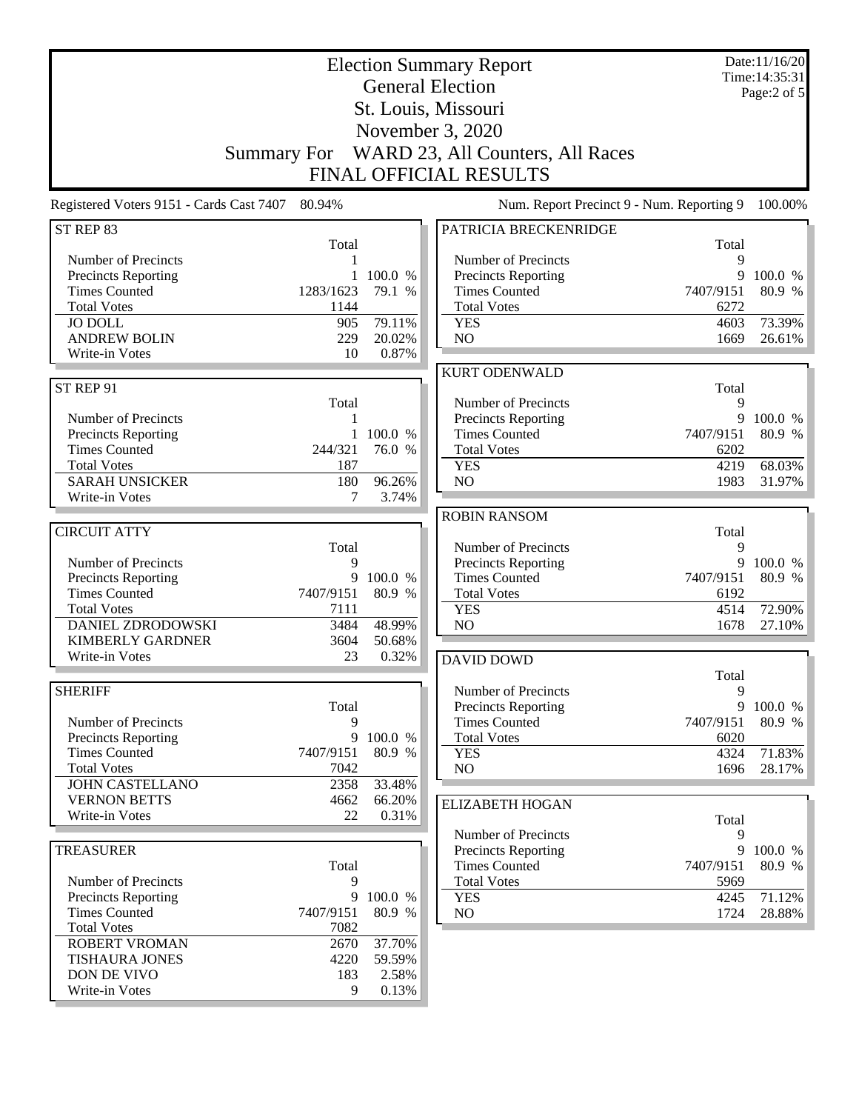| <b>Election Summary Report</b><br><b>General Election</b><br>St. Louis, Missouri<br>November 3, 2020<br>WARD 23, All Counters, All Races<br><b>Summary For</b> |             |           |                                                                            |              | Date:11/16/20<br>Time: 14:35:31<br>Page:2 of 5 |
|----------------------------------------------------------------------------------------------------------------------------------------------------------------|-------------|-----------|----------------------------------------------------------------------------|--------------|------------------------------------------------|
| Registered Voters 9151 - Cards Cast 7407                                                                                                                       | 80.94%      |           | <b>FINAL OFFICIAL RESULTS</b><br>Num. Report Precinct 9 - Num. Reporting 9 |              | 100.00%                                        |
| ST REP 83                                                                                                                                                      |             |           | PATRICIA BRECKENRIDGE                                                      |              |                                                |
|                                                                                                                                                                | Total       |           |                                                                            | Total        |                                                |
| Number of Precincts                                                                                                                                            |             |           | Number of Precincts                                                        | 9            |                                                |
| Precincts Reporting                                                                                                                                            | 1           | 100.0 %   | Precincts Reporting                                                        | 9            | 100.0 %                                        |
| <b>Times Counted</b>                                                                                                                                           | 1283/1623   | 79.1 %    | <b>Times Counted</b>                                                       | 7407/9151    | 80.9 %                                         |
| <b>Total Votes</b><br><b>JO DOLL</b>                                                                                                                           | 1144<br>905 | 79.11%    | <b>Total Votes</b><br><b>YES</b>                                           | 6272<br>4603 | 73.39%                                         |
| <b>ANDREW BOLIN</b>                                                                                                                                            | 229         | 20.02%    | NO                                                                         | 1669         | 26.61%                                         |
| Write-in Votes                                                                                                                                                 | 10          | 0.87%     |                                                                            |              |                                                |
|                                                                                                                                                                |             |           | <b>KURT ODENWALD</b>                                                       |              |                                                |
| ST REP 91                                                                                                                                                      |             |           |                                                                            | Total        |                                                |
|                                                                                                                                                                | Total       |           | Number of Precincts                                                        | 9            |                                                |
| Number of Precincts                                                                                                                                            | 1           |           | Precincts Reporting                                                        |              | 9 100.0 %                                      |
| Precincts Reporting                                                                                                                                            |             | 1 100.0 % | <b>Times Counted</b>                                                       | 7407/9151    | 80.9 %                                         |
| <b>Times Counted</b>                                                                                                                                           | 244/321     | 76.0 %    | <b>Total Votes</b>                                                         | 6202         |                                                |
| <b>Total Votes</b>                                                                                                                                             | 187         |           | <b>YES</b>                                                                 | 4219         | 68.03%                                         |
| <b>SARAH UNSICKER</b>                                                                                                                                          | 180         | 96.26%    | NO                                                                         | 1983         | 31.97%                                         |
| Write-in Votes                                                                                                                                                 | 7           | 3.74%     |                                                                            |              |                                                |
| <b>CIRCUIT ATTY</b>                                                                                                                                            |             |           | <b>ROBIN RANSOM</b>                                                        |              |                                                |
|                                                                                                                                                                | Total       |           | Number of Precincts                                                        | Total<br>9   |                                                |
| Number of Precincts                                                                                                                                            | 9           |           | Precincts Reporting                                                        | 9            | 100.0 %                                        |
| Precincts Reporting                                                                                                                                            | 9           | 100.0 %   | <b>Times Counted</b>                                                       | 7407/9151    | 80.9 %                                         |
| <b>Times Counted</b>                                                                                                                                           | 7407/9151   | 80.9 %    | <b>Total Votes</b>                                                         | 6192         |                                                |
| <b>Total Votes</b>                                                                                                                                             | 7111        |           | <b>YES</b>                                                                 | 4514         | 72.90%                                         |
| <b>DANIEL ZDRODOWSKI</b>                                                                                                                                       | 3484        | 48.99%    | N <sub>O</sub>                                                             | 1678         | 27.10%                                         |
| <b>KIMBERLY GARDNER</b>                                                                                                                                        | 3604        | 50.68%    |                                                                            |              |                                                |
| Write-in Votes                                                                                                                                                 | 23          | 0.32%     | <b>DAVID DOWD</b>                                                          |              |                                                |
|                                                                                                                                                                |             |           |                                                                            | Total        |                                                |
| <b>SHERIFF</b>                                                                                                                                                 | Total       |           | Number of Precincts                                                        | 9<br>9       |                                                |
| Number of Precincts                                                                                                                                            | 9           |           | <b>Precincts Reporting</b><br><b>Times Counted</b>                         | 7407/9151    | 100.0 %<br>80.9 %                              |
| <b>Precincts Reporting</b>                                                                                                                                     | 9           | 100.0 %   | <b>Total Votes</b>                                                         | 6020         |                                                |
| <b>Times Counted</b>                                                                                                                                           | 7407/9151   | 80.9 %    | <b>YES</b>                                                                 | 4324         | 71.83%                                         |
| <b>Total Votes</b>                                                                                                                                             | 7042        |           | NO                                                                         | 1696         | 28.17%                                         |
| <b>JOHN CASTELLANO</b>                                                                                                                                         | 2358        | 33.48%    |                                                                            |              |                                                |
| <b>VERNON BETTS</b>                                                                                                                                            | 4662        | 66.20%    | <b>ELIZABETH HOGAN</b>                                                     |              |                                                |
| Write-in Votes                                                                                                                                                 | 22          | 0.31%     |                                                                            | Total        |                                                |
|                                                                                                                                                                |             |           | Number of Precincts                                                        | 9            |                                                |
| <b>TREASURER</b>                                                                                                                                               |             |           | <b>Precincts Reporting</b>                                                 | 9            | 100.0 %                                        |
|                                                                                                                                                                | Total       |           | <b>Times Counted</b>                                                       | 7407/9151    | 80.9 %                                         |
| Number of Precincts<br>Precincts Reporting                                                                                                                     | 9<br>9      | 100.0 %   | <b>Total Votes</b><br><b>YES</b>                                           | 5969<br>4245 | 71.12%                                         |
| <b>Times Counted</b>                                                                                                                                           | 7407/9151   | 80.9 %    | NO                                                                         | 1724         | 28.88%                                         |
| <b>Total Votes</b>                                                                                                                                             | 7082        |           |                                                                            |              |                                                |
| <b>ROBERT VROMAN</b>                                                                                                                                           | 2670        | 37.70%    |                                                                            |              |                                                |
| <b>TISHAURA JONES</b>                                                                                                                                          | 4220        | 59.59%    |                                                                            |              |                                                |
| DON DE VIVO                                                                                                                                                    | 183         | 2.58%     |                                                                            |              |                                                |
| Write-in Votes                                                                                                                                                 | 9           | 0.13%     |                                                                            |              |                                                |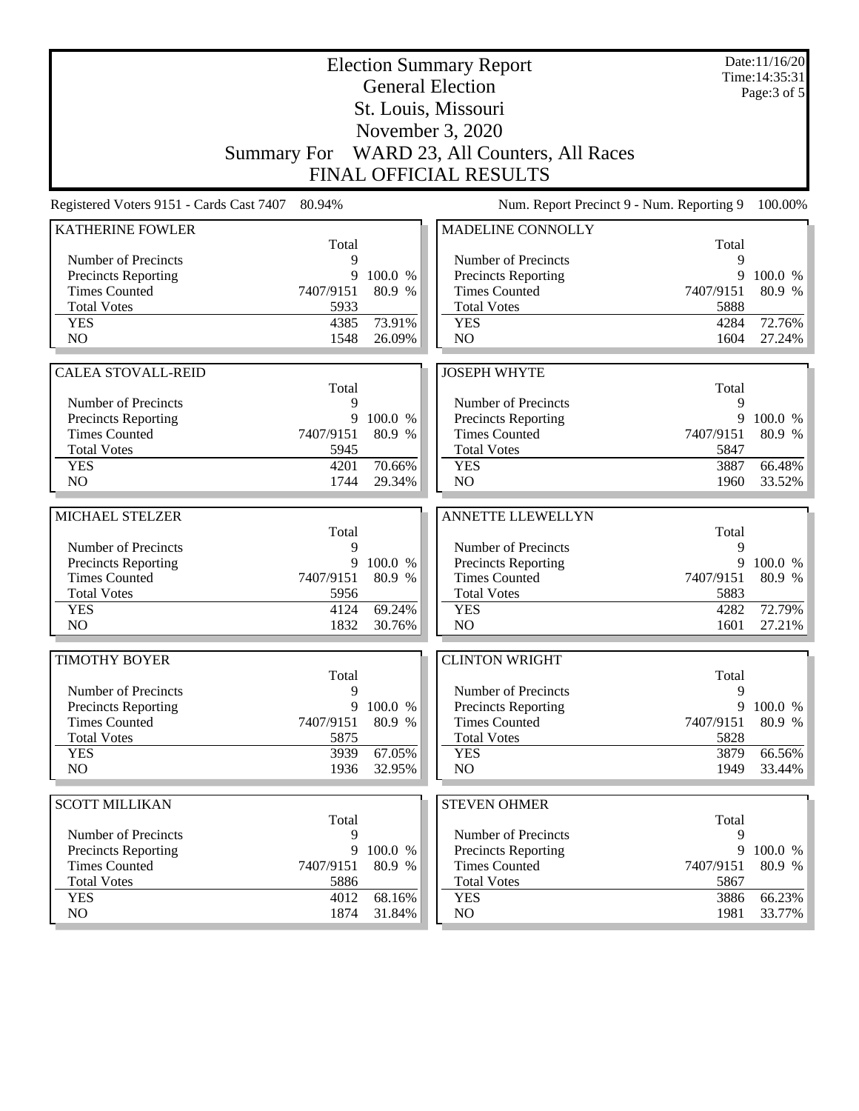| <b>Election Summary Report</b>              |                   |                  |                                              |                   | Date:11/16/20<br>Time: 14:35:31 |
|---------------------------------------------|-------------------|------------------|----------------------------------------------|-------------------|---------------------------------|
| <b>General Election</b>                     |                   |                  |                                              |                   | Page: 3 of 5                    |
| St. Louis, Missouri                         |                   |                  |                                              |                   |                                 |
| November 3, 2020                            |                   |                  |                                              |                   |                                 |
|                                             |                   |                  | Summary For WARD 23, All Counters, All Races |                   |                                 |
|                                             |                   |                  | <b>FINAL OFFICIAL RESULTS</b>                |                   |                                 |
| Registered Voters 9151 - Cards Cast 7407    | 80.94%            |                  | Num. Report Precinct 9 - Num. Reporting 9    |                   | 100.00%                         |
| <b>KATHERINE FOWLER</b>                     |                   |                  | MADELINE CONNOLLY                            |                   |                                 |
| Number of Precincts                         | Total<br>9        |                  | Number of Precincts                          | Total<br>9        |                                 |
| Precincts Reporting                         | 9                 | 100.0 %          | <b>Precincts Reporting</b>                   | 9                 | 100.0 %                         |
| <b>Times Counted</b>                        | 7407/9151         | 80.9 %           | <b>Times Counted</b>                         | 7407/9151         | 80.9 %                          |
| <b>Total Votes</b>                          | 5933              |                  | <b>Total Votes</b>                           | 5888              |                                 |
| <b>YES</b>                                  | 4385              | 73.91%           | <b>YES</b>                                   | 4284              | 72.76%                          |
| NO                                          | 1548              | 26.09%           | N <sub>O</sub>                               | 1604              | 27.24%                          |
|                                             |                   |                  |                                              |                   |                                 |
| <b>CALEA STOVALL-REID</b>                   | Total             |                  | <b>JOSEPH WHYTE</b>                          | Total             |                                 |
| Number of Precincts                         | 9                 |                  | Number of Precincts                          | 9                 |                                 |
| <b>Precincts Reporting</b>                  | 9                 | 100.0 %          | Precincts Reporting                          | 9                 | 100.0 %                         |
| <b>Times Counted</b>                        | 7407/9151         | 80.9 %           | <b>Times Counted</b>                         | 7407/9151         | 80.9 %                          |
| <b>Total Votes</b>                          | 5945              |                  | <b>Total Votes</b>                           | 5847              |                                 |
| <b>YES</b>                                  | 4201              | 70.66%           | <b>YES</b>                                   | 3887              | 66.48%                          |
| NO                                          | 1744              | 29.34%           | NO                                           | 1960              | 33.52%                          |
| MICHAEL STELZER                             |                   |                  | <b>ANNETTE LLEWELLYN</b>                     |                   |                                 |
|                                             | Total             |                  |                                              | Total             |                                 |
| Number of Precincts                         | 9                 |                  | Number of Precincts                          | 9                 |                                 |
| Precincts Reporting                         | 9                 | 100.0 %          | Precincts Reporting                          | 9                 | 100.0 %                         |
| <b>Times Counted</b>                        | 7407/9151         | 80.9 %           | <b>Times Counted</b>                         | 7407/9151         | 80.9 %                          |
| <b>Total Votes</b>                          | 5956              |                  | <b>Total Votes</b>                           | 5883              |                                 |
| <b>YES</b><br>N <sub>O</sub>                | 4124<br>1832      | 69.24%<br>30.76% | <b>YES</b><br>NO                             | 4282<br>1601      | 72.79%<br>27.21%                |
|                                             |                   |                  |                                              |                   |                                 |
| <b>TIMOTHY BOYER</b>                        |                   |                  | <b>CLINTON WRIGHT</b>                        |                   |                                 |
|                                             | Total             |                  |                                              | Total             |                                 |
| Number of Precincts                         | 9                 |                  | Number of Precincts                          | 9                 |                                 |
| Precincts Reporting                         | 9                 | 100.0 %          | <b>Precincts Reporting</b>                   | 9                 | 100.0 %                         |
| <b>Times Counted</b><br><b>Total Votes</b>  | 7407/9151<br>5875 | 80.9 %           | <b>Times Counted</b><br><b>Total Votes</b>   | 7407/9151<br>5828 | 80.9 %                          |
| <b>YES</b>                                  | 3939              | 67.05%           | <b>YES</b>                                   | 3879              | 66.56%                          |
| NO.                                         | 1936              | 32.95%           | NO                                           | 1949              | 33.44%                          |
|                                             |                   |                  |                                              |                   |                                 |
| <b>SCOTT MILLIKAN</b>                       |                   |                  | <b>STEVEN OHMER</b>                          |                   |                                 |
|                                             | Total             |                  |                                              | Total             |                                 |
| Number of Precincts                         | 9<br>9            | 100.0 %          | Number of Precincts                          | 9<br>9            |                                 |
| Precincts Reporting<br><b>Times Counted</b> | 7407/9151         | 80.9 %           | Precincts Reporting<br><b>Times Counted</b>  | 7407/9151         | 100.0 %<br>80.9 %               |
| <b>Total Votes</b>                          | 5886              |                  | <b>Total Votes</b>                           | 5867              |                                 |
| <b>YES</b>                                  | 4012              | 68.16%           | <b>YES</b>                                   | 3886              | 66.23%                          |
|                                             |                   |                  |                                              |                   |                                 |
| NO.                                         | 1874              | 31.84%           | NO <sub>1</sub>                              | 1981              | 33.77%                          |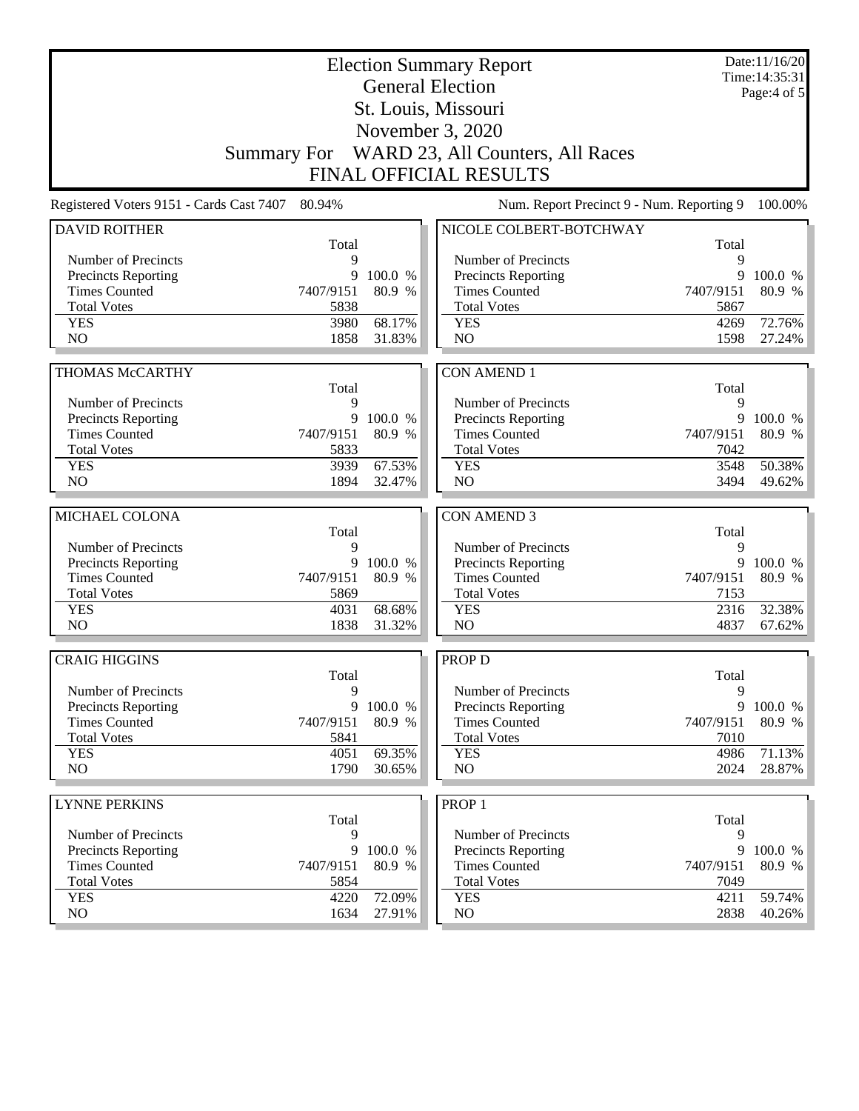|                                          | Date:11/16/20<br><b>Election Summary Report</b><br>Time: 14:35:31<br><b>General Election</b><br>Page: $4$ of $5$ |                  |                                              |              |                             |  |
|------------------------------------------|------------------------------------------------------------------------------------------------------------------|------------------|----------------------------------------------|--------------|-----------------------------|--|
|                                          | St. Louis, Missouri                                                                                              |                  |                                              |              |                             |  |
|                                          |                                                                                                                  |                  | November 3, 2020                             |              |                             |  |
|                                          |                                                                                                                  |                  | Summary For WARD 23, All Counters, All Races |              |                             |  |
|                                          |                                                                                                                  |                  | <b>FINAL OFFICIAL RESULTS</b>                |              |                             |  |
| Registered Voters 9151 - Cards Cast 7407 | 80.94%                                                                                                           |                  | Num. Report Precinct 9 - Num. Reporting 9    |              | 100.00%                     |  |
| <b>DAVID ROITHER</b>                     | Total                                                                                                            |                  | NICOLE COLBERT-BOTCHWAY                      |              |                             |  |
| Number of Precincts                      | 9                                                                                                                |                  | Number of Precincts                          | Total<br>9   |                             |  |
| <b>Precincts Reporting</b>               | 9                                                                                                                | 100.0 %          | <b>Precincts Reporting</b>                   | 9            | 100.0 %                     |  |
| <b>Times Counted</b>                     | 7407/9151                                                                                                        | 80.9 %           | <b>Times Counted</b>                         | 7407/9151    | 80.9 %                      |  |
| <b>Total Votes</b>                       | 5838                                                                                                             |                  | <b>Total Votes</b>                           | 5867         |                             |  |
| <b>YES</b>                               | 3980                                                                                                             | 68.17%           | <b>YES</b>                                   | 4269         | 72.76%                      |  |
| N <sub>O</sub>                           | 1858                                                                                                             | 31.83%           | NO                                           | 1598         | 27.24%                      |  |
| THOMAS McCARTHY                          |                                                                                                                  |                  | <b>CON AMEND 1</b>                           |              |                             |  |
|                                          | Total                                                                                                            |                  |                                              | Total        |                             |  |
| Number of Precincts                      | 9                                                                                                                |                  | Number of Precincts                          | 9            |                             |  |
| <b>Precincts Reporting</b>               | 9                                                                                                                | 100.0 %          | Precincts Reporting                          | 9            | 100.0 %                     |  |
| <b>Times Counted</b>                     | 7407/9151                                                                                                        | 80.9 %           | <b>Times Counted</b>                         | 7407/9151    | 80.9 %                      |  |
| <b>Total Votes</b>                       | 5833                                                                                                             |                  | <b>Total Votes</b>                           | 7042         |                             |  |
| <b>YES</b>                               | 3939                                                                                                             | 67.53%           | <b>YES</b>                                   | 3548         | 50.38%                      |  |
| NO                                       | 1894                                                                                                             | 32.47%           | NO                                           | 3494         | 49.62%                      |  |
| MICHAEL COLONA                           |                                                                                                                  |                  | <b>CON AMEND 3</b>                           |              |                             |  |
|                                          | Total                                                                                                            |                  |                                              | Total        |                             |  |
| Number of Precincts                      | 9                                                                                                                |                  | Number of Precincts                          | 9            |                             |  |
| <b>Precincts Reporting</b>               | 9                                                                                                                | 100.0 %          | Precincts Reporting                          | 9            | 100.0 %                     |  |
| <b>Times Counted</b>                     |                                                                                                                  |                  |                                              |              |                             |  |
|                                          | 7407/9151                                                                                                        | 80.9 %           | <b>Times Counted</b>                         | 7407/9151    | 80.9 %                      |  |
| <b>Total Votes</b>                       | 5869                                                                                                             |                  | <b>Total Votes</b>                           | 7153         |                             |  |
| <b>YES</b>                               | 4031                                                                                                             | 68.68%           | <b>YES</b>                                   | 2316         | 32.38%                      |  |
| N <sub>O</sub>                           | 1838                                                                                                             | 31.32%           | NO                                           | 4837         | 67.62%                      |  |
| <b>CRAIG HIGGINS</b>                     |                                                                                                                  |                  | <b>PROP D</b>                                |              |                             |  |
|                                          | Total                                                                                                            |                  |                                              | Total        |                             |  |
| Number of Precincts                      | 9                                                                                                                |                  | Number of Precincts                          | 9            |                             |  |
| <b>Precincts Reporting</b>               | 9                                                                                                                | 100.0 %          | Precincts Reporting                          | 9            |                             |  |
| <b>Times Counted</b>                     | 7407/9151                                                                                                        | 80.9 %           | <b>Times Counted</b>                         | 7407/9151    |                             |  |
| <b>Total Votes</b>                       | 5841                                                                                                             |                  | <b>Total Votes</b>                           | 7010         |                             |  |
| <b>YES</b>                               | 4051                                                                                                             | 69.35%           | <b>YES</b>                                   | 4986         | 71.13%                      |  |
| NO                                       | 1790                                                                                                             | 30.65%           | NO                                           | 2024         | 100.0 %<br>80.9 %<br>28.87% |  |
| <b>LYNNE PERKINS</b>                     |                                                                                                                  |                  | PROP <sub>1</sub>                            |              |                             |  |
|                                          | Total                                                                                                            |                  |                                              | Total        |                             |  |
| Number of Precincts                      | 9                                                                                                                |                  | Number of Precincts                          | 9            |                             |  |
| Precincts Reporting                      | 9                                                                                                                | 100.0 %          | <b>Precincts Reporting</b>                   | 9            | 100.0 %                     |  |
| <b>Times Counted</b>                     | 7407/9151                                                                                                        | 80.9 %           | <b>Times Counted</b>                         | 7407/9151    | 80.9 %                      |  |
| <b>Total Votes</b>                       | 5854                                                                                                             |                  | <b>Total Votes</b>                           | 7049         |                             |  |
| <b>YES</b><br>NO.                        | 4220<br>1634                                                                                                     | 72.09%<br>27.91% | <b>YES</b><br>NO                             | 4211<br>2838 | 59.74%<br>40.26%            |  |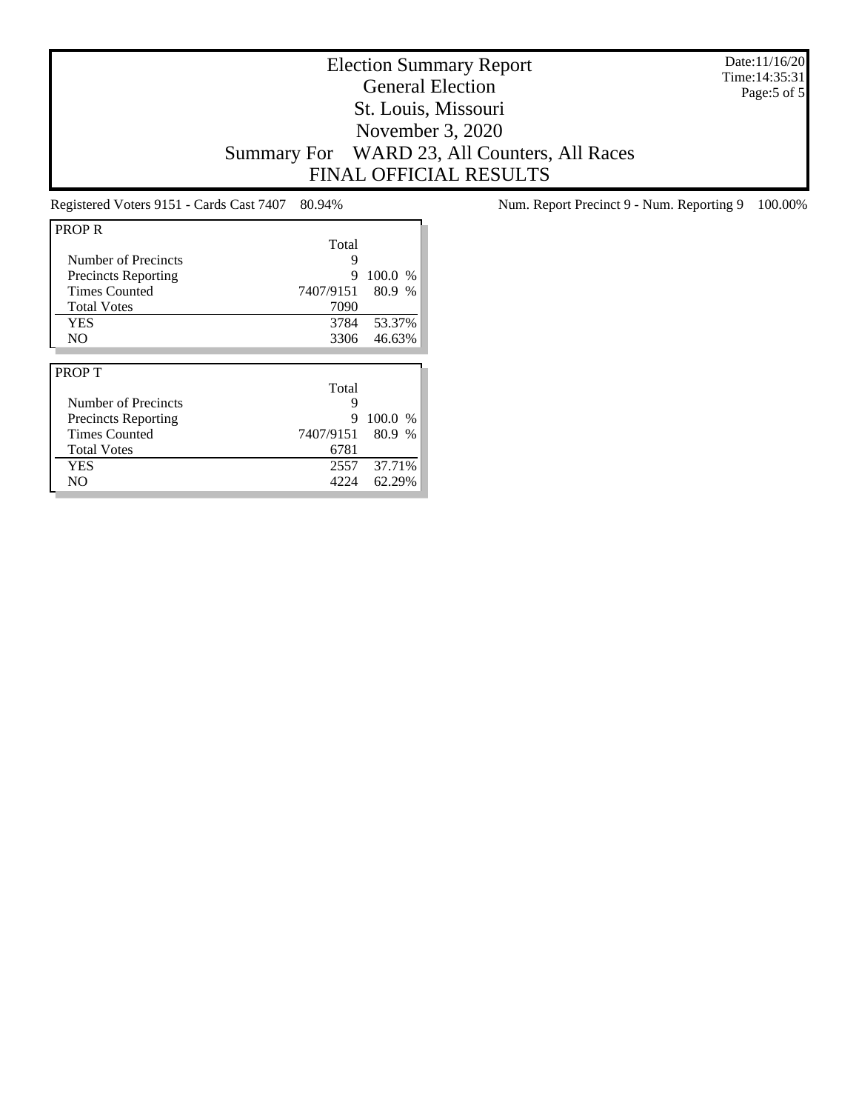Date:11/16/20 Time:14:35:31 Page:5 of 5

## Election Summary Report General Election St. Louis, Missouri November 3, 2020 Summary For WARD 23, All Counters, All Races FINAL OFFICIAL RESULTS

| <b>PROP R</b>              |           |           |
|----------------------------|-----------|-----------|
|                            | Total     |           |
| Number of Precincts        | 9         |           |
| <b>Precincts Reporting</b> | 9         | $100.0\%$ |
| <b>Times Counted</b>       | 7407/9151 | 80.9 %    |
| <b>Total Votes</b>         | 7090      |           |
| <b>YES</b>                 | 3784      | 53.37%    |
| N <sub>O</sub>             | 3306      | 46.63%    |
|                            |           |           |
|                            |           |           |
| <b>PROPT</b>               |           |           |
|                            | Total     |           |
| Number of Precincts        | 9         |           |
| <b>Precincts Reporting</b> | 9         | 100.0 %   |
| <b>Times Counted</b>       | 7407/9151 | 80.9 %    |
| <b>Total Votes</b>         | 6781      |           |
| YES                        | 2557      | 37.71%    |

Registered Voters 9151 - Cards Cast 7407 80.94% Num. Report Precinct 9 - Num. Reporting 9 100.00%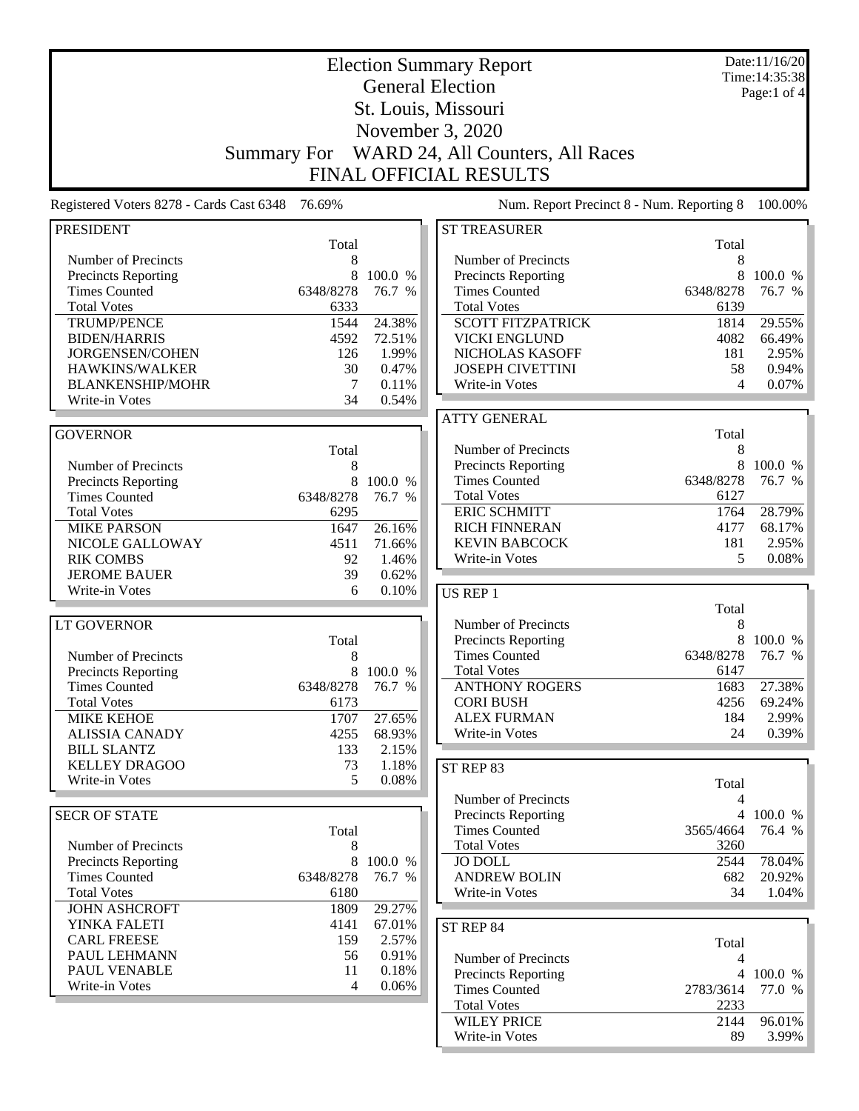|                                             | Date:11/16/20<br><b>Election Summary Report</b> |                |                                             |              |                                 |
|---------------------------------------------|-------------------------------------------------|----------------|---------------------------------------------|--------------|---------------------------------|
|                                             |                                                 |                | <b>General Election</b>                     |              | Time: 14:35:38<br>Page:1 of $4$ |
|                                             |                                                 |                | St. Louis, Missouri                         |              |                                 |
|                                             |                                                 |                | November 3, 2020                            |              |                                 |
|                                             |                                                 |                |                                             |              |                                 |
|                                             | <b>Summary For</b>                              |                | WARD 24, All Counters, All Races            |              |                                 |
|                                             |                                                 |                | <b>FINAL OFFICIAL RESULTS</b>               |              |                                 |
| Registered Voters 8278 - Cards Cast 6348    | 76.69%                                          |                | Num. Report Precinct 8 - Num. Reporting 8   |              | 100.00%                         |
| <b>PRESIDENT</b>                            |                                                 |                | <b>ST TREASURER</b>                         |              |                                 |
| Number of Precincts                         | Total<br>8                                      |                | Number of Precincts                         | Total<br>8   |                                 |
|                                             | 8                                               | 100.0 %        |                                             | 8            | 100.0 %                         |
| Precincts Reporting<br><b>Times Counted</b> | 6348/8278                                       | 76.7 %         | Precincts Reporting<br><b>Times Counted</b> | 6348/8278    | 76.7 %                          |
| <b>Total Votes</b>                          | 6333                                            |                | <b>Total Votes</b>                          | 6139         |                                 |
| <b>TRUMP/PENCE</b>                          | 1544                                            | 24.38%         | <b>SCOTT FITZPATRICK</b>                    | 1814         | 29.55%                          |
| <b>BIDEN/HARRIS</b>                         | 4592                                            | 72.51%         | <b>VICKI ENGLUND</b>                        | 4082         | 66.49%                          |
| JORGENSEN/COHEN                             | 126                                             | 1.99%          | NICHOLAS KASOFF                             | 181          | 2.95%                           |
| HAWKINS/WALKER                              | 30                                              | 0.47%          | <b>JOSEPH CIVETTINI</b>                     | 58           | 0.94%                           |
| <b>BLANKENSHIP/MOHR</b>                     | 7                                               | 0.11%          | Write-in Votes                              | 4            | 0.07%                           |
| Write-in Votes                              | 34                                              | 0.54%          |                                             |              |                                 |
|                                             |                                                 |                | <b>ATTY GENERAL</b>                         |              |                                 |
| <b>GOVERNOR</b>                             |                                                 |                |                                             | Total        |                                 |
|                                             | Total                                           |                | Number of Precincts                         | 8            |                                 |
| Number of Precincts                         | 8                                               |                | Precincts Reporting                         | 8            | 100.0 %                         |
| <b>Precincts Reporting</b>                  | 8                                               | 100.0 %        | <b>Times Counted</b>                        | 6348/8278    | 76.7 %                          |
| <b>Times Counted</b>                        | 6348/8278                                       | 76.7 %         | <b>Total Votes</b><br><b>ERIC SCHMITT</b>   | 6127<br>1764 | 28.79%                          |
| <b>Total Votes</b><br><b>MIKE PARSON</b>    | 6295<br>1647                                    | 26.16%         | <b>RICH FINNERAN</b>                        | 4177         | 68.17%                          |
| NICOLE GALLOWAY                             | 4511                                            | 71.66%         | <b>KEVIN BABCOCK</b>                        | 181          | 2.95%                           |
| <b>RIK COMBS</b>                            | 92                                              | 1.46%          | Write-in Votes                              | 5            | 0.08%                           |
| <b>JEROME BAUER</b>                         | 39                                              | 0.62%          |                                             |              |                                 |
| Write-in Votes                              | 6                                               | 0.10%          | US REP 1                                    |              |                                 |
|                                             |                                                 |                |                                             | Total        |                                 |
| <b>LT GOVERNOR</b>                          |                                                 |                | Number of Precincts                         | 8            |                                 |
|                                             | Total                                           |                | Precincts Reporting                         | 8            | 100.0 %                         |
| Number of Precincts                         | 8                                               |                | <b>Times Counted</b>                        | 6348/8278    | 76.7 %                          |
| <b>Precincts Reporting</b>                  | 8                                               | 100.0 %        | <b>Total Votes</b>                          | 6147         |                                 |
| <b>Times Counted</b>                        | 6348/8278                                       | 76.7 %         | <b>ANTHONY ROGERS</b>                       | 1683         | 27.38%                          |
| <b>Total Votes</b>                          | 6173                                            |                | <b>CORI BUSH</b>                            | 4256         | 69.24%                          |
| <b>MIKE KEHOE</b>                           | 1707                                            | 27.65%         | <b>ALEX FURMAN</b>                          | 184          | 2.99%                           |
| <b>ALISSIA CANADY</b>                       | 4255                                            | 68.93%         | Write-in Votes                              | 24           | 0.39%                           |
| <b>BILL SLANTZ</b><br><b>KELLEY DRAGOO</b>  | 133<br>73                                       | 2.15%          |                                             |              |                                 |
| Write-in Votes                              | 5                                               | 1.18%<br>0.08% | ST REP 83                                   |              |                                 |
|                                             |                                                 |                | Number of Precincts                         | Total        |                                 |
| <b>SECR OF STATE</b>                        |                                                 |                | <b>Precincts Reporting</b>                  | 4            | 4 100.0 %                       |
|                                             | Total                                           |                | <b>Times Counted</b>                        | 3565/4664    | 76.4 %                          |
| Number of Precincts                         | 8                                               |                | <b>Total Votes</b>                          | 3260         |                                 |
| <b>Precincts Reporting</b>                  | 8                                               | 100.0 %        | <b>JO DOLL</b>                              | 2544         | 78.04%                          |
| <b>Times Counted</b>                        | 6348/8278                                       | 76.7 %         | <b>ANDREW BOLIN</b>                         | 682          | 20.92%                          |
| <b>Total Votes</b>                          | 6180                                            |                | Write-in Votes                              | 34           | 1.04%                           |
| <b>JOHN ASHCROFT</b>                        | 1809                                            | 29.27%         |                                             |              |                                 |
| YINKA FALETI                                | 4141                                            | 67.01%         | ST REP 84                                   |              |                                 |
| <b>CARL FREESE</b>                          | 159                                             | 2.57%          |                                             | Total        |                                 |
| PAUL LEHMANN                                | 56                                              | 0.91%          | Number of Precincts                         | 4            |                                 |
| PAUL VENABLE                                | 11                                              | 0.18%          | <b>Precincts Reporting</b>                  | 4            | 100.0 %                         |
| Write-in Votes                              | 4                                               | 0.06%          | <b>Times Counted</b>                        | 2783/3614    | 77.0 %                          |
|                                             |                                                 |                | <b>Total Votes</b>                          | 2233         |                                 |
|                                             |                                                 |                | <b>WILEY PRICE</b>                          | 2144         | 96.01%                          |
|                                             |                                                 |                | Write-in Votes                              | 89           | $3.99\%$                        |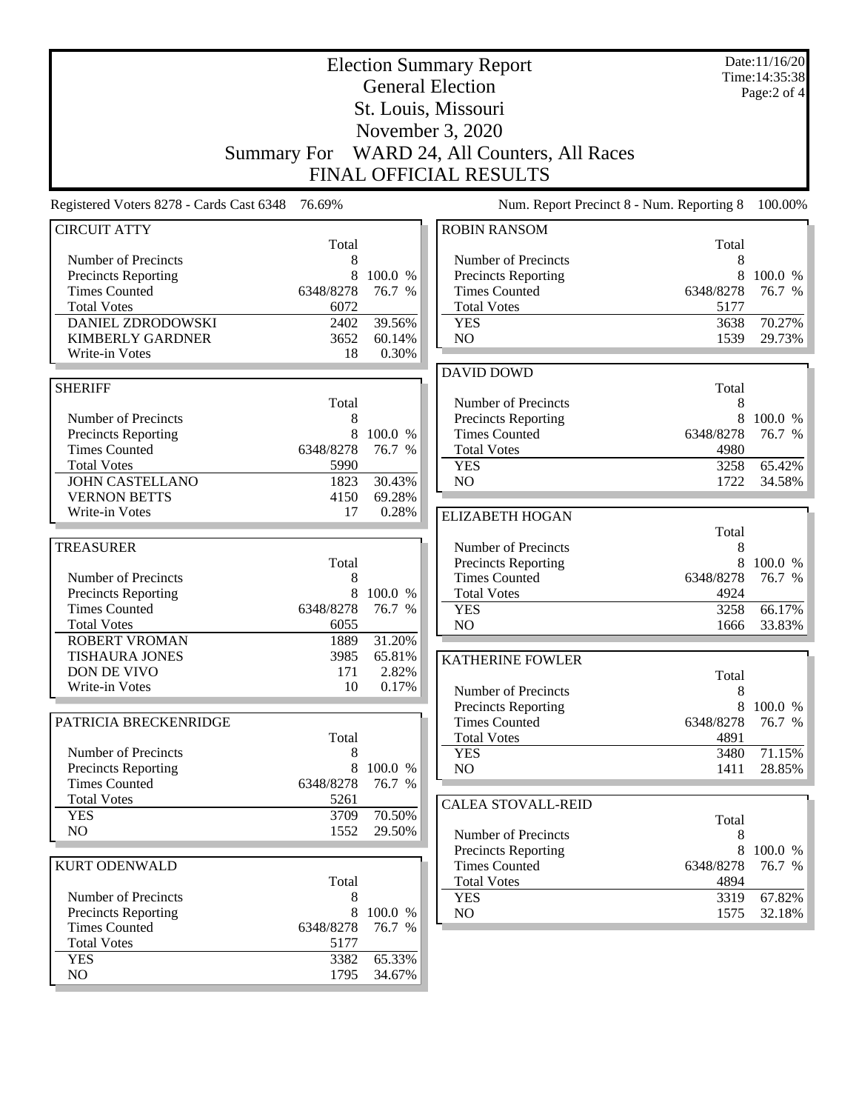| <b>Election Summary Report</b><br><b>General Election</b><br>St. Louis, Missouri<br>November 3, 2020<br>WARD 24, All Counters, All Races<br>Summary For<br><b>FINAL OFFICIAL RESULTS</b> |                                      |                           |                                                                                                 |                                      | Date:11/16/20<br>Time: 14:35:38<br>Page:2 of 4 |
|------------------------------------------------------------------------------------------------------------------------------------------------------------------------------------------|--------------------------------------|---------------------------|-------------------------------------------------------------------------------------------------|--------------------------------------|------------------------------------------------|
| Registered Voters 8278 - Cards Cast 6348                                                                                                                                                 | 76.69%                               |                           | Num. Report Precinct 8 - Num. Reporting 8                                                       |                                      | 100.00%                                        |
| <b>CIRCUIT ATTY</b>                                                                                                                                                                      |                                      |                           | <b>ROBIN RANSOM</b>                                                                             |                                      |                                                |
| Number of Precincts<br><b>Precincts Reporting</b><br><b>Times Counted</b><br><b>Total Votes</b>                                                                                          | Total<br>8<br>8<br>6348/8278<br>6072 | 100.0 %<br>76.7 %         | Number of Precincts<br><b>Precincts Reporting</b><br><b>Times Counted</b><br><b>Total Votes</b> | Total<br>8<br>8<br>6348/8278<br>5177 | 100.0 %<br>76.7 %                              |
| DANIEL ZDRODOWSKI<br><b>KIMBERLY GARDNER</b><br>Write-in Votes                                                                                                                           | 2402<br>3652<br>18                   | 39.56%<br>60.14%<br>0.30% | <b>YES</b><br>NO                                                                                | 3638<br>1539                         | 70.27%<br>29.73%                               |
|                                                                                                                                                                                          |                                      |                           | <b>DAVID DOWD</b>                                                                               |                                      |                                                |
| <b>SHERIFF</b><br>Number of Precincts<br>Precincts Reporting<br><b>Times Counted</b>                                                                                                     | Total<br>8<br>8<br>6348/8278         | 100.0 %<br>76.7 %         | Number of Precincts<br><b>Precincts Reporting</b><br><b>Times Counted</b><br><b>Total Votes</b> | Total<br>8<br>8<br>6348/8278<br>4980 | 100.0 %<br>76.7 %                              |
| <b>Total Votes</b><br><b>JOHN CASTELLANO</b><br><b>VERNON BETTS</b>                                                                                                                      | 5990<br>1823<br>4150                 | 30.43%<br>69.28%          | <b>YES</b><br>NO                                                                                | 3258<br>1722                         | 65.42%<br>34.58%                               |
| Write-in Votes                                                                                                                                                                           | 17                                   | 0.28%                     | <b>ELIZABETH HOGAN</b>                                                                          |                                      |                                                |
| <b>TREASURER</b>                                                                                                                                                                         | Total                                |                           | Number of Precincts<br><b>Precincts Reporting</b>                                               | Total<br>8<br>8                      | 100.0 %                                        |
| Number of Precincts<br><b>Precincts Reporting</b><br><b>Times Counted</b>                                                                                                                | 8<br>8<br>6348/8278                  | 100.0 %<br>76.7 %         | <b>Times Counted</b><br><b>Total Votes</b><br><b>YES</b>                                        | 6348/8278<br>4924<br>3258            | 76.7 %<br>66.17%                               |
| <b>Total Votes</b>                                                                                                                                                                       | 6055                                 |                           | N <sub>O</sub>                                                                                  | 1666                                 | 33.83%                                         |
| <b>ROBERT VROMAN</b><br><b>TISHAURA JONES</b><br>DON DE VIVO                                                                                                                             | 1889<br>3985<br>171                  | 31.20%<br>65.81%<br>2.82% | <b>KATHERINE FOWLER</b>                                                                         |                                      |                                                |
| Write-in Votes                                                                                                                                                                           | 10                                   | 0.17%                     | Number of Precincts                                                                             | Total<br>8                           |                                                |
| PATRICIA BRECKENRIDGE                                                                                                                                                                    | Total                                |                           | <b>Precincts Reporting</b><br><b>Times Counted</b><br><b>Total Votes</b>                        | 8<br>6348/8278<br>4891               | 100.0 %<br>76.7 %                              |
| Number of Precincts<br>Precincts Reporting<br><b>Times Counted</b>                                                                                                                       | 8<br>8<br>6348/8278                  | 100.0 %<br>76.7 %         | <b>YES</b><br>NO                                                                                | 3480<br>1411                         | 71.15%<br>28.85%                               |
| <b>Total Votes</b><br><b>YES</b><br>NO.                                                                                                                                                  | 5261<br>3709<br>1552                 | 70.50%<br>29.50%          | <b>CALEA STOVALL-REID</b>                                                                       | Total                                |                                                |
| <b>KURT ODENWALD</b>                                                                                                                                                                     |                                      |                           | Number of Precincts<br><b>Precincts Reporting</b><br><b>Times Counted</b>                       | 8<br>8<br>6348/8278                  | 100.0 %<br>76.7 %                              |
| Number of Precincts<br>Precincts Reporting<br><b>Times Counted</b>                                                                                                                       | Total<br>8<br>$\,8\,$<br>6348/8278   | 100.0 %<br>76.7 %         | <b>Total Votes</b><br><b>YES</b><br>NO.                                                         | 4894<br>3319<br>1575                 | 67.82%<br>32.18%                               |
| <b>Total Votes</b><br><b>YES</b><br>NO                                                                                                                                                   | 5177<br>3382<br>1795                 | 65.33%<br>34.67%          |                                                                                                 |                                      |                                                |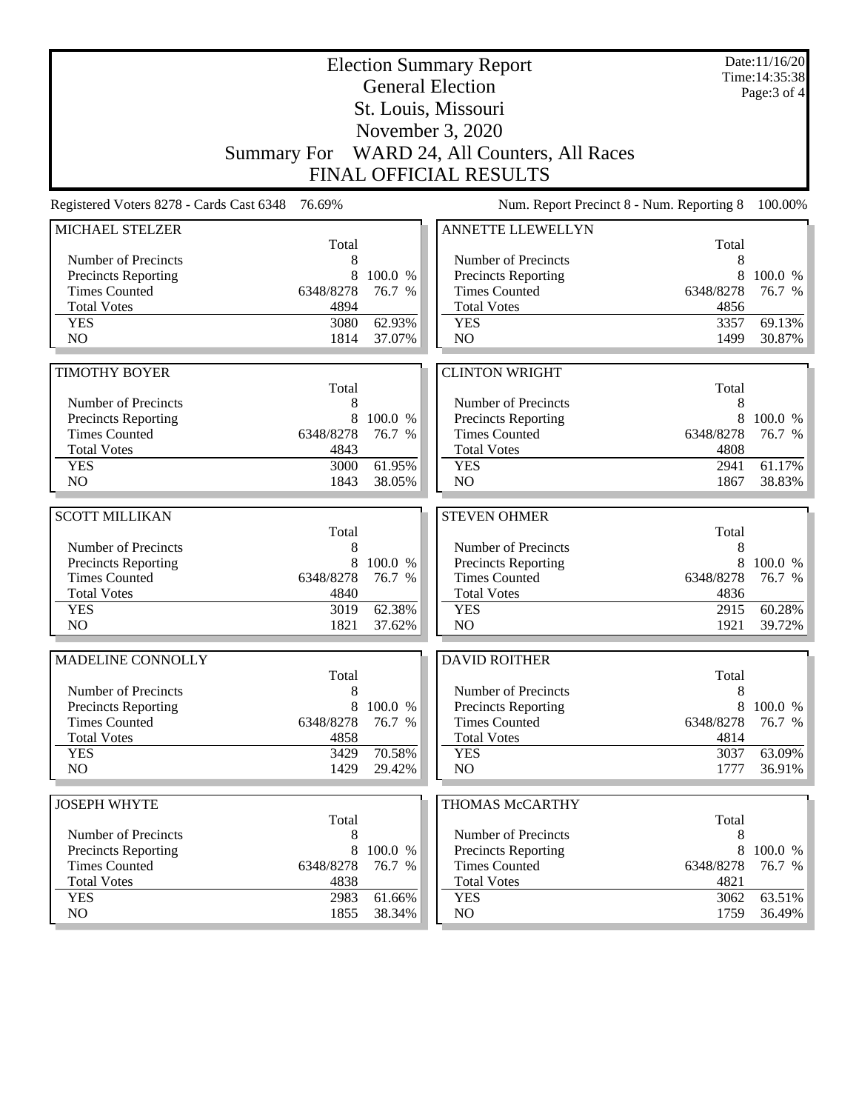| Page: 3 of 4<br>St. Louis, Missouri<br>November 3, 2020<br>Summary For WARD 24, All Counters, All Races<br><b>FINAL OFFICIAL RESULTS</b><br>Num. Report Precinct 8 - Num. Reporting 8<br>Registered Voters 8278 - Cards Cast 6348<br>76.69%<br>ANNETTE LLEWELLYN<br>MICHAEL STELZER<br>Total<br>Total<br>Number of Precincts<br>8<br>Number of Precincts<br>8<br>8<br><b>Precincts Reporting</b><br>8<br>100.0 %<br>Precincts Reporting<br>100.0 %<br><b>Times Counted</b><br><b>Times Counted</b><br>6348/8278<br>76.7 %<br>6348/8278<br>76.7 %<br><b>Total Votes</b><br>4894<br><b>Total Votes</b><br>4856<br>3080<br>62.93%<br>3357<br>69.13%<br><b>YES</b><br><b>YES</b><br>NO<br>N <sub>O</sub><br>1814<br>1499<br>30.87%<br>37.07%<br><b>CLINTON WRIGHT</b><br><b>TIMOTHY BOYER</b><br>Total<br>Total<br>Number of Precincts<br>8<br>Number of Precincts<br>8<br><b>Precincts Reporting</b><br>8<br>100.0 %<br>Precincts Reporting<br>8<br>100.0 %<br><b>Times Counted</b><br><b>Times Counted</b><br>6348/8278<br>76.7 %<br>6348/8278<br>76.7 %<br><b>Total Votes</b><br>4843<br><b>Total Votes</b><br>4808<br>3000<br>61.95%<br>2941<br>61.17%<br><b>YES</b><br><b>YES</b><br>NO<br>38.83%<br>N <sub>O</sub><br>1843<br>38.05%<br>1867<br><b>SCOTT MILLIKAN</b><br><b>STEVEN OHMER</b><br>Total<br>Total<br>8<br>Number of Precincts<br>8<br>Number of Precincts<br><b>Precincts Reporting</b><br>8<br>100.0 %<br>Precincts Reporting<br>8<br>100.0 %<br><b>Times Counted</b><br>6348/8278<br>76.7 %<br><b>Times Counted</b><br>6348/8278<br>76.7 %<br><b>Total Votes</b><br>4840<br><b>Total Votes</b><br>4836<br>62.38%<br>60.28%<br><b>YES</b><br>3019<br><b>YES</b><br>2915<br>N <sub>O</sub><br>1821<br>N <sub>O</sub><br>1921<br>39.72%<br>37.62%<br>MADELINE CONNOLLY<br><b>DAVID ROITHER</b><br>Total<br>Total<br>Number of Precincts<br>8<br>Number of Precincts<br>8<br><b>Precincts Reporting</b><br>8<br>100.0 %<br>Precincts Reporting<br>8<br>100.0 %<br><b>Times Counted</b><br>6348/8278<br><b>Times Counted</b><br>6348/8278<br>76.7 %<br>76.7 %<br><b>Total Votes</b><br><b>Total Votes</b><br>4858<br>4814<br><b>YES</b><br>70.58%<br>3429<br><b>YES</b><br>3037<br>63.09%<br>NO.<br>1429<br>NO<br>36.91%<br>29.42%<br>1777<br><b>JOSEPH WHYTE</b><br>THOMAS McCARTHY<br>Total<br>Total<br>Number of Precincts<br>Number of Precincts<br>8<br>8<br>8<br>100.0 %<br><b>Precincts Reporting</b><br>8<br>Precincts Reporting<br>100.0 %<br><b>Times Counted</b><br><b>Times Counted</b><br>6348/8278<br>76.7 %<br>6348/8278<br>76.7 %<br><b>Total Votes</b><br><b>Total Votes</b><br>4821<br>4838<br><b>YES</b><br>2983<br>61.66%<br>3062<br>63.51%<br><b>YES</b><br>NO<br>1855<br>38.34%<br>NO<br>1759 | <b>Election Summary Report</b><br><b>General Election</b> |  |  |  |  | Date:11/16/20<br>Time: 14:35:38 |  |  |
|---------------------------------------------------------------------------------------------------------------------------------------------------------------------------------------------------------------------------------------------------------------------------------------------------------------------------------------------------------------------------------------------------------------------------------------------------------------------------------------------------------------------------------------------------------------------------------------------------------------------------------------------------------------------------------------------------------------------------------------------------------------------------------------------------------------------------------------------------------------------------------------------------------------------------------------------------------------------------------------------------------------------------------------------------------------------------------------------------------------------------------------------------------------------------------------------------------------------------------------------------------------------------------------------------------------------------------------------------------------------------------------------------------------------------------------------------------------------------------------------------------------------------------------------------------------------------------------------------------------------------------------------------------------------------------------------------------------------------------------------------------------------------------------------------------------------------------------------------------------------------------------------------------------------------------------------------------------------------------------------------------------------------------------------------------------------------------------------------------------------------------------------------------------------------------------------------------------------------------------------------------------------------------------------------------------------------------------------------------------------------------------------------------------------------------------------------------------------------------------------------------------------------------------------------------------------------------------------------------------------------------------------------------------------------------------------------------------------------------|-----------------------------------------------------------|--|--|--|--|---------------------------------|--|--|
|                                                                                                                                                                                                                                                                                                                                                                                                                                                                                                                                                                                                                                                                                                                                                                                                                                                                                                                                                                                                                                                                                                                                                                                                                                                                                                                                                                                                                                                                                                                                                                                                                                                                                                                                                                                                                                                                                                                                                                                                                                                                                                                                                                                                                                                                                                                                                                                                                                                                                                                                                                                                                                                                                                                                 |                                                           |  |  |  |  |                                 |  |  |
|                                                                                                                                                                                                                                                                                                                                                                                                                                                                                                                                                                                                                                                                                                                                                                                                                                                                                                                                                                                                                                                                                                                                                                                                                                                                                                                                                                                                                                                                                                                                                                                                                                                                                                                                                                                                                                                                                                                                                                                                                                                                                                                                                                                                                                                                                                                                                                                                                                                                                                                                                                                                                                                                                                                                 |                                                           |  |  |  |  |                                 |  |  |
| 100.00%<br>36.49%                                                                                                                                                                                                                                                                                                                                                                                                                                                                                                                                                                                                                                                                                                                                                                                                                                                                                                                                                                                                                                                                                                                                                                                                                                                                                                                                                                                                                                                                                                                                                                                                                                                                                                                                                                                                                                                                                                                                                                                                                                                                                                                                                                                                                                                                                                                                                                                                                                                                                                                                                                                                                                                                                                               |                                                           |  |  |  |  |                                 |  |  |
|                                                                                                                                                                                                                                                                                                                                                                                                                                                                                                                                                                                                                                                                                                                                                                                                                                                                                                                                                                                                                                                                                                                                                                                                                                                                                                                                                                                                                                                                                                                                                                                                                                                                                                                                                                                                                                                                                                                                                                                                                                                                                                                                                                                                                                                                                                                                                                                                                                                                                                                                                                                                                                                                                                                                 |                                                           |  |  |  |  |                                 |  |  |
|                                                                                                                                                                                                                                                                                                                                                                                                                                                                                                                                                                                                                                                                                                                                                                                                                                                                                                                                                                                                                                                                                                                                                                                                                                                                                                                                                                                                                                                                                                                                                                                                                                                                                                                                                                                                                                                                                                                                                                                                                                                                                                                                                                                                                                                                                                                                                                                                                                                                                                                                                                                                                                                                                                                                 |                                                           |  |  |  |  |                                 |  |  |
|                                                                                                                                                                                                                                                                                                                                                                                                                                                                                                                                                                                                                                                                                                                                                                                                                                                                                                                                                                                                                                                                                                                                                                                                                                                                                                                                                                                                                                                                                                                                                                                                                                                                                                                                                                                                                                                                                                                                                                                                                                                                                                                                                                                                                                                                                                                                                                                                                                                                                                                                                                                                                                                                                                                                 |                                                           |  |  |  |  |                                 |  |  |
|                                                                                                                                                                                                                                                                                                                                                                                                                                                                                                                                                                                                                                                                                                                                                                                                                                                                                                                                                                                                                                                                                                                                                                                                                                                                                                                                                                                                                                                                                                                                                                                                                                                                                                                                                                                                                                                                                                                                                                                                                                                                                                                                                                                                                                                                                                                                                                                                                                                                                                                                                                                                                                                                                                                                 |                                                           |  |  |  |  |                                 |  |  |
|                                                                                                                                                                                                                                                                                                                                                                                                                                                                                                                                                                                                                                                                                                                                                                                                                                                                                                                                                                                                                                                                                                                                                                                                                                                                                                                                                                                                                                                                                                                                                                                                                                                                                                                                                                                                                                                                                                                                                                                                                                                                                                                                                                                                                                                                                                                                                                                                                                                                                                                                                                                                                                                                                                                                 |                                                           |  |  |  |  |                                 |  |  |
|                                                                                                                                                                                                                                                                                                                                                                                                                                                                                                                                                                                                                                                                                                                                                                                                                                                                                                                                                                                                                                                                                                                                                                                                                                                                                                                                                                                                                                                                                                                                                                                                                                                                                                                                                                                                                                                                                                                                                                                                                                                                                                                                                                                                                                                                                                                                                                                                                                                                                                                                                                                                                                                                                                                                 |                                                           |  |  |  |  |                                 |  |  |
|                                                                                                                                                                                                                                                                                                                                                                                                                                                                                                                                                                                                                                                                                                                                                                                                                                                                                                                                                                                                                                                                                                                                                                                                                                                                                                                                                                                                                                                                                                                                                                                                                                                                                                                                                                                                                                                                                                                                                                                                                                                                                                                                                                                                                                                                                                                                                                                                                                                                                                                                                                                                                                                                                                                                 |                                                           |  |  |  |  |                                 |  |  |
|                                                                                                                                                                                                                                                                                                                                                                                                                                                                                                                                                                                                                                                                                                                                                                                                                                                                                                                                                                                                                                                                                                                                                                                                                                                                                                                                                                                                                                                                                                                                                                                                                                                                                                                                                                                                                                                                                                                                                                                                                                                                                                                                                                                                                                                                                                                                                                                                                                                                                                                                                                                                                                                                                                                                 |                                                           |  |  |  |  |                                 |  |  |
|                                                                                                                                                                                                                                                                                                                                                                                                                                                                                                                                                                                                                                                                                                                                                                                                                                                                                                                                                                                                                                                                                                                                                                                                                                                                                                                                                                                                                                                                                                                                                                                                                                                                                                                                                                                                                                                                                                                                                                                                                                                                                                                                                                                                                                                                                                                                                                                                                                                                                                                                                                                                                                                                                                                                 |                                                           |  |  |  |  |                                 |  |  |
|                                                                                                                                                                                                                                                                                                                                                                                                                                                                                                                                                                                                                                                                                                                                                                                                                                                                                                                                                                                                                                                                                                                                                                                                                                                                                                                                                                                                                                                                                                                                                                                                                                                                                                                                                                                                                                                                                                                                                                                                                                                                                                                                                                                                                                                                                                                                                                                                                                                                                                                                                                                                                                                                                                                                 |                                                           |  |  |  |  |                                 |  |  |
|                                                                                                                                                                                                                                                                                                                                                                                                                                                                                                                                                                                                                                                                                                                                                                                                                                                                                                                                                                                                                                                                                                                                                                                                                                                                                                                                                                                                                                                                                                                                                                                                                                                                                                                                                                                                                                                                                                                                                                                                                                                                                                                                                                                                                                                                                                                                                                                                                                                                                                                                                                                                                                                                                                                                 |                                                           |  |  |  |  |                                 |  |  |
|                                                                                                                                                                                                                                                                                                                                                                                                                                                                                                                                                                                                                                                                                                                                                                                                                                                                                                                                                                                                                                                                                                                                                                                                                                                                                                                                                                                                                                                                                                                                                                                                                                                                                                                                                                                                                                                                                                                                                                                                                                                                                                                                                                                                                                                                                                                                                                                                                                                                                                                                                                                                                                                                                                                                 |                                                           |  |  |  |  |                                 |  |  |
|                                                                                                                                                                                                                                                                                                                                                                                                                                                                                                                                                                                                                                                                                                                                                                                                                                                                                                                                                                                                                                                                                                                                                                                                                                                                                                                                                                                                                                                                                                                                                                                                                                                                                                                                                                                                                                                                                                                                                                                                                                                                                                                                                                                                                                                                                                                                                                                                                                                                                                                                                                                                                                                                                                                                 |                                                           |  |  |  |  |                                 |  |  |
|                                                                                                                                                                                                                                                                                                                                                                                                                                                                                                                                                                                                                                                                                                                                                                                                                                                                                                                                                                                                                                                                                                                                                                                                                                                                                                                                                                                                                                                                                                                                                                                                                                                                                                                                                                                                                                                                                                                                                                                                                                                                                                                                                                                                                                                                                                                                                                                                                                                                                                                                                                                                                                                                                                                                 |                                                           |  |  |  |  |                                 |  |  |
|                                                                                                                                                                                                                                                                                                                                                                                                                                                                                                                                                                                                                                                                                                                                                                                                                                                                                                                                                                                                                                                                                                                                                                                                                                                                                                                                                                                                                                                                                                                                                                                                                                                                                                                                                                                                                                                                                                                                                                                                                                                                                                                                                                                                                                                                                                                                                                                                                                                                                                                                                                                                                                                                                                                                 |                                                           |  |  |  |  |                                 |  |  |
|                                                                                                                                                                                                                                                                                                                                                                                                                                                                                                                                                                                                                                                                                                                                                                                                                                                                                                                                                                                                                                                                                                                                                                                                                                                                                                                                                                                                                                                                                                                                                                                                                                                                                                                                                                                                                                                                                                                                                                                                                                                                                                                                                                                                                                                                                                                                                                                                                                                                                                                                                                                                                                                                                                                                 |                                                           |  |  |  |  |                                 |  |  |
|                                                                                                                                                                                                                                                                                                                                                                                                                                                                                                                                                                                                                                                                                                                                                                                                                                                                                                                                                                                                                                                                                                                                                                                                                                                                                                                                                                                                                                                                                                                                                                                                                                                                                                                                                                                                                                                                                                                                                                                                                                                                                                                                                                                                                                                                                                                                                                                                                                                                                                                                                                                                                                                                                                                                 |                                                           |  |  |  |  |                                 |  |  |
|                                                                                                                                                                                                                                                                                                                                                                                                                                                                                                                                                                                                                                                                                                                                                                                                                                                                                                                                                                                                                                                                                                                                                                                                                                                                                                                                                                                                                                                                                                                                                                                                                                                                                                                                                                                                                                                                                                                                                                                                                                                                                                                                                                                                                                                                                                                                                                                                                                                                                                                                                                                                                                                                                                                                 |                                                           |  |  |  |  |                                 |  |  |
|                                                                                                                                                                                                                                                                                                                                                                                                                                                                                                                                                                                                                                                                                                                                                                                                                                                                                                                                                                                                                                                                                                                                                                                                                                                                                                                                                                                                                                                                                                                                                                                                                                                                                                                                                                                                                                                                                                                                                                                                                                                                                                                                                                                                                                                                                                                                                                                                                                                                                                                                                                                                                                                                                                                                 |                                                           |  |  |  |  |                                 |  |  |
|                                                                                                                                                                                                                                                                                                                                                                                                                                                                                                                                                                                                                                                                                                                                                                                                                                                                                                                                                                                                                                                                                                                                                                                                                                                                                                                                                                                                                                                                                                                                                                                                                                                                                                                                                                                                                                                                                                                                                                                                                                                                                                                                                                                                                                                                                                                                                                                                                                                                                                                                                                                                                                                                                                                                 |                                                           |  |  |  |  |                                 |  |  |
|                                                                                                                                                                                                                                                                                                                                                                                                                                                                                                                                                                                                                                                                                                                                                                                                                                                                                                                                                                                                                                                                                                                                                                                                                                                                                                                                                                                                                                                                                                                                                                                                                                                                                                                                                                                                                                                                                                                                                                                                                                                                                                                                                                                                                                                                                                                                                                                                                                                                                                                                                                                                                                                                                                                                 |                                                           |  |  |  |  |                                 |  |  |
|                                                                                                                                                                                                                                                                                                                                                                                                                                                                                                                                                                                                                                                                                                                                                                                                                                                                                                                                                                                                                                                                                                                                                                                                                                                                                                                                                                                                                                                                                                                                                                                                                                                                                                                                                                                                                                                                                                                                                                                                                                                                                                                                                                                                                                                                                                                                                                                                                                                                                                                                                                                                                                                                                                                                 |                                                           |  |  |  |  |                                 |  |  |
|                                                                                                                                                                                                                                                                                                                                                                                                                                                                                                                                                                                                                                                                                                                                                                                                                                                                                                                                                                                                                                                                                                                                                                                                                                                                                                                                                                                                                                                                                                                                                                                                                                                                                                                                                                                                                                                                                                                                                                                                                                                                                                                                                                                                                                                                                                                                                                                                                                                                                                                                                                                                                                                                                                                                 |                                                           |  |  |  |  |                                 |  |  |
|                                                                                                                                                                                                                                                                                                                                                                                                                                                                                                                                                                                                                                                                                                                                                                                                                                                                                                                                                                                                                                                                                                                                                                                                                                                                                                                                                                                                                                                                                                                                                                                                                                                                                                                                                                                                                                                                                                                                                                                                                                                                                                                                                                                                                                                                                                                                                                                                                                                                                                                                                                                                                                                                                                                                 |                                                           |  |  |  |  |                                 |  |  |
|                                                                                                                                                                                                                                                                                                                                                                                                                                                                                                                                                                                                                                                                                                                                                                                                                                                                                                                                                                                                                                                                                                                                                                                                                                                                                                                                                                                                                                                                                                                                                                                                                                                                                                                                                                                                                                                                                                                                                                                                                                                                                                                                                                                                                                                                                                                                                                                                                                                                                                                                                                                                                                                                                                                                 |                                                           |  |  |  |  |                                 |  |  |
|                                                                                                                                                                                                                                                                                                                                                                                                                                                                                                                                                                                                                                                                                                                                                                                                                                                                                                                                                                                                                                                                                                                                                                                                                                                                                                                                                                                                                                                                                                                                                                                                                                                                                                                                                                                                                                                                                                                                                                                                                                                                                                                                                                                                                                                                                                                                                                                                                                                                                                                                                                                                                                                                                                                                 |                                                           |  |  |  |  |                                 |  |  |
|                                                                                                                                                                                                                                                                                                                                                                                                                                                                                                                                                                                                                                                                                                                                                                                                                                                                                                                                                                                                                                                                                                                                                                                                                                                                                                                                                                                                                                                                                                                                                                                                                                                                                                                                                                                                                                                                                                                                                                                                                                                                                                                                                                                                                                                                                                                                                                                                                                                                                                                                                                                                                                                                                                                                 |                                                           |  |  |  |  |                                 |  |  |
|                                                                                                                                                                                                                                                                                                                                                                                                                                                                                                                                                                                                                                                                                                                                                                                                                                                                                                                                                                                                                                                                                                                                                                                                                                                                                                                                                                                                                                                                                                                                                                                                                                                                                                                                                                                                                                                                                                                                                                                                                                                                                                                                                                                                                                                                                                                                                                                                                                                                                                                                                                                                                                                                                                                                 |                                                           |  |  |  |  |                                 |  |  |
|                                                                                                                                                                                                                                                                                                                                                                                                                                                                                                                                                                                                                                                                                                                                                                                                                                                                                                                                                                                                                                                                                                                                                                                                                                                                                                                                                                                                                                                                                                                                                                                                                                                                                                                                                                                                                                                                                                                                                                                                                                                                                                                                                                                                                                                                                                                                                                                                                                                                                                                                                                                                                                                                                                                                 |                                                           |  |  |  |  |                                 |  |  |
|                                                                                                                                                                                                                                                                                                                                                                                                                                                                                                                                                                                                                                                                                                                                                                                                                                                                                                                                                                                                                                                                                                                                                                                                                                                                                                                                                                                                                                                                                                                                                                                                                                                                                                                                                                                                                                                                                                                                                                                                                                                                                                                                                                                                                                                                                                                                                                                                                                                                                                                                                                                                                                                                                                                                 |                                                           |  |  |  |  |                                 |  |  |
|                                                                                                                                                                                                                                                                                                                                                                                                                                                                                                                                                                                                                                                                                                                                                                                                                                                                                                                                                                                                                                                                                                                                                                                                                                                                                                                                                                                                                                                                                                                                                                                                                                                                                                                                                                                                                                                                                                                                                                                                                                                                                                                                                                                                                                                                                                                                                                                                                                                                                                                                                                                                                                                                                                                                 |                                                           |  |  |  |  |                                 |  |  |
|                                                                                                                                                                                                                                                                                                                                                                                                                                                                                                                                                                                                                                                                                                                                                                                                                                                                                                                                                                                                                                                                                                                                                                                                                                                                                                                                                                                                                                                                                                                                                                                                                                                                                                                                                                                                                                                                                                                                                                                                                                                                                                                                                                                                                                                                                                                                                                                                                                                                                                                                                                                                                                                                                                                                 |                                                           |  |  |  |  |                                 |  |  |
|                                                                                                                                                                                                                                                                                                                                                                                                                                                                                                                                                                                                                                                                                                                                                                                                                                                                                                                                                                                                                                                                                                                                                                                                                                                                                                                                                                                                                                                                                                                                                                                                                                                                                                                                                                                                                                                                                                                                                                                                                                                                                                                                                                                                                                                                                                                                                                                                                                                                                                                                                                                                                                                                                                                                 |                                                           |  |  |  |  |                                 |  |  |
|                                                                                                                                                                                                                                                                                                                                                                                                                                                                                                                                                                                                                                                                                                                                                                                                                                                                                                                                                                                                                                                                                                                                                                                                                                                                                                                                                                                                                                                                                                                                                                                                                                                                                                                                                                                                                                                                                                                                                                                                                                                                                                                                                                                                                                                                                                                                                                                                                                                                                                                                                                                                                                                                                                                                 |                                                           |  |  |  |  |                                 |  |  |
|                                                                                                                                                                                                                                                                                                                                                                                                                                                                                                                                                                                                                                                                                                                                                                                                                                                                                                                                                                                                                                                                                                                                                                                                                                                                                                                                                                                                                                                                                                                                                                                                                                                                                                                                                                                                                                                                                                                                                                                                                                                                                                                                                                                                                                                                                                                                                                                                                                                                                                                                                                                                                                                                                                                                 |                                                           |  |  |  |  |                                 |  |  |
|                                                                                                                                                                                                                                                                                                                                                                                                                                                                                                                                                                                                                                                                                                                                                                                                                                                                                                                                                                                                                                                                                                                                                                                                                                                                                                                                                                                                                                                                                                                                                                                                                                                                                                                                                                                                                                                                                                                                                                                                                                                                                                                                                                                                                                                                                                                                                                                                                                                                                                                                                                                                                                                                                                                                 |                                                           |  |  |  |  |                                 |  |  |
|                                                                                                                                                                                                                                                                                                                                                                                                                                                                                                                                                                                                                                                                                                                                                                                                                                                                                                                                                                                                                                                                                                                                                                                                                                                                                                                                                                                                                                                                                                                                                                                                                                                                                                                                                                                                                                                                                                                                                                                                                                                                                                                                                                                                                                                                                                                                                                                                                                                                                                                                                                                                                                                                                                                                 |                                                           |  |  |  |  |                                 |  |  |
|                                                                                                                                                                                                                                                                                                                                                                                                                                                                                                                                                                                                                                                                                                                                                                                                                                                                                                                                                                                                                                                                                                                                                                                                                                                                                                                                                                                                                                                                                                                                                                                                                                                                                                                                                                                                                                                                                                                                                                                                                                                                                                                                                                                                                                                                                                                                                                                                                                                                                                                                                                                                                                                                                                                                 |                                                           |  |  |  |  |                                 |  |  |
|                                                                                                                                                                                                                                                                                                                                                                                                                                                                                                                                                                                                                                                                                                                                                                                                                                                                                                                                                                                                                                                                                                                                                                                                                                                                                                                                                                                                                                                                                                                                                                                                                                                                                                                                                                                                                                                                                                                                                                                                                                                                                                                                                                                                                                                                                                                                                                                                                                                                                                                                                                                                                                                                                                                                 |                                                           |  |  |  |  |                                 |  |  |
|                                                                                                                                                                                                                                                                                                                                                                                                                                                                                                                                                                                                                                                                                                                                                                                                                                                                                                                                                                                                                                                                                                                                                                                                                                                                                                                                                                                                                                                                                                                                                                                                                                                                                                                                                                                                                                                                                                                                                                                                                                                                                                                                                                                                                                                                                                                                                                                                                                                                                                                                                                                                                                                                                                                                 |                                                           |  |  |  |  |                                 |  |  |
|                                                                                                                                                                                                                                                                                                                                                                                                                                                                                                                                                                                                                                                                                                                                                                                                                                                                                                                                                                                                                                                                                                                                                                                                                                                                                                                                                                                                                                                                                                                                                                                                                                                                                                                                                                                                                                                                                                                                                                                                                                                                                                                                                                                                                                                                                                                                                                                                                                                                                                                                                                                                                                                                                                                                 |                                                           |  |  |  |  |                                 |  |  |
|                                                                                                                                                                                                                                                                                                                                                                                                                                                                                                                                                                                                                                                                                                                                                                                                                                                                                                                                                                                                                                                                                                                                                                                                                                                                                                                                                                                                                                                                                                                                                                                                                                                                                                                                                                                                                                                                                                                                                                                                                                                                                                                                                                                                                                                                                                                                                                                                                                                                                                                                                                                                                                                                                                                                 |                                                           |  |  |  |  |                                 |  |  |
|                                                                                                                                                                                                                                                                                                                                                                                                                                                                                                                                                                                                                                                                                                                                                                                                                                                                                                                                                                                                                                                                                                                                                                                                                                                                                                                                                                                                                                                                                                                                                                                                                                                                                                                                                                                                                                                                                                                                                                                                                                                                                                                                                                                                                                                                                                                                                                                                                                                                                                                                                                                                                                                                                                                                 |                                                           |  |  |  |  |                                 |  |  |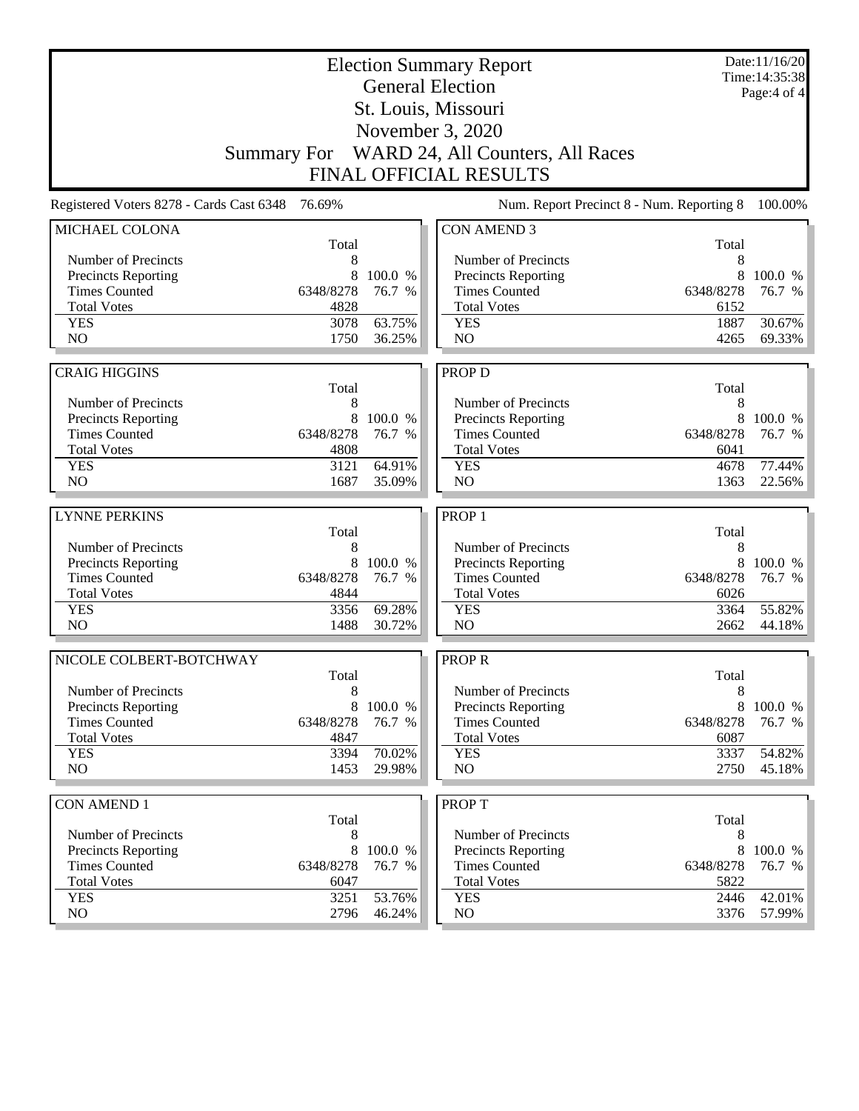| <b>Election Summary Report</b><br><b>General Election</b> |              |                  |                                                    |              | Date:11/16/20<br>Time: 14:35:38 |
|-----------------------------------------------------------|--------------|------------------|----------------------------------------------------|--------------|---------------------------------|
| St. Louis, Missouri                                       |              |                  |                                                    |              | Page: 4 of 4                    |
| November 3, 2020                                          |              |                  |                                                    |              |                                 |
|                                                           |              |                  | Summary For WARD 24, All Counters, All Races       |              |                                 |
|                                                           |              |                  | <b>FINAL OFFICIAL RESULTS</b>                      |              |                                 |
|                                                           |              |                  |                                                    |              |                                 |
| Registered Voters 8278 - Cards Cast 6348                  | 76.69%       |                  | Num. Report Precinct 8 - Num. Reporting 8          |              | 100.00%                         |
| MICHAEL COLONA                                            | Total        |                  | <b>CON AMEND 3</b>                                 | Total        |                                 |
| Number of Precincts                                       | 8            |                  | Number of Precincts                                | 8            |                                 |
| <b>Precincts Reporting</b>                                | 8            | 100.0 %          | <b>Precincts Reporting</b>                         | 8            | 100.0 %                         |
| <b>Times Counted</b>                                      | 6348/8278    | 76.7 %           | <b>Times Counted</b>                               | 6348/8278    | 76.7 %                          |
| <b>Total Votes</b>                                        | 4828         |                  | <b>Total Votes</b>                                 | 6152         |                                 |
| <b>YES</b>                                                | 3078         | 63.75%           | <b>YES</b>                                         | 1887         | 30.67%                          |
| NO                                                        | 1750         | 36.25%           | NO                                                 | 4265         | 69.33%                          |
|                                                           |              |                  |                                                    |              |                                 |
| <b>CRAIG HIGGINS</b>                                      | Total        |                  | <b>PROP D</b>                                      | Total        |                                 |
| Number of Precincts                                       | 8            |                  | Number of Precincts                                | 8            |                                 |
| <b>Precincts Reporting</b>                                | 8            | 100.0 %          | Precincts Reporting                                | 8            | 100.0 %                         |
| <b>Times Counted</b>                                      | 6348/8278    | 76.7 %           | <b>Times Counted</b>                               | 6348/8278    | 76.7 %                          |
| <b>Total Votes</b>                                        | 4808         |                  | <b>Total Votes</b>                                 | 6041         |                                 |
| <b>YES</b>                                                | 3121         | 64.91%           | <b>YES</b>                                         | 4678         | 77.44%                          |
| NO                                                        | 1687         | 35.09%           | N <sub>O</sub>                                     | 1363         | 22.56%                          |
|                                                           |              |                  |                                                    |              |                                 |
|                                                           |              |                  |                                                    |              |                                 |
| <b>LYNNE PERKINS</b>                                      |              |                  | PROP <sub>1</sub>                                  |              |                                 |
|                                                           | Total        |                  |                                                    | Total        |                                 |
| Number of Precincts                                       | 8            |                  | Number of Precincts                                | 8            |                                 |
| <b>Precincts Reporting</b>                                | 8            | 100.0 %          | Precincts Reporting                                | 8            | 100.0 %                         |
| <b>Times Counted</b>                                      | 6348/8278    | 76.7 %           | <b>Times Counted</b>                               | 6348/8278    | 76.7 %                          |
| <b>Total Votes</b>                                        | 4844         |                  | <b>Total Votes</b>                                 | 6026         |                                 |
| <b>YES</b><br>NO                                          | 3356<br>1488 | 69.28%<br>30.72% | <b>YES</b><br>NO                                   | 3364<br>2662 | 55.82%<br>44.18%                |
|                                                           |              |                  |                                                    |              |                                 |
| NICOLE COLBERT-BOTCHWAY                                   |              |                  | <b>PROPR</b>                                       |              |                                 |
|                                                           | Total        |                  |                                                    | Total        |                                 |
| Number of Precincts                                       | 8<br>8       | 100.0 %          | Number of Precincts                                | 8<br>8       |                                 |
| <b>Precincts Reporting</b><br><b>Times Counted</b>        | 6348/8278    | 76.7 %           | <b>Precincts Reporting</b><br><b>Times Counted</b> | 6348/8278    | 100.0 %<br>76.7 %               |
| <b>Total Votes</b>                                        | 4847         |                  | <b>Total Votes</b>                                 | 6087         |                                 |
| <b>YES</b>                                                | 3394         | 70.02%           | <b>YES</b>                                         | 3337         | 54.82%                          |
| NO                                                        | 1453         | 29.98%           | NO                                                 | 2750         | $45.18\%$                       |
|                                                           |              |                  |                                                    |              |                                 |
| <b>CON AMEND 1</b>                                        |              |                  | <b>PROPT</b>                                       |              |                                 |
| Number of Precincts                                       | Total<br>8   |                  | Number of Precincts                                | Total<br>8   |                                 |
| <b>Precincts Reporting</b>                                | 8            | 100.0 %          | <b>Precincts Reporting</b>                         | 8            | 100.0 %                         |
| <b>Times Counted</b>                                      | 6348/8278    | 76.7 %           | <b>Times Counted</b>                               | 6348/8278    | 76.7 %                          |
| <b>Total Votes</b>                                        | 6047         |                  | <b>Total Votes</b>                                 | 5822         |                                 |
| <b>YES</b><br>NO                                          | 3251<br>2796 | 53.76%<br>46.24% | <b>YES</b><br>NO                                   | 2446<br>3376 | 42.01%<br>57.99%                |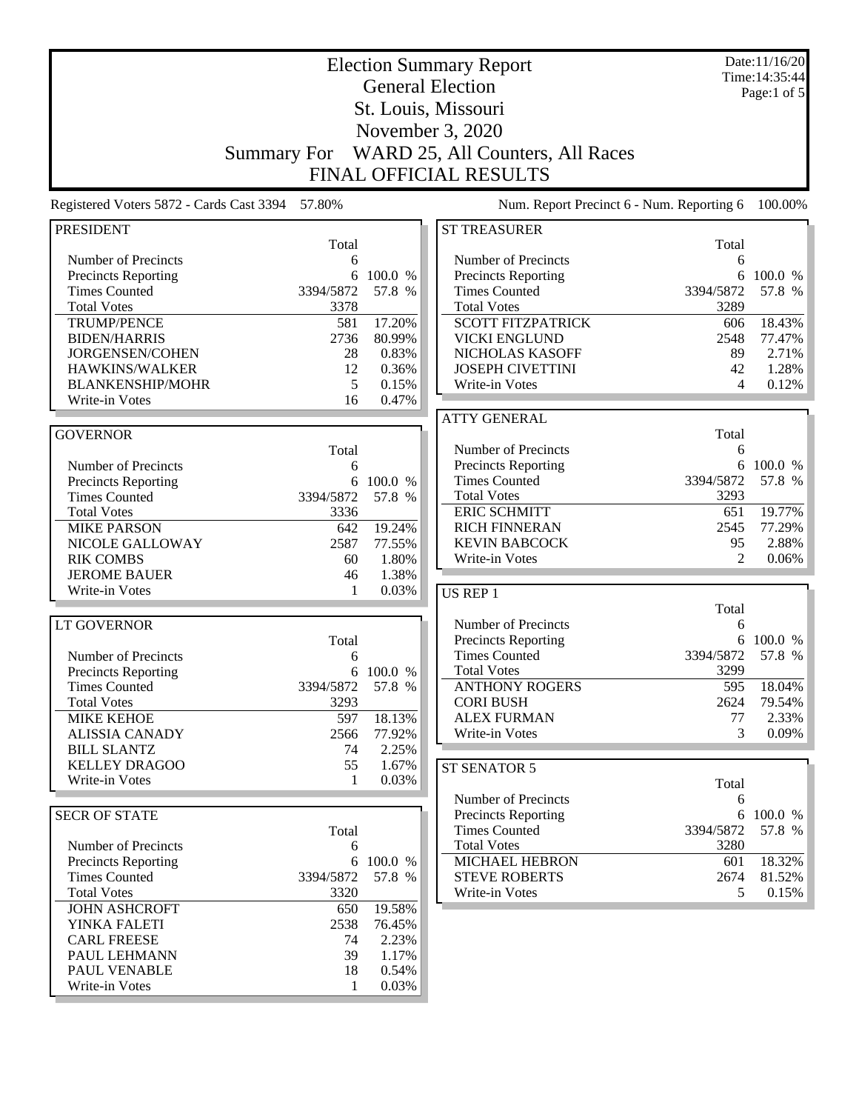|                                                    | <b>Election Summary Report</b> |                     |                                                                   |                          | Date:11/16/20<br>Time: 14:35:44 |
|----------------------------------------------------|--------------------------------|---------------------|-------------------------------------------------------------------|--------------------------|---------------------------------|
|                                                    |                                |                     | <b>General Election</b>                                           |                          | Page:1 of 5                     |
| St. Louis, Missouri                                |                                |                     |                                                                   |                          |                                 |
| November 3, 2020                                   |                                |                     |                                                                   |                          |                                 |
|                                                    |                                |                     |                                                                   |                          |                                 |
|                                                    | <b>Summary For</b>             |                     | WARD 25, All Counters, All Races<br><b>FINAL OFFICIAL RESULTS</b> |                          |                                 |
| Registered Voters 5872 - Cards Cast 3394           | 57.80%                         |                     | Num. Report Precinct 6 - Num. Reporting 6                         |                          | 100.00%                         |
|                                                    |                                |                     |                                                                   |                          |                                 |
| <b>PRESIDENT</b>                                   | Total                          |                     | <b>ST TREASURER</b>                                               | Total                    |                                 |
| Number of Precincts                                | 6                              |                     | Number of Precincts                                               | 6                        |                                 |
| Precincts Reporting                                | 6                              | 100.0 %             | Precincts Reporting<br><b>Times Counted</b>                       | 6                        | 100.0 %                         |
| <b>Times Counted</b><br><b>Total Votes</b>         | 3394/5872<br>3378              | 57.8 %              | <b>Total Votes</b>                                                | 3394/5872<br>3289        | 57.8 %                          |
| <b>TRUMP/PENCE</b>                                 | 581                            | 17.20%              | <b>SCOTT FITZPATRICK</b>                                          | 606                      | 18.43%                          |
| <b>BIDEN/HARRIS</b>                                | 2736                           | 80.99%              | <b>VICKI ENGLUND</b>                                              | 2548                     | 77.47%                          |
| JORGENSEN/COHEN                                    | 28                             | 0.83%               | NICHOLAS KASOFF                                                   | 89                       | 2.71%                           |
| HAWKINS/WALKER                                     | 12                             | 0.36%               | <b>JOSEPH CIVETTINI</b>                                           | 42                       | 1.28%                           |
| <b>BLANKENSHIP/MOHR</b>                            | 5                              | 0.15%               | Write-in Votes                                                    | $\overline{\mathcal{A}}$ | 0.12%                           |
| Write-in Votes                                     | 16                             | 0.47%               |                                                                   |                          |                                 |
|                                                    |                                |                     | <b>ATTY GENERAL</b>                                               |                          |                                 |
| <b>GOVERNOR</b>                                    |                                |                     |                                                                   | Total                    |                                 |
|                                                    | Total                          |                     | Number of Precincts                                               | 6                        |                                 |
| Number of Precincts                                | 6                              | 100.0 %             | <b>Precincts Reporting</b><br><b>Times Counted</b>                | 3394/5872                | 6 100.0 %<br>57.8 %             |
| <b>Precincts Reporting</b><br><b>Times Counted</b> | 6<br>3394/5872                 | 57.8 %              | <b>Total Votes</b>                                                | 3293                     |                                 |
| <b>Total Votes</b>                                 | 3336                           |                     | <b>ERIC SCHMITT</b>                                               | 651                      | 19.77%                          |
| <b>MIKE PARSON</b>                                 | 642                            | 19.24%              | <b>RICH FINNERAN</b>                                              | 2545                     | 77.29%                          |
| NICOLE GALLOWAY                                    | 2587                           | 77.55%              | <b>KEVIN BABCOCK</b>                                              | 95                       | 2.88%                           |
| <b>RIK COMBS</b>                                   | 60                             | 1.80%               | Write-in Votes                                                    | 2                        | 0.06%                           |
| <b>JEROME BAUER</b>                                | 46                             | 1.38%               |                                                                   |                          |                                 |
| Write-in Votes                                     | 1                              | 0.03%               | US REP 1                                                          |                          |                                 |
|                                                    |                                |                     |                                                                   | Total                    |                                 |
| <b>LT GOVERNOR</b>                                 |                                |                     | Number of Precincts                                               | 6                        |                                 |
|                                                    | Total                          |                     | Precincts Reporting                                               |                          | 6 100.0 %                       |
| Number of Precincts                                | 6                              |                     | <b>Times Counted</b><br><b>Total Votes</b>                        | 3394/5872<br>3299        | 57.8 %                          |
| <b>Precincts Reporting</b><br><b>Times Counted</b> | 3394/5872                      | 6 100.0 %<br>57.8 % | <b>ANTHONY ROGERS</b>                                             | 595                      | 18.04%                          |
| <b>Total Votes</b>                                 | 3293                           |                     | <b>CORI BUSH</b>                                                  | 2624                     | 79.54%                          |
| <b>MIKE KEHOE</b>                                  | 597                            | 18.13%              | <b>ALEX FURMAN</b>                                                | 77                       | 2.33%                           |
| <b>ALISSIA CANADY</b>                              | 2566                           | 77.92%              | Write-in Votes                                                    | 3                        | 0.09%                           |
| <b>BILL SLANTZ</b>                                 | 74                             | 2.25%               |                                                                   |                          |                                 |
| <b>KELLEY DRAGOO</b>                               | 55                             | 1.67%               | ST SENATOR 5                                                      |                          |                                 |
| Write-in Votes                                     | 1                              | 0.03%               |                                                                   | Total                    |                                 |
|                                                    |                                |                     | Number of Precincts                                               | 6                        |                                 |
| <b>SECR OF STATE</b>                               |                                |                     | <b>Precincts Reporting</b>                                        |                          | 6 100.0 %                       |
|                                                    | Total                          |                     | <b>Times Counted</b>                                              | 3394/5872                | 57.8 %                          |
| Number of Precincts                                | 6                              |                     | <b>Total Votes</b>                                                | 3280                     |                                 |
| <b>Precincts Reporting</b>                         |                                | 6 100.0 %           | <b>MICHAEL HEBRON</b>                                             | 601                      | 18.32%                          |
| <b>Times Counted</b><br><b>Total Votes</b>         | 3394/5872<br>3320              | 57.8 %              | <b>STEVE ROBERTS</b><br>Write-in Votes                            | 2674<br>5                | 81.52%                          |
| <b>JOHN ASHCROFT</b>                               | 650                            | 19.58%              |                                                                   |                          | 0.15%                           |
| YINKA FALETI                                       | 2538                           | 76.45%              |                                                                   |                          |                                 |
| <b>CARL FREESE</b>                                 | 74                             | 2.23%               |                                                                   |                          |                                 |
| PAUL LEHMANN                                       | 39                             | 1.17%               |                                                                   |                          |                                 |
| PAUL VENABLE                                       | 18                             | 0.54%               |                                                                   |                          |                                 |
| Write-in Votes                                     | 1                              | 0.03%               |                                                                   |                          |                                 |
|                                                    |                                |                     |                                                                   |                          |                                 |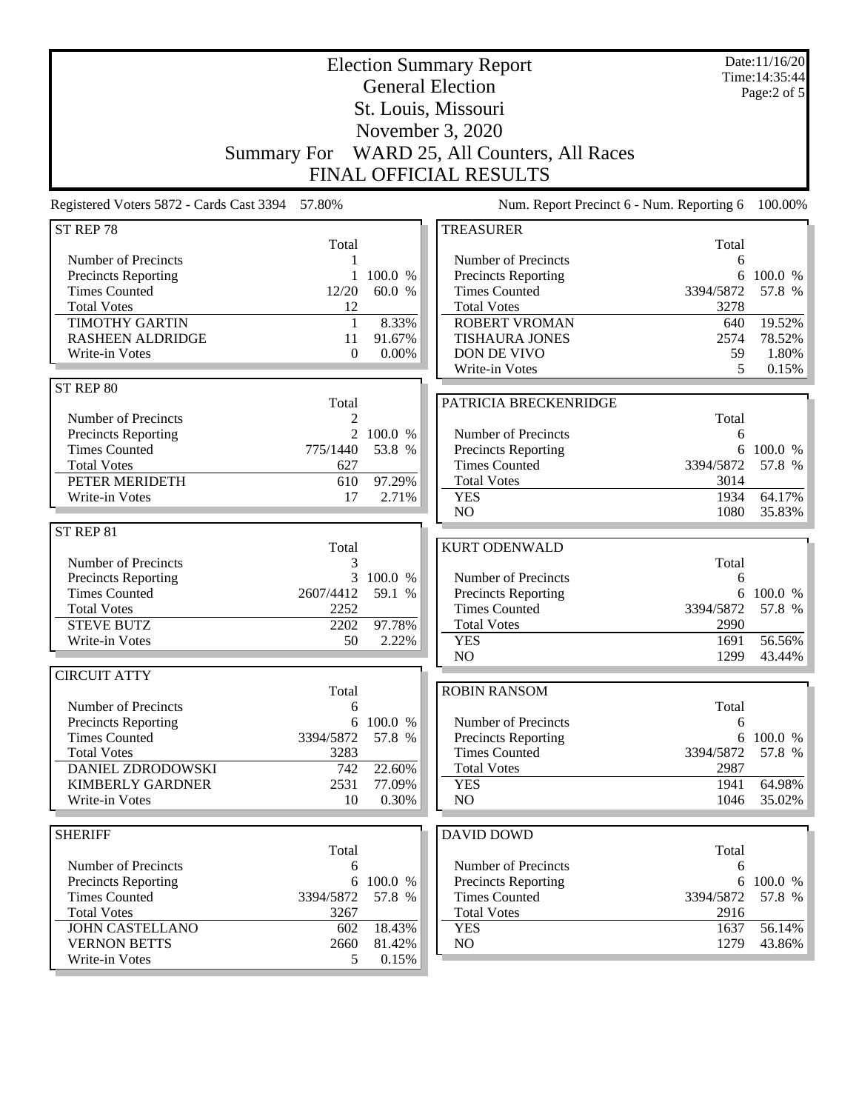| <b>Election Summary Report</b><br><b>General Election</b><br>St. Louis, Missouri |                                  |                 |                                                                        |             | Date:11/16/20<br>Time: 14:35:44<br>Page:2 of 5 |
|----------------------------------------------------------------------------------|----------------------------------|-----------------|------------------------------------------------------------------------|-------------|------------------------------------------------|
|                                                                                  |                                  |                 | November 3, 2020                                                       |             |                                                |
|                                                                                  |                                  |                 | Summary For WARD 25, All Counters, All Races<br>FINAL OFFICIAL RESULTS |             |                                                |
|                                                                                  |                                  |                 |                                                                        |             |                                                |
| Registered Voters 5872 - Cards Cast 3394 57.80%                                  |                                  |                 | Num. Report Precinct 6 - Num. Reporting 6                              |             | 100.00%                                        |
| ST REP 78                                                                        | Total                            |                 | <b>TREASURER</b>                                                       | Total       |                                                |
| Number of Precincts                                                              | 1                                |                 | Number of Precincts                                                    | 6           |                                                |
| <b>Precincts Reporting</b>                                                       | $\mathbf{1}$                     | 100.0 %         | Precincts Reporting                                                    | 6           | 100.0 %                                        |
| <b>Times Counted</b>                                                             | 12/20                            | 60.0 %          | <b>Times Counted</b>                                                   | 3394/5872   | 57.8 %                                         |
| <b>Total Votes</b>                                                               | 12                               |                 | <b>Total Votes</b>                                                     | 3278        |                                                |
| <b>TIMOTHY GARTIN</b><br><b>RASHEEN ALDRIDGE</b>                                 | $\mathbf{1}$<br>11               | 8.33%<br>91.67% | <b>ROBERT VROMAN</b><br><b>TISHAURA JONES</b>                          | 640<br>2574 | 19.52%<br>78.52%                               |
| Write-in Votes                                                                   | $\Omega$                         | $0.00\%$        | DON DE VIVO                                                            | 59          | 1.80%                                          |
|                                                                                  |                                  |                 | Write-in Votes                                                         | 5           | 0.15%                                          |
| ST REP 80                                                                        |                                  |                 |                                                                        |             |                                                |
|                                                                                  | Total                            |                 | PATRICIA BRECKENRIDGE                                                  |             |                                                |
| Number of Precincts<br><b>Precincts Reporting</b>                                | $\overline{c}$<br>$\overline{2}$ | 100.0 %         | Number of Precincts                                                    | Total<br>6  |                                                |
| <b>Times Counted</b>                                                             | 775/1440                         | 53.8 %          | Precincts Reporting                                                    | 6           | 100.0 %                                        |
| <b>Total Votes</b>                                                               | 627                              |                 | <b>Times Counted</b>                                                   | 3394/5872   | 57.8 %                                         |
| PETER MERIDETH                                                                   | 610                              | 97.29%          | <b>Total Votes</b>                                                     | 3014        |                                                |
| Write-in Votes                                                                   | 17                               | 2.71%           | <b>YES</b>                                                             | 1934        | 64.17%                                         |
|                                                                                  |                                  |                 | N <sub>O</sub>                                                         | 1080        | 35.83%                                         |
| ST REP 81                                                                        |                                  |                 |                                                                        |             |                                                |
|                                                                                  | Total                            |                 | <b>KURT ODENWALD</b>                                                   |             |                                                |
| Number of Precincts                                                              | 3                                | 3 100.0 %       | Number of Precincts                                                    | Total<br>6  |                                                |
| <b>Precincts Reporting</b><br><b>Times Counted</b>                               | 2607/4412                        | 59.1 %          | <b>Precincts Reporting</b>                                             | 6           | 100.0 %                                        |
| <b>Total Votes</b>                                                               | 2252                             |                 | <b>Times Counted</b>                                                   | 3394/5872   | 57.8 %                                         |
| <b>STEVE BUTZ</b>                                                                | 2202                             | 97.78%          | <b>Total Votes</b>                                                     | 2990        |                                                |
| Write-in Votes                                                                   | 50                               | 2.22%           | <b>YES</b>                                                             | 1691        | 56.56%                                         |
|                                                                                  |                                  |                 | NO                                                                     | 1299        | 43.44%                                         |
| <b>CIRCUIT ATTY</b>                                                              |                                  |                 |                                                                        |             |                                                |
| Number of Precincts                                                              | Total<br>6                       |                 | <b>ROBIN RANSOM</b>                                                    | Total       |                                                |
| <b>Precincts Reporting</b>                                                       | 6                                | 100.0 %         | Number of Precincts                                                    | 6           |                                                |
| <b>Times Counted</b>                                                             | 3394/5872                        | 57.8 %          | Precincts Reporting                                                    |             | 6 100.0 %                                      |
| <b>Total Votes</b>                                                               | 3283                             |                 | <b>Times Counted</b>                                                   | 3394/5872   | 57.8 %                                         |
| <b>DANIEL ZDRODOWSKI</b>                                                         | 742                              | 22.60%          | <b>Total Votes</b>                                                     | 2987        |                                                |
| <b>KIMBERLY GARDNER</b>                                                          | 2531                             | 77.09%          | <b>YES</b>                                                             | 1941        | 64.98%                                         |
| Write-in Votes                                                                   | 10                               | 0.30%           | NO                                                                     | 1046        | 35.02%                                         |
|                                                                                  |                                  |                 |                                                                        |             |                                                |
| <b>SHERIFF</b>                                                                   | Total                            |                 | <b>DAVID DOWD</b>                                                      | Total       |                                                |
| <b>Number of Precincts</b>                                                       | 6                                |                 | Number of Precincts                                                    | 6           |                                                |
| <b>Precincts Reporting</b>                                                       |                                  | 6 100.0 %       | Precincts Reporting                                                    |             | 6 100.0 %                                      |
| <b>Times Counted</b>                                                             | 3394/5872                        | 57.8 %          | <b>Times Counted</b>                                                   | 3394/5872   | 57.8 %                                         |
| <b>Total Votes</b>                                                               | 3267                             |                 | <b>Total Votes</b>                                                     | 2916        |                                                |
| <b>JOHN CASTELLANO</b>                                                           | 602                              | 18.43%          | <b>YES</b>                                                             | 1637        | 56.14%                                         |
| <b>VERNON BETTS</b>                                                              | 2660                             | 81.42%          | NO                                                                     | 1279        | 43.86%                                         |
| Write-in Votes                                                                   | 5                                | 0.15%           |                                                                        |             |                                                |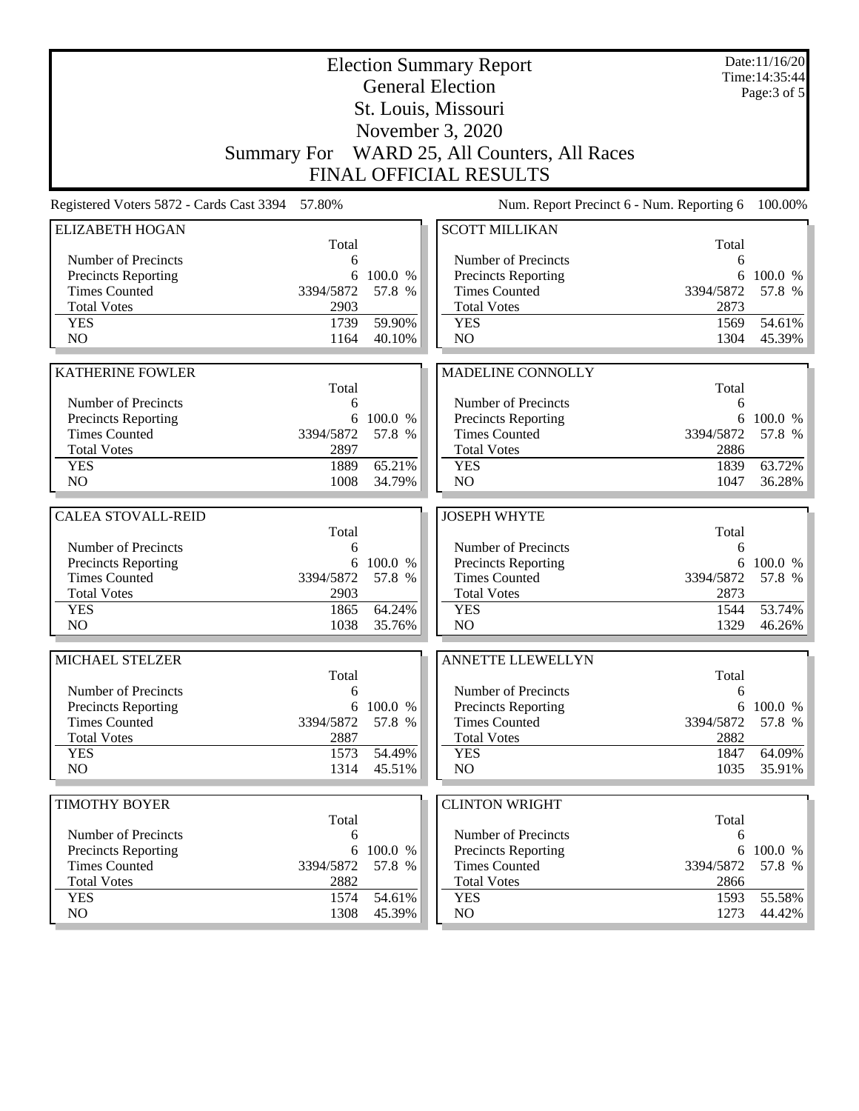| <b>Election Summary Report</b><br><b>General Election</b> |                |                   |                                                    |                | Date:11/16/20<br>Time: 14:35:44<br>Page: 3 of 5 |
|-----------------------------------------------------------|----------------|-------------------|----------------------------------------------------|----------------|-------------------------------------------------|
| St. Louis, Missouri                                       |                |                   |                                                    |                |                                                 |
|                                                           |                |                   | November 3, 2020                                   |                |                                                 |
|                                                           |                |                   | Summary For WARD 25, All Counters, All Races       |                |                                                 |
|                                                           |                |                   | <b>FINAL OFFICIAL RESULTS</b>                      |                |                                                 |
| Registered Voters 5872 - Cards Cast 3394 57.80%           |                |                   | Num. Report Precinct 6 - Num. Reporting 6          |                | 100.00%                                         |
| <b>ELIZABETH HOGAN</b>                                    |                |                   | <b>SCOTT MILLIKAN</b>                              |                |                                                 |
|                                                           | Total          |                   |                                                    | Total          |                                                 |
| Number of Precincts                                       | 6              |                   | Number of Precincts                                | 6              |                                                 |
| <b>Precincts Reporting</b><br><b>Times Counted</b>        | 6<br>3394/5872 | 100.0 %<br>57.8 % | <b>Precincts Reporting</b><br><b>Times Counted</b> | 6<br>3394/5872 | 100.0 %<br>57.8 %                               |
| <b>Total Votes</b>                                        | 2903           |                   | <b>Total Votes</b>                                 | 2873           |                                                 |
| <b>YES</b>                                                | 1739           | 59.90%            | <b>YES</b>                                         | 1569           | 54.61%                                          |
| N <sub>O</sub>                                            | 1164           | 40.10%            | NO                                                 | 1304           | 45.39%                                          |
|                                                           |                |                   |                                                    |                |                                                 |
| <b>KATHERINE FOWLER</b>                                   | Total          |                   | MADELINE CONNOLLY                                  | Total          |                                                 |
| Number of Precincts                                       | 6              |                   | Number of Precincts                                | 6              |                                                 |
| <b>Precincts Reporting</b>                                | 6              | 100.0 %           | <b>Precincts Reporting</b>                         | 6              | 100.0 %                                         |
| <b>Times Counted</b>                                      | 3394/5872      | 57.8 %            | <b>Times Counted</b>                               | 3394/5872      | 57.8 %                                          |
| <b>Total Votes</b>                                        | 2897           |                   | <b>Total Votes</b>                                 | 2886           |                                                 |
| <b>YES</b>                                                | 1889           | 65.21%            | <b>YES</b>                                         | 1839           | 63.72%                                          |
| NO                                                        | 1008           | 34.79%            | NO                                                 | 1047           | 36.28%                                          |
| <b>CALEA STOVALL-REID</b>                                 |                |                   | <b>JOSEPH WHYTE</b>                                |                |                                                 |
|                                                           | Total          |                   |                                                    | Total          |                                                 |
| Number of Precincts                                       | 6              |                   | Number of Precincts                                | 6              |                                                 |
| <b>Precincts Reporting</b>                                | 6              | 100.0 %           | Precincts Reporting                                | 6              | 100.0 %                                         |
| <b>Times Counted</b>                                      | 3394/5872      | 57.8 %            | <b>Times Counted</b>                               | 3394/5872      | 57.8 %                                          |
| <b>Total Votes</b>                                        | 2903           |                   | <b>Total Votes</b>                                 | 2873           |                                                 |
| <b>YES</b><br>N <sub>O</sub>                              | 1865<br>1038   | 64.24%<br>35.76%  | <b>YES</b><br>NO                                   | 1544<br>1329   | 53.74%<br>46.26%                                |
|                                                           |                |                   |                                                    |                |                                                 |
| MICHAEL STELZER                                           |                |                   | <b>ANNETTE LLEWELLYN</b>                           |                |                                                 |
| Number of Precincts                                       | Total<br>6     |                   | Number of Precincts                                | Total<br>6     |                                                 |
| <b>Precincts Reporting</b>                                |                | 6 100.0 %         | <b>Precincts Reporting</b>                         |                | 6 100.0 %                                       |
| <b>Times Counted</b>                                      | 3394/5872      | 57.8 %            | <b>Times Counted</b>                               | 3394/5872      | 57.8 %                                          |
| <b>Total Votes</b>                                        | 2887           |                   | <b>Total Votes</b>                                 | 2882           |                                                 |
| <b>YES</b>                                                | 1573           | 54.49%            | <b>YES</b>                                         | 1847           | 64.09%                                          |
| NO                                                        | 1314           | 45.51%            | NO                                                 | 1035           | $35.91\%$                                       |
| <b>TIMOTHY BOYER</b>                                      |                |                   | <b>CLINTON WRIGHT</b>                              |                |                                                 |
|                                                           | Total          |                   |                                                    | Total          |                                                 |
| Number of Precincts                                       | 6              |                   | Number of Precincts                                | 6              |                                                 |
| Precincts Reporting                                       | 6              | 100.0 %           | <b>Precincts Reporting</b>                         | 6              | 100.0 %                                         |
| <b>Times Counted</b>                                      | 3394/5872      | 57.8 %            | <b>Times Counted</b>                               | 3394/5872      | 57.8 %                                          |
| <b>Total Votes</b>                                        | 2882           |                   | <b>Total Votes</b>                                 | 2866           |                                                 |
| <b>YES</b><br>NO                                          | 1574<br>1308   | 54.61%<br>45.39%  | <b>YES</b><br>NO                                   | 1593<br>1273   | 55.58%<br>44.42%                                |
|                                                           |                |                   |                                                    |                |                                                 |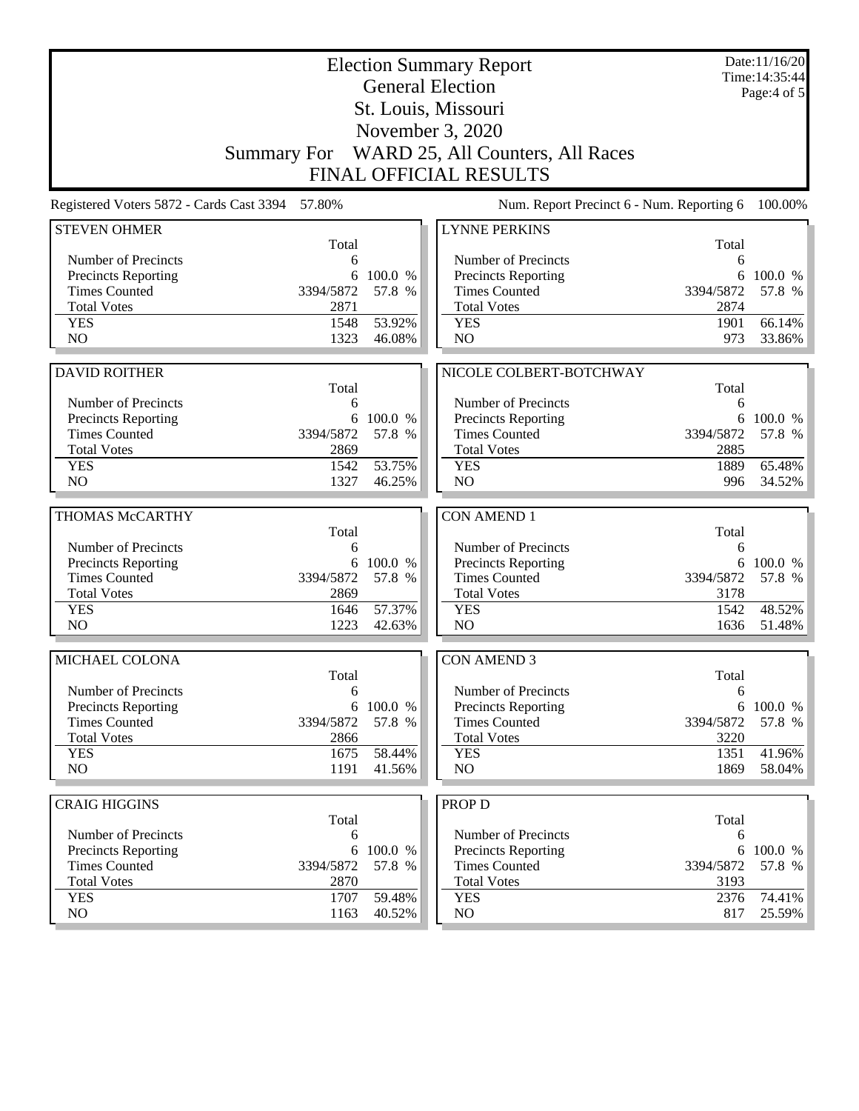| <b>Election Summary Report</b><br><b>General Election</b><br>St. Louis, Missouri |                   |           |                                              |                   | Date:11/16/20<br>Time: 14:35:44<br>Page:4 of 5 |  |
|----------------------------------------------------------------------------------|-------------------|-----------|----------------------------------------------|-------------------|------------------------------------------------|--|
|                                                                                  | November 3, 2020  |           |                                              |                   |                                                |  |
|                                                                                  |                   |           | Summary For WARD 25, All Counters, All Races |                   |                                                |  |
|                                                                                  |                   |           | <b>FINAL OFFICIAL RESULTS</b>                |                   |                                                |  |
| Registered Voters 5872 - Cards Cast 3394 57.80%                                  |                   |           | Num. Report Precinct 6 - Num. Reporting 6    |                   | 100.00%                                        |  |
| <b>STEVEN OHMER</b>                                                              |                   |           | <b>LYNNE PERKINS</b>                         |                   |                                                |  |
| Number of Precincts                                                              | Total<br>6        |           | Number of Precincts                          | Total<br>6        |                                                |  |
| Precincts Reporting                                                              | 6                 | 100.0 %   | Precincts Reporting                          | 6                 | 100.0 %                                        |  |
| <b>Times Counted</b>                                                             | 3394/5872         | 57.8 %    | <b>Times Counted</b>                         | 3394/5872         | 57.8 %                                         |  |
| <b>Total Votes</b>                                                               | 2871              |           | <b>Total Votes</b>                           | 2874              |                                                |  |
| <b>YES</b>                                                                       | 1548              | 53.92%    | <b>YES</b>                                   | 1901              | 66.14%                                         |  |
| N <sub>O</sub>                                                                   | 1323              | 46.08%    | N <sub>O</sub>                               | 973               | 33.86%                                         |  |
|                                                                                  |                   |           |                                              |                   |                                                |  |
| <b>DAVID ROITHER</b>                                                             |                   |           | NICOLE COLBERT-BOTCHWAY                      |                   |                                                |  |
|                                                                                  | Total             |           |                                              | Total             |                                                |  |
| Number of Precincts                                                              | 6                 |           | Number of Precincts                          | 6                 |                                                |  |
| Precincts Reporting                                                              | 6                 | 100.0 %   | Precincts Reporting                          | 6                 | 100.0 %                                        |  |
| <b>Times Counted</b><br><b>Total Votes</b>                                       | 3394/5872<br>2869 | 57.8 %    | <b>Times Counted</b><br><b>Total Votes</b>   | 3394/5872<br>2885 | 57.8 %                                         |  |
| <b>YES</b>                                                                       | 1542              | 53.75%    | <b>YES</b>                                   | 1889              | 65.48%                                         |  |
| N <sub>O</sub>                                                                   | 1327              | 46.25%    | N <sub>O</sub>                               | 996               | 34.52%                                         |  |
|                                                                                  |                   |           |                                              |                   |                                                |  |
| THOMAS McCARTHY                                                                  |                   |           | <b>CON AMEND 1</b>                           |                   |                                                |  |
|                                                                                  | Total             |           |                                              | Total             |                                                |  |
| Number of Precincts                                                              | 6                 |           | Number of Precincts                          | 6                 |                                                |  |
| Precincts Reporting                                                              | 6                 | 100.0 %   | Precincts Reporting                          | 6                 | 100.0 %                                        |  |
| <b>Times Counted</b>                                                             | 3394/5872         | 57.8 %    | <b>Times Counted</b>                         | 3394/5872         | 57.8 %                                         |  |
| <b>Total Votes</b>                                                               | 2869              |           | <b>Total Votes</b>                           | 3178              |                                                |  |
| <b>YES</b><br>NO                                                                 | 1646<br>1223      | 57.37%    | <b>YES</b><br>N <sub>O</sub>                 | 1542<br>1636      | 48.52%                                         |  |
|                                                                                  |                   | 42.63%    |                                              |                   | 51.48%                                         |  |
| MICHAEL COLONA                                                                   |                   |           | <b>CON AMEND 3</b>                           |                   |                                                |  |
|                                                                                  | Total             |           |                                              | Total             |                                                |  |
| Number of Precincts<br><b>Precincts Reporting</b>                                | 6                 | 6 100.0 % | Number of Precincts<br>Precincts Reporting   | 6<br>6            | 100.0 %                                        |  |
| <b>Times Counted</b>                                                             | 3394/5872         | 57.8 %    | <b>Times Counted</b>                         | 3394/5872         | 57.8 %                                         |  |
| <b>Total Votes</b>                                                               | 2866              |           | <b>Total Votes</b>                           | 3220              |                                                |  |
| <b>YES</b>                                                                       | 1675              | 58.44%    | <b>YES</b>                                   | 1351              | 41.96%                                         |  |
| NO                                                                               | 1191              | 41.56%    | NO                                           | 1869              | 58.04%                                         |  |
|                                                                                  |                   |           |                                              |                   |                                                |  |
| <b>CRAIG HIGGINS</b>                                                             | Total             |           | <b>PROP D</b>                                | Total             |                                                |  |
| Number of Precincts                                                              | 6                 |           | Number of Precincts                          | 6                 |                                                |  |
| <b>Precincts Reporting</b>                                                       | 6                 | 100.0 %   | <b>Precincts Reporting</b>                   | 6                 | 100.0 %                                        |  |
| <b>Times Counted</b>                                                             | 3394/5872         | 57.8 %    | <b>Times Counted</b>                         | 3394/5872         | 57.8 %                                         |  |
| <b>Total Votes</b>                                                               | 2870              |           | <b>Total Votes</b>                           | 3193              |                                                |  |
| <b>YES</b>                                                                       | 1707              | 59.48%    | <b>YES</b>                                   | 2376              | 74.41%                                         |  |
| $\rm NO$                                                                         | 1163              | 40.52%    | $\rm NO$                                     | 817               | 25.59%                                         |  |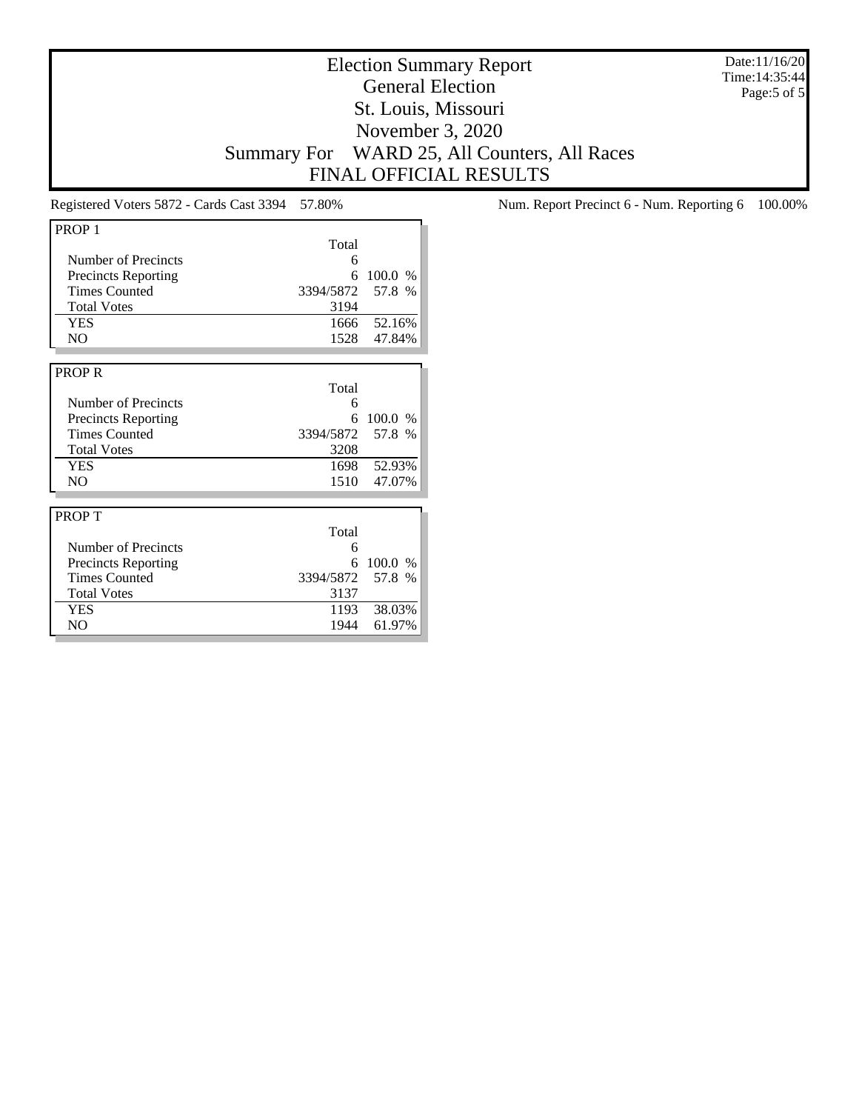Election Summary Report General Election St. Louis, Missouri November 3, 2020 Summary For WARD 25, All Counters, All Races FINAL OFFICIAL RESULTS

| PROP <sub>1</sub>          |           |         |
|----------------------------|-----------|---------|
|                            | Total     |         |
| Number of Precincts        | 6         |         |
| <b>Precincts Reporting</b> | 6         | 100.0 % |
| <b>Times Counted</b>       | 3394/5872 | 57.8 %  |
| <b>Total Votes</b>         | 3194      |         |
| <b>YES</b>                 | 1666      | 52.16%  |
| NO.                        | 1528      | 47.84%  |
|                            |           |         |
| <b>PROPR</b>               |           |         |
|                            | Total     |         |
| Number of Precincts        | 6         |         |
| <b>Precincts Reporting</b> | 6         | 100.0%  |
| <b>Times Counted</b>       | 3394/5872 | 57.8 %  |
| <b>Total Votes</b>         | 3208      |         |
| <b>YES</b>                 | 1698      | 52.93%  |
| NO                         | 1510      | 47.07%  |
|                            |           |         |
| <b>PROPT</b>               |           |         |
|                            | Total     |         |
| Number of Precincts        | 6         |         |
| <b>Precincts Reporting</b> | 6         | 100.0 % |
| <b>Times Counted</b>       | 3394/5872 | 57.8 %  |
| <b>Total Votes</b>         | 3137      |         |
| <b>YES</b>                 | 1193      | 38.03%  |
| NO                         | 1944      | 61.97%  |

Registered Voters 5872 - Cards Cast 3394 57.80% Num. Report Precinct 6 - Num. Reporting 6 100.00%

Date:11/16/20 Time:14:35:44 Page:5 of 5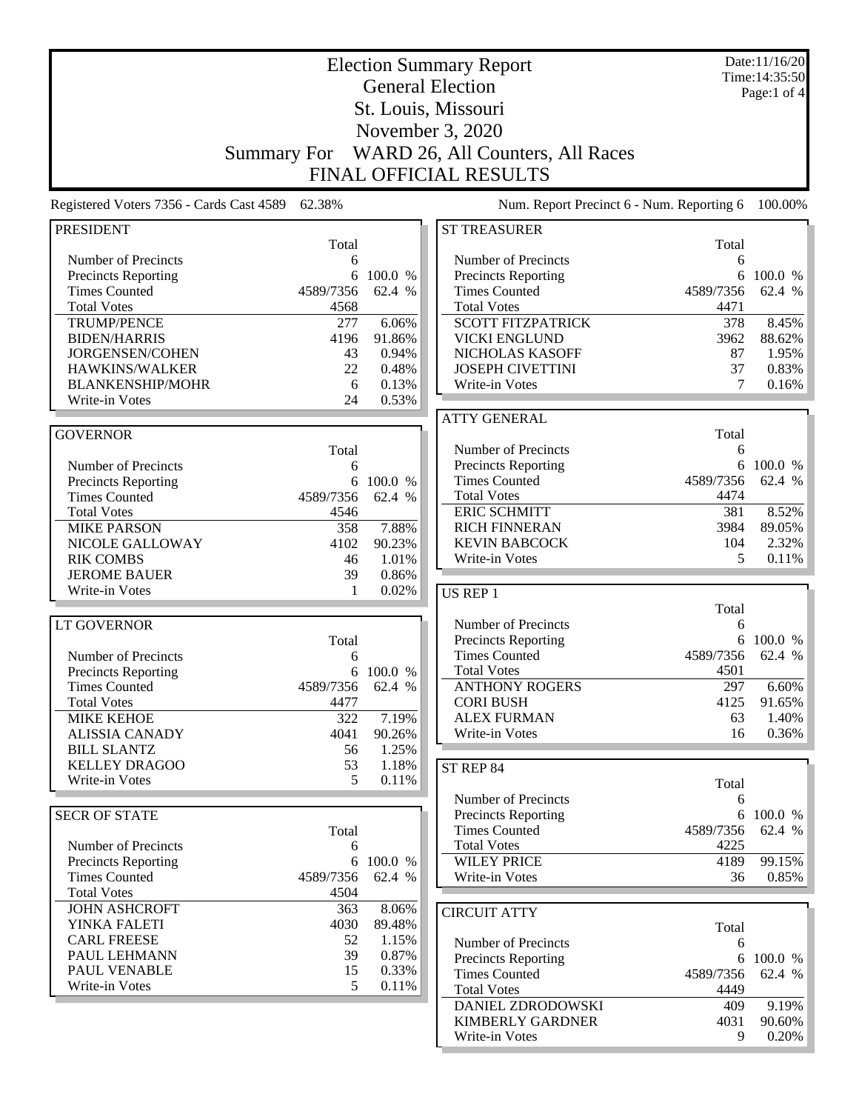|                                                    |                    |                     | <b>Election Summary Report</b>                     |                | Date:11/16/20<br>Time: 14:35:50 |
|----------------------------------------------------|--------------------|---------------------|----------------------------------------------------|----------------|---------------------------------|
|                                                    |                    |                     | <b>General Election</b>                            |                | Page:1 of $4$                   |
|                                                    |                    |                     | St. Louis, Missouri                                |                |                                 |
|                                                    |                    |                     | November 3, 2020                                   |                |                                 |
|                                                    |                    |                     |                                                    |                |                                 |
|                                                    | <b>Summary For</b> |                     | WARD 26, All Counters, All Races                   |                |                                 |
|                                                    |                    |                     | <b>FINAL OFFICIAL RESULTS</b>                      |                |                                 |
| Registered Voters 7356 - Cards Cast 4589           | 62.38%             |                     | Num. Report Precinct 6 - Num. Reporting 6          |                | 100.00%                         |
| <b>PRESIDENT</b>                                   |                    |                     | <b>ST TREASURER</b>                                |                |                                 |
|                                                    | Total              |                     |                                                    | Total          |                                 |
| Number of Precincts                                | 6                  |                     | Number of Precincts                                | 6              |                                 |
| Precincts Reporting<br><b>Times Counted</b>        | 6<br>4589/7356     | 100.0 %<br>62.4 %   | <b>Precincts Reporting</b><br><b>Times Counted</b> | 6<br>4589/7356 | 100.0 %<br>62.4 %               |
| <b>Total Votes</b>                                 | 4568               |                     | <b>Total Votes</b>                                 | 4471           |                                 |
| <b>TRUMP/PENCE</b>                                 | 277                | 6.06%               | <b>SCOTT FITZPATRICK</b>                           | 378            | 8.45%                           |
| <b>BIDEN/HARRIS</b>                                | 4196               | 91.86%              | <b>VICKI ENGLUND</b>                               | 3962           | 88.62%                          |
| JORGENSEN/COHEN                                    | 43                 | 0.94%               | NICHOLAS KASOFF                                    | 87             | 1.95%                           |
| HAWKINS/WALKER                                     | 22                 | 0.48%               | <b>JOSEPH CIVETTINI</b>                            | 37             | 0.83%                           |
| <b>BLANKENSHIP/MOHR</b>                            | 6                  | 0.13%               | Write-in Votes                                     | 7              | 0.16%                           |
| Write-in Votes                                     | 24                 | 0.53%               |                                                    |                |                                 |
|                                                    |                    |                     | <b>ATTY GENERAL</b>                                |                |                                 |
| <b>GOVERNOR</b>                                    |                    |                     |                                                    | Total          |                                 |
|                                                    | Total              |                     | Number of Precincts                                | 6              |                                 |
| Number of Precincts                                | 6                  |                     | Precincts Reporting                                | 6              | 100.0 %                         |
| <b>Precincts Reporting</b>                         | 6                  | 100.0 %             | <b>Times Counted</b>                               | 4589/7356      | 62.4 %                          |
| <b>Times Counted</b>                               | 4589/7356          | 62.4 %              | <b>Total Votes</b>                                 | 4474           |                                 |
| <b>Total Votes</b>                                 | 4546               |                     | <b>ERIC SCHMITT</b>                                | 381            | 8.52%                           |
| <b>MIKE PARSON</b>                                 | 358                | 7.88%               | <b>RICH FINNERAN</b>                               | 3984           | 89.05%                          |
| NICOLE GALLOWAY                                    | 4102               | 90.23%              | <b>KEVIN BABCOCK</b>                               | 104<br>5       | 2.32%                           |
| <b>RIK COMBS</b><br><b>JEROME BAUER</b>            | 46<br>39           | 1.01%<br>0.86%      | Write-in Votes                                     |                | 0.11%                           |
| Write-in Votes                                     | 1                  | 0.02%               | US REP 1                                           |                |                                 |
|                                                    |                    |                     |                                                    | Total          |                                 |
| <b>LT GOVERNOR</b>                                 |                    |                     | Number of Precincts                                | 6              |                                 |
|                                                    | Total              |                     | Precincts Reporting                                | 6              | 100.0 %                         |
| Number of Precincts                                | 6                  |                     | <b>Times Counted</b>                               | 4589/7356      | 62.4 %                          |
| <b>Precincts Reporting</b>                         |                    | 6 100.0 %           | <b>Total Votes</b>                                 | 4501           |                                 |
| <b>Times Counted</b>                               | 4589/7356          | 62.4 %              | <b>ANTHONY ROGERS</b>                              | 297            | 6.60%                           |
| <b>Total Votes</b>                                 | 4477               |                     | <b>CORI BUSH</b>                                   | 4125           | 91.65%                          |
| <b>MIKE KEHOE</b>                                  | 322                | 7.19%               | <b>ALEX FURMAN</b>                                 | 63             | 1.40%                           |
| <b>ALISSIA CANADY</b>                              | 4041               | 90.26%              | Write-in Votes                                     | 16             | 0.36%                           |
| <b>BILL SLANTZ</b>                                 | 56                 | 1.25%               |                                                    |                |                                 |
| <b>KELLEY DRAGOO</b>                               | 53                 | 1.18%               | ST REP 84                                          |                |                                 |
| Write-in Votes                                     | 5                  | 0.11%               |                                                    | Total          |                                 |
|                                                    |                    |                     | Number of Precincts                                | 6              |                                 |
| <b>SECR OF STATE</b>                               |                    |                     | <b>Precincts Reporting</b>                         |                | 6 100.0 %                       |
|                                                    | Total              |                     | <b>Times Counted</b>                               | 4589/7356      | 62.4 %                          |
| Number of Precincts                                | 6                  |                     | <b>Total Votes</b>                                 | 4225           |                                 |
| <b>Precincts Reporting</b><br><b>Times Counted</b> | 4589/7356          | 6 100.0 %<br>62.4 % | <b>WILEY PRICE</b><br>Write-in Votes               | 4189<br>36     | 99.15%<br>0.85%                 |
| <b>Total Votes</b>                                 | 4504               |                     |                                                    |                |                                 |
| <b>JOHN ASHCROFT</b>                               | 363                | 8.06%               |                                                    |                |                                 |
| YINKA FALETI                                       | 4030               | 89.48%              | <b>CIRCUIT ATTY</b>                                | Total          |                                 |
| <b>CARL FREESE</b>                                 | 52                 | 1.15%               | Number of Precincts                                | 6              |                                 |
| PAUL LEHMANN                                       | 39                 | 0.87%               | <b>Precincts Reporting</b>                         | 6              | 100.0 %                         |
| PAUL VENABLE                                       | 15                 | 0.33%               | <b>Times Counted</b>                               | 4589/7356      | 62.4 %                          |
| Write-in Votes                                     | 5                  | 0.11%               | <b>Total Votes</b>                                 | 4449           |                                 |
|                                                    |                    |                     | DANIEL ZDRODOWSKI                                  | 409            | 9.19%                           |
|                                                    |                    |                     | <b>KIMBERLY GARDNER</b>                            | 4031           | 90.60%                          |
|                                                    |                    |                     | Write-in Votes                                     | 9              | $0.20\%$                        |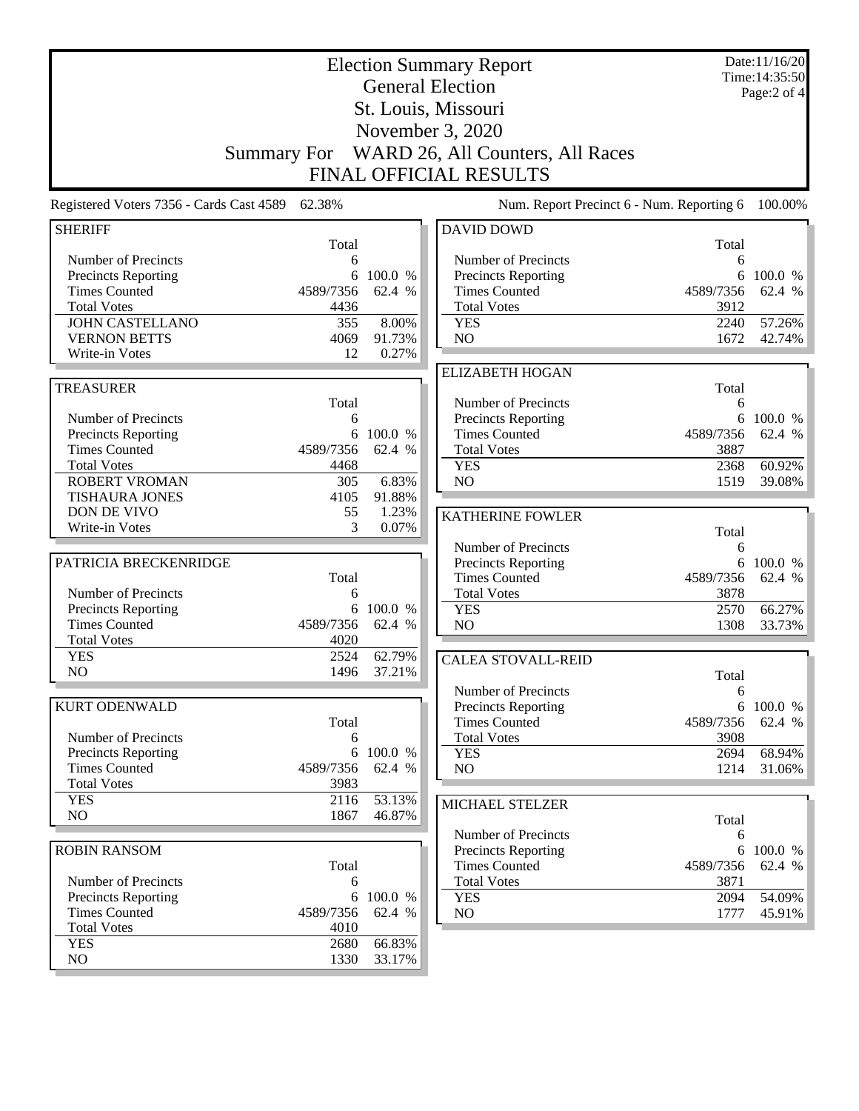|                                                    |                   |                   | <b>Election Summary Report</b><br><b>General Election</b> |              | Date:11/16/20<br>Time: 14:35:50<br>Page:2 of 4 |
|----------------------------------------------------|-------------------|-------------------|-----------------------------------------------------------|--------------|------------------------------------------------|
|                                                    |                   |                   | St. Louis, Missouri                                       |              |                                                |
|                                                    |                   |                   | November 3, 2020                                          |              |                                                |
|                                                    |                   |                   | Summary For WARD 26, All Counters, All Races              |              |                                                |
|                                                    |                   |                   | <b>FINAL OFFICIAL RESULTS</b>                             |              |                                                |
| Registered Voters 7356 - Cards Cast 4589 62.38%    |                   |                   | Num. Report Precinct 6 - Num. Reporting 6                 |              | 100.00%                                        |
| <b>SHERIFF</b>                                     |                   |                   | <b>DAVID DOWD</b>                                         |              |                                                |
|                                                    | Total             |                   |                                                           | Total        |                                                |
| Number of Precincts<br><b>Precincts Reporting</b>  | 6                 | 6 100.0 %         | Number of Precincts<br><b>Precincts Reporting</b>         | 6            | 6 100.0 %                                      |
| <b>Times Counted</b>                               | 4589/7356         | 62.4 %            | <b>Times Counted</b>                                      | 4589/7356    | 62.4 %                                         |
| <b>Total Votes</b>                                 | 4436              |                   | <b>Total Votes</b>                                        | 3912         |                                                |
| <b>JOHN CASTELLANO</b>                             | 355               | 8.00%             | <b>YES</b>                                                | 2240         | 57.26%                                         |
| <b>VERNON BETTS</b>                                | 4069              | 91.73%            | NO                                                        | 1672         | 42.74%                                         |
| Write-in Votes                                     | 12                | 0.27%             |                                                           |              |                                                |
| <b>TREASURER</b>                                   |                   |                   | <b>ELIZABETH HOGAN</b>                                    | Total        |                                                |
|                                                    | Total             |                   | Number of Precincts                                       | 6            |                                                |
| Number of Precincts                                | 6                 |                   | Precincts Reporting                                       |              | 6 100.0 %                                      |
| Precincts Reporting                                |                   | 6 100.0 %         | <b>Times Counted</b>                                      | 4589/7356    | 62.4 %                                         |
| <b>Times Counted</b>                               | 4589/7356         | 62.4 %            | <b>Total Votes</b>                                        | 3887         |                                                |
| <b>Total Votes</b>                                 | 4468              |                   | <b>YES</b>                                                | 2368         | 60.92%                                         |
| <b>ROBERT VROMAN</b><br><b>TISHAURA JONES</b>      | 305<br>4105       | 6.83%<br>91.88%   | NO                                                        | 1519         | 39.08%                                         |
| DON DE VIVO                                        | 55                | 1.23%             |                                                           |              |                                                |
| Write-in Votes                                     | 3                 | 0.07%             | <b>KATHERINE FOWLER</b>                                   | Total        |                                                |
|                                                    |                   |                   | Number of Precincts                                       | 6            |                                                |
| PATRICIA BRECKENRIDGE                              |                   |                   | Precincts Reporting                                       | 6            | 100.0 %                                        |
|                                                    | Total             |                   | <b>Times Counted</b>                                      | 4589/7356    | 62.4 %                                         |
| Number of Precincts                                | 6                 |                   | <b>Total Votes</b>                                        | 3878         |                                                |
| <b>Precincts Reporting</b><br><b>Times Counted</b> | 6                 | 100.0 %           | <b>YES</b>                                                | 2570         | 66.27%                                         |
| <b>Total Votes</b>                                 | 4589/7356<br>4020 | 62.4 %            | NO                                                        | 1308         | 33.73%                                         |
| <b>YES</b>                                         | 2524              | 62.79%            | <b>CALEA STOVALL-REID</b>                                 |              |                                                |
| NO                                                 | 1496              | 37.21%            |                                                           | Total        |                                                |
|                                                    |                   |                   | Number of Precincts                                       | 6            |                                                |
| KURT ODENWALD                                      |                   |                   | Precincts Reporting                                       | 6            | 100.0 %                                        |
|                                                    | Total             |                   | <b>Times Counted</b>                                      | 4589/7356    | 62.4 %                                         |
| Number of Precincts                                | 6                 |                   | <b>Total Votes</b>                                        | 3908         |                                                |
| Precincts Reporting<br><b>Times Counted</b>        | 6<br>4589/7356    | 100.0 %<br>62.4 % | <b>YES</b><br>NO                                          | 2694         | 68.94%                                         |
| <b>Total Votes</b>                                 | 3983              |                   |                                                           | 1214         | 31.06%                                         |
| <b>YES</b>                                         | 2116              | 53.13%            |                                                           |              |                                                |
| N <sub>O</sub>                                     | 1867              | 46.87%            | MICHAEL STELZER                                           | Total        |                                                |
|                                                    |                   |                   | Number of Precincts                                       | 6            |                                                |
| <b>ROBIN RANSOM</b>                                |                   |                   | Precincts Reporting                                       | 6            | 100.0 %                                        |
|                                                    | Total             |                   | <b>Times Counted</b>                                      | 4589/7356    | 62.4 %                                         |
| Number of Precincts                                | 6                 |                   | <b>Total Votes</b>                                        | 3871         |                                                |
| Precincts Reporting<br><b>Times Counted</b>        | 6<br>4589/7356    | 100.0 %<br>62.4 % | <b>YES</b><br>NO                                          | 2094<br>1777 | 54.09%<br>45.91%                               |
| <b>Total Votes</b>                                 | 4010              |                   |                                                           |              |                                                |
| <b>YES</b>                                         | 2680              | 66.83%            |                                                           |              |                                                |
| NO                                                 | 1330              | 33.17%            |                                                           |              |                                                |
|                                                    |                   |                   |                                                           |              |                                                |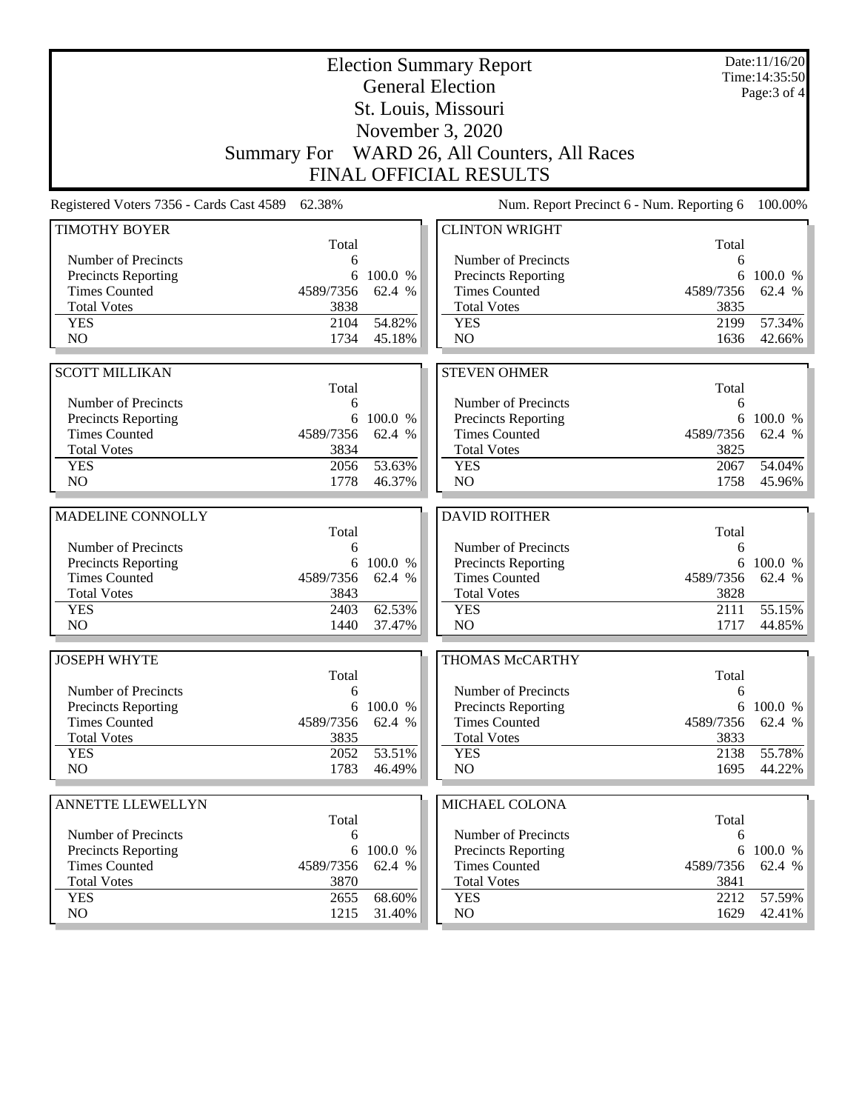| St. Louis, Missouri<br>November 3, 2020<br>Summary For WARD 26, All Counters, All Races<br><b>FINAL OFFICIAL RESULTS</b><br>Num. Report Precinct 6 - Num. Reporting 6<br>Registered Voters 7356 - Cards Cast 4589<br>62.38%<br><b>TIMOTHY BOYER</b><br><b>CLINTON WRIGHT</b><br>Total<br>Total<br>Number of Precincts<br>Number of Precincts<br>6<br>6<br><b>Precincts Reporting</b><br>100.0 %<br>Precincts Reporting<br>100.0 %<br>6<br>6<br><b>Times Counted</b><br><b>Times Counted</b><br>4589/7356<br>62.4 %<br>4589/7356<br>62.4 %<br><b>Total Votes</b><br>3838<br><b>Total Votes</b><br>3835<br>54.82%<br>57.34%<br><b>YES</b><br><b>YES</b><br>2104<br>2199<br>NO<br>N <sub>O</sub><br>1734<br>1636<br>42.66%<br>45.18%<br><b>SCOTT MILLIKAN</b><br><b>STEVEN OHMER</b><br>Total<br>Total<br>Number of Precincts<br>Number of Precincts<br>6<br>6<br><b>Precincts Reporting</b><br>100.0 %<br>Precincts Reporting<br>100.0 %<br>6<br>6<br><b>Times Counted</b><br><b>Times Counted</b><br>4589/7356<br>62.4 %<br>4589/7356<br>62.4 %<br><b>Total Votes</b><br>3834<br><b>Total Votes</b><br>3825<br>53.63%<br>2056<br><b>YES</b><br><b>YES</b><br>2067<br>54.04%<br>NO<br>N <sub>O</sub><br>1778<br>46.37%<br>1758<br>MADELINE CONNOLLY<br><b>DAVID ROITHER</b><br>Total<br>Total<br>Number of Precincts<br>Number of Precincts<br>6<br>6<br><b>Precincts Reporting</b><br>6 100.0 %<br>Precincts Reporting<br>6<br>100.0 %<br><b>Times Counted</b><br>4589/7356<br>62.4 %<br><b>Times Counted</b><br>4589/7356<br>62.4 %<br><b>Total Votes</b><br>3843<br><b>Total Votes</b><br>3828<br>62.53%<br>55.15%<br><b>YES</b><br>2403<br><b>YES</b><br>2111<br>NO<br>N <sub>O</sub><br>1440<br>1717<br>44.85%<br>37.47%<br><b>JOSEPH WHYTE</b><br><b>THOMAS McCARTHY</b><br>Total<br>Total<br>Number of Precincts<br>Number of Precincts<br>6<br>6<br><b>Precincts Reporting</b><br>100.0 %<br>Precincts Reporting<br>6<br>6<br><b>Times Counted</b><br>62.4 %<br><b>Times Counted</b><br>4589/7356<br>4589/7356<br><b>Total Votes</b><br><b>Total Votes</b><br>3835<br>3833<br>53.51%<br>55.78%<br><b>YES</b><br>2052<br><b>YES</b><br>2138<br>NO.<br>1783<br>NO<br>1695<br>46.49%<br>ANNETTE LLEWELLYN<br>MICHAEL COLONA<br>Total<br>Total<br>Number of Precincts<br>Number of Precincts<br>6<br>6<br><b>Precincts Reporting</b><br>100.0 %<br><b>Precincts Reporting</b><br>6<br>100.0 %<br>6<br><b>Times Counted</b><br><b>Times Counted</b><br>4589/7356<br>62.4 %<br>4589/7356<br>62.4 %<br><b>Total Votes</b><br>3870<br><b>Total Votes</b><br>3841<br>57.59%<br><b>YES</b><br>2655<br>68.60%<br><b>YES</b><br>2212<br>NO<br>1215<br>31.40%<br>NO<br>1629 |  | <b>Election Summary Report</b><br><b>General Election</b> | Date:11/16/20<br>Time: 14:35:50 |  |
|----------------------------------------------------------------------------------------------------------------------------------------------------------------------------------------------------------------------------------------------------------------------------------------------------------------------------------------------------------------------------------------------------------------------------------------------------------------------------------------------------------------------------------------------------------------------------------------------------------------------------------------------------------------------------------------------------------------------------------------------------------------------------------------------------------------------------------------------------------------------------------------------------------------------------------------------------------------------------------------------------------------------------------------------------------------------------------------------------------------------------------------------------------------------------------------------------------------------------------------------------------------------------------------------------------------------------------------------------------------------------------------------------------------------------------------------------------------------------------------------------------------------------------------------------------------------------------------------------------------------------------------------------------------------------------------------------------------------------------------------------------------------------------------------------------------------------------------------------------------------------------------------------------------------------------------------------------------------------------------------------------------------------------------------------------------------------------------------------------------------------------------------------------------------------------------------------------------------------------------------------------------------------------------------------------------------------------------------------------------------------------------------------------------------------------------------------------------------------------------------------------------------------------------------------------------------------------------------------------------------------------------------------------------------|--|-----------------------------------------------------------|---------------------------------|--|
|                                                                                                                                                                                                                                                                                                                                                                                                                                                                                                                                                                                                                                                                                                                                                                                                                                                                                                                                                                                                                                                                                                                                                                                                                                                                                                                                                                                                                                                                                                                                                                                                                                                                                                                                                                                                                                                                                                                                                                                                                                                                                                                                                                                                                                                                                                                                                                                                                                                                                                                                                                                                                                                                      |  |                                                           | Page: 3 of 4                    |  |
|                                                                                                                                                                                                                                                                                                                                                                                                                                                                                                                                                                                                                                                                                                                                                                                                                                                                                                                                                                                                                                                                                                                                                                                                                                                                                                                                                                                                                                                                                                                                                                                                                                                                                                                                                                                                                                                                                                                                                                                                                                                                                                                                                                                                                                                                                                                                                                                                                                                                                                                                                                                                                                                                      |  |                                                           |                                 |  |
| 100.00%                                                                                                                                                                                                                                                                                                                                                                                                                                                                                                                                                                                                                                                                                                                                                                                                                                                                                                                                                                                                                                                                                                                                                                                                                                                                                                                                                                                                                                                                                                                                                                                                                                                                                                                                                                                                                                                                                                                                                                                                                                                                                                                                                                                                                                                                                                                                                                                                                                                                                                                                                                                                                                                              |  |                                                           |                                 |  |
|                                                                                                                                                                                                                                                                                                                                                                                                                                                                                                                                                                                                                                                                                                                                                                                                                                                                                                                                                                                                                                                                                                                                                                                                                                                                                                                                                                                                                                                                                                                                                                                                                                                                                                                                                                                                                                                                                                                                                                                                                                                                                                                                                                                                                                                                                                                                                                                                                                                                                                                                                                                                                                                                      |  |                                                           |                                 |  |
| 45.96%<br>62.4 %<br>44.22%<br>42.41%                                                                                                                                                                                                                                                                                                                                                                                                                                                                                                                                                                                                                                                                                                                                                                                                                                                                                                                                                                                                                                                                                                                                                                                                                                                                                                                                                                                                                                                                                                                                                                                                                                                                                                                                                                                                                                                                                                                                                                                                                                                                                                                                                                                                                                                                                                                                                                                                                                                                                                                                                                                                                                 |  |                                                           |                                 |  |
|                                                                                                                                                                                                                                                                                                                                                                                                                                                                                                                                                                                                                                                                                                                                                                                                                                                                                                                                                                                                                                                                                                                                                                                                                                                                                                                                                                                                                                                                                                                                                                                                                                                                                                                                                                                                                                                                                                                                                                                                                                                                                                                                                                                                                                                                                                                                                                                                                                                                                                                                                                                                                                                                      |  |                                                           |                                 |  |
|                                                                                                                                                                                                                                                                                                                                                                                                                                                                                                                                                                                                                                                                                                                                                                                                                                                                                                                                                                                                                                                                                                                                                                                                                                                                                                                                                                                                                                                                                                                                                                                                                                                                                                                                                                                                                                                                                                                                                                                                                                                                                                                                                                                                                                                                                                                                                                                                                                                                                                                                                                                                                                                                      |  |                                                           |                                 |  |
|                                                                                                                                                                                                                                                                                                                                                                                                                                                                                                                                                                                                                                                                                                                                                                                                                                                                                                                                                                                                                                                                                                                                                                                                                                                                                                                                                                                                                                                                                                                                                                                                                                                                                                                                                                                                                                                                                                                                                                                                                                                                                                                                                                                                                                                                                                                                                                                                                                                                                                                                                                                                                                                                      |  |                                                           |                                 |  |
|                                                                                                                                                                                                                                                                                                                                                                                                                                                                                                                                                                                                                                                                                                                                                                                                                                                                                                                                                                                                                                                                                                                                                                                                                                                                                                                                                                                                                                                                                                                                                                                                                                                                                                                                                                                                                                                                                                                                                                                                                                                                                                                                                                                                                                                                                                                                                                                                                                                                                                                                                                                                                                                                      |  |                                                           |                                 |  |
|                                                                                                                                                                                                                                                                                                                                                                                                                                                                                                                                                                                                                                                                                                                                                                                                                                                                                                                                                                                                                                                                                                                                                                                                                                                                                                                                                                                                                                                                                                                                                                                                                                                                                                                                                                                                                                                                                                                                                                                                                                                                                                                                                                                                                                                                                                                                                                                                                                                                                                                                                                                                                                                                      |  |                                                           |                                 |  |
|                                                                                                                                                                                                                                                                                                                                                                                                                                                                                                                                                                                                                                                                                                                                                                                                                                                                                                                                                                                                                                                                                                                                                                                                                                                                                                                                                                                                                                                                                                                                                                                                                                                                                                                                                                                                                                                                                                                                                                                                                                                                                                                                                                                                                                                                                                                                                                                                                                                                                                                                                                                                                                                                      |  |                                                           |                                 |  |
|                                                                                                                                                                                                                                                                                                                                                                                                                                                                                                                                                                                                                                                                                                                                                                                                                                                                                                                                                                                                                                                                                                                                                                                                                                                                                                                                                                                                                                                                                                                                                                                                                                                                                                                                                                                                                                                                                                                                                                                                                                                                                                                                                                                                                                                                                                                                                                                                                                                                                                                                                                                                                                                                      |  |                                                           |                                 |  |
|                                                                                                                                                                                                                                                                                                                                                                                                                                                                                                                                                                                                                                                                                                                                                                                                                                                                                                                                                                                                                                                                                                                                                                                                                                                                                                                                                                                                                                                                                                                                                                                                                                                                                                                                                                                                                                                                                                                                                                                                                                                                                                                                                                                                                                                                                                                                                                                                                                                                                                                                                                                                                                                                      |  |                                                           |                                 |  |
|                                                                                                                                                                                                                                                                                                                                                                                                                                                                                                                                                                                                                                                                                                                                                                                                                                                                                                                                                                                                                                                                                                                                                                                                                                                                                                                                                                                                                                                                                                                                                                                                                                                                                                                                                                                                                                                                                                                                                                                                                                                                                                                                                                                                                                                                                                                                                                                                                                                                                                                                                                                                                                                                      |  |                                                           |                                 |  |
|                                                                                                                                                                                                                                                                                                                                                                                                                                                                                                                                                                                                                                                                                                                                                                                                                                                                                                                                                                                                                                                                                                                                                                                                                                                                                                                                                                                                                                                                                                                                                                                                                                                                                                                                                                                                                                                                                                                                                                                                                                                                                                                                                                                                                                                                                                                                                                                                                                                                                                                                                                                                                                                                      |  |                                                           |                                 |  |
|                                                                                                                                                                                                                                                                                                                                                                                                                                                                                                                                                                                                                                                                                                                                                                                                                                                                                                                                                                                                                                                                                                                                                                                                                                                                                                                                                                                                                                                                                                                                                                                                                                                                                                                                                                                                                                                                                                                                                                                                                                                                                                                                                                                                                                                                                                                                                                                                                                                                                                                                                                                                                                                                      |  |                                                           |                                 |  |
|                                                                                                                                                                                                                                                                                                                                                                                                                                                                                                                                                                                                                                                                                                                                                                                                                                                                                                                                                                                                                                                                                                                                                                                                                                                                                                                                                                                                                                                                                                                                                                                                                                                                                                                                                                                                                                                                                                                                                                                                                                                                                                                                                                                                                                                                                                                                                                                                                                                                                                                                                                                                                                                                      |  |                                                           |                                 |  |
|                                                                                                                                                                                                                                                                                                                                                                                                                                                                                                                                                                                                                                                                                                                                                                                                                                                                                                                                                                                                                                                                                                                                                                                                                                                                                                                                                                                                                                                                                                                                                                                                                                                                                                                                                                                                                                                                                                                                                                                                                                                                                                                                                                                                                                                                                                                                                                                                                                                                                                                                                                                                                                                                      |  |                                                           |                                 |  |
|                                                                                                                                                                                                                                                                                                                                                                                                                                                                                                                                                                                                                                                                                                                                                                                                                                                                                                                                                                                                                                                                                                                                                                                                                                                                                                                                                                                                                                                                                                                                                                                                                                                                                                                                                                                                                                                                                                                                                                                                                                                                                                                                                                                                                                                                                                                                                                                                                                                                                                                                                                                                                                                                      |  |                                                           |                                 |  |
|                                                                                                                                                                                                                                                                                                                                                                                                                                                                                                                                                                                                                                                                                                                                                                                                                                                                                                                                                                                                                                                                                                                                                                                                                                                                                                                                                                                                                                                                                                                                                                                                                                                                                                                                                                                                                                                                                                                                                                                                                                                                                                                                                                                                                                                                                                                                                                                                                                                                                                                                                                                                                                                                      |  |                                                           |                                 |  |
|                                                                                                                                                                                                                                                                                                                                                                                                                                                                                                                                                                                                                                                                                                                                                                                                                                                                                                                                                                                                                                                                                                                                                                                                                                                                                                                                                                                                                                                                                                                                                                                                                                                                                                                                                                                                                                                                                                                                                                                                                                                                                                                                                                                                                                                                                                                                                                                                                                                                                                                                                                                                                                                                      |  |                                                           |                                 |  |
|                                                                                                                                                                                                                                                                                                                                                                                                                                                                                                                                                                                                                                                                                                                                                                                                                                                                                                                                                                                                                                                                                                                                                                                                                                                                                                                                                                                                                                                                                                                                                                                                                                                                                                                                                                                                                                                                                                                                                                                                                                                                                                                                                                                                                                                                                                                                                                                                                                                                                                                                                                                                                                                                      |  |                                                           |                                 |  |
| 100.0 %                                                                                                                                                                                                                                                                                                                                                                                                                                                                                                                                                                                                                                                                                                                                                                                                                                                                                                                                                                                                                                                                                                                                                                                                                                                                                                                                                                                                                                                                                                                                                                                                                                                                                                                                                                                                                                                                                                                                                                                                                                                                                                                                                                                                                                                                                                                                                                                                                                                                                                                                                                                                                                                              |  |                                                           |                                 |  |
|                                                                                                                                                                                                                                                                                                                                                                                                                                                                                                                                                                                                                                                                                                                                                                                                                                                                                                                                                                                                                                                                                                                                                                                                                                                                                                                                                                                                                                                                                                                                                                                                                                                                                                                                                                                                                                                                                                                                                                                                                                                                                                                                                                                                                                                                                                                                                                                                                                                                                                                                                                                                                                                                      |  |                                                           |                                 |  |
|                                                                                                                                                                                                                                                                                                                                                                                                                                                                                                                                                                                                                                                                                                                                                                                                                                                                                                                                                                                                                                                                                                                                                                                                                                                                                                                                                                                                                                                                                                                                                                                                                                                                                                                                                                                                                                                                                                                                                                                                                                                                                                                                                                                                                                                                                                                                                                                                                                                                                                                                                                                                                                                                      |  |                                                           |                                 |  |
|                                                                                                                                                                                                                                                                                                                                                                                                                                                                                                                                                                                                                                                                                                                                                                                                                                                                                                                                                                                                                                                                                                                                                                                                                                                                                                                                                                                                                                                                                                                                                                                                                                                                                                                                                                                                                                                                                                                                                                                                                                                                                                                                                                                                                                                                                                                                                                                                                                                                                                                                                                                                                                                                      |  |                                                           |                                 |  |
|                                                                                                                                                                                                                                                                                                                                                                                                                                                                                                                                                                                                                                                                                                                                                                                                                                                                                                                                                                                                                                                                                                                                                                                                                                                                                                                                                                                                                                                                                                                                                                                                                                                                                                                                                                                                                                                                                                                                                                                                                                                                                                                                                                                                                                                                                                                                                                                                                                                                                                                                                                                                                                                                      |  |                                                           |                                 |  |
|                                                                                                                                                                                                                                                                                                                                                                                                                                                                                                                                                                                                                                                                                                                                                                                                                                                                                                                                                                                                                                                                                                                                                                                                                                                                                                                                                                                                                                                                                                                                                                                                                                                                                                                                                                                                                                                                                                                                                                                                                                                                                                                                                                                                                                                                                                                                                                                                                                                                                                                                                                                                                                                                      |  |                                                           |                                 |  |
|                                                                                                                                                                                                                                                                                                                                                                                                                                                                                                                                                                                                                                                                                                                                                                                                                                                                                                                                                                                                                                                                                                                                                                                                                                                                                                                                                                                                                                                                                                                                                                                                                                                                                                                                                                                                                                                                                                                                                                                                                                                                                                                                                                                                                                                                                                                                                                                                                                                                                                                                                                                                                                                                      |  |                                                           |                                 |  |
|                                                                                                                                                                                                                                                                                                                                                                                                                                                                                                                                                                                                                                                                                                                                                                                                                                                                                                                                                                                                                                                                                                                                                                                                                                                                                                                                                                                                                                                                                                                                                                                                                                                                                                                                                                                                                                                                                                                                                                                                                                                                                                                                                                                                                                                                                                                                                                                                                                                                                                                                                                                                                                                                      |  |                                                           |                                 |  |
|                                                                                                                                                                                                                                                                                                                                                                                                                                                                                                                                                                                                                                                                                                                                                                                                                                                                                                                                                                                                                                                                                                                                                                                                                                                                                                                                                                                                                                                                                                                                                                                                                                                                                                                                                                                                                                                                                                                                                                                                                                                                                                                                                                                                                                                                                                                                                                                                                                                                                                                                                                                                                                                                      |  |                                                           |                                 |  |
|                                                                                                                                                                                                                                                                                                                                                                                                                                                                                                                                                                                                                                                                                                                                                                                                                                                                                                                                                                                                                                                                                                                                                                                                                                                                                                                                                                                                                                                                                                                                                                                                                                                                                                                                                                                                                                                                                                                                                                                                                                                                                                                                                                                                                                                                                                                                                                                                                                                                                                                                                                                                                                                                      |  |                                                           |                                 |  |
|                                                                                                                                                                                                                                                                                                                                                                                                                                                                                                                                                                                                                                                                                                                                                                                                                                                                                                                                                                                                                                                                                                                                                                                                                                                                                                                                                                                                                                                                                                                                                                                                                                                                                                                                                                                                                                                                                                                                                                                                                                                                                                                                                                                                                                                                                                                                                                                                                                                                                                                                                                                                                                                                      |  |                                                           |                                 |  |
|                                                                                                                                                                                                                                                                                                                                                                                                                                                                                                                                                                                                                                                                                                                                                                                                                                                                                                                                                                                                                                                                                                                                                                                                                                                                                                                                                                                                                                                                                                                                                                                                                                                                                                                                                                                                                                                                                                                                                                                                                                                                                                                                                                                                                                                                                                                                                                                                                                                                                                                                                                                                                                                                      |  |                                                           |                                 |  |
|                                                                                                                                                                                                                                                                                                                                                                                                                                                                                                                                                                                                                                                                                                                                                                                                                                                                                                                                                                                                                                                                                                                                                                                                                                                                                                                                                                                                                                                                                                                                                                                                                                                                                                                                                                                                                                                                                                                                                                                                                                                                                                                                                                                                                                                                                                                                                                                                                                                                                                                                                                                                                                                                      |  |                                                           |                                 |  |
|                                                                                                                                                                                                                                                                                                                                                                                                                                                                                                                                                                                                                                                                                                                                                                                                                                                                                                                                                                                                                                                                                                                                                                                                                                                                                                                                                                                                                                                                                                                                                                                                                                                                                                                                                                                                                                                                                                                                                                                                                                                                                                                                                                                                                                                                                                                                                                                                                                                                                                                                                                                                                                                                      |  |                                                           |                                 |  |
|                                                                                                                                                                                                                                                                                                                                                                                                                                                                                                                                                                                                                                                                                                                                                                                                                                                                                                                                                                                                                                                                                                                                                                                                                                                                                                                                                                                                                                                                                                                                                                                                                                                                                                                                                                                                                                                                                                                                                                                                                                                                                                                                                                                                                                                                                                                                                                                                                                                                                                                                                                                                                                                                      |  |                                                           |                                 |  |
|                                                                                                                                                                                                                                                                                                                                                                                                                                                                                                                                                                                                                                                                                                                                                                                                                                                                                                                                                                                                                                                                                                                                                                                                                                                                                                                                                                                                                                                                                                                                                                                                                                                                                                                                                                                                                                                                                                                                                                                                                                                                                                                                                                                                                                                                                                                                                                                                                                                                                                                                                                                                                                                                      |  |                                                           |                                 |  |
|                                                                                                                                                                                                                                                                                                                                                                                                                                                                                                                                                                                                                                                                                                                                                                                                                                                                                                                                                                                                                                                                                                                                                                                                                                                                                                                                                                                                                                                                                                                                                                                                                                                                                                                                                                                                                                                                                                                                                                                                                                                                                                                                                                                                                                                                                                                                                                                                                                                                                                                                                                                                                                                                      |  |                                                           |                                 |  |
|                                                                                                                                                                                                                                                                                                                                                                                                                                                                                                                                                                                                                                                                                                                                                                                                                                                                                                                                                                                                                                                                                                                                                                                                                                                                                                                                                                                                                                                                                                                                                                                                                                                                                                                                                                                                                                                                                                                                                                                                                                                                                                                                                                                                                                                                                                                                                                                                                                                                                                                                                                                                                                                                      |  |                                                           |                                 |  |
|                                                                                                                                                                                                                                                                                                                                                                                                                                                                                                                                                                                                                                                                                                                                                                                                                                                                                                                                                                                                                                                                                                                                                                                                                                                                                                                                                                                                                                                                                                                                                                                                                                                                                                                                                                                                                                                                                                                                                                                                                                                                                                                                                                                                                                                                                                                                                                                                                                                                                                                                                                                                                                                                      |  |                                                           |                                 |  |
|                                                                                                                                                                                                                                                                                                                                                                                                                                                                                                                                                                                                                                                                                                                                                                                                                                                                                                                                                                                                                                                                                                                                                                                                                                                                                                                                                                                                                                                                                                                                                                                                                                                                                                                                                                                                                                                                                                                                                                                                                                                                                                                                                                                                                                                                                                                                                                                                                                                                                                                                                                                                                                                                      |  |                                                           |                                 |  |
|                                                                                                                                                                                                                                                                                                                                                                                                                                                                                                                                                                                                                                                                                                                                                                                                                                                                                                                                                                                                                                                                                                                                                                                                                                                                                                                                                                                                                                                                                                                                                                                                                                                                                                                                                                                                                                                                                                                                                                                                                                                                                                                                                                                                                                                                                                                                                                                                                                                                                                                                                                                                                                                                      |  |                                                           |                                 |  |
|                                                                                                                                                                                                                                                                                                                                                                                                                                                                                                                                                                                                                                                                                                                                                                                                                                                                                                                                                                                                                                                                                                                                                                                                                                                                                                                                                                                                                                                                                                                                                                                                                                                                                                                                                                                                                                                                                                                                                                                                                                                                                                                                                                                                                                                                                                                                                                                                                                                                                                                                                                                                                                                                      |  |                                                           |                                 |  |
|                                                                                                                                                                                                                                                                                                                                                                                                                                                                                                                                                                                                                                                                                                                                                                                                                                                                                                                                                                                                                                                                                                                                                                                                                                                                                                                                                                                                                                                                                                                                                                                                                                                                                                                                                                                                                                                                                                                                                                                                                                                                                                                                                                                                                                                                                                                                                                                                                                                                                                                                                                                                                                                                      |  |                                                           |                                 |  |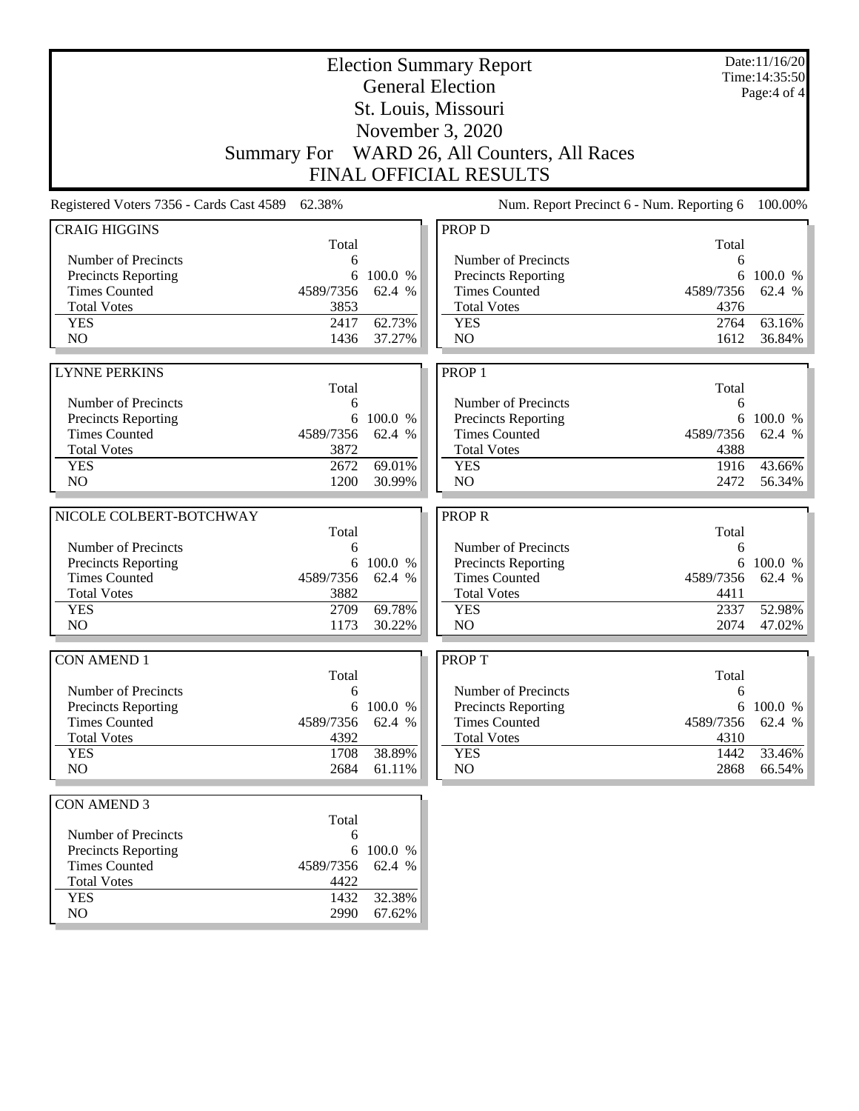|                                                                                                                   | Date:11/16/20<br><b>Election Summary Report</b> |                               |  |  |  |
|-------------------------------------------------------------------------------------------------------------------|-------------------------------------------------|-------------------------------|--|--|--|
| <b>General Election</b>                                                                                           |                                                 | Time: 14:35:50<br>Page:4 of 4 |  |  |  |
| St. Louis, Missouri                                                                                               |                                                 |                               |  |  |  |
| November 3, 2020                                                                                                  |                                                 |                               |  |  |  |
|                                                                                                                   |                                                 |                               |  |  |  |
| WARD 26, All Counters, All Races<br><b>Summary For</b>                                                            |                                                 |                               |  |  |  |
| <b>FINAL OFFICIAL RESULTS</b>                                                                                     |                                                 |                               |  |  |  |
| Registered Voters 7356 - Cards Cast 4589 62.38%                                                                   | Num. Report Precinct 6 - Num. Reporting 6       | 100.00%                       |  |  |  |
| <b>CRAIG HIGGINS</b><br><b>PROP D</b>                                                                             |                                                 |                               |  |  |  |
| Total                                                                                                             | Total                                           |                               |  |  |  |
| Number of Precincts<br>6<br>100.0 %<br>6                                                                          | Number of Precincts<br>6                        | 6 100.0 %                     |  |  |  |
| Precincts Reporting<br><b>Times Counted</b><br>4589/7356<br>62.4 %<br><b>Times Counted</b>                        | Precincts Reporting<br>4589/7356                | 62.4 %                        |  |  |  |
| <b>Total Votes</b><br>3853<br><b>Total Votes</b>                                                                  | 4376                                            |                               |  |  |  |
| 62.73%<br><b>YES</b><br>2417<br><b>YES</b>                                                                        | 2764                                            | 63.16%                        |  |  |  |
| NO<br>N <sub>O</sub><br>37.27%<br>1436                                                                            | 1612                                            | 36.84%                        |  |  |  |
|                                                                                                                   |                                                 |                               |  |  |  |
| <b>LYNNE PERKINS</b><br>PROP <sub>1</sub>                                                                         |                                                 |                               |  |  |  |
| Total                                                                                                             | Total                                           |                               |  |  |  |
| Number of Precincts<br>6                                                                                          | Number of Precincts<br>6                        |                               |  |  |  |
| 6 100.0 %<br>Precincts Reporting                                                                                  | Precincts Reporting                             | 6 100.0 %                     |  |  |  |
| <b>Times Counted</b><br>4589/7356<br>62.4 %<br><b>Times Counted</b>                                               | 4589/7356                                       | 62.4 %                        |  |  |  |
| <b>Total Votes</b><br>3872<br><b>Total Votes</b>                                                                  | 4388                                            |                               |  |  |  |
| <b>YES</b><br>2672<br>69.01%<br><b>YES</b>                                                                        | 1916                                            | 43.66%                        |  |  |  |
| NO<br>1200<br>30.99%<br>N <sub>O</sub>                                                                            | 2472                                            | 56.34%                        |  |  |  |
|                                                                                                                   |                                                 |                               |  |  |  |
|                                                                                                                   |                                                 |                               |  |  |  |
| NICOLE COLBERT-BOTCHWAY<br><b>PROPR</b>                                                                           |                                                 |                               |  |  |  |
| Total                                                                                                             | Total                                           |                               |  |  |  |
| Number of Precincts<br>6                                                                                          | Number of Precincts<br>6                        |                               |  |  |  |
| Precincts Reporting<br>6 100.0 %                                                                                  | Precincts Reporting                             | 6 100.0 %                     |  |  |  |
| <b>Times Counted</b><br><b>Times Counted</b><br>4589/7356<br>62.4 %<br>3882                                       | 4589/7356<br>4411                               | 62.4 %                        |  |  |  |
| <b>Total Votes</b><br><b>Total Votes</b><br>2709<br>69.78%<br><b>YES</b><br><b>YES</b>                            | 2337                                            | 52.98%                        |  |  |  |
| N <sub>O</sub><br>N <sub>O</sub><br>1173<br>30.22%                                                                | 2074                                            | 47.02%                        |  |  |  |
|                                                                                                                   |                                                 |                               |  |  |  |
| <b>CON AMEND 1</b><br><b>PROPT</b>                                                                                |                                                 |                               |  |  |  |
| Total<br>Number of Precincts                                                                                      | Total                                           |                               |  |  |  |
| 6                                                                                                                 | Number of Precincts<br>6                        | 6 100.0 %                     |  |  |  |
| <b>Precincts Reporting</b><br>6<br>100.0 %<br><b>Times Counted</b><br>4589/7356<br>62.4 %<br><b>Times Counted</b> | Precincts Reporting<br>4589/7356                | 62.4 %                        |  |  |  |
| <b>Total Votes</b><br>4392<br><b>Total Votes</b>                                                                  | 4310                                            |                               |  |  |  |
| 38.89%<br><b>YES</b><br>1708<br><b>YES</b>                                                                        | 1442                                            | 33.46%                        |  |  |  |
| NO.<br>2684<br>NO<br>61.11%                                                                                       | 2868                                            | 66.54%                        |  |  |  |
|                                                                                                                   |                                                 |                               |  |  |  |
| <b>CON AMEND 3</b>                                                                                                |                                                 |                               |  |  |  |
| Total<br>Number of Precincts<br>6                                                                                 |                                                 |                               |  |  |  |
| Precincts Reporting<br>6<br>100.0 %                                                                               |                                                 |                               |  |  |  |
| <b>Times Counted</b><br>4589/7356<br>62.4 %                                                                       |                                                 |                               |  |  |  |
| <b>Total Votes</b><br>4422                                                                                        |                                                 |                               |  |  |  |
| 32.38%<br><b>YES</b><br>1432<br>NO<br>2990<br>67.62%                                                              |                                                 |                               |  |  |  |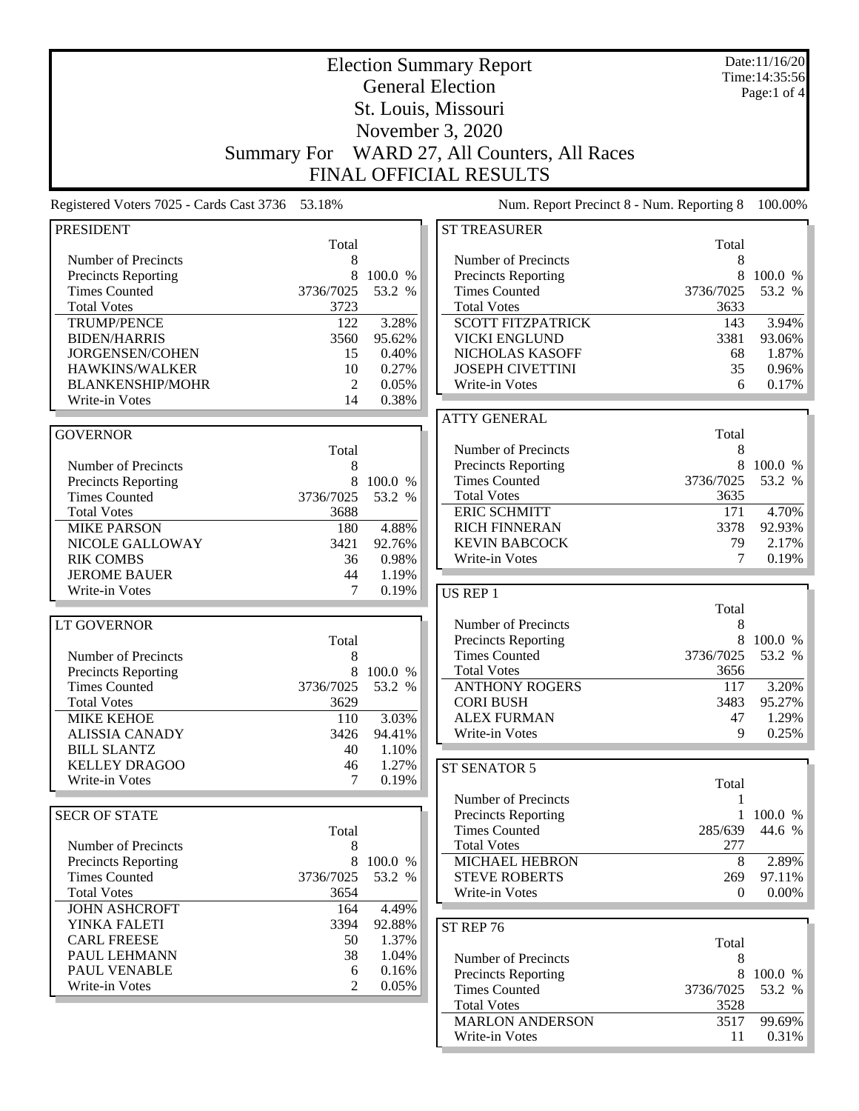|                                                 |                    |           | <b>Election Summary Report</b>                     |              | Date:11/16/20<br>Time: 14:35:56 |
|-------------------------------------------------|--------------------|-----------|----------------------------------------------------|--------------|---------------------------------|
|                                                 |                    |           | <b>General Election</b>                            |              | Page:1 of $4$                   |
|                                                 |                    |           | St. Louis, Missouri                                |              |                                 |
|                                                 |                    |           | November 3, 2020                                   |              |                                 |
|                                                 |                    |           |                                                    |              |                                 |
|                                                 | <b>Summary For</b> |           | WARD 27, All Counters, All Races                   |              |                                 |
|                                                 |                    |           | <b>FINAL OFFICIAL RESULTS</b>                      |              |                                 |
| Registered Voters 7025 - Cards Cast 3736 53.18% |                    |           | Num. Report Precinct 8 - Num. Reporting 8          |              | 100.00%                         |
| <b>PRESIDENT</b>                                |                    |           | <b>ST TREASURER</b>                                |              |                                 |
|                                                 | Total              |           |                                                    | Total        |                                 |
| Number of Precincts                             | 8<br>8             | 100.0 %   | Number of Precincts                                | 8<br>8       | 100.0 %                         |
| Precincts Reporting<br><b>Times Counted</b>     | 3736/7025          | 53.2 %    | <b>Precincts Reporting</b><br><b>Times Counted</b> | 3736/7025    | 53.2 %                          |
| <b>Total Votes</b>                              | 3723               |           | <b>Total Votes</b>                                 | 3633         |                                 |
| <b>TRUMP/PENCE</b>                              | 122                | 3.28%     | <b>SCOTT FITZPATRICK</b>                           | 143          | 3.94%                           |
| <b>BIDEN/HARRIS</b>                             | 3560               | 95.62%    | <b>VICKI ENGLUND</b>                               | 3381         | 93.06%                          |
| JORGENSEN/COHEN                                 | 15                 | 0.40%     | NICHOLAS KASOFF                                    | 68           | 1.87%                           |
| HAWKINS/WALKER                                  | 10                 | 0.27%     | <b>JOSEPH CIVETTINI</b>                            | 35           | 0.96%                           |
| <b>BLANKENSHIP/MOHR</b>                         | $\overline{2}$     | 0.05%     | Write-in Votes                                     | 6            | 0.17%                           |
| Write-in Votes                                  | 14                 | 0.38%     |                                                    |              |                                 |
|                                                 |                    |           | <b>ATTY GENERAL</b>                                |              |                                 |
| <b>GOVERNOR</b>                                 |                    |           |                                                    | Total        |                                 |
|                                                 | Total              |           | Number of Precincts                                | 8            |                                 |
| Number of Precincts                             | 8                  |           | Precincts Reporting                                | 8            | 100.0 %                         |
| <b>Precincts Reporting</b>                      | 8                  | 100.0 %   | <b>Times Counted</b>                               | 3736/7025    | 53.2 %                          |
| <b>Times Counted</b>                            | 3736/7025          | 53.2 %    | <b>Total Votes</b>                                 | 3635         |                                 |
| <b>Total Votes</b>                              | 3688               |           | <b>ERIC SCHMITT</b>                                | 171          | 4.70%                           |
| <b>MIKE PARSON</b>                              | 180                | 4.88%     | <b>RICH FINNERAN</b>                               | 3378         | 92.93%                          |
| NICOLE GALLOWAY                                 | 3421               | 92.76%    | <b>KEVIN BABCOCK</b>                               | 79           | 2.17%                           |
| <b>RIK COMBS</b>                                | 36                 | 0.98%     | Write-in Votes                                     | 7            | 0.19%                           |
| <b>JEROME BAUER</b>                             | 44                 | 1.19%     |                                                    |              |                                 |
| Write-in Votes                                  | 7                  | 0.19%     | US REP 1                                           |              |                                 |
| <b>LT GOVERNOR</b>                              |                    |           | Number of Precincts                                | Total<br>8   |                                 |
|                                                 | Total              |           | Precincts Reporting                                | 8            | 100.0 %                         |
| Number of Precincts                             | 8                  |           | <b>Times Counted</b>                               | 3736/7025    | 53.2 %                          |
| <b>Precincts Reporting</b>                      | 8                  | 100.0 %   | <b>Total Votes</b>                                 | 3656         |                                 |
| <b>Times Counted</b>                            | 3736/7025          | 53.2 %    | <b>ANTHONY ROGERS</b>                              | 117          | 3.20%                           |
| <b>Total Votes</b>                              | 3629               |           | <b>CORI BUSH</b>                                   | 3483         | 95.27%                          |
| <b>MIKE KEHOE</b>                               | 110                | 3.03%     | <b>ALEX FURMAN</b>                                 | 47           | 1.29%                           |
| <b>ALISSIA CANADY</b>                           | 3426               | 94.41%    | Write-in Votes                                     | 9            | 0.25%                           |
| <b>BILL SLANTZ</b>                              | 40                 | 1.10%     |                                                    |              |                                 |
| <b>KELLEY DRAGOO</b>                            | 46                 | 1.27%     | ST SENATOR 5                                       |              |                                 |
| Write-in Votes                                  | 7                  | 0.19%     |                                                    | Total        |                                 |
|                                                 |                    |           | Number of Precincts                                | 1            |                                 |
| <b>SECR OF STATE</b>                            |                    |           | <b>Precincts Reporting</b>                         | $\mathbf{1}$ | 100.0 %                         |
|                                                 | Total              |           | <b>Times Counted</b>                               | 285/639      | 44.6 %                          |
| Number of Precincts                             | 8                  |           | <b>Total Votes</b>                                 | 277          |                                 |
| <b>Precincts Reporting</b>                      |                    | 8 100.0 % | MICHAEL HEBRON                                     | 8            | 2.89%                           |
| <b>Times Counted</b>                            | 3736/7025          | 53.2 %    | <b>STEVE ROBERTS</b>                               | 269          | 97.11%                          |
| <b>Total Votes</b>                              | 3654               |           | Write-in Votes                                     | $\Omega$     | $0.00\%$                        |
| <b>JOHN ASHCROFT</b>                            | 164                | 4.49%     |                                                    |              |                                 |
| YINKA FALETI                                    | 3394               | 92.88%    | ST REP 76                                          |              |                                 |
| <b>CARL FREESE</b>                              | 50                 | 1.37%     |                                                    | Total        |                                 |
| PAUL LEHMANN                                    | 38                 | 1.04%     | Number of Precincts                                | 8            |                                 |
| PAUL VENABLE                                    | 6                  | 0.16%     | <b>Precincts Reporting</b>                         | 8            | 100.0 %                         |
| Write-in Votes                                  | $\mathfrak{D}$     | 0.05%     | <b>Times Counted</b>                               | 3736/7025    | 53.2 %                          |
|                                                 |                    |           | <b>Total Votes</b>                                 | 3528         |                                 |
|                                                 |                    |           | <b>MARLON ANDERSON</b>                             | 3517         | 99.69%                          |
|                                                 |                    |           | Write-in Votes                                     | 11           | $0.31\%$                        |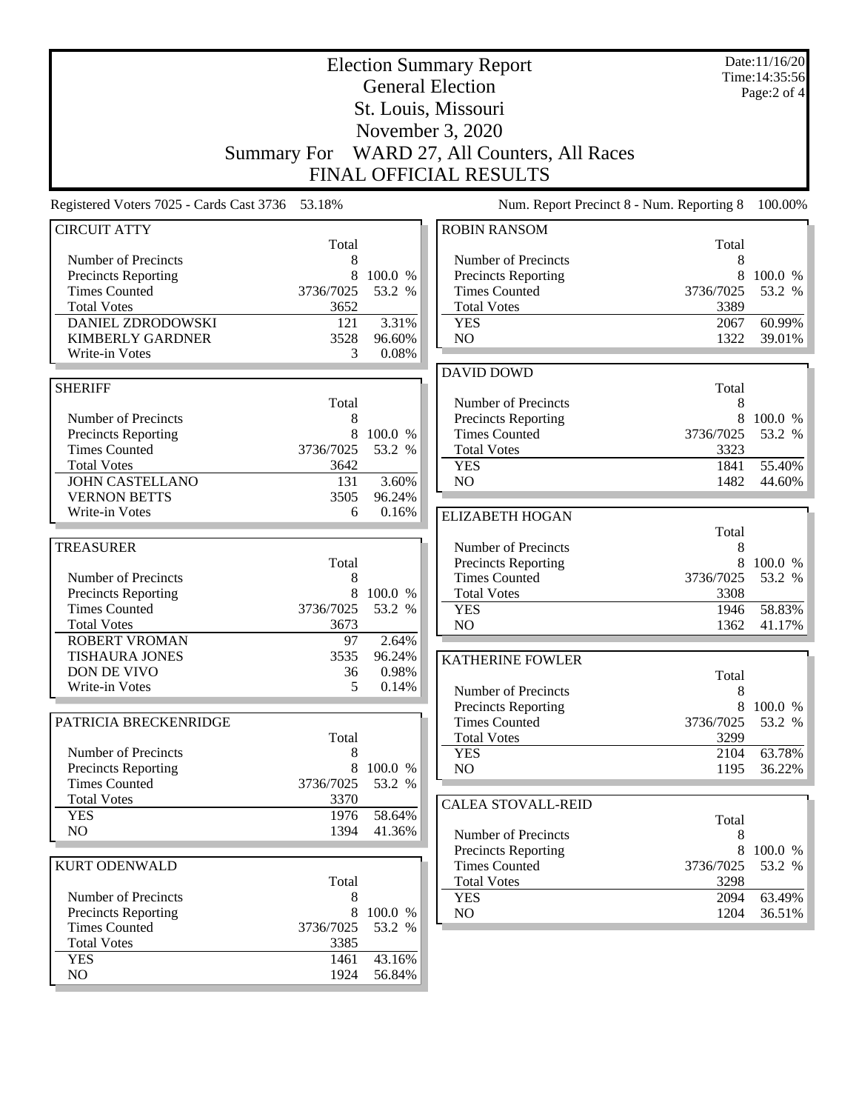|                                                 |                |                   | <b>Election Summary Report</b><br><b>General Election</b><br>St. Louis, Missouri<br>November 3, 2020<br>Summary For WARD 27, All Counters, All Races |                | Date:11/16/20<br>Time:14:35:56<br>Page:2 of 4 |
|-------------------------------------------------|----------------|-------------------|------------------------------------------------------------------------------------------------------------------------------------------------------|----------------|-----------------------------------------------|
|                                                 |                |                   | <b>FINAL OFFICIAL RESULTS</b>                                                                                                                        |                |                                               |
| Registered Voters 7025 - Cards Cast 3736 53.18% |                |                   | Num. Report Precinct 8 - Num. Reporting 8                                                                                                            |                | 100.00%                                       |
| <b>CIRCUIT ATTY</b>                             | Total          |                   | <b>ROBIN RANSOM</b>                                                                                                                                  | Total          |                                               |
| Number of Precincts                             | 8              |                   | Number of Precincts                                                                                                                                  | 8              |                                               |
| Precincts Reporting                             | 8              | 100.0 %           | Precincts Reporting                                                                                                                                  | 8              | 100.0 %                                       |
| <b>Times Counted</b>                            | 3736/7025      | 53.2 %            | <b>Times Counted</b>                                                                                                                                 | 3736/7025      | 53.2 %                                        |
| <b>Total Votes</b>                              | 3652           |                   | <b>Total Votes</b>                                                                                                                                   | 3389           |                                               |
| DANIEL ZDRODOWSKI                               | 121            | 3.31%             | <b>YES</b><br>NO                                                                                                                                     | 2067           | 60.99%                                        |
| <b>KIMBERLY GARDNER</b><br>Write-in Votes       | 3528<br>3      | 96.60%<br>0.08%   |                                                                                                                                                      | 1322           | 39.01%                                        |
|                                                 |                |                   | <b>DAVID DOWD</b>                                                                                                                                    |                |                                               |
| <b>SHERIFF</b>                                  |                |                   |                                                                                                                                                      | Total          |                                               |
|                                                 | Total          |                   | Number of Precincts                                                                                                                                  | 8              |                                               |
| Number of Precincts                             | 8              |                   | Precincts Reporting                                                                                                                                  | 8              | 100.0 %                                       |
| Precincts Reporting                             | 8              | 100.0 %           | <b>Times Counted</b>                                                                                                                                 | 3736/7025      | 53.2 %                                        |
| <b>Times Counted</b>                            | 3736/7025      | 53.2 %            | <b>Total Votes</b>                                                                                                                                   | 3323           |                                               |
| <b>Total Votes</b>                              | 3642           |                   | <b>YES</b>                                                                                                                                           | 1841           | 55.40%                                        |
| <b>JOHN CASTELLANO</b>                          | 131            | 3.60%             | NO                                                                                                                                                   | 1482           | 44.60%                                        |
| <b>VERNON BETTS</b>                             | 3505           | 96.24%            |                                                                                                                                                      |                |                                               |
| Write-in Votes                                  | 6              | 0.16%             | <b>ELIZABETH HOGAN</b>                                                                                                                               |                |                                               |
|                                                 |                |                   |                                                                                                                                                      | Total          |                                               |
| <b>TREASURER</b>                                |                |                   | Number of Precincts                                                                                                                                  | 8              |                                               |
| Number of Precincts                             | Total<br>8     |                   | Precincts Reporting<br><b>Times Counted</b>                                                                                                          | 8<br>3736/7025 | 100.0 %<br>53.2 %                             |
| Precincts Reporting                             | 8              | 100.0 %           | <b>Total Votes</b>                                                                                                                                   | 3308           |                                               |
| <b>Times Counted</b>                            | 3736/7025      | 53.2 %            | <b>YES</b>                                                                                                                                           | 1946           | 58.83%                                        |
| <b>Total Votes</b>                              | 3673           |                   | N <sub>O</sub>                                                                                                                                       | 1362           | 41.17%                                        |
| <b>ROBERT VROMAN</b>                            | 97             | 2.64%             |                                                                                                                                                      |                |                                               |
| <b>TISHAURA JONES</b>                           | 3535           | 96.24%            | <b>KATHERINE FOWLER</b>                                                                                                                              |                |                                               |
| DON DE VIVO                                     | 36             | 0.98%             |                                                                                                                                                      | Total          |                                               |
| Write-in Votes                                  | 5              | 0.14%             | Number of Precincts                                                                                                                                  | 8              |                                               |
|                                                 |                |                   | Precincts Reporting                                                                                                                                  |                | 8 100.0 %                                     |
| PATRICIA BRECKENRIDGE                           |                |                   | <b>Times Counted</b>                                                                                                                                 | 3736/7025      | 53.2 %                                        |
|                                                 | Total          |                   | <b>Total Votes</b>                                                                                                                                   | 3299           |                                               |
| Number of Precincts                             | 8              |                   | <b>YES</b>                                                                                                                                           | 2104           | 63.78%                                        |
| Precincts Reporting<br><b>Times Counted</b>     | 8<br>3736/7025 | 100.0 %<br>53.2 % | NO                                                                                                                                                   | 1195           | 36.22%                                        |
| <b>Total Votes</b>                              | 3370           |                   |                                                                                                                                                      |                |                                               |
| <b>YES</b>                                      | 1976           | 58.64%            | <b>CALEA STOVALL-REID</b>                                                                                                                            |                |                                               |
| NO.                                             | 1394           | 41.36%            | Number of Precincts                                                                                                                                  | Total<br>8     |                                               |
|                                                 |                |                   | <b>Precincts Reporting</b>                                                                                                                           | 8              | 100.0 %                                       |
| <b>KURT ODENWALD</b>                            |                |                   | <b>Times Counted</b>                                                                                                                                 | 3736/7025      | 53.2 %                                        |
|                                                 | Total          |                   | <b>Total Votes</b>                                                                                                                                   | 3298           |                                               |
| Number of Precincts                             | 8              |                   | <b>YES</b>                                                                                                                                           | 2094           | 63.49%                                        |
| Precincts Reporting                             | 8              | 100.0 %           | NO                                                                                                                                                   | 1204           | 36.51%                                        |
| <b>Times Counted</b>                            | 3736/7025      | 53.2 %            |                                                                                                                                                      |                |                                               |
| <b>Total Votes</b>                              | 3385           |                   |                                                                                                                                                      |                |                                               |
| <b>YES</b>                                      | 1461           | 43.16%            |                                                                                                                                                      |                |                                               |
| NO                                              | 1924           | 56.84%            |                                                                                                                                                      |                |                                               |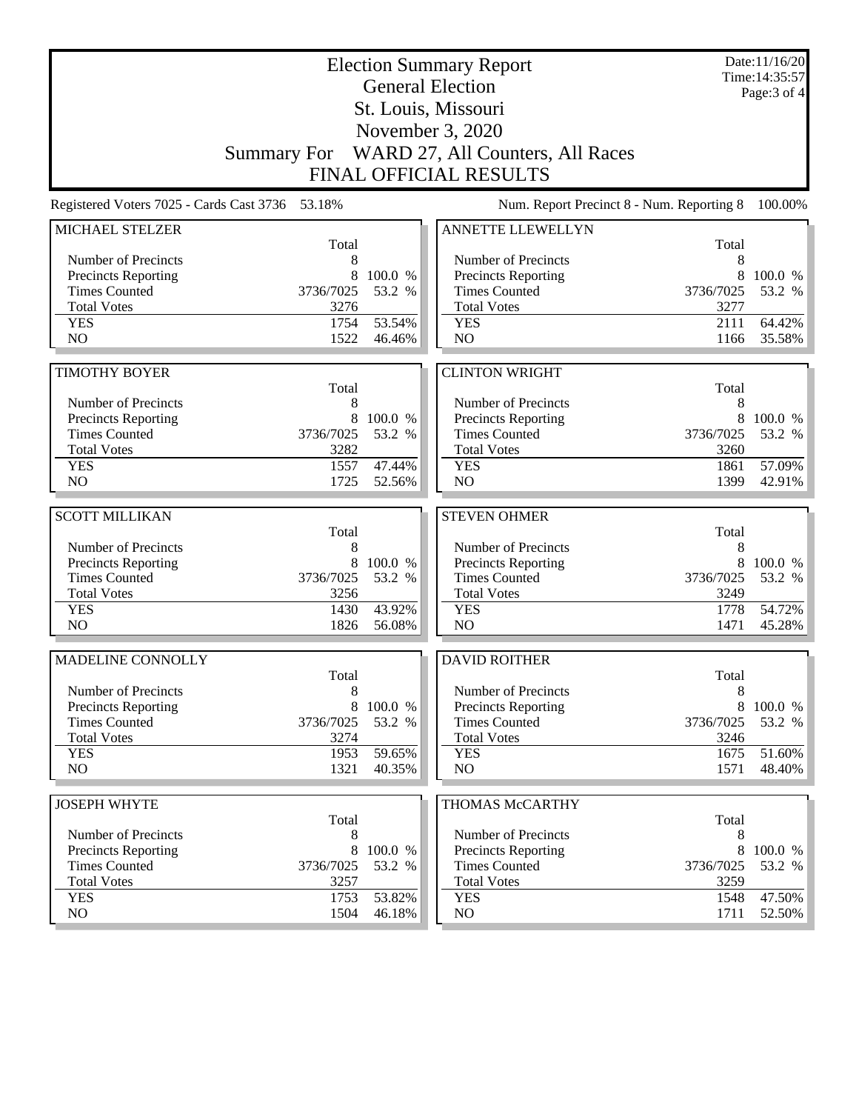|                                                   | <b>Election Summary Report</b><br><b>General Election</b> |                  |                                                   |                   |                  |
|---------------------------------------------------|-----------------------------------------------------------|------------------|---------------------------------------------------|-------------------|------------------|
|                                                   |                                                           | Page: 3 of 4     |                                                   |                   |                  |
|                                                   |                                                           |                  | November 3, 2020                                  |                   |                  |
|                                                   |                                                           |                  | Summary For WARD 27, All Counters, All Races      |                   |                  |
|                                                   |                                                           |                  | FINAL OFFICIAL RESULTS                            |                   |                  |
| Registered Voters 7025 - Cards Cast 3736 53.18%   |                                                           |                  | Num. Report Precinct 8 - Num. Reporting 8         |                   | 100.00%          |
| MICHAEL STELZER                                   |                                                           |                  | <b>ANNETTE LLEWELLYN</b>                          |                   |                  |
|                                                   | Total<br>8                                                |                  |                                                   | Total<br>8        |                  |
| Number of Precincts<br><b>Precincts Reporting</b> | 8                                                         | 100.0 %          | Number of Precincts<br><b>Precincts Reporting</b> | 8                 | 100.0 %          |
| <b>Times Counted</b>                              | 3736/7025                                                 | 53.2 %           | <b>Times Counted</b>                              | 3736/7025         | 53.2 %           |
| <b>Total Votes</b>                                | 3276                                                      |                  | <b>Total Votes</b>                                | 3277              |                  |
| <b>YES</b>                                        | 1754                                                      | 53.54%           | <b>YES</b>                                        | 2111              | 64.42%           |
| N <sub>O</sub>                                    | 1522                                                      | 46.46%           | N <sub>O</sub>                                    | 1166              | 35.58%           |
|                                                   |                                                           |                  |                                                   |                   |                  |
| <b>TIMOTHY BOYER</b>                              |                                                           |                  | <b>CLINTON WRIGHT</b>                             |                   |                  |
| Number of Precincts                               | Total<br>8                                                |                  | Number of Precincts                               | Total<br>8        |                  |
| <b>Precincts Reporting</b>                        | 8                                                         | 100.0 %          | Precincts Reporting                               | 8                 | 100.0 %          |
| <b>Times Counted</b>                              | 3736/7025                                                 | 53.2 %           | <b>Times Counted</b>                              | 3736/7025         | 53.2 %           |
| <b>Total Votes</b>                                | 3282                                                      |                  | <b>Total Votes</b>                                | 3260              |                  |
| <b>YES</b>                                        | 1557                                                      | 47.44%           | <b>YES</b>                                        | 1861              | 57.09%           |
| NO                                                | 1725                                                      | 52.56%           | NO                                                | 1399              | 42.91%           |
|                                                   |                                                           |                  |                                                   |                   |                  |
|                                                   |                                                           |                  |                                                   |                   |                  |
| <b>SCOTT MILLIKAN</b>                             |                                                           |                  | <b>STEVEN OHMER</b>                               |                   |                  |
|                                                   | Total                                                     |                  |                                                   | Total             |                  |
| Number of Precincts                               | 8                                                         |                  | Number of Precincts                               | 8                 |                  |
| Precincts Reporting                               | 8                                                         | 100.0 %          | Precincts Reporting                               | 8                 | 100.0 %          |
| <b>Times Counted</b><br><b>Total Votes</b>        | 3736/7025<br>3256                                         | 53.2 %           | <b>Times Counted</b><br><b>Total Votes</b>        | 3736/7025<br>3249 | 53.2 %           |
| <b>YES</b>                                        | 1430                                                      | 43.92%           | <b>YES</b>                                        | 1778              | 54.72%           |
| N <sub>O</sub>                                    | 1826                                                      | 56.08%           | NO                                                | 1471              | 45.28%           |
| MADELINE CONNOLLY                                 |                                                           |                  | <b>DAVID ROITHER</b>                              |                   |                  |
|                                                   | Total                                                     |                  |                                                   | Total             |                  |
| Number of Precincts                               | 8                                                         |                  | Number of Precincts                               | 8                 |                  |
| <b>Precincts Reporting</b>                        | 8                                                         | 100.0 %          | Precincts Reporting                               | 8                 | 100.0 %          |
| <b>Times Counted</b>                              | 3736/7025                                                 | 53.2 %           | <b>Times Counted</b>                              | 3736/7025         | 53.2 %           |
| <b>Total Votes</b>                                | 3274                                                      |                  | <b>Total Votes</b>                                | 3246              |                  |
| <b>YES</b><br>NO.                                 | 1953<br>1321                                              | 59.65%<br>40.35% | <b>YES</b><br>NO                                  | 1675<br>1571      | 51.60%<br>48.40% |
|                                                   |                                                           |                  |                                                   |                   |                  |
| <b>JOSEPH WHYTE</b>                               |                                                           |                  | THOMAS McCARTHY                                   |                   |                  |
|                                                   | Total                                                     |                  |                                                   | Total             |                  |
| Number of Precincts                               | 8                                                         |                  | Number of Precincts                               | 8                 |                  |
| Precincts Reporting<br><b>Times Counted</b>       | 8                                                         | 100.0 %          | Precincts Reporting                               | 8<br>3736/7025    | 100.0 %          |
| <b>Total Votes</b>                                | 3736/7025<br>3257                                         | 53.2 %           | <b>Times Counted</b><br><b>Total Votes</b>        | 3259              | 53.2 %           |
| <b>YES</b><br>NO.                                 | 1753<br>1504                                              | 53.82%<br>46.18% | <b>YES</b><br>NO.                                 | 1548<br>1711      | 47.50%<br>52.50% |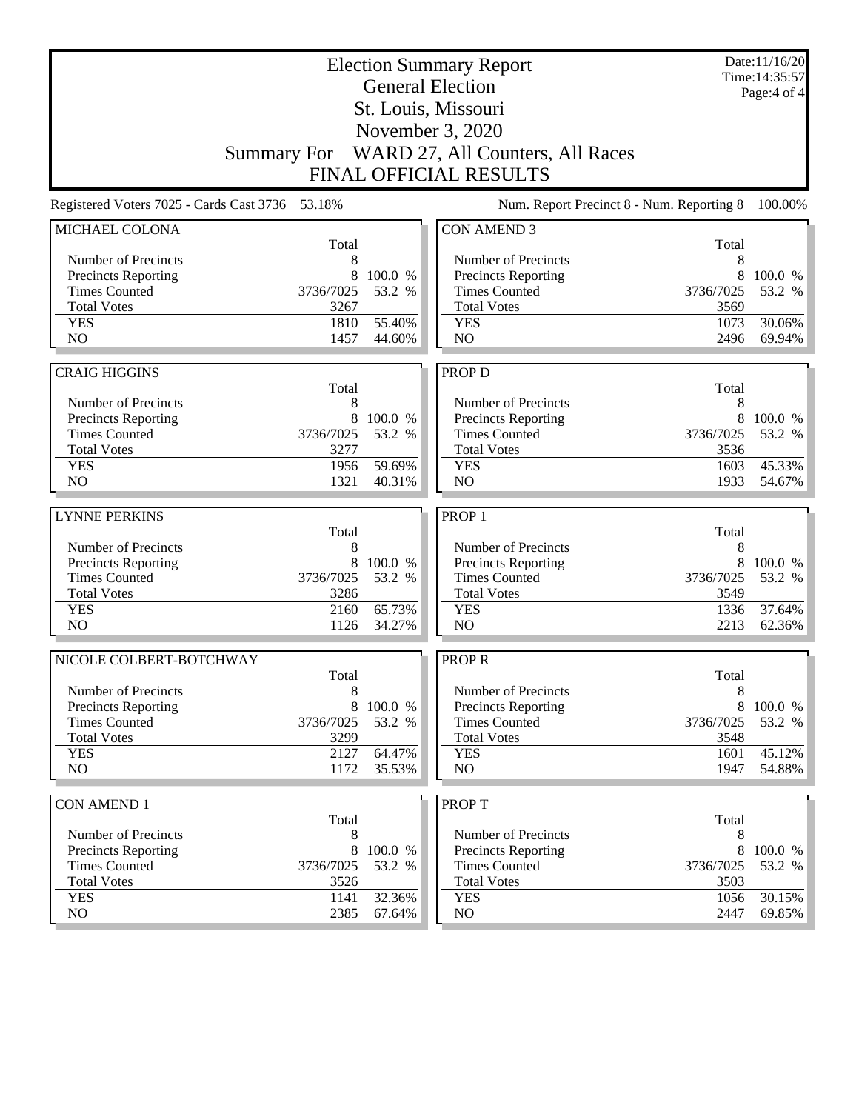|                                                 |              | Date:11/16/20<br>Time: 14:35:57<br>Page: 4 of 4 |                                              |              |                  |
|-------------------------------------------------|--------------|-------------------------------------------------|----------------------------------------------|--------------|------------------|
|                                                 |              |                                                 | St. Louis, Missouri                          |              |                  |
|                                                 |              |                                                 | November 3, 2020                             |              |                  |
|                                                 |              |                                                 | Summary For WARD 27, All Counters, All Races |              |                  |
|                                                 |              |                                                 | <b>FINAL OFFICIAL RESULTS</b>                |              |                  |
| Registered Voters 7025 - Cards Cast 3736 53.18% |              |                                                 | Num. Report Precinct 8 - Num. Reporting 8    |              | 100.00%          |
| MICHAEL COLONA                                  | Total        |                                                 | <b>CON AMEND 3</b>                           | Total        |                  |
| Number of Precincts                             | 8            |                                                 | Number of Precincts                          | 8            |                  |
| <b>Precincts Reporting</b>                      | 8            | 100.0 %                                         | Precincts Reporting                          | 8            | 100.0 %          |
| <b>Times Counted</b>                            | 3736/7025    | 53.2 %                                          | <b>Times Counted</b>                         | 3736/7025    | 53.2 %           |
| <b>Total Votes</b>                              | 3267         |                                                 | <b>Total Votes</b>                           | 3569         |                  |
| <b>YES</b>                                      | 1810         | 55.40%                                          | <b>YES</b>                                   | 1073         | 30.06%           |
| N <sub>O</sub>                                  | 1457         | 44.60%                                          | N <sub>O</sub>                               | 2496         | 69.94%           |
| <b>CRAIG HIGGINS</b>                            |              |                                                 | PROP D                                       |              |                  |
|                                                 | Total        |                                                 |                                              | Total        |                  |
| Number of Precincts                             | 8            |                                                 | Number of Precincts                          | 8            |                  |
| Precincts Reporting                             | 8            | 100.0 %                                         | Precincts Reporting                          | 8            | 100.0 %          |
| <b>Times Counted</b>                            | 3736/7025    | 53.2 %                                          | <b>Times Counted</b>                         | 3736/7025    | 53.2 %           |
| <b>Total Votes</b>                              | 3277         |                                                 | <b>Total Votes</b>                           | 3536         |                  |
| <b>YES</b>                                      | 1956         | 59.69%                                          | <b>YES</b>                                   | 1603         | 45.33%           |
| N <sub>O</sub>                                  | 1321         | 40.31%                                          | N <sub>O</sub>                               | 1933         | 54.67%           |
| <b>LYNNE PERKINS</b>                            |              |                                                 | PROP <sub>1</sub>                            |              |                  |
|                                                 | Total        |                                                 |                                              | Total        |                  |
| Number of Precincts                             | 8            |                                                 | Number of Precincts                          | 8            |                  |
| Precincts Reporting                             | 8            | 100.0 %                                         | Precincts Reporting                          | 8            | 100.0 %          |
| <b>Times Counted</b>                            | 3736/7025    | 53.2 %                                          | <b>Times Counted</b>                         | 3736/7025    | 53.2 %           |
| <b>Total Votes</b>                              | 3286         |                                                 | <b>Total Votes</b>                           | 3549         |                  |
| <b>YES</b><br>NO                                | 2160<br>1126 | 65.73%<br>34.27%                                | <b>YES</b><br>NO                             | 1336<br>2213 | 37.64%<br>62.36% |
|                                                 |              |                                                 |                                              |              |                  |
| NICOLE COLBERT-BOTCHWAY                         |              |                                                 | <b>PROPR</b>                                 |              |                  |
| Number of Precincts                             | Total<br>8   |                                                 | Number of Precincts                          | Total<br>8   |                  |
| <b>Precincts Reporting</b>                      | 8            | 100.0 %                                         | Precincts Reporting                          | 8            | 100.0 %          |
| <b>Times Counted</b>                            | 3736/7025    | 53.2 %                                          | <b>Times Counted</b>                         | 3736/7025    | 53.2 %           |
| <b>Total Votes</b>                              | 3299         |                                                 | <b>Total Votes</b>                           | 3548         |                  |
| <b>YES</b>                                      | 2127         | 64.47%                                          | <b>YES</b>                                   | 1601         | 45.12%           |
| NO                                              | 1172         | 35.53%                                          | NO                                           | 1947         | 54.88%           |
| <b>CON AMEND 1</b>                              |              |                                                 | <b>PROPT</b>                                 |              |                  |
|                                                 | Total        |                                                 |                                              | Total        |                  |
|                                                 |              |                                                 |                                              |              |                  |
| Number of Precincts                             | 8            |                                                 | Number of Precincts                          | 8            |                  |
| <b>Precincts Reporting</b>                      | 8            | 100.0 %                                         | <b>Precincts Reporting</b>                   | 8            | 100.0 %          |
| <b>Times Counted</b>                            | 3736/7025    | 53.2 %                                          | <b>Times Counted</b>                         | 3736/7025    | 53.2 %           |
| <b>Total Votes</b>                              | 3526         |                                                 | <b>Total Votes</b>                           | 3503         |                  |
| <b>YES</b><br>NO                                | 1141<br>2385 | 32.36%<br>67.64%                                | <b>YES</b><br>NO                             | 1056<br>2447 | 30.15%<br>69.85% |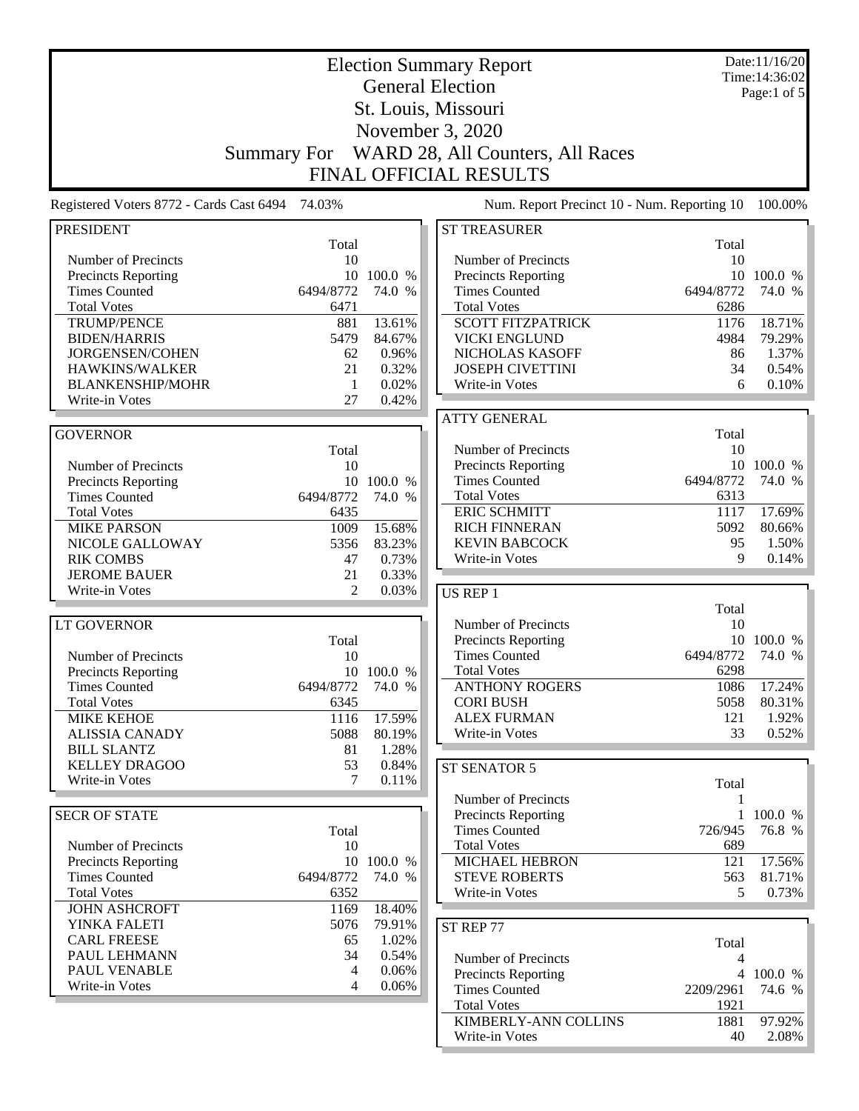|                                                   |                    |            | <b>Election Summary Report</b>              |             | Date:11/16/20<br>Time: 14:36:02 |
|---------------------------------------------------|--------------------|------------|---------------------------------------------|-------------|---------------------------------|
|                                                   |                    |            | <b>General Election</b>                     |             | Page:1 of 5                     |
|                                                   |                    |            | St. Louis, Missouri                         |             |                                 |
|                                                   |                    |            | November 3, 2020                            |             |                                 |
|                                                   |                    |            |                                             |             |                                 |
|                                                   | <b>Summary For</b> |            | WARD 28, All Counters, All Races            |             |                                 |
|                                                   |                    |            | <b>FINAL OFFICIAL RESULTS</b>               |             |                                 |
| Registered Voters 8772 - Cards Cast 6494 74.03%   |                    |            | Num. Report Precinct 10 - Num. Reporting 10 |             | 100.00%                         |
| <b>PRESIDENT</b>                                  |                    |            | <b>ST TREASURER</b>                         |             |                                 |
|                                                   | Total              |            |                                             | Total       |                                 |
| Number of Precincts<br><b>Precincts Reporting</b> | 10<br>10           | 100.0 %    | Number of Precincts<br>Precincts Reporting  | 10<br>10    | 100.0 %                         |
| <b>Times Counted</b>                              | 6494/8772          | 74.0 %     | <b>Times Counted</b>                        | 6494/8772   | 74.0 %                          |
| <b>Total Votes</b>                                | 6471               |            | <b>Total Votes</b>                          | 6286        |                                 |
| <b>TRUMP/PENCE</b>                                | 881                | 13.61%     | <b>SCOTT FITZPATRICK</b>                    | 1176        | 18.71%                          |
| <b>BIDEN/HARRIS</b>                               | 5479               | 84.67%     | <b>VICKI ENGLUND</b>                        | 4984        | 79.29%                          |
| JORGENSEN/COHEN                                   | 62                 | 0.96%      | NICHOLAS KASOFF                             | 86          | 1.37%                           |
| HAWKINS/WALKER                                    | 21                 | 0.32%      | <b>JOSEPH CIVETTINI</b>                     | 34          | 0.54%                           |
| <b>BLANKENSHIP/MOHR</b>                           | 1                  | 0.02%      | Write-in Votes                              | 6           | 0.10%                           |
| Write-in Votes                                    | 27                 | 0.42%      |                                             |             |                                 |
| <b>GOVERNOR</b>                                   |                    |            | <b>ATTY GENERAL</b>                         | Total       |                                 |
|                                                   | Total              |            | Number of Precincts                         | 10          |                                 |
| Number of Precincts                               | 10                 |            | Precincts Reporting                         |             | 10 100.0 %                      |
| <b>Precincts Reporting</b>                        |                    | 10 100.0 % | <b>Times Counted</b>                        | 6494/8772   | 74.0 %                          |
| <b>Times Counted</b>                              | 6494/8772          | 74.0 %     | <b>Total Votes</b>                          | 6313        |                                 |
| <b>Total Votes</b>                                | 6435               |            | <b>ERIC SCHMITT</b>                         | 1117        | 17.69%                          |
| <b>MIKE PARSON</b>                                | 1009               | 15.68%     | <b>RICH FINNERAN</b>                        | 5092        | 80.66%                          |
| NICOLE GALLOWAY                                   | 5356               | 83.23%     | <b>KEVIN BABCOCK</b>                        | 95          | 1.50%                           |
| <b>RIK COMBS</b>                                  | 47                 | 0.73%      | Write-in Votes                              | 9           | 0.14%                           |
| <b>JEROME BAUER</b>                               | 21                 | 0.33%      |                                             |             |                                 |
| Write-in Votes                                    | $\overline{2}$     | 0.03%      | US REP 1                                    |             |                                 |
| LT GOVERNOR                                       |                    |            | Number of Precincts                         | Total<br>10 |                                 |
|                                                   | Total              |            | Precincts Reporting                         |             | 10 100.0 %                      |
| Number of Precincts                               | 10                 |            | <b>Times Counted</b>                        | 6494/8772   | 74.0 %                          |
| <b>Precincts Reporting</b>                        |                    | 10 100.0 % | <b>Total Votes</b>                          | 6298        |                                 |
| <b>Times Counted</b>                              | 6494/8772          | 74.0 %     | <b>ANTHONY ROGERS</b>                       | 1086        | 17.24%                          |
| <b>Total Votes</b>                                | 6345               |            | <b>CORI BUSH</b>                            | 5058        | 80.31%                          |
| <b>MIKE KEHOE</b>                                 | 1116               | 17.59%     | <b>ALEX FURMAN</b>                          | 121         | 1.92%                           |
| <b>ALISSIA CANADY</b>                             | 5088               | 80.19%     | Write-in Votes                              | 33          | 0.52%                           |
| <b>BILL SLANTZ</b>                                | 81                 | 1.28%      |                                             |             |                                 |
| <b>KELLEY DRAGOO</b>                              | 53                 | 0.84%      | ST SENATOR 5                                |             |                                 |
| Write-in Votes                                    | 7                  | 0.11%      |                                             | Total       |                                 |
|                                                   |                    |            | Number of Precincts                         | 1           |                                 |
| <b>SECR OF STATE</b>                              | Total              |            | Precincts Reporting<br><b>Times Counted</b> | 726/945     | 1 100.0 %<br>76.8 %             |
| Number of Precincts                               | 10                 |            | <b>Total Votes</b>                          | 689         |                                 |
| <b>Precincts Reporting</b>                        |                    | 10 100.0 % | <b>MICHAEL HEBRON</b>                       | 121         | 17.56%                          |
| <b>Times Counted</b>                              | 6494/8772          | 74.0 %     | <b>STEVE ROBERTS</b>                        | 563         | 81.71%                          |
| <b>Total Votes</b>                                | 6352               |            | Write-in Votes                              | 5           | 0.73%                           |
| <b>JOHN ASHCROFT</b>                              | 1169               | 18.40%     |                                             |             |                                 |
| YINKA FALETI                                      | 5076               | 79.91%     | ST REP 77                                   |             |                                 |
| <b>CARL FREESE</b>                                | 65                 | 1.02%      |                                             | Total       |                                 |
| PAUL LEHMANN                                      | 34                 | 0.54%      | Number of Precincts                         | 4           |                                 |
| PAUL VENABLE                                      | 4                  | 0.06%      | <b>Precincts Reporting</b>                  |             | 4 100.0 %                       |
| Write-in Votes                                    | 4                  | 0.06%      | <b>Times Counted</b>                        | 2209/2961   | 74.6 %                          |
|                                                   |                    |            | <b>Total Votes</b>                          | 1921        |                                 |
|                                                   |                    |            | KIMBERLY-ANN COLLINS                        | 1881        | 97.92%                          |
|                                                   |                    |            | Write-in Votes                              | 40          | $2.08\%$                        |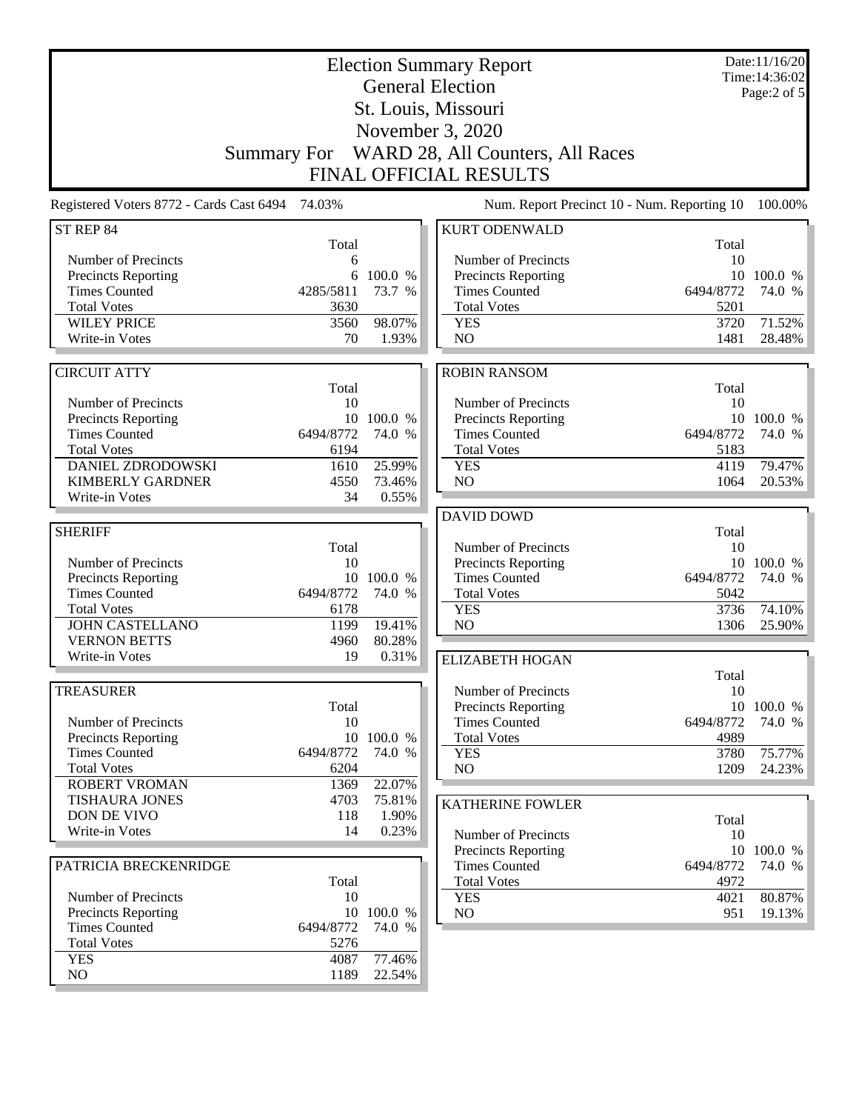| <b>Election Summary Report</b><br><b>General Election</b> |                    |                      |                                             |                   | Date:11/16/20<br>Time: 14:36:02 |
|-----------------------------------------------------------|--------------------|----------------------|---------------------------------------------|-------------------|---------------------------------|
|                                                           |                    |                      |                                             |                   | Page:2 of 5                     |
|                                                           |                    |                      | St. Louis, Missouri                         |                   |                                 |
|                                                           |                    |                      | November 3, 2020                            |                   |                                 |
|                                                           | <b>Summary For</b> |                      | WARD 28, All Counters, All Races            |                   |                                 |
|                                                           |                    |                      | <b>FINAL OFFICIAL RESULTS</b>               |                   |                                 |
| Registered Voters 8772 - Cards Cast 6494 74.03%           |                    |                      | Num. Report Precinct 10 - Num. Reporting 10 |                   | 100.00%                         |
| ST REP 84                                                 |                    |                      | <b>KURT ODENWALD</b>                        |                   |                                 |
|                                                           | Total              |                      |                                             | Total             |                                 |
| Number of Precincts                                       | 6                  |                      | Number of Precincts                         | 10                |                                 |
| Precincts Reporting<br><b>Times Counted</b>               | 6<br>4285/5811     | 100.0 %<br>73.7 %    | Precincts Reporting<br><b>Times Counted</b> | 6494/8772         | 10 100.0 %<br>74.0 %            |
| <b>Total Votes</b>                                        | 3630               |                      | <b>Total Votes</b>                          | 5201              |                                 |
| <b>WILEY PRICE</b>                                        | 3560               | 98.07%               | <b>YES</b>                                  | 3720              | 71.52%                          |
| Write-in Votes                                            | 70                 | 1.93%                | N <sub>O</sub>                              | 1481              | 28.48%                          |
|                                                           |                    |                      |                                             |                   |                                 |
| <b>CIRCUIT ATTY</b>                                       |                    |                      | <b>ROBIN RANSOM</b>                         |                   |                                 |
| Number of Precincts                                       | Total<br>10        |                      | Number of Precincts                         | Total<br>10       |                                 |
| Precincts Reporting                                       |                    | 10 100.0 %           | Precincts Reporting                         |                   | 10 100.0 %                      |
| <b>Times Counted</b>                                      | 6494/8772          | 74.0 %               | <b>Times Counted</b>                        | 6494/8772         | 74.0 %                          |
| <b>Total Votes</b>                                        | 6194               |                      | <b>Total Votes</b>                          | 5183              |                                 |
| DANIEL ZDRODOWSKI                                         | 1610               | 25.99%               | <b>YES</b>                                  | 4119              | 79.47%                          |
| <b>KIMBERLY GARDNER</b>                                   | 4550               | 73.46%               | NO                                          | 1064              | 20.53%                          |
| Write-in Votes                                            | 34                 | 0.55%                |                                             |                   |                                 |
|                                                           |                    |                      | <b>DAVID DOWD</b>                           |                   |                                 |
| <b>SHERIFF</b>                                            |                    |                      |                                             | Total             |                                 |
|                                                           | Total              |                      | Number of Precincts                         | 10                |                                 |
| Number of Precincts                                       | 10                 | 10 100.0 %           | Precincts Reporting<br><b>Times Counted</b> | 6494/8772         | 10 100.0 %<br>74.0 %            |
| Precincts Reporting<br><b>Times Counted</b>               | 6494/8772          | 74.0 %               | <b>Total Votes</b>                          | 5042              |                                 |
| <b>Total Votes</b>                                        | 6178               |                      | <b>YES</b>                                  | 3736              | 74.10%                          |
| <b>JOHN CASTELLANO</b>                                    | 1199               | 19.41%               | NO                                          | 1306              | 25.90%                          |
| <b>VERNON BETTS</b>                                       | 4960               | 80.28%               |                                             |                   |                                 |
| Write-in Votes                                            | 19                 | 0.31%                | <b>ELIZABETH HOGAN</b>                      |                   |                                 |
|                                                           |                    |                      |                                             | Total             |                                 |
| <b>TREASURER</b>                                          |                    |                      | Number of Precincts                         | 10                |                                 |
|                                                           | Total              |                      | Precincts Reporting                         |                   | 10 100.0 %                      |
| Number of Precincts                                       | 10                 | 10 100.0 %           | <b>Times Counted</b><br><b>Total Votes</b>  | 6494/8772<br>4989 | 74.0 %                          |
| <b>Precincts Reporting</b><br><b>Times Counted</b>        | 6494/8772          | 74.0 %               | <b>YES</b>                                  | 3780              | 75.77%                          |
| <b>Total Votes</b>                                        | 6204               |                      | NO                                          | 1209              | 24.23%                          |
| <b>ROBERT VROMAN</b>                                      | 1369               | 22.07%               |                                             |                   |                                 |
| <b>TISHAURA JONES</b>                                     | 4703               | 75.81%               | <b>KATHERINE FOWLER</b>                     |                   |                                 |
| DON DE VIVO                                               | 118                | 1.90%                |                                             | Total             |                                 |
| Write-in Votes                                            | 14                 | 0.23%                | Number of Precincts                         | 10                |                                 |
|                                                           |                    |                      | <b>Precincts Reporting</b>                  |                   | 10 100.0 %                      |
| PATRICIA BRECKENRIDGE                                     |                    |                      | <b>Times Counted</b>                        | 6494/8772         | 74.0 %                          |
|                                                           | Total              |                      | <b>Total Votes</b>                          | 4972              |                                 |
| Number of Precincts                                       | 10                 |                      | <b>YES</b>                                  | 4021              | 80.87%                          |
| Precincts Reporting<br><b>Times Counted</b>               | 6494/8772          | 10 100.0 %<br>74.0 % | NO                                          | 951               | 19.13%                          |
| <b>Total Votes</b>                                        | 5276               |                      |                                             |                   |                                 |
| <b>YES</b>                                                | 4087               | 77.46%               |                                             |                   |                                 |
| $\rm NO$                                                  | 1189               | 22.54%               |                                             |                   |                                 |
|                                                           |                    |                      |                                             |                   |                                 |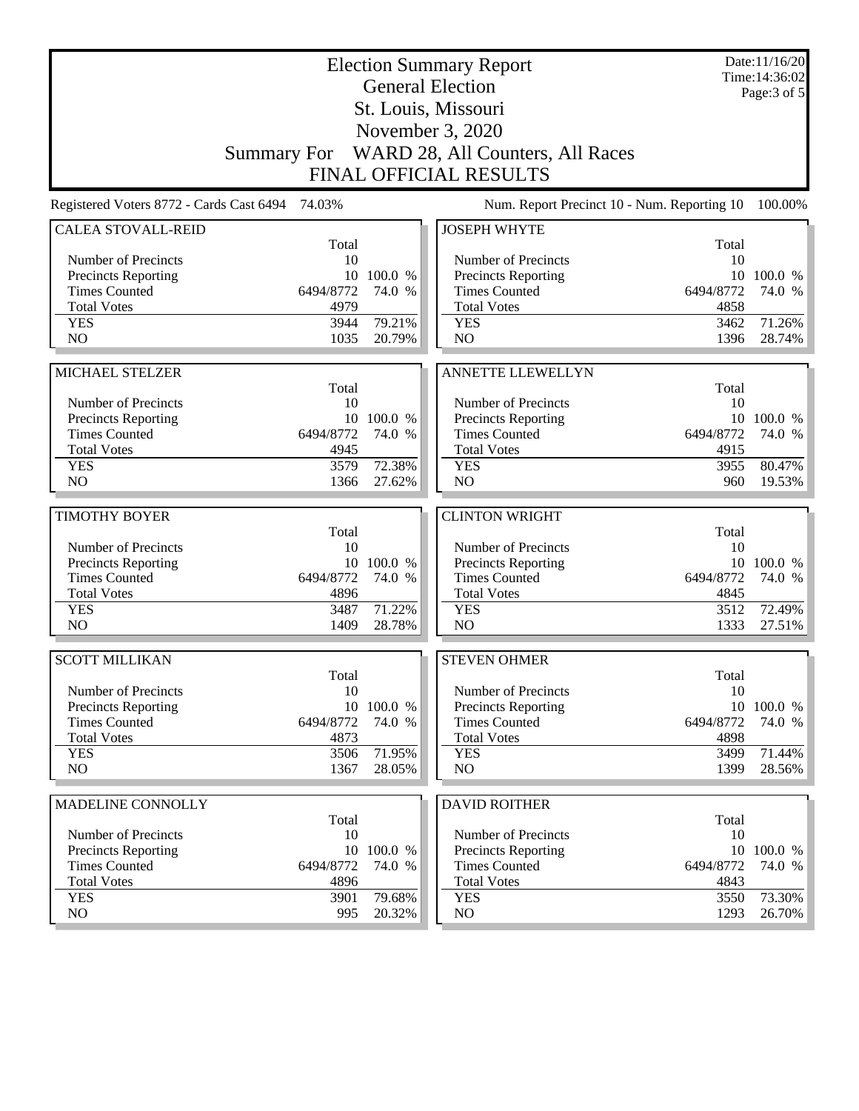|                                                   |           |            | <b>Election Summary Report</b><br><b>General Election</b> |           | Date:11/16/20<br>Time: 14:36:02 |
|---------------------------------------------------|-----------|------------|-----------------------------------------------------------|-----------|---------------------------------|
|                                                   |           |            | St. Louis, Missouri                                       |           | Page: $3$ of $5$                |
|                                                   |           |            | November 3, 2020                                          |           |                                 |
|                                                   |           |            |                                                           |           |                                 |
|                                                   |           |            | Summary For WARD 28, All Counters, All Races              |           |                                 |
|                                                   |           |            | <b>FINAL OFFICIAL RESULTS</b>                             |           |                                 |
| Registered Voters 8772 - Cards Cast 6494          | 74.03%    |            | Num. Report Precinct 10 - Num. Reporting 10               |           | 100.00%                         |
| <b>CALEA STOVALL-REID</b>                         | Total     |            | <b>JOSEPH WHYTE</b>                                       | Total     |                                 |
| Number of Precincts                               | 10        |            | Number of Precincts                                       | 10        |                                 |
| <b>Precincts Reporting</b>                        |           | 10 100.0 % | Precincts Reporting                                       |           | 10 100.0 %                      |
| <b>Times Counted</b>                              | 6494/8772 | 74.0 %     | <b>Times Counted</b>                                      | 6494/8772 | 74.0 %                          |
| <b>Total Votes</b>                                | 4979      |            | <b>Total Votes</b>                                        | 4858      |                                 |
| <b>YES</b>                                        | 3944      | 79.21%     | <b>YES</b>                                                | 3462      | 71.26%                          |
| N <sub>O</sub>                                    | 1035      | 20.79%     | NO                                                        | 1396      | 28.74%                          |
|                                                   |           |            |                                                           |           |                                 |
| MICHAEL STELZER                                   |           |            | <b>ANNETTE LLEWELLYN</b>                                  |           |                                 |
|                                                   | Total     |            |                                                           | Total     |                                 |
| Number of Precincts<br><b>Precincts Reporting</b> | 10        | 10 100.0 % | Number of Precincts<br>Precincts Reporting                | 10        | 10 100.0 %                      |
| <b>Times Counted</b>                              | 6494/8772 | 74.0 %     | <b>Times Counted</b>                                      | 6494/8772 | 74.0 %                          |
| <b>Total Votes</b>                                | 4945      |            | <b>Total Votes</b>                                        | 4915      |                                 |
| <b>YES</b>                                        | 3579      | 72.38%     | <b>YES</b>                                                | 3955      | 80.47%                          |
| N <sub>O</sub>                                    | 1366      | 27.62%     | NO                                                        | 960       | 19.53%                          |
|                                                   |           |            |                                                           |           |                                 |
| <b>TIMOTHY BOYER</b>                              | Total     |            | <b>CLINTON WRIGHT</b>                                     | Total     |                                 |
| Number of Precincts                               | 10        |            | Number of Precincts                                       | 10        |                                 |
| <b>Precincts Reporting</b>                        |           | 10 100.0 % | Precincts Reporting                                       |           | 10 100.0 %                      |
| <b>Times Counted</b>                              | 6494/8772 | 74.0 %     | <b>Times Counted</b>                                      | 6494/8772 | 74.0 %                          |
| <b>Total Votes</b>                                | 4896      |            | <b>Total Votes</b>                                        | 4845      |                                 |
| <b>YES</b>                                        | 3487      | 71.22%     | <b>YES</b>                                                | 3512      | 72.49%                          |
| N <sub>O</sub>                                    | 1409      | 28.78%     | NO                                                        | 1333      | 27.51%                          |
| <b>SCOTT MILLIKAN</b>                             |           |            | <b>STEVEN OHMER</b>                                       |           |                                 |
|                                                   | Total     |            |                                                           | Total     |                                 |
| Number of Precincts                               | 10        |            | Number of Precincts                                       | 10        |                                 |
| <b>Precincts Reporting</b>                        |           | 10 100.0 % | Precincts Reporting                                       |           | 10 100.0 %                      |
| <b>Times Counted</b>                              | 6494/8772 | 74.0 %     | <b>Times Counted</b>                                      | 6494/8772 | 74.0 %                          |
| <b>Total Votes</b>                                | 4873      |            | <b>Total Votes</b>                                        | 4898      |                                 |
| <b>YES</b>                                        | 3506      | 71.95%     | <b>YES</b>                                                | 3499      | 71.44%                          |
| NO.                                               | 1367      | 28.05%     | NO                                                        | 1399      | 28.56%                          |
| MADELINE CONNOLLY                                 |           |            | <b>DAVID ROITHER</b>                                      |           |                                 |
|                                                   | Total     |            |                                                           | Total     |                                 |
| Number of Precincts                               | 10        |            | Number of Precincts                                       | 10        |                                 |
| Precincts Reporting                               | 10        | 100.0 %    | <b>Precincts Reporting</b>                                | 10        | 100.0 %                         |
| <b>Times Counted</b>                              | 6494/8772 | 74.0 %     | <b>Times Counted</b>                                      | 6494/8772 | 74.0 %                          |
| <b>Total Votes</b>                                | 4896      |            | <b>Total Votes</b>                                        | 4843      |                                 |
| <b>YES</b>                                        | 3901      | 79.68%     | <b>YES</b>                                                | 3550      | 73.30%<br>26.70%                |
| NO                                                | 995       | 20.32%     | NO                                                        | 1293      |                                 |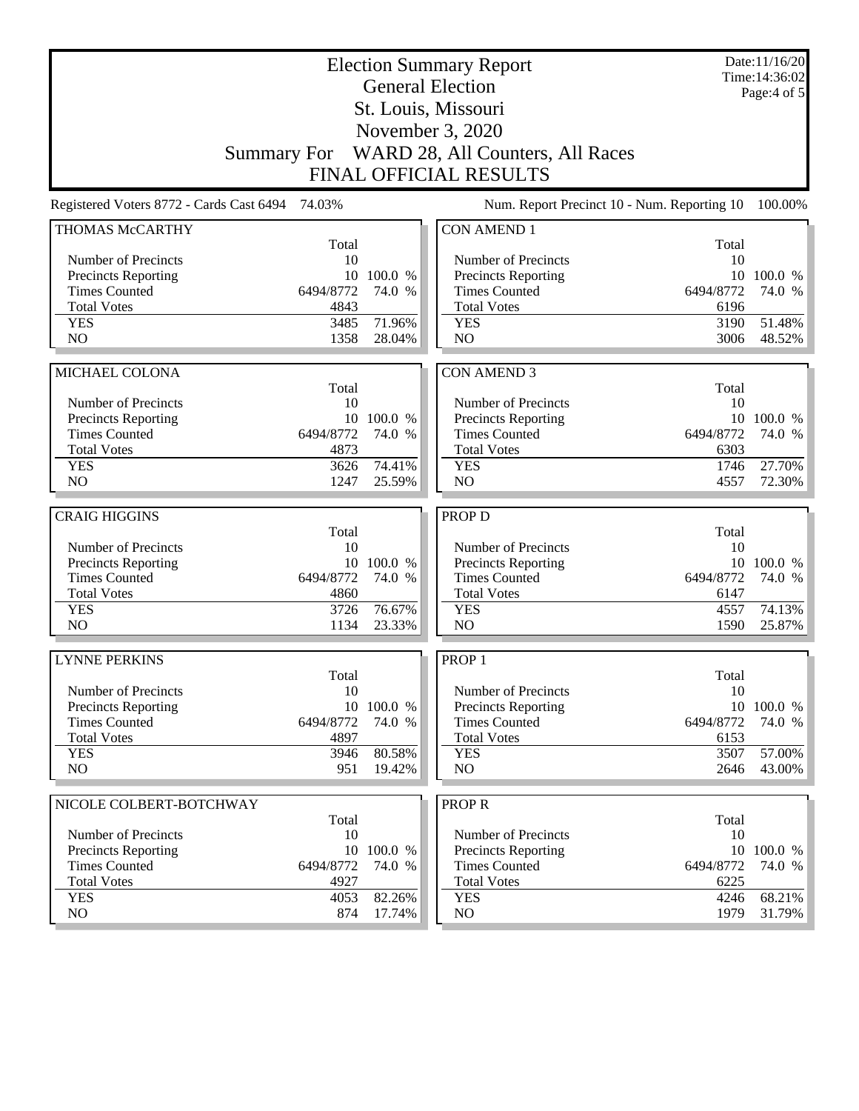| <b>Election Summary Report</b><br><b>General Election</b><br>St. Louis, Missouri |                   |                      |                                              |                   | Date:11/16/20<br>Time: 14:36:02<br>Page:4 of 5 |  |
|----------------------------------------------------------------------------------|-------------------|----------------------|----------------------------------------------|-------------------|------------------------------------------------|--|
|                                                                                  |                   |                      | November 3, 2020                             |                   |                                                |  |
|                                                                                  |                   |                      | Summary For WARD 28, All Counters, All Races |                   |                                                |  |
| <b>FINAL OFFICIAL RESULTS</b>                                                    |                   |                      |                                              |                   |                                                |  |
| Registered Voters 8772 - Cards Cast 6494 74.03%                                  |                   |                      | Num. Report Precinct 10 - Num. Reporting 10  |                   | 100.00%                                        |  |
| THOMAS McCARTHY                                                                  |                   |                      | <b>CON AMEND 1</b>                           |                   |                                                |  |
| Number of Precincts                                                              | Total<br>10       |                      | Number of Precincts                          | Total<br>10       |                                                |  |
| <b>Precincts Reporting</b>                                                       |                   | 10 100.0 %           | <b>Precincts Reporting</b>                   |                   | 10 100.0 %                                     |  |
| <b>Times Counted</b>                                                             | 6494/8772         | 74.0 %               | <b>Times Counted</b>                         | 6494/8772         | 74.0 %                                         |  |
| <b>Total Votes</b>                                                               | 4843              |                      | <b>Total Votes</b>                           | 6196              |                                                |  |
| <b>YES</b>                                                                       | 3485              | 71.96%               | <b>YES</b>                                   | 3190              | 51.48%                                         |  |
| NO                                                                               | 1358              | 28.04%               | NO                                           | 3006              | 48.52%                                         |  |
|                                                                                  |                   |                      |                                              |                   |                                                |  |
| MICHAEL COLONA                                                                   |                   |                      | <b>CON AMEND 3</b>                           |                   |                                                |  |
|                                                                                  | Total             |                      |                                              | Total             |                                                |  |
| Number of Precincts                                                              | 10                |                      | Number of Precincts                          | 10                |                                                |  |
| <b>Precincts Reporting</b><br><b>Times Counted</b>                               |                   | 10 100.0 %           | Precincts Reporting                          |                   | 10 100.0 %                                     |  |
| <b>Total Votes</b>                                                               | 6494/8772<br>4873 | 74.0 %               | <b>Times Counted</b><br><b>Total Votes</b>   | 6494/8772<br>6303 | 74.0 %                                         |  |
| <b>YES</b>                                                                       | 3626              | 74.41%               | <b>YES</b>                                   | 1746              | 27.70%                                         |  |
| NO                                                                               | 1247              | 25.59%               | NO                                           | 4557              | 72.30%                                         |  |
|                                                                                  |                   |                      |                                              |                   |                                                |  |
| <b>CRAIG HIGGINS</b>                                                             |                   |                      | PROP D                                       |                   |                                                |  |
|                                                                                  | Total             |                      |                                              | Total             |                                                |  |
| Number of Precincts                                                              | 10                |                      | Number of Precincts                          | 10                |                                                |  |
| <b>Precincts Reporting</b>                                                       |                   | 10 100.0 %           | Precincts Reporting                          |                   | 10 100.0 %                                     |  |
| <b>Times Counted</b>                                                             | 6494/8772         | 74.0 %               | <b>Times Counted</b>                         | 6494/8772         | 74.0 %                                         |  |
| <b>Total Votes</b>                                                               | 4860              |                      | <b>Total Votes</b>                           | 6147              |                                                |  |
| <b>YES</b>                                                                       | 3726              | 76.67%               | <b>YES</b>                                   | 4557              | 74.13%                                         |  |
| NO                                                                               | 1134              | 23.33%               | NO                                           | 1590              | 25.87%                                         |  |
| <b>LYNNE PERKINS</b>                                                             |                   |                      | PROP <sub>1</sub>                            |                   |                                                |  |
|                                                                                  | Total             |                      |                                              | Total             |                                                |  |
| Number of Precincts                                                              | 10                |                      | Number of Precincts                          | 10                |                                                |  |
| <b>Precincts Reporting</b><br><b>Times Counted</b>                               | 6494/8772         | 10 100.0 %<br>74.0 % | Precincts Reporting<br><b>Times Counted</b>  | 6494/8772         | 10 100.0 %<br>74.0 %                           |  |
| <b>Total Votes</b>                                                               | 4897              |                      | <b>Total Votes</b>                           | 6153              |                                                |  |
| <b>YES</b>                                                                       | 3946              | 80.58%               | <b>YES</b>                                   | 3507              | 57.00%                                         |  |
| NO                                                                               | 951               | 19.42%               | NO                                           | 2646              | 43.00%                                         |  |
|                                                                                  |                   |                      |                                              |                   |                                                |  |
| NICOLE COLBERT-BOTCHWAY                                                          |                   |                      | <b>PROPR</b>                                 |                   |                                                |  |
|                                                                                  | Total             |                      |                                              | Total             |                                                |  |
| Number of Precincts                                                              | 10                |                      | Number of Precincts                          | 10                |                                                |  |
| <b>Precincts Reporting</b>                                                       |                   | 10 100.0 %           | <b>Precincts Reporting</b>                   |                   | 10 100.0 %                                     |  |
| <b>Times Counted</b><br><b>Total Votes</b>                                       | 6494/8772<br>4927 | 74.0 %               | <b>Times Counted</b><br><b>Total Votes</b>   | 6494/8772<br>6225 | 74.0 %                                         |  |
| <b>YES</b>                                                                       | 4053              | 82.26%               | <b>YES</b>                                   | 4246              | 68.21%                                         |  |
| NO                                                                               | 874               | 17.74%               | NO                                           | 1979              | $31.79\%$                                      |  |
|                                                                                  |                   |                      |                                              |                   |                                                |  |